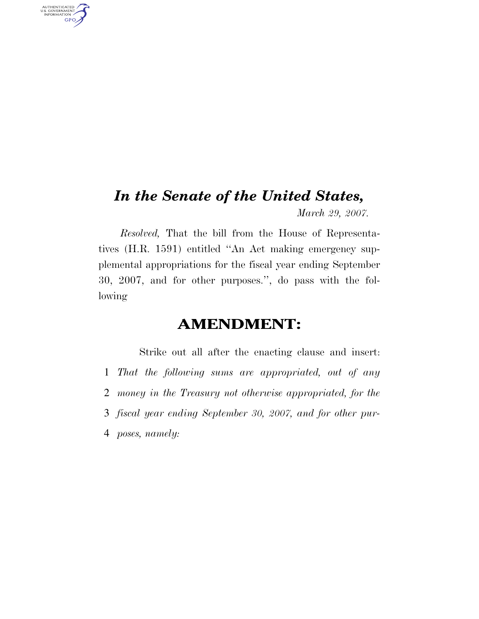## *In the Senate of the United States, March 29, 2007.*

AUTHENTICATED<br>U.S. GOVERNMENT<br>INFORMATION GPO

> *Resolved,* That the bill from the House of Representatives (H.R. 1591) entitled ''An Act making emergency supplemental appropriations for the fiscal year ending September 30, 2007, and for other purposes.'', do pass with the following

## **AMENDMENT:**

Strike out all after the enacting clause and insert: *That the following sums are appropriated, out of any money in the Treasury not otherwise appropriated, for the fiscal year ending September 30, 2007, and for other pur-poses, namely:*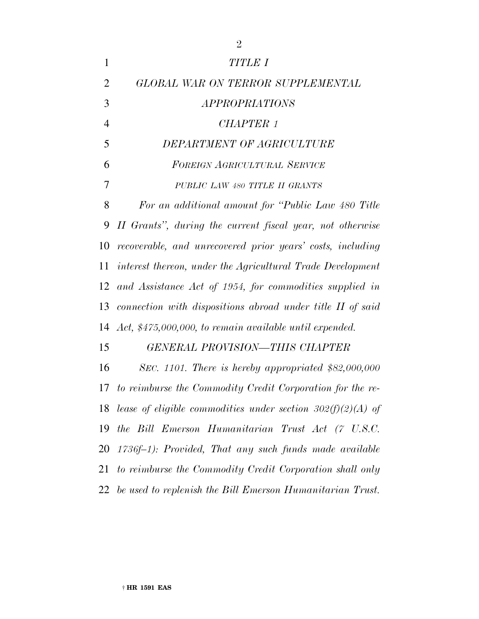| $\mathbf{1}$   | <b>TITLE I</b>                                                   |
|----------------|------------------------------------------------------------------|
| $\overline{2}$ | GLOBAL WAR ON TERROR SUPPLEMENTAL                                |
| 3              | <i>APPROPRIATIONS</i>                                            |
| $\overline{4}$ | CHAPTER 1                                                        |
| 5              | DEPARTMENT OF AGRICULTURE                                        |
| 6              | <b>FOREIGN AGRICULTURAL SERVICE</b>                              |
| 7              | PUBLIC LAW 480 TITLE II GRANTS                                   |
| 8              | For an additional amount for "Public Law 480 Title"              |
| 9              | II Grants", during the current fiscal year, not otherwise        |
| 10             | recoverable, and unrecovered prior years' costs, including       |
| 11             | interest thereon, under the Agricultural Trade Development       |
| 12             | and Assistance Act of 1954, for commodities supplied in          |
| 13             | connection with dispositions abroad under title II of said       |
|                | 14 Act, \$475,000,000, to remain available until expended.       |
| 15             | <b>GENERAL PROVISION-THIS CHAPTER</b>                            |
| 16             | SEC. 1101. There is hereby appropriated $$82,000,000$            |
|                | 17 to reimburse the Commodity Credit Corporation for the re-     |
|                | 18 lease of eligible commodities under section $302(f)(2)(A)$ of |
| 19             | the Bill Emerson Humanitarian Trust Act (7 U.S.C.                |
|                | 20 1736f–1): Provided, That any such funds made available        |
| 21             | to reimburse the Commodity Credit Corporation shall only         |
|                | 22 be used to replenish the Bill Emerson Humanitarian Trust.     |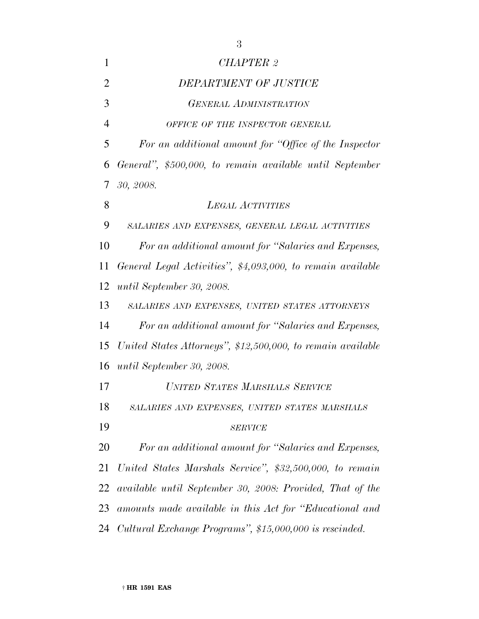| 1              | CHAPTER 2                                                   |
|----------------|-------------------------------------------------------------|
| $\overline{2}$ | DEPARTMENT OF JUSTICE                                       |
| 3              | <b>GENERAL ADMINISTRATION</b>                               |
| 4              | OFFICE OF THE INSPECTOR GENERAL                             |
| 5              | For an additional amount for "Office of the Inspector"      |
| 6              | General", \$500,000, to remain available until September    |
| 7              | 30, 2008.                                                   |
| 8              | <b>LEGAL ACTIVITIES</b>                                     |
| 9              | SALARIES AND EXPENSES, GENERAL LEGAL ACTIVITIES             |
| 10             | For an additional amount for "Salaries and Expenses,        |
| 11             | General Legal Activities", \$4,093,000, to remain available |
| 12             | until September 30, 2008.                                   |
| 13             | SALARIES AND EXPENSES, UNITED STATES ATTORNEYS              |
| 14             | For an additional amount for "Salaries and Expenses,        |
| 15             | United States Attorneys", \$12,500,000, to remain available |
| 16             | until September 30, 2008.                                   |
| 17             | UNITED STATES MARSHALS SERVICE                              |
| 18             | SALARIES AND EXPENSES, UNITED STATES MARSHALS               |
| 19             | <b>SERVICE</b>                                              |
| 20             | For an additional amount for "Salaries and Expenses,        |
| 21             | United States Marshals Service", \$32,500,000, to remain    |
| 22             | available until September 30, 2008: Provided, That of the   |
| 23             | amounts made available in this Act for "Educational and     |
| 24             | Cultural Exchange Programs", \$15,000,000 is rescinded.     |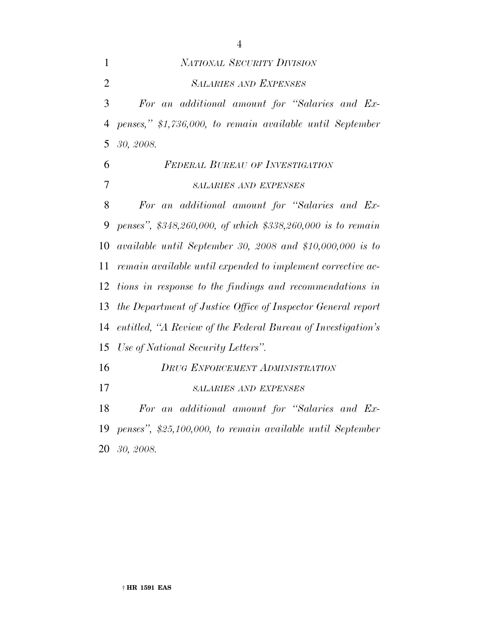*NATIONAL SECURITY DIVISION SALARIES AND EXPENSES For an additional amount for ''Salaries and Ex- penses,'' \$1,736,000, to remain available until September 30, 2008. FEDERAL BUREAU OF INVESTIGATION SALARIES AND EXPENSES For an additional amount for ''Salaries and Ex- penses'', \$348,260,000, of which \$338,260,000 is to remain available until September 30, 2008 and \$10,000,000 is to remain available until expended to implement corrective ac- tions in response to the findings and recommendations in the Department of Justice Office of Inspector General report entitled, ''A Review of the Federal Bureau of Investigation's Use of National Security Letters''. DRUG ENFORCEMENT ADMINISTRATION SALARIES AND EXPENSES For an additional amount for ''Salaries and Ex-penses'', \$25,100,000, to remain available until September*

*30, 2008.*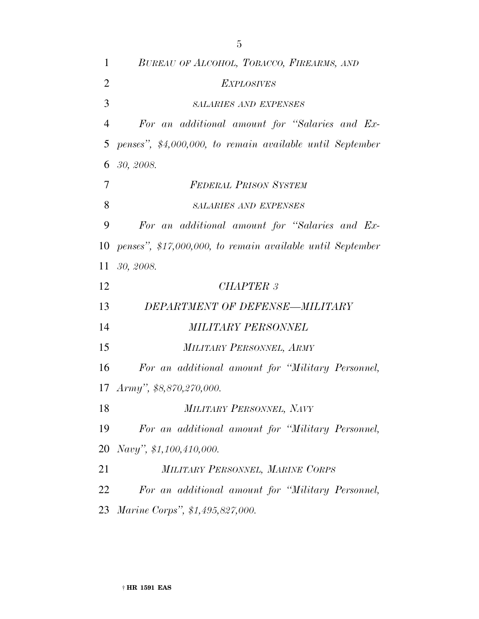| $\mathbf{1}$   | BUREAU OF ALCOHOL, TOBACCO, FIREARMS, AND                  |
|----------------|------------------------------------------------------------|
| $\overline{2}$ | <b>EXPLOSIVES</b>                                          |
| 3              | <b>SALARIES AND EXPENSES</b>                               |
| $\overline{4}$ | For an additional amount for "Salaries and Ex-             |
| 5              | penses", \$4,000,000, to remain available until September  |
| 6              | 30, 2008.                                                  |
| 7              | <b>FEDERAL PRISON SYSTEM</b>                               |
| 8              | <b>SALARIES AND EXPENSES</b>                               |
| 9              | For an additional amount for "Salaries and Ex-             |
| 10             | penses", \$17,000,000, to remain available until September |
| 11             | 30, 2008.                                                  |
| 12             | <b>CHAPTER 3</b>                                           |
| 13             | DEPARTMENT OF DEFENSE-MILITARY                             |
| 14             | <b>MILITARY PERSONNEL</b>                                  |
| 15             | MILITARY PERSONNEL, ARMY                                   |
| 16             | For an additional amount for "Military Personnel,          |
|                | 17 Army", \$8,870,270,000.                                 |
| 18             | MILITARY PERSONNEL, NAVY                                   |
| 19             | For an additional amount for "Military Personnel,          |
| 20             | Navy", \$1,100,410,000.                                    |
| 21             | MILITARY PERSONNEL, MARINE CORPS                           |
| 22             | For an additional amount for "Military Personnel,          |
| 23             | Marine Corps", \$1,495,827,000.                            |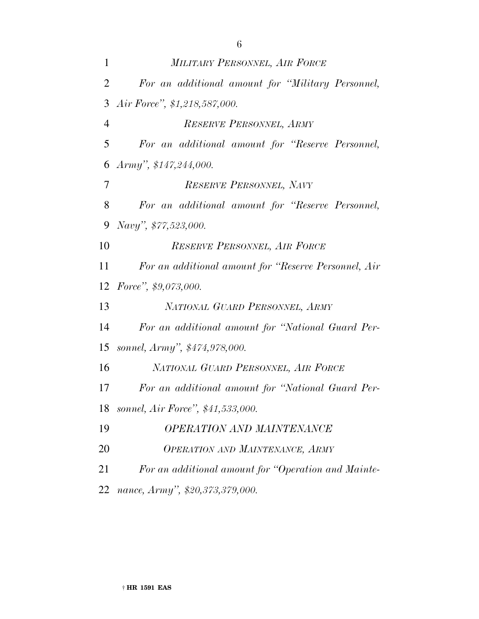| $\mathbf{1}$   | MILITARY PERSONNEL, AIR FORCE                        |
|----------------|------------------------------------------------------|
| $\overline{2}$ | For an additional amount for "Military Personnel,    |
| 3              | Air Force", \$1,218,587,000.                         |
| $\overline{4}$ | RESERVE PERSONNEL, ARMY                              |
| 5              | For an additional amount for "Reserve Personnel,     |
| 6              | $Army$ ", \$147,244,000.                             |
| $\tau$         | RESERVE PERSONNEL, NAVY                              |
| 8              | For an additional amount for "Reserve Personnel,     |
| 9              | Navy", \$77,523,000.                                 |
| 10             | RESERVE PERSONNEL, AIR FORCE                         |
| 11             | For an additional amount for "Reserve Personnel, Air |
| 12             | Force", $$9,073,000$ .                               |
| 13             | NATIONAL GUARD PERSONNEL, ARMY                       |
| 14             | For an additional amount for "National Guard Per-    |
| 15             | sonnel, Army", \$474,978,000.                        |
| 16             | NATIONAL GUARD PERSONNEL, AIR FORCE                  |
| 17             | For an additional amount for "National Guard Per-    |
| 18             | sonnel, Air Force", \$41,533,000.                    |

- *OPERATION AND MAINTENANCE*
- *OPERATION AND MAINTENANCE, ARMY*
- *For an additional amount for ''Operation and Mainte-*
- *nance, Army'', \$20,373,379,000.*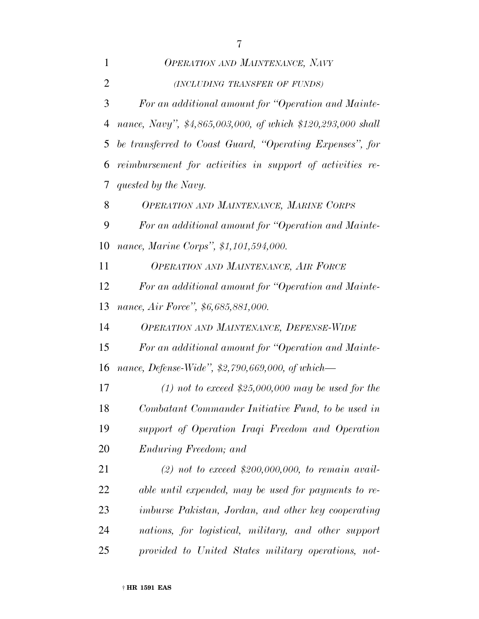| $\mathbf{1}$   | <b>OPERATION AND MAINTENANCE, NAVY</b>                      |
|----------------|-------------------------------------------------------------|
| 2              | (INCLUDING TRANSFER OF FUNDS)                               |
| 3              | For an additional amount for "Operation and Mainte-         |
| $\overline{4}$ | nance, Navy", \$4,865,003,000, of which \$120,293,000 shall |
| 5              | be transferred to Coast Guard, "Operating Expenses", for    |
| 6              | reimbursement for activities in support of activities re-   |
| 7              | quested by the Navy.                                        |
| 8              | OPERATION AND MAINTENANCE, MARINE CORPS                     |
| 9              | For an additional amount for "Operation and Mainte-         |
| 10             | nance, Marine Corps", \$1,101,594,000.                      |
| 11             | <b>OPERATION AND MAINTENANCE, AIR FORCE</b>                 |
| 12             | For an additional amount for "Operation and Mainte-         |
| 13             | nance, Air Force", \$6,685,881,000.                         |
| 14             | OPERATION AND MAINTENANCE, DEFENSE-WIDE                     |
| 15             | For an additional amount for "Operation and Mainte-         |
| 16             | nance, Defense-Wide", \$2,790,669,000, of which-            |
| 17             | $(1)$ not to exceed \$25,000,000 may be used for the        |
| 18             | Combatant Commander Initiative Fund, to be used in          |
| 19             | support of Operation Iraqi Freedom and Operation            |
| 20             | Enduring Freedom; and                                       |
| 21             | (2) not to exceed \$200,000,000, to remain avail-           |
| 22             | able until expended, may be used for payments to re-        |
| 23             | <i>imburse Pakistan, Jordan, and other key cooperating</i>  |
| 24             | nations, for logistical, military, and other support        |
| 25             | provided to United States military operations, not-         |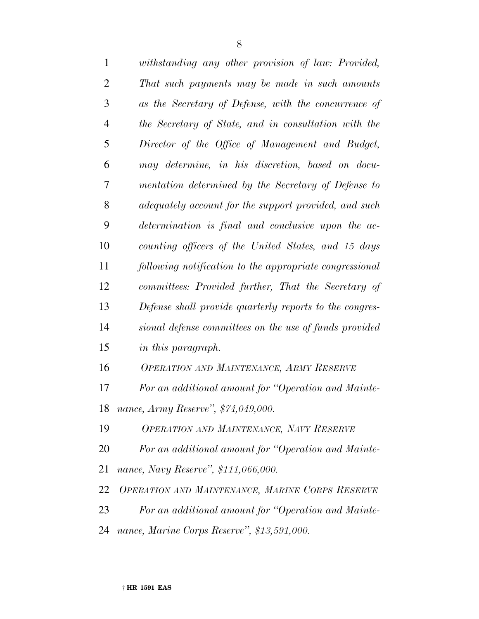| $\mathbf{1}$   | withstanding any other provision of law: Provided,      |
|----------------|---------------------------------------------------------|
| 2              | That such payments may be made in such amounts          |
| 3              | as the Secretary of Defense, with the concurrence of    |
| $\overline{4}$ | the Secretary of State, and in consultation with the    |
| 5              | Director of the Office of Management and Budget,        |
| 6              | may determine, in his discretion, based on docu-        |
| 7              | mentation determined by the Secretary of Defense to     |
| 8              | adequately account for the support provided, and such   |
| 9              | determination is final and conclusive upon the ac-      |
| 10             | counting officers of the United States, and 15 days     |
| 11             | following notification to the appropriate congressional |
| 12             | committees: Provided further, That the Secretary of     |
| 13             | Defense shall provide quarterly reports to the congres- |
| 14             | sional defense committees on the use of funds provided  |
| 15             | in this paragraph.                                      |
| 16             | <b>OPERATION AND MAINTENANCE, ARMY RESERVE</b>          |
| 17             | For an additional amount for "Operation and Mainte-     |
|                | 18 nance, Army Reserve", \$74,049,000.                  |
| 19             | OPERATION AND MAINTENANCE, NAVY RESERVE                 |
| 20             | For an additional amount for "Operation and Mainte-     |
| 21             | nance, Navy Reserve", \$111,066,000.                    |
| 22             | OPERATION AND MAINTENANCE, MARINE CORPS RESERVE         |
| 23             | For an additional amount for "Operation and Mainte-     |
| 24             | nance, Marine Corps Reserve", \$13,591,000.             |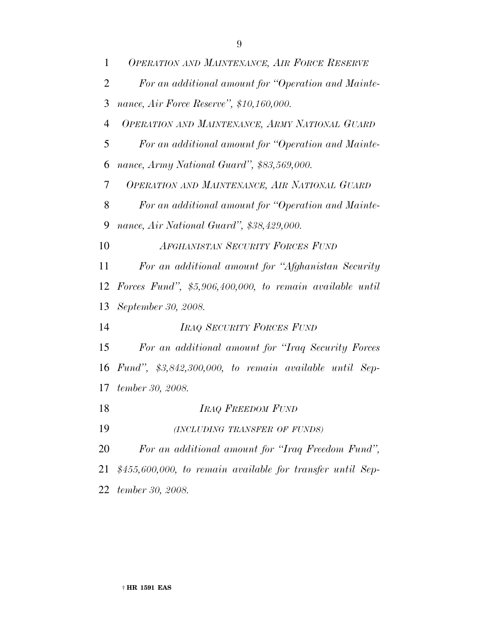| $\mathbf{1}$   | <b>OPERATION AND MAINTENANCE, AIR FORCE RESERVE</b>         |
|----------------|-------------------------------------------------------------|
| $\overline{2}$ | For an additional amount for "Operation and Mainte-         |
| 3              | nance, Air Force Reserve", \$10,160,000.                    |
| $\overline{4}$ | OPERATION AND MAINTENANCE, ARMY NATIONAL GUARD              |
| 5              | For an additional amount for "Operation and Mainte-         |
| 6              | nance, Army National Guard", \$83,569,000.                  |
| 7              | OPERATION AND MAINTENANCE, AIR NATIONAL GUARD               |
| 8              | For an additional amount for "Operation and Mainte-         |
| 9              | nance, Air National Guard", \$38,429,000.                   |
| 10             | AFGHANISTAN SECURITY FORCES FUND                            |
| 11             | For an additional amount for "Afghanistan Security          |
| 12             | Forces Fund", $$5,906,400,000,$ to remain available until   |
| 13             | September 30, 2008.                                         |
| 14             | IRAQ SECURITY FORCES FUND                                   |
| 15             | For an additional amount for "Iraq Security Forces"         |
|                | 16 Fund", $$3,842,300,000$ , to remain available until Sep- |
| 17             | tember 30, 2008.                                            |
| 18             | <b>IRAQ FREEDOM FUND</b>                                    |
| 19             | (INCLUDING TRANSFER OF FUNDS)                               |
| 20             | For an additional amount for "Iraq Freedom Fund",           |
| 21             | $$455,600,000, to remain available for transfer until Sep-$ |
| 22             | tember 30, 2008.                                            |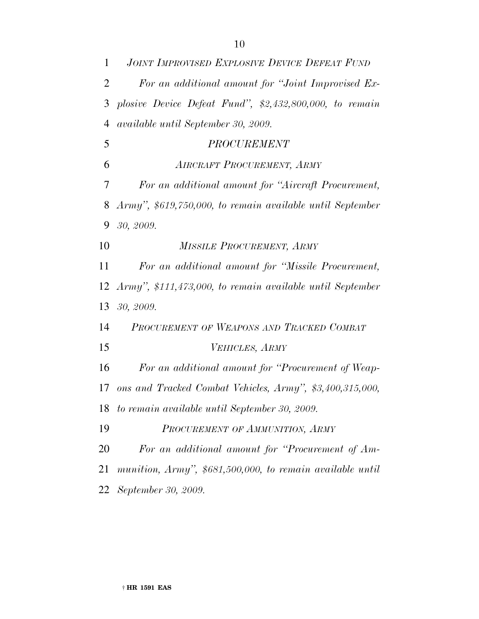| $\mathbf{1}$   | <b>JOINT IMPROVISED EXPLOSIVE DEVICE DEFEAT FUND</b>      |
|----------------|-----------------------------------------------------------|
| $\overline{2}$ | For an additional amount for "Joint Improvised Ex-        |
| 3              | plosive Device Defeat Fund", $$2,432,800,000$ , to remain |
| $\overline{4}$ | available until September 30, 2009.                       |
| 5              | <b>PROCUREMENT</b>                                        |
| 6              | AIRCRAFT PROCUREMENT, ARMY                                |
| 7              | For an additional amount for "Aircraft Procurement,       |
| 8              | Army", \$619,750,000, to remain available until September |
| 9              | 30, 2009.                                                 |
| 10             | MISSILE PROCUREMENT, ARMY                                 |
| 11             | For an additional amount for "Missile Procurement,        |
| 12             | Army", \$111,473,000, to remain available until September |
| 13             | 30, 2009.                                                 |
| 14             | PROCUREMENT OF WEAPONS AND TRACKED COMBAT                 |
| 15             | VEHICLES, ARMY                                            |
| 16             | For an additional amount for "Procurement of Weap-        |
| 17             | ons and Tracked Combat Vehicles, Army", \$3,400,315,000,  |
| 18             | to remain available until September 30, 2009.             |
| 19             | PROCUREMENT OF AMMUNITION, ARMY                           |
| 20             | For an additional amount for "Procurement of Am-          |
| 21             | munition, Army", \$681,500,000, to remain available until |
| 22             | September 30, 2009.                                       |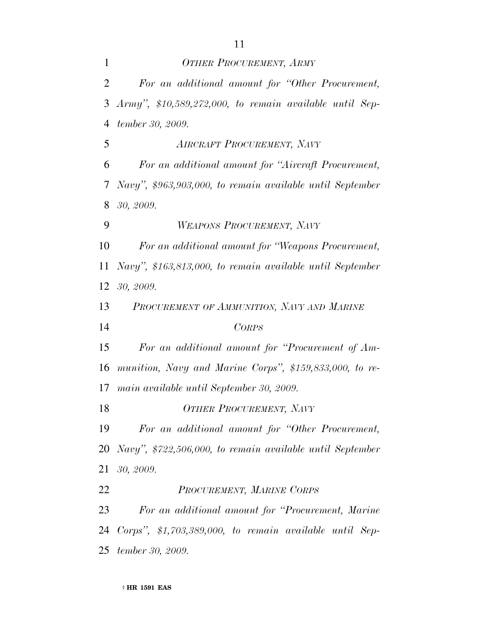| $\mathbf{1}$   | <b>OTHER PROCUREMENT, ARMY</b>                             |
|----------------|------------------------------------------------------------|
| $\overline{2}$ | For an additional amount for "Other Procurement,           |
| 3              | $Army$ ", \$10,589,272,000, to remain available until Sep- |
| 4              | tember 30, 2009.                                           |
| 5              | <b>AIRCRAFT PROCUREMENT, NAVY</b>                          |
| 6              | For an additional amount for "Aircraft Procurement,        |
| 7              | Navy", \$963,903,000, to remain available until September  |
| 8              | 30, 2009.                                                  |
| 9              | WEAPONS PROCUREMENT, NAVY                                  |
| 10             | For an additional amount for "Weapons Procurement,         |
| 11             | Navy", \$163,813,000, to remain available until September  |
| 12             | 30, 2009.                                                  |
| 13             | PROCUREMENT OF AMMUNITION, NAVY AND MARINE                 |
| 14             | <b>CORPS</b>                                               |
| 15             | For an additional amount for "Procurement of Am-           |
| 16             | munition, Navy and Marine Corps", \$159,833,000, to re-    |
| 17             | main available until September 30, 2009.                   |
| 18             | <b>OTHER PROCUREMENT, NAVY</b>                             |
| 19             | For an additional amount for "Other Procurement,           |
| 20             | Navy", \$722,506,000, to remain available until September  |
| 21             | 30, 2009.                                                  |
| 22             | PROCUREMENT, MARINE CORPS                                  |
| 23             | For an additional amount for "Procurement, Marine"         |
| 24             | Corps", $$1,703,389,000$ , to remain available until Sep-  |
| 25             | tember 30, 2009.                                           |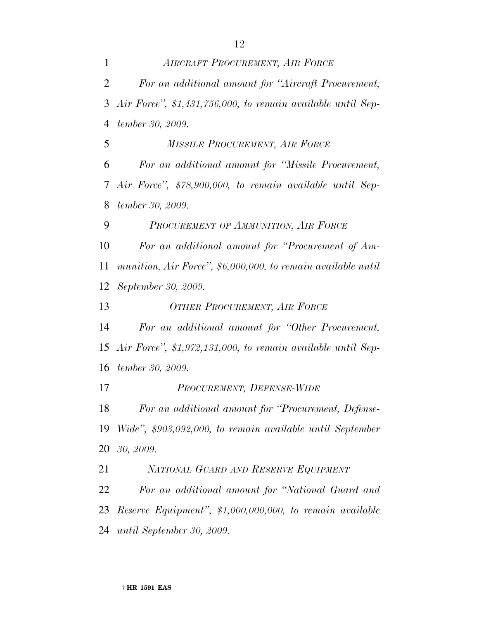*AIRCRAFT PROCUREMENT, AIR FORCE For an additional amount for ''Aircraft Procurement, Air Force'', \$1,431,756,000, to remain available until Sep- tember 30, 2009. MISSILE PROCUREMENT, AIR FORCE For an additional amount for ''Missile Procurement, Air Force'', \$78,900,000, to remain available until Sep- tember 30, 2009. PROCUREMENT OF AMMUNITION, AIR FORCE For an additional amount for ''Procurement of Am- munition, Air Force'', \$6,000,000, to remain available until September 30, 2009. OTHER PROCUREMENT, AIR FORCE For an additional amount for ''Other Procurement, Air Force'', \$1,972,131,000, to remain available until Sep- tember 30, 2009. PROCUREMENT, DEFENSE-WIDE For an additional amount for ''Procurement, Defense- Wide'', \$903,092,000, to remain available until September 30, 2009. NATIONAL GUARD AND RESERVE EQUIPMENT For an additional amount for ''National Guard and Reserve Equipment'', \$1,000,000,000, to remain available*

*until September 30, 2009.*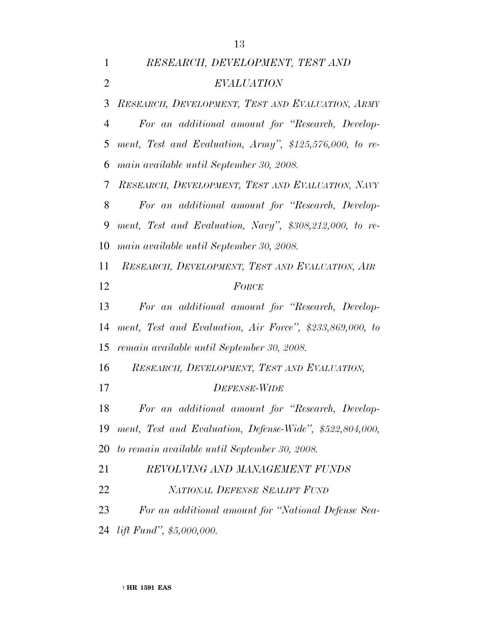*RESEARCH, DEVELOPMENT, TEST AND*

 *EVALUATION RESEARCH, DEVELOPMENT, TEST AND EVALUATION, ARMY For an additional amount for ''Research, Develop- ment, Test and Evaluation, Army'', \$125,576,000, to re- main available until September 30, 2008. RESEARCH, DEVELOPMENT, TEST AND EVALUATION, NAVY For an additional amount for ''Research, Develop- ment, Test and Evaluation, Navy'', \$308,212,000, to re- main available until September 30, 2008. RESEARCH, DEVELOPMENT, TEST AND EVALUATION, AIR FORCE For an additional amount for ''Research, Develop- ment, Test and Evaluation, Air Force'', \$233,869,000, to remain available until September 30, 2008. RESEARCH, DEVELOPMENT, TEST AND EVALUATION, DEFENSE-WIDE For an additional amount for ''Research, Develop- ment, Test and Evaluation, Defense-Wide'', \$522,804,000, to remain available until September 30, 2008. REVOLVING AND MANAGEMENT FUNDS NATIONAL DEFENSE SEALIFT FUND For an additional amount for ''National Defense Sea-lift Fund'', \$5,000,000.*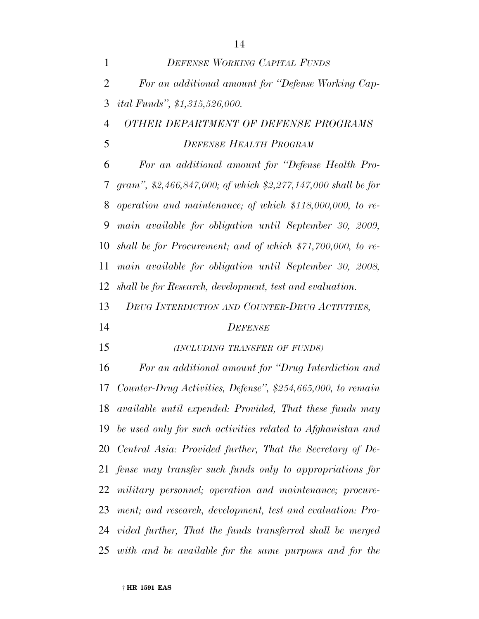| $\mathbf{1}$   | <b>DEFENSE WORKING CAPITAL FUNDS</b>                          |
|----------------|---------------------------------------------------------------|
| $\overline{2}$ | For an additional amount for "Defense Working Cap-            |
| 3              | <i>ital Funds", \$1,315,526,000.</i>                          |
| 4              | OTHER DEPARTMENT OF DEFENSE PROGRAMS                          |
| 5              | <b>DEFENSE HEALTH PROGRAM</b>                                 |
| 6              | For an additional amount for "Defense Health Pro-             |
| 7              | gram", \$2,466,847,000; of which \$2,277,147,000 shall be for |
| 8              | operation and maintenance; of which \$118,000,000, to re-     |
| 9              | main available for obligation until September 30, 2009,       |
| 10             | shall be for Procurement; and of which $$71,700,000,$ to re-  |
| 11             | main available for obligation until September 30, 2008,       |
| 12             | shall be for Research, development, test and evaluation.      |
| 13             | DRUG INTERDICTION AND COUNTER-DRUG ACTIVITIES,                |
| 14             | <b>DEFENSE</b>                                                |
| 15             | (INCLUDING TRANSFER OF FUNDS)                                 |
| 16             | For an additional amount for "Drug Interdiction and           |
|                |                                                               |

 *Counter-Drug Activities, Defense'', \$254,665,000, to remain available until expended: Provided, That these funds may be used only for such activities related to Afghanistan and Central Asia: Provided further, That the Secretary of De- fense may transfer such funds only to appropriations for military personnel; operation and maintenance; procure- ment; and research, development, test and evaluation: Pro- vided further, That the funds transferred shall be merged with and be available for the same purposes and for the*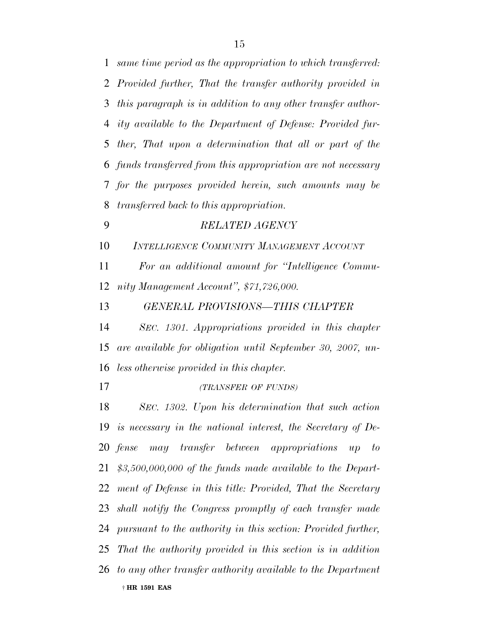| 1              | same time period as the appropriation to which transferred:     |
|----------------|-----------------------------------------------------------------|
| $\overline{2}$ | Provided further, That the transfer authority provided in       |
| 3              | this paragraph is in addition to any other transfer author-     |
| 4              | ity available to the Department of Defense: Provided fur-       |
| 5              | ther, That upon a determination that all or part of the         |
| 6              | funds transferred from this appropriation are not necessary     |
| $7\phantom{.}$ | for the purposes provided herein, such amounts may be           |
| 8              | <i>transferred back to this appropriation.</i>                  |
| 9              | <b>RELATED AGENCY</b>                                           |
| 10             | INTELLIGENCE COMMUNITY MANAGEMENT ACCOUNT                       |
| 11             | For an additional amount for "Intelligence Commu-               |
| 12             | nity Management Account", \$71,726,000.                         |
| 13             | <b>GENERAL PROVISIONS-THIS CHAPTER</b>                          |
| 14             | SEC. 1301. Appropriations provided in this chapter              |
| 15             | are available for obligation until September 30, 2007, un-      |
| 16             | less otherwise provided in this chapter.                        |
| 17             | (TRANSFER OF FUNDS)                                             |
| 18             | SEC. 1302. Upon his determination that such action              |
|                | 19 is necessary in the national interest, the Secretary of De-  |
|                | 20 fense may transfer between appropriations up<br>$- to$       |
|                | 21 $$3,500,000,000$ of the funds made available to the Depart-  |
|                | 22 ment of Defense in this title: Provided, That the Secretary  |
|                | 23 shall notify the Congress promptly of each transfer made     |
|                | 24 pursuant to the authority in this section: Provided further, |
|                | 25 That the authority provided in this section is in addition   |
|                | 26 to any other transfer authority available to the Department  |
|                | † HR 1591 EAS                                                   |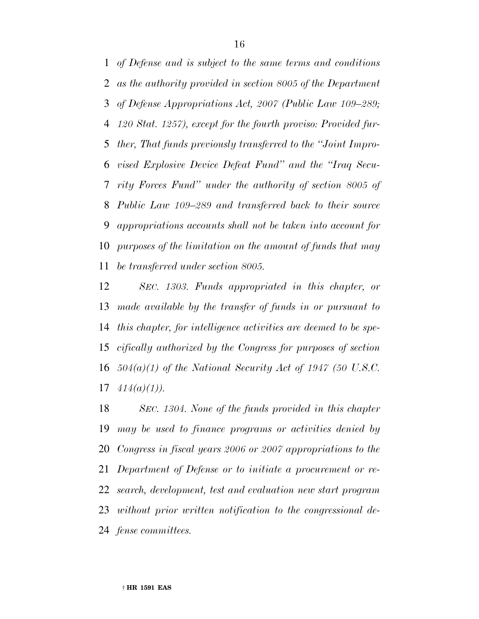*of Defense and is subject to the same terms and conditions as the authority provided in section 8005 of the Department of Defense Appropriations Act, 2007 (Public Law 109–289; 120 Stat. 1257), except for the fourth proviso: Provided fur- ther, That funds previously transferred to the ''Joint Impro- vised Explosive Device Defeat Fund'' and the ''Iraq Secu- rity Forces Fund'' under the authority of section 8005 of Public Law 109–289 and transferred back to their source appropriations accounts shall not be taken into account for purposes of the limitation on the amount of funds that may be transferred under section 8005.*

 *SEC. 1303. Funds appropriated in this chapter, or made available by the transfer of funds in or pursuant to this chapter, for intelligence activities are deemed to be spe- cifically authorized by the Congress for purposes of section 504(a)(1) of the National Security Act of 1947 (50 U.S.C. 414(a)(1)).*

 *SEC. 1304. None of the funds provided in this chapter may be used to finance programs or activities denied by Congress in fiscal years 2006 or 2007 appropriations to the Department of Defense or to initiate a procurement or re- search, development, test and evaluation new start program without prior written notification to the congressional de-fense committees.*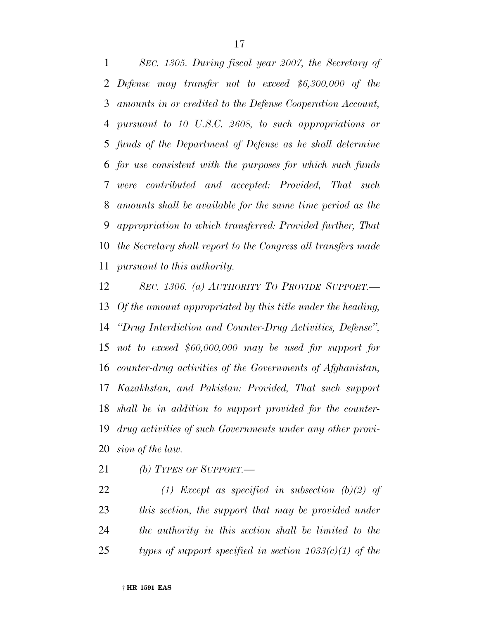*SEC. 1305. During fiscal year 2007, the Secretary of Defense may transfer not to exceed \$6,300,000 of the amounts in or credited to the Defense Cooperation Account, pursuant to 10 U.S.C. 2608, to such appropriations or funds of the Department of Defense as he shall determine for use consistent with the purposes for which such funds were contributed and accepted: Provided, That such amounts shall be available for the same time period as the appropriation to which transferred: Provided further, That the Secretary shall report to the Congress all transfers made pursuant to this authority.*

 *SEC. 1306. (a) AUTHORITY TO PROVIDE SUPPORT.— Of the amount appropriated by this title under the heading, ''Drug Interdiction and Counter-Drug Activities, Defense'', not to exceed \$60,000,000 may be used for support for counter-drug activities of the Governments of Afghanistan, Kazakhstan, and Pakistan: Provided, That such support shall be in addition to support provided for the counter- drug activities of such Governments under any other provi-sion of the law.*

*(b) TYPES OF SUPPORT.—*

 *(1) Except as specified in subsection (b)(2) of this section, the support that may be provided under the authority in this section shall be limited to the types of support specified in section 1033(c)(1) of the*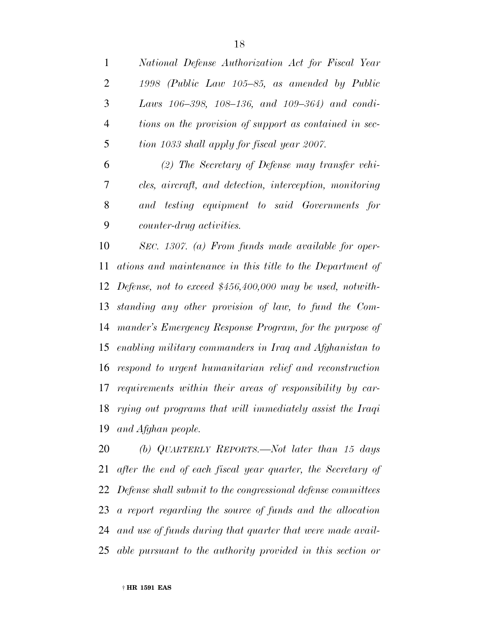*National Defense Authorization Act for Fiscal Year 1998 (Public Law 105–85, as amended by Public Laws 106–398, 108–136, and 109–364) and condi- tions on the provision of support as contained in sec-tion 1033 shall apply for fiscal year 2007.*

 *(2) The Secretary of Defense may transfer vehi- cles, aircraft, and detection, interception, monitoring and testing equipment to said Governments for counter-drug activities.*

 *SEC. 1307. (a) From funds made available for oper- ations and maintenance in this title to the Department of Defense, not to exceed \$456,400,000 may be used, notwith- standing any other provision of law, to fund the Com- mander's Emergency Response Program, for the purpose of enabling military commanders in Iraq and Afghanistan to respond to urgent humanitarian relief and reconstruction requirements within their areas of responsibility by car- rying out programs that will immediately assist the Iraqi and Afghan people.*

 *(b) QUARTERLY REPORTS.—Not later than 15 days after the end of each fiscal year quarter, the Secretary of Defense shall submit to the congressional defense committees a report regarding the source of funds and the allocation and use of funds during that quarter that were made avail-able pursuant to the authority provided in this section or*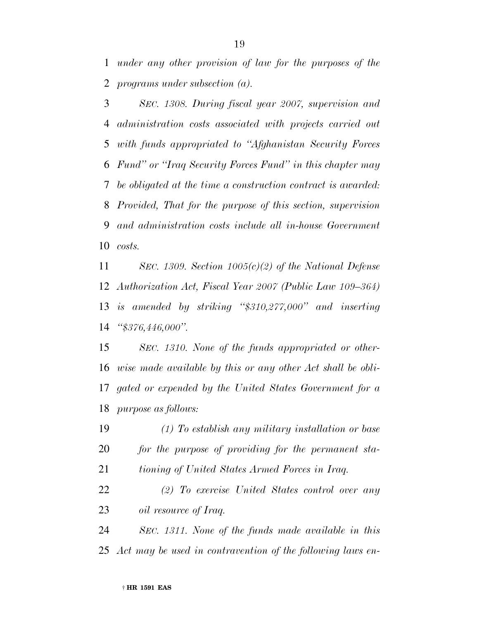*under any other provision of law for the purposes of the programs under subsection (a).*

 *SEC. 1308. During fiscal year 2007, supervision and administration costs associated with projects carried out with funds appropriated to ''Afghanistan Security Forces Fund'' or ''Iraq Security Forces Fund'' in this chapter may be obligated at the time a construction contract is awarded: Provided, That for the purpose of this section, supervision and administration costs include all in-house Government costs.*

 *SEC. 1309. Section 1005(c)(2) of the National Defense Authorization Act, Fiscal Year 2007 (Public Law 109–364) is amended by striking ''\$310,277,000'' and inserting ''\$376,446,000''.*

 *SEC. 1310. None of the funds appropriated or other- wise made available by this or any other Act shall be obli- gated or expended by the United States Government for a purpose as follows:*

 *(1) To establish any military installation or base for the purpose of providing for the permanent sta-*

*tioning of United States Armed Forces in Iraq.*

 *(2) To exercise United States control over any oil resource of Iraq.*

 *SEC. 1311. None of the funds made available in this Act may be used in contravention of the following laws en-*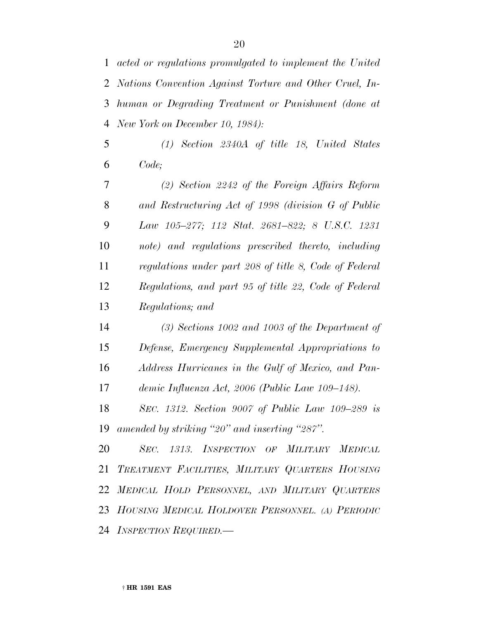*acted or regulations promulgated to implement the United Nations Convention Against Torture and Other Cruel, In- human or Degrading Treatment or Punishment (done at New York on December 10, 1984):*

 *(1) Section 2340A of title 18, United States Code;*

 *(2) Section 2242 of the Foreign Affairs Reform and Restructuring Act of 1998 (division G of Public Law 105–277; 112 Stat. 2681–822; 8 U.S.C. 1231 note) and regulations prescribed thereto, including regulations under part 208 of title 8, Code of Federal Regulations, and part 95 of title 22, Code of Federal Regulations; and*

 *(3) Sections 1002 and 1003 of the Department of Defense, Emergency Supplemental Appropriations to Address Hurricanes in the Gulf of Mexico, and Pan-demic Influenza Act, 2006 (Public Law 109–148).*

 *SEC. 1312. Section 9007 of Public Law 109–289 is amended by striking ''20'' and inserting ''287''.*

 *SEC. 1313. INSPECTION OF MILITARY MEDICAL TREATMENT FACILITIES, MILITARY QUARTERS HOUSING MEDICAL HOLD PERSONNEL, AND MILITARY QUARTERS HOUSING MEDICAL HOLDOVER PERSONNEL. (A) PERIODIC INSPECTION REQUIRED.—*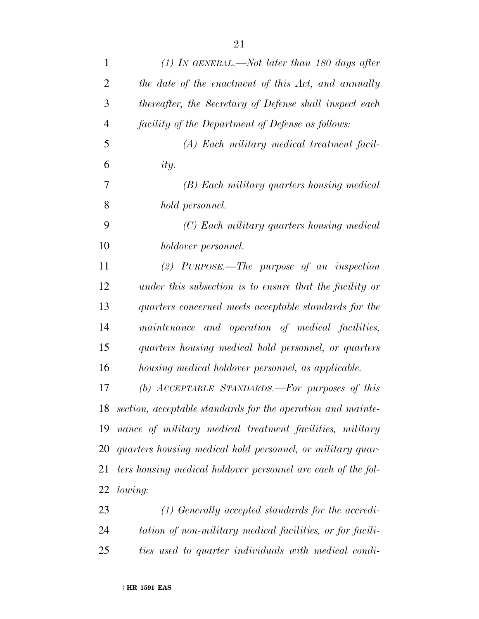| 1              | $(1)$ In GENERAL.—Not later than 180 days after              |
|----------------|--------------------------------------------------------------|
| $\overline{2}$ | the date of the enactment of this Act, and annually          |
| 3              | thereafter, the Secretary of Defense shall inspect each      |
| $\overline{4}$ | facility of the Department of Defense as follows:            |
| 5              | (A) Each military medical treatment facil-                   |
| 6              | ity.                                                         |
| 7              | (B) Each military quarters housing medical                   |
| 8              | hold personnel.                                              |
| 9              | (C) Each military quarters housing medical                   |
| 10             | holdover personnel.                                          |
| 11             | $(2)$ PURPOSE.—The purpose of an inspection                  |
| 12             | under this subsection is to ensure that the facility or      |
| 13             | quarters concerned meets acceptable standards for the        |
| 14             | maintenance and operation of medical facilities,             |
| 15             | quarters housing medical hold personnel, or quarters         |
| 16             | housing medical holdover personnel, as applicable.           |
| 17             | (b) $ACCEPTABLE$ STANDARDS.—For purposes of this             |
| 18             | section, acceptable standards for the operation and mainte-  |
| 19             | nance of military medical treatment facilities, military     |
| 20             | quarters housing medical hold personnel, or military quar-   |
| 21             | ters housing medical holdover personnel are each of the fol- |
| 22             | lowing:                                                      |
| 23             | $(1)$ Generally accepted standards for the accredi-          |
| 24             | tation of non-military medical facilities, or for facili-    |
| 25             | ties used to quarter individuals with medical condi-         |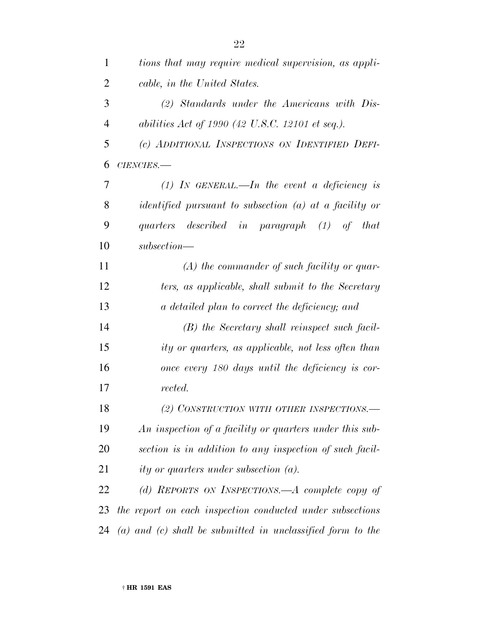| 1              | tions that may require medical supervision, as appli-          |
|----------------|----------------------------------------------------------------|
| $\overline{2}$ | cable, in the United States.                                   |
| 3              | $(2)$ Standards under the Americans with Dis-                  |
| 4              | abilities Act of 1990 (42 U.S.C. 12101 et seq.).               |
| 5              | (c) ADDITIONAL INSPECTIONS ON IDENTIFIED DEFI-                 |
| 6              | $CIENCIES$ .                                                   |
| 7              | (1) IN GENERAL.—In the event a deficiency is                   |
| 8              | $identified$ pursuant to subsection (a) at a facility or       |
| 9              | quarters described in paragraph (1) of<br><i>that</i>          |
| 10             | $subsection$ —                                                 |
| 11             | $(A)$ the commander of such facility or quar-                  |
| 12             | ters, as applicable, shall submit to the Secretary             |
| 13             | a detailed plan to correct the deficiency; and                 |
| 14             | (B) the Secretary shall reinspect such facil-                  |
| 15             | ity or quarters, as applicable, not less often than            |
| 16             | once every 180 days until the deficiency is cor-               |
| 17             | rected.                                                        |
| 18             | (2) CONSTRUCTION WITH OTHER INSPECTIONS.-                      |
| 19             | An inspection of a facility or quarters under this sub-        |
| 20             | section is in addition to any inspection of such facil-        |
| 21             | ity or quarters under subsection $(a)$ .                       |
| 22             | (d) REPORTS ON INSPECTIONS.—A complete copy of                 |
| 23             | the report on each inspection conducted under subsections      |
| 24             | $(a)$ and $(c)$ shall be submitted in unclassified form to the |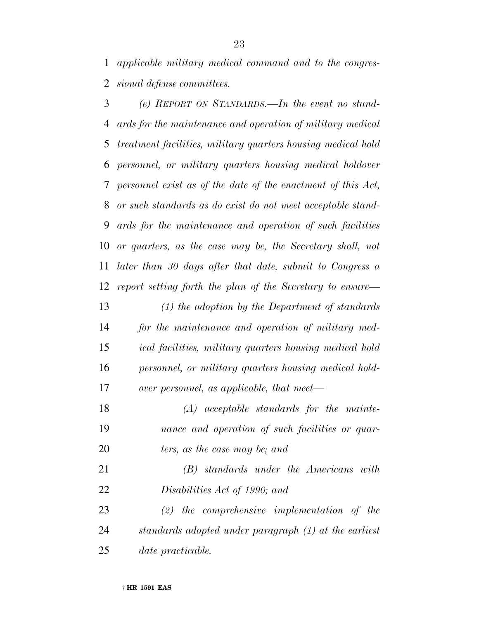*applicable military medical command and to the congres-sional defense committees.*

 *(e) REPORT ON STANDARDS.—In the event no stand- ards for the maintenance and operation of military medical treatment facilities, military quarters housing medical hold personnel, or military quarters housing medical holdover personnel exist as of the date of the enactment of this Act, or such standards as do exist do not meet acceptable stand- ards for the maintenance and operation of such facilities or quarters, as the case may be, the Secretary shall, not later than 30 days after that date, submit to Congress a report setting forth the plan of the Secretary to ensure— (1) the adoption by the Department of standards for the maintenance and operation of military med- ical facilities, military quarters housing medical hold personnel, or military quarters housing medical hold- over personnel, as applicable, that meet— (A) acceptable standards for the mainte-nance and operation of such facilities or quar-*

*ters, as the case may be; and*

 *(B) standards under the Americans with Disabilities Act of 1990; and*

 *(2) the comprehensive implementation of the standards adopted under paragraph (1) at the earliest date practicable.*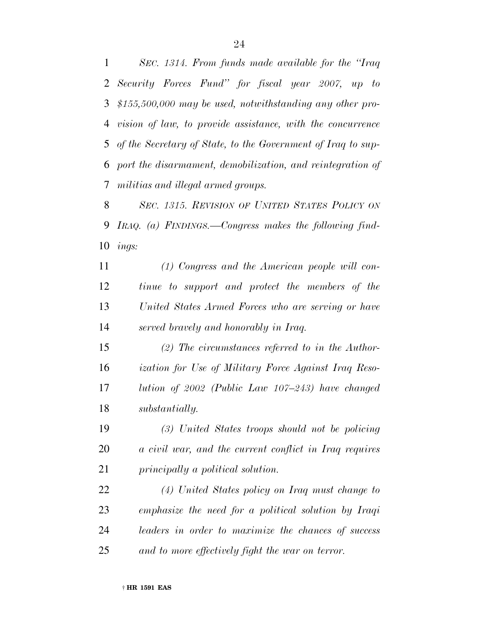*SEC. 1314. From funds made available for the ''Iraq Security Forces Fund'' for fiscal year 2007, up to \$155,500,000 may be used, notwithstanding any other pro- vision of law, to provide assistance, with the concurrence of the Secretary of State, to the Government of Iraq to sup- port the disarmament, demobilization, and reintegration of militias and illegal armed groups.*

 *SEC. 1315. REVISION OF UNITED STATES POLICY ON IRAQ. (a) FINDINGS.—Congress makes the following find-ings:*

 *(1) Congress and the American people will con- tinue to support and protect the members of the United States Armed Forces who are serving or have served bravely and honorably in Iraq.*

 *(2) The circumstances referred to in the Author- ization for Use of Military Force Against Iraq Reso- lution of 2002 (Public Law 107–243) have changed substantially.*

 *(3) United States troops should not be policing a civil war, and the current conflict in Iraq requires principally a political solution.*

 *(4) United States policy on Iraq must change to emphasize the need for a political solution by Iraqi leaders in order to maximize the chances of success and to more effectively fight the war on terror.*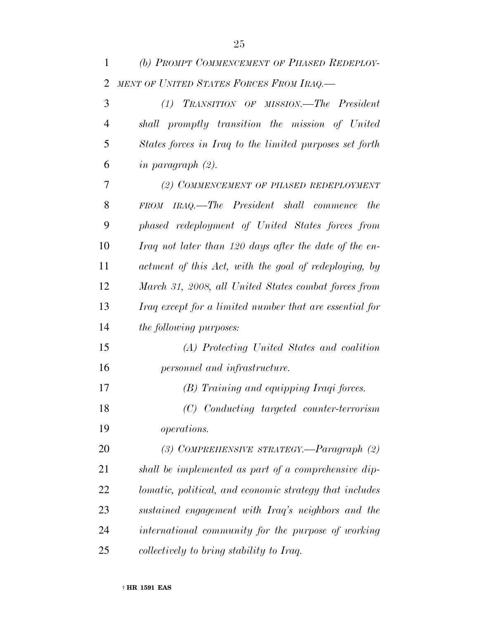| 1              | (b) PROMPT COMMENCEMENT OF PHASED REDEPLOY-             |
|----------------|---------------------------------------------------------|
| $\overline{2}$ | MENT OF UNITED STATES FORCES FROM IRAQ.-                |
| 3              | (1) TRANSITION OF MISSION.—The President                |
| $\overline{4}$ | shall promptly transition the mission of United         |
| 5              | States forces in Iraq to the limited purposes set forth |
| 6              | in paragraph $(2)$ .                                    |
| 7              | (2) COMMENCEMENT OF PHASED REDEPLOYMENT                 |
| 8              | FROM IRAQ.—The President shall commence<br>the          |
| 9              | phased redeployment of United States forces from        |
| 10             | Iraq not later than 120 days after the date of the en-  |
| 11             | actment of this Act, with the goal of redeploying, by   |
| 12             | March 31, 2008, all United States combat forces from    |
| 13             | Iraq except for a limited number that are essential for |
| 14             | <i>the following purposes:</i>                          |
| 15             | (A) Protecting United States and coalition              |
| 16             | personnel and infrastructure.                           |
| 17             | (B) Training and equipping Iraqi forces.                |
| 18             | (C) Conducting targeted counter-terrorism               |
| 19             | <i>operations.</i>                                      |
| 20             | (3) COMPREHENSIVE STRATEGY.—Paragraph (2)               |
| 21             | shall be implemented as part of a comprehensive dip-    |
| 22             | lomatic, political, and economic strategy that includes |
| 23             | sustained engagement with Iraq's neighbors and the      |
| 24             | international community for the purpose of working      |
| 25             | collectively to bring stability to Iraq.                |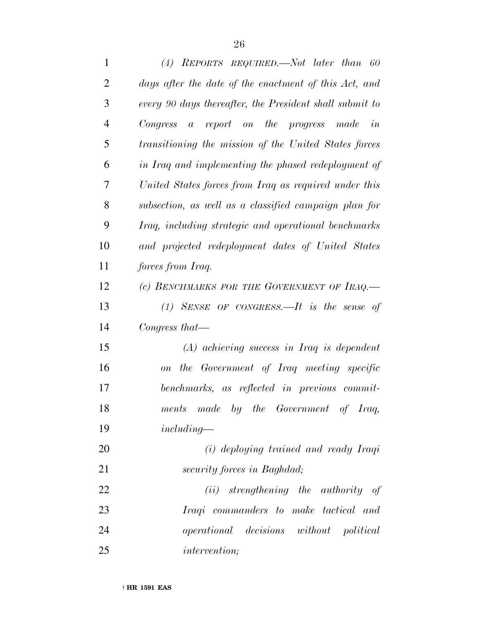| $\mathbf{1}$   | (4) REPORTS REQUIRED.—Not later than 60                 |
|----------------|---------------------------------------------------------|
| $\overline{2}$ | days after the date of the enactment of this Act, and   |
| 3              | every 90 days thereafter, the President shall submit to |
| $\overline{4}$ | Congress<br>a report on the progress made in            |
| 5              | transitioning the mission of the United States forces   |
| 6              | in Iraq and implementing the phased redeployment of     |
| 7              | United States forces from Iraq as required under this   |
| 8              | subsection, as well as a classified campaign plan for   |
| 9              | Iraq, including strategic and operational benchmarks    |
| 10             | and projected redeployment dates of United States       |
| 11             | <i>forces from Iraq.</i>                                |
| 12             | (c) BENCHMARKS FOR THE GOVERNMENT OF IRAQ.              |
| 13             | $(1)$ SENSE OF CONGRESS. It is the sense of             |
| 14             | Congress that—                                          |
| 15             | $(A)$ achieving success in Iraq is dependent            |
| 16             | on the Government of Iraq meeting specific              |
| 17             | benchmarks, as reflected in previous commit-            |
| 18             | ments made by the Government of Iraq,                   |
| 19             | $including-$                                            |
| 20             | (i) deploying trained and ready Iraqi                   |
| 21             | security forces in Baghdad;                             |
| 22             | strengthening the authority<br>(ii)<br>of               |

 *Iraqi commanders to make tactical and operational decisions without political intervention;*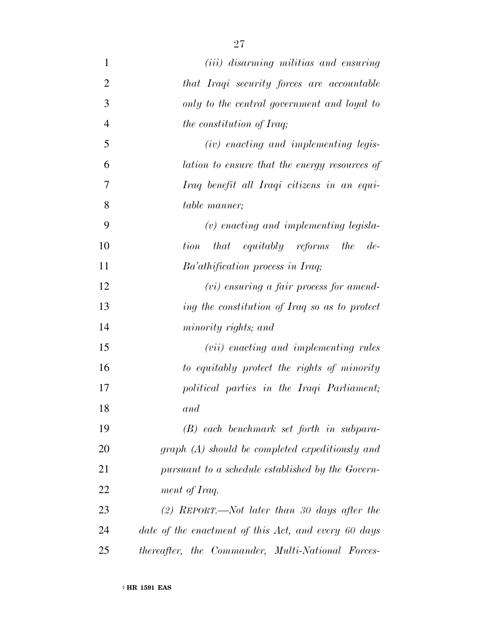| $\mathbf{1}$   | ( <i>iii</i> ) disarming militias and ensuring       |
|----------------|------------------------------------------------------|
| $\overline{2}$ | that Iraqi security forces are accountable           |
| 3              | only to the central government and loyal to          |
| $\overline{4}$ | <i>the constitution of Iraq;</i>                     |
| 5              | (iv) enacting and implementing legis-                |
| 6              | lation to ensure that the energy resources of        |
| 7              | Iraq benefit all Iraqi citizens in an equi-          |
| 8              | table manner;                                        |
| 9              | $(v)$ enacting and implementing legisla-             |
| 10             | that equitably reforms the de-<br>tion               |
| 11             | Ba'athification process in Iraq;                     |
| 12             | $(vi)$ ensuring a fair process for amend-            |
| 13             | ing the constitution of Iraq so as to protect        |
| 14             | minority rights; and                                 |
| 15             | ( <i>vii</i> ) enacting and implementing rules       |
| 16             | to equitably protect the rights of minority          |
| 17             | political parties in the Iraqi Parliament;           |
| 18             | and                                                  |
| 19             | $(B)$ each benchmark set forth in subpara-           |
| 20             | $graph(A)$ should be completed expeditionsly and     |
| 21             | pursuant to a schedule established by the Govern-    |
| 22             | ment of Iraq.                                        |
| 23             | $(2)$ REPORT.—Not later than 30 days after the       |
| 24             | date of the enactment of this Act, and every 60 days |
| 25             | thereafter, the Commander, Multi-National Forces-    |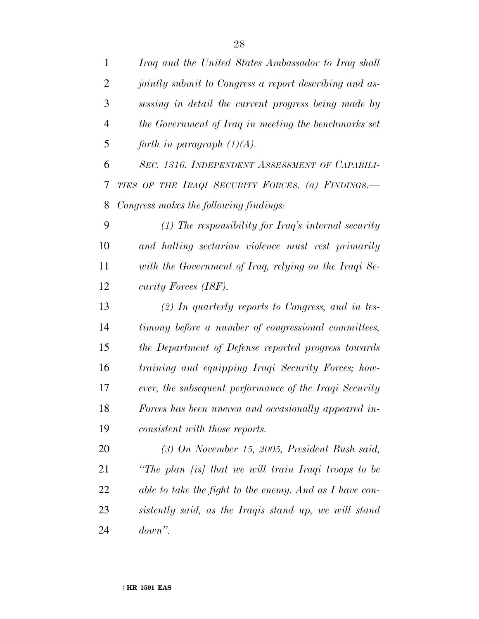| $\mathbf{1}$   | Iraq and the United States Ambassador to Iraq shall     |
|----------------|---------------------------------------------------------|
| $\overline{2}$ | jointly submit to Congress a report describing and as-  |
| 3              | sessing in detail the current progress being made by    |
| $\overline{4}$ | the Government of Iraq in meeting the benchmarks set    |
| 5              | forth in paragraph $(1)(A)$ .                           |
| 6              | SEC. 1316. INDEPENDENT ASSESSMENT OF CAPABILI-          |
| 7              | TIES OF THE IRAQI SECURITY FORCES. (a) FINDINGS.        |
| 8              | Congress makes the following findings:                  |
| 9              | $(1)$ The responsibility for Iraq's internal security   |
| 10             | and halting sectarian violence must rest primarily      |
| 11             | with the Government of Iraq, relying on the Iraqi Se-   |
| 12             | curity Forces (ISF).                                    |
| 13             | $(2)$ In quarterly reports to Congress, and in tes-     |
| 14             | timony before a number of congressional committees,     |
| 15             | the Department of Defense reported progress towards     |
| 16             | training and equipping Iraqi Security Forces; how-      |
| 17             | ever, the subsequent performance of the Iraqi Security  |
| 18             | Forces has been uneven and occasionally appeared in-    |
| 19             | consistent with those reports.                          |
| 20             | $(3)$ On November 15, 2005, President Bush said,        |
| 21             | "The plan [is] that we will train Iraqi troops to be    |
| 22             | able to take the fight to the enemy. And as I have con- |
| 23             | sistently said, as the Iraqis stand up, we will stand   |
| 24             | $down$ ".                                               |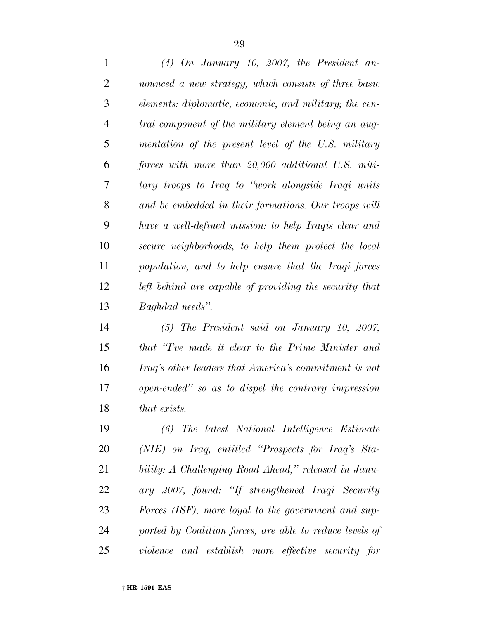*(4) On January 10, 2007, the President an- nounced a new strategy, which consists of three basic elements: diplomatic, economic, and military; the cen- tral component of the military element being an aug- mentation of the present level of the U.S. military forces with more than 20,000 additional U.S. mili- tary troops to Iraq to ''work alongside Iraqi units and be embedded in their formations. Our troops will have a well-defined mission: to help Iraqis clear and secure neighborhoods, to help them protect the local population, and to help ensure that the Iraqi forces left behind are capable of providing the security that Baghdad needs''.*

 *(5) The President said on January 10, 2007, that ''I've made it clear to the Prime Minister and Iraq's other leaders that America's commitment is not open-ended'' so as to dispel the contrary impression that exists.*

 *(6) The latest National Intelligence Estimate (NIE) on Iraq, entitled ''Prospects for Iraq's Sta- bility: A Challenging Road Ahead,'' released in Janu- ary 2007, found: ''If strengthened Iraqi Security Forces (ISF), more loyal to the government and sup- ported by Coalition forces, are able to reduce levels of violence and establish more effective security for*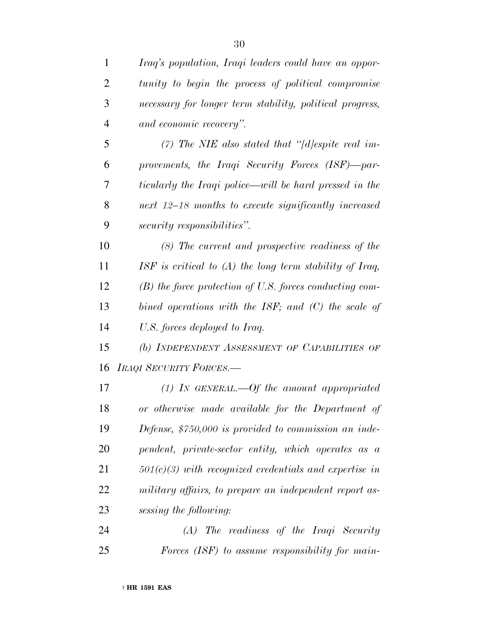| 1              | Iraq's population, Iraqi leaders could have an oppor-     |
|----------------|-----------------------------------------------------------|
| $\overline{2}$ | tunity to begin the process of political compromise       |
| 3              | necessary for longer term stability, political progress,  |
| $\overline{4}$ | and economic recovery".                                   |
| 5              | (7) The NIE also stated that "[d]espite real im-          |
| 6              | provements, the Iraqi Security Forces (ISF)-par-          |
| 7              | ticularly the Iraqi police—will be hard pressed in the    |
| 8              | next 12–18 months to execute significantly increased      |
| 9              | security responsibilities".                               |
| 10             | $(8)$ The current and prospective readiness of the        |
| 11             | ISF is critical to $(A)$ the long term stability of Iraq, |
| 12             | $(B)$ the force protection of U.S. forces conducting com- |
| 13             | bined operations with the ISF; and $(C)$ the scale of     |
| 14             | U.S. forces deployed to Iraq.                             |
| 15             | (b) INDEPENDENT ASSESSMENT OF CAPABILITIES OF             |
| 16             | <b>IRAQI SECURITY FORCES.—</b>                            |
| 17             | (1) In GENERAL.—Of the amount appropriated                |
| 18             | or otherwise made available for the Department of         |
| 19             | Defense, $$750,000$ is provided to commission an inde-    |
| 20             | pendent, private-sector entity, which operates as a       |
| 21             | $501(c)(3)$ with recognized credentials and expertise in  |
| 22             | military affairs, to prepare an independent report as-    |
| 23             | sessing the following:                                    |
| 24             | $(A)$ The readiness of the Iraqi Security                 |

*Forces (ISF) to assume responsibility for main-*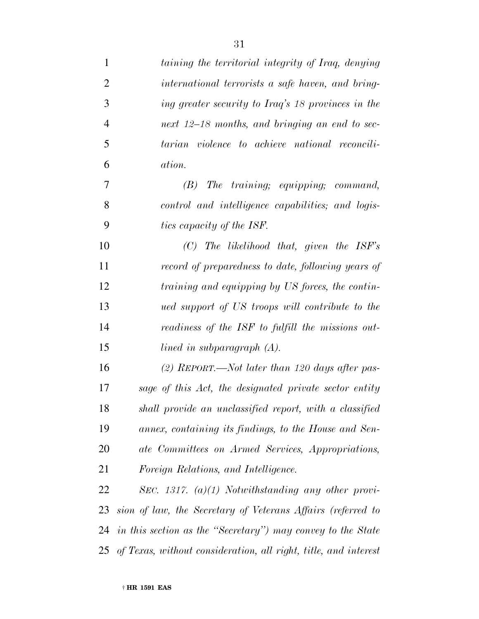| $\mathbf{1}$   | taining the territorial integrity of Iraq, denying              |
|----------------|-----------------------------------------------------------------|
| $\overline{2}$ | international terrorists a safe haven, and bring-               |
| 3              | ing greater security to Iraq's 18 provinces in the              |
| $\overline{4}$ | next 12–18 months, and bringing an end to sec-                  |
| 5              | tarian violence to achieve national reconcili-                  |
| 6              | ation.                                                          |
| 7              | $(B)$ The training; equipping; command,                         |
| 8              | control and intelligence capabilities; and logis-               |
| 9              | tics capacity of the ISF.                                       |
| 10             | $(C)$ The likelihood that, given the ISF's                      |
| 11             | record of preparedness to date, following years of              |
| 12             | training and equipping by US forces, the contin-                |
| 13             | ued support of US troops will contribute to the                 |
| 14             | readiness of the ISF to fulfill the missions out-               |
| 15             | lined in subparagraph $(A)$ .                                   |
| 16             | (2) REPORT.—Not later than 120 days after pas-                  |
| 17             | sage of this Act, the designated private sector entity          |
| 18             | shall provide an unclassified report, with a classified         |
| 19             | annex, containing its findings, to the House and Sen-           |
| 20             | ate Committees on Armed Services, Appropriations,               |
| 21             | Foreign Relations, and Intelligence.                            |
| 22             | SEC. 1317. $(a)(1)$ Notwithstanding any other provi-            |
| 23             | sion of law, the Secretary of Veterans Affairs (referred to     |
| 24             | in this section as the "Secretary") may convey to the State     |
| 25             | of Texas, without consideration, all right, title, and interest |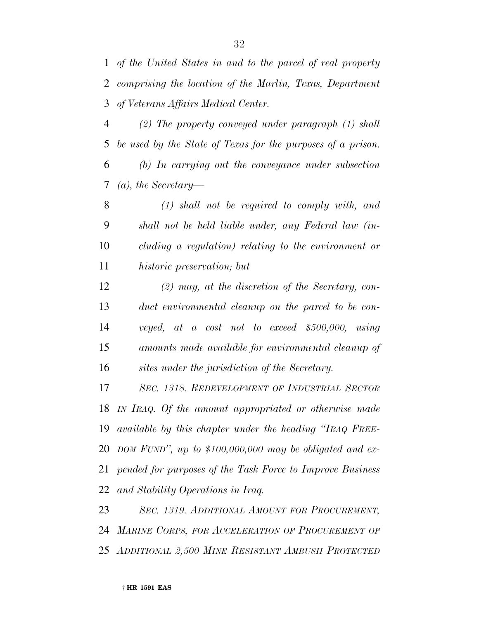*of the United States in and to the parcel of real property comprising the location of the Marlin, Texas, Department of Veterans Affairs Medical Center.*

 *(2) The property conveyed under paragraph (1) shall be used by the State of Texas for the purposes of a prison. (b) In carrying out the conveyance under subsection*

*(a), the Secretary—*

 *(1) shall not be required to comply with, and shall not be held liable under, any Federal law (in- cluding a regulation) relating to the environment or historic preservation; but*

 *(2) may, at the discretion of the Secretary, con- duct environmental cleanup on the parcel to be con- veyed, at a cost not to exceed \$500,000, using amounts made available for environmental cleanup of sites under the jurisdiction of the Secretary.*

 *SEC. 1318. REDEVELOPMENT OF INDUSTRIAL SECTOR IN IRAQ. Of the amount appropriated or otherwise made available by this chapter under the heading ''IRAQ FREE- DOM FUND'', up to \$100,000,000 may be obligated and ex- pended for purposes of the Task Force to Improve Business and Stability Operations in Iraq.*

 *SEC. 1319. ADDITIONAL AMOUNT FOR PROCUREMENT, MARINE CORPS, FOR ACCELERATION OF PROCUREMENT OF ADDITIONAL 2,500 MINE RESISTANT AMBUSH PROTECTED*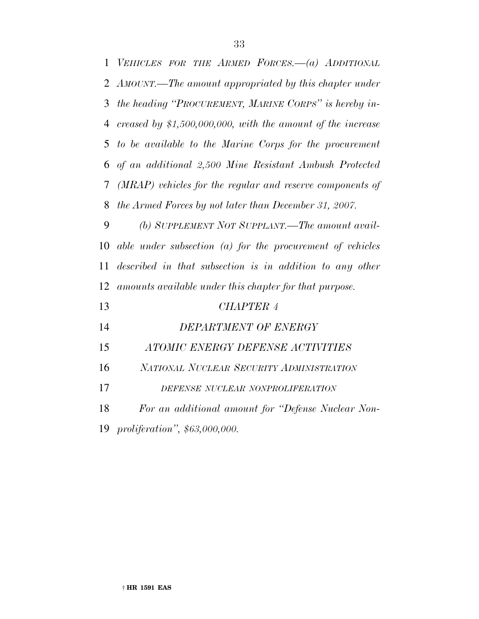| $\mathbf{1}$ | VEHICLES FOR THE ARMED FORCES.-(a) ADDITIONAL                 |
|--------------|---------------------------------------------------------------|
| 2            | AMOUNT.—The amount appropriated by this chapter under         |
| 3            | the heading "PROCUREMENT, MARINE CORPS" is hereby in-         |
| 4            | creased by $$1,500,000,000$ , with the amount of the increase |
| 5            | to be available to the Marine Corps for the procurement       |
| 6            | of an additional 2,500 Mine Resistant Ambush Protected        |
| 7            | (MRAP) vehicles for the regular and reserve components of     |
| 8            | the Armed Forces by not later than December 31, 2007.         |
| 9            | (b) SUPPLEMENT NOT SUPPLANT.—The amount avail-                |
| 10           | able under subsection $(a)$ for the procurement of vehicles   |
| 11           | described in that subsection is in addition to any other      |
| 12           | amounts available under this chapter for that purpose.        |
| 13           | <b>CHAPTER 4</b>                                              |
| 14           | DEPARTMENT OF ENERGY                                          |
| 15           | ATOMIC ENERGY DEFENSE ACTIVITIES                              |
| 16           | NATIONAL NUCLEAR SECURITY ADMINISTRATION                      |
| 17           | DEFENSE NUCLEAR NONPROLIFERATION                              |
| 18           | For an additional amount for "Defense Nuclear Non-            |
| 19           | proliferation", \$63,000,000.                                 |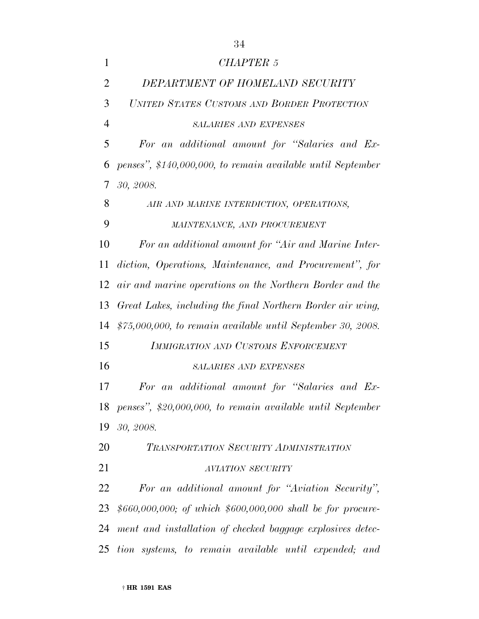| 1              | <b>CHAPTER 5</b>                                              |
|----------------|---------------------------------------------------------------|
|                |                                                               |
| $\overline{2}$ | DEPARTMENT OF HOMELAND SECURITY                               |
| 3              | UNITED STATES CUSTOMS AND BORDER PROTECTION                   |
| $\overline{4}$ | <b>SALARIES AND EXPENSES</b>                                  |
| 5              | For an additional amount for "Salaries and Ex-                |
| 6              | penses", \$140,000,000, to remain available until September   |
| 7              | 30, 2008.                                                     |
| 8              | AIR AND MARINE INTERDICTION, OPERATIONS,                      |
| 9              | MAINTENANCE, AND PROCUREMENT                                  |
| 10             | For an additional amount for "Air and Marine Inter-           |
| 11             | diction, Operations, Maintenance, and Procurement", for       |
| 12             | air and marine operations on the Northern Border and the      |
| 13             | Great Lakes, including the final Northern Border air wing,    |
| 14             | $$75,000,000,$ to remain available until September 30, 2008.  |
| 15             | <b>IMMIGRATION AND CUSTOMS ENFORCEMENT</b>                    |
| 16             | <b>SALARIES AND EXPENSES</b>                                  |
| 17             | For an additional amount for "Salaries and Ex-                |
|                | 18 penses", \$20,000,000, to remain available until September |
| 19             | 30, 2008.                                                     |
| 20             | TRANSPORTATION SECURITY ADMINISTRATION                        |
| 21             | <b>AVIATION SECURITY</b>                                      |
| 22             | For an additional amount for "Aviation Security",             |
| 23             | $$660,000,000;$ of which $$600,000,000$ shall be for procure- |
| 24             | ment and installation of checked baggage explosives detec-    |
| 25             | tion systems, to remain available until expended; and         |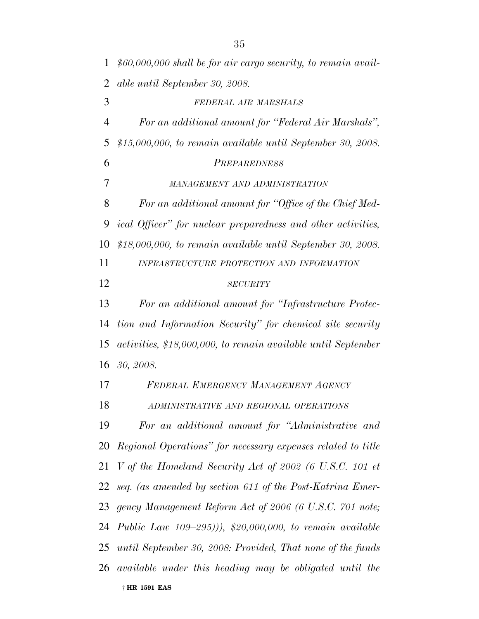| $\mathbf{1}$   | $$60,000,000$ shall be for air cargo security, to remain avail- |
|----------------|-----------------------------------------------------------------|
| $\overline{2}$ | able until September 30, 2008.                                  |
| 3              | FEDERAL AIR MARSHALS                                            |
| $\overline{4}$ | For an additional amount for "Federal Air Marshals",            |
| 5              | $$15,000,000,$ to remain available until September 30, 2008.    |
| 6              | PREPAREDNESS                                                    |
| 7              | MANAGEMENT AND ADMINISTRATION                                   |
| 8              | For an additional amount for "Office of the Chief Med-          |
| 9              | ical Officer" for nuclear preparedness and other activities,    |
| 10             | $$18,000,000,$ to remain available until September 30, 2008.    |
| 11             | INFRASTRUCTURE PROTECTION AND INFORMATION                       |
| 12             | <b>SECURITY</b>                                                 |
| 13             | For an additional amount for "Infrastructure Protec-            |
| 14             | tion and Information Security" for chemical site security       |
| 15             | activities, \$18,000,000, to remain available until September   |
| 16             | 30, 2008.                                                       |
| 17             | FEDERAL EMERGENCY MANAGEMENT AGENCY                             |
| 18             | ADMINISTRATIVE AND REGIONAL OPERATIONS                          |
| 19             | For an additional amount for "Administrative and                |
|                | 20 Regional Operations" for necessary expenses related to title |
| 21             | V of the Homeland Security Act of 2002 (6 U.S.C. 101 et         |
|                | 22 seq. (as amended by section 611 of the Post-Katrina Emer-    |
|                | 23 gency Management Reform Act of 2006 (6 U.S.C. 701 note;      |
|                | 24 Public Law 109–295))), \$20,000,000, to remain available     |
|                | 25 until September 30, 2008: Provided, That none of the funds   |
|                | 26 available under this heading may be obligated until the      |
|                | † HR 1591 EAS                                                   |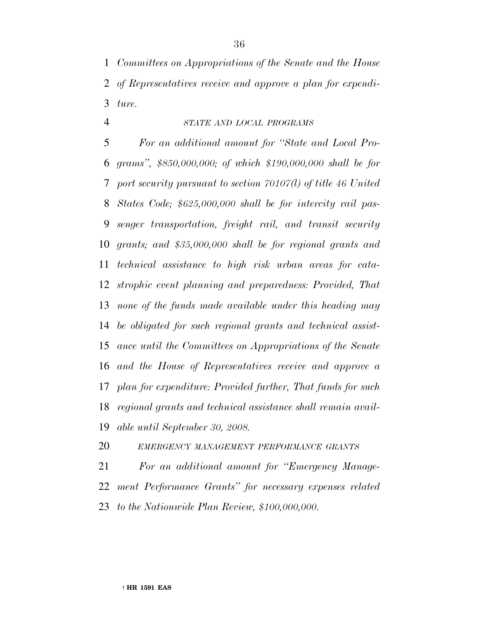*Committees on Appropriations of the Senate and the House of Representatives receive and approve a plan for expendi-ture.*

*STATE AND LOCAL PROGRAMS*

 *For an additional amount for ''State and Local Pro- grams'', \$850,000,000; of which \$190,000,000 shall be for port security pursuant to section 70107(l) of title 46 United States Code; \$625,000,000 shall be for intercity rail pas- senger transportation, freight rail, and transit security grants; and \$35,000,000 shall be for regional grants and technical assistance to high risk urban areas for cata- strophic event planning and preparedness: Provided, That none of the funds made available under this heading may be obligated for such regional grants and technical assist- ance until the Committees on Appropriations of the Senate and the House of Representatives receive and approve a plan for expenditure: Provided further, That funds for such regional grants and technical assistance shall remain avail-able until September 30, 2008.*

*EMERGENCY MANAGEMENT PERFORMANCE GRANTS*

 *For an additional amount for ''Emergency Manage- ment Performance Grants'' for necessary expenses related to the Nationwide Plan Review, \$100,000,000.*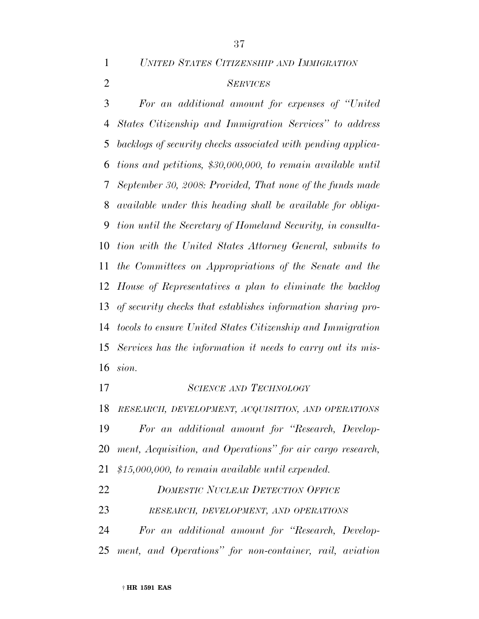*UNITED STATES CITIZENSHIP AND IMMIGRATION*

## *SERVICES*

 *For an additional amount for expenses of ''United States Citizenship and Immigration Services'' to address backlogs of security checks associated with pending applica- tions and petitions, \$30,000,000, to remain available until September 30, 2008: Provided, That none of the funds made available under this heading shall be available for obliga- tion until the Secretary of Homeland Security, in consulta- tion with the United States Attorney General, submits to the Committees on Appropriations of the Senate and the House of Representatives a plan to eliminate the backlog of security checks that establishes information sharing pro- tocols to ensure United States Citizenship and Immigration Services has the information it needs to carry out its mis-sion.*

*SCIENCE AND TECHNOLOGY*

*RESEARCH, DEVELOPMENT, ACQUISITION, AND OPERATIONS*

 *For an additional amount for ''Research, Develop- ment, Acquisition, and Operations'' for air cargo research, \$15,000,000, to remain available until expended.*

- *DOMESTIC NUCLEAR DETECTION OFFICE*
- *RESEARCH, DEVELOPMENT, AND OPERATIONS*

 *For an additional amount for ''Research, Develop-ment, and Operations'' for non-container, rail, aviation*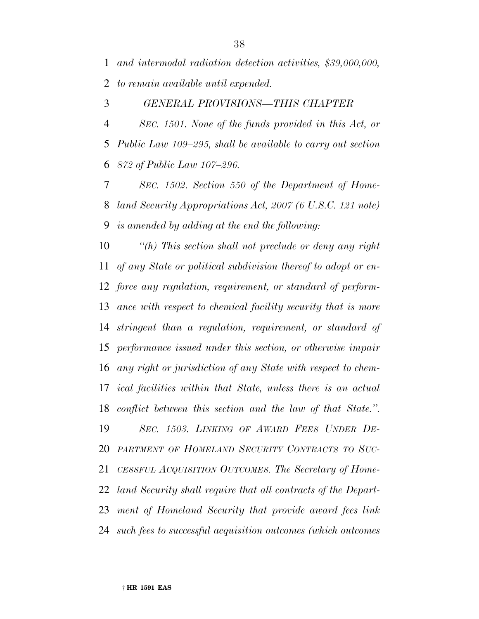*and intermodal radiation detection activities, \$39,000,000, to remain available until expended.*

#### *GENERAL PROVISIONS—THIS CHAPTER*

 *SEC. 1501. None of the funds provided in this Act, or Public Law 109–295, shall be available to carry out section 872 of Public Law 107–296.*

 *SEC. 1502. Section 550 of the Department of Home- land Security Appropriations Act, 2007 (6 U.S.C. 121 note) is amended by adding at the end the following:*

 *''(h) This section shall not preclude or deny any right of any State or political subdivision thereof to adopt or en- force any regulation, requirement, or standard of perform- ance with respect to chemical facility security that is more stringent than a regulation, requirement, or standard of performance issued under this section, or otherwise impair any right or jurisdiction of any State with respect to chem- ical facilities within that State, unless there is an actual conflict between this section and the law of that State.''. SEC. 1503. LINKING OF AWARD FEES UNDER DE- PARTMENT OF HOMELAND SECURITY CONTRACTS TO SUC- CESSFUL ACQUISITION OUTCOMES. The Secretary of Home- land Security shall require that all contracts of the Depart- ment of Homeland Security that provide award fees link such fees to successful acquisition outcomes (which outcomes*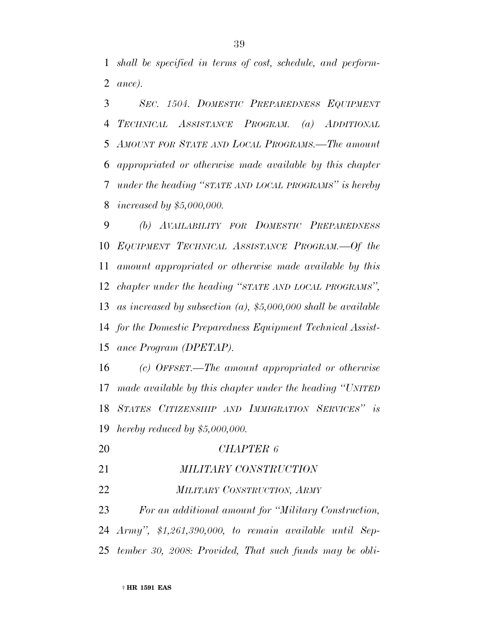*shall be specified in terms of cost, schedule, and perform-ance).*

 *SEC. 1504. DOMESTIC PREPAREDNESS EQUIPMENT TECHNICAL ASSISTANCE PROGRAM. (a) ADDITIONAL AMOUNT FOR STATE AND LOCAL PROGRAMS.—The amount appropriated or otherwise made available by this chapter under the heading ''STATE AND LOCAL PROGRAMS'' is hereby increased by \$5,000,000.*

 *(b) AVAILABILITY FOR DOMESTIC PREPAREDNESS EQUIPMENT TECHNICAL ASSISTANCE PROGRAM.—Of the amount appropriated or otherwise made available by this chapter under the heading ''STATE AND LOCAL PROGRAMS'', as increased by subsection (a), \$5,000,000 shall be available for the Domestic Preparedness Equipment Technical Assist-ance Program (DPETAP).*

 *(c) OFFSET.—The amount appropriated or otherwise made available by this chapter under the heading ''UNITED STATES CITIZENSHIP AND IMMIGRATION SERVICES'' is hereby reduced by \$5,000,000.*

- *CHAPTER 6*
- *MILITARY CONSTRUCTION*
- *MILITARY CONSTRUCTION, ARMY*

 *For an additional amount for ''Military Construction, Army'', \$1,261,390,000, to remain available until Sep-tember 30, 2008: Provided, That such funds may be obli-*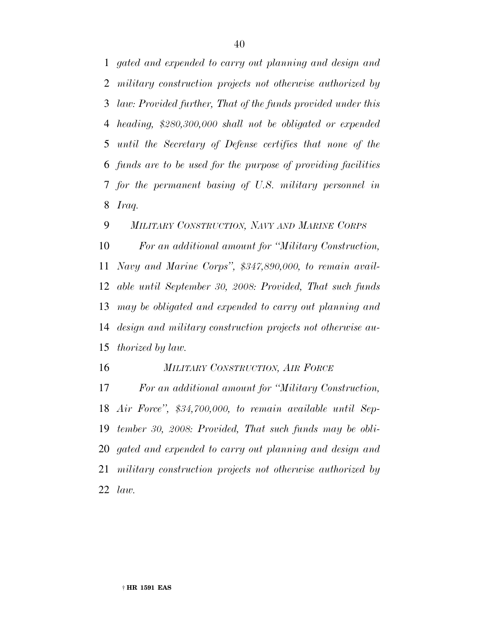*gated and expended to carry out planning and design and military construction projects not otherwise authorized by law: Provided further, That of the funds provided under this heading, \$280,300,000 shall not be obligated or expended until the Secretary of Defense certifies that none of the funds are to be used for the purpose of providing facilities for the permanent basing of U.S. military personnel in Iraq.*

*MILITARY CONSTRUCTION, NAVY AND MARINE CORPS*

 *For an additional amount for ''Military Construction, Navy and Marine Corps'', \$347,890,000, to remain avail- able until September 30, 2008: Provided, That such funds may be obligated and expended to carry out planning and design and military construction projects not otherwise au-thorized by law.*

*MILITARY CONSTRUCTION, AIR FORCE*

 *For an additional amount for ''Military Construction, Air Force'', \$34,700,000, to remain available until Sep- tember 30, 2008: Provided, That such funds may be obli- gated and expended to carry out planning and design and military construction projects not otherwise authorized by law.*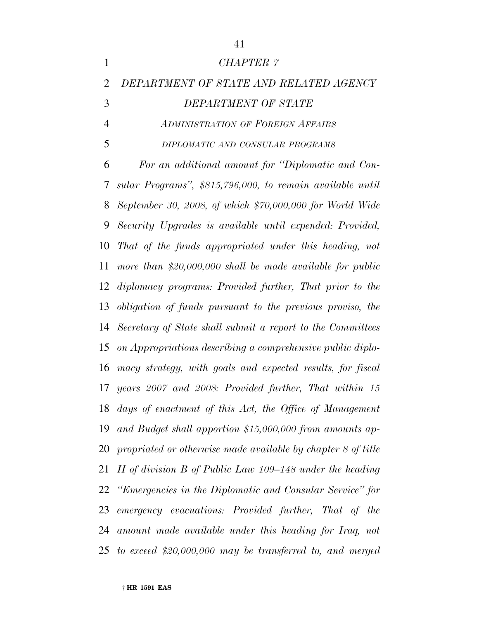| $\mathbf{1}$   | <b>CHAPTER 7</b>                                             |
|----------------|--------------------------------------------------------------|
| $\overline{2}$ | DEPARTMENT OF STATE AND RELATED AGENCY                       |
| 3              | DEPARTMENT OF STATE                                          |
| 4              | <b>ADMINISTRATION OF FOREIGN AFFAIRS</b>                     |
| 5              | DIPLOMATIC AND CONSULAR PROGRAMS                             |
| 6              | For an additional amount for "Diplomatic and Con-            |
| 7              | sular Programs", \$815,796,000, to remain available until    |
| 8              | September 30, 2008, of which \$70,000,000 for World Wide     |
| 9              | Security Upgrades is available until expended: Provided,     |
| 10             | That of the funds appropriated under this heading, not       |
| 11             | more than $$20,000,000$ shall be made available for public   |
| 12             | diplomacy programs: Provided further, That prior to the      |
| 13             | obligation of funds pursuant to the previous proviso, the    |
| 14             | Secretary of State shall submit a report to the Committees   |
| 15             | on Appropriations describing a comprehensive public diplo-   |
| 16             | macy strategy, with goals and expected results, for fiscal   |
| 17             | years 2007 and 2008: Provided further, That within 15        |
|                | 18 days of enactment of this Act, the Office of Management   |
| 19             | and Budget shall apportion \$15,000,000 from amounts ap-     |
| 20             | propriated or otherwise made available by chapter 8 of title |
| 21             | II of division B of Public Law $109-148$ under the heading   |
|                | 22 "Emergencies in the Diplomatic and Consular Service" for  |
| 23             | emergency evacuations: Provided further, That of the         |
| 24             | amount made available under this heading for Iraq, not       |
|                | 25 to exceed \$20,000,000 may be transferred to, and merged  |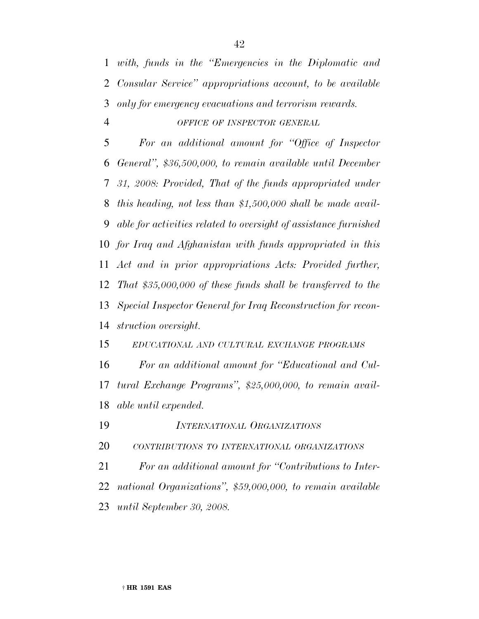*with, funds in the ''Emergencies in the Diplomatic and Consular Service'' appropriations account, to be available only for emergency evacuations and terrorism rewards.*

#### *OFFICE OF INSPECTOR GENERAL*

 *For an additional amount for ''Office of Inspector General'', \$36,500,000, to remain available until December 31, 2008: Provided, That of the funds appropriated under this heading, not less than \$1,500,000 shall be made avail- able for activities related to oversight of assistance furnished for Iraq and Afghanistan with funds appropriated in this Act and in prior appropriations Acts: Provided further, That \$35,000,000 of these funds shall be transferred to the Special Inspector General for Iraq Reconstruction for recon-struction oversight.*

*EDUCATIONAL AND CULTURAL EXCHANGE PROGRAMS*

 *For an additional amount for ''Educational and Cul- tural Exchange Programs'', \$25,000,000, to remain avail-able until expended.*

*INTERNATIONAL ORGANIZATIONS*

*CONTRIBUTIONS TO INTERNATIONAL ORGANIZATIONS*

 *For an additional amount for ''Contributions to Inter- national Organizations'', \$59,000,000, to remain available until September 30, 2008.*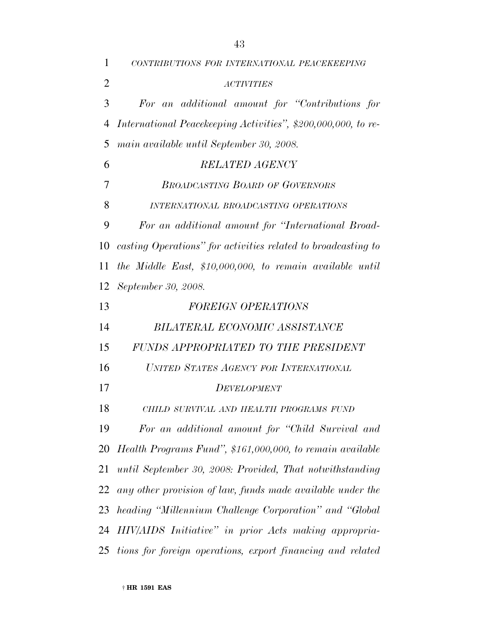| 1              | CONTRIBUTIONS FOR INTERNATIONAL PEACEKEEPING                  |
|----------------|---------------------------------------------------------------|
| $\overline{2}$ | <b>ACTIVITIES</b>                                             |
| 3              | For an additional amount for "Contributions for               |
| $\overline{4}$ | International Peacekeeping Activities", \$200,000,000, to re- |
| 5              | main available until September 30, 2008.                      |
| 6              | <b>RELATED AGENCY</b>                                         |
| 7              | <b>BROADCASTING BOARD OF GOVERNORS</b>                        |
| 8              | INTERNATIONAL BROADCASTING OPERATIONS                         |
| 9              | For an additional amount for "International Broad-            |
| 10             | casting Operations" for activities related to broadcasting to |
| 11             | the Middle East, \$10,000,000, to remain available until      |
| 12             | September 30, 2008.                                           |
| 13             | FOREIGN OPERATIONS                                            |
| 14             | BILATERAL ECONOMIC ASSISTANCE                                 |
| 15             | FUNDS APPROPRIATED TO THE PRESIDENT                           |
| 16             | UNITED STATES AGENCY FOR INTERNATIONAL                        |
| 17             | <i>DEVELOPMENT</i>                                            |
| 18             | CHILD SURVIVAL AND HEALTH PROGRAMS FUND                       |
| 19             | For an additional amount for "Child Survival and              |
| 20             | Health Programs Fund", \$161,000,000, to remain available     |
| 21             | until September 30, 2008: Provided, That notwithstanding      |
| 22             | any other provision of law, funds made available under the    |
| 23             | heading "Millennium Challenge Corporation" and "Global        |
|                | 24 HIV/AIDS Initiative" in prior Acts making appropria-       |
| 25             | tions for foreign operations, export financing and related    |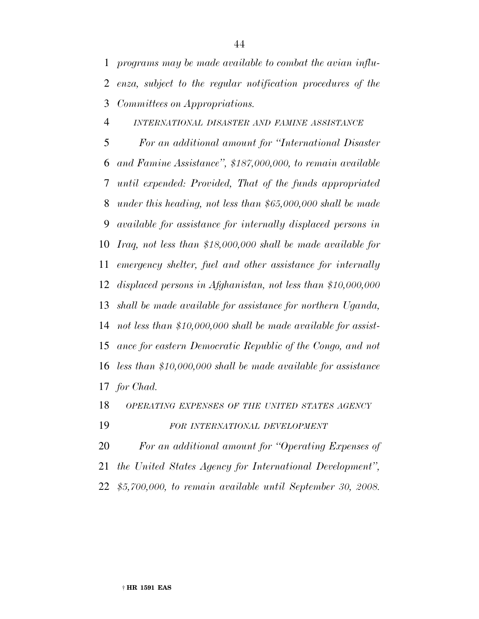*INTERNATIONAL DISASTER AND FAMINE ASSISTANCE*

 *For an additional amount for ''International Disaster and Famine Assistance'', \$187,000,000, to remain available until expended: Provided, That of the funds appropriated under this heading, not less than \$65,000,000 shall be made available for assistance for internally displaced persons in Iraq, not less than \$18,000,000 shall be made available for emergency shelter, fuel and other assistance for internally displaced persons in Afghanistan, not less than \$10,000,000 shall be made available for assistance for northern Uganda, not less than \$10,000,000 shall be made available for assist- ance for eastern Democratic Republic of the Congo, and not less than \$10,000,000 shall be made available for assistance for Chad.*

#### *OPERATING EXPENSES OF THE UNITED STATES AGENCY*

*FOR INTERNATIONAL DEVELOPMENT*

*For an additional amount for ''Operating Expenses of*

*the United States Agency for International Development'',*

*\$5,700,000, to remain available until September 30, 2008.*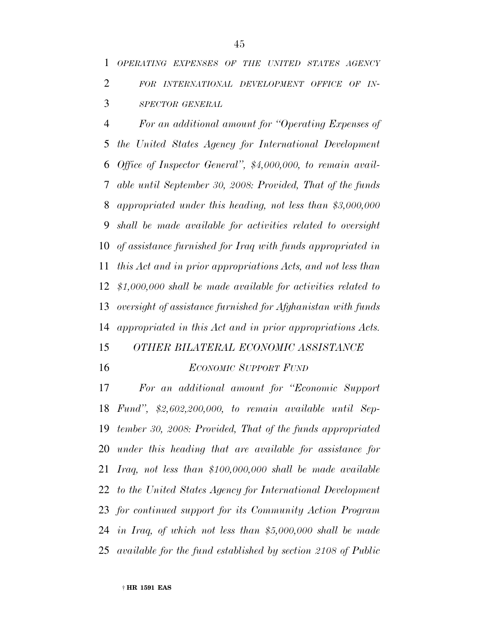*For an additional amount for ''Operating Expenses of the United States Agency for International Development Office of Inspector General'', \$4,000,000, to remain avail- able until September 30, 2008: Provided, That of the funds appropriated under this heading, not less than \$3,000,000 shall be made available for activities related to oversight of assistance furnished for Iraq with funds appropriated in this Act and in prior appropriations Acts, and not less than \$1,000,000 shall be made available for activities related to oversight of assistance furnished for Afghanistan with funds appropriated in this Act and in prior appropriations Acts.*

- *OTHER BILATERAL ECONOMIC ASSISTANCE*
- 

#### *ECONOMIC SUPPORT FUND*

 *For an additional amount for ''Economic Support Fund'', \$2,602,200,000, to remain available until Sep- tember 30, 2008: Provided, That of the funds appropriated under this heading that are available for assistance for Iraq, not less than \$100,000,000 shall be made available to the United States Agency for International Development for continued support for its Community Action Program in Iraq, of which not less than \$5,000,000 shall be made available for the fund established by section 2108 of Public*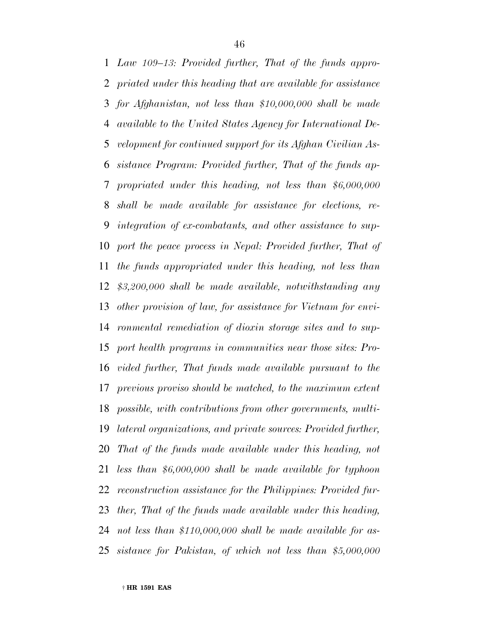*Law 109–13: Provided further, That of the funds appro- priated under this heading that are available for assistance for Afghanistan, not less than \$10,000,000 shall be made available to the United States Agency for International De- velopment for continued support for its Afghan Civilian As- sistance Program: Provided further, That of the funds ap- propriated under this heading, not less than \$6,000,000 shall be made available for assistance for elections, re- integration of ex-combatants, and other assistance to sup- port the peace process in Nepal: Provided further, That of the funds appropriated under this heading, not less than \$3,200,000 shall be made available, notwithstanding any other provision of law, for assistance for Vietnam for envi- ronmental remediation of dioxin storage sites and to sup- port health programs in communities near those sites: Pro- vided further, That funds made available pursuant to the previous proviso should be matched, to the maximum extent possible, with contributions from other governments, multi- lateral organizations, and private sources: Provided further, That of the funds made available under this heading, not less than \$6,000,000 shall be made available for typhoon reconstruction assistance for the Philippines: Provided fur- ther, That of the funds made available under this heading, not less than \$110,000,000 shall be made available for as-sistance for Pakistan, of which not less than \$5,000,000*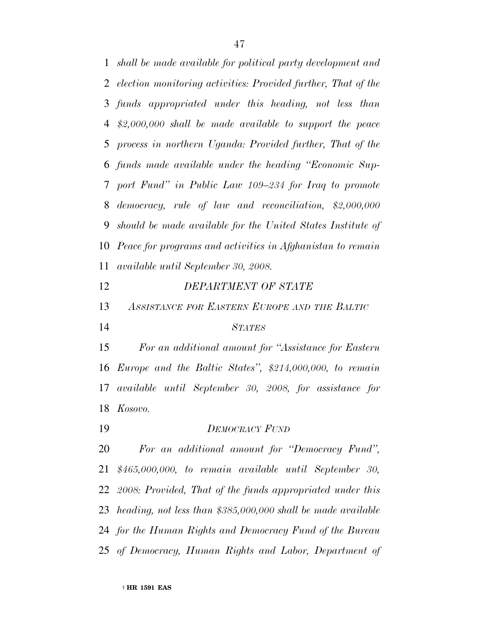*shall be made available for political party development and election monitoring activities: Provided further, That of the funds appropriated under this heading, not less than \$2,000,000 shall be made available to support the peace process in northern Uganda: Provided further, That of the funds made available under the heading ''Economic Sup- port Fund'' in Public Law 109–234 for Iraq to promote democracy, rule of law and reconciliation, \$2,000,000 should be made available for the United States Institute of Peace for programs and activities in Afghanistan to remain available until September 30, 2008.*

- *DEPARTMENT OF STATE*
- *ASSISTANCE FOR EASTERN EUROPE AND THE BALTIC*
- 

## *STATES*

 *For an additional amount for ''Assistance for Eastern Europe and the Baltic States'', \$214,000,000, to remain available until September 30, 2008, for assistance for Kosovo.*

*DEMOCRACY FUND*

 *For an additional amount for ''Democracy Fund'', \$465,000,000, to remain available until September 30, 2008: Provided, That of the funds appropriated under this heading, not less than \$385,000,000 shall be made available for the Human Rights and Democracy Fund of the Bureau of Democracy, Human Rights and Labor, Department of*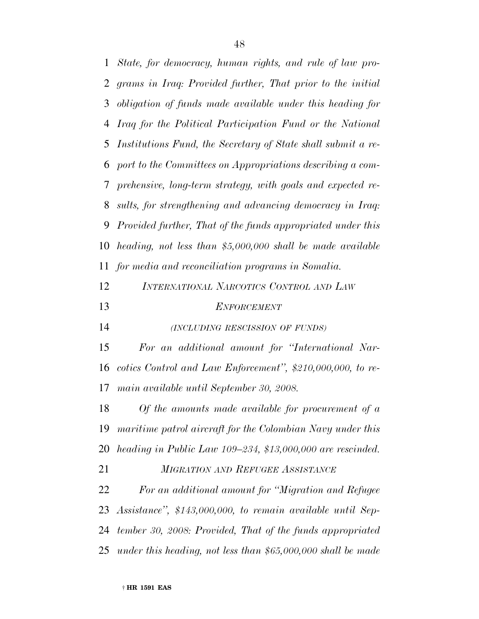*State, for democracy, human rights, and rule of law pro- grams in Iraq: Provided further, That prior to the initial obligation of funds made available under this heading for Iraq for the Political Participation Fund or the National Institutions Fund, the Secretary of State shall submit a re- port to the Committees on Appropriations describing a com- prehensive, long-term strategy, with goals and expected re- sults, for strengthening and advancing democracy in Iraq: Provided further, That of the funds appropriated under this heading, not less than \$5,000,000 shall be made available for media and reconciliation programs in Somalia. INTERNATIONAL NARCOTICS CONTROL AND LAW ENFORCEMENT (INCLUDING RESCISSION OF FUNDS) For an additional amount for ''International Nar- cotics Control and Law Enforcement'', \$210,000,000, to re- main available until September 30, 2008. Of the amounts made available for procurement of a maritime patrol aircraft for the Colombian Navy under this heading in Public Law 109–234, \$13,000,000 are rescinded. MIGRATION AND REFUGEE ASSISTANCE For an additional amount for ''Migration and Refugee Assistance'', \$143,000,000, to remain available until Sep- tember 30, 2008: Provided, That of the funds appropriated under this heading, not less than \$65,000,000 shall be made*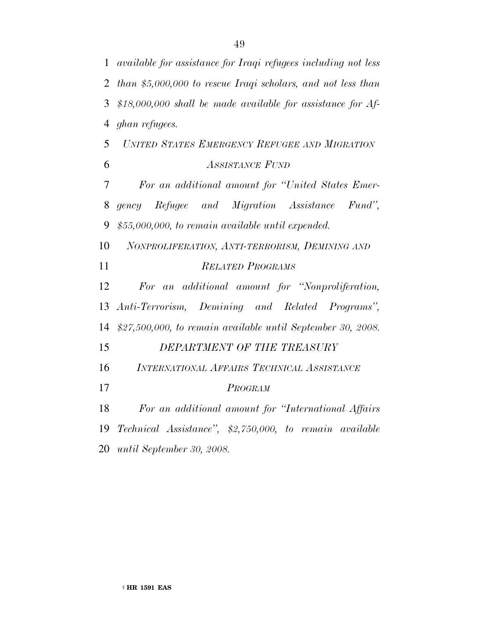*available for assistance for Iraqi refugees including not less than \$5,000,000 to rescue Iraqi scholars, and not less than \$18,000,000 shall be made available for assistance for Af- ghan refugees. UNITED STATES EMERGENCY REFUGEE AND MIGRATION ASSISTANCE FUND For an additional amount for ''United States Emer- gency Refugee and Migration Assistance Fund'', \$55,000,000, to remain available until expended. NONPROLIFERATION, ANTI-TERRORISM, DEMINING AND RELATED PROGRAMS For an additional amount for ''Nonproliferation, Anti-Terrorism, Demining and Related Programs'', \$27,500,000, to remain available until September 30, 2008. DEPARTMENT OF THE TREASURY INTERNATIONAL AFFAIRS TECHNICAL ASSISTANCE PROGRAM For an additional amount for ''International Affairs Technical Assistance'', \$2,750,000, to remain available until September 30, 2008.*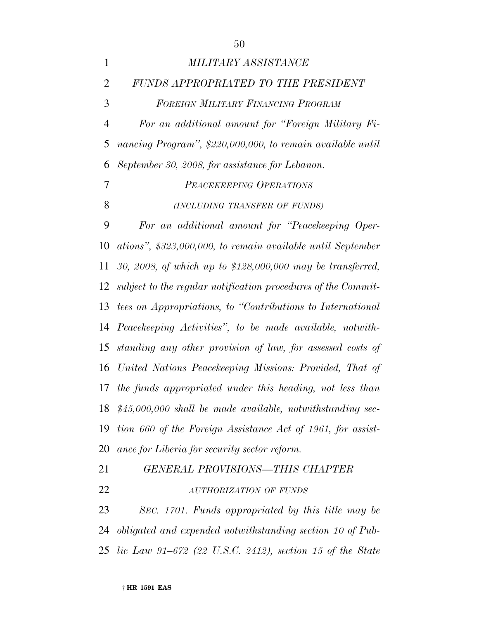| $\mathbf{1}$   | <i>MILITARY ASSISTANCE</i>                                    |
|----------------|---------------------------------------------------------------|
| $\overline{2}$ | FUNDS APPROPRIATED TO THE PRESIDENT                           |
| 3              | FOREIGN MILITARY FINANCING PROGRAM                            |
| $\overline{4}$ | For an additional amount for "Foreign Military Fi-            |
| 5              | nancing Program", \$220,000,000, to remain available until    |
| 6              | September 30, 2008, for assistance for Lebanon.               |
| 7              | PEACEKEEPING OPERATIONS                                       |
| 8              | (INCLUDING TRANSFER OF FUNDS)                                 |
| 9              | For an additional amount for "Peacekeeping Oper-              |
| 10             | ations", \$323,000,000, to remain available until September   |
| 11             | 30, 2008, of which up to \$128,000,000 may be transferred,    |
| 12             | subject to the regular notification procedures of the Commit- |
| 13             | tees on Appropriations, to "Contributions to International"   |
| 14             | Peacekeeping Activities", to be made available, notwith-      |
| 15             | standing any other provision of law, for assessed costs of    |
| 16             | United Nations Peacekeeping Missions: Provided, That of       |
| 17             | the funds appropriated under this heading, not less than      |
| 18             | $$45,000,000$ shall be made available, notwithstanding sec-   |
| 19             | tion 660 of the Foreign Assistance Act of 1961, for assist-   |
| 20             | ance for Liberia for security sector reform.                  |
| 21             | <b>GENERAL PROVISIONS-THIS CHAPTER</b>                        |
| 22             | <b>AUTHORIZATION OF FUNDS</b>                                 |
| 23             | SEC. 1701. Funds appropriated by this title may be            |
| 24             | obligated and expended notwithstanding section 10 of Pub-     |

*lic Law 91–672 (22 U.S.C. 2412), section 15 of the State*

† **HR 1591 EAS**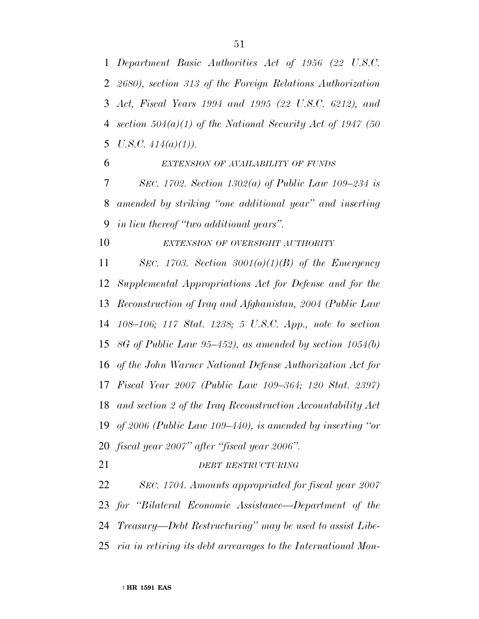*Department Basic Authorities Act of 1956 (22 U.S.C. 2680), section 313 of the Foreign Relations Authorization Act, Fiscal Years 1994 and 1995 (22 U.S.C. 6212), and section 504(a)(1) of the National Security Act of 1947 (50 U.S.C. 414(a)(1)).*

*EXTENSION OF AVAILABILITY OF FUNDS*

 *SEC. 1702. Section 1302(a) of Public Law 109–234 is amended by striking ''one additional year'' and inserting in lieu thereof ''two additional years''.*

*EXTENSION OF OVERSIGHT AUTHORITY*

 *SEC. 1703. Section 3001(o)(1)(B) of the Emergency Supplemental Appropriations Act for Defense and for the Reconstruction of Iraq and Afghanistan, 2004 (Public Law 108–106; 117 Stat. 1238; 5 U.S.C. App., note to section 8G of Public Law 95–452), as amended by section 1054(b) of the John Warner National Defense Authorization Act for Fiscal Year 2007 (Public Law 109–364; 120 Stat. 2397) and section 2 of the Iraq Reconstruction Accountability Act of 2006 (Public Law 109–440), is amended by inserting ''or fiscal year 2007'' after ''fiscal year 2006''.*

*DEBT RESTRUCTURING*

 *SEC. 1704. Amounts appropriated for fiscal year 2007 for ''Bilateral Economic Assistance—Department of the Treasury—Debt Restructuring'' may be used to assist Libe-ria in retiring its debt arrearages to the International Mon-*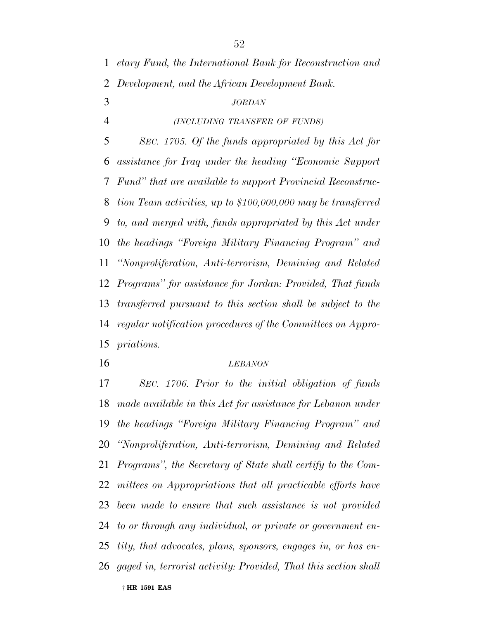*etary Fund, the International Bank for Reconstruction and Development, and the African Development Bank. JORDAN*

*(INCLUDING TRANSFER OF FUNDS)*

 *SEC. 1705. Of the funds appropriated by this Act for assistance for Iraq under the heading ''Economic Support Fund'' that are available to support Provincial Reconstruc- tion Team activities, up to \$100,000,000 may be transferred to, and merged with, funds appropriated by this Act under the headings ''Foreign Military Financing Program'' and ''Nonproliferation, Anti-terrorism, Demining and Related Programs'' for assistance for Jordan: Provided, That funds transferred pursuant to this section shall be subject to the regular notification procedures of the Committees on Appro-priations.*

#### *LEBANON*

† **HR 1591 EAS** *SEC. 1706. Prior to the initial obligation of funds made available in this Act for assistance for Lebanon under the headings ''Foreign Military Financing Program'' and ''Nonproliferation, Anti-terrorism, Demining and Related Programs'', the Secretary of State shall certify to the Com- mittees on Appropriations that all practicable efforts have been made to ensure that such assistance is not provided to or through any individual, or private or government en- tity, that advocates, plans, sponsors, engages in, or has en-gaged in, terrorist activity: Provided, That this section shall*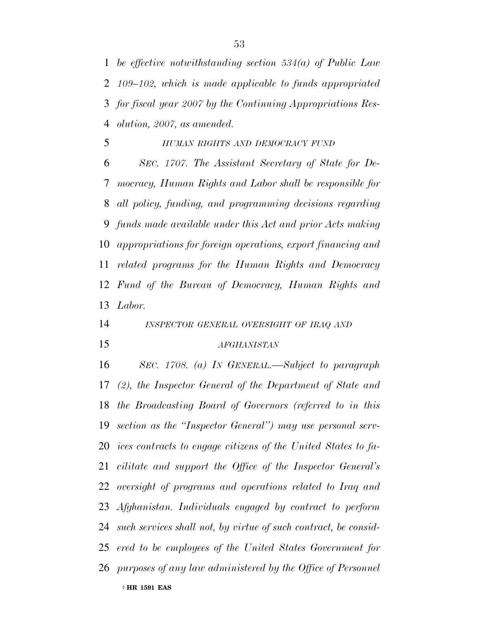*be effective notwithstanding section 534(a) of Public Law 109–102, which is made applicable to funds appropriated for fiscal year 2007 by the Continuing Appropriations Res-olution, 2007, as amended.*

*HUMAN RIGHTS AND DEMOCRACY FUND*

 *SEC. 1707. The Assistant Secretary of State for De- mocracy, Human Rights and Labor shall be responsible for all policy, funding, and programming decisions regarding funds made available under this Act and prior Acts making appropriations for foreign operations, export financing and related programs for the Human Rights and Democracy Fund of the Bureau of Democracy, Human Rights and Labor.*

*INSPECTOR GENERAL OVERSIGHT OF IRAQ AND*

#### *AFGHANISTAN*

† **HR 1591 EAS** *SEC. 1708. (a) IN GENERAL.—Subject to paragraph (2), the Inspector General of the Department of State and the Broadcasting Board of Governors (referred to in this section as the ''Inspector General'') may use personal serv- ices contracts to engage citizens of the United States to fa- cilitate and support the Office of the Inspector General's oversight of programs and operations related to Iraq and Afghanistan. Individuals engaged by contract to perform such services shall not, by virtue of such contract, be consid- ered to be employees of the United States Government for purposes of any law administered by the Office of Personnel*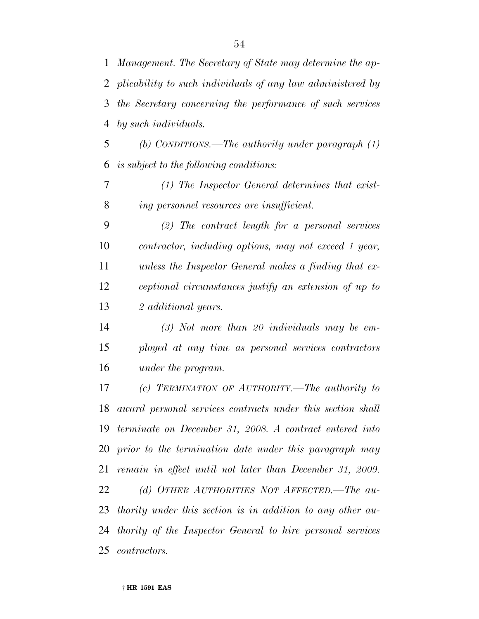*Management. The Secretary of State may determine the ap- plicability to such individuals of any law administered by the Secretary concerning the performance of such services by such individuals.*

 *(b) CONDITIONS.—The authority under paragraph (1) is subject to the following conditions:*

 *(1) The Inspector General determines that exist-ing personnel resources are insufficient.*

 *(2) The contract length for a personal services contractor, including options, may not exceed 1 year, unless the Inspector General makes a finding that ex- ceptional circumstances justify an extension of up to 2 additional years.*

 *(3) Not more than 20 individuals may be em- ployed at any time as personal services contractors under the program.*

 *(c) TERMINATION OF AUTHORITY.—The authority to award personal services contracts under this section shall terminate on December 31, 2008. A contract entered into prior to the termination date under this paragraph may remain in effect until not later than December 31, 2009. (d) OTHER AUTHORITIES NOT AFFECTED.—The au- thority under this section is in addition to any other au- thority of the Inspector General to hire personal services contractors.*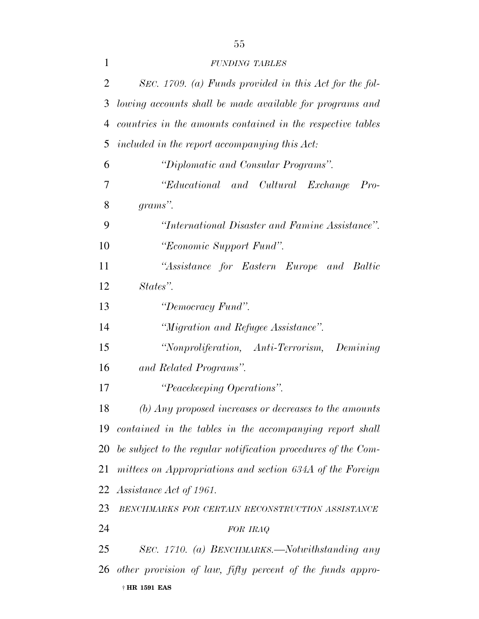| $\mathbf{1}$ | <b>FUNDING TABLES</b>                                            |
|--------------|------------------------------------------------------------------|
| 2            | SEC. 1709. (a) Funds provided in this Act for the fol-           |
| 3            | lowing accounts shall be made available for programs and         |
| 4            | countries in the amounts contained in the respective tables      |
| 5            | included in the report accompanying this Act:                    |
| 6            | "Diplomatic and Consular Programs".                              |
| 7            | "Educational and Cultural Exchange"<br>$Pro-$                    |
| 8            | grams".                                                          |
| 9            | "International Disaster and Famine Assistance".                  |
| 10           | "Economic Support Fund".                                         |
| 11           | "Assistance for Eastern Europe and Baltic                        |
| 12           | States".                                                         |
| 13           | "Democracy Fund".                                                |
| 14           | "Migration and Refugee Assistance".                              |
| 15           | "Nonproliferation, Anti-Terrorism, Demining                      |
| 16           | and Related Programs".                                           |
| 17           | "Peacekeeping Operations".                                       |
| 18           | $\sigma$ (b) Any proposed increases or decreases to the amounts  |
|              | 19 contained in the tables in the accompanying report shall      |
|              | 20 be subject to the regular notification procedures of the Com- |
| 21           | mittees on Appropriations and section 634A of the Foreign        |
|              | 22 Assistance Act of 1961.                                       |
| 23           | BENCHMARKS FOR CERTAIN RECONSTRUCTION ASSISTANCE                 |
| 24           | FOR IRAQ                                                         |
| 25           | SEC. 1710. (a) BENCHMARKS.—Notwithstanding any                   |
|              | 26 other provision of law, fifty percent of the funds appro-     |
|              | † HR 1591 EAS                                                    |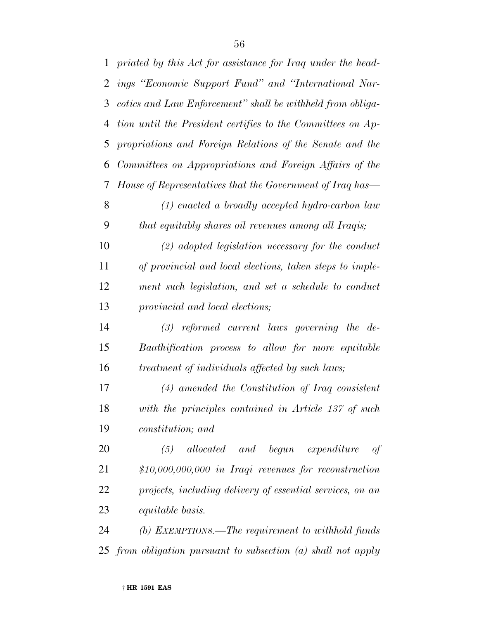| $\mathbf{1}$ | priated by this Act for assistance for Iraq under the head-  |
|--------------|--------------------------------------------------------------|
| 2            | ings "Economic Support Fund" and "International Nar-         |
| 3            | cotics and Law Enforcement" shall be withheld from obliga-   |
| 4            | tion until the President certifies to the Committees on Ap-  |
| 5            | propriations and Foreign Relations of the Senate and the     |
| 6            | Committees on Appropriations and Foreign Affairs of the      |
| 7            | House of Representatives that the Government of Iraq has—    |
| 8            | $(1)$ enacted a broadly accepted hydro-carbon law            |
| 9            | that equitably shares oil revenues among all Iraqis;         |
| 10           | $(2)$ adopted legislation necessary for the conduct          |
| 11           | of provincial and local elections, taken steps to imple-     |
| 12           | ment such legislation, and set a schedule to conduct         |
| 13           | provincial and local elections;                              |
| 14           | $(3)$ reformed current laws governing the de-                |
| 15           | Baathification process to allow for more equitable           |
| 16           | treatment of individuals affected by such laws;              |
| 17           | $(4)$ amended the Constitution of Iraq consistent            |
| 18           | with the principles contained in Article 137 of such         |
| 19           | constitution; and                                            |
| 20           | begun expenditure<br>(5)<br>allocated and<br>of              |
| 21           | $$10,000,000,000$ in Iraqi revenues for reconstruction       |
| 22           | projects, including delivery of essential services, on an    |
| 23           | <i>equitable basis.</i>                                      |
| 24           | (b) EXEMPTIONS.—The requirement to withhold funds            |
| 25           | from obligation pursuant to subsection $(a)$ shall not apply |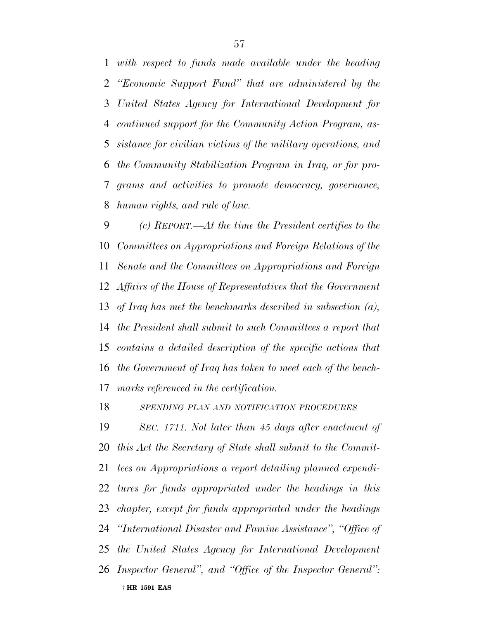*with respect to funds made available under the heading ''Economic Support Fund'' that are administered by the United States Agency for International Development for continued support for the Community Action Program, as- sistance for civilian victims of the military operations, and the Community Stabilization Program in Iraq, or for pro- grams and activities to promote democracy, governance, human rights, and rule of law.*

 *(c) REPORT.—At the time the President certifies to the Committees on Appropriations and Foreign Relations of the Senate and the Committees on Appropriations and Foreign Affairs of the House of Representatives that the Government of Iraq has met the benchmarks described in subsection (a), the President shall submit to such Committees a report that contains a detailed description of the specific actions that the Government of Iraq has taken to meet each of the bench-marks referenced in the certification.*

*SPENDING PLAN AND NOTIFICATION PROCEDURES*

† **HR 1591 EAS** *SEC. 1711. Not later than 45 days after enactment of this Act the Secretary of State shall submit to the Commit- tees on Appropriations a report detailing planned expendi- tures for funds appropriated under the headings in this chapter, except for funds appropriated under the headings ''International Disaster and Famine Assistance'', ''Office of the United States Agency for International Development Inspector General'', and ''Office of the Inspector General'':*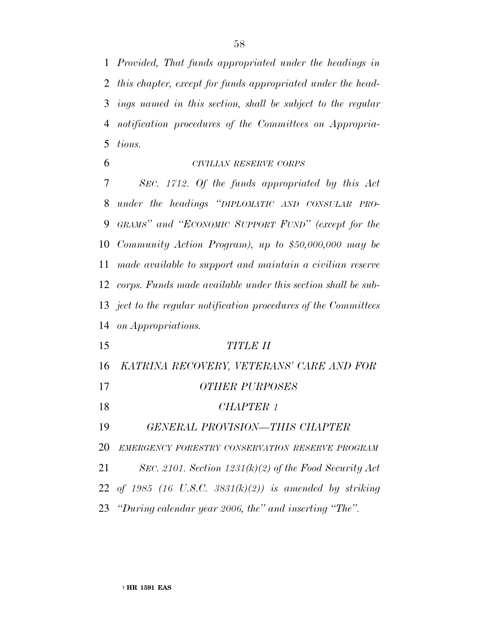*Provided, That funds appropriated under the headings in this chapter, except for funds appropriated under the head- ings named in this section, shall be subject to the regular notification procedures of the Committees on Appropria-tions.*

## *CIVILIAN RESERVE CORPS*

 *SEC. 1712. Of the funds appropriated by this Act under the headings ''DIPLOMATIC AND CONSULAR PRO- GRAMS'' and ''ECONOMIC SUPPORT FUND'' (except for the Community Action Program), up to \$50,000,000 may be made available to support and maintain a civilian reserve corps. Funds made available under this section shall be sub- ject to the regular notification procedures of the Committees on Appropriations.*

| 15 | TITLE II                                                 |
|----|----------------------------------------------------------|
| 16 | KATRINA RECOVERY, VETERANS' CARE AND FOR                 |
| 17 | <b>OTHER PURPOSES</b>                                    |
| 18 | CHAPTER 1                                                |
| 19 | GENERAL PROVISION-THIS CHAPTER                           |
| 20 | EMERGENCY FORESTRY CONSERVATION RESERVE PROGRAM          |
| 21 | SEC. 2101. Section $1231(k)(2)$ of the Food Security Act |
|    | 22 of 1985 (16 U.S.C. 3831(k)(2)) is amended by striking |
|    | 23 "During calendar year 2006, the" and inserting "The". |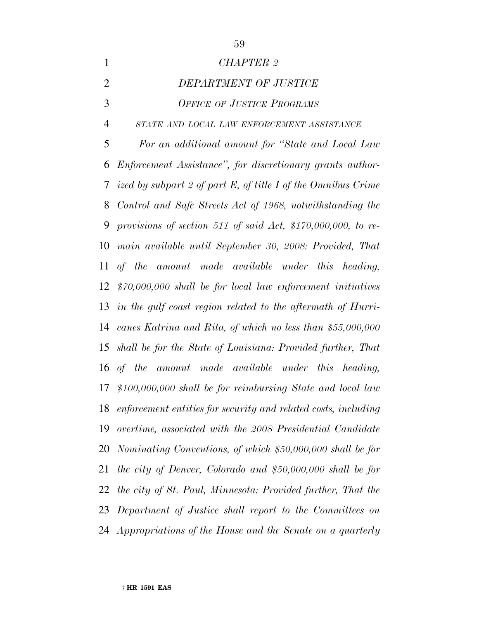| $\mathbf{1}$   | <b>CHAPTER 2</b>                                                  |
|----------------|-------------------------------------------------------------------|
| $\overline{2}$ | DEPARTMENT OF JUSTICE                                             |
| 3              | <b>OFFICE OF JUSTICE PROGRAMS</b>                                 |
| $\overline{4}$ | STATE AND LOCAL LAW ENFORCEMENT ASSISTANCE                        |
| 5              | For an additional amount for "State and Local Law                 |
| 6              | Enforcement Assistance", for discretionary grants author-         |
| $\tau$         | ized by subpart 2 of part E, of title I of the Omnibus Crime      |
| 8              | Control and Safe Streets Act of 1968, notwithstanding the         |
| 9              | provisions of section 511 of said Act, $$170,000,000$ , to re-    |
| 10             | main available until September 30, 2008: Provided, That           |
| 11             | of the amount made available under this heading,                  |
| 12             | $$70,000,000$ shall be for local law enforcement initiatives      |
|                | 13 in the gulf coast region related to the aftermath of Hurri-    |
|                | 14 canes Katrina and Rita, of which no less than \$55,000,000     |
|                | 15 shall be for the State of Louisiana: Provided further, That    |
|                | 16 of the amount made available under this heading,               |
| 17             | $$100,000,000$ shall be for reimbursing State and local law       |
|                | 18 enforcement entities for security and related costs, including |
| 19             | overtime, associated with the 2008 Presidential Candidate         |
| 20             | Nominating Conventions, of which \$50,000,000 shall be for        |
| 21             | the city of Denver, Colorado and $$50,000,000$ shall be for       |
| 22             | the city of St. Paul, Minnesota: Provided further, That the       |
| 23             | Department of Justice shall report to the Committees on           |
|                | 24 Appropriations of the House and the Senate on a quarterly      |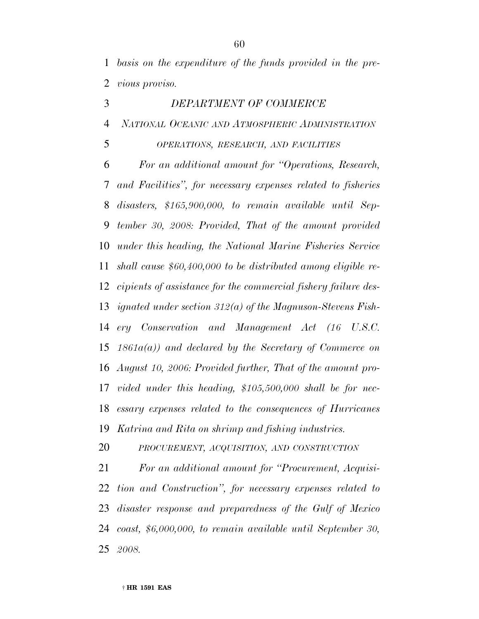*basis on the expenditure of the funds provided in the pre-vious proviso.*

 *DEPARTMENT OF COMMERCE NATIONAL OCEANIC AND ATMOSPHERIC ADMINISTRATION*

*OPERATIONS, RESEARCH, AND FACILITIES*

 *For an additional amount for ''Operations, Research, and Facilities'', for necessary expenses related to fisheries disasters, \$165,900,000, to remain available until Sep- tember 30, 2008: Provided, That of the amount provided under this heading, the National Marine Fisheries Service shall cause \$60,400,000 to be distributed among eligible re- cipients of assistance for the commercial fishery failure des- ignated under section 312(a) of the Magnuson-Stevens Fish- ery Conservation and Management Act (16 U.S.C. 1861a(a)) and declared by the Secretary of Commerce on August 10, 2006: Provided further, That of the amount pro- vided under this heading, \$105,500,000 shall be for nec- essary expenses related to the consequences of Hurricanes Katrina and Rita on shrimp and fishing industries.*

*PROCUREMENT, ACQUISITION, AND CONSTRUCTION*

 *For an additional amount for ''Procurement, Acquisi- tion and Construction'', for necessary expenses related to disaster response and preparedness of the Gulf of Mexico coast, \$6,000,000, to remain available until September 30, 2008.*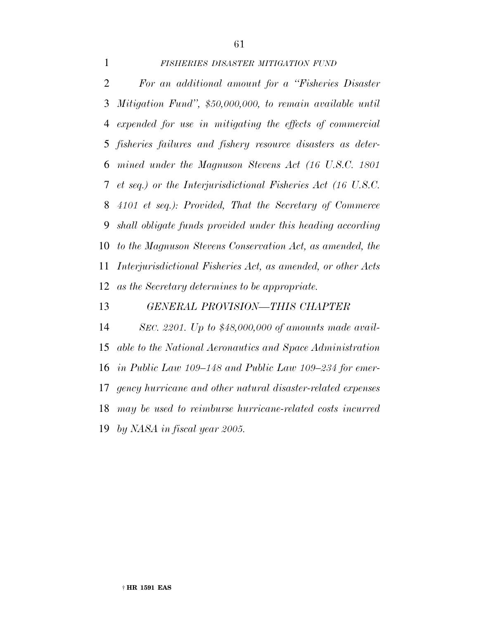### *FISHERIES DISASTER MITIGATION FUND*

 *For an additional amount for a ''Fisheries Disaster Mitigation Fund'', \$50,000,000, to remain available until expended for use in mitigating the effects of commercial fisheries failures and fishery resource disasters as deter- mined under the Magnuson Stevens Act (16 U.S.C. 1801 et seq.) or the Interjurisdictional Fisheries Act (16 U.S.C. 4101 et seq.): Provided, That the Secretary of Commerce shall obligate funds provided under this heading according to the Magnuson Stevens Conservation Act, as amended, the Interjurisdictional Fisheries Act, as amended, or other Acts as the Secretary determines to be appropriate.*

#### *GENERAL PROVISION—THIS CHAPTER*

 *SEC. 2201. Up to \$48,000,000 of amounts made avail- able to the National Aeronautics and Space Administration in Public Law 109–148 and Public Law 109–234 for emer- gency hurricane and other natural disaster-related expenses may be used to reimburse hurricane-related costs incurred by NASA in fiscal year 2005.*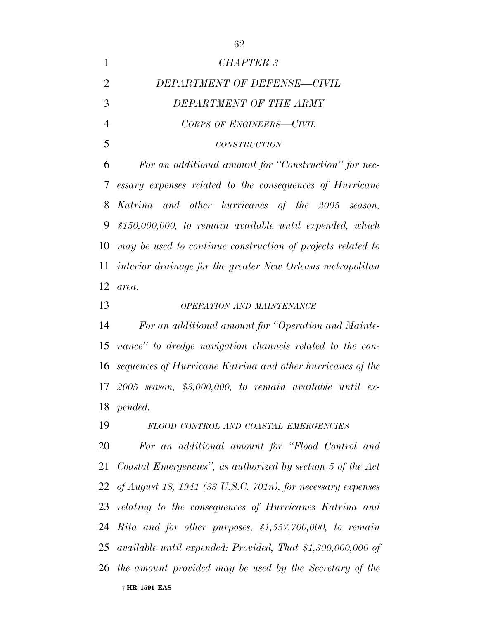*CHAPTER 3 DEPARTMENT OF DEFENSE—CIVIL DEPARTMENT OF THE ARMY CORPS OF ENGINEERS—CIVIL CONSTRUCTION For an additional amount for ''Construction'' for nec- essary expenses related to the consequences of Hurricane Katrina and other hurricanes of the 2005 season, \$150,000,000, to remain available until expended, which may be used to continue construction of projects related to interior drainage for the greater New Orleans metropolitan area. OPERATION AND MAINTENANCE For an additional amount for ''Operation and Mainte- nance'' to dredge navigation channels related to the con- sequences of Hurricane Katrina and other hurricanes of the 2005 season, \$3,000,000, to remain available until ex- pended. FLOOD CONTROL AND COASTAL EMERGENCIES For an additional amount for ''Flood Control and Coastal Emergencies'', as authorized by section 5 of the Act of August 18, 1941 (33 U.S.C. 701n), for necessary expenses relating to the consequences of Hurricanes Katrina and Rita and for other purposes, \$1,557,700,000, to remain available until expended: Provided, That \$1,300,000,000 of the amount provided may be used by the Secretary of the*

† **HR 1591 EAS**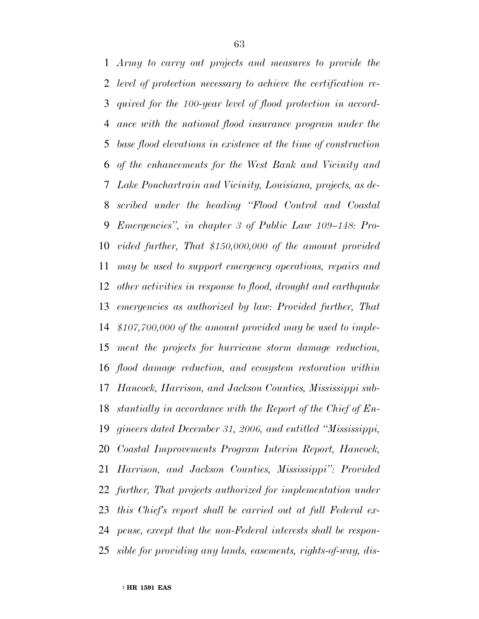*Army to carry out projects and measures to provide the level of protection necessary to achieve the certification re- quired for the 100-year level of flood protection in accord- ance with the national flood insurance program under the base flood elevations in existence at the time of construction of the enhancements for the West Bank and Vicinity and Lake Ponchartrain and Vicinity, Louisiana, projects, as de- scribed under the heading ''Flood Control and Coastal Emergencies'', in chapter 3 of Public Law 109–148: Pro- vided further, That \$150,000,000 of the amount provided may be used to support emergency operations, repairs and other activities in response to flood, drought and earthquake emergencies as authorized by law: Provided further, That \$107,700,000 of the amount provided may be used to imple- ment the projects for hurricane storm damage reduction, flood damage reduction, and ecosystem restoration within Hancock, Harrison, and Jackson Counties, Mississippi sub- stantially in accordance with the Report of the Chief of En- gineers dated December 31, 2006, and entitled ''Mississippi, Coastal Improvements Program Interim Report, Hancock, Harrison, and Jackson Counties, Mississippi'': Provided further, That projects authorized for implementation under this Chief's report shall be carried out at full Federal ex- pense, except that the non-Federal interests shall be respon-sible for providing any lands, easements, rights-of-way, dis-*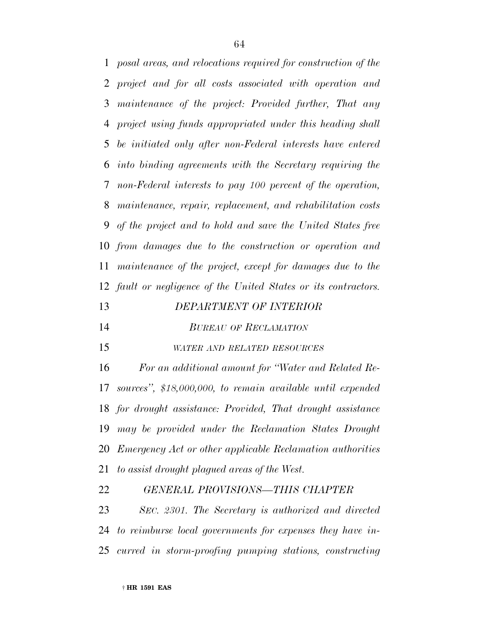*posal areas, and relocations required for construction of the project and for all costs associated with operation and maintenance of the project: Provided further, That any project using funds appropriated under this heading shall be initiated only after non-Federal interests have entered into binding agreements with the Secretary requiring the non-Federal interests to pay 100 percent of the operation, maintenance, repair, replacement, and rehabilitation costs of the project and to hold and save the United States free from damages due to the construction or operation and maintenance of the project, except for damages due to the fault or negligence of the United States or its contractors.*

#### *DEPARTMENT OF INTERIOR*

- *BUREAU OF RECLAMATION*
- *WATER AND RELATED RESOURCES*

 *For an additional amount for ''Water and Related Re- sources'', \$18,000,000, to remain available until expended for drought assistance: Provided, That drought assistance may be provided under the Reclamation States Drought Emergency Act or other applicable Reclamation authorities to assist drought plagued areas of the West.*

 *GENERAL PROVISIONS—THIS CHAPTER SEC. 2301. The Secretary is authorized and directed to reimburse local governments for expenses they have in-curred in storm-proofing pumping stations, constructing*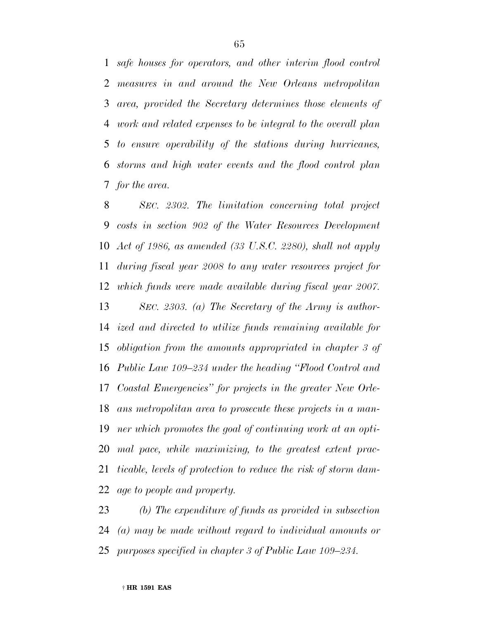*safe houses for operators, and other interim flood control measures in and around the New Orleans metropolitan area, provided the Secretary determines those elements of work and related expenses to be integral to the overall plan to ensure operability of the stations during hurricanes, storms and high water events and the flood control plan for the area.*

 *SEC. 2302. The limitation concerning total project costs in section 902 of the Water Resources Development Act of 1986, as amended (33 U.S.C. 2280), shall not apply during fiscal year 2008 to any water resources project for which funds were made available during fiscal year 2007. SEC. 2303. (a) The Secretary of the Army is author-*

 *ized and directed to utilize funds remaining available for obligation from the amounts appropriated in chapter 3 of Public Law 109–234 under the heading ''Flood Control and Coastal Emergencies'' for projects in the greater New Orle- ans metropolitan area to prosecute these projects in a man- ner which promotes the goal of continuing work at an opti- mal pace, while maximizing, to the greatest extent prac- ticable, levels of protection to reduce the risk of storm dam-age to people and property.*

 *(b) The expenditure of funds as provided in subsection (a) may be made without regard to individual amounts or purposes specified in chapter 3 of Public Law 109–234.*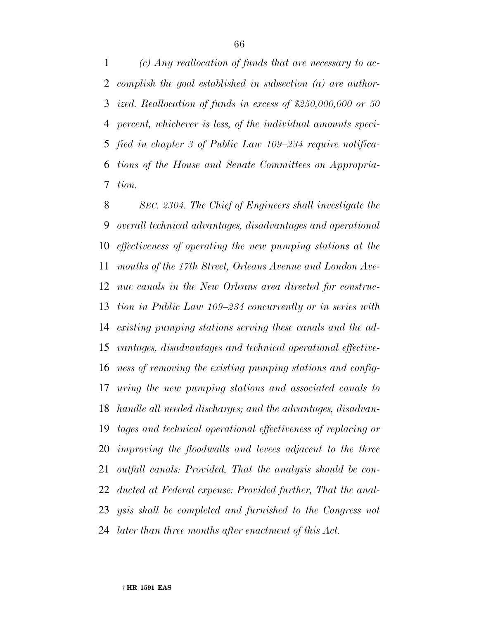*(c) Any reallocation of funds that are necessary to ac- complish the goal established in subsection (a) are author- ized. Reallocation of funds in excess of \$250,000,000 or 50 percent, whichever is less, of the individual amounts speci- fied in chapter 3 of Public Law 109–234 require notifica- tions of the House and Senate Committees on Appropria-tion.*

 *SEC. 2304. The Chief of Engineers shall investigate the overall technical advantages, disadvantages and operational effectiveness of operating the new pumping stations at the mouths of the 17th Street, Orleans Avenue and London Ave- nue canals in the New Orleans area directed for construc- tion in Public Law 109–234 concurrently or in series with existing pumping stations serving these canals and the ad- vantages, disadvantages and technical operational effective- ness of removing the existing pumping stations and config- uring the new pumping stations and associated canals to handle all needed discharges; and the advantages, disadvan- tages and technical operational effectiveness of replacing or improving the floodwalls and levees adjacent to the three outfall canals: Provided, That the analysis should be con- ducted at Federal expense: Provided further, That the anal- ysis shall be completed and furnished to the Congress not later than three months after enactment of this Act.*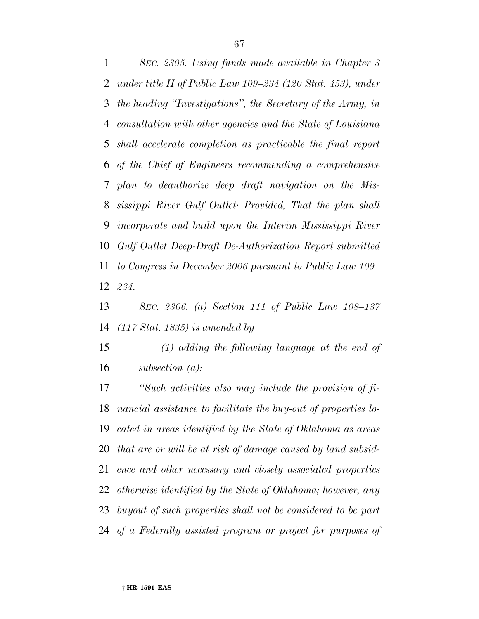*SEC. 2305. Using funds made available in Chapter 3 under title II of Public Law 109–234 (120 Stat. 453), under the heading ''Investigations'', the Secretary of the Army, in consultation with other agencies and the State of Louisiana shall accelerate completion as practicable the final report of the Chief of Engineers recommending a comprehensive plan to deauthorize deep draft navigation on the Mis- sissippi River Gulf Outlet: Provided, That the plan shall incorporate and build upon the Interim Mississippi River Gulf Outlet Deep-Draft De-Authorization Report submitted to Congress in December 2006 pursuant to Public Law 109– 234.*

 *SEC. 2306. (a) Section 111 of Public Law 108–137 (117 Stat. 1835) is amended by—*

 *(1) adding the following language at the end of subsection (a):*

 *''Such activities also may include the provision of fi- nancial assistance to facilitate the buy-out of properties lo- cated in areas identified by the State of Oklahoma as areas that are or will be at risk of damage caused by land subsid- ence and other necessary and closely associated properties otherwise identified by the State of Oklahoma; however, any buyout of such properties shall not be considered to be part of a Federally assisted program or project for purposes of*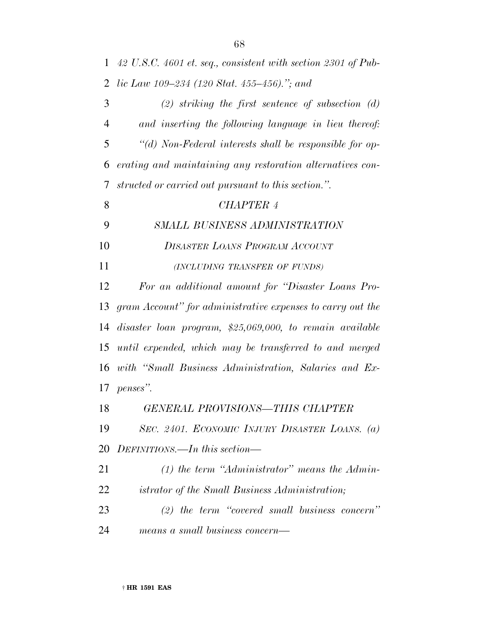*42 U.S.C. 4601 et. seq., consistent with section 2301 of Pub-lic Law 109–234 (120 Stat. 455–456).''; and*

 *(2) striking the first sentence of subsection (d) and inserting the following language in lieu thereof: ''(d) Non-Federal interests shall be responsible for op- erating and maintaining any restoration alternatives con-structed or carried out pursuant to this section.''.*

# *CHAPTER 4*

- *SMALL BUSINESS ADMINISTRATION*
- *DISASTER LOANS PROGRAM ACCOUNT*
- *(INCLUDING TRANSFER OF FUNDS)*

 *For an additional amount for ''Disaster Loans Pro- gram Account'' for administrative expenses to carry out the disaster loan program, \$25,069,000, to remain available until expended, which may be transferred to and merged with ''Small Business Administration, Salaries and Ex-penses''.*

*GENERAL PROVISIONS—THIS CHAPTER*

 *SEC. 2401. ECONOMIC INJURY DISASTER LOANS. (a) DEFINITIONS.—In this section—*

 *(1) the term ''Administrator'' means the Admin-istrator of the Small Business Administration;*

 *(2) the term ''covered small business concern'' means a small business concern—*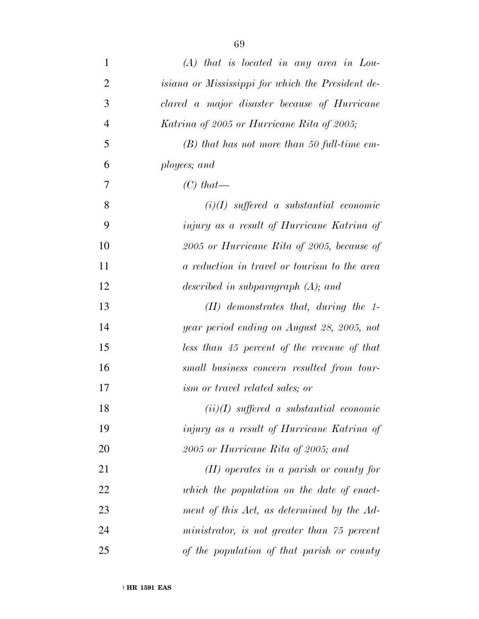| $\mathbf{1}$   | $(A)$ that is located in any area in Lou-         |
|----------------|---------------------------------------------------|
| $\overline{2}$ | isiana or Mississippi for which the President de- |
| 3              | clared a major disaster because of Hurricane      |
| $\overline{4}$ | Katrina of 2005 or Hurricane Rita of 2005;        |
| 5              | $(B)$ that has not more than 50 full-time em-     |
| 6              | ployees; and                                      |
| $\overline{7}$ | $(C)$ that—                                       |
| 8              | $(i)(I)$ suffered a substantial economic          |
| 9              | injury as a result of Hurricane Katrina of        |
| 10             | 2005 or Hurricane Rita of 2005, because of        |
| 11             | a reduction in travel or tourism to the area      |
| 12             | described in subparagraph $(A)$ ; and             |
| 13             | $(II)$ demonstrates that, during the 1-           |
| 14             | year period ending on August 28, 2005, not        |
| 15             | less than 45 percent of the revenue of that       |
| 16             | small business concern resulted from tour-        |
| 17             | ism or travel related sales; or                   |
| 18             | $(ii)(I)$ suffered a substantial economic         |
| 19             | injury as a result of Hurricane Katrina of        |
| 20             | 2005 or Hurricane Rita of 2005; and               |
| 21             | $(II)$ operates in a parish or county for         |
| 22             | which the population on the date of enact-        |
| 23             | ment of this Act, as determined by the Ad-        |
| 24             | ministrator, is not greater than 75 percent       |
| 25             | of the population of that parish or county        |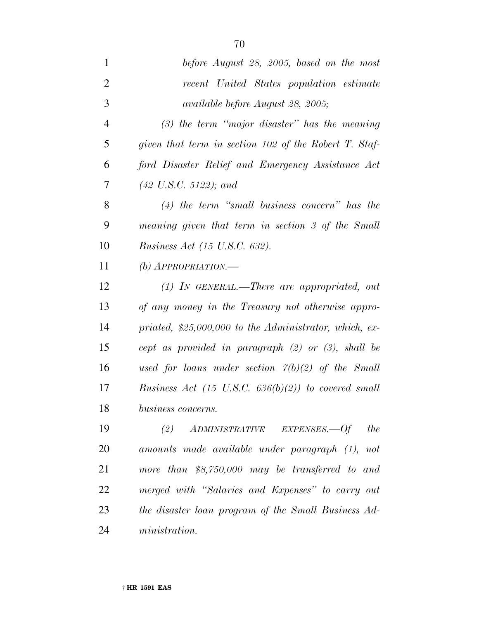| $\mathbf{1}$   | before August 28, 2005, based on the most               |
|----------------|---------------------------------------------------------|
| $\overline{2}$ | recent United States population estimate                |
| 3              | available before August 28, 2005;                       |
| $\overline{4}$ | $(3)$ the term "major disaster" has the meaning         |
| 5              | given that term in section $102$ of the Robert T. Staf- |
| 6              | ford Disaster Relief and Emergency Assistance Act       |
| 7              | $(42 \text{ U.S.C. } 5122)$ ; and                       |
| 8              | $(4)$ the term "small business concern" has the         |
| 9              | meaning given that term in section 3 of the Small       |
| 10             | <i>Business Act (15 U.S.C. 632).</i>                    |
| 11             | $(b)$ APPROPRIATION.—                                   |
| 12             | (1) IN GENERAL.—There are appropriated, out             |
| 13             | of any money in the Treasury not otherwise appro-       |
| 14             | priated, $$25,000,000$ to the Administrator, which, ex- |
| 15             | cept as provided in paragraph $(2)$ or $(3)$ , shall be |
| 16             | used for loans under section $7(b)(2)$ of the Small     |
| 17             | Business Act (15 U.S.C. $636(b)(2)$ ) to covered small  |
| 18             | business concerns.                                      |
| 19             | ADMINISTRATIVE EXPENSES.—Of the<br>(2)                  |
| 20             | amounts made available under paragraph (1), not         |
| 21             | more than $$8,750,000$ may be transferred to and        |
| 22             | merged with "Salaries and Expenses" to carry out        |
| 23             | the disaster loan program of the Small Business Ad-     |
| 24             | ministration.                                           |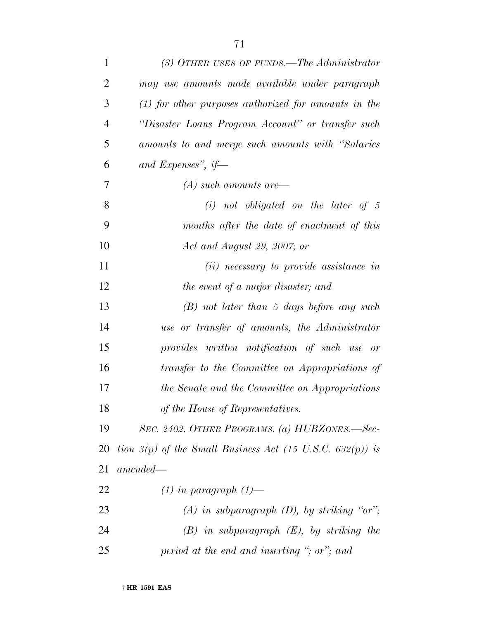| $\mathbf{1}$   | $(3)$ OTHER USES OF FUNDS.—The Administrator                |
|----------------|-------------------------------------------------------------|
| $\overline{2}$ | may use amounts made available under paragraph              |
| 3              | $(1)$ for other purposes authorized for amounts in the      |
| $\overline{4}$ | "Disaster Loans Program Account" or transfer such           |
| 5              | amounts to and merge such amounts with "Salaries"           |
| 6              | and Expenses", if-                                          |
| 7              | $(A)$ such amounts are-                                     |
| 8              | $(i)$ not obligated on the later of 5                       |
| 9              | months after the date of enactment of this                  |
| 10             | Act and August 29, 2007; or                                 |
| 11             | $(ii)$ necessary to provide assistance in                   |
| 12             | the event of a major disaster; and                          |
| 13             | $(B)$ not later than 5 days before any such                 |
| 14             | use or transfer of amounts, the Administrator               |
| 15             | provides written notification of such use or                |
| 16             | transfer to the Committee on Appropriations of              |
| 17             | the Senate and the Committee on Appropriations              |
| 18             | of the House of Representatives.                            |
| 19             | SEC. 2402. OTHER PROGRAMS. (a) HUBZONES.—Sec-               |
| 20             | tion $3(p)$ of the Small Business Act (15 U.S.C. 632(p)) is |
| 21             | $amended-$                                                  |
| 22             | $(1)$ in paragraph $(1)$ —                                  |
| 23             | (A) in subparagraph (D), by striking "or";                  |
| 24             | $(B)$ in subparagraph $(E)$ , by striking the               |
| 25             | period at the end and inserting "; or"; and                 |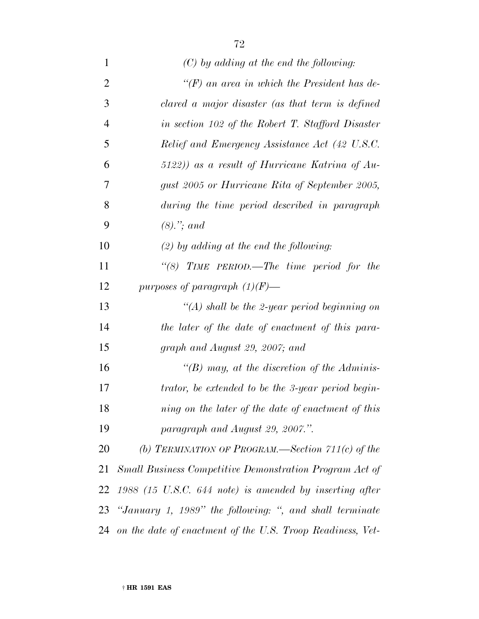| $\mathbf{1}$   | $(C)$ by adding at the end the following:                  |
|----------------|------------------------------------------------------------|
| $\overline{2}$ | " $(F)$ an area in which the President has de-             |
| 3              | clared a major disaster (as that term is defined           |
| $\overline{4}$ | in section 102 of the Robert T. Stafford Disaster          |
| 5              | Relief and Emergency Assistance Act (42 U.S.C.             |
| 6              | $(5122)$ as a result of Hurricane Katrina of Au-           |
| 7              | gust 2005 or Hurricane Rita of September 2005,             |
| 8              | during the time period described in paragraph              |
| 9              | $(8).$ "; and                                              |
| 10             | $(2)$ by adding at the end the following:                  |
| 11             | "(8) TIME PERIOD.—The time period for the                  |
| 12             | purposes of paragraph $(1)(F)$ —                           |
| 13             | "(A) shall be the 2-year period beginning on               |
| 14             | the later of the date of enactment of this para-           |
| 15             | graph and August 29, 2007; and                             |
| 16             | "(B) may, at the discretion of the Adminis-                |
| 17             | trator, be extended to be the 3-year period begin-         |
| 18             | ning on the later of the date of enactment of this         |
| 19             | paragraph and August 29, 2007.".                           |
| 20             | (b) TERMINATION OF PROGRAM.—Section $\gamma_1(0)$ of the   |
| 21             | Small Business Competitive Demonstration Program Act of    |
| 22             | $1988$ (15 U.S.C. 644 note) is amended by inserting after  |
| 23             | "January 1, 1989" the following: ", and shall terminate    |
| 24             | on the date of enactment of the U.S. Troop Readiness, Vet- |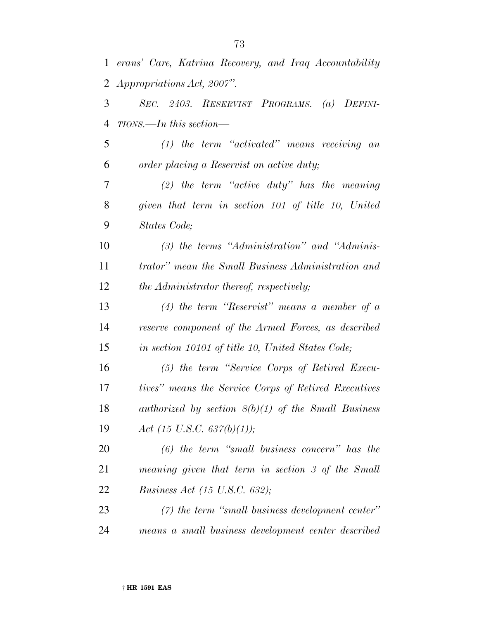|                | 1 erans' Care, Katrina Recovery, and Iraq Accountability |
|----------------|----------------------------------------------------------|
| $\overline{2}$ | <i>Appropriations Act, 2007".</i>                        |
| 3              | SEC. 2403. RESERVIST PROGRAMS. (a) DEFINI-               |
| $\overline{4}$ | TIONS.—In this section—                                  |
| 5              | $(1)$ the term "activated" means receiving an            |
| 6              | order placing a Reservist on active duty;                |
| 7              | $(2)$ the term "active duty" has the meaning             |
| 8              | given that term in section 101 of title 10, United       |
| 9              | States Code;                                             |
| 10             | $(3)$ the terms "Administration" and "Adminis-           |
| 11             | trator" mean the Small Business Administration and       |
| 12             | the Administrator thereof, respectively;                 |
| 13             | (4) the term "Reservist" means a member of $\alpha$      |
| 14             | reserve component of the Armed Forces, as described      |
| 15             | in section 10101 of title 10, United States Code;        |
| 16             | (5) the term "Service Corps of Retired Execu-            |
| 17             | tives" means the Service Corps of Retired Executives     |
| 18             | authorized by section $8(b)(1)$ of the Small Business    |
| 19             | Act (15 U.S.C. 637(b)(1));                               |
| 20             | $(6)$ the term "small business concern" has the          |
| 21             | meaning given that term in section 3 of the Small        |
| 22             | <i>Business Act (15 U.S.C. 632)</i> ;                    |
| 23             | $(7)$ the term "small business development center"       |
| 24             | means a small business development center described      |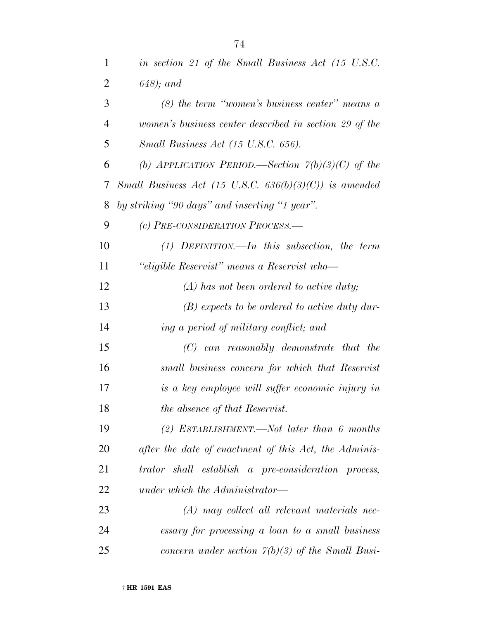| 1              | in section 21 of the Small Business Act (15 U.S.C.               |
|----------------|------------------------------------------------------------------|
| $\overline{2}$ | $(648)$ ; and                                                    |
| 3              | $(8)$ the term "women's business center" means a                 |
| $\overline{4}$ | women's business center described in section 29 of the           |
| 5              | Small Business Act (15 U.S.C. 656).                              |
| 6              | (b) APPLICATION PERIOD.—Section $\tilde{\gamma}(b)(3)(C)$ of the |
| 7              | Small Business Act (15 U.S.C. $636(b)(3)(C)$ ) is amended        |
| 8              | by striking "90 days" and inserting "1 year".                    |
| 9              | (c) PRE-CONSIDERATION PROCESS.-                                  |
| 10             | $(1)$ DEFINITION.—In this subsection, the term                   |
| 11             | "eligible Reservist" means a Reservist who-                      |
| 12             | $(A)$ has not been ordered to active duty;                       |
| 13             | $(B)$ expects to be ordered to active duty dur-                  |
| 14             | ing a period of military conflict; and                           |
| 15             | $(C)$ can reasonably demonstrate that the                        |
| 16             | small business concern for which that Reservist                  |
| 17             | is a key employee will suffer economic injury in                 |
| 18             | the absence of that Reservist.                                   |
| 19             | (2) ESTABLISHMENT.—Not later than 6 months                       |
| 20             | after the date of enactment of this Act, the Adminis-            |
| 21             | trator shall establish a pre-consideration process,              |
| 22             | under which the Administrator—                                   |
| 23             | $(A)$ may collect all relevant materials nec-                    |
| 24             | essary for processing a loan to a small business                 |
| 25             | concern under section $\tilde{\gamma}(b)(3)$ of the Small Busi-  |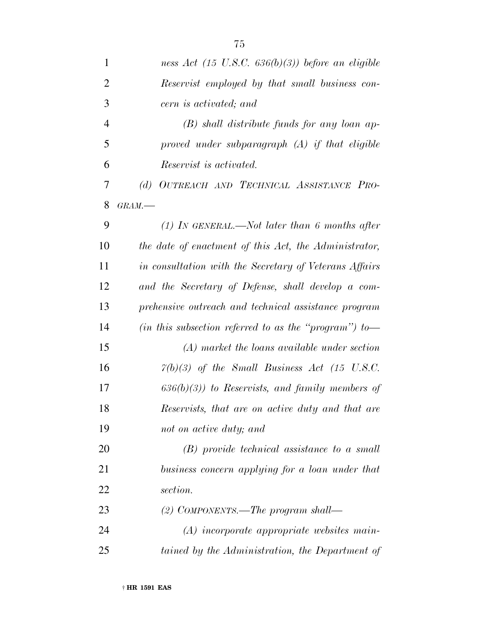| $\mathbf{1}$   | ness Act $(15 \text{ U.S.C. } 636(b)(3))$ before an eligible |
|----------------|--------------------------------------------------------------|
| $\overline{2}$ | Reservist employed by that small business con-               |
| 3              | cern is activated; and                                       |
| $\overline{4}$ | $(B)$ shall distribute funds for any loan ap-                |
| 5              | proved under subparagraph $(A)$ if that eligible             |
| 6              | <i>Reservist is activated.</i>                               |
| 7              | OUTREACH AND TECHNICAL ASSISTANCE PRO-<br>(d)                |
| 8              | GRAM.                                                        |
| 9              | $(1)$ IN GENERAL.—Not later than 6 months after              |
| 10             | the date of enactment of this Act, the Administrator,        |
| 11             | in consultation with the Secretary of Veterans Affairs       |
| 12             | and the Secretary of Defense, shall develop a com-           |
| 13             | prehensive outreach and technical assistance program         |
| 14             | (in this subsection referred to as the "program") to-        |
| 15             | (A) market the loans available under section                 |
| 16             | $7(b)(3)$ of the Small Business Act (15 U.S.C.               |
| 17             | $(636(b)(3))$ to Reservists, and family members of           |
| 18             | Reservists, that are on active duty and that are             |
| 19             | not on active duty; and                                      |
| 20             | $(B)$ provide technical assistance to a small                |
| 21             | business concern applying for a loan under that              |
| 22             | section.                                                     |
| 23             | (2) COMPONENTS.—The program shall—                           |
| 24             | $(A)$ incorporate appropriate websites main-                 |
| 25             | tained by the Administration, the Department of              |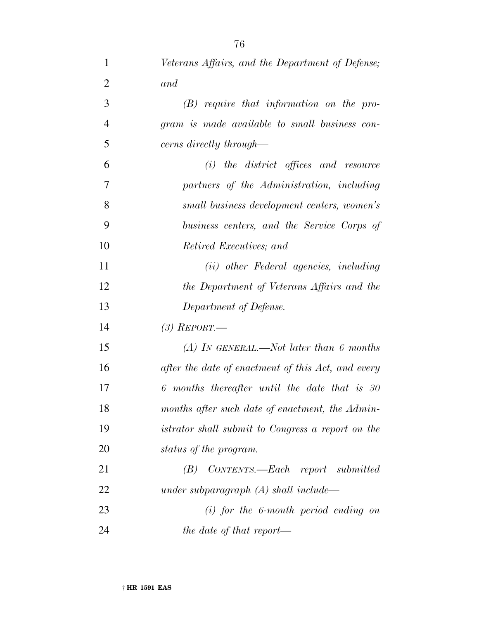| $\mathbf{1}$   | Veterans Affairs, and the Department of Defense;   |
|----------------|----------------------------------------------------|
| $\overline{2}$ | and                                                |
| 3              | $(B)$ require that information on the pro-         |
| $\overline{4}$ | gram is made available to small business con-      |
| 5              | cerns directly through—                            |
| 6              | $(i)$ the district offices and resource            |
| 7              | partners of the Administration, including          |
| 8              | small business development centers, women's        |
| 9              | business centers, and the Service Corps of         |
| 10             | Retired Executives; and                            |
| 11             | (ii) other Federal agencies, including             |
| 12             | the Department of Veterans Affairs and the         |
| 13             | Department of Defense.                             |
| 14             | $(3)$ REPORT.—                                     |
| 15             | (A) In GENERAL.—Not later than 6 months            |
| 16             | after the date of enactment of this Act, and every |
| 17             | 6 months thereafter until the date that is 30      |
| 18             | months after such date of enactment, the Admin-    |
| 19             | istrator shall submit to Congress a report on the  |
| 20             | status of the program.                             |
| 21             | CONTENTS.—Each report submitted<br>(B)             |
| 22             | under subparagraph $(A)$ shall include—            |
| 23             | $(i)$ for the 6-month period ending on             |
| 24             | the date of that report—                           |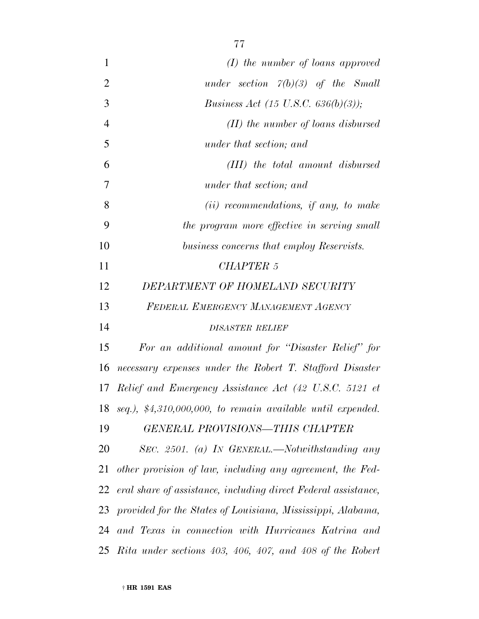| $\mathbf{1}$   | $(I)$ the number of loans approved                               |
|----------------|------------------------------------------------------------------|
| $\overline{2}$ | under section $7(b)(3)$ of the Small                             |
| 3              | <i>Business Act</i> (15 U.S.C. 636(b)(3));                       |
| $\overline{4}$ | $(II)$ the number of loans disbursed                             |
| 5              | under that section; and                                          |
| 6              | (III) the total amount disbursed                                 |
| 7              | under that section; and                                          |
| 8              | $(ii)$ recommendations, if any, to make                          |
| 9              | the program more effective in serving small                      |
| 10             | business concerns that employ Reservists.                        |
| 11             | <b>CHAPTER 5</b>                                                 |
| 12             | DEPARTMENT OF HOMELAND SECURITY                                  |
| 13             | FEDERAL EMERGENCY MANAGEMENT AGENCY                              |
| 14             | <b>DISASTER RELIEF</b>                                           |
| 15             | For an additional amount for "Disaster Relief" for               |
| 16             | necessary expenses under the Robert T. Stafford Disaster         |
|                | 17 Relief and Emergency Assistance Act (42 U.S.C. 5121 et        |
|                | 18 seq.), $$4,310,000,000$ , to remain available until expended. |
| 19             | GENERAL PROVISIONS-THIS CHAPTER                                  |
| 20             | SEC. 2501. (a) IN GENERAL.—Notwithstanding any                   |
| 21             | other provision of law, including any agreement, the Fed-        |
| 22             | eral share of assistance, including direct Federal assistance,   |
|                | 23 provided for the States of Louisiana, Mississippi, Alabama,   |
|                | 24 and Texas in connection with Hurricanes Katrina and           |
|                | 25 Rita under sections 403, 406, 407, and 408 of the Robert      |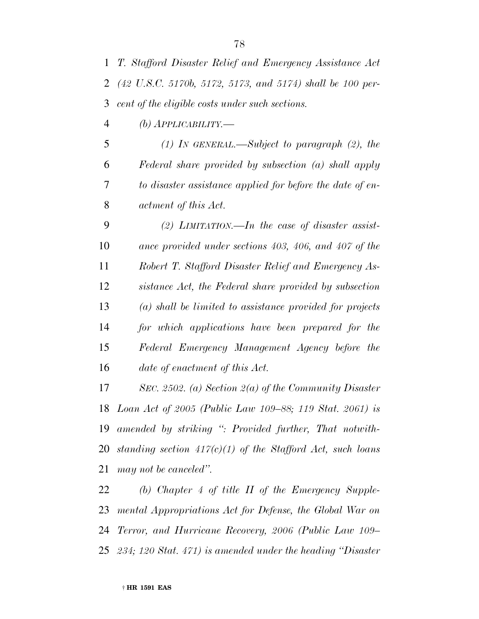*T. Stafford Disaster Relief and Emergency Assistance Act (42 U.S.C. 5170b, 5172, 5173, and 5174) shall be 100 per-cent of the eligible costs under such sections.*

*(b) APPLICABILITY.—*

 *(1) IN GENERAL.—Subject to paragraph (2), the Federal share provided by subsection (a) shall apply to disaster assistance applied for before the date of en-actment of this Act.*

 *(2) LIMITATION.—In the case of disaster assist- ance provided under sections 403, 406, and 407 of the Robert T. Stafford Disaster Relief and Emergency As- sistance Act, the Federal share provided by subsection (a) shall be limited to assistance provided for projects for which applications have been prepared for the Federal Emergency Management Agency before the date of enactment of this Act.*

 *SEC. 2502. (a) Section 2(a) of the Community Disaster Loan Act of 2005 (Public Law 109–88; 119 Stat. 2061) is amended by striking '': Provided further, That notwith- standing section 417(c)(1) of the Stafford Act, such loans may not be canceled''.*

 *(b) Chapter 4 of title II of the Emergency Supple- mental Appropriations Act for Defense, the Global War on Terror, and Hurricane Recovery, 2006 (Public Law 109– 234; 120 Stat. 471) is amended under the heading ''Disaster*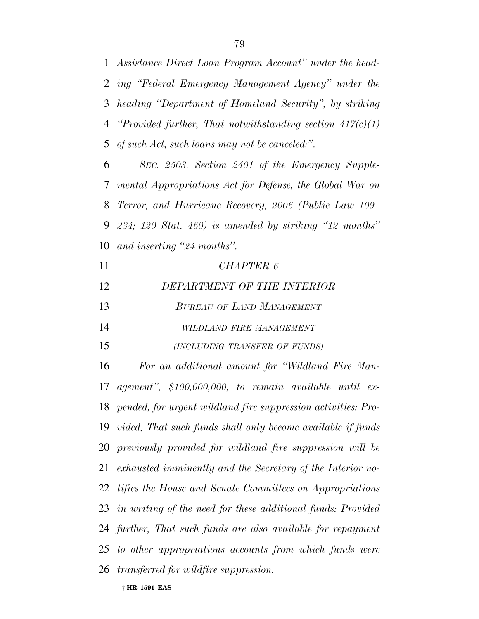*Assistance Direct Loan Program Account'' under the head- ing ''Federal Emergency Management Agency'' under the heading ''Department of Homeland Security'', by striking ''Provided further, That notwithstanding section 417(c)(1) of such Act, such loans may not be canceled:''.*

 *SEC. 2503. Section 2401 of the Emergency Supple- mental Appropriations Act for Defense, the Global War on Terror, and Hurricane Recovery, 2006 (Public Law 109– 234; 120 Stat. 460) is amended by striking ''12 months'' and inserting ''24 months''.*

| 11 | CHAPTER 6                        |
|----|----------------------------------|
| 12 | DEPARTMENT OF THE INTERIOR       |
| 13 | <b>BUREAU OF LAND MANAGEMENT</b> |
| 14 | WILDLAND FIRE MANAGEMENT         |
| 15 | (INCLUDING TRANSFER OF FUNDS)    |

 *For an additional amount for ''Wildland Fire Man- agement'', \$100,000,000, to remain available until ex- pended, for urgent wildland fire suppression activities: Pro- vided, That such funds shall only become available if funds previously provided for wildland fire suppression will be exhausted imminently and the Secretary of the Interior no- tifies the House and Senate Committees on Appropriations in writing of the need for these additional funds: Provided further, That such funds are also available for repayment to other appropriations accounts from which funds were transferred for wildfire suppression.*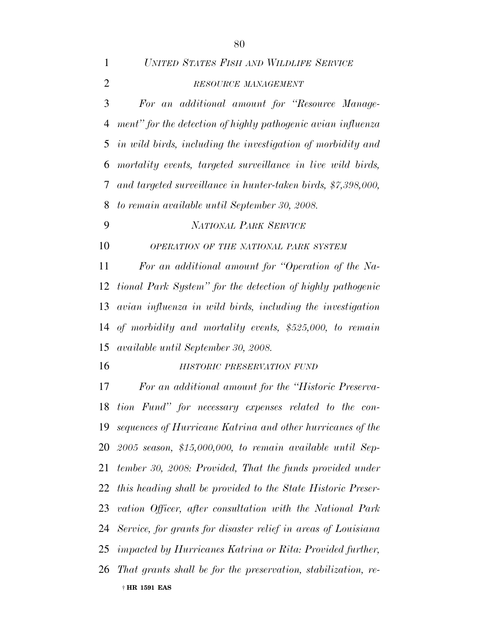| $\mathbf{1}$   | UNITED STATES FISH AND WILDLIFE SERVICE                          |
|----------------|------------------------------------------------------------------|
| $\mathfrak{2}$ | RESOURCE MANAGEMENT                                              |
| 3              | For an additional amount for "Resource Manage-                   |
| 4              | ment" for the detection of highly pathogenic avian influenza     |
| 5              | in wild birds, including the investigation of morbidity and      |
| 6              | mortality events, targeted surveillance in live wild birds,      |
| 7              | and targeted surveillance in hunter-taken birds, \$7,398,000,    |
| 8              | to remain available until September 30, 2008.                    |
| 9              | NATIONAL PARK SERVICE                                            |
| 10             | OPERATION OF THE NATIONAL PARK SYSTEM                            |
| 11             | For an additional amount for "Operation of the Na-               |
| 12             | tional Park System" for the detection of highly pathogenic       |
| 13             | avian influenza in wild birds, including the investigation       |
| 14             | of morbidity and mortality events, \$525,000, to remain          |
|                | 15 available until September 30, 2008.                           |
| 16             | HISTORIC PRESERVATION FUND                                       |
| 17             | For an additional amount for the "Historic Preserva-             |
|                | 18 tion Fund" for necessary expenses related to the con-         |
|                | 19 sequences of Hurricane Katrina and other hurricanes of the    |
|                | $20$ 2005 season, \$15,000,000, to remain available until Sep-   |
|                | 21 tember 30, 2008: Provided, That the funds provided under      |
|                | 22 this heading shall be provided to the State Historic Preser-  |
|                | 23 vation Officer, after consultation with the National Park     |
|                | 24 Service, for grants for disaster relief in areas of Louisiana |
|                | 25 impacted by Hurricanes Katrina or Rita: Provided further,     |
|                |                                                                  |

† **HR 1591 EAS** *That grants shall be for the preservation, stabilization, re-*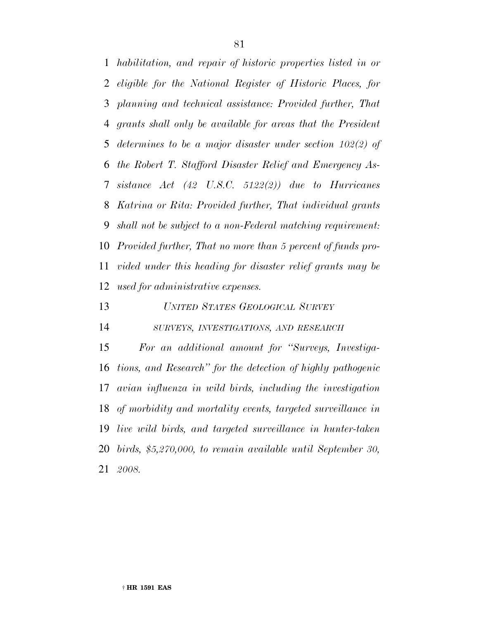*habilitation, and repair of historic properties listed in or eligible for the National Register of Historic Places, for planning and technical assistance: Provided further, That grants shall only be available for areas that the President determines to be a major disaster under section 102(2) of the Robert T. Stafford Disaster Relief and Emergency As- sistance Act (42 U.S.C. 5122(2)) due to Hurricanes Katrina or Rita: Provided further, That individual grants shall not be subject to a non-Federal matching requirement: Provided further, That no more than 5 percent of funds pro- vided under this heading for disaster relief grants may be used for administrative expenses.*

*UNITED STATES GEOLOGICAL SURVEY*

*SURVEYS, INVESTIGATIONS, AND RESEARCH*

 *For an additional amount for ''Surveys, Investiga- tions, and Research'' for the detection of highly pathogenic avian influenza in wild birds, including the investigation of morbidity and mortality events, targeted surveillance in live wild birds, and targeted surveillance in hunter-taken birds, \$5,270,000, to remain available until September 30, 2008.*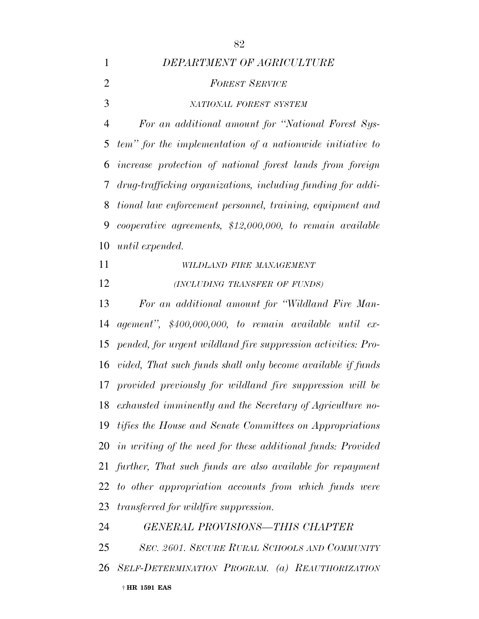*DEPARTMENT OF AGRICULTURE*

# *FOREST SERVICE NATIONAL FOREST SYSTEM For an additional amount for ''National Forest Sys- tem'' for the implementation of a nationwide initiative to increase protection of national forest lands from foreign drug-trafficking organizations, including funding for addi- tional law enforcement personnel, training, equipment and cooperative agreements, \$12,000,000, to remain available until expended. WILDLAND FIRE MANAGEMENT (INCLUDING TRANSFER OF FUNDS) For an additional amount for ''Wildland Fire Man- agement'', \$400,000,000, to remain available until ex- pended, for urgent wildland fire suppression activities: Pro- vided, That such funds shall only become available if funds provided previously for wildland fire suppression will be exhausted imminently and the Secretary of Agriculture no- tifies the House and Senate Committees on Appropriations in writing of the need for these additional funds: Provided further, That such funds are also available for repayment to other appropriation accounts from which funds were transferred for wildfire suppression. GENERAL PROVISIONS—THIS CHAPTER SEC. 2601. SECURE RURAL SCHOOLS AND COMMUNITY*

† **HR 1591 EAS** *SELF-DETERMINATION PROGRAM. (a) REAUTHORIZATION*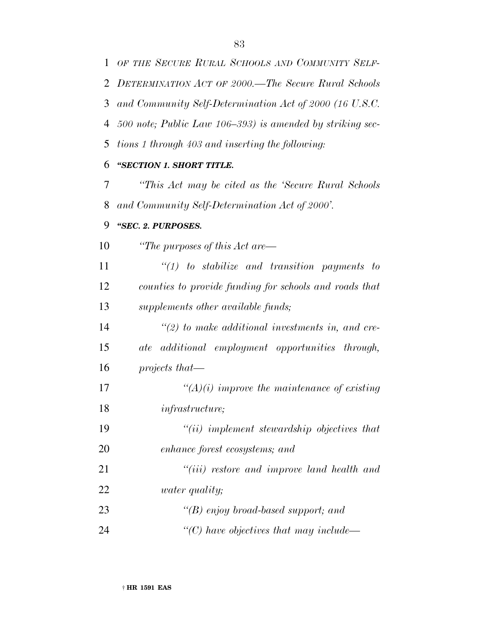*500 note; Public Law 106–393) is amended by striking sec-*

*tions 1 through 403 and inserting the following:*

### *''SECTION 1. SHORT TITLE.*

 *''This Act may be cited as the 'Secure Rural Schools and Community Self-Determination Act of 2000'.*

### *''SEC. 2. PURPOSES.*

*''The purposes of this Act are—*

 *''(1) to stabilize and transition payments to counties to provide funding for schools and roads that supplements other available funds;*

 *''(2) to make additional investments in, and cre- ate additional employment opportunities through, projects that—*

 *''(A)(i) improve the maintenance of existing infrastructure;*

 *''(ii) implement stewardship objectives that enhance forest ecosystems; and*

 *''(iii) restore and improve land health and water quality;*

| 23 | "(B) enjoy broad-based support; and                      |
|----|----------------------------------------------------------|
| 24 | $\lq$ <sup>"</sup> (C) have objectives that may include— |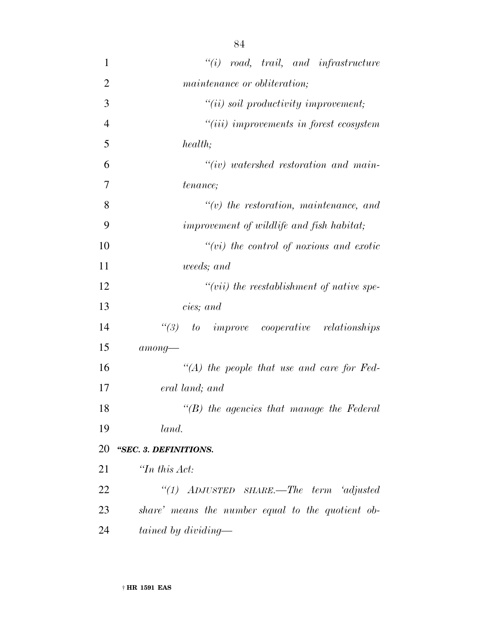| $\mathbf{1}$   | $``(i) \quad road, \quad trail, \quad and \quad infrastructure$ |
|----------------|-----------------------------------------------------------------|
| $\overline{2}$ | maintenance or obliteration;                                    |
| 3              | $``(ii)$ soil productivity improvement;                         |
| $\overline{4}$ | "(iii) improvements in forest ecosystem                         |
| 5              | health;                                                         |
| 6              | $``(iv)$ watershed restoration and main-                        |
| 7              | <i>tenance</i> ;                                                |
| 8              | $``(v)$ the restoration, maintenance, and                       |
| 9              | improvement of wildlife and fish habitat;                       |
| 10             | $``(vi)$ the control of noxious and exotic                      |
| 11             | weeds; and                                                      |
| 12             | $``(vii)$ the reestablishment of native spe-                    |
| 13             | cies; and                                                       |
| 14             | $\lq(3)$ to improve cooperative relationships                   |
| 15             | $among-$                                                        |
| 16             | "(A) the people that use and care for Fed-                      |
| 17             | eral land; and                                                  |
| 18             | $\lq\lq(B)$ the agencies that manage the Federal                |
| 19             | land.                                                           |
| 20             | "SEC. 3. DEFINITIONS.                                           |
| 21             | $\lq$ <sup>Th</sup> this Act:                                   |
| 22             | "(1) ADJUSTED SHARE.—The term 'adjusted                         |
| 23             | share' means the number equal to the quotient ob-               |
| 24             | tained by dividing—                                             |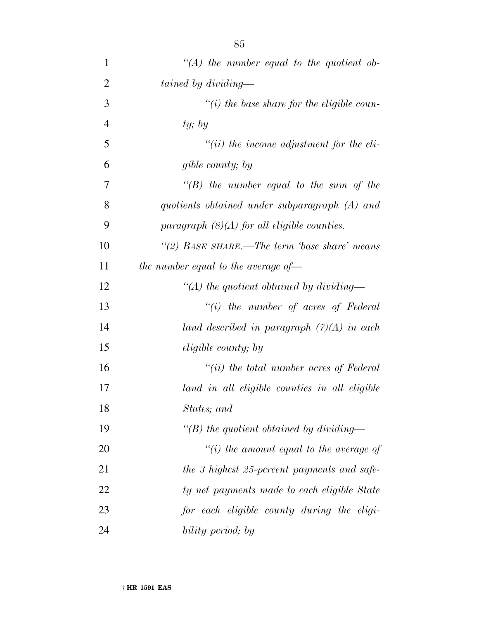| $\mathbf{1}$   | $\lq (A)$ the number equal to the quotient ob- |
|----------------|------------------------------------------------|
| $\overline{2}$ | tained by dividing—                            |
| 3              | "(i) the base share for the eligible coun-     |
| $\overline{4}$ | ty; by                                         |
| 5              | $``(ii)$ the income adjustment for the eli-    |
| 6              | gible county; by                               |
| 7              | $\lq\lq(B)$ the number equal to the sum of the |
| 8              | quotients obtained under subparagraph (A) and  |
| 9              | paragraph $(8)(A)$ for all eligible counties.  |
| 10             | "(2) BASE SHARE.—The term base share' means    |
| 11             | the number equal to the average of $-$         |
| 12             | "(A) the quotient obtained by dividing—        |
| 13             | $``(i)$ the number of acres of Federal         |
| 14             | land described in paragraph $(7)(A)$ in each   |
| 15             | <i>eligible county</i> ; by                    |
| 16             | $``(ii)$ the total number acres of Federal     |
| 17             | land in all eligible counties in all eligible  |
| 18             | States; and                                    |
| 19             | "(B) the quotient obtained by dividing—        |
| 20             | "(i) the amount equal to the average of        |
| 21             | the 3 highest 25-percent payments and safe-    |
| 22             | ty net payments made to each eligible State    |
| 23             | for each eligible county during the eligi-     |
| 24             | bility period; by                              |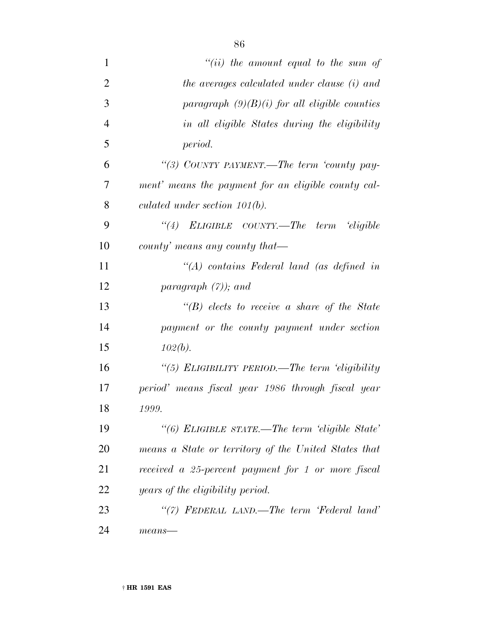| $\mathbf{1}$   | $``(ii)$ the amount equal to the sum of              |
|----------------|------------------------------------------------------|
| $\overline{2}$ | the averages calculated under clause (i) and         |
| 3              | paragraph $(9)(B)(i)$ for all eligible counties      |
| $\overline{4}$ | in all eligible States during the eligibility        |
| 5              | period.                                              |
| 6              | "(3) COUNTY PAYMENT.—The term 'county pay-           |
| 7              | ment' means the payment for an eligible county cal-  |
| 8              | culated under section $101(b)$ .                     |
| 9              | "(4) ELIGIBLE COUNTY.—The term 'eligible             |
| 10             | county' means any county that—                       |
| 11             | $\lq (A)$ contains Federal land (as defined in       |
| 12             | paragraph $(7)$ ); and                               |
| 13             | $\lq\lq(B)$ elects to receive a share of the State   |
| 14             | payment or the county payment under section          |
| 15             | $102(b)$ .                                           |
| 16             | "(5) ELIGIBILITY PERIOD.—The term 'eligibility       |
| 17             | period' means fiscal year 1986 through fiscal year   |
| 18             | 1999.                                                |
| 19             | "(6) ELIGIBLE STATE.—The term 'eligible State'       |
| 20             | means a State or territory of the United States that |
| 21             | received a 25-percent payment for 1 or more fiscal   |
| 22             | years of the eligibility period.                     |
| 23             | "(7) FEDERAL LAND.—The term 'Federal land'           |
| 24             | $means-$                                             |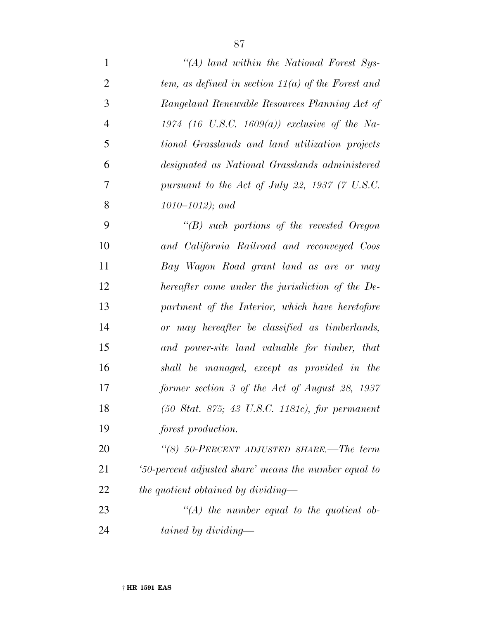| 1              | "(A) land within the National Forest Sys-                           |
|----------------|---------------------------------------------------------------------|
| $\mathfrak{2}$ | tem, as defined in section $11(a)$ of the Forest and                |
| 3              | Rangeland Renewable Resources Planning Act of                       |
| $\overline{4}$ | 1974 (16 U.S.C. 1609(a)) exclusive of the Na-                       |
| 5              | tional Grasslands and land utilization projects                     |
| 6              | designated as National Grasslands administered                      |
| $\tau$         | pursuant to the Act of July 22, 1937 (7 U.S.C.                      |
| 8              | $1010 - 1012$ ); and                                                |
| 9              | $\lq\lq B$ such portions of the revested Oregon                     |
| 10             | and California Railroad and reconveyed Coos                         |
| 11             | Bay Wagon Road grant land as are or may                             |
| 12             | hereafter come under the jurisdiction of the De-                    |
| 13             | partment of the Interior, which have heretofore                     |
| 14             | or may hereafter be classified as timberlands,                      |
| 15             | and power-site land valuable for timber, that                       |
| 16             | shall be managed, except as provided in the                         |
| 17             | former section 3 of the Act of August 28, 1937                      |
| 18             | $(50 \text{ Stat. } 875; 43 \text{ U.S.C. } 1181c)$ , for permanent |
| 19             | forest production.                                                  |
| 20             | "(8) 50-PERCENT ADJUSTED SHARE.—The term                            |
| 21             | 50-percent adjusted share' means the number equal to                |
| 22             | the quotient obtained by dividing—                                  |
| 23             | $\lq (A)$ the number equal to the quotient ob-                      |
| 24             | tained by dividing—                                                 |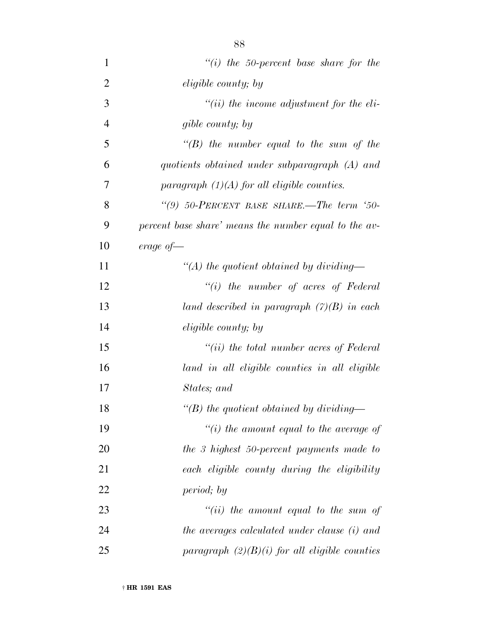| $\mathbf{1}$   | "(i) the 50-percent base share for the                |
|----------------|-------------------------------------------------------|
| $\overline{2}$ | <i>eligible county</i> ; by                           |
| 3              | $``(ii)$ the income adjustment for the eli-           |
| $\overline{4}$ | gible county; by                                      |
| 5              | $\lq\lq(B)$ the number equal to the sum of the        |
| 6              | quotients obtained under subparagraph (A) and         |
| 7              | paragraph $(1)(A)$ for all eligible counties.         |
| 8              | "(9) $50$ -PERCENT BASE SHARE.—The term '50-          |
| 9              | percent base share' means the number equal to the av- |
| 10             | erage of $-$                                          |
| 11             | "(A) the quotient obtained by dividing—               |
| 12             | $``(i)$ the number of acres of Federal                |
| 13             | land described in paragraph $(7)(B)$ in each          |
| 14             | <i>eligible county</i> ; by                           |
| 15             | $``(ii)$ the total number acres of Federal            |
| 16             | land in all eligible counties in all eligible         |
| 17             | States; and                                           |
| 18             | "(B) the quotient obtained by dividing—               |
| 19             | $``(i)$ the amount equal to the average of            |
| 20             | the 3 highest 50-percent payments made to             |
| 21             | each eligible county during the eligibility           |
| 22             | period; by                                            |
| 23             | "(ii) the amount equal to the sum of                  |
| 24             | the averages calculated under clause (i) and          |
| 25             | paragraph $(2)(B)(i)$ for all eligible counties       |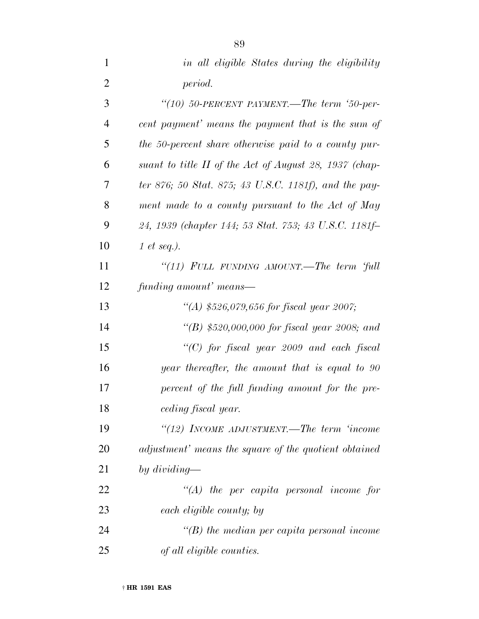| $\mathbf{1}$   | in all eligible States during the eligibility          |
|----------------|--------------------------------------------------------|
| $\overline{2}$ | period.                                                |
| 3              | "(10) 50-PERCENT PAYMENT.—The term '50-per-            |
| $\overline{4}$ | cent payment' means the payment that is the sum of     |
| 5              | the 50-percent share otherwise paid to a county pur-   |
| 6              | suant to title II of the Act of August 28, 1937 (chap- |
| 7              | ter 876; 50 Stat. 875; 43 U.S.C. 1181f), and the pay-  |
| 8              | ment made to a county pursuant to the Act of May       |
| 9              | 24, 1939 (chapter 144; 53 Stat. 753; 43 U.S.C. 1181f-  |
| 10             | 1 et seq.).                                            |
| 11             | "(11) FULL FUNDING AMOUNT.—The term 'full              |
| 12             | funding amount' means—                                 |
| 13             | "(A) \$526,079,656 for fiscal year 2007;               |
| 14             | "(B) \$520,000,000 for fiscal year 2008; and           |
| 15             | "(C) for fiscal year 2009 and each fiscal              |
| 16             | year thereafter, the amount that is equal to 90        |
| 17             | percent of the full funding amount for the pre-        |
| 18             | ceding fiscal year.                                    |
| 19             | "(12) INCOME ADJUSTMENT.—The term 'income              |
| 20             | adjustment' means the square of the quotient obtained  |
| 21             | by dividing—                                           |
| 22             | $\lq (A)$ the per capita personal income for           |
| 23             | each eligible county; by                               |
| 24             | $\lq\lq(B)$ the median per capita personal income      |
| 25             | of all eligible counties.                              |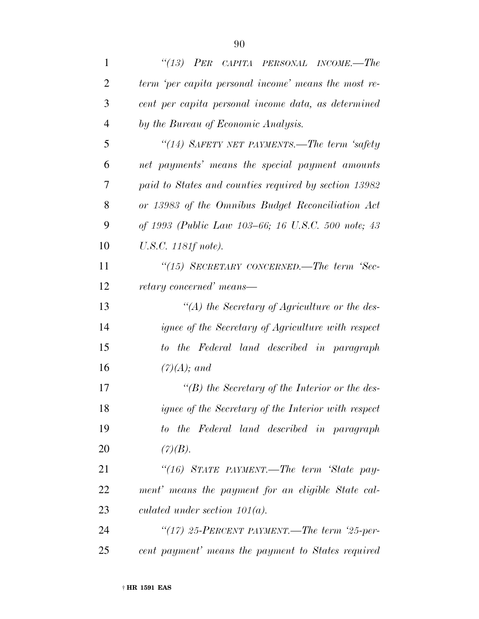| $\mathbf{1}$   | "(13) $PER$ CAPITA PERSONAL INCOME.—The               |
|----------------|-------------------------------------------------------|
| $\overline{2}$ | term 'per capita personal income' means the most re-  |
| 3              | cent per capita personal income data, as determined   |
| $\overline{4}$ | by the Bureau of Economic Analysis.                   |
| 5              | "(14) SAFETY NET PAYMENTS.—The term 'safety           |
| 6              | net payments' means the special payment amounts       |
| 7              | paid to States and counties required by section 13982 |
| 8              | or 13983 of the Omnibus Budget Reconciliation Act     |
| 9              | of 1993 (Public Law 103–66; 16 U.S.C. 500 note; 43    |
| 10             | U.S.C. 1181f note).                                   |
| 11             | "(15) SECRETARY CONCERNED.—The term 'Sec-             |
| 12             | retary concerned' means—                              |
| 13             | "(A) the Secretary of Agriculture or the des-         |
| 14             | ignee of the Secretary of Agriculture with respect    |
| 15             | to the Federal land described in paragraph            |
| 16             | $(7)(A);$ and                                         |
| 17             | $\lq\lq(B)$ the Secretary of the Interior or the des- |
| 18             | ignee of the Secretary of the Interior with respect   |
| 19             | to the Federal land described in paragraph            |
| 20             | (7)(B).                                               |
| 21             | "(16) STATE PAYMENT.—The term 'State pay-             |
| 22             | ment' means the payment for an eligible State cal-    |
| 23             | culated under section $101(a)$ .                      |
| 24             | "(17) 25-PERCENT PAYMENT.—The term '25-per-           |
| 25             | cent payment' means the payment to States required    |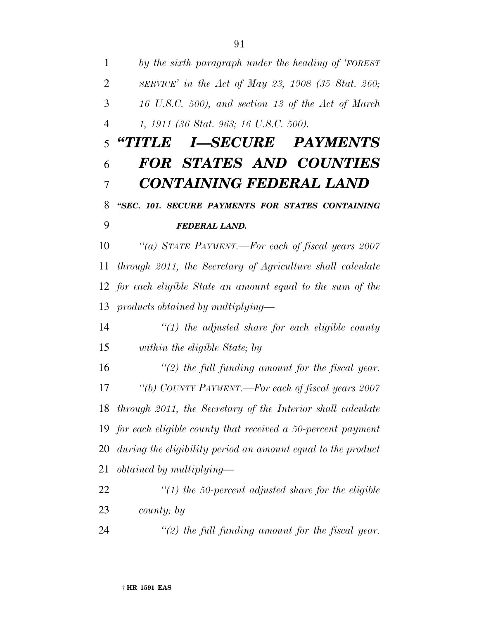*by the sixth paragraph under the heading of 'FOREST SERVICE' in the Act of May 23, 1908 (35 Stat. 260; 16 U.S.C. 500), and section 13 of the Act of March 1, 1911 (36 Stat. 963; 16 U.S.C. 500).*

## *''TITLE I—SECURE PAYMENTS FOR STATES AND COUNTIES CONTAINING FEDERAL LAND ''SEC. 101. SECURE PAYMENTS FOR STATES CONTAINING*

#### *FEDERAL LAND.*

 *''(a) STATE PAYMENT.—For each of fiscal years 2007 through 2011, the Secretary of Agriculture shall calculate for each eligible State an amount equal to the sum of the products obtained by multiplying—*

 *''(1) the adjusted share for each eligible county within the eligible State; by*

 *''(2) the full funding amount for the fiscal year. ''(b) COUNTY PAYMENT.—For each of fiscal years 2007 through 2011, the Secretary of the Interior shall calculate for each eligible county that received a 50-percent payment during the eligibility period an amount equal to the product obtained by multiplying—*

 *''(1) the 50-percent adjusted share for the eligible county; by*

*''(2) the full funding amount for the fiscal year.*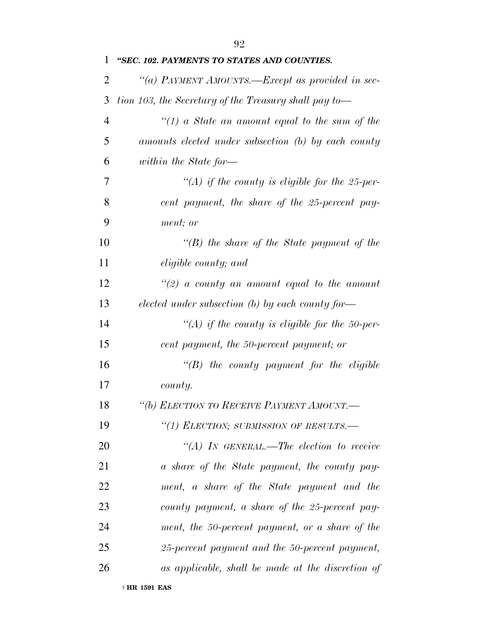| 1              | "SEC. 102. PAYMENTS TO STATES AND COUNTIES.           |
|----------------|-------------------------------------------------------|
| $\overline{2}$ | "(a) PAYMENT AMOUNTS.—Except as provided in sec-      |
| 3              | tion 103, the Secretary of the Treasury shall pay to— |
| $\overline{4}$ | "(1) a State an amount equal to the sum of the        |
| 5              | amounts elected under subsection (b) by each county   |
| 6              | within the State for-                                 |
| 7              | "(A) if the county is eligible for the 25-per-        |
| 8              | cent payment, the share of the 25-percent pay-        |
| 9              | ment; or                                              |
| 10             | $\lq\lq(B)$ the share of the State payment of the     |
| 11             | <i>eligible county; and</i>                           |
| 12             | $\lq(2)$ a county an amount equal to the amount       |
| 13             | elected under subsection $(b)$ by each county for-    |
| 14             | $\lq (A)$ if the county is eligible for the 50-per-   |
| 15             | cent payment, the 50-percent payment; or              |
| 16             | $\lq\lq B$ the county payment for the eligible        |
| 17             | county.                                               |
| 18             | "(b) ELECTION TO RECEIVE PAYMENT AMOUNT.-             |
| 19             | "(1) ELECTION; SUBMISSION OF RESULTS.-                |
| 20             | "(A) IN GENERAL.—The election to receive              |
| 21             | a share of the State payment, the county pay-         |
| 22             | ment, a share of the State payment and the            |
| 23             | county payment, a share of the 25-percent pay-        |
| 24             | ment, the 50-percent payment, or a share of the       |
| 25             | 25-percent payment and the 50-percent payment,        |
| 26             | as applicable, shall be made at the discretion of     |
|                |                                                       |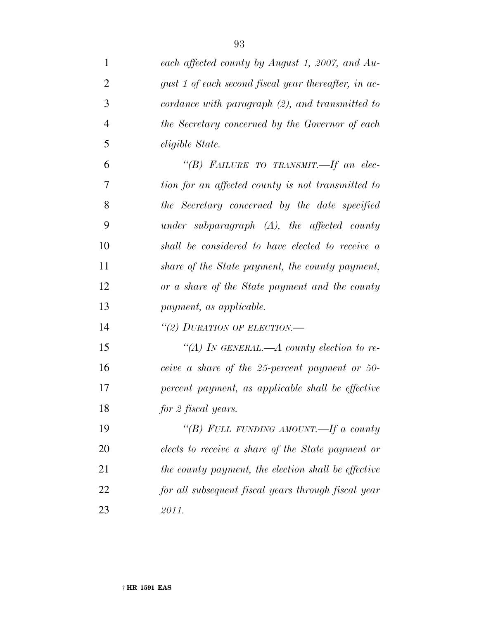| $\mathbf{1}$   | each affected county by August 1, 2007, and Au-      |
|----------------|------------------------------------------------------|
| $\overline{2}$ | gust 1 of each second fiscal year thereafter, in ac- |
| 3              | cordance with paragraph $(2)$ , and transmitted to   |
| $\overline{4}$ | the Secretary concerned by the Governor of each      |
| 5              | eligible State.                                      |
| 6              | "(B) FAILURE TO TRANSMIT.-If an elec-                |
| 7              | tion for an affected county is not transmitted to    |
| 8              | the Secretary concerned by the date specified        |
| 9              | under subparagraph $(A)$ , the affected county       |
| 10             | shall be considered to have elected to receive a     |
| 11             | share of the State payment, the county payment,      |
| 12             | or a share of the State payment and the county       |
| 13             | payment, as applicable.                              |
| 14             | "(2) DURATION OF ELECTION.—                          |
| 15             | "(A) In GENERAL.—A county election to re-            |
| 16             | ceive a share of the 25-percent payment or 50-       |
| 17             | percent payment, as applicable shall be effective    |
| 18             | for 2 fiscal years.                                  |
| 19             | "(B) FULL FUNDING AMOUNT.—If a county                |
| 20             | elects to receive a share of the State payment or    |
| 21             | the county payment, the election shall be effective  |
| 22             | for all subsequent fiscal years through fiscal year  |
| 23             | 2011.                                                |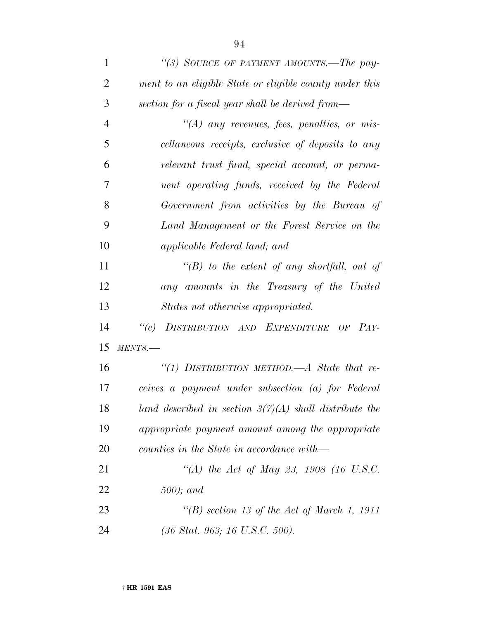| $\mathbf{1}$   | "(3) SOURCE OF PAYMENT AMOUNTS.—The pay-                 |
|----------------|----------------------------------------------------------|
| $\overline{2}$ | ment to an eligible State or eligible county under this  |
| 3              | section for a fiscal year shall be derived from—         |
| $\overline{4}$ | $\lq (A)$ any revenues, fees, penalties, or mis-         |
| 5              | cellaneous receipts, exclusive of deposits to any        |
| 6              | relevant trust fund, special account, or perma-          |
| 7              | nent operating funds, received by the Federal            |
| 8              | Government from activities by the Bureau of              |
| 9              | Land Management or the Forest Service on the             |
| 10             | applicable Federal land; and                             |
| 11             | $\lq\lq(B)$ to the extent of any shortfall, out of       |
| 12             | any amounts in the Treasury of the United                |
| 13             | States not otherwise appropriated.                       |
| 14             | DISTRIBUTION AND EXPENDITURE OF PAY-<br>$\lq(c)$         |
| 15             | MENTS.                                                   |
| 16             | "(1) DISTRIBUTION METHOD.—A State that re-               |
| 17             | ceives a payment under subsection (a) for Federal        |
| 18             | land described in section $3(7)(A)$ shall distribute the |
| 19             | appropriate payment amount among the appropriate         |
| 20             | counties in the State in accordance with—                |
| 21             | "(A) the Act of May 23, 1908 (16 U.S.C.                  |
| 22             | $500$ ); and                                             |
| 23             | "(B) section 13 of the Act of March 1, 1911              |
|                |                                                          |

*(36 Stat. 963; 16 U.S.C. 500).*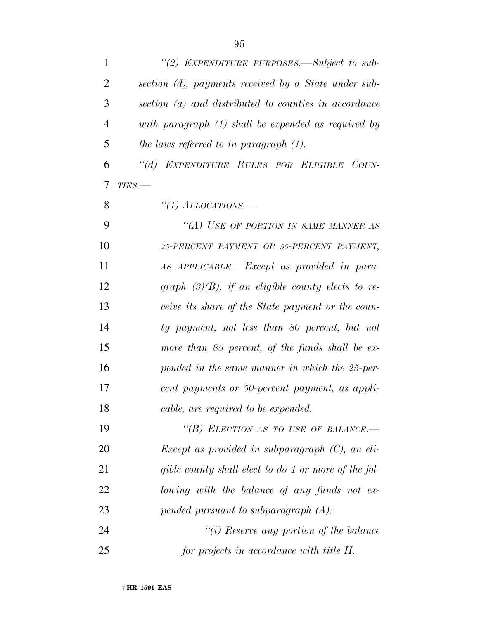| $\mathbf{1}$   | "(2) EXPENDITURE PURPOSES.—Subject to sub-            |
|----------------|-------------------------------------------------------|
| $\overline{2}$ | section (d), payments received by a State under sub-  |
| 3              | section (a) and distributed to counties in accordance |
| 4              | with paragraph (1) shall be expended as required by   |
| 5              | the laws referred to in paragraph $(1)$ .             |
| 6              | "(d) EXPENDITURE RULES FOR ELIGIBLE COUN-             |
| 7              | $TIES$ .                                              |
| 8              | "(1) ALLOCATIONS.—                                    |
| 9              | "(A) USE OF PORTION IN SAME MANNER AS                 |
| 10             | 25-PERCENT PAYMENT OR 50-PERCENT PAYMENT,             |
| 11             | AS APPLICABLE.—Except as provided in para-            |
| 12             | graph $(3)(B)$ , if an eligible county elects to re-  |
| 13             | ceive its share of the State payment or the coun-     |
| 14             | ty payment, not less than 80 percent, but not         |
| 15             | more than 85 percent, of the funds shall be ex-       |
| 16             | pended in the same manner in which the 25-per-        |
| 17             | cent payments or 50-percent payment, as appli-        |
| 18             | cable, are required to be expended.                   |
| 19             | "(B) ELECTION AS TO USE OF BALANCE.—                  |
| 20             | Except as provided in subparagraph $(C)$ , an eli-    |
| 21             | gible county shall elect to do 1 or more of the fol-  |
| 22             | lowing with the balance of any funds not ex-          |
| 23             | pended pursuant to subparagraph $(A)$ :               |
| 24             | "(i) Reserve any portion of the balance               |
| 25             | for projects in accordance with title II.             |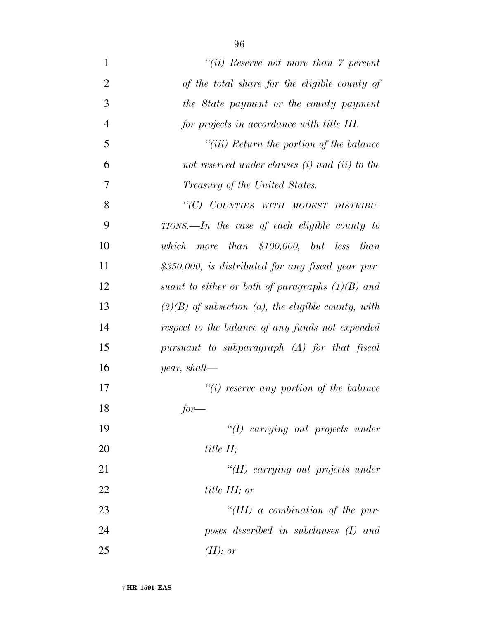| $\mathbf{1}$   | "(ii) Reserve not more than $\gamma$ percent          |
|----------------|-------------------------------------------------------|
| $\overline{2}$ | of the total share for the eligible county of         |
| 3              | the State payment or the county payment               |
| $\overline{4}$ | for projects in accordance with title III.            |
| 5              | $``(iii)$ Return the portion of the balance           |
| 6              | not reserved under clauses $(i)$ and $(ii)$ to the    |
| 7              | Treasury of the United States.                        |
| 8              | "(C) COUNTIES WITH MODEST DISTRIBU-                   |
| 9              | $TIONS. - In$ the case of each eligible county to     |
| 10             | more than \$100,000, but less than<br>which           |
| 11             | \$350,000, is distributed for any fiscal year pur-    |
| 12             | suant to either or both of paragraphs $(1)(B)$ and    |
| 13             | $(2)(B)$ of subsection (a), the eligible county, with |
| 14             | respect to the balance of any funds not expended      |
| 15             | pursuant to subparagraph (A) for that fiscal          |
| 16             | <i>year</i> , shall—                                  |
| 17             | $``(i)$ reserve any portion of the balance            |
| 18             | $for-$                                                |
| 19             | "(I) carrying out projects under                      |
| <b>20</b>      | title $II$ ;                                          |
| 21             | "(II) carrying out projects under                     |
| 22             | title III; or                                         |
| 23             | "(III) a combination of the pur-                      |
| 24             | poses described in subclauses (I) and                 |
| 25             | $(II)$ ; or                                           |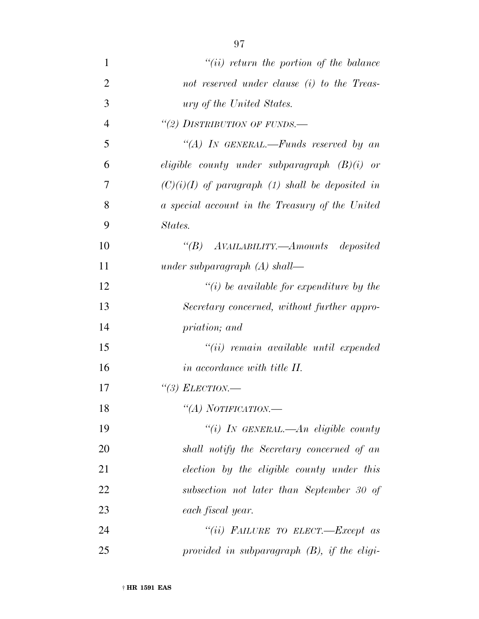| $\mathbf{1}$   | $``(ii)$ return the portion of the balance         |
|----------------|----------------------------------------------------|
| $\overline{2}$ | not reserved under clause (i) to the Treas-        |
| 3              | <i>ury of the United States.</i>                   |
| $\overline{4}$ | "(2) DISTRIBUTION OF FUNDS.-                       |
| 5              | "(A) IN GENERAL.—Funds reserved by an              |
| 6              | eligible county under subparagraph $(B)(i)$ or     |
| 7              | $(C)(i)(I)$ of paragraph (1) shall be deposited in |
| 8              | a special account in the Treasury of the United    |
| 9              | States.                                            |
| 10             | "(B) AVAILABILITY.—Amounts deposited               |
| 11             | under subparagraph $(A)$ shall—                    |
| 12             | $\lq\lq(i)$ be available for expenditure by the    |
| 13             | Secretary concerned, without further appro-        |
| 14             | priation; and                                      |
| 15             | $``(ii)$ remain available until expended           |
| 16             | in accordance with title II.                       |
| 17             | "(3) ELECTION.—                                    |
| 18             | "(A) NOTIFICATION.—                                |
| 19             | "(i) IN GENERAL.—An eligible county                |
| 20             | shall notify the Secretary concerned of an         |
| 21             | election by the eligible county under this         |
| 22             | subsection not later than September 30 of          |
| 23             | each fiscal year.                                  |
| 24             | "(ii) FAILURE TO ELECT.—Except as                  |
| 25             | provided in subparagraph $(B)$ , if the eligi-     |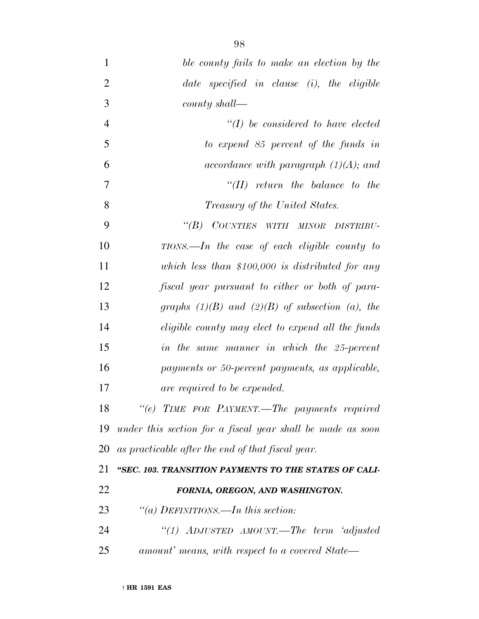| $\mathbf{1}$   | ble county fails to make an election by the                |
|----------------|------------------------------------------------------------|
| $\overline{2}$ | date specified in clause $(i)$ , the eligible              |
| 3              | county shall—                                              |
| $\overline{4}$ | $\lq (I)$ be considered to have elected                    |
| 5              | to expend $85$ percent of the funds in                     |
| 6              | accordance with paragraph $(1)(A)$ ; and                   |
| 7              | $``(II)$ return the balance to the                         |
| 8              | <i>Treasury of the United States.</i>                      |
| 9              | "(B) COUNTIES WITH MINOR DISTRIBU-                         |
| 10             | $TIONS. - In$ the case of each eligible county to          |
| 11             | which less than \$100,000 is distributed for any           |
| 12             | fiscal year pursuant to either or both of para-            |
| 13             | graphs $(1)(B)$ and $(2)(B)$ of subsection (a), the        |
| 14             | eligible county may elect to expend all the funds          |
|                |                                                            |
| 15             | in the same manner in which the 25-percent                 |
| 16             | payments or 50-percent payments, as applicable,            |
| 17             | are required to be expended.                               |
| 18             | "(e) TIME FOR PAYMENT.—The payments required               |
| 19             | under this section for a fiscal year shall be made as soon |
| 20             | as practicable after the end of that fiscal year.          |
| 21             | "SEC. 103. TRANSITION PAYMENTS TO THE STATES OF CALI-      |
| 22             | FORNIA, OREGON, AND WASHINGTON.                            |
| 23             | "(a) DEFINITIONS.—In this section:                         |
| 24             | "(1) ADJUSTED AMOUNT.—The term 'adjusted                   |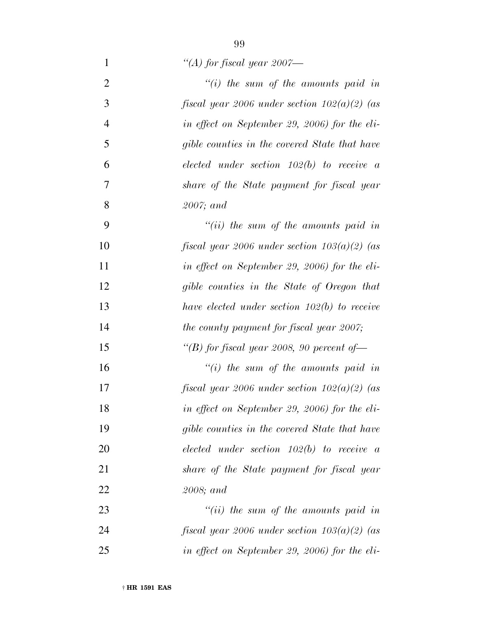*''(A) for fiscal year 2007—*

| $\overline{2}$ | $\lq\lq(i)$ the sum of the amounts paid in     |
|----------------|------------------------------------------------|
| 3              | fiscal year 2006 under section $102(a)(2)$ (as |
| $\overline{4}$ | in effect on September 29, 2006) for the eli-  |
| 5              | gible counties in the covered State that have  |
| 6              | elected under section $102(b)$ to receive a    |
| 7              | share of the State payment for fiscal year     |
| 8              | $2007$ ; and                                   |
| 9              | $``(ii)$ the sum of the amounts paid in        |
| 10             | fiscal year 2006 under section $103(a)(2)$ (as |
| 11             | in effect on September 29, 2006) for the eli-  |
| 12             | gible counties in the State of Oregon that     |
| 13             | have elected under section $102(b)$ to receive |
| 14             | the county payment for fiscal year 2007;       |
| 15             | "(B) for fiscal year 2008, 90 percent of $-$   |
| 16             | $\lq\lq(i)$ the sum of the amounts paid in     |
| 17             | fiscal year 2006 under section $102(a)(2)$ (as |
| 18             | in effect on September 29, 2006) for the eli-  |
| 19             | gible counties in the covered State that have  |
| 20             | elected under section $102(b)$ to receive a    |
| 21             | share of the State payment for fiscal year     |
| 22             | 2008; and                                      |
| 23             | $``(ii)$ the sum of the amounts paid in        |
| 24             | fiscal year 2006 under section $103(a)(2)$ (as |
| 25             | in effect on September 29, 2006) for the eli-  |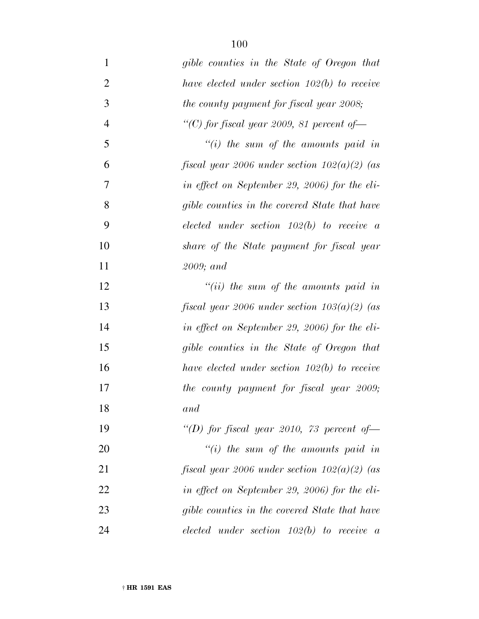| $\mathbf{1}$   | gible counties in the State of Oregon that     |
|----------------|------------------------------------------------|
| $\overline{2}$ | have elected under section $102(b)$ to receive |
| 3              | the county payment for fiscal year 2008;       |
| $\overline{4}$ | "(C) for fiscal year 2009, 81 percent of $-$   |
| 5              | "(i) the sum of the amounts paid in            |
| 6              | fiscal year 2006 under section $102(a)(2)$ (as |
| 7              | in effect on September 29, 2006) for the eli-  |
| 8              | gible counties in the covered State that have  |
| 9              | elected under section $102(b)$ to receive a    |
| 10             | share of the State payment for fiscal year     |
| 11             | $2009$ ; and                                   |
| 12             | $``(ii)$ the sum of the amounts paid in        |
| 13             | fiscal year 2006 under section $103(a)(2)$ (as |
| 14             | in effect on September 29, 2006) for the eli-  |
| 15             | gible counties in the State of Oregon that     |
| 16             | have elected under section $102(b)$ to receive |
| 17             | the county payment for fiscal year 2009;       |
| 18             | and                                            |
| 19             | "(D) for fiscal year 2010, 73 percent of       |
| 20             | "(i) the sum of the amounts paid in            |
| 21             | fiscal year 2006 under section $102(a)(2)$ (as |
| 22             | in effect on September 29, 2006) for the eli-  |
| 23             | gible counties in the covered State that have  |
| 24             | $elected$ under section $102(b)$ to receive a  |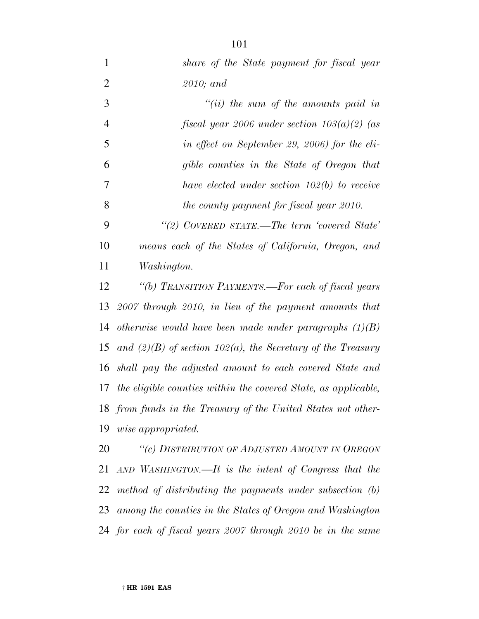*share of the State payment for fiscal year 2010; and ''(ii) the sum of the amounts paid in fiscal year 2006 under section 103(a)(2) (as in effect on September 29, 2006) for the eli- gible counties in the State of Oregon that have elected under section 102(b) to receive the county payment for fiscal year 2010. ''(2) COVERED STATE.—The term 'covered State' means each of the States of California, Oregon, and Washington. ''(b) TRANSITION PAYMENTS.—For each of fiscal years 2007 through 2010, in lieu of the payment amounts that otherwise would have been made under paragraphs (1)(B) and (2)(B) of section 102(a), the Secretary of the Treasury shall pay the adjusted amount to each covered State and the eligible counties within the covered State, as applicable, from funds in the Treasury of the United States not other- wise appropriated. ''(c) DISTRIBUTION OF ADJUSTED AMOUNT IN OREGON*

 *AND WASHINGTON.—It is the intent of Congress that the method of distributing the payments under subsection (b) among the counties in the States of Oregon and Washington for each of fiscal years 2007 through 2010 be in the same*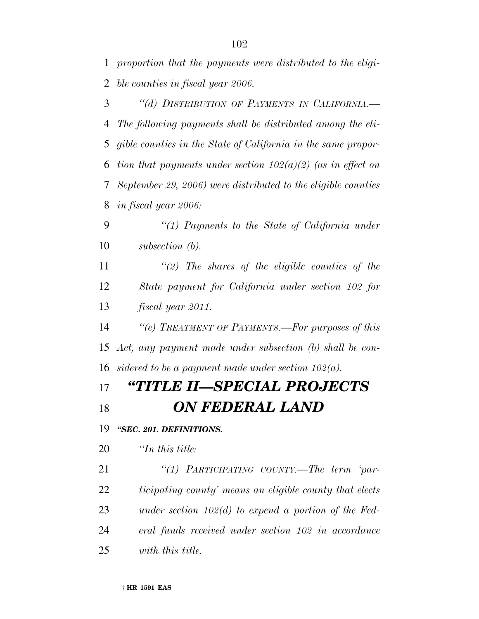*proportion that the payments were distributed to the eligi-ble counties in fiscal year 2006.*

 *''(d) DISTRIBUTION OF PAYMENTS IN CALIFORNIA.— The following payments shall be distributed among the eli- gible counties in the State of California in the same propor- tion that payments under section 102(a)(2) (as in effect on September 29, 2006) were distributed to the eligible counties in fiscal year 2006:*

 *''(1) Payments to the State of California under subsection (b).*

 *''(2) The shares of the eligible counties of the State payment for California under section 102 for fiscal year 2011.*

 *''(e) TREATMENT OF PAYMENTS.—For purposes of this Act, any payment made under subsection (b) shall be con-sidered to be a payment made under section 102(a).*

## *''TITLE II—SPECIAL PROJECTS ON FEDERAL LAND*

*''SEC. 201. DEFINITIONS.*

*''In this title:*

 *''(1) PARTICIPATING COUNTY.—The term 'par- ticipating county' means an eligible county that elects under section 102(d) to expend a portion of the Fed- eral funds received under section 102 in accordance with this title.*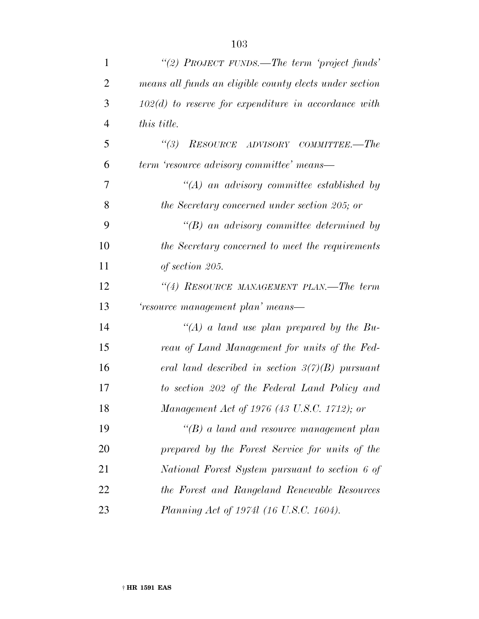| $\mathbf{1}$   | "(2) PROJECT FUNDS.—The term 'project funds'            |
|----------------|---------------------------------------------------------|
| $\overline{2}$ | means all funds an eligible county elects under section |
| 3              | $102(d)$ to reserve for expenditure in accordance with  |
| $\overline{4}$ | this title.                                             |
| 5              | (3)<br>RESOURCE ADVISORY COMMITTEE.-The                 |
| 6              | term 'resource advisory committee' means—               |
| 7              | $\lq\lq (A)$ an advisory committee established by       |
| 8              | the Secretary concerned under section 205; or           |
| 9              | $\lq\lq B$ an advisory committee determined by          |
| 10             | the Secretary concerned to meet the requirements        |
| 11             | of section 205.                                         |
| 12             | "(4) RESOURCE MANAGEMENT PLAN.—The term                 |
| 13             | 'resource management plan' means—                       |
| 14             | "(A) a land use plan prepared by the Bu-                |
| 15             | reau of Land Management for units of the Fed-           |
| 16             | eral land described in section $3(7)(B)$ pursuant       |
| 17             | to section 202 of the Federal Land Policy and           |
| 18             | Management Act of 1976 (43 U.S.C. 1712); or             |
| 19             | $\lq\lq(B)$ a land and resource management plan         |
| 20             | prepared by the Forest Service for units of the         |
| 21             | National Forest System pursuant to section 6 of         |
| 22             | the Forest and Rangeland Renewable Resources            |
| 23             | Planning Act of 1974l (16 U.S.C. 1604).                 |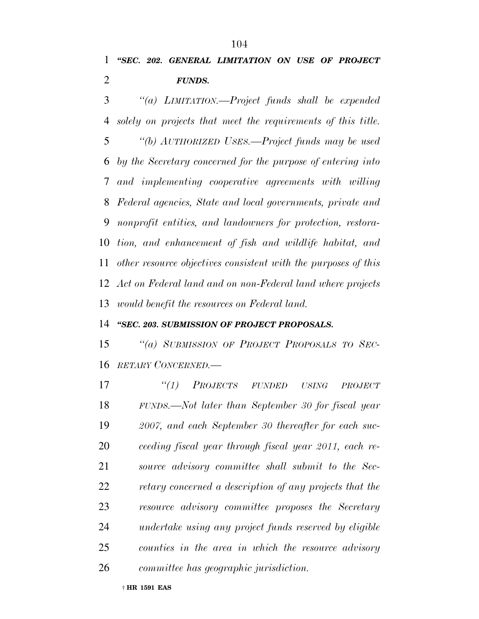*''SEC. 202. GENERAL LIMITATION ON USE OF PROJECT FUNDS.*

 *''(a) LIMITATION.—Project funds shall be expended solely on projects that meet the requirements of this title. ''(b) AUTHORIZED USES.—Project funds may be used by the Secretary concerned for the purpose of entering into and implementing cooperative agreements with willing Federal agencies, State and local governments, private and nonprofit entities, and landowners for protection, restora- tion, and enhancement of fish and wildlife habitat, and other resource objectives consistent with the purposes of this Act on Federal land and on non-Federal land where projects would benefit the resources on Federal land.*

#### *''SEC. 203. SUBMISSION OF PROJECT PROPOSALS.*

 *''(a) SUBMISSION OF PROJECT PROPOSALS TO SEC-RETARY CONCERNED.—*

 *''(1) PROJECTS FUNDED USING PROJECT FUNDS.—Not later than September 30 for fiscal year 2007, and each September 30 thereafter for each suc- ceeding fiscal year through fiscal year 2011, each re- source advisory committee shall submit to the Sec- retary concerned a description of any projects that the resource advisory committee proposes the Secretary undertake using any project funds reserved by eligible counties in the area in which the resource advisory committee has geographic jurisdiction.*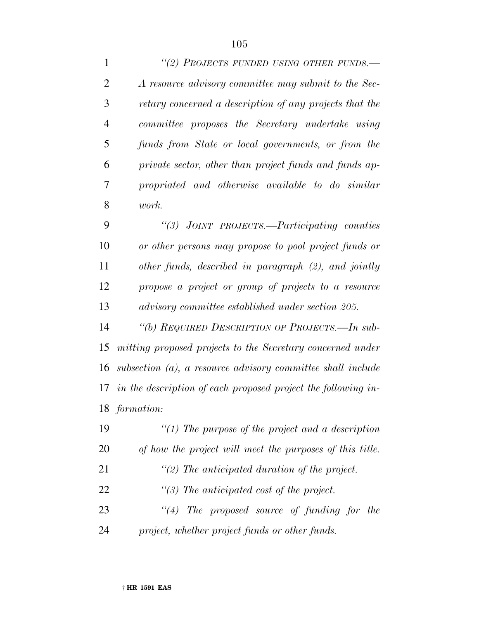*''(2) PROJECTS FUNDED USING OTHER FUNDS.— A resource advisory committee may submit to the Sec- retary concerned a description of any projects that the committee proposes the Secretary undertake using funds from State or local governments, or from the private sector, other than project funds and funds ap- propriated and otherwise available to do similar work.*

 *''(3) JOINT PROJECTS.—Participating counties or other persons may propose to pool project funds or other funds, described in paragraph (2), and jointly propose a project or group of projects to a resource advisory committee established under section 205.*

 *''(b) REQUIRED DESCRIPTION OF PROJECTS.—In sub- mitting proposed projects to the Secretary concerned under subsection (a), a resource advisory committee shall include in the description of each proposed project the following in-formation:*

 *''(1) The purpose of the project and a description of how the project will meet the purposes of this title.*

*''(2) The anticipated duration of the project.*

*''(3) The anticipated cost of the project.*

 *''(4) The proposed source of funding for the project, whether project funds or other funds.*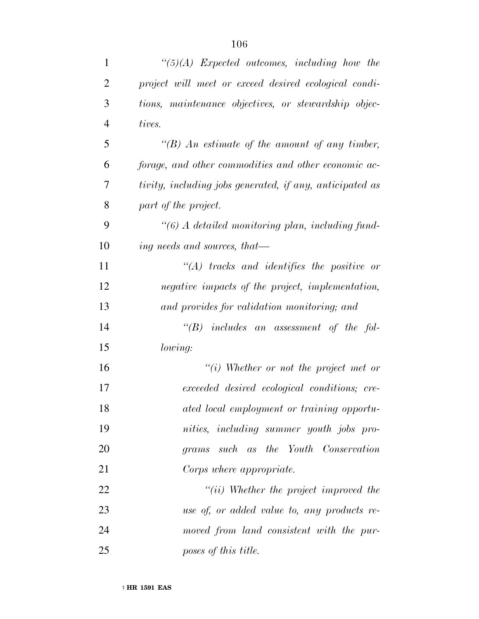| $\mathbf{1}$   | $\lq(5)(A)$ Expected outcomes, including how the         |
|----------------|----------------------------------------------------------|
| $\overline{2}$ | project will meet or exceed desired ecological condi-    |
| 3              | tions, maintenance objectives, or stewardship objec-     |
| $\overline{4}$ | tives.                                                   |
| 5              | "(B) An estimate of the amount of any timber,            |
| 6              | forage, and other commodities and other economic ac-     |
| 7              | tivity, including jobs generated, if any, anticipated as |
| 8              | part of the project.                                     |
| 9              | $\lq(6)$ A detailed monitoring plan, including fund-     |
| 10             | ing needs and sources, that—                             |
| 11             | $\lq\lq (A)$ tracks and identifies the positive or       |
| 12             | negative impacts of the project, implementation,         |
| 13             | and provides for validation monitoring; and              |
| 14             | $\lq\lq B$ includes an assessment of the fol-            |
| 15             | lowing:                                                  |
| 16             | "(i) Whether or not the project met or                   |
| 17             | exceeded desired ecological conditions; cre-             |
| 18             | ated local employment or training opportu-               |
| 19             | nities, including summer youth jobs pro-                 |
| 20             | grams such as the Youth Conservation                     |
| 21             | Corps where appropriate.                                 |
| 22             | $``(ii)$ Whether the project improved the                |
| 23             | use of, or added value to, any products re-              |
| 24             | moved from land consistent with the pur-                 |
| 25             | poses of this title.                                     |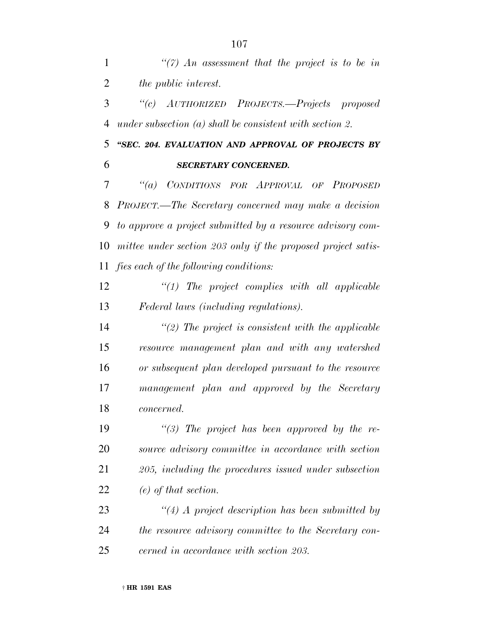*''(7) An assessment that the project is to be in the public interest.*

 *''(c) AUTHORIZED PROJECTS.—Projects proposed under subsection (a) shall be consistent with section 2.*

 *''SEC. 204. EVALUATION AND APPROVAL OF PROJECTS BY SECRETARY CONCERNED.*

 *''(a) CONDITIONS FOR APPROVAL OF PROPOSED PROJECT.—The Secretary concerned may make a decision to approve a project submitted by a resource advisory com- mittee under section 203 only if the proposed project satis-fies each of the following conditions:*

 *''(1) The project complies with all applicable Federal laws (including regulations).*

 *''(2) The project is consistent with the applicable resource management plan and with any watershed or subsequent plan developed pursuant to the resource management plan and approved by the Secretary concerned.*

 *''(3) The project has been approved by the re- source advisory committee in accordance with section 205, including the procedures issued under subsection (e) of that section.*

 *''(4) A project description has been submitted by the resource advisory committee to the Secretary con-cerned in accordance with section 203.*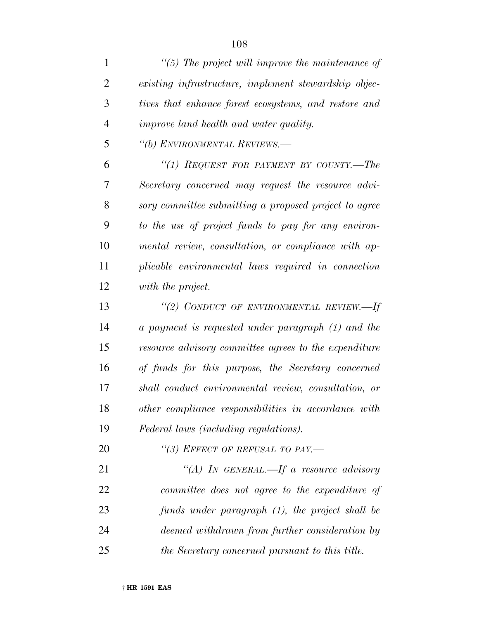| 1              | $\lq(5)$ The project will improve the maintenance of  |
|----------------|-------------------------------------------------------|
| $\overline{2}$ | existing infrastructure, implement stewardship objec- |
| 3              | tives that enhance forest ecosystems, and restore and |
| $\overline{4}$ | <i>improve land health and water quality.</i>         |
| 5              | "(b) ENVIRONMENTAL REVIEWS.—                          |
| 6              | "(1) REQUEST FOR PAYMENT BY COUNTY.—The               |
| 7              | Secretary concerned may request the resource advi-    |
| 8              | sory committee submitting a proposed project to agree |
| 9              | to the use of project funds to pay for any environ-   |
| 10             | mental review, consultation, or compliance with ap-   |
| 11             | plicable environmental laws required in connection    |
| 12             | with the project.                                     |
| 13             | "(2) CONDUCT OF ENVIRONMENTAL REVIEW.—If              |
| 14             | a payment is requested under paragraph (1) and the    |
| 15             | resource advisory committee agrees to the expenditure |
| 16             | of funds for this purpose, the Secretary concerned    |
| 17             | shall conduct environmental review, consultation, or  |
| 18             | other compliance responsibilities in accordance with  |
| 19             | Federal laws (including regulations).                 |
| 20             | "(3) EFFECT OF REFUSAL TO PAY.-                       |
| 21             | "(A) IN GENERAL.—If a resource advisory               |
| 22             | committee does not agree to the expenditure of        |
| 23             | funds under paragraph (1), the project shall be       |
| 24             | deemed withdrawn from further consideration by        |
| 25             | the Secretary concerned pursuant to this title.       |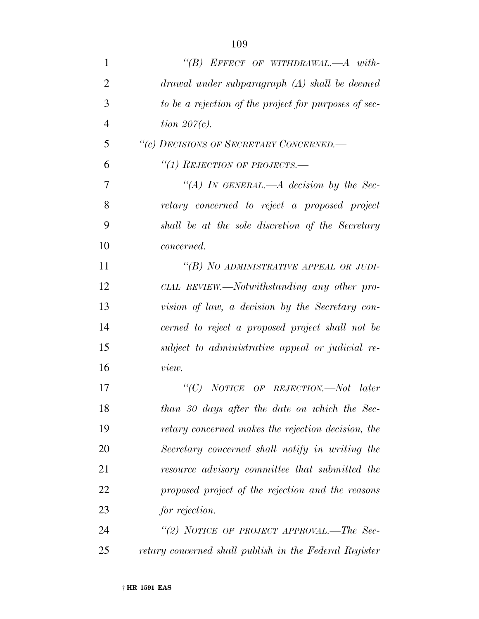| $\mathbf{1}$   | "(B) EFFECT OF WITHDRAWAL.— $A$ with-                 |
|----------------|-------------------------------------------------------|
| $\overline{2}$ | drawal under subparagraph (A) shall be deemed         |
| 3              | to be a rejection of the project for purposes of sec- |
| 4              | tion $207(c)$ .                                       |
| 5              | "(c) DECISIONS OF SECRETARY CONCERNED.-               |
| 6              | "(1) REJECTION OF PROJECTS.—                          |
| 7              | "(A) IN GENERAL.—A decision by the Sec-               |
| 8              | retary concerned to reject a proposed project         |
| 9              | shall be at the sole discretion of the Secretary      |
| 10             | <i>concerned.</i>                                     |
| 11             | "(B) NO ADMINISTRATIVE APPEAL OR JUDI-                |
| 12             | CIAL REVIEW.—Notwithstanding any other pro-           |
| 13             | vision of law, a decision by the Secretary con-       |
| 14             | cerned to reject a proposed project shall not be      |
| 15             | subject to administrative appeal or judicial re-      |
| 16             | view.                                                 |
| 17             | "(C) NOTICE OF REJECTION.—Not later                   |
| 18             | than 30 days after the date on which the Sec-         |
| 19             | retary concerned makes the rejection decision, the    |
| 20             | Secretary concerned shall notify in writing the       |
| 21             | resource advisory committee that submitted the        |
| 22             | proposed project of the rejection and the reasons     |
| 23             | for rejection.                                        |
| 24             | "(2) NOTICE OF PROJECT APPROVAL.—The Sec-             |
|                |                                                       |

*retary concerned shall publish in the Federal Register*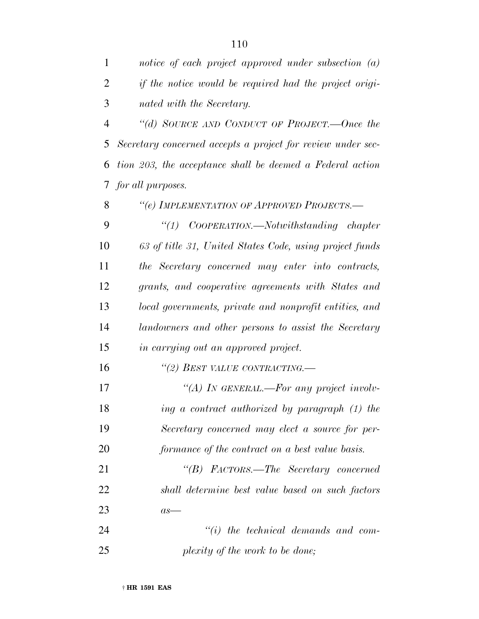*notice of each project approved under subsection (a) if the notice would be required had the project origi-nated with the Secretary.*

 *''(d) SOURCE AND CONDUCT OF PROJECT.—Once the Secretary concerned accepts a project for review under sec- tion 203, the acceptance shall be deemed a Federal action for all purposes.*

*''(e) IMPLEMENTATION OF APPROVED PROJECTS.—*

 *''(1) COOPERATION.—Notwithstanding chapter 63 of title 31, United States Code, using project funds the Secretary concerned may enter into contracts, grants, and cooperative agreements with States and local governments, private and nonprofit entities, and landowners and other persons to assist the Secretary in carrying out an approved project.*

*''(2) BEST VALUE CONTRACTING.—*

 *''(A) IN GENERAL.—For any project involv- ing a contract authorized by paragraph (1) the Secretary concerned may elect a source for per-formance of the contract on a best value basis.*

 *''(B) FACTORS.—The Secretary concerned shall determine best value based on such factors as—*

 *''(i) the technical demands and com-plexity of the work to be done;*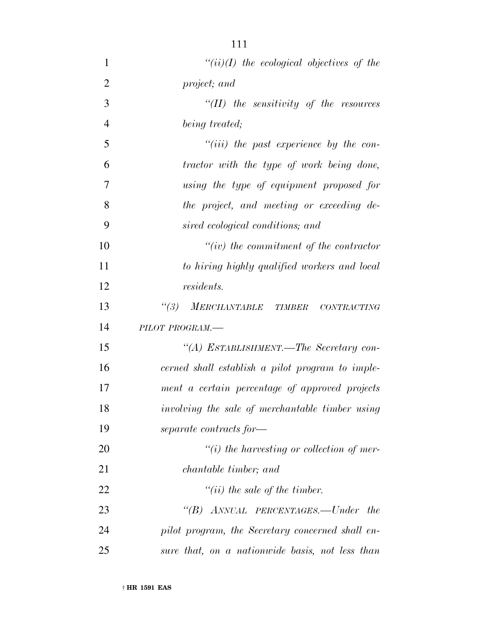| $\mathbf{1}$   | $``(ii)(I)$ the ecological objectives of the               |
|----------------|------------------------------------------------------------|
| $\overline{2}$ | project; and                                               |
| 3              | $``(II)$ the sensitivity of the resources                  |
| $\overline{4}$ | being treated;                                             |
| 5              | $``(iii)$ the past experience by the con-                  |
| 6              | tractor with the type of work being done,                  |
| 7              | using the type of equipment proposed for                   |
| 8              | the project, and meeting or exceeding de-                  |
| 9              | sired ecological conditions; and                           |
| 10             | $``(iv)$ the commitment of the contractor                  |
| 11             | to hiring highly qualified workers and local               |
| 12             | <i>residents.</i>                                          |
| 13             | MERCHANTABLE TIMBER<br>$\frac{1}{3}$<br><b>CONTRACTING</b> |
| 14             | PILOT PROGRAM.-                                            |
| 15             | "(A) ESTABLISHMENT.—The Secretary con-                     |
| 16             | cerned shall establish a pilot program to imple-           |
| 17             | ment a certain percentage of approved projects             |
| 18             | involving the sale of merchantable timber using            |
| 19             | separate contracts for-                                    |
| 20             | $\lq\lq(i)$ the harvesting or collection of mer-           |
| 21             | <i>chantable timber</i> ; and                              |
| 22             | $"(ii)$ the sale of the timber.                            |
| 23             | "(B) ANNUAL PERCENTAGES.—Under the                         |
| 24             | pilot program, the Secretary concerned shall en-           |
| 25             | sure that, on a nationwide basis, not less than            |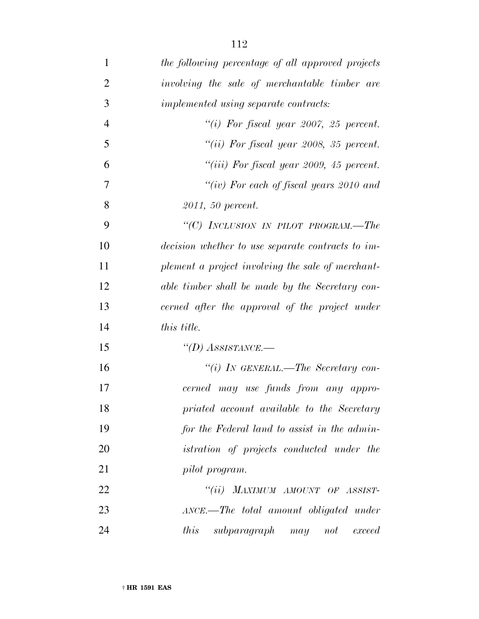| $\mathbf{1}$   | the following percentage of all approved projects |
|----------------|---------------------------------------------------|
| $\overline{2}$ | involving the sale of merchantable timber are     |
| 3              | implemented using separate contracts:             |
| $\overline{4}$ | "(i) For fiscal year 2007, 25 percent.            |
| 5              | "(ii) For fiscal year 2008, 35 percent.           |
| 6              | "(iii) For fiscal year 2009, 45 percent.          |
| $\overline{7}$ | "(iv) For each of fiscal years $2010$ and         |
| 8              | 2011, 50 percent.                                 |
| 9              | "(C) INCLUSION IN PILOT PROGRAM.—The              |
| 10             | decision whether to use separate contracts to im- |
| 11             | plement a project involving the sale of merchant- |
| 12             | able timber shall be made by the Secretary con-   |
| 13             | cerned after the approval of the project under    |
| 14             | this title.                                       |
| 15             | "(D) ASSISTANCE.—                                 |
| 16             | "(i) IN GENERAL.—The Secretary con-               |
| 17             | cerned may use funds from any appro-              |
| 18             | priated account available to the Secretary        |
| 19             | for the Federal land to assist in the admin-      |
| 20             | <i>istration of projects conducted under the</i>  |
| 21             | pilot program.                                    |
| 22             | "(ii) MAXIMUM AMOUNT OF ASSIST-                   |
| 23             | ANCE.—The total amount obligated under            |
| 24             | this<br>subparagraph may not exceed               |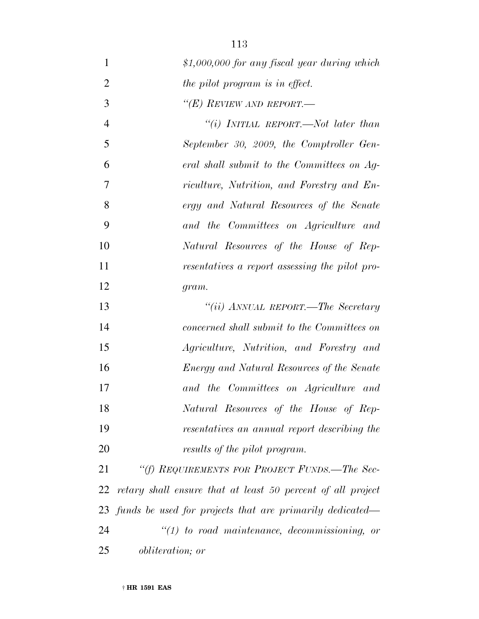| $\mathbf{1}$   | \$1,000,000 for any fiscal year during which                |
|----------------|-------------------------------------------------------------|
| $\overline{2}$ | the pilot program is in effect.                             |
| 3              | "(E) REVIEW AND REPORT.—                                    |
| $\overline{4}$ | "(i) INITIAL REPORT.—Not later than                         |
| 5              | September 30, 2009, the Comptroller Gen-                    |
| 6              | eral shall submit to the Committees on Ag-                  |
| 7              | riculture, Nutrition, and Forestry and En-                  |
| 8              | ergy and Natural Resources of the Senate                    |
| 9              | and the Committees on Agriculture and                       |
| 10             | Natural Resources of the House of Rep-                      |
| 11             | resentatives a report assessing the pilot pro-              |
| 12             | gram.                                                       |
| 13             | "(ii) ANNUAL REPORT.—The Secretary                          |
| 14             | concerned shall submit to the Committees on                 |
| 15             | Agriculture, Nutrition, and Forestry and                    |
| 16             | Energy and Natural Resources of the Senate                  |
| 17             | and the Committees on Agriculture and                       |
| 18             | Natural Resources of the House of Rep-                      |
| 19             | resentatives an annual report describing the                |
| 20             | results of the pilot program.                               |
| 21             | "(f) REQUIREMENTS FOR PROJECT FUNDS.—The Sec-               |
| 22             | retary shall ensure that at least 50 percent of all project |
| 23             | funds be used for projects that are primarily dedicated—    |
| 24             | $\lq(1)$ to road maintenance, decommissioning, or           |
| 25             | <i>obliteration</i> ; or                                    |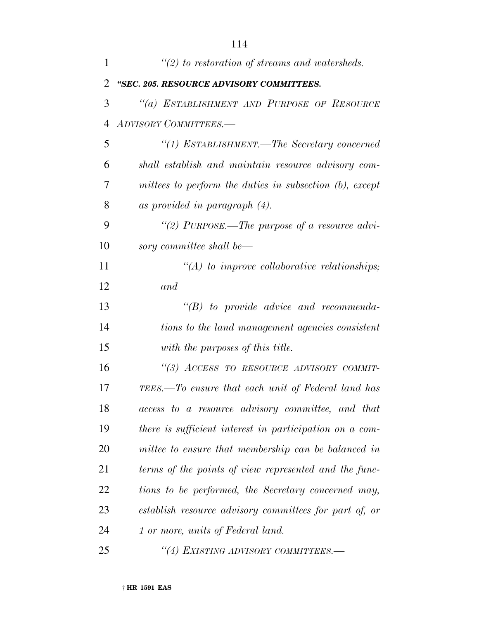| 1              | $\lq(2)$ to restoration of streams and watersheds.      |
|----------------|---------------------------------------------------------|
| $\overline{2}$ | "SEC. 205. RESOURCE ADVISORY COMMITTEES.                |
| 3              | "(a) ESTABLISHMENT AND PURPOSE OF RESOURCE              |
| $\overline{4}$ | <b>ADVISORY COMMITTEES.—</b>                            |
| 5              | "(1) ESTABLISHMENT.—The Secretary concerned             |
| 6              | shall establish and maintain resource advisory com-     |
| 7              | mittees to perform the duties in subsection (b), except |
| 8              | as provided in paragraph $(4)$ .                        |
| 9              | "(2) PURPOSE.—The purpose of a resource advi-           |
| 10             | sory committee shall be—                                |
| 11             | $\lq (A)$ to improve collaborative relationships;       |
| 12             | and                                                     |
| 13             | $\lq\lq B$ to provide advice and recommenda-            |
| 14             | tions to the land management agencies consistent        |
| 15             | with the purposes of this title.                        |
| 16             | "(3) ACCESS TO RESOURCE ADVISORY COMMIT-                |
| 17             | TEES.—To ensure that each unit of Federal land has      |
| 18             | access to a resource advisory committee, and that       |
| 19             | there is sufficient interest in participation on a com- |
| 20             | mittee to ensure that membership can be balanced in     |
| 21             | terms of the points of view represented and the func-   |
| 22             | tions to be performed, the Secretary concerned may,     |
| 23             | establish resource advisory committees for part of, or  |
| 24             | 1 or more, units of Federal land.                       |
| 25             | "(4) EXISTING ADVISORY COMMITTEES.-                     |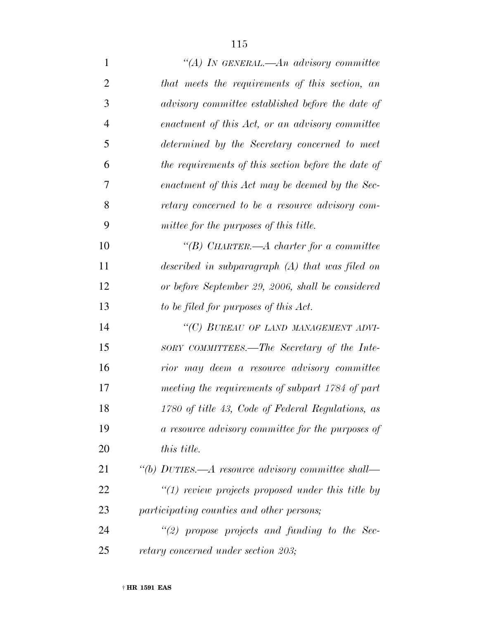| $\mathbf{1}$   | "(A) IN GENERAL.—An advisory committee                |
|----------------|-------------------------------------------------------|
| $\overline{2}$ | that meets the requirements of this section, an       |
| 3              | advisory committee established before the date of     |
| $\overline{4}$ | enactment of this Act, or an advisory committee       |
| 5              | determined by the Secretary concerned to meet         |
| 6              | the requirements of this section before the date of   |
| 7              | enactment of this Act may be deemed by the Sec-       |
| 8              | retary concerned to be a resource advisory com-       |
| 9              | mittee for the purposes of this title.                |
| 10             | "(B) CHARTER.— $A$ charter for a committee            |
| 11             | described in subparagraph $(A)$ that was filed on     |
| 12             | or before September 29, 2006, shall be considered     |
| 13             | to be filed for purposes of this Act.                 |
| 14             | "(C) BUREAU OF LAND MANAGEMENT ADVI-                  |
| 15             | SORY COMMITTEES.—The Secretary of the Inte-           |
| 16             | rior may deem a resource advisory committee           |
| 17             | meeting the requirements of subpart 1784 of part      |
| 18             | 1780 of title 43, Code of Federal Regulations, as     |
| 19             | a resource advisory committee for the purposes of     |
| 20             | <i>this title.</i>                                    |
| 21             | "(b) DUTIES.—A resource advisory committee shall—     |
| 22             | $\lq(1)$ review projects proposed under this title by |
| 23             | participating counties and other persons;             |
| 24             | $\lq(2)$ propose projects and funding to the Sec-     |
| 25             | retary concerned under section 203;                   |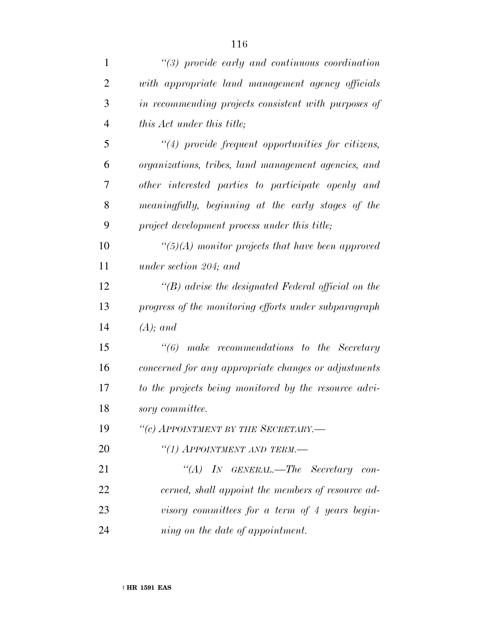| $\mathbf{1}$   | $\lq(3)$ provide early and continuous coordination        |
|----------------|-----------------------------------------------------------|
| $\overline{2}$ | with appropriate land management agency officials         |
| 3              | in recommending projects consistent with purposes of      |
| $\overline{4}$ | this Act under this title;                                |
| 5              | $\lq(4)$ provide frequent opportunities for citizens,     |
| 6              | organizations, tribes, land management agencies, and      |
| 7              | other interested parties to participate openly and        |
| 8              | meaningfully, beginning at the early stages of the        |
| 9              | project development process under this title;             |
| 10             | $\lq(5)(A)$ monitor projects that have been approved      |
| 11             | under section 204; and                                    |
| 12             | $\lq\lq(B)$ advise the designated Federal official on the |
| 13             | progress of the monitoring efforts under subparagraph     |
| 14             | $(A);$ and                                                |
| 15             |                                                           |
| 16             | concerned for any appropriate changes or adjustments      |
| 17             | to the projects being monitored by the resource advi-     |
| 18             | sory committee.                                           |
| 19             | "(c) APPOINTMENT BY THE SECRETARY.-                       |
| 20             | "(1) APPOINTMENT AND TERM.—                               |
| 21             | "(A) IN GENERAL.—The Secretary con-                       |
| 22             | cerned, shall appoint the members of resource ad-         |
| 23             | visory committees for a term of 4 years begin-            |
| 24             | ning on the date of appointment.                          |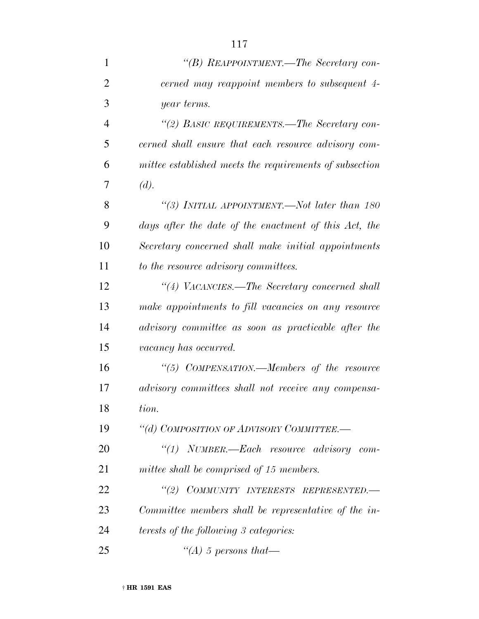| $\mathbf{1}$   | "(B) REAPPOINTMENT.—The Secretary con-                  |
|----------------|---------------------------------------------------------|
| $\overline{2}$ | cerned may reappoint members to subsequent 4-           |
| 3              | year terms.                                             |
| $\overline{4}$ | "(2) BASIC REQUIREMENTS.—The Secretary con-             |
| 5              | cerned shall ensure that each resource advisory com-    |
| 6              | mittee established meets the requirements of subsection |
| 7              | (d).                                                    |
| 8              | "(3) INITIAL APPOINTMENT.—Not later than 180            |
| 9              | days after the date of the enactment of this Act, the   |
| 10             | Secretary concerned shall make initial appointments     |
| 11             | to the resource advisory committees.                    |
| 12             | "(4) VACANCIES.—The Secretary concerned shall           |
| 13             | make appointments to fill vacancies on any resource     |
| 14             | advisory committee as soon as practicable after the     |
| 15             | vacancy has occurred.                                   |
| 16             | "(5) COMPENSATION.—Members of the resource              |
| 17             | advisory committees shall not receive any compensa-     |
| 18             | tion.                                                   |
| 19             | "(d) COMPOSITION OF ADVISORY COMMITTEE.-                |
| 20             | "(1) NUMBER.—Each resource advisory com-                |
| 21             | mittee shall be comprised of 15 members.                |
| 22             | "(2) COMMUNITY INTERESTS REPRESENTED.-                  |
| 23             | Committee members shall be representative of the in-    |
| 24             | <i>terests of the following 3 categories:</i>           |
| 25             | $\lq (A)$ 5 persons that—                               |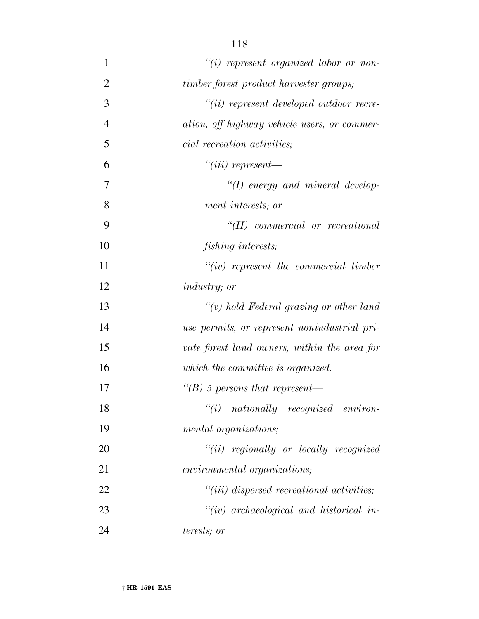| $\mathbf{1}$   | $``(i)$ represent organized labor or non-    |
|----------------|----------------------------------------------|
| $\overline{2}$ | timber forest product harvester groups;      |
| 3              | $``(ii)$ represent developed outdoor recre-  |
| $\overline{4}$ | ation, off highway vehicle users, or commer- |
| 5              | <i>cial recreation activities</i> ;          |
| 6              | $``(iii)$ represent—                         |
| 7              | $\lq (I)$ energy and mineral develop-        |
| 8              | ment interests; or                           |
| 9              | $``(II)$ commercial or recreational          |
| 10             | <i>fishing interests;</i>                    |
| 11             | $``(iv)$ represent the commercial timber     |
| 12             | <i>industry</i> ; or                         |
| 13             | $``(v)$ hold Federal grazing or other land   |
| 14             | use permits, or represent nonindustrial pri- |
| 15             | vate forest land owners, within the area for |
| 16             | which the committee is organized.            |
| 17             | "(B) 5 persons that represent—               |
| 18             | ``(i)<br>nationally recognized environ-      |
| 19             | mental organizations;                        |
| 20             | $``(ii)$ regionally or locally recognized    |
| 21             | <i>environmental organizations;</i>          |
| 22             | $``(iii)$ dispersed recreational activities; |
| 23             | $``(iv)$ archaeological and historical in-   |
| 24             | terests; or                                  |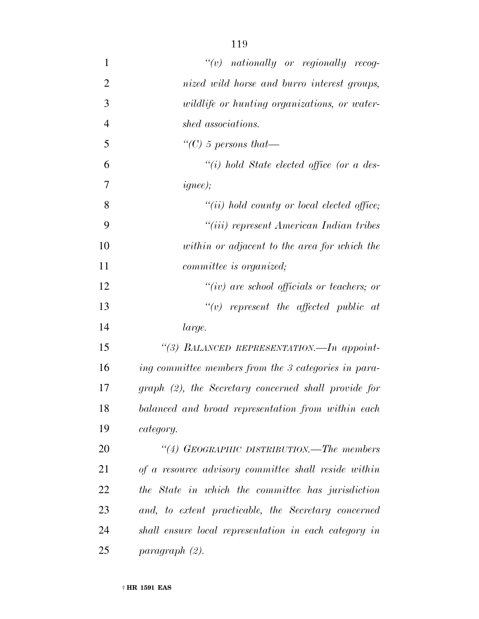| $\mathbf{1}$   | $\lq\lq(v)$ nationally or regionally recog-           |
|----------------|-------------------------------------------------------|
| $\overline{2}$ | nized wild horse and burro interest groups,           |
| 3              | wildlife or hunting organizations, or water-          |
| $\overline{4}$ | shed associations.                                    |
| 5              | "(C) 5 persons that—                                  |
| 6              | "(i) hold State elected office (or a des-             |
| 7              | ignee);                                               |
| 8              | $``(ii) hold count y or local elected office;$        |
| 9              | "(iii) represent American Indian tribes               |
| 10             | within or adjacent to the area for which the          |
| 11             | <i>committee is organized</i> ;                       |
| 12             | "(iv) are school officials or teachers; or            |
| 13             | $``(v)$ represent the affected public at              |
| 14             | large.                                                |
| 15             | "(3) BALANCED REPRESENTATION. - In appoint-           |
| 16             | ing committee members from the 3 categories in para-  |
| 17             | graph (2), the Secretary concerned shall provide for  |
| 18             | balanced and broad representation from within each    |
| 19             | category.                                             |
| 20             | "(4) GEOGRAPHIC DISTRIBUTION.—The members             |
| 21             | of a resource advisory committee shall reside within  |
| 22             | the State in which the committee has jurisdiction     |
| 23             | and, to extent practicable, the Secretary concerned   |
| 24             | shall ensure local representation in each category in |
| 25             | paragraph (2).                                        |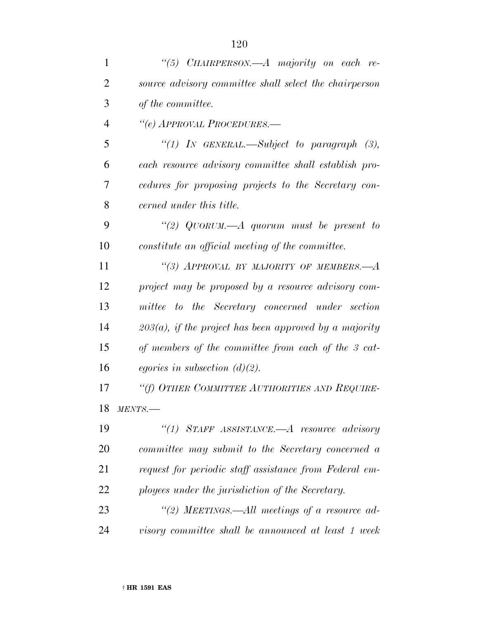| $\mathbf{1}$   | "(5) CHAIRPERSON.—A majority on each re-                  |
|----------------|-----------------------------------------------------------|
| $\overline{2}$ | source advisory committee shall select the chairperson    |
| 3              | of the committee.                                         |
| $\overline{4}$ | "(e) APPROVAL PROCEDURES.-                                |
| 5              | "(1) In GENERAL.—Subject to paragraph $(3)$ ,             |
| 6              | each resource advisory committee shall establish pro-     |
| 7              | cedures for proposing projects to the Secretary con-      |
| 8              | cerned under this title.                                  |
| 9              | "(2) QUORUM.—A quorum must be present to                  |
| 10             | constitute an official meeting of the committee.          |
| 11             | "(3) APPROVAL BY MAJORITY OF MEMBERS.— $A$                |
| 12             | project may be proposed by a resource advisory com-       |
| 13             | mittee to the Secretary concerned under section           |
| 14             | $203(a)$ , if the project has been approved by a majority |
| 15             | of members of the committee from each of the 3 cat-       |
| 16             | egories in subsection $(d)(2)$ .                          |
| 17             | "(f) OTHER COMMITTEE AUTHORITIES AND REQUIRE-             |
| 18             | MENTS.                                                    |
| 19             | "(1) STAFF ASSISTANCE.—A resource advisory                |
| 20             | committee may submit to the Secretary concerned a         |
| 21             | request for periodic staff assistance from Federal em-    |
| 22             | ployees under the jurisdiction of the Secretary.          |
| 23             | "(2) MEETINGS.—All meetings of a resource ad-             |
| 24             | visory committee shall be announced at least 1 week       |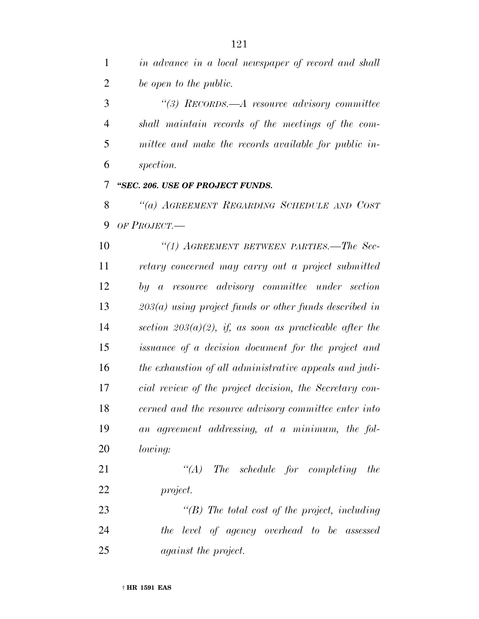*''(3) RECORDS.—A resource advisory committee shall maintain records of the meetings of the com- mittee and make the records available for public in-spection.*

*''SEC. 206. USE OF PROJECT FUNDS.*

 *''(a) AGREEMENT REGARDING SCHEDULE AND COST OF PROJECT.—*

 *''(1) AGREEMENT BETWEEN PARTIES.—The Sec- retary concerned may carry out a project submitted by a resource advisory committee under section 203(a) using project funds or other funds described in section 203(a)(2), if, as soon as practicable after the issuance of a decision document for the project and the exhaustion of all administrative appeals and judi- cial review of the project decision, the Secretary con- cerned and the resource advisory committee enter into an agreement addressing, at a minimum, the fol-lowing:*

 *''(A) The schedule for completing the project.*

 *''(B) The total cost of the project, including the level of agency overhead to be assessed against the project.*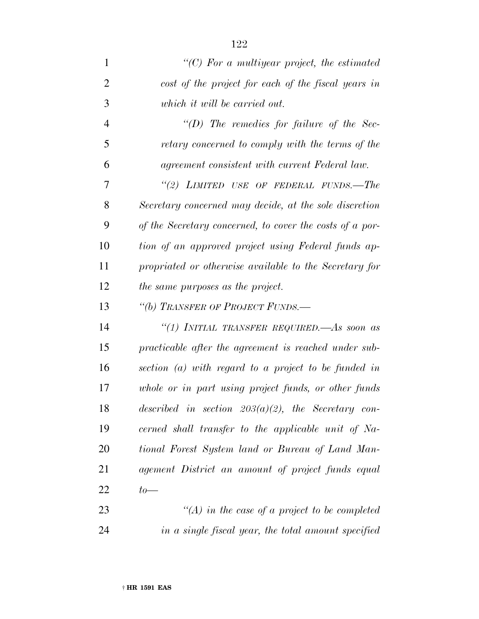| $\mathbf{1}$   | $\lq\lq C$ ) For a multiyear project, the estimated      |
|----------------|----------------------------------------------------------|
| $\overline{2}$ | cost of the project for each of the fiscal years in      |
| 3              | which it will be carried out.                            |
| $\overline{4}$ | "(D) The remedies for failure of the Sec-                |
| 5              | retary concerned to comply with the terms of the         |
| 6              | agreement consistent with current Federal law.           |
| 7              | "(2) LIMITED USE OF FEDERAL FUNDS.—The                   |
| 8              | Secretary concerned may decide, at the sole discretion   |
| 9              | of the Secretary concerned, to cover the costs of a por- |
| 10             | tion of an approved project using Federal funds ap-      |
| 11             | propriated or otherwise available to the Secretary for   |
| 12             | the same purposes as the project.                        |
|                |                                                          |
| 13             | "(b) TRANSFER OF PROJECT FUNDS.-                         |
| 14             | "(1) INITIAL TRANSFER REQUIRED.—As soon as               |
| 15             | practicable after the agreement is reached under sub-    |
| 16             | section $(a)$ with regard to a project to be funded in   |
| 17             | whole or in part using project funds, or other funds     |
| 18             | described in section $203(a)(2)$ , the Secretary con-    |
| 19             | cerned shall transfer to the applicable unit of Na-      |
| 20             | tional Forest System land or Bureau of Land Man-         |
| 21             | agement District an amount of project funds equal        |
| 22             | $to-$                                                    |

 *''(A) in the case of a project to be completed in a single fiscal year, the total amount specified*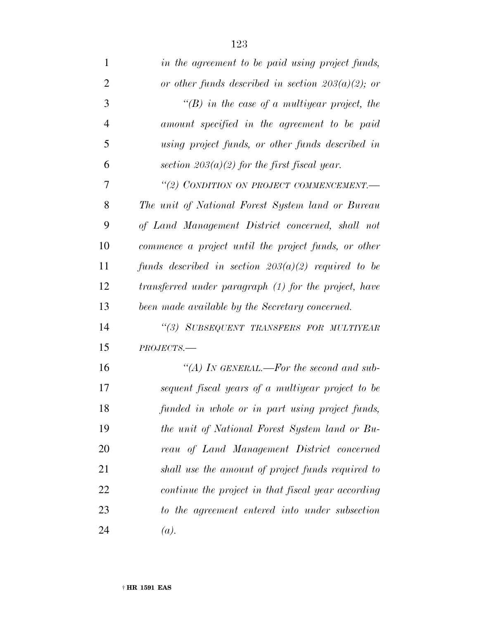| $\mathbf{1}$   | in the agreement to be paid using project funds,      |
|----------------|-------------------------------------------------------|
| $\overline{2}$ | or other funds described in section $203(a)(2)$ ; or  |
| 3              | $\lq\lq(B)$ in the case of a multiyear project, the   |
| $\overline{4}$ | amount specified in the agreement to be paid          |
| 5              | using project funds, or other funds described in      |
| 6              | section $203(a)(2)$ for the first fiscal year.        |
| 7              | "(2) CONDITION ON PROJECT COMMENCEMENT.-              |
| 8              | The unit of National Forest System land or Bureau     |
| 9              | of Land Management District concerned, shall not      |
| 10             | commence a project until the project funds, or other  |
| 11             | funds described in section $203(a)(2)$ required to be |
| 12             | transferred under paragraph (1) for the project, have |
| 13             | been made available by the Secretary concerned.       |
| 14             | "(3) SUBSEQUENT TRANSFERS FOR MULTIYEAR               |
| 15             | $PROJECTS$ .                                          |
| 16             | "(A) IN GENERAL.—For the second and sub-              |
| 17             | sequent fiscal years of a multiyear project to be     |
| 18             | funded in whole or in part using project funds,       |
| 19             | the unit of National Forest System land or Bu-        |
| 20             | reau of Land Management District concerned            |
| 21             | shall use the amount of project funds required to     |
| 22             | continue the project in that fiscal year according    |
| 23             | to the agreement entered into under subsection        |
| 24             | (a).                                                  |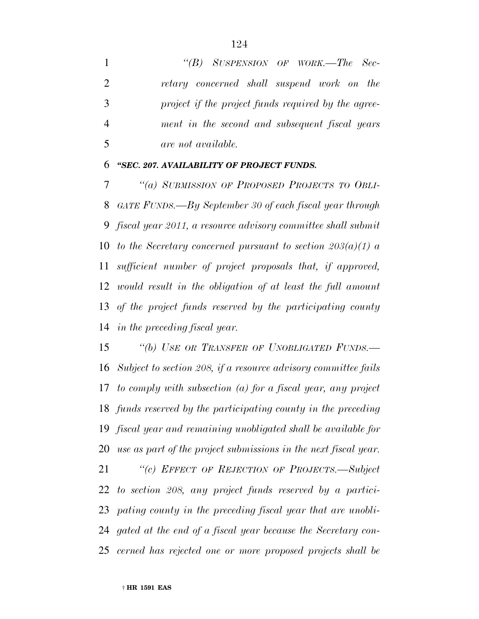*''(B) SUSPENSION OF WORK.—The Sec- retary concerned shall suspend work on the project if the project funds required by the agree- ment in the second and subsequent fiscal years are not available.*

#### *''SEC. 207. AVAILABILITY OF PROJECT FUNDS.*

 *''(a) SUBMISSION OF PROPOSED PROJECTS TO OBLI- GATE FUNDS.—By September 30 of each fiscal year through fiscal year 2011, a resource advisory committee shall submit to the Secretary concerned pursuant to section 203(a)(1) a sufficient number of project proposals that, if approved, would result in the obligation of at least the full amount of the project funds reserved by the participating county in the preceding fiscal year.*

 *''(b) USE OR TRANSFER OF UNOBLIGATED FUNDS.— Subject to section 208, if a resource advisory committee fails to comply with subsection (a) for a fiscal year, any project funds reserved by the participating county in the preceding fiscal year and remaining unobligated shall be available for use as part of the project submissions in the next fiscal year.*

 *''(c) EFFECT OF REJECTION OF PROJECTS.—Subject to section 208, any project funds reserved by a partici- pating county in the preceding fiscal year that are unobli- gated at the end of a fiscal year because the Secretary con-cerned has rejected one or more proposed projects shall be*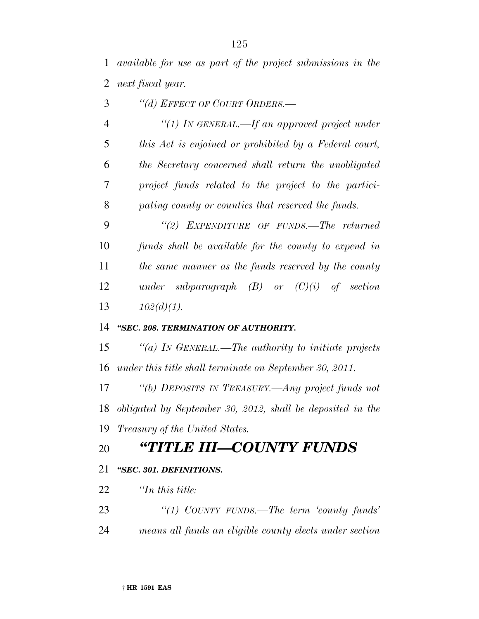*available for use as part of the project submissions in the next fiscal year.*

- *''(d) EFFECT OF COURT ORDERS.—*
- *''(1) IN GENERAL.—If an approved project under this Act is enjoined or prohibited by a Federal court, the Secretary concerned shall return the unobligated project funds related to the project to the partici-pating county or counties that reserved the funds.*

 *''(2) EXPENDITURE OF FUNDS.—The returned funds shall be available for the county to expend in the same manner as the funds reserved by the county under subparagraph (B) or (C)(i) of section 102(d)(1).*

#### *''SEC. 208. TERMINATION OF AUTHORITY.*

 *''(a) IN GENERAL.—The authority to initiate projects under this title shall terminate on September 30, 2011.*

 *''(b) DEPOSITS IN TREASURY.—Any project funds not obligated by September 30, 2012, shall be deposited in the Treasury of the United States.*

## *''TITLE III—COUNTY FUNDS*

#### *''SEC. 301. DEFINITIONS.*

- *''In this title:*
- *''(1) COUNTY FUNDS.—The term 'county funds'*
- *means all funds an eligible county elects under section*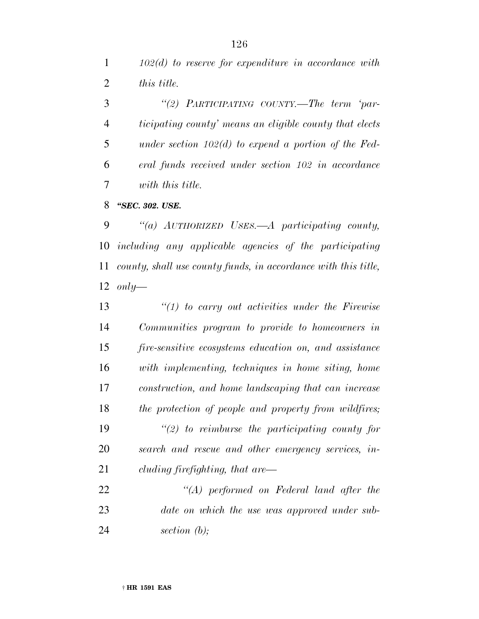*102(d) to reserve for expenditure in accordance with this title.*

 *''(2) PARTICIPATING COUNTY.—The term 'par- ticipating county' means an eligible county that elects under section 102(d) to expend a portion of the Fed- eral funds received under section 102 in accordance with this title.*

*''SEC. 302. USE.*

 *''(a) AUTHORIZED USES.—A participating county, including any applicable agencies of the participating county, shall use county funds, in accordance with this title, only—*

 *''(1) to carry out activities under the Firewise Communities program to provide to homeowners in fire-sensitive ecosystems education on, and assistance with implementing, techniques in home siting, home construction, and home landscaping that can increase the protection of people and property from wildfires; ''(2) to reimburse the participating county for search and rescue and other emergency services, in-cluding firefighting, that are—*

 *''(A) performed on Federal land after the date on which the use was approved under sub-section (b);*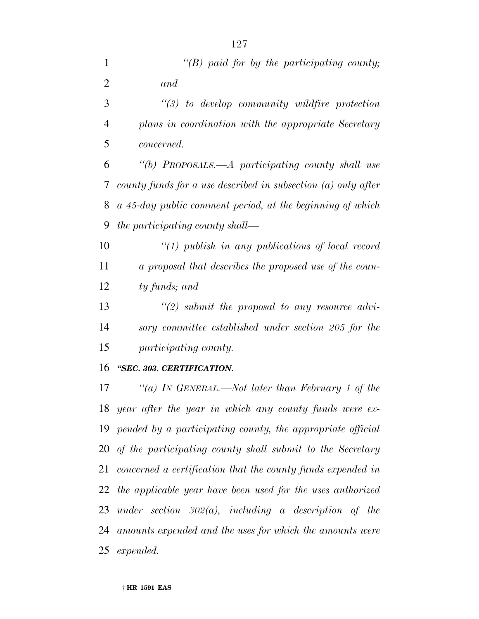| $\mathbf{1}$   | "(B) paid for by the participating county;                      |
|----------------|-----------------------------------------------------------------|
| $\overline{2}$ | and                                                             |
| 3              | $\lq(3)$ to develop community wildfire protection               |
|                |                                                                 |
| $\overline{4}$ | plans in coordination with the appropriate Secretary            |
| 5              | <i>concerned.</i>                                               |
| 6              | "(b) PROPOSALS.—A participating county shall use                |
| 7              | county funds for a use described in subsection $(a)$ only after |
| 8              | a 45-day public comment period, at the beginning of which       |
| 9              | the participating county shall—                                 |
| 10             | $\lq(1)$ publish in any publications of local record            |
| 11             | a proposal that describes the proposed use of the coun-         |
| 12             | ty funds; and                                                   |
| 13             | $\lq(2)$ submit the proposal to any resource advi-              |
| 14             | sory committee established under section 205 for the            |
| 15             | participating county.                                           |
| 16             | "SEC. 303. CERTIFICATION.                                       |
| 17             | "(a) IN GENERAL.—Not later than February 1 of the               |
| 18             | year after the year in which any county funds were ex-          |
| 19             | pended by a participating county, the appropriate official      |
| 20             | of the participating county shall submit to the Secretary       |
| 21             | concerned a certification that the county funds expended in     |
| 22             | the applicable year have been used for the uses authorized      |

 *under section 302(a), including a description of the amounts expended and the uses for which the amounts were expended.*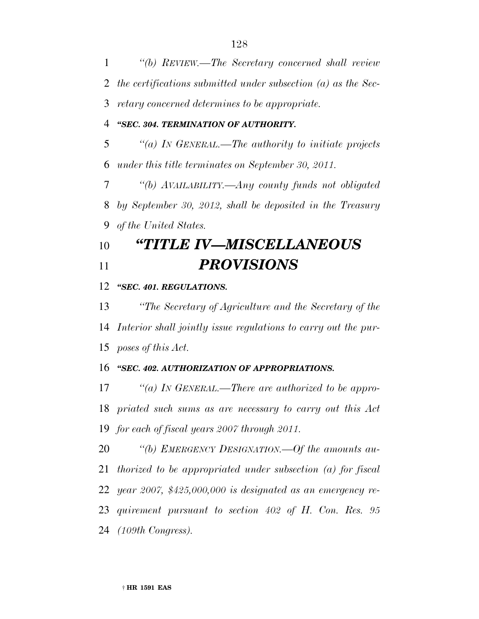*''(b) REVIEW.—The Secretary concerned shall review the certifications submitted under subsection (a) as the Sec- retary concerned determines to be appropriate. ''SEC. 304. TERMINATION OF AUTHORITY. ''(a) IN GENERAL.—The authority to initiate projects under this title terminates on September 30, 2011. ''(b) AVAILABILITY.—Any county funds not obligated by September 30, 2012, shall be deposited in the Treasury of the United States. ''TITLE IV—MISCELLANEOUS PROVISIONS*

#### *''SEC. 401. REGULATIONS.*

 *''The Secretary of Agriculture and the Secretary of the Interior shall jointly issue regulations to carry out the pur-poses of this Act.*

#### *''SEC. 402. AUTHORIZATION OF APPROPRIATIONS.*

 *''(a) IN GENERAL.—There are authorized to be appro- priated such sums as are necessary to carry out this Act for each of fiscal years 2007 through 2011.*

 *''(b) EMERGENCY DESIGNATION.—Of the amounts au- thorized to be appropriated under subsection (a) for fiscal year 2007, \$425,000,000 is designated as an emergency re- quirement pursuant to section 402 of H. Con. Res. 95 (109th Congress).*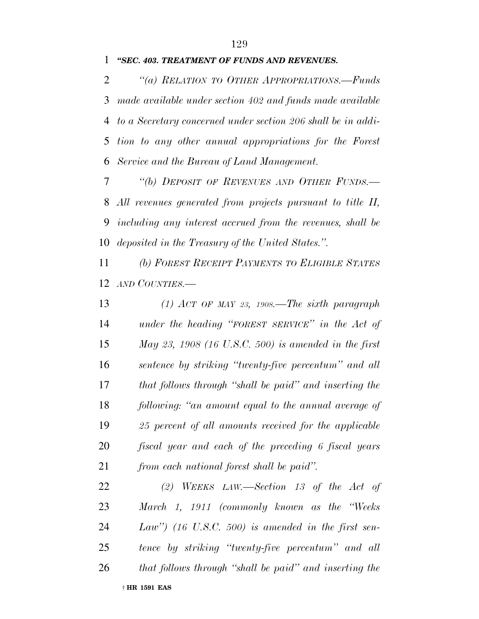#### *''SEC. 403. TREATMENT OF FUNDS AND REVENUES.*

 *''(a) RELATION TO OTHER APPROPRIATIONS.—Funds made available under section 402 and funds made available to a Secretary concerned under section 206 shall be in addi- tion to any other annual appropriations for the Forest Service and the Bureau of Land Management.*

 *''(b) DEPOSIT OF REVENUES AND OTHER FUNDS.— All revenues generated from projects pursuant to title II, including any interest accrued from the revenues, shall be deposited in the Treasury of the United States.''.*

 *(b) FOREST RECEIPT PAYMENTS TO ELIGIBLE STATES AND COUNTIES.—*

 *(1) ACT OF MAY 23, 1908.—The sixth paragraph under the heading ''FOREST SERVICE'' in the Act of May 23, 1908 (16 U.S.C. 500) is amended in the first sentence by striking ''twenty-five percentum'' and all that follows through ''shall be paid'' and inserting the following: ''an amount equal to the annual average of 25 percent of all amounts received for the applicable fiscal year and each of the preceding 6 fiscal years from each national forest shall be paid''.*

† **HR 1591 EAS** *(2) WEEKS LAW.—Section 13 of the Act of March 1, 1911 (commonly known as the ''Weeks Law'') (16 U.S.C. 500) is amended in the first sen- tence by striking ''twenty-five percentum'' and all that follows through ''shall be paid'' and inserting the*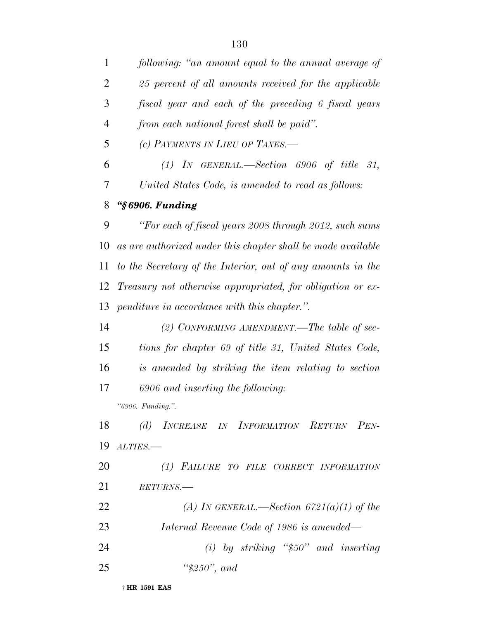*following: ''an amount equal to the annual average of 25 percent of all amounts received for the applicable fiscal year and each of the preceding 6 fiscal years from each national forest shall be paid''. (c) PAYMENTS IN LIEU OF TAXES.— (1) IN GENERAL.—Section 6906 of title 31, United States Code, is amended to read as follows: ''§ 6906. Funding ''For each of fiscal years 2008 through 2012, such sums as are authorized under this chapter shall be made available to the Secretary of the Interior, out of any amounts in the Treasury not otherwise appropriated, for obligation or ex- penditure in accordance with this chapter.''. (2) CONFORMING AMENDMENT.—The table of sec- tions for chapter 69 of title 31, United States Code, is amended by striking the item relating to section 6906 and inserting the following:*

*''6906. Funding.''.*

 *(d) INCREASE IN INFORMATION RETURN PEN-ALTIES.—*

 *(1) FAILURE TO FILE CORRECT INFORMATION RETURNS.—*

 *(A) IN GENERAL.—Section 6721(a)(1) of the Internal Revenue Code of 1986 is amended—*

 *(i) by striking ''\$50'' and inserting ''\$250'', and*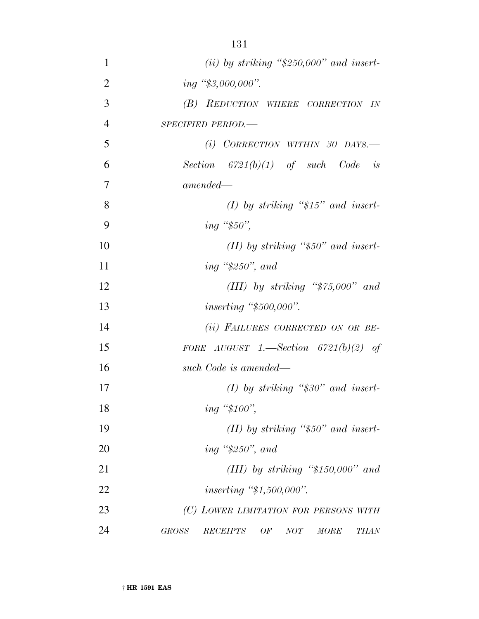| 1              | (ii) by striking " $$250,000"$ and insert-                   |
|----------------|--------------------------------------------------------------|
| $\overline{2}$ | ing "\$3,000,000".                                           |
| 3              | (B) REDUCTION WHERE CORRECTION IN                            |
| $\overline{4}$ | SPECIFIED PERIOD.-                                           |
| 5              | $(i)$ CORRECTION WITHIN 30 DAYS.—                            |
| 6              | Section $6721(b)(1)$ of such Code is                         |
| 7              | $amended-$                                                   |
| 8              | $(I)$ by striking "\$15" and insert-                         |
| 9              |                                                              |
| 10             | (II) by striking " $$50"$ and insert-                        |
| 11             | ing " $$250"$ , and                                          |
| 12             | (III) by striking " $$75,000"$ and                           |
| 13             | <i>inserting</i> " $$500,000$ ".                             |
| 14             | (ii) FAILURES CORRECTED ON OR BE-                            |
| 15             | FORE AUGUST 1.—Section $6721(b)(2)$ of                       |
| 16             | such Code is amended—                                        |
| 17             | $(I)$ by striking "\$30" and insert-                         |
| 18             | ing "\$100",                                                 |
| 19             | (II) by striking " $$50"$ and insert-                        |
| 20             | ing " $$250"$ , and                                          |
| 21             | (III) by striking " $$150,000"$ and                          |
| 22             | <i>inserting</i> " $$1,500,000$ ".                           |
| 23             | (C) LOWER LIMITATION FOR PERSONS WITH                        |
| 24             | <b>GROSS</b><br>OF<br>NOT<br><i>RECEIPTS</i><br>MORE<br>THAN |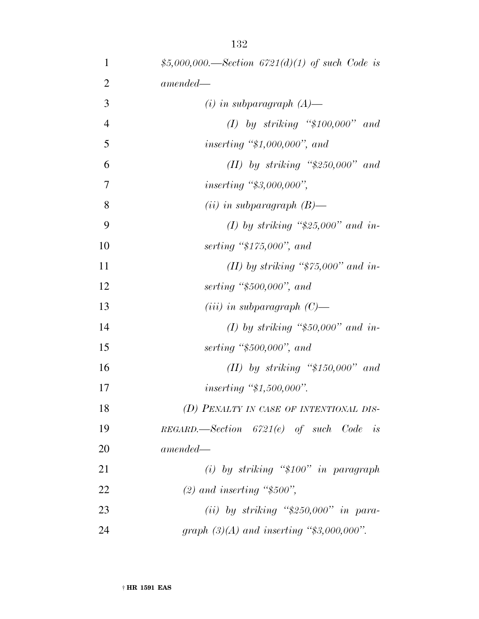| 1              | \$5,000,000.—Section 6721(d)(1) of such Code is |
|----------------|-------------------------------------------------|
| $\overline{2}$ | $amended -$                                     |
| 3              | $(i)$ in subparagraph $(A)$ —                   |
| $\overline{4}$ | $(I)$ by striking "\$100,000" and               |
| 5              | <i>inserting</i> " $$1,000,000$ ", and          |
| 6              | (II) by striking " $$250,000"$ and              |
| 7              | <i>inserting</i> " $$3,000,000"$ ,              |
| 8              | $(ii)$ in subparagraph $(B)$ —                  |
| 9              | (I) by striking " $$25,000"$ and in-            |
| 10             | serting " $$175,000"$ , and                     |
| 11             | (II) by striking " $$75,000"$ and in-           |
| 12             | serting " $$500,000"$ , and                     |
| 13             | ( <i>iii</i> ) in subparagraph $(C)$ —          |
| 14             | (I) by striking "\$50,000" and in-              |
| 15             | serting " $$500,000"$ , and                     |
| 16             | $(II)$ by striking "\$150,000" and              |
| 17             | <i>inserting</i> " $$1,500,000$ ".              |
| 18             | (D) PENALTY IN CASE OF INTENTIONAL DIS-         |
| 19             | $REGARD$ . Section $6721(e)$ of such Code is    |
| 20             | $amended-$                                      |
| 21             | (i) by striking " $$100"$ in paragraph          |
| 22             | $(2)$ and inserting "\$500",                    |
| 23             | (ii) by striking " $$250,000"$ in para-         |
| 24             | graph $(3)(A)$ and inserting "\$3,000,000".     |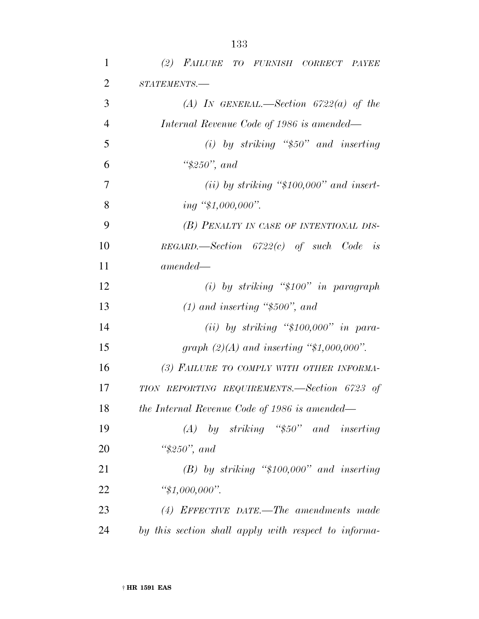| $\mathbf{1}$   | (2) FAILURE TO FURNISH CORRECT PAYEE                 |
|----------------|------------------------------------------------------|
| $\overline{2}$ | STATEMENTS.-                                         |
| 3              | (A) IN GENERAL.—Section $6722(a)$ of the             |
| $\overline{4}$ | Internal Revenue Code of 1986 is amended—            |
| 5              | (i) by striking " $$50"$ and inserting               |
| 6              | " $$250"$ , and                                      |
| 7              | (ii) by striking " $$100,000"$ and insert-           |
| 8              | $ing$ "\$1,000,000".                                 |
| 9              | (B) PENALTY IN CASE OF INTENTIONAL DIS-              |
| 10             | $REGARD$ ,—Section $6722(c)$ of such Code is         |
| 11             | $amended-$                                           |
| 12             | $(i)$ by striking "\$100" in paragraph               |
| 13             | $(1)$ and inserting "\$500", and                     |
| 14             | $(ii)$ by striking "\$100,000" in para-              |
| 15             | graph $(2)(A)$ and inserting "\$1,000,000".          |
| 16             | (3) FAILURE TO COMPLY WITH OTHER INFORMA-            |
| 17             | TION REPORTING REQUIREMENTS.—Section 6723 of         |
| 18             | the Internal Revenue Code of 1986 is amended—        |
| 19             | $(A)$ by striking "\$50" and inserting               |
| 20             | " $$250"$ , and                                      |
| 21             | $(B)$ by striking "\$100,000" and inserting          |
| 22             | " $$1,000,000$ ".                                    |
| 23             | $(4)$ EFFECTIVE DATE.—The amendments made            |
| 24             | by this section shall apply with respect to informa- |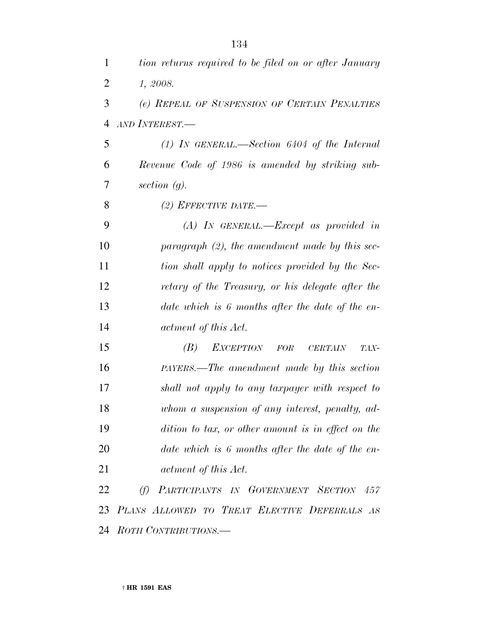*1, 2008.*

 *(e) REPEAL OF SUSPENSION OF CERTAIN PENALTIES AND INTEREST.—*

 *(1) IN GENERAL.—Section 6404 of the Internal Revenue Code of 1986 is amended by striking sub-section (g).*

*(2) EFFECTIVE DATE.—*

 *(A) IN GENERAL.—Except as provided in paragraph (2), the amendment made by this sec- tion shall apply to notices provided by the Sec- retary of the Treasury, or his delegate after the date which is 6 months after the date of the en-actment of this Act.*

 *(B) EXCEPTION FOR CERTAIN TAX- PAYERS.—The amendment made by this section shall not apply to any taxpayer with respect to whom a suspension of any interest, penalty, ad- dition to tax, or other amount is in effect on the date which is 6 months after the date of the en-actment of this Act.*

 *(f) PARTICIPANTS IN GOVERNMENT SECTION 457 PLANS ALLOWED TO TREAT ELECTIVE DEFERRALS AS ROTH CONTRIBUTIONS.—*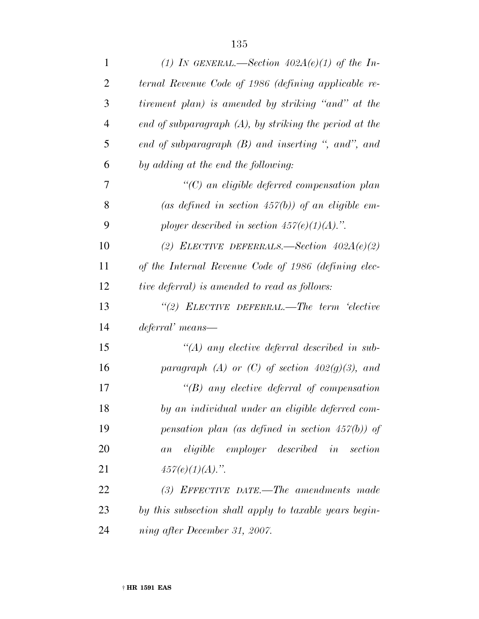| $\mathbf{1}$   | (1) IN GENERAL.—Section $402A(e)(1)$ of the In-             |
|----------------|-------------------------------------------------------------|
| $\overline{2}$ | ternal Revenue Code of 1986 (defining applicable re-        |
| 3              | tirement plan) is amended by striking "and" at the          |
| $\overline{4}$ | $end$ of subparagraph $(A)$ , by striking the period at the |
| 5              | end of subparagraph $(B)$ and inserting ", and", and        |
| 6              | by adding at the end the following:                         |
| 7              | $\lq\lq C$ an eligible deferred compensation plan           |
| 8              | (as defined in section $457(b)$ ) of an eligible em-        |
| 9              | ployer described in section $457(e)(1)(A)$ .".              |
| 10             | (2) ELECTIVE DEFERRALS.—Section $402A(e)(2)$                |
| 11             | of the Internal Revenue Code of 1986 (defining elec-        |
| 12             | <i>tive deferral)</i> is amended to read as follows:        |
| 13             | "(2) ELECTIVE DEFERRAL.—The term 'elective                  |
| 14             | deferral' means—                                            |
| 15             | $\lq (A)$ any elective deferral described in sub-           |
| 16             | paragraph (A) or (C) of section $402(g)(3)$ , and           |
| 17             | $\lq\lq(B)$ any elective deferral of compensation           |
| 18             | by an individual under an eligible deferred com-            |
| 19             | pensation plan (as defined in section $457(b)$ ) of         |
| 20             | eligible employer described in section<br>a n               |
| 21             | $457(e)(1)(A)$ .".                                          |
| 22             | $(3)$ EFFECTIVE DATE.—The amendments made                   |
| 23             | by this subsection shall apply to taxable years begin-      |
| 24             | ning after December 31, 2007.                               |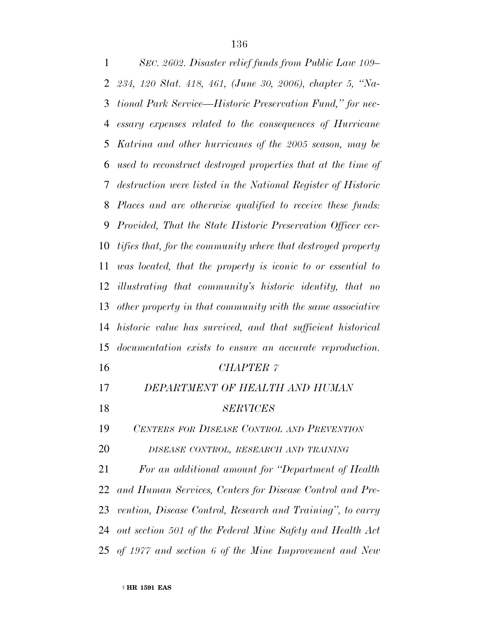*SEC. 2602. Disaster relief funds from Public Law 109– 234, 120 Stat. 418, 461, (June 30, 2006), chapter 5, ''Na- tional Park Service—Historic Preservation Fund,'' for nec- essary expenses related to the consequences of Hurricane Katrina and other hurricanes of the 2005 season, may be used to reconstruct destroyed properties that at the time of destruction were listed in the National Register of Historic Places and are otherwise qualified to receive these funds: Provided, That the State Historic Preservation Officer cer- tifies that, for the community where that destroyed property was located, that the property is iconic to or essential to illustrating that community's historic identity, that no other property in that community with the same associative historic value has survived, and that sufficient historical documentation exists to ensure an accurate reproduction. CHAPTER 7 DEPARTMENT OF HEALTH AND HUMAN SERVICES CENTERS FOR DISEASE CONTROL AND PREVENTION DISEASE CONTROL, RESEARCH AND TRAINING For an additional amount for ''Department of Health and Human Services, Centers for Disease Control and Pre- vention, Disease Control, Research and Training'', to carry out section 501 of the Federal Mine Safety and Health Act of 1977 and section 6 of the Mine Improvement and New*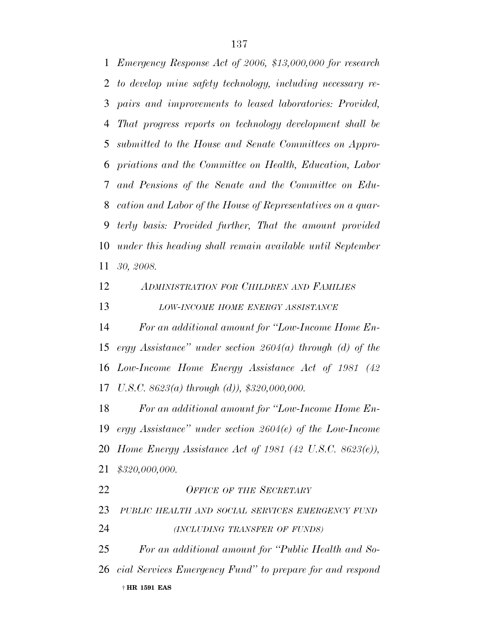*Emergency Response Act of 2006, \$13,000,000 for research to develop mine safety technology, including necessary re- pairs and improvements to leased laboratories: Provided, That progress reports on technology development shall be submitted to the House and Senate Committees on Appro- priations and the Committee on Health, Education, Labor and Pensions of the Senate and the Committee on Edu- cation and Labor of the House of Representatives on a quar- terly basis: Provided further, That the amount provided under this heading shall remain available until September 30, 2008.*

## *ADMINISTRATION FOR CHILDREN AND FAMILIES LOW-INCOME HOME ENERGY ASSISTANCE*

 *For an additional amount for ''Low-Income Home En- ergy Assistance'' under section 2604(a) through (d) of the Low-Income Home Energy Assistance Act of 1981 (42 U.S.C. 8623(a) through (d)), \$320,000,000.*

 *For an additional amount for ''Low-Income Home En- ergy Assistance'' under section 2604(e) of the Low-Income Home Energy Assistance Act of 1981 (42 U.S.C. 8623(e)), \$320,000,000.*

† **HR 1591 EAS** *OFFICE OF THE SECRETARY PUBLIC HEALTH AND SOCIAL SERVICES EMERGENCY FUND (INCLUDING TRANSFER OF FUNDS) For an additional amount for ''Public Health and So-cial Services Emergency Fund'' to prepare for and respond*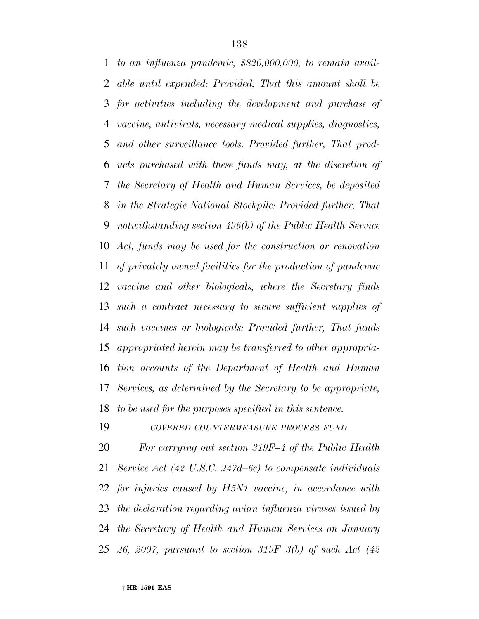*to an influenza pandemic, \$820,000,000, to remain avail- able until expended: Provided, That this amount shall be for activities including the development and purchase of vaccine, antivirals, necessary medical supplies, diagnostics, and other surveillance tools: Provided further, That prod- ucts purchased with these funds may, at the discretion of the Secretary of Health and Human Services, be deposited in the Strategic National Stockpile: Provided further, That notwithstanding section 496(b) of the Public Health Service Act, funds may be used for the construction or renovation of privately owned facilities for the production of pandemic vaccine and other biologicals, where the Secretary finds such a contract necessary to secure sufficient supplies of such vaccines or biologicals: Provided further, That funds appropriated herein may be transferred to other appropria- tion accounts of the Department of Health and Human Services, as determined by the Secretary to be appropriate, to be used for the purposes specified in this sentence.*

*COVERED COUNTERMEASURE PROCESS FUND*

 *For carrying out section 319F–4 of the Public Health Service Act (42 U.S.C. 247d–6e) to compensate individuals for injuries caused by H5N1 vaccine, in accordance with the declaration regarding avian influenza viruses issued by the Secretary of Health and Human Services on January 26, 2007, pursuant to section 319F–3(b) of such Act (42*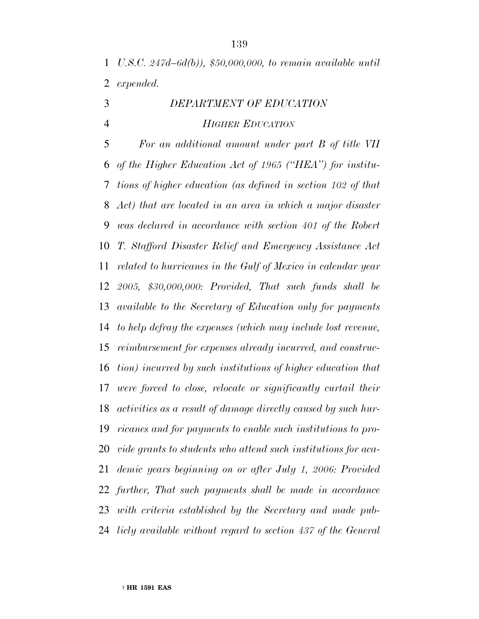*U.S.C. 247d–6d(b)), \$50,000,000, to remain available until expended.*

# *DEPARTMENT OF EDUCATION HIGHER EDUCATION*

 *For an additional amount under part B of title VII of the Higher Education Act of 1965 (''HEA'') for institu- tions of higher education (as defined in section 102 of that Act) that are located in an area in which a major disaster was declared in accordance with section 401 of the Robert T. Stafford Disaster Relief and Emergency Assistance Act related to hurricanes in the Gulf of Mexico in calendar year 2005, \$30,000,000: Provided, That such funds shall be available to the Secretary of Education only for payments to help defray the expenses (which may include lost revenue, reimbursement for expenses already incurred, and construc- tion) incurred by such institutions of higher education that were forced to close, relocate or significantly curtail their activities as a result of damage directly caused by such hur- ricanes and for payments to enable such institutions to pro- vide grants to students who attend such institutions for aca- demic years beginning on or after July 1, 2006: Provided further, That such payments shall be made in accordance with criteria established by the Secretary and made pub-licly available without regard to section 437 of the General*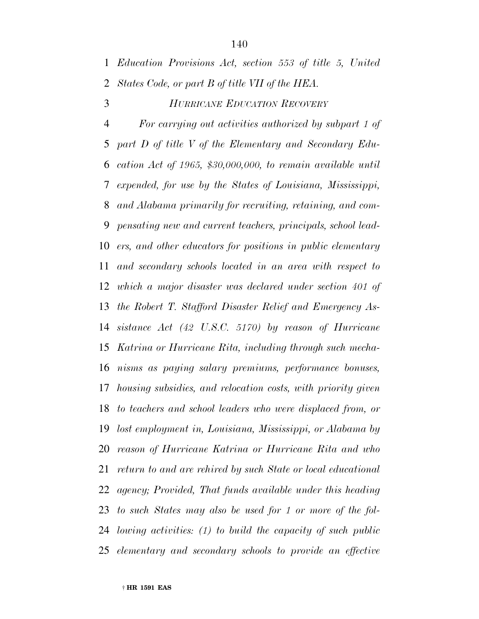### *HURRICANE EDUCATION RECOVERY*

 *For carrying out activities authorized by subpart 1 of part D of title V of the Elementary and Secondary Edu- cation Act of 1965, \$30,000,000, to remain available until expended, for use by the States of Louisiana, Mississippi, and Alabama primarily for recruiting, retaining, and com- pensating new and current teachers, principals, school lead- ers, and other educators for positions in public elementary and secondary schools located in an area with respect to which a major disaster was declared under section 401 of the Robert T. Stafford Disaster Relief and Emergency As- sistance Act (42 U.S.C. 5170) by reason of Hurricane Katrina or Hurricane Rita, including through such mecha- nisms as paying salary premiums, performance bonuses, housing subsidies, and relocation costs, with priority given to teachers and school leaders who were displaced from, or lost employment in, Louisiana, Mississippi, or Alabama by reason of Hurricane Katrina or Hurricane Rita and who return to and are rehired by such State or local educational agency; Provided, That funds available under this heading to such States may also be used for 1 or more of the fol- lowing activities: (1) to build the capacity of such public elementary and secondary schools to provide an effective*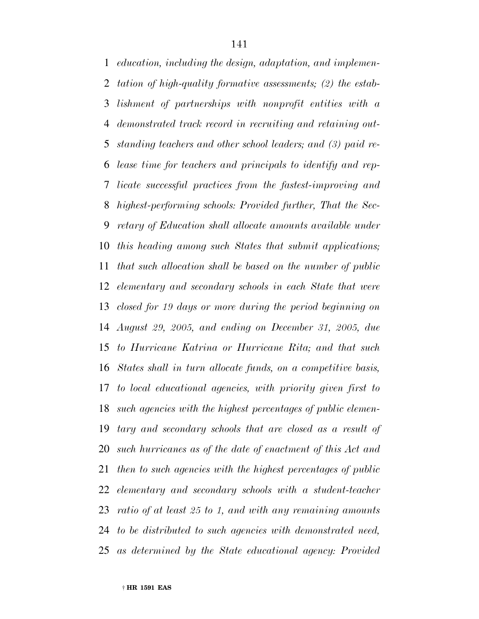*education, including the design, adaptation, and implemen- tation of high-quality formative assessments; (2) the estab- lishment of partnerships with nonprofit entities with a demonstrated track record in recruiting and retaining out- standing teachers and other school leaders; and (3) paid re- lease time for teachers and principals to identify and rep- licate successful practices from the fastest-improving and highest-performing schools: Provided further, That the Sec- retary of Education shall allocate amounts available under this heading among such States that submit applications; that such allocation shall be based on the number of public elementary and secondary schools in each State that were closed for 19 days or more during the period beginning on August 29, 2005, and ending on December 31, 2005, due to Hurricane Katrina or Hurricane Rita; and that such States shall in turn allocate funds, on a competitive basis, to local educational agencies, with priority given first to such agencies with the highest percentages of public elemen- tary and secondary schools that are closed as a result of such hurricanes as of the date of enactment of this Act and then to such agencies with the highest percentages of public elementary and secondary schools with a student-teacher ratio of at least 25 to 1, and with any remaining amounts to be distributed to such agencies with demonstrated need, as determined by the State educational agency: Provided*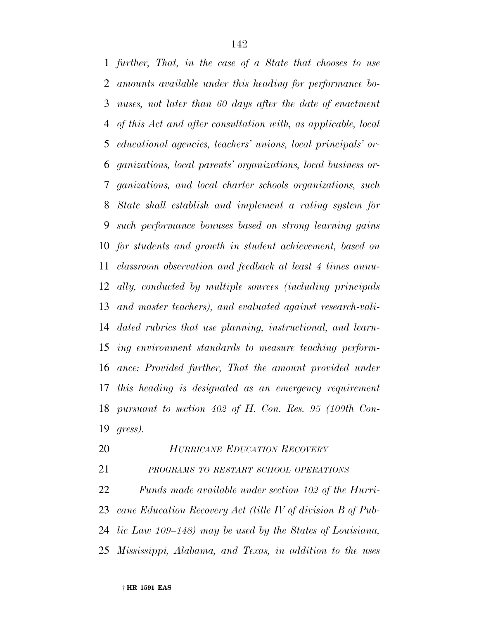*further, That, in the case of a State that chooses to use amounts available under this heading for performance bo- nuses, not later than 60 days after the date of enactment of this Act and after consultation with, as applicable, local educational agencies, teachers' unions, local principals' or- ganizations, local parents' organizations, local business or- ganizations, and local charter schools organizations, such State shall establish and implement a rating system for such performance bonuses based on strong learning gains for students and growth in student achievement, based on classroom observation and feedback at least 4 times annu- ally, conducted by multiple sources (including principals and master teachers), and evaluated against research-vali- dated rubrics that use planning, instructional, and learn- ing environment standards to measure teaching perform- ance: Provided further, That the amount provided under this heading is designated as an emergency requirement pursuant to section 402 of H. Con. Res. 95 (109th Con-gress).*

*HURRICANE EDUCATION RECOVERY*

*PROGRAMS TO RESTART SCHOOL OPERATIONS*

 *Funds made available under section 102 of the Hurri- cane Education Recovery Act (title IV of division B of Pub- lic Law 109–148) may be used by the States of Louisiana, Mississippi, Alabama, and Texas, in addition to the uses*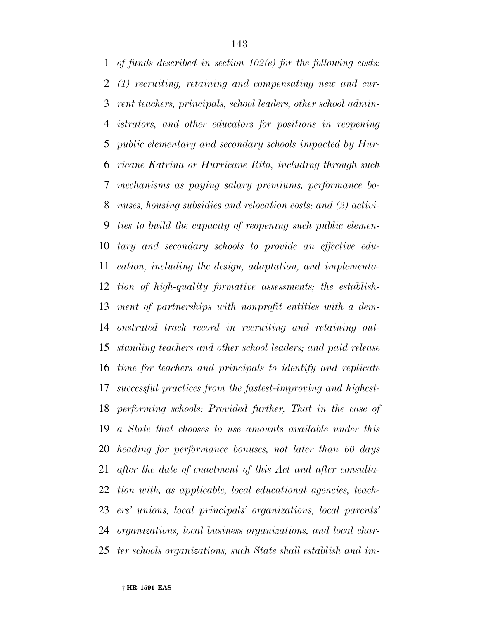*of funds described in section 102(e) for the following costs: (1) recruiting, retaining and compensating new and cur- rent teachers, principals, school leaders, other school admin- istrators, and other educators for positions in reopening public elementary and secondary schools impacted by Hur- ricane Katrina or Hurricane Rita, including through such mechanisms as paying salary premiums, performance bo- nuses, housing subsidies and relocation costs; and (2) activi- ties to build the capacity of reopening such public elemen- tary and secondary schools to provide an effective edu- cation, including the design, adaptation, and implementa- tion of high-quality formative assessments; the establish- ment of partnerships with nonprofit entities with a dem- onstrated track record in recruiting and retaining out- standing teachers and other school leaders; and paid release time for teachers and principals to identify and replicate successful practices from the fastest-improving and highest- performing schools: Provided further, That in the case of a State that chooses to use amounts available under this heading for performance bonuses, not later than 60 days after the date of enactment of this Act and after consulta- tion with, as applicable, local educational agencies, teach- ers' unions, local principals' organizations, local parents' organizations, local business organizations, and local char-ter schools organizations, such State shall establish and im-*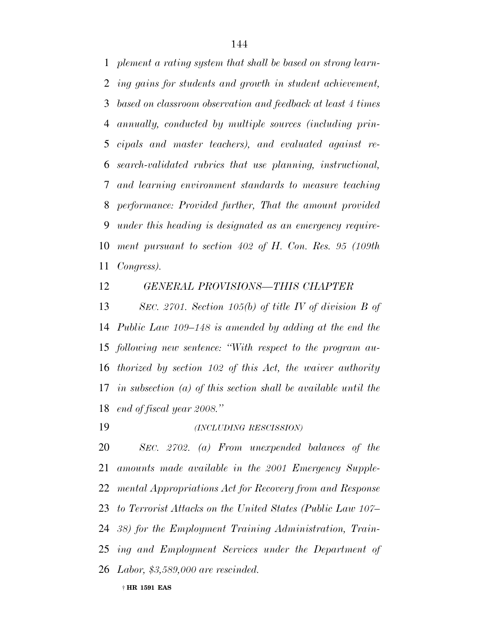*plement a rating system that shall be based on strong learn- ing gains for students and growth in student achievement, based on classroom observation and feedback at least 4 times annually, conducted by multiple sources (including prin- cipals and master teachers), and evaluated against re- search-validated rubrics that use planning, instructional, and learning environment standards to measure teaching performance: Provided further, That the amount provided under this heading is designated as an emergency require- ment pursuant to section 402 of H. Con. Res. 95 (109th Congress).*

#### *GENERAL PROVISIONS—THIS CHAPTER*

 *SEC. 2701. Section 105(b) of title IV of division B of Public Law 109–148 is amended by adding at the end the following new sentence: ''With respect to the program au- thorized by section 102 of this Act, the waiver authority in subsection (a) of this section shall be available until the end of fiscal year 2008.''*

*(INCLUDING RESCISSION)*

 *SEC. 2702. (a) From unexpended balances of the amounts made available in the 2001 Emergency Supple- mental Appropriations Act for Recovery from and Response to Terrorist Attacks on the United States (Public Law 107– 38) for the Employment Training Administration, Train- ing and Employment Services under the Department of Labor, \$3,589,000 are rescinded.*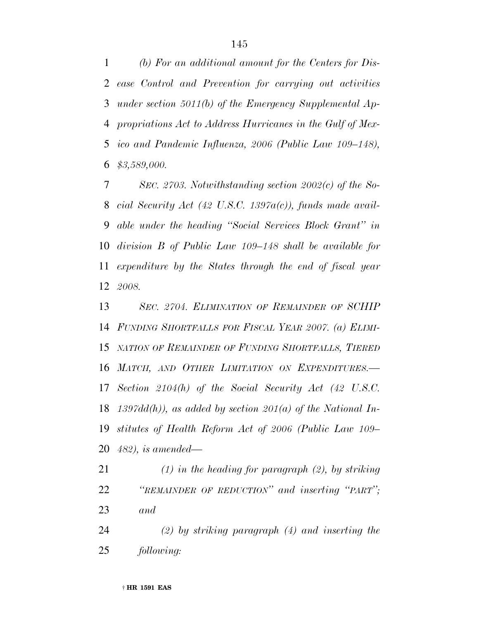*(b) For an additional amount for the Centers for Dis- ease Control and Prevention for carrying out activities under section 5011(b) of the Emergency Supplemental Ap- propriations Act to Address Hurricanes in the Gulf of Mex- ico and Pandemic Influenza, 2006 (Public Law 109–148), \$3,589,000.*

 *SEC. 2703. Notwithstanding section 2002(c) of the So- cial Security Act (42 U.S.C. 1397a(c)), funds made avail- able under the heading ''Social Services Block Grant'' in division B of Public Law 109–148 shall be available for expenditure by the States through the end of fiscal year 2008.*

 *SEC. 2704. ELIMINATION OF REMAINDER OF SCHIP FUNDING SHORTFALLS FOR FISCAL YEAR 2007. (a) ELIMI- NATION OF REMAINDER OF FUNDING SHORTFALLS, TIERED MATCH, AND OTHER LIMITATION ON EXPENDITURES.— Section 2104(h) of the Social Security Act (42 U.S.C. 1397dd(h)), as added by section 201(a) of the National In- stitutes of Health Reform Act of 2006 (Public Law 109– 482), is amended—*

 *(1) in the heading for paragraph (2), by striking ''REMAINDER OF REDUCTION'' and inserting ''PART''; and*

 *(2) by striking paragraph (4) and inserting the following:*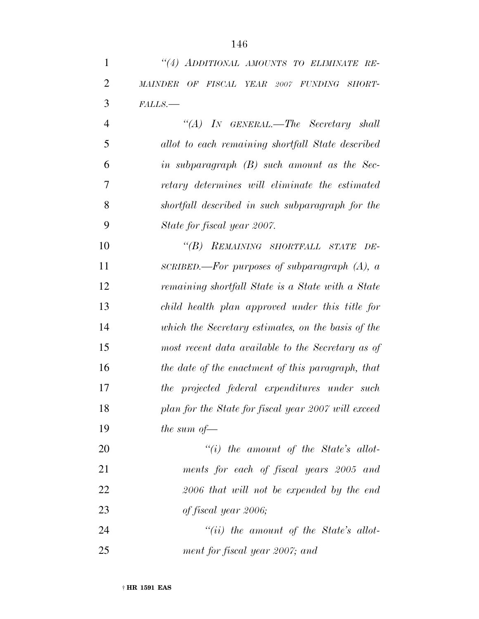| $\mathbf{1}$   | "(4) ADDITIONAL AMOUNTS TO ELIMINATE RE-             |
|----------------|------------------------------------------------------|
| $\overline{2}$ | OF FISCAL YEAR 2007 FUNDING SHORT-<br><b>MAINDER</b> |
| 3              | FALLS.                                               |
| $\overline{4}$ | "(A) IN GENERAL.—The Secretary shall                 |
| 5              | allot to each remaining shortfall State described    |
| 6              | in subparagraph $(B)$ such amount as the Sec-        |
| 7              | retary determines will eliminate the estimated       |
| 8              | shortfall described in such subparagraph for the     |
| 9              | State for fiscal year 2007.                          |
| 10             | "(B) REMAINING SHORTFALL STATE<br>DE-                |
| 11             | SCRIBED.—For purposes of subparagraph $(A)$ , a      |
| 12             | remaining shortfall State is a State with a State    |
| 13             | child health plan approved under this title for      |
| 14             | which the Secretary estimates, on the basis of the   |
| 15             | most recent data available to the Secretary as of    |
| 16             | the date of the enactment of this paragraph, that    |
| 17             | the projected federal expenditures under such        |
| 18             | plan for the State for fiscal year 2007 will exceed  |
| 19             | the sum of $-$                                       |
| 20             | $``(i)$ the amount of the State's allot-             |
| 21             | ments for each of fiscal years 2005 and              |
| 22             | 2006 that will not be expended by the end            |
| 23             | of fiscal year 2006;                                 |
| 24             | $``(ii)$ the amount of the State's allot-            |
| 25             | ment for fiscal year 2007; and                       |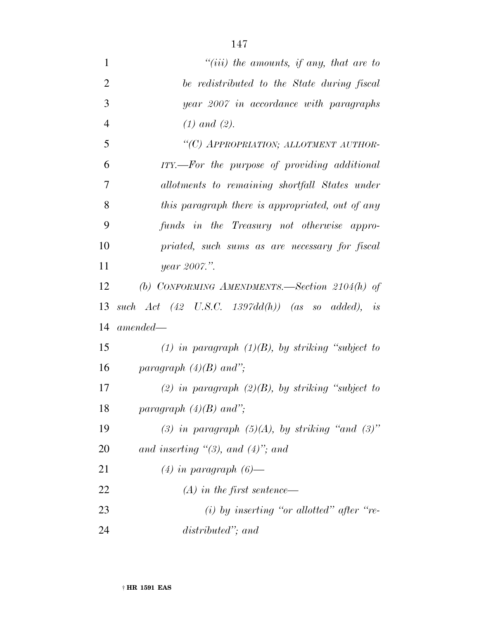| $\mathbf{1}$   | "(iii) the amounts, if any, that are to              |
|----------------|------------------------------------------------------|
| $\overline{2}$ | be redistributed to the State during fiscal          |
| 3              | year 2007 in accordance with paragraphs              |
| $\overline{4}$ | $(1)$ and $(2)$ .                                    |
| 5              | "(C) APPROPRIATION; ALLOTMENT AUTHOR-                |
| 6              | ITY.—For the purpose of providing additional         |
| 7              | allotments to remaining shortfall States under       |
| 8              | this paragraph there is appropriated, out of any     |
| 9              | funds in the Treasury not otherwise appro-           |
| 10             | priated, such sums as are necessary for fiscal       |
| 11             | year 2007.".                                         |
| 12             | (b) CONFORMING AMENDMENTS. Section $2104(h)$ of      |
| 13             | such $Act$ (42 U.S.C. 1397dd(h)) (as so added), is   |
| 14             | $amended-$                                           |
| 15             | (1) in paragraph $(1)(B)$ , by striking "subject to  |
| 16             | paragraph $(4)(B)$ and";                             |
| 17             | (2) in paragraph $(2)(B)$ , by striking "subject to  |
| 18             | paragraph $(4)(B)$ and";                             |
| 19             | (3) in paragraph $(5)(A)$ , by striking "and $(3)$ " |
| 20             | and inserting "(3), and $(4)$ "; and                 |
| 21             | $(4)$ in paragraph $(6)$ —                           |
| 22             | $(A)$ in the first sentence—                         |
| 23             | $(i)$ by inserting "or allotted" after "re-          |
| 24             | distributed"; and                                    |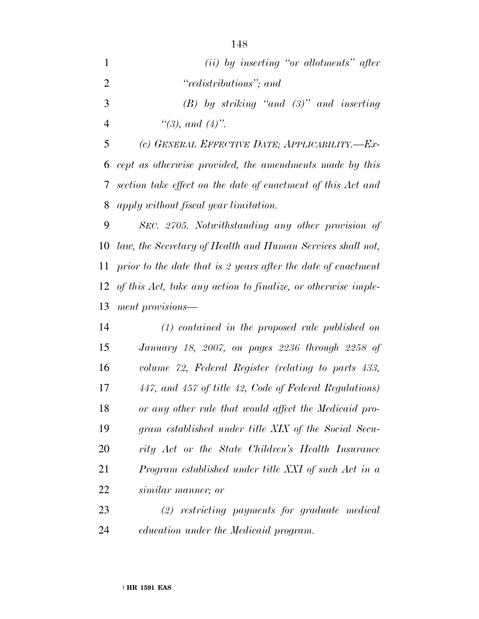| $\mathbf{1}$   | $(ii)$ by inserting "or allotments" after                      |
|----------------|----------------------------------------------------------------|
| $\overline{2}$ | "redistributions"; and                                         |
| 3              | $(B)$ by striking "and $(3)$ " and inserting                   |
| 4              | "(3), and $(4)$ ".                                             |
| 5              | (c) GENERAL EFFECTIVE DATE; APPLICABILITY.-Ex-                 |
|                | 6 cept as otherwise provided, the amendments made by this      |
|                | 7 section take effect on the date of enactment of this Act and |
|                | 8 apply without fiscal year limitation.                        |

 *SEC. 2705. Notwithstanding any other provision of law, the Secretary of Health and Human Services shall not, prior to the date that is 2 years after the date of enactment of this Act, take any action to finalize, or otherwise imple-ment provisions—*

 *(1) contained in the proposed rule published on January 18, 2007, on pages 2236 through 2258 of volume 72, Federal Register (relating to parts 433, 447, and 457 of title 42, Code of Federal Regulations) or any other rule that would affect the Medicaid pro- gram established under title XIX of the Social Secu- rity Act or the State Children's Health Insurance Program established under title XXI of such Act in a similar manner; or*

 *(2) restricting payments for graduate medical education under the Medicaid program.*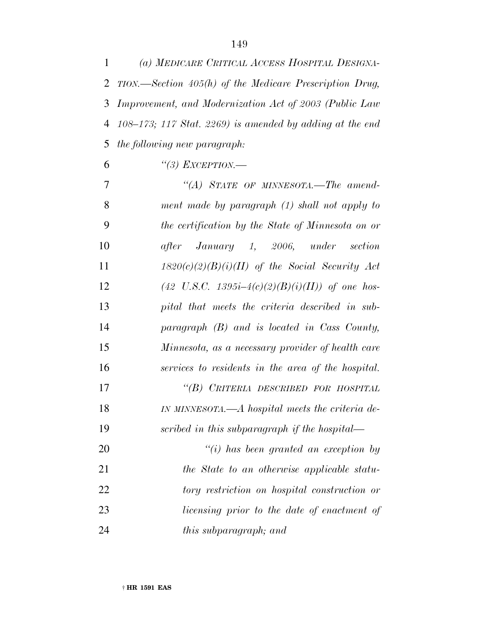| $\mathbf{1}$ | (a) MEDICARE CRITICAL ACCESS HOSPITAL DESIGNA-                |
|--------------|---------------------------------------------------------------|
|              | 2 TION.—Section 405(h) of the Medicare Prescription Drug,     |
|              | 3 Improvement, and Modernization Act of 2003 (Public Law      |
|              | 4 $108-173$ ; 117 Stat. 2269) is amended by adding at the end |
|              | 5 the following new paragraph:                                |
| 6            | "(3) EXCEPTION.—                                              |
|              |                                                               |

| 7  | "(A) STATE OF MINNESOTA.—The amend-                        |
|----|------------------------------------------------------------|
| 8  | ment made by paragraph (1) shall not apply to              |
| 9  | the certification by the State of Minnesota on or          |
| 10 | January 1, 2006, under section<br>after                    |
| 11 | $1820(c)(2)(B)(i)(II)$ of the Social Security Act          |
| 12 | $(42 \text{ U.S.C. } 1395i-4(c)(2)(B)(i)(II))$ of one hos- |
| 13 | pital that meets the criteria described in sub-            |
| 14 | paragraph $(B)$ and is located in Cass County,             |
| 15 | Minnesota, as a necessary provider of health care          |
| 16 | services to residents in the area of the hospital.         |
| 17 | "(B) CRITERIA DESCRIBED FOR HOSPITAL                       |
| 18 | IN MINNESOTA.—A hospital meets the criteria de-            |
| 19 | scribed in this subparagraph if the hospital—              |
| 20 | $``(i)$ has been granted an exception by                   |
| 21 | the State to an otherwise applicable statu-                |
| 22 | tory restriction on hospital construction or               |
| 23 | licensing prior to the date of enactment of                |
| 24 | <i>this subparagraph; and</i>                              |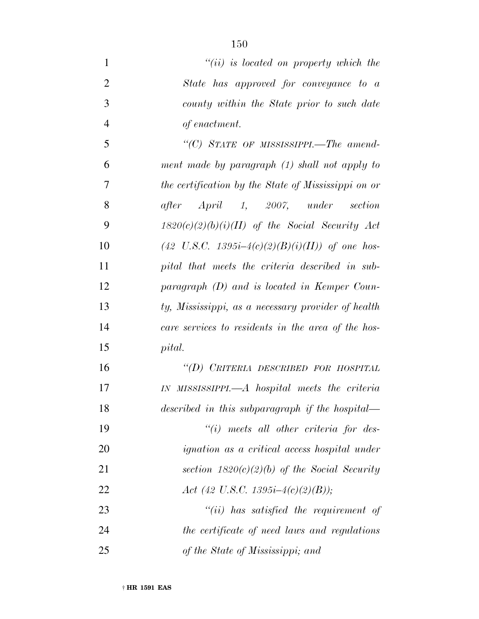| $\mathbf{1}$   | $``(ii)$ is located on property which the                  |
|----------------|------------------------------------------------------------|
| $\overline{2}$ | State has approved for conveyance to a                     |
| 3              | county within the State prior to such date                 |
| $\overline{4}$ | of enactment.                                              |
| 5              | "(C) STATE OF MISSISSIPPI.—The amend-                      |
| 6              | ment made by paragraph (1) shall not apply to              |
| 7              | the certification by the State of Mississippi on or        |
| 8              | after April 1, 2007, under section                         |
| 9              | $1820(c)(2)(b)(i)(II)$ of the Social Security Act          |
| 10             | $(42 \text{ U.S.C. } 1395i-4(c)(2)(B)(i)(II))$ of one hos- |
| 11             | pital that meets the criteria described in sub-            |
| 12             | paragraph (D) and is located in Kemper Coun-               |
| 13             | ty, Mississippi, as a necessary provider of health         |
| 14             | care services to residents in the area of the hos-         |
| 15             | pital.                                                     |
| 16             | "(D) CRITERIA DESCRIBED FOR HOSPITAL                       |
| 17             | IN MISSISSIPPI.—A hospital meets the criteria              |
| 18             | described in this subparagraph if the hospital—            |
| 19             | $"(i)$ meets all other criteria for des-                   |
| 20             | <i>ignation</i> as a critical access hospital under        |
| 21             | section $1820(c)(2)(b)$ of the Social Security             |
| 22             | Act (42 U.S.C. 1395 <i>i</i> -4(c)(2)(B));                 |
| 23             | $``(ii)$ has satisfied the requirement of                  |
| 24             | the certificate of need laws and regulations               |
| 25             | of the State of Mississippi; and                           |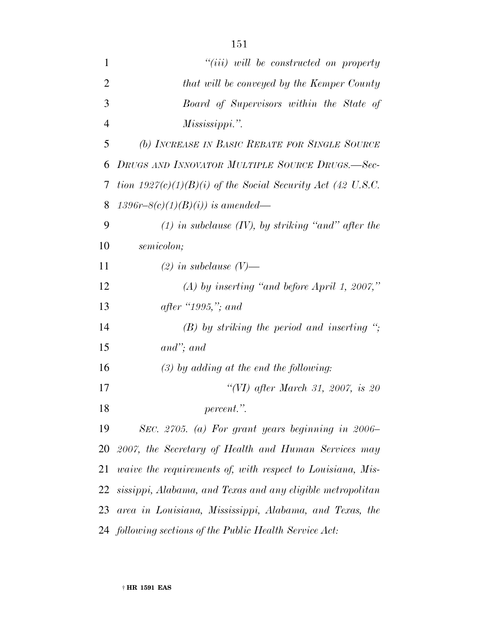| $\mathbf{1}$   | $``(iii)$ will be constructed on property                         |
|----------------|-------------------------------------------------------------------|
| $\overline{2}$ | that will be conveyed by the Kemper County                        |
| 3              | Board of Supervisors within the State of                          |
| $\overline{4}$ | Mississippi.".                                                    |
| 5              | (b) INCREASE IN BASIC REBATE FOR SINGLE SOURCE                    |
| 6              | DRUGS AND INNOVATOR MULTIPLE SOURCE DRUGS.-Sec-                   |
| 7              | tion $1927(c)(1)(B)(i)$ of the Social Security Act (42 U.S.C.     |
| 8              | 1396r-8(c)(1)(B)(i)) is amended—                                  |
| 9              | $(1)$ in subclause $(IV)$ , by striking "and" after the           |
| 10             | semicolon;                                                        |
| 11             | $(2)$ in subclause $(V)$ —                                        |
| 12             | $(A)$ by inserting "and before April 1, 2007,"                    |
| 13             | <i>after</i> $"1995,"$ and                                        |
| 14             | $(B)$ by striking the period and inserting ";                     |
| 15             | $and$ "; and                                                      |
| 16             | $(3)$ by adding at the end the following:                         |
| 17             | "(VI) after March 31, 2007, is 20                                 |
| 18             | percent.".                                                        |
| 19             | SEC. 2705. (a) For grant years beginning in 2006–                 |
| 20             | 2007, the Secretary of Health and Human Services may              |
| 21             | <i>vaive the requirements of, with respect to Louisiana, Mis-</i> |
| 22             | sissippi, Alabama, and Texas and any eligible metropolitan        |
| 23             | area in Louisiana, Mississippi, Alabama, and Texas, the           |
|                | 24 following sections of the Public Health Service Act:           |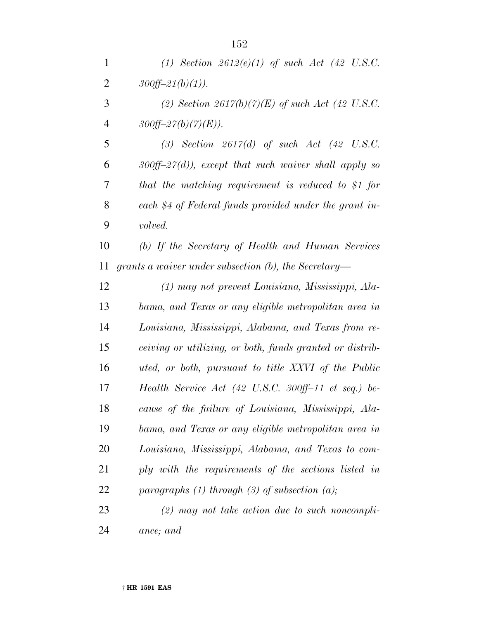*(2) Section 2617(b)(7)(E) of such Act (42 U.S.C.* 4  $300ff - 27(b)(7)(E)$ .

 *(3) Section 2617(d) of such Act (42 U.S.C. 300ff–27(d)), except that such waiver shall apply so that the matching requirement is reduced to \$1 for each \$4 of Federal funds provided under the grant in-volved.*

 *(b) If the Secretary of Health and Human Services grants a waiver under subsection (b), the Secretary—*

 *(1) may not prevent Louisiana, Mississippi, Ala- bama, and Texas or any eligible metropolitan area in Louisiana, Mississippi, Alabama, and Texas from re- ceiving or utilizing, or both, funds granted or distrib- uted, or both, pursuant to title XXVI of the Public Health Service Act (42 U.S.C. 300ff–11 et seq.) be- cause of the failure of Louisiana, Mississippi, Ala- bama, and Texas or any eligible metropolitan area in Louisiana, Mississippi, Alabama, and Texas to com- ply with the requirements of the sections listed in paragraphs (1) through (3) of subsection (a);*

 *(2) may not take action due to such noncompli-ance; and*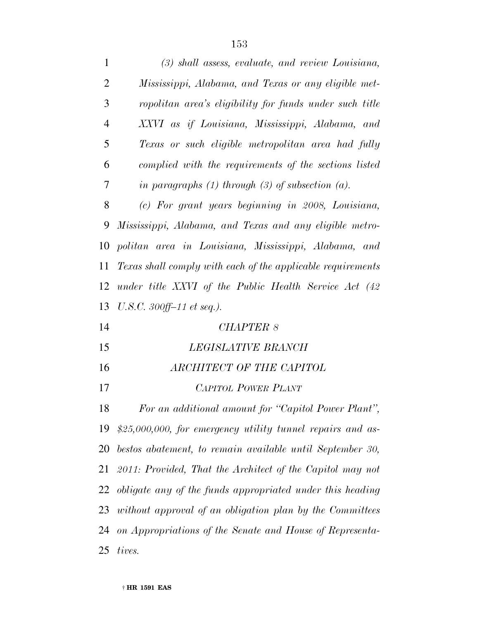| $\mathbf{1}$   | (3) shall assess, evaluate, and review Louisiana,           |
|----------------|-------------------------------------------------------------|
| $\overline{2}$ | Mississippi, Alabama, and Texas or any eligible met-        |
| 3              | ropolitan area's eligibility for funds under such title     |
| $\overline{4}$ | XXVI as if Louisiana, Mississippi, Alabama, and             |
| 5              | Texas or such eligible metropolitan area had fully          |
| 6              | complied with the requirements of the sections listed       |
| 7              | in paragraphs $(1)$ through $(3)$ of subsection $(a)$ .     |
| 8              | (c) For grant years beginning in 2008, Louisiana,           |
| 9              | Mississippi, Alabama, and Texas and any eligible metro-     |
| 10             | politan area in Louisiana, Mississippi, Alabama, and        |
| 11             | Texas shall comply with each of the applicable requirements |
| 12             | under title XXVI of the Public Health Service Act (42       |
| 13             | $U.S.C. 300ff-11$ et seq.).                                 |
| 14             | <b>CHAPTER 8</b>                                            |
| 15             | LEGISLATIVE BRANCH                                          |
| 16             | ARCHITECT OF THE CAPITOL                                    |
| 17             | <b>CAPITOL POWER PLANT</b>                                  |
| 18             | For an additional amount for "Capitol Power Plant",         |
| 19             | $$25,000,000, for$ emergency utility tunnel repairs and as- |
| 20             | bestos abatement, to remain available until September 30,   |
| 21             | 2011: Provided, That the Architect of the Capitol may not   |
| 22             | obligate any of the funds appropriated under this heading   |
| 23             | without approval of an obligation plan by the Committees    |
| 24             | on Appropriations of the Senate and House of Representa-    |
|                |                                                             |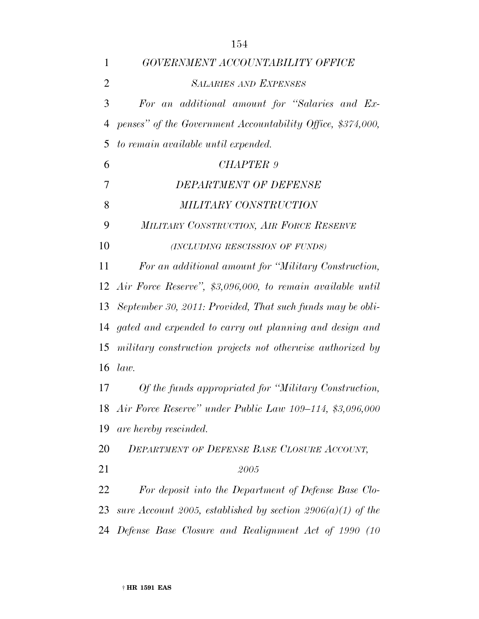| $\mathbf{1}$   | GOVERNMENT ACCOUNTABILITY OFFICE                              |
|----------------|---------------------------------------------------------------|
| $\overline{2}$ | <b>SALARIES AND EXPENSES</b>                                  |
| 3              | For an additional amount for "Salaries and Ex-                |
| 4              | penses" of the Government Accountability Office, \$374,000,   |
| 5              | to remain available until expended.                           |
| 6              | CHAPTER 9                                                     |
| 7              | <b>DEPARTMENT OF DEFENSE</b>                                  |
| 8              | MILITARY CONSTRUCTION                                         |
| 9              | MILITARY CONSTRUCTION, AIR FORCE RESERVE                      |
| 10             | (INCLUDING RESCISSION OF FUNDS)                               |
| 11             | For an additional amount for "Military Construction,          |
|                | 12 Air Force Reserve", \$3,096,000, to remain available until |
| 13             | September 30, 2011: Provided, That such funds may be obli-    |
| 14             | gated and expended to carry out planning and design and       |
| 15             | military construction projects not otherwise authorized by    |
| 16             | law.                                                          |
| 17             | Of the funds appropriated for "Military Construction,         |
|                | 18 Air Force Reserve" under Public Law 109–114, \$3,096,000   |
| 19             | are hereby rescinded.                                         |
| 20             | DEPARTMENT OF DEFENSE BASE CLOSURE ACCOUNT,                   |
| 21             | 2005                                                          |
| 22             | For deposit into the Department of Defense Base Clo-          |
| 23             | sure Account 2005, established by section 2906(a)(1) of the   |
| 24             | Defense Base Closure and Realignment Act of 1990 (10          |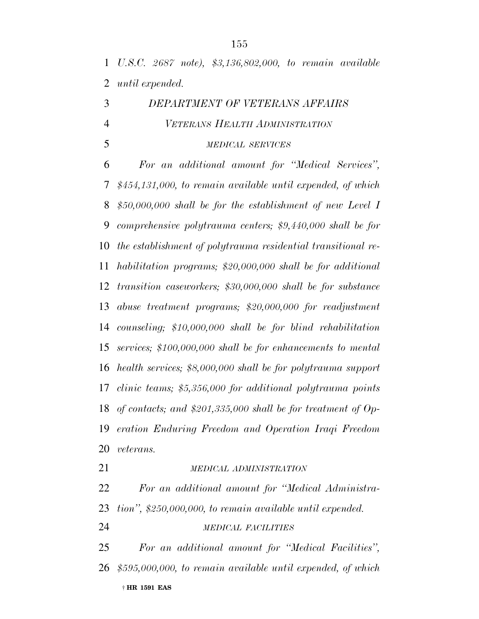*U.S.C. 2687 note), \$3,136,802,000, to remain available until expended.*

## *DEPARTMENT OF VETERANS AFFAIRS VETERANS HEALTH ADMINISTRATION*

*MEDICAL SERVICES*

 *For an additional amount for ''Medical Services'', \$454,131,000, to remain available until expended, of which \$50,000,000 shall be for the establishment of new Level I comprehensive polytrauma centers; \$9,440,000 shall be for the establishment of polytrauma residential transitional re- habilitation programs; \$20,000,000 shall be for additional transition caseworkers; \$30,000,000 shall be for substance abuse treatment programs; \$20,000,000 for readjustment counseling; \$10,000,000 shall be for blind rehabilitation services; \$100,000,000 shall be for enhancements to mental health services; \$8,000,000 shall be for polytrauma support clinic teams; \$5,356,000 for additional polytrauma points of contacts; and \$201,335,000 shall be for treatment of Op- eration Enduring Freedom and Operation Iraqi Freedom veterans.*

*MEDICAL ADMINISTRATION*

 *For an additional amount for ''Medical Administra-tion'', \$250,000,000, to remain available until expended.*

*MEDICAL FACILITIES*

† **HR 1591 EAS** *For an additional amount for ''Medical Facilities'', \$595,000,000, to remain available until expended, of which*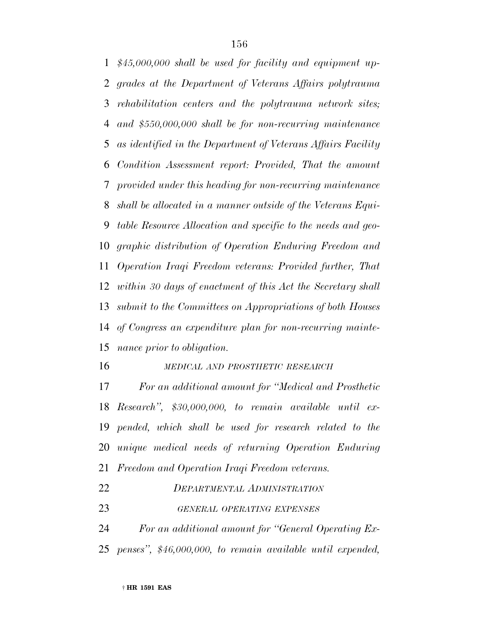*\$45,000,000 shall be used for facility and equipment up- grades at the Department of Veterans Affairs polytrauma rehabilitation centers and the polytrauma network sites; and \$550,000,000 shall be for non-recurring maintenance as identified in the Department of Veterans Affairs Facility Condition Assessment report: Provided, That the amount provided under this heading for non-recurring maintenance shall be allocated in a manner outside of the Veterans Equi- table Resource Allocation and specific to the needs and geo- graphic distribution of Operation Enduring Freedom and Operation Iraqi Freedom veterans: Provided further, That within 30 days of enactment of this Act the Secretary shall submit to the Committees on Appropriations of both Houses of Congress an expenditure plan for non-recurring mainte-nance prior to obligation.*

## *MEDICAL AND PROSTHETIC RESEARCH*

 *For an additional amount for ''Medical and Prosthetic Research'', \$30,000,000, to remain available until ex- pended, which shall be used for research related to the unique medical needs of returning Operation Enduring Freedom and Operation Iraqi Freedom veterans.*

| 22 | DEPARTMENTAL ADMINISTRATION                                   |
|----|---------------------------------------------------------------|
| 23 | GENERAL OPERATING EXPENSES                                    |
| 24 | For an additional amount for "General Operating Ex-           |
|    | 25 penses", \$46,000,000, to remain available until expended, |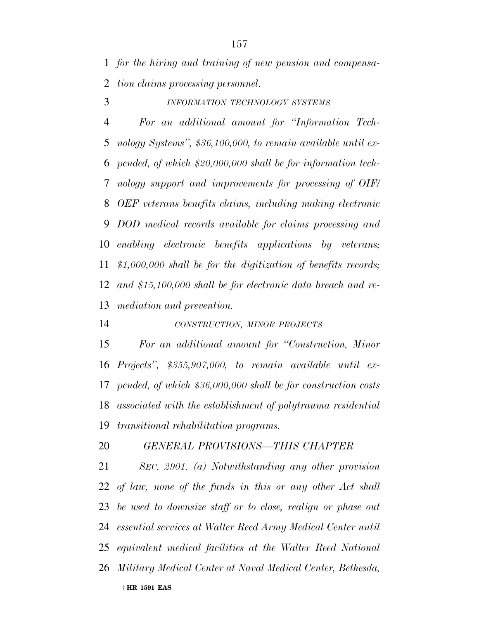*for the hiring and training of new pension and compensa-tion claims processing personnel.*

*INFORMATION TECHNOLOGY SYSTEMS*

 *For an additional amount for ''Information Tech- nology Systems'', \$36,100,000, to remain available until ex- pended, of which \$20,000,000 shall be for information tech- nology support and improvements for processing of OIF/ OEF veterans benefits claims, including making electronic DOD medical records available for claims processing and enabling electronic benefits applications by veterans; \$1,000,000 shall be for the digitization of benefits records; and \$15,100,000 shall be for electronic data breach and re-mediation and prevention.*

*CONSTRUCTION, MINOR PROJECTS*

 *For an additional amount for ''Construction, Minor Projects'', \$355,907,000, to remain available until ex- pended, of which \$36,000,000 shall be for construction costs associated with the establishment of polytrauma residential transitional rehabilitation programs.*

*GENERAL PROVISIONS—THIS CHAPTER*

† **HR 1591 EAS** *SEC. 2901. (a) Notwithstanding any other provision of law, none of the funds in this or any other Act shall be used to downsize staff or to close, realign or phase out essential services at Walter Reed Army Medical Center until equivalent medical facilities at the Walter Reed National Military Medical Center at Naval Medical Center, Bethesda,*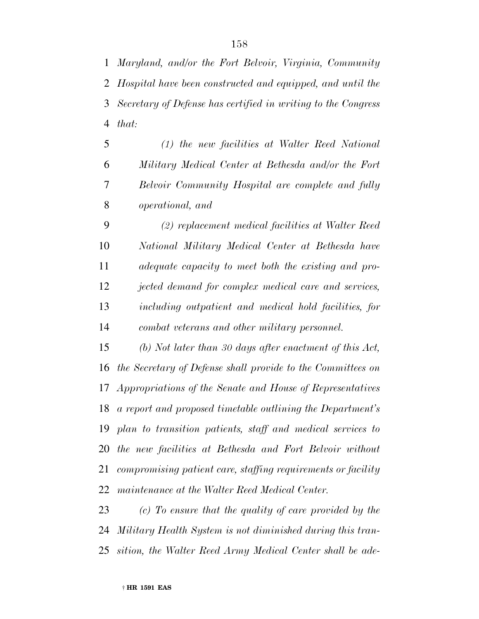*Maryland, and/or the Fort Belvoir, Virginia, Community Hospital have been constructed and equipped, and until the Secretary of Defense has certified in writing to the Congress that:*

 *(1) the new facilities at Walter Reed National Military Medical Center at Bethesda and/or the Fort Belvoir Community Hospital are complete and fully operational, and*

 *(2) replacement medical facilities at Walter Reed National Military Medical Center at Bethesda have adequate capacity to meet both the existing and pro- jected demand for complex medical care and services, including outpatient and medical hold facilities, for combat veterans and other military personnel.*

 *(b) Not later than 30 days after enactment of this Act, the Secretary of Defense shall provide to the Committees on Appropriations of the Senate and House of Representatives a report and proposed timetable outlining the Department's plan to transition patients, staff and medical services to the new facilities at Bethesda and Fort Belvoir without compromising patient care, staffing requirements or facility maintenance at the Walter Reed Medical Center.*

 *(c) To ensure that the quality of care provided by the Military Health System is not diminished during this tran-sition, the Walter Reed Army Medical Center shall be ade-*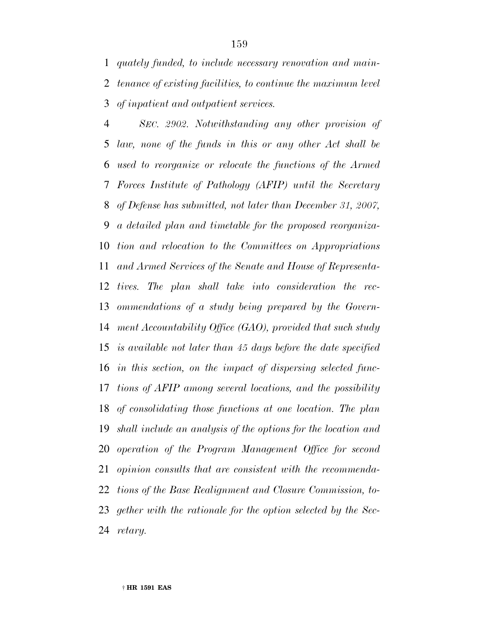*quately funded, to include necessary renovation and main- tenance of existing facilities, to continue the maximum level of inpatient and outpatient services.*

 *SEC. 2902. Notwithstanding any other provision of law, none of the funds in this or any other Act shall be used to reorganize or relocate the functions of the Armed Forces Institute of Pathology (AFIP) until the Secretary of Defense has submitted, not later than December 31, 2007, a detailed plan and timetable for the proposed reorganiza- tion and relocation to the Committees on Appropriations and Armed Services of the Senate and House of Representa- tives. The plan shall take into consideration the rec- ommendations of a study being prepared by the Govern- ment Accountability Office (GAO), provided that such study is available not later than 45 days before the date specified in this section, on the impact of dispersing selected func- tions of AFIP among several locations, and the possibility of consolidating those functions at one location. The plan shall include an analysis of the options for the location and operation of the Program Management Office for second opinion consults that are consistent with the recommenda- tions of the Base Realignment and Closure Commission, to- gether with the rationale for the option selected by the Sec-retary.*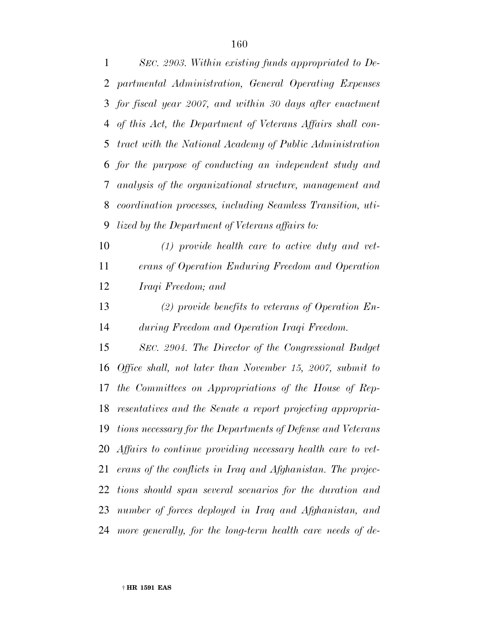*SEC. 2903. Within existing funds appropriated to De- partmental Administration, General Operating Expenses for fiscal year 2007, and within 30 days after enactment of this Act, the Department of Veterans Affairs shall con- tract with the National Academy of Public Administration for the purpose of conducting an independent study and analysis of the organizational structure, management and coordination processes, including Seamless Transition, uti-lized by the Department of Veterans affairs to:*

 *(1) provide health care to active duty and vet- erans of Operation Enduring Freedom and Operation Iraqi Freedom; and*

 *(2) provide benefits to veterans of Operation En-during Freedom and Operation Iraqi Freedom.*

 *SEC. 2904. The Director of the Congressional Budget Office shall, not later than November 15, 2007, submit to the Committees on Appropriations of the House of Rep- resentatives and the Senate a report projecting appropria- tions necessary for the Departments of Defense and Veterans Affairs to continue providing necessary health care to vet- erans of the conflicts in Iraq and Afghanistan. The projec- tions should span several scenarios for the duration and number of forces deployed in Iraq and Afghanistan, and more generally, for the long-term health care needs of de-*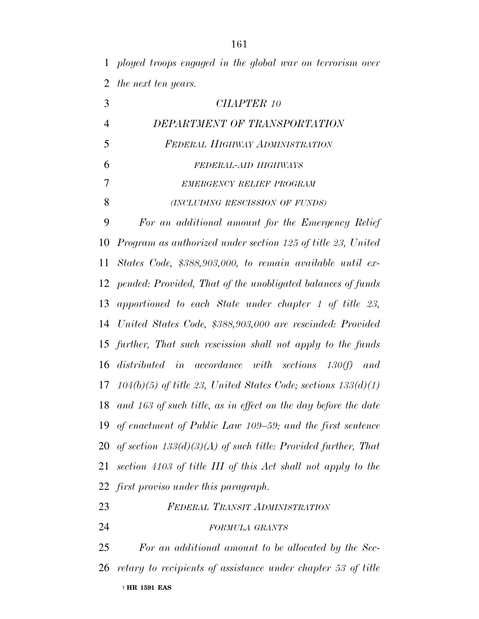*ployed troops engaged in the global war on terrorism over the next ten years.*

| 3              | CHAPTER 10                                                           |
|----------------|----------------------------------------------------------------------|
| $\overline{4}$ | DEPARTMENT OF TRANSPORTATION                                         |
| 5              | FEDERAL HIGHWAY ADMINISTRATION                                       |
| 6              | FEDERAL-AID HIGHWAYS                                                 |
| $\overline{7}$ | EMERGENCY RELIEF PROGRAM                                             |
| 8              | (INCLUDING RESCISSION OF FUNDS)                                      |
| 9              | For an additional amount for the Emergency Relief                    |
| 10             | Program as authorized under section 125 of title 23, United          |
| 11             | States Code, \$388,903,000, to remain available until ex-            |
|                | 12 pended: Provided, That of the unobligated balances of funds       |
| 13             | apportioned to each State under chapter 1 of title 23,               |
| 14             | United States Code, \$388,903,000 are rescinded: Provided            |
|                | 15 further, That such rescission shall not apply to the funds        |
| 16             | distributed in accordance with sections $130(f)$ and                 |
|                | 17 $104(b)(5)$ of title 23, United States Code; sections $133(d)(1)$ |
|                | 18 and 163 of such title, as in effect on the day before the date    |
|                | 19 of enactment of Public Law 109–59; and the first sentence         |
|                | 20 of section $133(d)(3)(A)$ of such title: Provided further, That   |
| 21             | section 4103 of title III of this Act shall not apply to the         |
|                | 22 first proviso under this paragraph.                               |
| 23             | FEDERAL TRANSIT ADMINISTRATION                                       |

*FORMULA GRANTS*

† **HR 1591 EAS** *For an additional amount to be allocated by the Sec-retary to recipients of assistance under chapter 53 of title*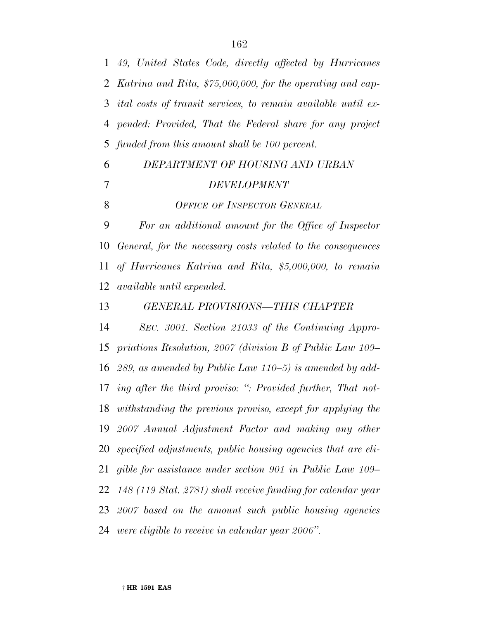*49, United States Code, directly affected by Hurricanes Katrina and Rita, \$75,000,000, for the operating and cap- ital costs of transit services, to remain available until ex- pended: Provided, That the Federal share for any project funded from this amount shall be 100 percent.*

## *DEPARTMENT OF HOUSING AND URBAN DEVELOPMENT*

*OFFICE OF INSPECTOR GENERAL*

 *For an additional amount for the Office of Inspector General, for the necessary costs related to the consequences of Hurricanes Katrina and Rita, \$5,000,000, to remain available until expended.*

*GENERAL PROVISIONS—THIS CHAPTER*

 *SEC. 3001. Section 21033 of the Continuing Appro- priations Resolution, 2007 (division B of Public Law 109– 289, as amended by Public Law 110–5) is amended by add- ing after the third proviso: '': Provided further, That not- withstanding the previous proviso, except for applying the 2007 Annual Adjustment Factor and making any other specified adjustments, public housing agencies that are eli- gible for assistance under section 901 in Public Law 109– 148 (119 Stat. 2781) shall receive funding for calendar year 2007 based on the amount such public housing agencies were eligible to receive in calendar year 2006''.*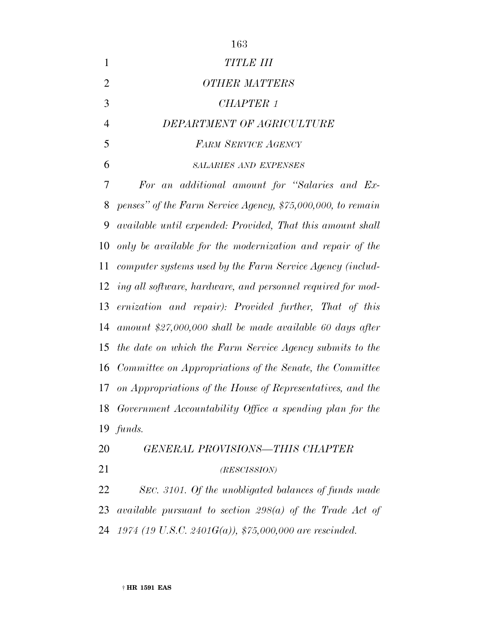| 1              | <b>TITLE III</b>                                                                                                                           |
|----------------|--------------------------------------------------------------------------------------------------------------------------------------------|
| $\overline{2}$ | <b>OTHER MATTERS</b>                                                                                                                       |
| 3              | <b>CHAPTER 1</b>                                                                                                                           |
| 4              | DEPARTMENT OF AGRICULTURE                                                                                                                  |
| 5              | <b>FARM SERVICE AGENCY</b>                                                                                                                 |
| 6              | <b>SALARIES AND EXPENSES</b>                                                                                                               |
| 7              | For an additional amount for "Salaries and Ex-                                                                                             |
| $\Omega$       | $\mathcal{H}$ and $\mathbf{H}$ and $\mathcal{H}$ and $\mathcal{H}$ and $\mathcal{H}$ and $\mathcal{H}$ and $\mathcal{H}$ and $\mathcal{H}$ |

 *penses'' of the Farm Service Agency, \$75,000,000, to remain available until expended: Provided, That this amount shall only be available for the modernization and repair of the computer systems used by the Farm Service Agency (includ- ing all software, hardware, and personnel required for mod- ernization and repair): Provided further, That of this amount \$27,000,000 shall be made available 60 days after the date on which the Farm Service Agency submits to the Committee on Appropriations of the Senate, the Committee on Appropriations of the House of Representatives, and the Government Accountability Office a spending plan for the funds.*

*GENERAL PROVISIONS—THIS CHAPTER*

## *(RESCISSION)*

 *SEC. 3101. Of the unobligated balances of funds made available pursuant to section 298(a) of the Trade Act of 1974 (19 U.S.C. 2401G(a)), \$75,000,000 are rescinded.*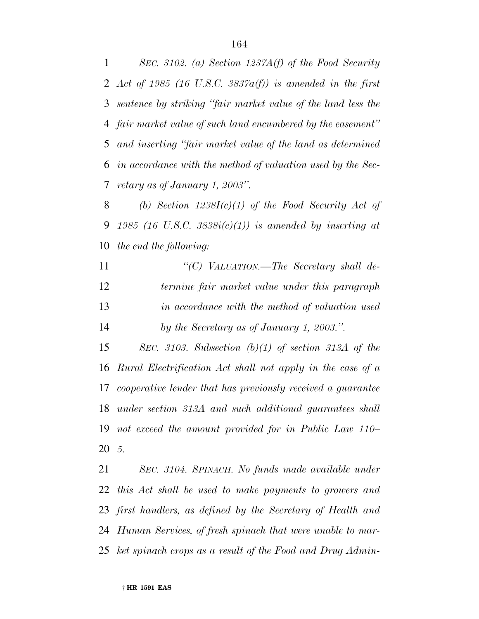*SEC. 3102. (a) Section 1237A(f) of the Food Security Act of 1985 (16 U.S.C. 3837a(f)) is amended in the first sentence by striking ''fair market value of the land less the fair market value of such land encumbered by the easement'' and inserting ''fair market value of the land as determined in accordance with the method of valuation used by the Sec-retary as of January 1, 2003''.*

 *(b) Section 1238I(c)(1) of the Food Security Act of 1985 (16 U.S.C. 3838i(c)(1)) is amended by inserting at the end the following:*

 *''(C) VALUATION.—The Secretary shall de- termine fair market value under this paragraph in accordance with the method of valuation used by the Secretary as of January 1, 2003.''.*

 *SEC. 3103. Subsection (b)(1) of section 313A of the Rural Electrification Act shall not apply in the case of a cooperative lender that has previously received a guarantee under section 313A and such additional guarantees shall not exceed the amount provided for in Public Law 110– 5.*

 *SEC. 3104. SPINACH. No funds made available under this Act shall be used to make payments to growers and first handlers, as defined by the Secretary of Health and Human Services, of fresh spinach that were unable to mar-ket spinach crops as a result of the Food and Drug Admin-*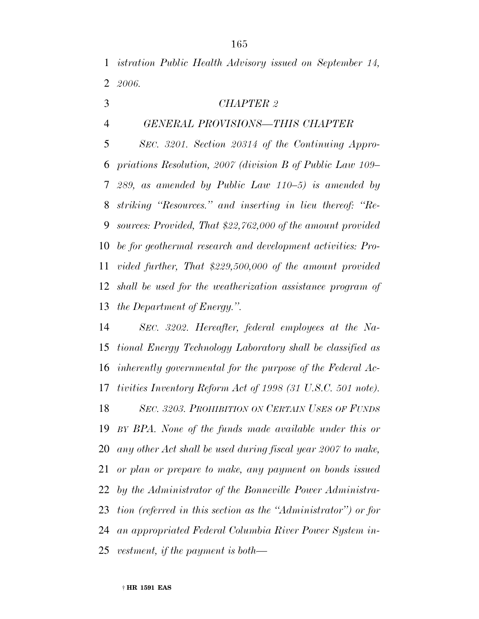*istration Public Health Advisory issued on September 14, 2006.*

- *CHAPTER 2*
- *GENERAL PROVISIONS—THIS CHAPTER*

 *SEC. 3201. Section 20314 of the Continuing Appro- priations Resolution, 2007 (division B of Public Law 109– 289, as amended by Public Law 110–5) is amended by striking ''Resources.'' and inserting in lieu thereof: ''Re- sources: Provided, That \$22,762,000 of the amount provided be for geothermal research and development activities: Pro- vided further, That \$229,500,000 of the amount provided shall be used for the weatherization assistance program of the Department of Energy.''.*

 *SEC. 3202. Hereafter, federal employees at the Na- tional Energy Technology Laboratory shall be classified as inherently governmental for the purpose of the Federal Ac- tivities Inventory Reform Act of 1998 (31 U.S.C. 501 note). SEC. 3203. PROHIBITION ON CERTAIN USES OF FUNDS BY BPA. None of the funds made available under this or any other Act shall be used during fiscal year 2007 to make, or plan or prepare to make, any payment on bonds issued by the Administrator of the Bonneville Power Administra- tion (referred in this section as the ''Administrator'') or for an appropriated Federal Columbia River Power System in-vestment, if the payment is both—*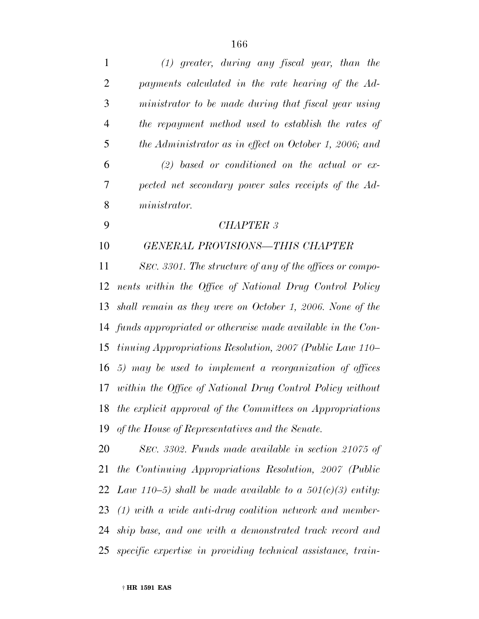| $\mathbf{1}$   | $(1)$ greater, during any fiscal year, than the                 |
|----------------|-----------------------------------------------------------------|
| $\overline{2}$ | payments calculated in the rate hearing of the Ad-              |
| 3              | ministrator to be made during that fiscal year using            |
| $\overline{4}$ | the repayment method used to establish the rates of             |
| 5              | the Administrator as in effect on October 1, 2006; and          |
| 6              | $(2)$ based or conditioned on the actual or ex-                 |
| 7              | pected net secondary power sales receipts of the Ad-            |
| 8              | ministrator.                                                    |
| 9              | <b>CHAPTER 3</b>                                                |
| 10             | <b>GENERAL PROVISIONS-THIS CHAPTER</b>                          |
| 11             | SEC. 3301. The structure of any of the offices or compo-        |
| 12             | nents within the Office of National Drug Control Policy         |
| 13             | shall remain as they were on October 1, 2006. None of the       |
|                | 14 funds appropriated or otherwise made available in the Con-   |
| 15             | <i>tinuing Appropriations Resolution, 2007 (Public Law 110–</i> |
| 16             | 5) may be used to implement a reorganization of offices         |
| 17             | within the Office of National Drug Control Policy without       |
| 18             | the explicit approval of the Committees on Appropriations       |
| 19             | of the House of Representatives and the Senate.                 |
| 20             | SEC. 3302. Funds made available in section 21075 of             |
| 21             | the Continuing Appropriations Resolution, 2007 (Public          |
|                | 22 Law 110–5) shall be made available to a $501(c)(3)$ entity:  |
| 23             | $(1)$ with a wide anti-drug coalition network and member-       |
| 24             | ship base, and one with a demonstrated track record and         |
| 25             | specific expertise in providing technical assistance, train-    |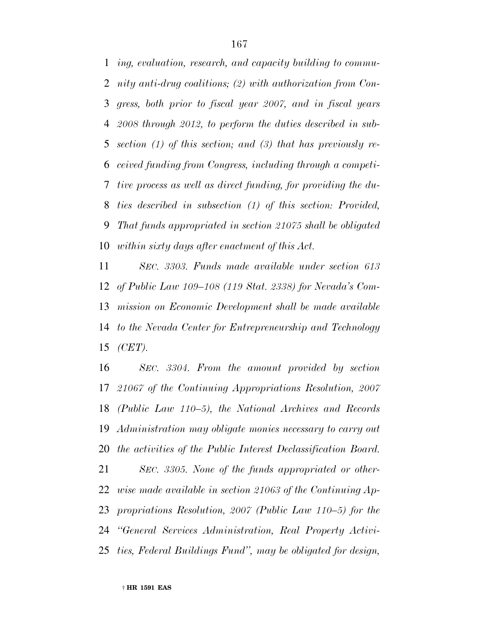*ing, evaluation, research, and capacity building to commu- nity anti-drug coalitions; (2) with authorization from Con- gress, both prior to fiscal year 2007, and in fiscal years 2008 through 2012, to perform the duties described in sub- section (1) of this section; and (3) that has previously re- ceived funding from Congress, including through a competi- tive process as well as direct funding, for providing the du- ties described in subsection (1) of this section: Provided, That funds appropriated in section 21075 shall be obligated within sixty days after enactment of this Act.*

 *SEC. 3303. Funds made available under section 613 of Public Law 109–108 (119 Stat. 2338) for Nevada's Com- mission on Economic Development shall be made available to the Nevada Center for Entrepreneurship and Technology (CET).*

 *SEC. 3304. From the amount provided by section 21067 of the Continuing Appropriations Resolution, 2007 (Public Law 110–5), the National Archives and Records Administration may obligate monies necessary to carry out the activities of the Public Interest Declassification Board.*

 *SEC. 3305. None of the funds appropriated or other- wise made available in section 21063 of the Continuing Ap- propriations Resolution, 2007 (Public Law 110–5) for the ''General Services Administration, Real Property Activi-ties, Federal Buildings Fund'', may be obligated for design,*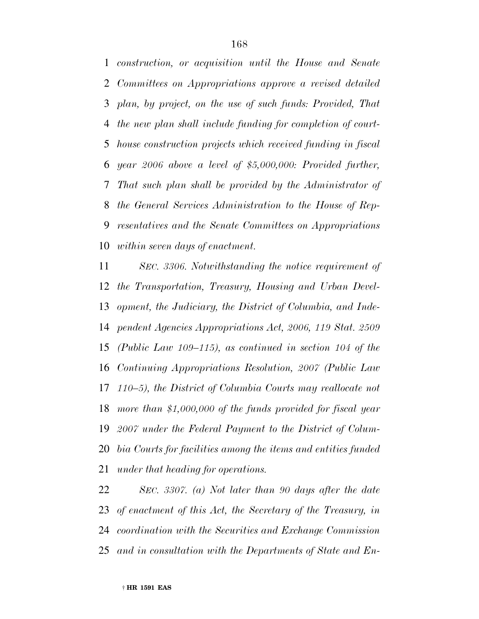*construction, or acquisition until the House and Senate Committees on Appropriations approve a revised detailed plan, by project, on the use of such funds: Provided, That the new plan shall include funding for completion of court- house construction projects which received funding in fiscal year 2006 above a level of \$5,000,000: Provided further, That such plan shall be provided by the Administrator of the General Services Administration to the House of Rep- resentatives and the Senate Committees on Appropriations within seven days of enactment.*

 *SEC. 3306. Notwithstanding the notice requirement of the Transportation, Treasury, Housing and Urban Devel- opment, the Judiciary, the District of Columbia, and Inde- pendent Agencies Appropriations Act, 2006, 119 Stat. 2509 (Public Law 109–115), as continued in section 104 of the Continuing Appropriations Resolution, 2007 (Public Law 110–5), the District of Columbia Courts may reallocate not more than \$1,000,000 of the funds provided for fiscal year 2007 under the Federal Payment to the District of Colum- bia Courts for facilities among the items and entities funded under that heading for operations.*

 *SEC. 3307. (a) Not later than 90 days after the date of enactment of this Act, the Secretary of the Treasury, in coordination with the Securities and Exchange Commission and in consultation with the Departments of State and En-*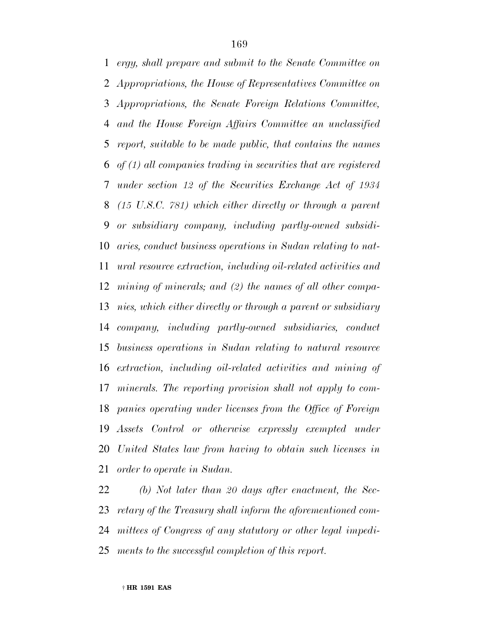*ergy, shall prepare and submit to the Senate Committee on Appropriations, the House of Representatives Committee on Appropriations, the Senate Foreign Relations Committee, and the House Foreign Affairs Committee an unclassified report, suitable to be made public, that contains the names of (1) all companies trading in securities that are registered under section 12 of the Securities Exchange Act of 1934 (15 U.S.C. 781) which either directly or through a parent or subsidiary company, including partly-owned subsidi- aries, conduct business operations in Sudan relating to nat- ural resource extraction, including oil-related activities and mining of minerals; and (2) the names of all other compa- nies, which either directly or through a parent or subsidiary company, including partly-owned subsidiaries, conduct business operations in Sudan relating to natural resource extraction, including oil-related activities and mining of minerals. The reporting provision shall not apply to com- panies operating under licenses from the Office of Foreign Assets Control or otherwise expressly exempted under United States law from having to obtain such licenses in order to operate in Sudan.*

 *(b) Not later than 20 days after enactment, the Sec- retary of the Treasury shall inform the aforementioned com- mittees of Congress of any statutory or other legal impedi-ments to the successful completion of this report.*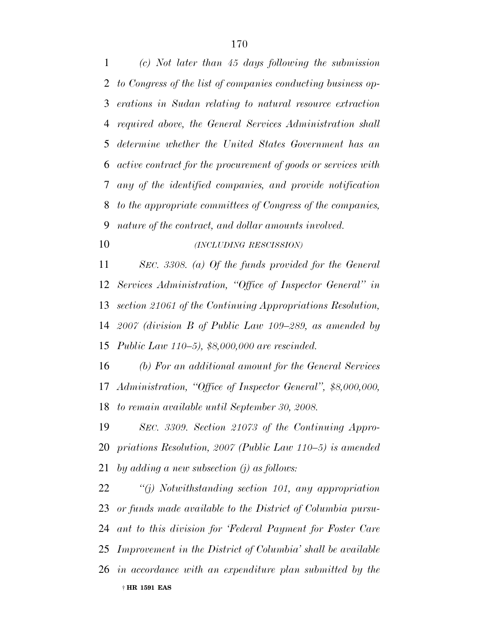*(c) Not later than 45 days following the submission to Congress of the list of companies conducting business op- erations in Sudan relating to natural resource extraction required above, the General Services Administration shall determine whether the United States Government has an active contract for the procurement of goods or services with any of the identified companies, and provide notification to the appropriate committees of Congress of the companies, nature of the contract, and dollar amounts involved.*

*(INCLUDING RESCISSION)*

 *SEC. 3308. (a) Of the funds provided for the General Services Administration, ''Office of Inspector General'' in section 21061 of the Continuing Appropriations Resolution, 2007 (division B of Public Law 109–289, as amended by Public Law 110–5), \$8,000,000 are rescinded.*

 *(b) For an additional amount for the General Services Administration, ''Office of Inspector General'', \$8,000,000, to remain available until September 30, 2008.*

 *SEC. 3309. Section 21073 of the Continuing Appro- priations Resolution, 2007 (Public Law 110–5) is amended by adding a new subsection (j) as follows:*

† **HR 1591 EAS** *''(j) Notwithstanding section 101, any appropriation or funds made available to the District of Columbia pursu- ant to this division for 'Federal Payment for Foster Care Improvement in the District of Columbia' shall be available in accordance with an expenditure plan submitted by the*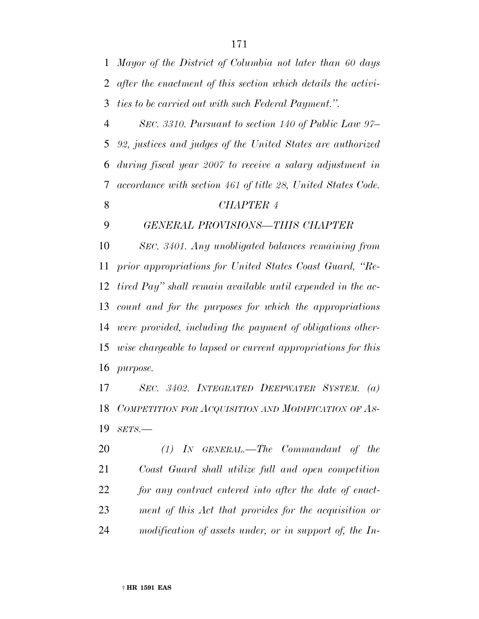| $\mathbf{1}$   | Mayor of the District of Columbia not later than 60 days      |
|----------------|---------------------------------------------------------------|
| $\overline{2}$ | after the enactment of this section which details the activi- |
| 3              | ties to be carried out with such Federal Payment.".           |
| $\overline{4}$ | SEC. 3310. Pursuant to section 140 of Public Law 97–          |
| 5              | 92, justices and judges of the United States are authorized   |
| 6              | during fiscal year 2007 to receive a salary adjustment in     |
| 7              | accordance with section 461 of title 28, United States Code.  |
| 8              | <b>CHAPTER 4</b>                                              |
| 9              | GENERAL PROVISIONS-THIS CHAPTER                               |
| 10             | SEC. 3401. Any unobligated balances remaining from            |
| 11             | prior appropriations for United States Coast Guard, "Re-      |
| 12             | tired Pay" shall remain available until expended in the ac-   |
| 13             | count and for the purposes for which the appropriations       |
| 14             | were provided, including the payment of obligations other-    |
| 15             | wise chargeable to lapsed or current appropriations for this  |
| 16             | <i>purpose.</i>                                               |
| 17             | SEC. 3402. INTEGRATED DEEPWATER SYSTEM. (a)                   |
|                | 18 COMPETITION FOR ACQUISITION AND MODIFICATION OF AS-        |
| 19             | $SETS$ .                                                      |
| 20             | $(1)$ IN GENERAL.—The Commandant of the                       |
| 21             | Coast Guard shall utilize full and open competition           |

 *for any contract entered into after the date of enact- ment of this Act that provides for the acquisition or modification of assets under, or in support of, the In-*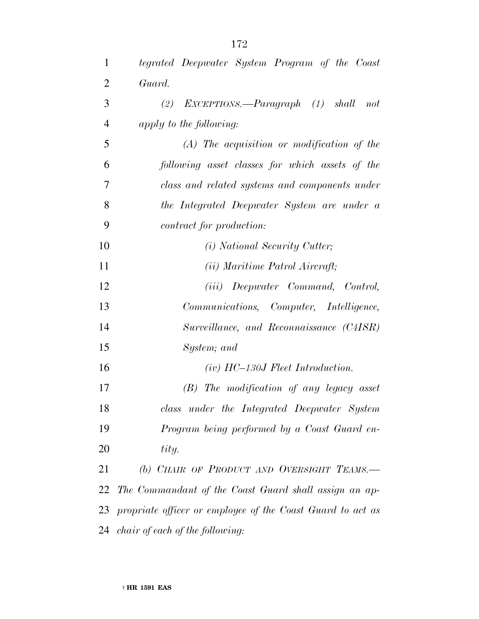| $\mathbf{1}$   | tegrated Deepwater System Program of the Coast                |
|----------------|---------------------------------------------------------------|
| $\overline{2}$ | Guard.                                                        |
| 3              | (2) $EXCEPTIONS$ — $Paragnaph$ (1)<br>shall<br>not            |
| $\overline{4}$ | apply to the following:                                       |
| 5              | $(A)$ The acquisition or modification of the                  |
| 6              | following asset classes for which assets of the               |
| 7              | class and related systems and components under                |
| 8              | the Integrated Deepwater System are under a                   |
| 9              | contract for production:                                      |
| 10             | ( <i>i</i> ) National Security Cutter;                        |
| 11             | ( <i>ii</i> ) Maritime Patrol Aircraft;                       |
| 12             | ( <i>iii</i> ) Deepwater Command, Control,                    |
| 13             | Communications, Computer, Intelligence,                       |
| 14             | Surveillance, and Reconnaissance (C4ISR)                      |
| 15             | System; and                                                   |
| 16             | $(iv)$ HC-130J Fleet Introduction.                            |
| 17             | $(B)$ The modification of any legacy asset                    |
| 18             | class under the Integrated Deepwater System                   |
| 19             | Program being performed by a Coast Guard en-                  |
| 20             | tity.                                                         |
| 21             | (b) CHAIR OF PRODUCT AND OVERSIGHT TEAMS.                     |
| 22             | The Commandant of the Coast Guard shall assign an ap-         |
|                | 23 propriate officer or employee of the Coast Guard to act as |
|                | 24 <i>chair of each of the following:</i>                     |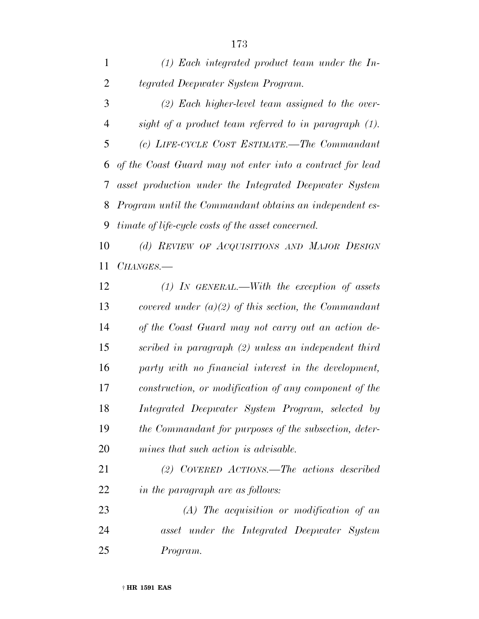| 1              | $(1)$ Each integrated product team under the In-            |
|----------------|-------------------------------------------------------------|
| $\overline{2}$ | tegrated Deepwater System Program.                          |
| 3              | $(2)$ Each higher-level team assigned to the over-          |
| 4              | sight of a product team referred to in paragraph (1).       |
| 5              | (c) LIFE-CYCLE COST ESTIMATE.—The Commandant                |
|                | 6 of the Coast Guard may not enter into a contract for lead |
|                | 7 asset production under the Integrated Deepwater System    |
|                | 8 Program until the Commandant obtains an independent es-   |
| 9              | <i>timate of life-cycle costs of the asset concerned.</i>   |
| 10             | (d) REVIEW OF ACQUISITIONS AND MAJOR DESIGN                 |
| 11             | CHANGES.-                                                   |
| 12             | $(1)$ IN GENERAL.—With the exception of assets              |
|                |                                                             |

 *covered under (a)(2) of this section, the Commandant of the Coast Guard may not carry out an action de- scribed in paragraph (2) unless an independent third party with no financial interest in the development, construction, or modification of any component of the Integrated Deepwater System Program, selected by the Commandant for purposes of the subsection, deter-mines that such action is advisable.*

 *(2) COVERED ACTIONS.—The actions described in the paragraph are as follows:*

 *(A) The acquisition or modification of an asset under the Integrated Deepwater System Program.*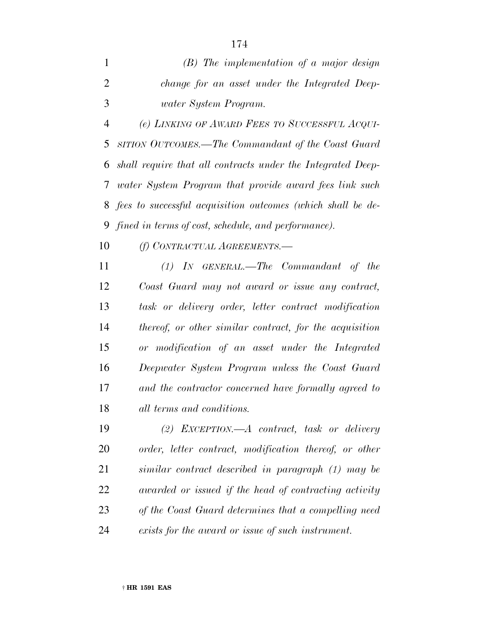*(B) The implementation of a major design change for an asset under the Integrated Deep-water System Program.*

 *(e) LINKING OF AWARD FEES TO SUCCESSFUL ACQUI- SITION OUTCOMES.—The Commandant of the Coast Guard shall require that all contracts under the Integrated Deep- water System Program that provide award fees link such fees to successful acquisition outcomes (which shall be de-fined in terms of cost, schedule, and performance).*

*(f) CONTRACTUAL AGREEMENTS.—*

 *(1) IN GENERAL.—The Commandant of the Coast Guard may not award or issue any contract, task or delivery order, letter contract modification thereof, or other similar contract, for the acquisition or modification of an asset under the Integrated Deepwater System Program unless the Coast Guard and the contractor concerned have formally agreed to all terms and conditions.*

 *(2) EXCEPTION.—A contract, task or delivery order, letter contract, modification thereof, or other similar contract described in paragraph (1) may be awarded or issued if the head of contracting activity of the Coast Guard determines that a compelling need exists for the award or issue of such instrument.*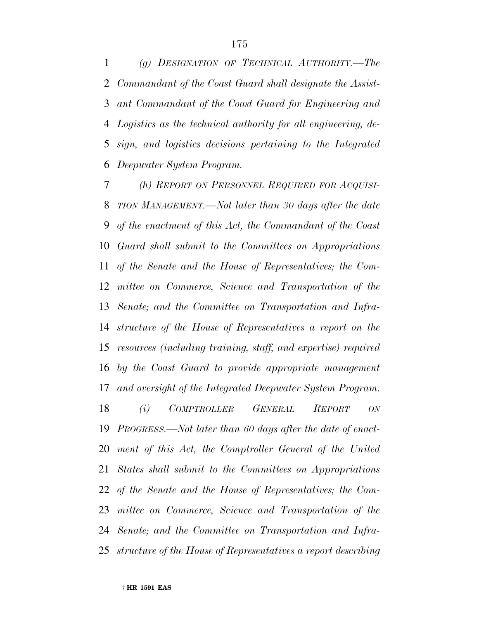*(g) DESIGNATION OF TECHNICAL AUTHORITY.—The Commandant of the Coast Guard shall designate the Assist- ant Commandant of the Coast Guard for Engineering and Logistics as the technical authority for all engineering, de- sign, and logistics decisions pertaining to the Integrated Deepwater System Program.*

 *(h) REPORT ON PERSONNEL REQUIRED FOR ACQUISI- TION MANAGEMENT.—Not later than 30 days after the date of the enactment of this Act, the Commandant of the Coast Guard shall submit to the Committees on Appropriations of the Senate and the House of Representatives; the Com- mittee on Commerce, Science and Transportation of the Senate; and the Committee on Transportation and Infra- structure of the House of Representatives a report on the resources (including training, staff, and expertise) required by the Coast Guard to provide appropriate management and oversight of the Integrated Deepwater System Program.*

 *(i) COMPTROLLER GENERAL REPORT ON PROGRESS.—Not later than 60 days after the date of enact- ment of this Act, the Comptroller General of the United States shall submit to the Committees on Appropriations of the Senate and the House of Representatives; the Com- mittee on Commerce, Science and Transportation of the Senate; and the Committee on Transportation and Infra-structure of the House of Representatives a report describing*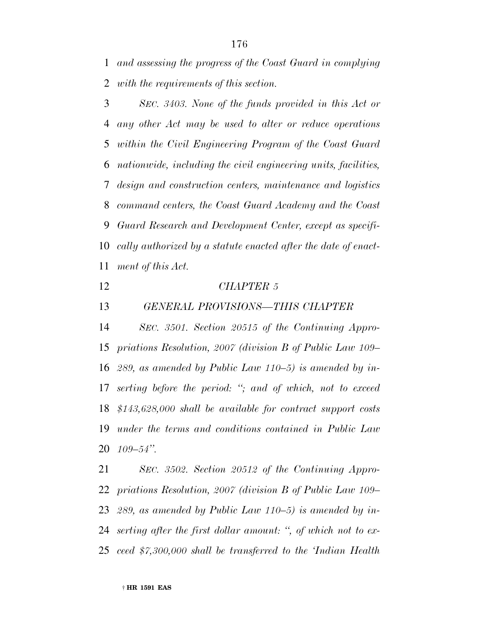*and assessing the progress of the Coast Guard in complying with the requirements of this section.*

 *SEC. 3403. None of the funds provided in this Act or any other Act may be used to alter or reduce operations within the Civil Engineering Program of the Coast Guard nationwide, including the civil engineering units, facilities, design and construction centers, maintenance and logistics command centers, the Coast Guard Academy and the Coast Guard Research and Development Center, except as specifi- cally authorized by a statute enacted after the date of enact-ment of this Act.*

*CHAPTER 5*

*GENERAL PROVISIONS—THIS CHAPTER*

 *SEC. 3501. Section 20515 of the Continuing Appro- priations Resolution, 2007 (division B of Public Law 109– 289, as amended by Public Law 110–5) is amended by in- serting before the period: ''; and of which, not to exceed \$143,628,000 shall be available for contract support costs under the terms and conditions contained in Public Law 109–54''.*

 *SEC. 3502. Section 20512 of the Continuing Appro- priations Resolution, 2007 (division B of Public Law 109– 289, as amended by Public Law 110–5) is amended by in- serting after the first dollar amount: '', of which not to ex-ceed \$7,300,000 shall be transferred to the 'Indian Health*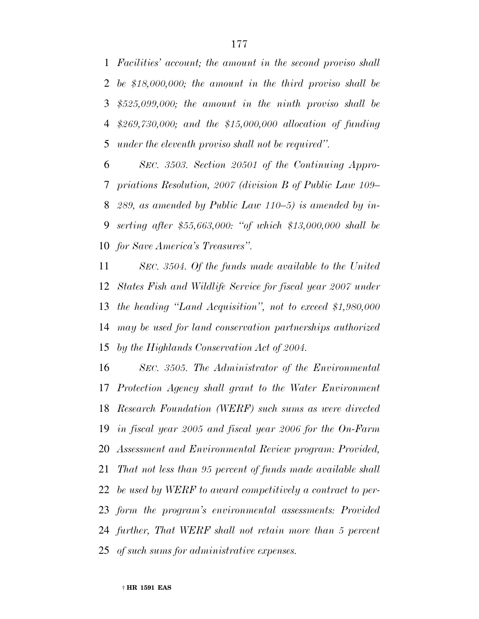*Facilities' account; the amount in the second proviso shall be \$18,000,000; the amount in the third proviso shall be \$525,099,000; the amount in the ninth proviso shall be \$269,730,000; and the \$15,000,000 allocation of funding under the eleventh proviso shall not be required''.*

 *SEC. 3503. Section 20501 of the Continuing Appro- priations Resolution, 2007 (division B of Public Law 109– 289, as amended by Public Law 110–5) is amended by in- serting after \$55,663,000: ''of which \$13,000,000 shall be for Save America's Treasures''.*

 *SEC. 3504. Of the funds made available to the United States Fish and Wildlife Service for fiscal year 2007 under the heading ''Land Acquisition'', not to exceed \$1,980,000 may be used for land conservation partnerships authorized by the Highlands Conservation Act of 2004.*

 *SEC. 3505. The Administrator of the Environmental Protection Agency shall grant to the Water Environment Research Foundation (WERF) such sums as were directed in fiscal year 2005 and fiscal year 2006 for the On-Farm Assessment and Environmental Review program: Provided, That not less than 95 percent of funds made available shall be used by WERF to award competitively a contract to per- form the program's environmental assessments: Provided further, That WERF shall not retain more than 5 percent of such sums for administrative expenses.*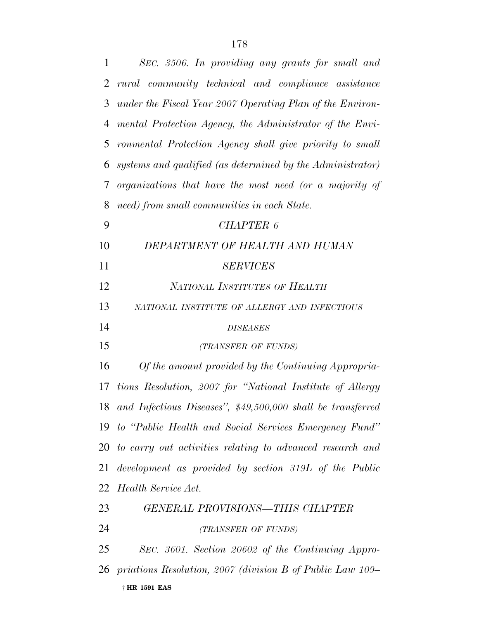| 1              | SEC. 3506. In providing any grants for small and               |
|----------------|----------------------------------------------------------------|
| $\overline{2}$ | rural community technical and compliance assistance            |
| 3              | under the Fiscal Year 2007 Operating Plan of the Environ-      |
| 4              | mental Protection Agency, the Administrator of the Envi-       |
| 5              | ronmental Protection Agency shall give priority to small       |
| 6              | systems and qualified (as determined by the Administrator)     |
| 7              | organizations that have the most need (or a majority of        |
| 8              | need) from small communities in each State.                    |
| 9              | <b>CHAPTER 6</b>                                               |
| 10             | DEPARTMENT OF HEALTH AND HUMAN                                 |
| 11             | <b>SERVICES</b>                                                |
| 12             | NATIONAL INSTITUTES OF HEALTH                                  |
| 13             | NATIONAL INSTITUTE OF ALLERGY AND INFECTIOUS                   |
| 14             | <b>DISEASES</b>                                                |
| 15             | (TRANSFER OF FUNDS)                                            |
| 16             | Of the amount provided by the Continuing Appropria-            |
|                | 17 tions Resolution, 2007 for "National Institute of Allergy   |
|                | 18 and Infectious Diseases", \$49,500,000 shall be transferred |
|                | 19 to "Public Health and Social Services Emergency Fund"       |
|                | 20 to carry out activities relating to advanced research and   |
| 21             | development as provided by section 319L of the Public          |
|                | 22 Health Service Act.                                         |
| 23             | GENERAL PROVISIONS-THIS CHAPTER                                |
| 24             | (TRANSFER OF FUNDS)                                            |
| 25             | SEC. 3601. Section 20602 of the Continuing Appro-              |
|                | 26 priations Resolution, 2007 (division B of Public Law 109–   |
|                | † HR 1591 EAS                                                  |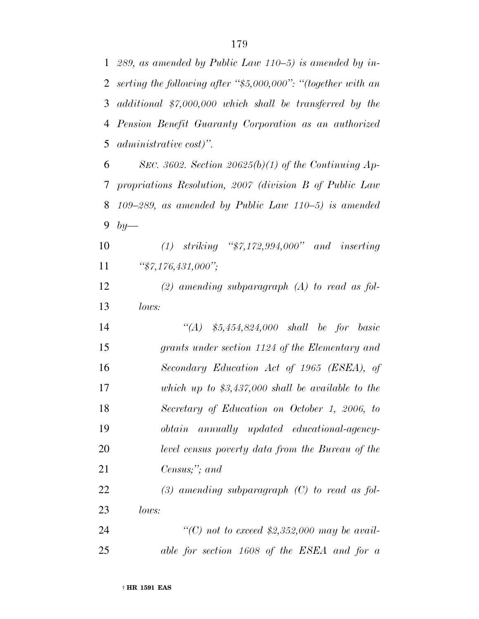*289, as amended by Public Law 110–5) is amended by in- serting the following after ''\$5,000,000'': ''(together with an additional \$7,000,000 which shall be transferred by the Pension Benefit Guaranty Corporation as an authorized administrative cost)''.*

 *SEC. 3602. Section 20625(b)(1) of the Continuing Ap- propriations Resolution, 2007 (division B of Public Law 109–289, as amended by Public Law 110–5) is amended by—*

 *(1) striking ''\$7,172,994,000'' and inserting ''\$7,176,431,000'';*

 *(2) amending subparagraph (A) to read as fol-lows:*

 *''(A) \$5,454,824,000 shall be for basic grants under section 1124 of the Elementary and Secondary Education Act of 1965 (ESEA), of which up to \$3,437,000 shall be available to the Secretary of Education on October 1, 2006, to obtain annually updated educational-agency- level census poverty data from the Bureau of the Census;''; and*

 *(3) amending subparagraph (C) to read as fol-lows:*

 *''(C) not to exceed \$2,352,000 may be avail-able for section 1608 of the ESEA and for a*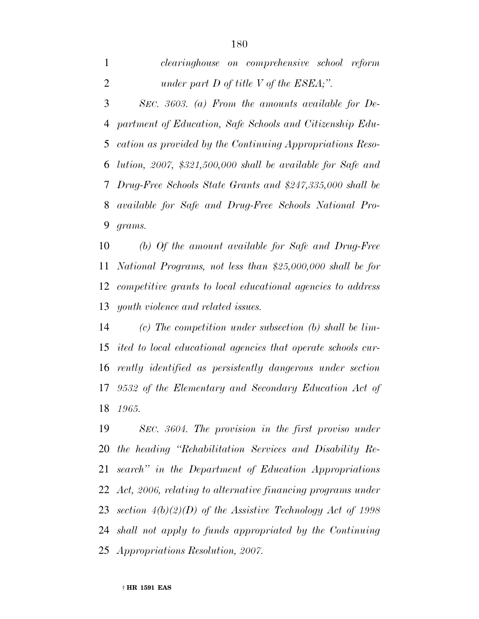*SEC. 3603. (a) From the amounts available for De- partment of Education, Safe Schools and Citizenship Edu- cation as provided by the Continuing Appropriations Reso- lution, 2007, \$321,500,000 shall be available for Safe and Drug-Free Schools State Grants and \$247,335,000 shall be available for Safe and Drug-Free Schools National Pro-grams.*

 *(b) Of the amount available for Safe and Drug-Free National Programs, not less than \$25,000,000 shall be for competitive grants to local educational agencies to address youth violence and related issues.*

 *(c) The competition under subsection (b) shall be lim- ited to local educational agencies that operate schools cur- rently identified as persistently dangerous under section 9532 of the Elementary and Secondary Education Act of 1965.*

 *SEC. 3604. The provision in the first proviso under the heading ''Rehabilitation Services and Disability Re- search'' in the Department of Education Appropriations Act, 2006, relating to alternative financing programs under section 4(b)(2)(D) of the Assistive Technology Act of 1998 shall not apply to funds appropriated by the Continuing Appropriations Resolution, 2007.*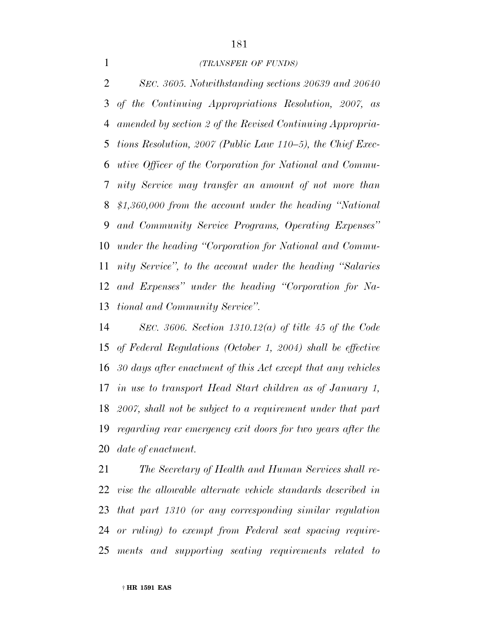#### *(TRANSFER OF FUNDS)*

 *SEC. 3605. Notwithstanding sections 20639 and 20640 of the Continuing Appropriations Resolution, 2007, as amended by section 2 of the Revised Continuing Appropria- tions Resolution, 2007 (Public Law 110–5), the Chief Exec- utive Officer of the Corporation for National and Commu- nity Service may transfer an amount of not more than \$1,360,000 from the account under the heading ''National and Community Service Programs, Operating Expenses'' under the heading ''Corporation for National and Commu- nity Service'', to the account under the heading ''Salaries and Expenses'' under the heading ''Corporation for Na-tional and Community Service''.*

 *SEC. 3606. Section 1310.12(a) of title 45 of the Code of Federal Regulations (October 1, 2004) shall be effective 30 days after enactment of this Act except that any vehicles in use to transport Head Start children as of January 1, 2007, shall not be subject to a requirement under that part regarding rear emergency exit doors for two years after the date of enactment.*

 *The Secretary of Health and Human Services shall re- vise the allowable alternate vehicle standards described in that part 1310 (or any corresponding similar regulation or ruling) to exempt from Federal seat spacing require-ments and supporting seating requirements related to*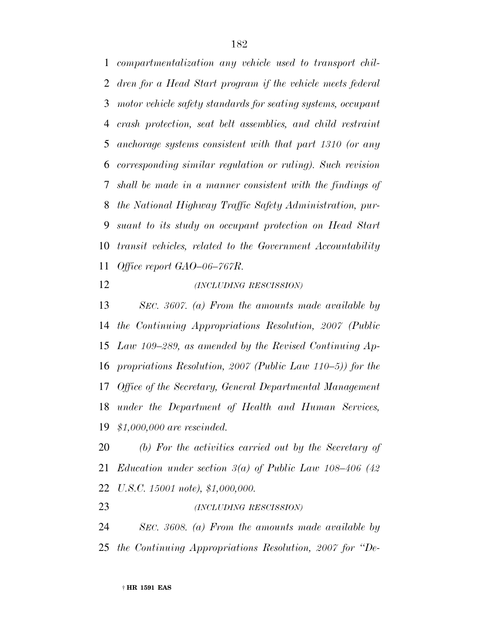*compartmentalization any vehicle used to transport chil- dren for a Head Start program if the vehicle meets federal motor vehicle safety standards for seating systems, occupant crash protection, seat belt assemblies, and child restraint anchorage systems consistent with that part 1310 (or any corresponding similar regulation or ruling). Such revision shall be made in a manner consistent with the findings of the National Highway Traffic Safety Administration, pur- suant to its study on occupant protection on Head Start transit vehicles, related to the Government Accountability Office report GAO–06–767R.*

### *(INCLUDING RESCISSION)*

 *SEC. 3607. (a) From the amounts made available by the Continuing Appropriations Resolution, 2007 (Public Law 109–289, as amended by the Revised Continuing Ap- propriations Resolution, 2007 (Public Law 110–5)) for the Office of the Secretary, General Departmental Management under the Department of Health and Human Services, \$1,000,000 are rescinded.*

 *(b) For the activities carried out by the Secretary of Education under section 3(a) of Public Law 108–406 (42 U.S.C. 15001 note), \$1,000,000.*

*(INCLUDING RESCISSION)*

 *SEC. 3608. (a) From the amounts made available by the Continuing Appropriations Resolution, 2007 for ''De-*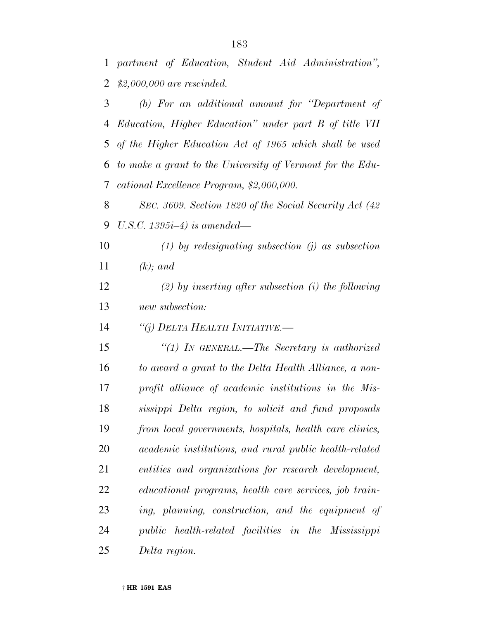*partment of Education, Student Aid Administration'', \$2,000,000 are rescinded.*

 *(b) For an additional amount for ''Department of Education, Higher Education'' under part B of title VII of the Higher Education Act of 1965 which shall be used to make a grant to the University of Vermont for the Edu-cational Excellence Program, \$2,000,000.*

 *SEC. 3609. Section 1820 of the Social Security Act (42 U.S.C. 1395i–4) is amended—*

 *(1) by redesignating subsection (j) as subsection (k); and*

 *(2) by inserting after subsection (i) the following new subsection:*

*''(j) DELTA HEALTH INITIATIVE.—*

 *''(1) IN GENERAL.—The Secretary is authorized to award a grant to the Delta Health Alliance, a non- profit alliance of academic institutions in the Mis- sissippi Delta region, to solicit and fund proposals from local governments, hospitals, health care clinics, academic institutions, and rural public health-related entities and organizations for research development, educational programs, health care services, job train- ing, planning, construction, and the equipment of public health-related facilities in the Mississippi Delta region.*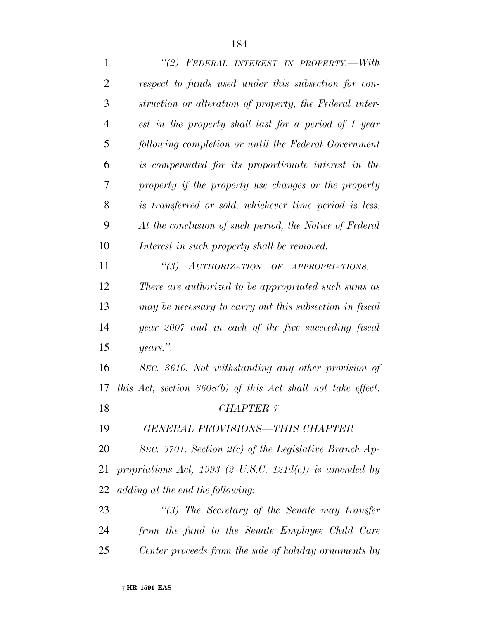| $\mathbf{1}$   | "(2) FEDERAL INTEREST IN PROPERTY.—With                        |
|----------------|----------------------------------------------------------------|
| $\overline{2}$ | respect to funds used under this subsection for con-           |
| 3              | struction or alteration of property, the Federal inter-        |
| $\overline{4}$ | est in the property shall last for a period of 1 year          |
| 5              | following completion or until the Federal Government           |
| 6              | is compensated for its proportionate interest in the           |
| 7              | property if the property use changes or the property           |
| 8              | is transferred or sold, whichever time period is less.         |
| 9              | At the conclusion of such period, the Notice of Federal        |
| 10             | Interest in such property shall be removed.                    |
| 11             | "(3) AUTHORIZATION OF APPROPRIATIONS.-                         |
| 12             | There are authorized to be appropriated such sums as           |
| 13             | may be necessary to carry out this subsection in fiscal        |
| 14             | year 2007 and in each of the five succeeding fiscal            |
| 15             | years.".                                                       |
| 16             | SEC. 3610. Not withstanding any other provision of             |
| 17             | this Act, section $3608(b)$ of this Act shall not take effect. |
| 18             | <b>CHAPTER 7</b>                                               |
| 19             | <b>GENERAL PROVISIONS-THIS CHAPTER</b>                         |
| 20             | SEC. 3701. Section $2(c)$ of the Legislative Branch Ap-        |
| 21             | propriations Act, 1993 (2 U.S.C. 121 $d(c)$ ) is amended by    |
| 22             | adding at the end the following:                               |
| 23             | $\lq(3)$ The Secretary of the Senate may transfer              |
| 24             | from the fund to the Senate Employee Child Care                |
| 25             | Center proceeds from the sale of holiday ornaments by          |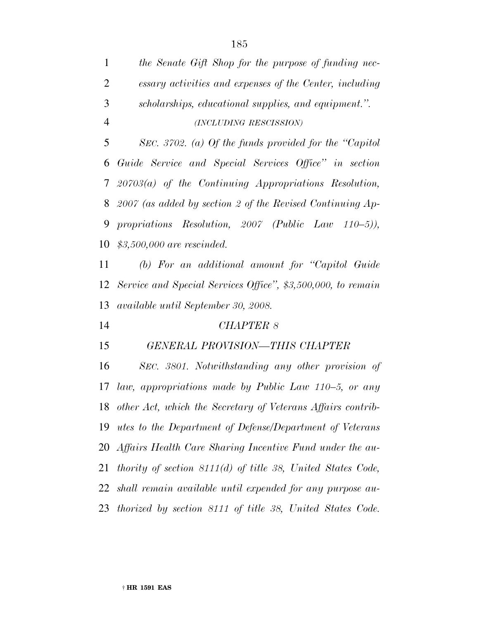| $\mathbf{1}$   | the Senate Gift Shop for the purpose of funding nec-            |
|----------------|-----------------------------------------------------------------|
| 2              | essary activities and expenses of the Center, including         |
| 3              | scholarships, educational supplies, and equipment.".            |
| $\overline{4}$ | (INCLUDING RESCISSION)                                          |
| 5              | SEC. 3702. (a) Of the funds provided for the "Capitol"          |
| 6              | Guide Service and Special Services Office" in section           |
| 7 <sup>1</sup> | $20703(a)$ of the Continuing Appropriations Resolution,         |
|                | 8 2007 (as added by section 2 of the Revised Continuing Ap-     |
| 9              | propriations Resolution, 2007 (Public Law $110-5$ ),            |
| 10             | $$3,500,000$ are rescinded.                                     |
| 11             | (b) For an additional amount for "Capitol Guide"                |
| 12             | Service and Special Services Office", \$3,500,000, to remain    |
| 13             | available until September 30, 2008.                             |
| 14             | <b>CHAPTER 8</b>                                                |
| 15             | GENERAL PROVISION-THIS CHAPTER                                  |
| 16             | SEC. 3801. Notwithstanding any other provision of               |
| 17             | law, appropriations made by Public Law 110–5, or any            |
|                | 18 other Act, which the Secretary of Veterans Affairs contrib-  |
| 19             | <i>utes to the Department of Defense/Department of Veterans</i> |
|                | 20 Affairs Health Care Sharing Incentive Fund under the au-     |
| 21             | thority of section $8111(d)$ of title 38, United States Code,   |
| 22             | shall remain available until expended for any purpose au-       |
|                | 23 thorized by section 8111 of title 38, United States Code.    |
|                |                                                                 |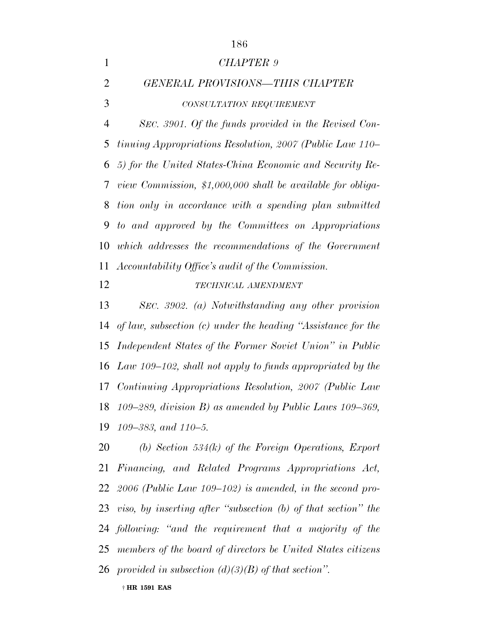|                | 186                                                              |
|----------------|------------------------------------------------------------------|
| $\mathbf{1}$   | CHAPTER 9                                                        |
| $\overline{2}$ | <b>GENERAL PROVISIONS-THIS CHAPTER</b>                           |
| 3              | CONSULTATION REQUIREMENT                                         |
| $\overline{4}$ | SEC. 3901. Of the funds provided in the Revised Con-             |
| 5              | <i>tinuing Appropriations Resolution, 2007 (Public Law 110-</i>  |
| 6              | 5) for the United States-China Economic and Security Re-         |
| 7              | view Commission, \$1,000,000 shall be available for obliga-      |
| 8              | tion only in accordance with a spending plan submitted           |
| 9              | to and approved by the Committees on Appropriations              |
| 10             | which addresses the recommendations of the Government            |
| 11             | Accountability Office's audit of the Commission.                 |
| 12             | TECHNICAL AMENDMENT                                              |
| 13             | SEC. 3902. (a) Notwithstanding any other provision               |
| 14             | of law, subsection $(c)$ under the heading "Assistance for the   |
| 15             | Independent States of the Former Soviet Union" in Public         |
|                | 16 Law 109–102, shall not apply to funds appropriated by the     |
|                | 17 Continuing Appropriations Resolution, 2007 (Public Law        |
|                | 18 109–289, division B) as amended by Public Laws 109–369,       |
|                | 19 109–383, and 110–5.                                           |
|                | 20 (b) Section 534(k) of the Foreign Operations, Export          |
| 21             | Financing, and Related Programs Appropriations Act,              |
|                | 22 2006 (Public Law 109–102) is amended, in the second pro-      |
|                | 23 viso, by inserting after "subsection (b) of that section" the |
|                | 24 following: "and the requirement that a majority of the        |

- *members of the board of directors be United States citizens*
- *provided in subsection (d)(3)(B) of that section''.*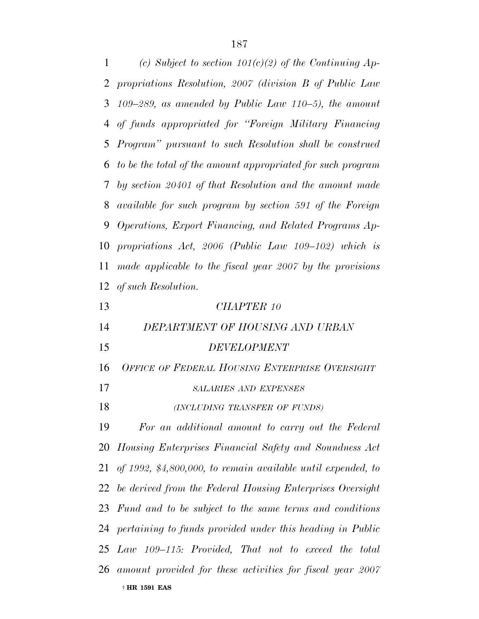*(c) Subject to section 101(c)(2) of the Continuing Ap- propriations Resolution, 2007 (division B of Public Law 109–289, as amended by Public Law 110–5), the amount of funds appropriated for ''Foreign Military Financing Program'' pursuant to such Resolution shall be construed to be the total of the amount appropriated for such program by section 20401 of that Resolution and the amount made available for such program by section 591 of the Foreign Operations, Export Financing, and Related Programs Ap- propriations Act, 2006 (Public Law 109–102) which is made applicable to the fiscal year 2007 by the provisions of such Resolution. CHAPTER 10 DEPARTMENT OF HOUSING AND URBAN DEVELOPMENT OFFICE OF FEDERAL HOUSING ENTERPRISE OVERSIGHT SALARIES AND EXPENSES (INCLUDING TRANSFER OF FUNDS) For an additional amount to carry out the Federal Housing Enterprises Financial Safety and Soundness Act of 1992, \$4,800,000, to remain available until expended, to be derived from the Federal Housing Enterprises Oversight Fund and to be subject to the same terms and conditions*

*pertaining to funds provided under this heading in Public*

*Law 109–115: Provided, That not to exceed the total*

† **HR 1591 EAS** *amount provided for these activities for fiscal year 2007*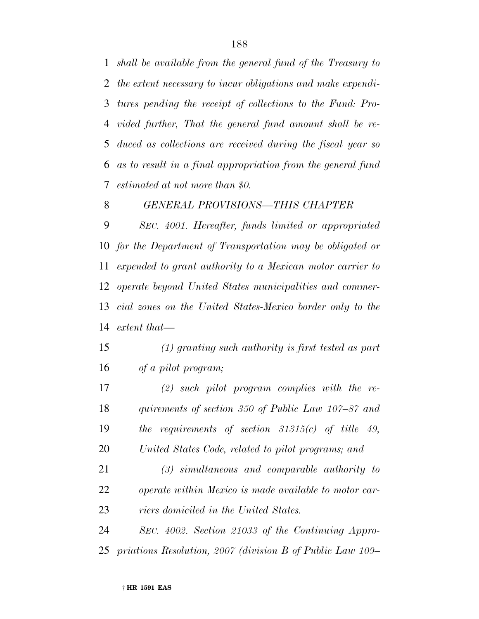*shall be available from the general fund of the Treasury to the extent necessary to incur obligations and make expendi- tures pending the receipt of collections to the Fund: Pro- vided further, That the general fund amount shall be re- duced as collections are received during the fiscal year so as to result in a final appropriation from the general fund estimated at not more than \$0.*

*GENERAL PROVISIONS—THIS CHAPTER*

 *SEC. 4001. Hereafter, funds limited or appropriated for the Department of Transportation may be obligated or expended to grant authority to a Mexican motor carrier to operate beyond United States municipalities and commer- cial zones on the United States-Mexico border only to the extent that—*

 *(1) granting such authority is first tested as part of a pilot program;*

 *(2) such pilot program complies with the re- quirements of section 350 of Public Law 107–87 and the requirements of section 31315(c) of title 49, United States Code, related to pilot programs; and*

 *(3) simultaneous and comparable authority to operate within Mexico is made available to motor car-riers domiciled in the United States.*

 *SEC. 4002. Section 21033 of the Continuing Appro-priations Resolution, 2007 (division B of Public Law 109–*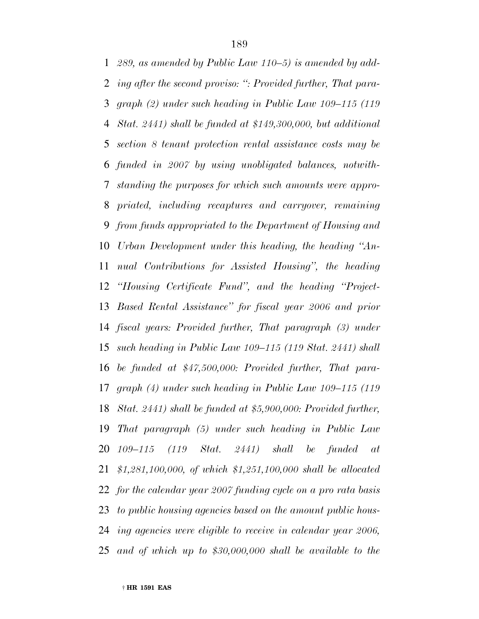*289, as amended by Public Law 110–5) is amended by add- ing after the second proviso: '': Provided further, That para- graph (2) under such heading in Public Law 109–115 (119 Stat. 2441) shall be funded at \$149,300,000, but additional section 8 tenant protection rental assistance costs may be funded in 2007 by using unobligated balances, notwith- standing the purposes for which such amounts were appro- priated, including recaptures and carryover, remaining from funds appropriated to the Department of Housing and Urban Development under this heading, the heading ''An- nual Contributions for Assisted Housing'', the heading ''Housing Certificate Fund'', and the heading ''Project- Based Rental Assistance'' for fiscal year 2006 and prior fiscal years: Provided further, That paragraph (3) under such heading in Public Law 109–115 (119 Stat. 2441) shall be funded at \$47,500,000: Provided further, That para- graph (4) under such heading in Public Law 109–115 (119 Stat. 2441) shall be funded at \$5,900,000: Provided further, That paragraph (5) under such heading in Public Law 109–115 (119 Stat. 2441) shall be funded at \$1,281,100,000, of which \$1,251,100,000 shall be allocated for the calendar year 2007 funding cycle on a pro rata basis to public housing agencies based on the amount public hous- ing agencies were eligible to receive in calendar year 2006, and of which up to \$30,000,000 shall be available to the*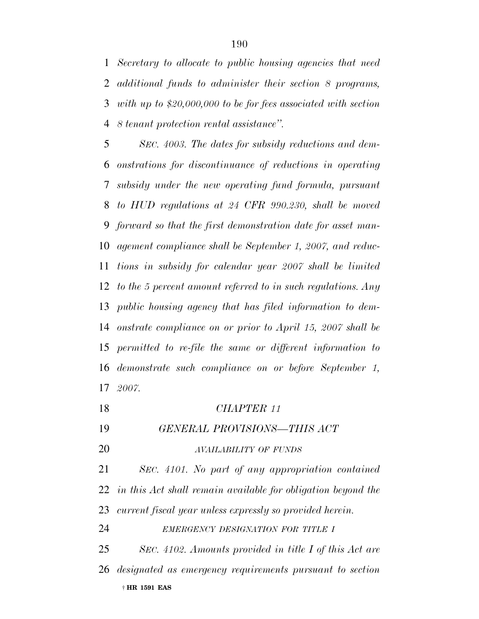*Secretary to allocate to public housing agencies that need additional funds to administer their section 8 programs, with up to \$20,000,000 to be for fees associated with section 8 tenant protection rental assistance''.*

 *SEC. 4003. The dates for subsidy reductions and dem- onstrations for discontinuance of reductions in operating subsidy under the new operating fund formula, pursuant to HUD regulations at 24 CFR 990.230, shall be moved forward so that the first demonstration date for asset man- agement compliance shall be September 1, 2007, and reduc- tions in subsidy for calendar year 2007 shall be limited to the 5 percent amount referred to in such regulations. Any public housing agency that has filed information to dem- onstrate compliance on or prior to April 15, 2007 shall be permitted to re-file the same or different information to demonstrate such compliance on or before September 1, 2007.*

| 18 | CHAPTER 11                                                      |
|----|-----------------------------------------------------------------|
| 19 | GENERAL PROVISIONS-THIS ACT                                     |
| 20 | AVAILABILITY OF FUNDS                                           |
| 21 | SEC. 4101. No part of any appropriation contained               |
|    | 22 in this Act shall remain available for obligation beyond the |
| 23 | current fiscal year unless expressly so provided herein.        |
| 24 | EMERGENCY DESIGNATION FOR TITLE I                               |
| 25 | SEC. 4102. Amounts provided in title I of this Act are          |
|    | 26 designated as emergency requirements pursuant to section     |
|    | † HR 1591 EAS                                                   |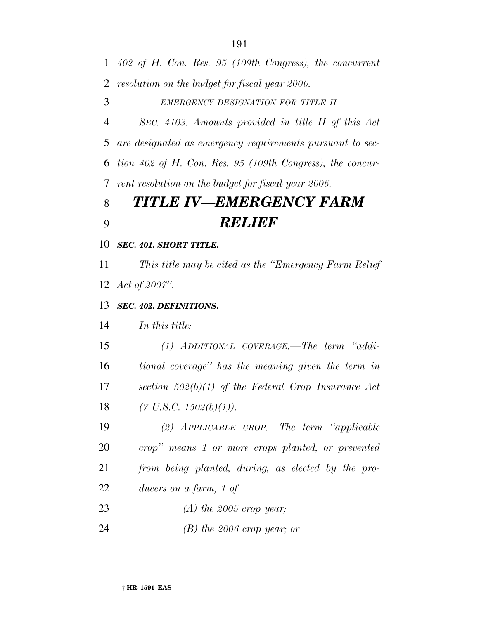*402 of H. Con. Res. 95 (109th Congress), the concurrent resolution on the budget for fiscal year 2006.*

*EMERGENCY DESIGNATION FOR TITLE II*

 *SEC. 4103. Amounts provided in title II of this Act are designated as emergency requirements pursuant to sec- tion 402 of H. Con. Res. 95 (109th Congress), the concur-rent resolution on the budget for fiscal year 2006.*

## *TITLE IV—EMERGENCY FARM RELIEF*

*SEC. 401. SHORT TITLE.*

 *This title may be cited as the ''Emergency Farm Relief Act of 2007''.*

*SEC. 402. DEFINITIONS.*

*In this title:*

 *(1) ADDITIONAL COVERAGE.—The term ''addi- tional coverage'' has the meaning given the term in section 502(b)(1) of the Federal Crop Insurance Act (7 U.S.C. 1502(b)(1)).*

 *(2) APPLICABLE CROP.—The term ''applicable crop'' means 1 or more crops planted, or prevented from being planted, during, as elected by the pro-ducers on a farm, 1 of—*

*(A) the 2005 crop year;*

*(B) the 2006 crop year; or*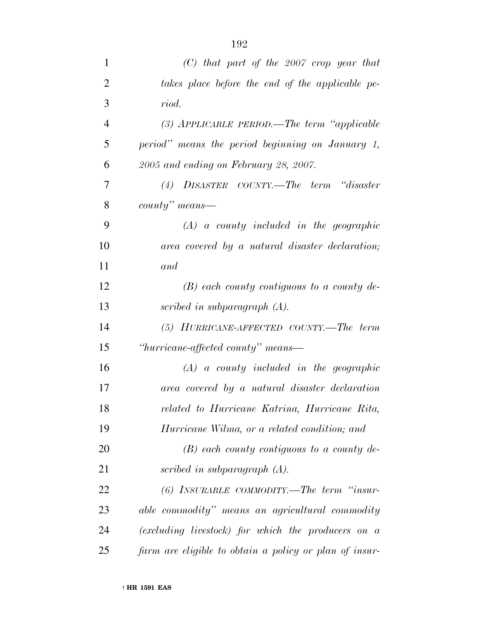| $\mathbf{1}$   | $(C)$ that part of the 2007 crop year that             |
|----------------|--------------------------------------------------------|
| $\overline{2}$ | takes place before the end of the applicable pe-       |
| 3              | riod.                                                  |
| $\overline{4}$ | (3) APPLICABLE PERIOD.—The term "applicable            |
| 5              | period" means the period beginning on January 1,       |
| 6              | 2005 and ending on February 28, 2007.                  |
| 7              | (4) DISASTER COUNTY.—The term "disaster                |
| 8              | $county"$ means—                                       |
| 9              | $(A)$ a county included in the geographic              |
| 10             | area covered by a natural disaster declaration;        |
| 11             | and                                                    |
| 12             | $(B)$ each county contiguous to a county de-           |
| 13             | scribed in subparagraph $(A)$ .                        |
| 14             | (5) HURRICANE-AFFECTED COUNTY.—The term                |
| 15             | "hurricane-affected county" means—                     |
| 16             | $(A)$ a county included in the geographic              |
| 17             | area covered by a natural disaster declaration         |
| 18             | related to Hurricane Katrina, Hurricane Rita,          |
| 19             | Hurricane Wilma, or a related condition; and           |
| 20             | $(B)$ each county contiguous to a county de-           |
| 21             | scribed in subparagraph $(A)$ .                        |
| 22             | $(6)$ INSURABLE COMMODITY.—The term "insur-            |
| 23             | able commodity" means an agricultural commodity        |
| 24             | (excluding livestock) for which the producers on a     |
| 25             | farm are eligible to obtain a policy or plan of insur- |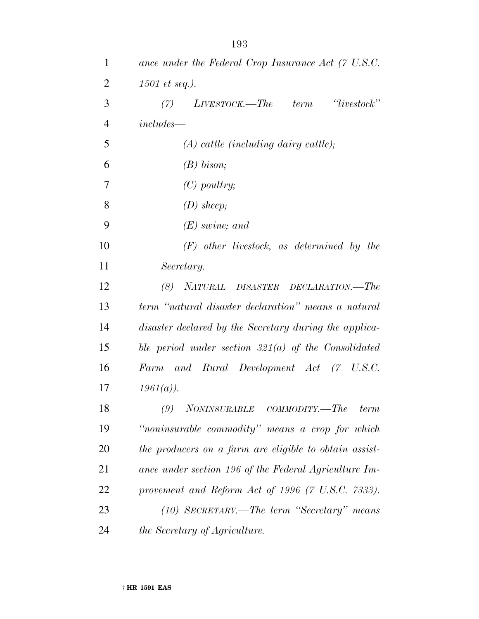| $\mathbf{1}$   | ance under the Federal Crop Insurance Act (7 U.S.C.    |
|----------------|--------------------------------------------------------|
| $\overline{2}$ | $1501$ et seq.).                                       |
| 3              | 'iivestock'<br>$LIVESTOCK. - The term$<br>(7)          |
| $\overline{4}$ | $includes -$                                           |
| 5              | $(A)$ cattle (including dairy cattle);                 |
| 6              | $(B)$ bison;                                           |
| 7              | $(C)$ poultry;                                         |
| 8              | $(D)$ sheep;                                           |
| 9              | $(E)$ swine; and                                       |
| 10             | $(F)$ other livestock, as determined by the            |
| 11             | Secretary.                                             |
| 12             | NATURAL DISASTER DECLARATION.-The<br>(8)               |
| 13             | term "natural disaster declaration" means a natural    |
| 14             | disaster declared by the Secretary during the applica- |
| 15             | ble period under section $321(a)$ of the Consolidated  |
| 16             | Farm and Rural Development Act (7 U.S.C.               |
| 17             | $1961(a)$ ).                                           |
| 18             | NONINSURABLE COMMODITY.—The<br>(9)<br>term             |
| 19             | "noninsurable commodity" means a crop for which        |
| 20             | the producers on a farm are eligible to obtain assist- |
| 21             | ance under section 196 of the Federal Agriculture Im-  |
| 22             | provement and Reform Act of 1996 (7 U.S.C. 7333).      |
| 23             | (10) SECRETARY.—The term "Secretary" means             |
| 24             | the Secretary of Agriculture.                          |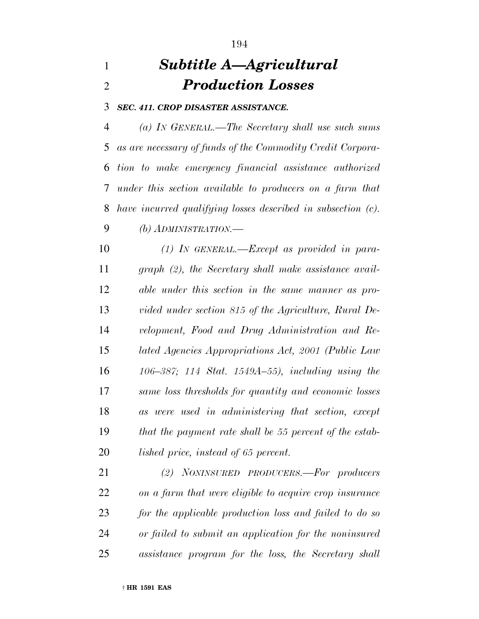# *Subtitle A—Agricultural Production Losses*

*SEC. 411. CROP DISASTER ASSISTANCE.*

 *(a) IN GENERAL.—The Secretary shall use such sums as are necessary of funds of the Commodity Credit Corpora- tion to make emergency financial assistance authorized under this section available to producers on a farm that have incurred qualifying losses described in subsection (c). (b) ADMINISTRATION.—*

 *(1) IN GENERAL.—Except as provided in para- graph (2), the Secretary shall make assistance avail- able under this section in the same manner as pro- vided under section 815 of the Agriculture, Rural De- velopment, Food and Drug Administration and Re- lated Agencies Appropriations Act, 2001 (Public Law 106–387; 114 Stat. 1549A–55), including using the same loss thresholds for quantity and economic losses as were used in administering that section, except that the payment rate shall be 55 percent of the estab-lished price, instead of 65 percent.*

 *(2) NONINSURED PRODUCERS.—For producers on a farm that were eligible to acquire crop insurance for the applicable production loss and failed to do so or failed to submit an application for the noninsured assistance program for the loss, the Secretary shall*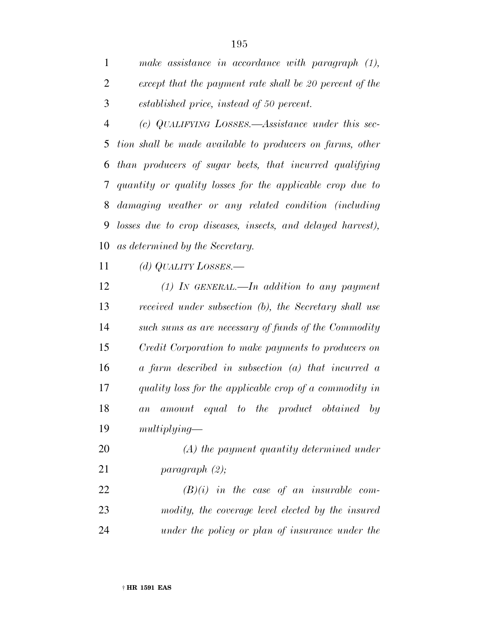*make assistance in accordance with paragraph (1), except that the payment rate shall be 20 percent of the established price, instead of 50 percent.*

 *(c) QUALIFYING LOSSES.—Assistance under this sec- tion shall be made available to producers on farms, other than producers of sugar beets, that incurred qualifying quantity or quality losses for the applicable crop due to damaging weather or any related condition (including losses due to crop diseases, insects, and delayed harvest), as determined by the Secretary.*

*(d) QUALITY LOSSES.—*

 *(1) IN GENERAL.—In addition to any payment received under subsection (b), the Secretary shall use such sums as are necessary of funds of the Commodity Credit Corporation to make payments to producers on a farm described in subsection (a) that incurred a quality loss for the applicable crop of a commodity in an amount equal to the product obtained by multiplying—*

 *(A) the payment quantity determined under paragraph (2);*

 *(B)(i) in the case of an insurable com- modity, the coverage level elected by the insured under the policy or plan of insurance under the*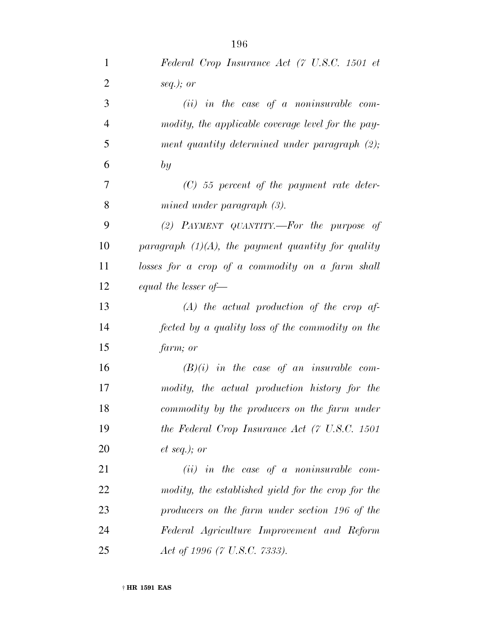| $\mathbf{1}$   | Federal Crop Insurance Act (7 U.S.C. 1501 et          |
|----------------|-------------------------------------------------------|
| $\overline{2}$ | seq.); or                                             |
| 3              | $(ii)$ in the case of a noninsurable com-             |
| $\overline{4}$ | modity, the applicable coverage level for the pay-    |
| 5              | ment quantity determined under paragraph (2);         |
| 6              | by                                                    |
| 7              | $(C)$ 55 percent of the payment rate deter-           |
| 8              | mined under paragraph $(3)$ .                         |
| 9              | (2) PAYMENT QUANTITY.—For the purpose of              |
| 10             | paragraph $(1)(A)$ , the payment quantity for quality |
| 11             | losses for a crop of a commodity on a farm shall      |
| 12             | equal the lesser of $-$                               |
| 13             | $(A)$ the actual production of the crop af-           |
| 14             | fected by a quality loss of the commodity on the      |
| 15             | farm; or                                              |
| 16             | $(B)(i)$ in the case of an insurable com-             |
| 17             | modity, the actual production history for the         |
| 18             | commodity by the producers on the farm under          |
| 19             | the Federal Crop Insurance Act (7 U.S.C. 1501         |
| 20             | $et\ seq.); or$                                       |
| 21             | $(ii)$ in the case of a noninsurable com-             |
| 22             | modity, the established yield for the crop for the    |
| 23             | producers on the farm under section 196 of the        |
| 24             | Federal Agriculture Improvement and Reform            |
| 25             | Act of 1996 (7 U.S.C. 7333).                          |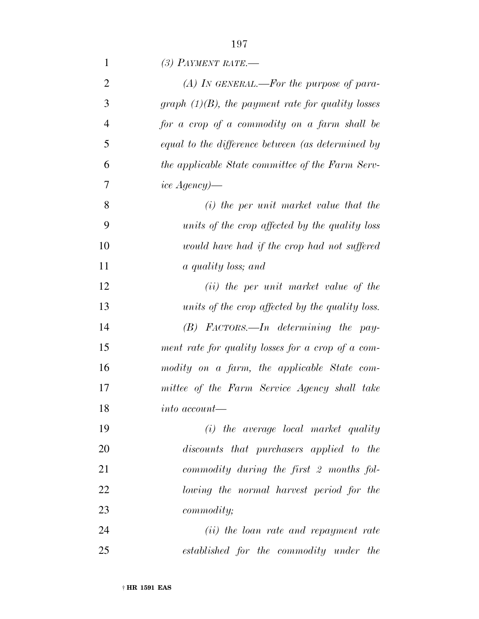| $\mathbf{1}$   | (3) PAYMENT RATE.—                                   |
|----------------|------------------------------------------------------|
| $\overline{2}$ | (A) In GENERAL.—For the purpose of para-             |
| 3              | graph $(1)(B)$ , the payment rate for quality losses |
| $\overline{4}$ | for a crop of a commodity on a farm shall be         |
| 5              | equal to the difference between (as determined by    |
| 6              | the applicable State committee of the Farm Serv-     |
| 7              | <i>ice Agency</i> )—                                 |
| 8              | $(i)$ the per unit market value that the             |
| 9              | units of the crop affected by the quality loss       |
| 10             | would have had if the crop had not suffered          |
| 11             | a quality loss; and                                  |
| 12             | (ii) the per unit market value of the                |
| 13             | units of the crop affected by the quality loss.      |
| 14             | $(B)$ FACTORS.—In determining the pay-               |
| 15             | ment rate for quality losses for a crop of a com-    |
| 16             | modity on a farm, the applicable State com-          |
| 17             | mittee of the Farm Service Agency shall take         |
| 18             | <i>into account—</i>                                 |
| 19             | (i) the average local market quality                 |
| 20             | discounts that purchasers applied to the             |
| 21             | commodity during the first 2 months fol-             |
| 22             | lowing the normal harvest period for the             |
| 23             | <i>commodity</i> ;                                   |
| 24             | (ii) the loan rate and repayment rate                |
| 25             | established for the commodity under the              |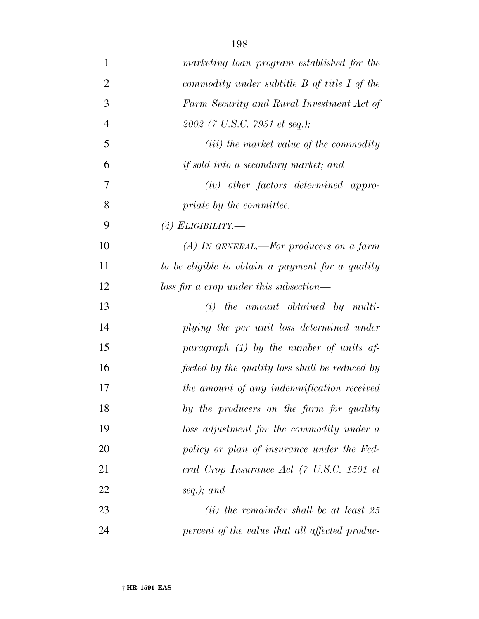| $\mathbf{1}$   | marketing loan program established for the       |
|----------------|--------------------------------------------------|
| $\overline{2}$ | commodity under subtitle $B$ of title $I$ of the |
| 3              | Farm Security and Rural Investment Act of        |
| $\overline{4}$ | 2002 (7 U.S.C. 7931 et seq.);                    |
| 5              | ( <i>iii</i> ) the market value of the commodity |
| 6              | if sold into a secondary market; and             |
| 7              | $(iv)$ other factors determined appro-           |
| 8              | priate by the committee.                         |
| 9              | $(4)$ ELIGIBILITY.—                              |
| 10             | (A) IN GENERAL.—For producers on a farm          |
| 11             | to be eligible to obtain a payment for a quality |
| 12             | $loss for a crop under this subsection—$         |
| 13             | $(i)$ the amount obtained by multi-              |
| 14             | plying the per unit loss determined under        |
| 15             | paragraph $(1)$ by the number of units af-       |
| 16             | fected by the quality loss shall be reduced by   |
| 17             | the amount of any indemnification received       |
| 18             | by the producers on the farm for quality         |
| 19             | loss adjustment for the commodity under a        |
| 20             | policy or plan of insurance under the Fed-       |
| 21             | eral Crop Insurance Act (7 U.S.C. 1501 et        |
| 22             | seq.); and                                       |
| 23             | $(ii)$ the remainder shall be at least 25        |
| 24             | percent of the value that all affected produc-   |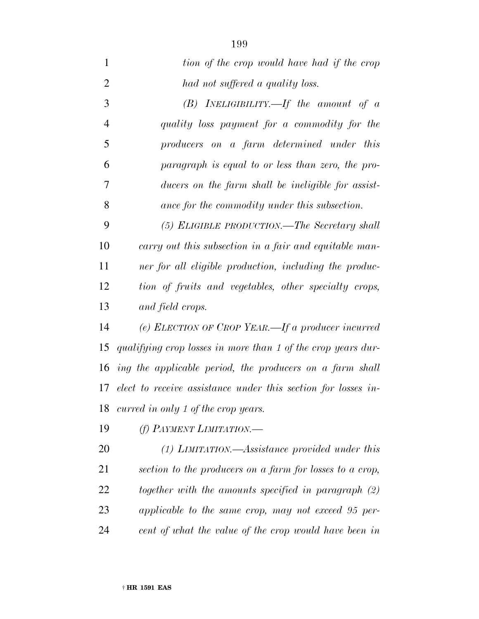| $\mathbf{1}$   | tion of the crop would have had if the crop                      |
|----------------|------------------------------------------------------------------|
| $\overline{2}$ | had not suffered a quality loss.                                 |
| 3              | (B) INELIGIBILITY.—If the amount of $a$                          |
| $\overline{4}$ | quality loss payment for a commodity for the                     |
| 5              | producers on a farm determined under this                        |
| 6              | paragraph is equal to or less than zero, the pro-                |
| 7              | ducers on the farm shall be ineligible for assist-               |
| 8              | ance for the commodity under this subsection.                    |
| 9              | (5) ELIGIBLE PRODUCTION.—The Secretary shall                     |
| 10             | carry out this subsection in a fair and equitable man-           |
| 11             | ner for all eligible production, including the produc-           |
| 12             | tion of fruits and vegetables, other specialty crops,            |
| 13             | and field crops.                                                 |
| 14             | (e) ELECTION OF CROP YEAR.—If a producer incurred                |
| 15             | qualifying crop losses in more than 1 of the crop years dur-     |
| 16             | ing the applicable period, the producers on a farm shall         |
|                | 17 elect to receive assistance under this section for losses in- |
|                | 18 curred in only 1 of the crop years.                           |
| 19             | (f) PAYMENT LIMITATION.                                          |
| 20             | $(1)$ LIMITATION.—Assistance provided under this                 |
| 21             | section to the producers on a farm for losses to a crop,         |
| 22             | together with the amounts specified in paragraph (2)             |
| 23             | applicable to the same crop, may not exceed 95 per-              |
| 24             | cent of what the value of the crop would have been in            |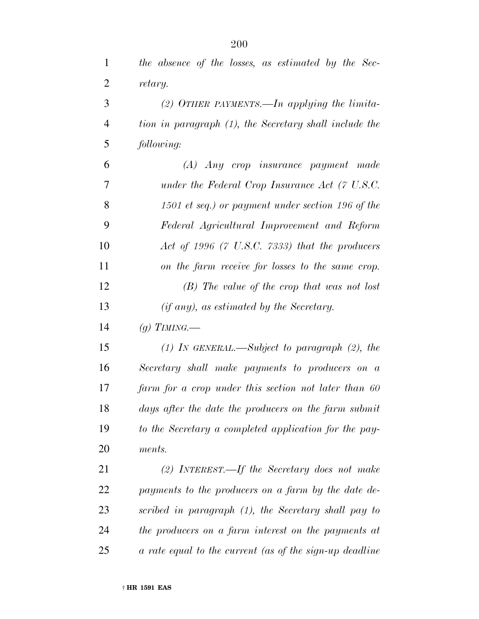| $\mathbf{1}$   | the absence of the losses, as estimated by the Sec-       |
|----------------|-----------------------------------------------------------|
| $\overline{2}$ | retary.                                                   |
| 3              | (2) OTHER PAYMENTS.—In applying the limita-               |
| $\overline{4}$ | tion in paragraph (1), the Secretary shall include the    |
| 5              | following:                                                |
| 6              | (A) Any crop insurance payment made                       |
| 7              | under the Federal Crop Insurance Act (7 U.S.C.            |
| 8              | 1501 et seq.) or payment under section 196 of the         |
| 9              | Federal Agricultural Improvement and Reform               |
| 10             | Act of 1996 $(7 \text{ U.S.C. } 7333)$ that the producers |
| 11             | on the farm receive for losses to the same crop.          |
| 12             | $(B)$ The value of the crop that was not lost             |
| 13             | $(if any)$ , as estimated by the Secretary.               |
| 14             | (q) TIMING.—                                              |
| 15             | $(1)$ IN GENERAL.—Subject to paragraph $(2)$ , the        |
| 16             | Secretary shall make payments to producers on a           |
| 17             | farm for a crop under this section not later than 60      |
| 18             | days after the date the producers on the farm submit      |
| 19             | to the Secretary a completed application for the pay-     |
| 20             | ments.                                                    |
| 21             | (2) INTEREST.—If the Secretary does not make              |
| 22             | payments to the producers on a farm by the date de-       |
| 23             | scribed in paragraph (1), the Secretary shall pay to      |
| 24             | the producers on a farm interest on the payments at       |
| 25             | a rate equal to the current (as of the sign-up deadline   |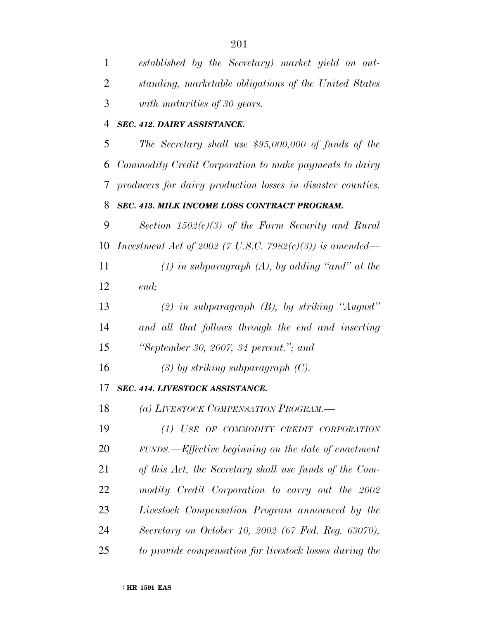| $\mathbf{1}$ | established by the Secretary) market yield on out-              |
|--------------|-----------------------------------------------------------------|
| 2            | standing, marketable obligations of the United States           |
| 3            | with maturities of 30 years.                                    |
| 4            | SEC. 412. DAIRY ASSISTANCE.                                     |
| 5            | The Secretary shall use $$95,000,000$ of funds of the           |
| 6            | Commodity Credit Corporation to make payments to dairy          |
| 7            | producers for dairy production losses in disaster counties.     |
| 8            | SEC. 413. MILK INCOME LOSS CONTRACT PROGRAM.                    |
| 9            | Section $1502(c)(3)$ of the Farm Security and Rural             |
| 10           | <i>Investment Act of 2002 (7 U.S.C. 7982(c)(3)) is amended—</i> |
| 11           | $(1)$ in subparagraph $(A)$ , by adding "and" at the            |
| 12           | end;                                                            |
| 13           | (2) in subparagraph $(B)$ , by striking "August"                |
| 14           | and all that follows through the end and inserting              |
| 15           | "September 30, 2007, 34 percent."; and                          |
| 16           | $(3)$ by striking subparagraph $(C)$ .                          |
| 17           | SEC. 414. LIVESTOCK ASSISTANCE.                                 |
| 18           | (a) LIVESTOCK COMPENSATION PROGRAM.-                            |
| 19           | (1) USE OF COMMODITY CREDIT CORPORATION                         |
| 20           | FUNDS.—Effective beginning on the date of enactment             |
| 21           | of this Act, the Secretary shall use funds of the Com-          |
| 22           | modity Credit Corporation to carry out the 2002                 |
| 23           | Livestock Compensation Program announced by the                 |
| 24           | Secretary on October 10, 2002 (67 Fed. Reg. 63070),             |
| 25           | to provide compensation for livestock losses during the         |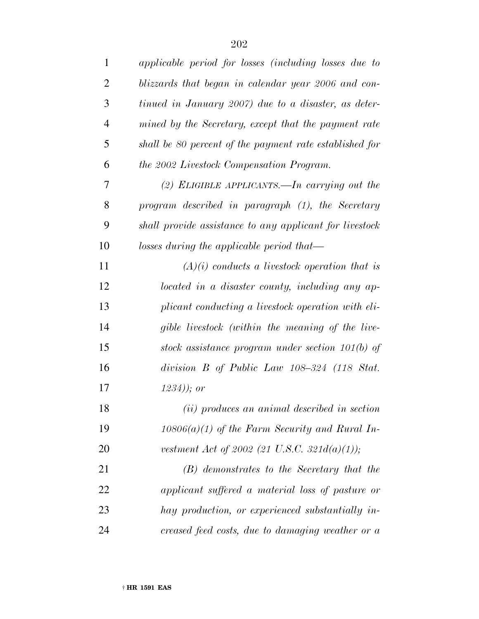| $\mathbf{1}$   | applicable period for losses (including losses due to   |
|----------------|---------------------------------------------------------|
| $\overline{2}$ | blizzards that began in calendar year 2006 and con-     |
| 3              | tinued in January 2007) due to a disaster, as deter-    |
| $\overline{4}$ | mined by the Secretary, except that the payment rate    |
| 5              | shall be 80 percent of the payment rate established for |
| 6              | the 2002 Livestock Compensation Program.                |
| 7              | (2) ELIGIBLE APPLICANTS.—In carrying out the            |
| 8              | program described in paragraph (1), the Secretary       |
| 9              | shall provide assistance to any applicant for livestock |
| 10             | losses during the applicable period that—               |
| 11             | $(A)(i)$ conducts a livestock operation that is         |
| 12             | located in a disaster county, including any ap-         |
| 13             | plicant conducting a livestock operation with eli-      |
| 14             | gible livestock (within the meaning of the live-        |
| 15             | stock assistance program under section $101(b)$ of      |
| 16             | division $B$ of Public Law 108-324 (118 Stat.           |
| 17             | $(1234)$ ; or                                           |
| 18             | (ii) produces an animal described in section            |
| 19             | $10806(a)(1)$ of the Farm Security and Rural In-        |
| 20             | vestment Act of 2002 (21 U.S.C. 321 $d(a)(1)$ );        |
| 21             | (B) demonstrates to the Secretary that the              |
| 22             | applicant suffered a material loss of pasture or        |
| 23             | hay production, or experienced substantially in-        |
| 24             | creased feed costs, due to damaging weather or a        |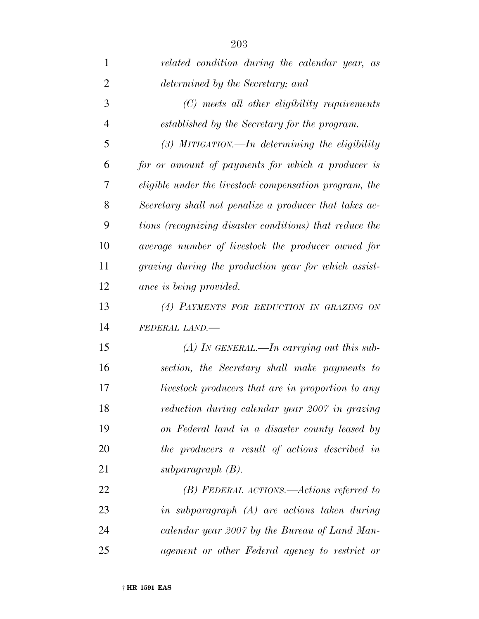| 1              | related condition during the calendar year, as          |
|----------------|---------------------------------------------------------|
| $\overline{2}$ | determined by the Secretary; and                        |
| 3              | (C) meets all other eligibility requirements            |
| $\overline{4}$ | established by the Secretary for the program.           |
| 5              | $(3)$ MITIGATION.—In determining the eligibility        |
| 6              | for or amount of payments for which a producer is       |
| 7              | eligible under the livestock compensation program, the  |
| 8              | Secretary shall not penalize a producer that takes ac-  |
| 9              | tions (recognizing disaster conditions) that reduce the |
| 10             | average number of livestock the producer owned for      |
| 11             | grazing during the production year for which assist-    |
| 12             | ance is being provided.                                 |
| 13             | (4) PAYMENTS FOR REDUCTION IN GRAZING ON                |
| 14             | FEDERAL LAND.-                                          |
| 15             | (A) In GENERAL.—In carrying out this sub-               |
| 16             | section, the Secretary shall make payments to           |
| 17             | livestock producers that are in proportion to any       |
| 18             | reduction during calendar year 2007 in grazing          |
| 19             | on Federal land in a disaster county leased by          |
| 20             | the producers a result of actions described in          |
| 21             | $subparagnah$ (B).                                      |
| 22             | (B) FEDERAL ACTIONS.—Actions referred to                |
| 23             | in subparagraph (A) are actions taken during            |
| 24             | calendar year 2007 by the Bureau of Land Man-           |
| 25             | agement or other Federal agency to restrict or          |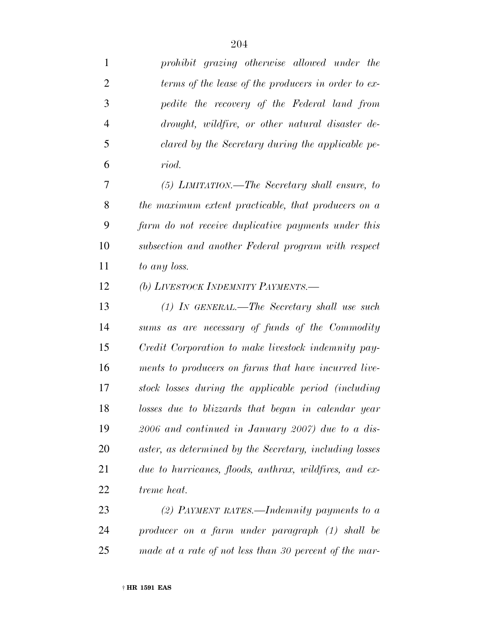| $\mathbf{1}$   | prohibit grazing otherwise allowed under the            |
|----------------|---------------------------------------------------------|
| $\overline{2}$ | terms of the lease of the producers in order to ex-     |
| 3              | pedite the recovery of the Federal land from            |
| $\overline{4}$ | drought, wildfire, or other natural disaster de-        |
| 5              | clared by the Secretary during the applicable pe-       |
| 6              | riod.                                                   |
| 7              | (5) LIMITATION.—The Secretary shall ensure, to          |
| 8              | the maximum extent practicable, that producers on a     |
| 9              | farm do not receive duplicative payments under this     |
| 10             | subsection and another Federal program with respect     |
| 11             | to any loss.                                            |
| 12             | (b) LIVESTOCK INDEMNITY PAYMENTS.-                      |
| 13             | (1) IN GENERAL.—The Secretary shall use such            |
| 14             | sums as are necessary of funds of the Commodity         |
| 15             | Credit Corporation to make livestock indemnity pay-     |
| 16             | ments to producers on farms that have incurred live-    |
| 17             | stock losses during the applicable period (including    |
| 18             | losses due to blizzards that began in calendar year     |
| 19             | $2006$ and continued in January 2007) due to a dis-     |
| 20             | aster, as determined by the Secretary, including losses |
| 21             | due to hurricanes, floods, anthrax, wildfires, and ex-  |
| 22             | treme heat.                                             |
| 23             | (2) PAYMENT RATES.—Indemnity payments to a              |
| 24             | producer on a farm under paragraph (1) shall be         |
| 25             | made at a rate of not less than 30 percent of the mar-  |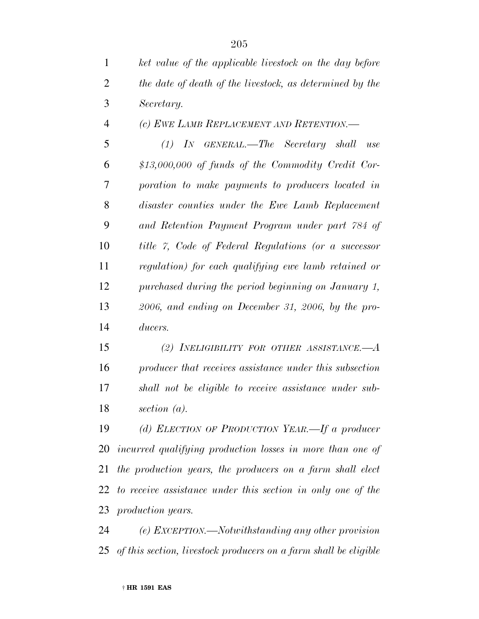| $\mathbf{1}$   | ket value of the applicable livestock on the day before  |
|----------------|----------------------------------------------------------|
| 2              | the date of death of the livestock, as determined by the |
| 3              | Secretary.                                               |
| $\overline{4}$ | (c) EWE LAMB REPLACEMENT AND RETENTION.—                 |
| 5              | $(1)$ In GENERAL.—The Secretary shall<br>use             |
| 6              | $$13,000,000$ of funds of the Commodity Credit Cor-      |
| 7              | poration to make payments to producers located in        |
| 8              | disaster counties under the Ewe Lamb Replacement         |
| 9              | and Retention Payment Program under part 784 of          |

 *title 7, Code of Federal Regulations (or a successor regulation) for each qualifying ewe lamb retained or purchased during the period beginning on January 1, 2006, and ending on December 31, 2006, by the pro-ducers.*

 *(2) INELIGIBILITY FOR OTHER ASSISTANCE.—A producer that receives assistance under this subsection shall not be eligible to receive assistance under sub-section (a).*

 *(d) ELECTION OF PRODUCTION YEAR.—If a producer incurred qualifying production losses in more than one of the production years, the producers on a farm shall elect to receive assistance under this section in only one of the production years.*

 *(e) EXCEPTION.—Notwithstanding any other provision of this section, livestock producers on a farm shall be eligible*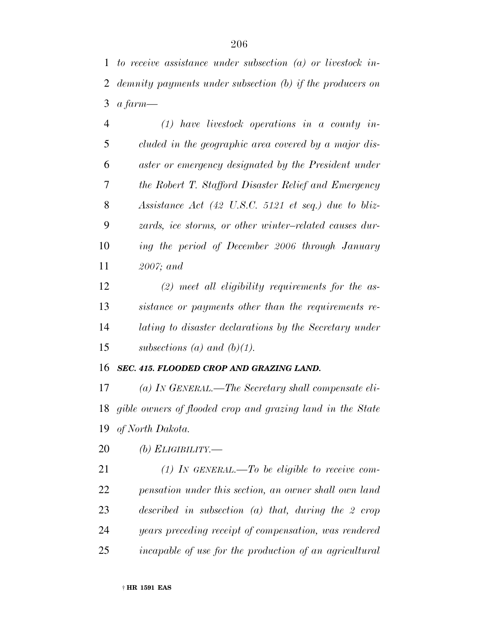*to receive assistance under subsection (a) or livestock in- demnity payments under subsection (b) if the producers on a farm—*

 *(1) have livestock operations in a county in- cluded in the geographic area covered by a major dis- aster or emergency designated by the President under the Robert T. Stafford Disaster Relief and Emergency Assistance Act (42 U.S.C. 5121 et seq.) due to bliz- zards, ice storms, or other winter–related causes dur- ing the period of December 2006 through January 2007; and*

 *(2) meet all eligibility requirements for the as- sistance or payments other than the requirements re- lating to disaster declarations by the Secretary under subsections (a) and (b)(1).*

### *SEC. 415. FLOODED CROP AND GRAZING LAND.*

 *(a) IN GENERAL.—The Secretary shall compensate eli- gible owners of flooded crop and grazing land in the State of North Dakota.*

*(b) ELIGIBILITY.—*

 *(1) IN GENERAL.—To be eligible to receive com- pensation under this section, an owner shall own land described in subsection (a) that, during the 2 crop years preceding receipt of compensation, was rendered incapable of use for the production of an agricultural*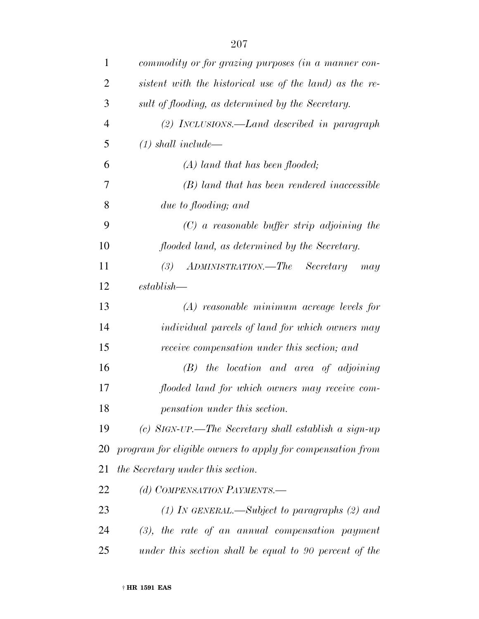| 1              | commodity or for grazing purposes (in a manner con-        |
|----------------|------------------------------------------------------------|
| $\overline{2}$ | sistent with the historical use of the land) as the re-    |
| 3              | sult of flooding, as determined by the Secretary.          |
| $\overline{4}$ | $(2)$ INCLUSIONS.—Land described in paragraph              |
| 5              | $(1)$ shall include—                                       |
| 6              | $(A)$ land that has been flooded;                          |
| 7              | (B) land that has been rendered inaccessible               |
| 8              | due to flooding; and                                       |
| 9              | $(C)$ a reasonable buffer strip adjoining the              |
| 10             | flooded land, as determined by the Secretary.              |
| 11             | ADMINISTRATION.—The<br>(3)<br>Secretary<br>may             |
| 12             | $establish -$                                              |
| 13             | $(A)$ reasonable minimum acreage levels for                |
| 14             | <i>individual parcels of land for which owners may</i>     |
| 15             | receive compensation under this section; and               |
| 16             | $(B)$ the location and area of adjoining                   |
| 17             | flooded land for which owners may receive com-             |
| 18             | pensation under this section.                              |
| 19             | (c) SIGN-UP.—The Secretary shall establish a sign-up       |
| 20             | program for eligible owners to apply for compensation from |
| 21             | the Secretary under this section.                          |
| 22             | (d) COMPENSATION PAYMENTS.-                                |
| 23             | (1) In GENERAL.—Subject to paragraphs $(2)$ and            |
| 24             | $(3)$ , the rate of an annual compensation payment         |
| 25             | under this section shall be equal to 90 percent of the     |
|                |                                                            |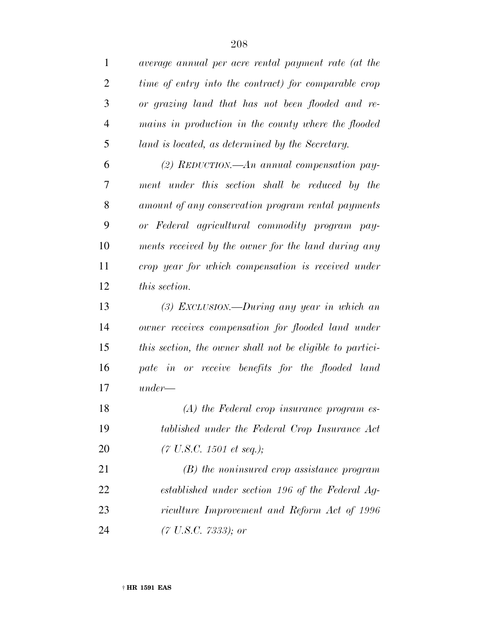| $\mathbf{1}$   | average annual per acre rental payment rate (at the       |
|----------------|-----------------------------------------------------------|
| $\overline{2}$ | time of entry into the contract) for comparable crop      |
| 3              | or grazing land that has not been flooded and re-         |
| $\overline{4}$ | mains in production in the county where the flooded       |
| 5              | land is located, as determined by the Secretary.          |
| 6              | (2) REDUCTION.—An annual compensation pay-                |
| 7              | ment under this section shall be reduced by the           |
| 8              | amount of any conservation program rental payments        |
| 9              | or Federal agricultural commodity program pay-            |
| 10             | ments received by the owner for the land during any       |
| 11             | crop year for which compensation is received under        |
| 12             | this section.                                             |
| 13             | $(3)$ EXCLUSION.—During any year in which an              |
| 14             | owner receives compensation for flooded land under        |
| 15             | this section, the owner shall not be eligible to partici- |
| 16             | pate in or receive benefits for the flooded land          |
| 17             | $under-$                                                  |
| 18             | $(A)$ the Federal crop insurance program es-              |
| 19             | tablished under the Federal Crop Insurance Act            |
| 20             | $(7 \text{ U.S.C. } 1501 \text{ et seq.});$               |
| 21             | $(B)$ the noninsured crop assistance program              |
| 22             | established under section 196 of the Federal Ag-          |
| 23             | riculture Improvement and Reform Act of 1996              |
| 24             | $(7 \text{ U.S. C. } 7333);$ or                           |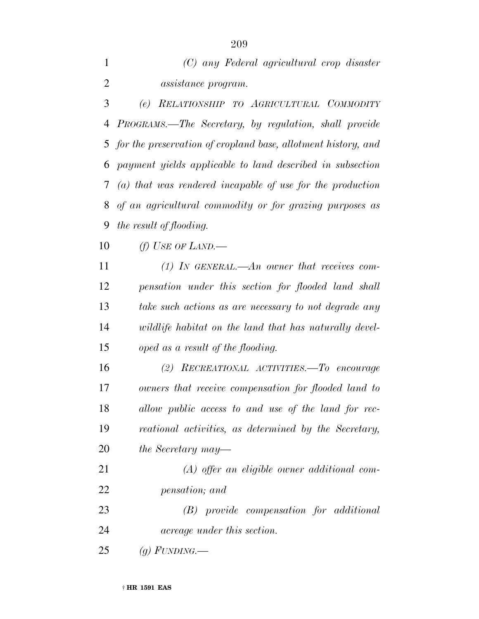| (C) any Federal agricultural crop disaster |
|--------------------------------------------|
| <i>assistance program.</i>                 |

 *(e) RELATIONSHIP TO AGRICULTURAL COMMODITY PROGRAMS.—The Secretary, by regulation, shall provide for the preservation of cropland base, allotment history, and payment yields applicable to land described in subsection (a) that was rendered incapable of use for the production of an agricultural commodity or for grazing purposes as the result of flooding.*

*(f) USE OF LAND.—*

 *(1) IN GENERAL.—An owner that receives com- pensation under this section for flooded land shall take such actions as are necessary to not degrade any wildlife habitat on the land that has naturally devel-oped as a result of the flooding.*

 *(2) RECREATIONAL ACTIVITIES.—To encourage owners that receive compensation for flooded land to allow public access to and use of the land for rec- reational activities, as determined by the Secretary, the Secretary may—*

 *(A) offer an eligible owner additional com-pensation; and*

 *(B) provide compensation for additional acreage under this section.*

*(g) FUNDING.—*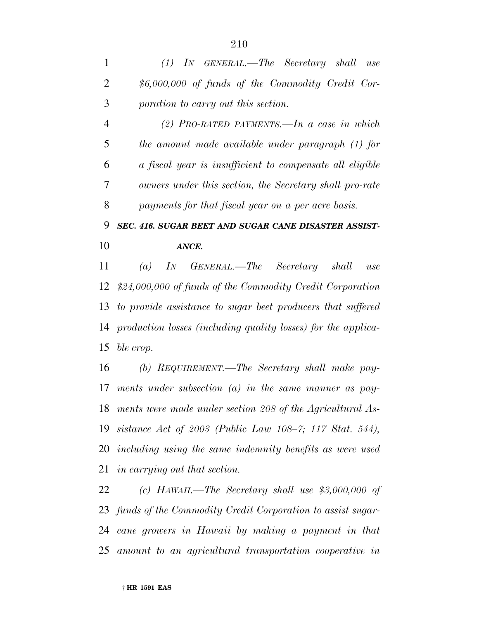*(1) IN GENERAL.—The Secretary shall use \$6,000,000 of funds of the Commodity Credit Cor-poration to carry out this section.*

 *(2) PRO-RATED PAYMENTS.—In a case in which the amount made available under paragraph (1) for a fiscal year is insufficient to compensate all eligible owners under this section, the Secretary shall pro-rate payments for that fiscal year on a per acre basis.*

 *SEC. 416. SUGAR BEET AND SUGAR CANE DISASTER ASSIST-ANCE.*

 *(a) IN GENERAL.—The Secretary shall use \$24,000,000 of funds of the Commodity Credit Corporation to provide assistance to sugar beet producers that suffered production losses (including quality losses) for the applica-ble crop.*

 *(b) REQUIREMENT.—The Secretary shall make pay- ments under subsection (a) in the same manner as pay- ments were made under section 208 of the Agricultural As- sistance Act of 2003 (Public Law 108–7; 117 Stat. 544), including using the same indemnity benefits as were used in carrying out that section.*

 *(c) HAWAII.—The Secretary shall use \$3,000,000 of funds of the Commodity Credit Corporation to assist sugar- cane growers in Hawaii by making a payment in that amount to an agricultural transportation cooperative in*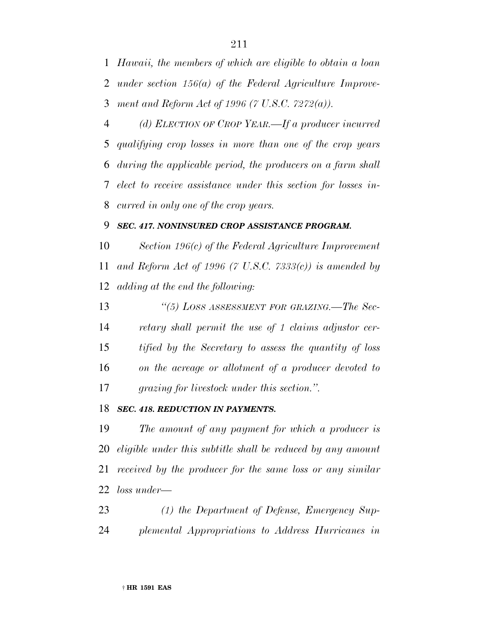*Hawaii, the members of which are eligible to obtain a loan under section 156(a) of the Federal Agriculture Improve-ment and Reform Act of 1996 (7 U.S.C. 7272(a)).*

 *(d) ELECTION OF CROP YEAR.—If a producer incurred qualifying crop losses in more than one of the crop years during the applicable period, the producers on a farm shall elect to receive assistance under this section for losses in-curred in only one of the crop years.*

### *SEC. 417. NONINSURED CROP ASSISTANCE PROGRAM.*

 *Section 196(c) of the Federal Agriculture Improvement and Reform Act of 1996 (7 U.S.C. 7333(c)) is amended by adding at the end the following:*

 *''(5) LOSS ASSESSMENT FOR GRAZING.—The Sec- retary shall permit the use of 1 claims adjustor cer- tified by the Secretary to assess the quantity of loss on the acreage or allotment of a producer devoted to grazing for livestock under this section.''.*

### *SEC. 418. REDUCTION IN PAYMENTS.*

 *The amount of any payment for which a producer is eligible under this subtitle shall be reduced by any amount received by the producer for the same loss or any similar loss under—*

 *(1) the Department of Defense, Emergency Sup-plemental Appropriations to Address Hurricanes in*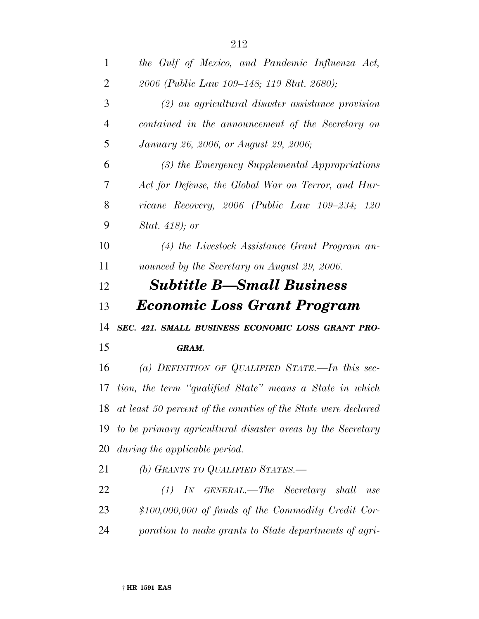| $\mathbf{1}$   | the Gulf of Mexico, and Pandemic Influenza Act,                   |
|----------------|-------------------------------------------------------------------|
| $\overline{2}$ | 2006 (Public Law 109–148; 119 Stat. 2680);                        |
| 3              | $(2)$ an agricultural disaster assistance provision               |
| $\overline{4}$ | contained in the announcement of the Secretary on                 |
| 5              | January 26, 2006, or August 29, 2006;                             |
| 6              | (3) the Emergency Supplemental Appropriations                     |
| 7              | Act for Defense, the Global War on Terror, and Hur-               |
| 8              | ricane Recovery, 2006 (Public Law 109–234; 120                    |
| 9              | <i>Stat.</i> 418); or                                             |
| 10             | (4) the Livestock Assistance Grant Program an-                    |
| 11             | nounced by the Secretary on August 29, 2006.                      |
| 12             | <b>Subtitle B—Small Business</b>                                  |
|                |                                                                   |
| 13             | <i><b>Economic Loss Grant Program</b></i>                         |
|                | SEC. 421. SMALL BUSINESS ECONOMIC LOSS GRANT PRO-                 |
|                | GRAM.                                                             |
| 14<br>15<br>16 | (a) DEFINITION OF QUALIFIED STATE.—In this sec-                   |
| 17             | tion, the term "qualified State" means a State in which           |
|                | 18 at least 50 percent of the counties of the State were declared |
|                | 19 to be primary agricultural disaster areas by the Secretary     |
| 20             | during the applicable period.                                     |
| 21             | (b) GRANTS TO QUALIFIED STATES.-                                  |
| 22             | $(1)$ IN GENERAL.—The Secretary shall<br>use                      |
| 23             | \$100,000,000 of funds of the Commodity Credit Cor-               |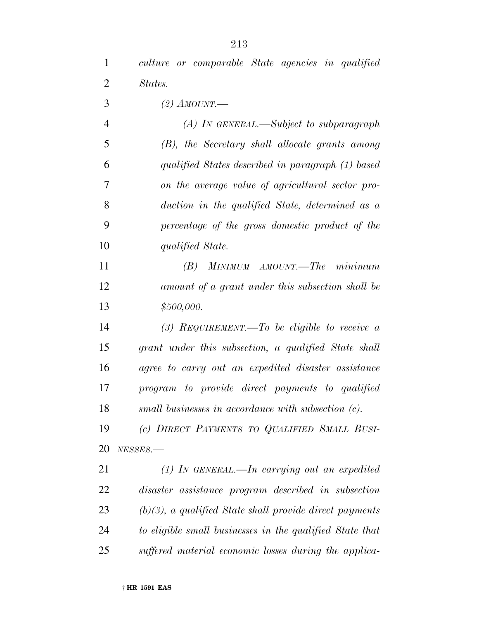*culture or comparable State agencies in qualified States.*

*(2) AMOUNT.—*

 *(A) IN GENERAL.—Subject to subparagraph (B), the Secretary shall allocate grants among qualified States described in paragraph (1) based on the average value of agricultural sector pro- duction in the qualified State, determined as a percentage of the gross domestic product of the qualified State.*

 *(B) MINIMUM AMOUNT.—The minimum amount of a grant under this subsection shall be \$500,000.*

 *(3) REQUIREMENT.—To be eligible to receive a grant under this subsection, a qualified State shall agree to carry out an expedited disaster assistance program to provide direct payments to qualified small businesses in accordance with subsection (c).*

 *(c) DIRECT PAYMENTS TO QUALIFIED SMALL BUSI-NESSES.—*

 *(1) IN GENERAL.—In carrying out an expedited disaster assistance program described in subsection (b)(3), a qualified State shall provide direct payments to eligible small businesses in the qualified State that suffered material economic losses during the applica-*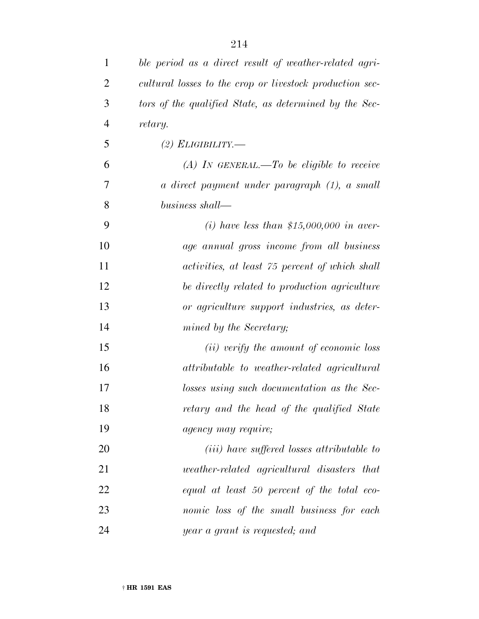| 1              | ble period as a direct result of weather-related agri-   |
|----------------|----------------------------------------------------------|
| $\overline{2}$ | cultural losses to the crop or livestock production sec- |
| 3              | tors of the qualified State, as determined by the Sec-   |
| $\overline{4}$ | retary.                                                  |
| 5              | (2) ELIGIBILITY.—                                        |
| 6              | $(A)$ IN GENERAL.—To be eligible to receive              |
| 7              | a direct payment under paragraph (1), a small            |
| 8              | business shall—                                          |
| 9              | (i) have less than \$15,000,000 in aver-                 |
| 10             | age annual gross income from all business                |
| 11             | activities, at least 75 percent of which shall           |
| 12             | be directly related to production agriculture            |
| 13             | or agriculture support industries, as deter-             |
| 14             | mined by the Secretary;                                  |
| 15             | (ii) verify the amount of economic loss                  |
| 16             | attributable to weather-related agricultural             |
| 17             | losses using such documentation as the Sec-              |
| 18             | retary and the head of the qualified State               |
| 19             | <i>agency may require;</i>                               |
| 20             | ( <i>iii</i> ) have suffered losses attributable to      |
| 21             | <i>weather-related agricultural disasters that</i>       |
| 22             | equal at least 50 percent of the total eco-              |
| 23             | nomic loss of the small business for each                |
| 24             | year a grant is requested; and                           |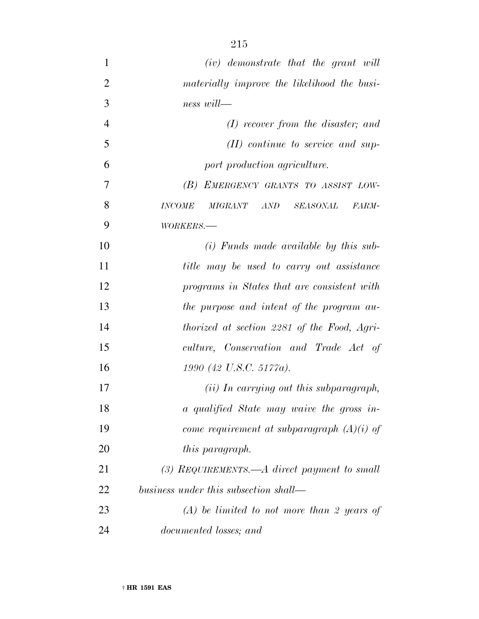*(iv) demonstrate that the grant will materially improve the likelihood the busi- ness will— (I) recover from the disaster; and (II) continue to service and sup- port production agriculture. (B) EMERGENCY GRANTS TO ASSIST LOW- INCOME MIGRANT AND SEASONAL FARM- WORKERS.— (i) Funds made available by this sub- title may be used to carry out assistance programs in States that are consistent with the purpose and intent of the program au- thorized at section 2281 of the Food, Agri- culture, Conservation and Trade Act of 1990 (42 U.S.C. 5177a). (ii) In carrying out this subparagraph, a qualified State may waive the gross in- come requirement at subparagraph (A)(i) of this paragraph. (3) REQUIREMENTS.—A direct payment to small business under this subsection shall— (A) be limited to not more than 2 years of*

*documented losses; and*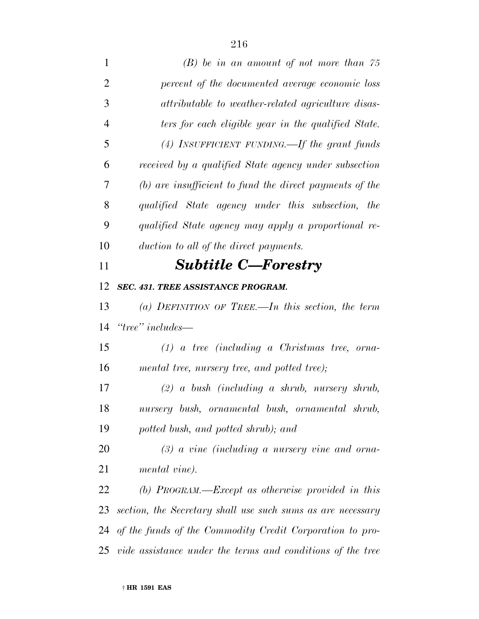| $\mathbf{1}$   | $(B)$ be in an amount of not more than 75                   |
|----------------|-------------------------------------------------------------|
| $\overline{2}$ | percent of the documented average economic loss             |
| 3              | attributable to weather-related agriculture disas-          |
| $\overline{4}$ | ters for each eligible year in the qualified State.         |
| 5              | $(4)$ INSUFFICIENT FUNDING.—If the grant funds              |
| 6              | received by a qualified State agency under subsection       |
| 7              | $(b)$ are insufficient to fund the direct payments of the   |
| 8              | qualified State agency under this subsection, the           |
| 9              | qualified State agency may apply a proportional re-         |
| 10             | duction to all of the direct payments.                      |
| 11             | <b>Subtitle C-Forestry</b>                                  |
| 12             | <b>SEC. 431. TREE ASSISTANCE PROGRAM.</b>                   |
| 13             | (a) DEFINITION OF TREE.—In this section, the term           |
| 14             | $\lq\lq tree$ " includes—                                   |
| 15             | $(1)$ a tree (including a Christmas tree, orna-             |
| 16             | mental tree, nursery tree, and potted tree);                |
| 17             | $(2)$ a bush (including a shrub, nursery shrub,             |
| 18             | nursery bush, ornamental bush, ornamental shrub,            |
| 19             | potted bush, and potted shrub); and                         |
| 20             | $(3)$ a vine (including a nursery vine and orna-            |
| 21             | mental vine).                                               |
| 22             | (b) $PROGRAM$ — $Exception$ as otherwise provided in this   |
| 23             | section, the Secretary shall use such sums as are necessary |
| 24             | of the funds of the Commodity Credit Corporation to pro-    |
| 25             | vide assistance under the terms and conditions of the tree  |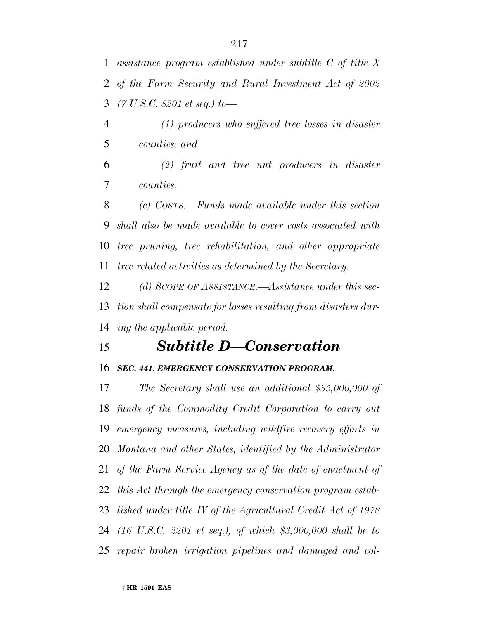*assistance program established under subtitle C of title X of the Farm Security and Rural Investment Act of 2002 (7 U.S.C. 8201 et seq.) to—*

 *(1) producers who suffered tree losses in disaster counties; and*

 *(2) fruit and tree nut producers in disaster counties.*

 *(c) COSTS.—Funds made available under this section shall also be made available to cover costs associated with tree pruning, tree rehabilitation, and other appropriate tree-related activities as determined by the Secretary.*

 *(d) SCOPE OF ASSISTANCE.—Assistance under this sec- tion shall compensate for losses resulting from disasters dur-ing the applicable period.*

# *Subtitle D—Conservation*

### *SEC. 441. EMERGENCY CONSERVATION PROGRAM.*

 *The Secretary shall use an additional \$35,000,000 of funds of the Commodity Credit Corporation to carry out emergency measures, including wildfire recovery efforts in Montana and other States, identified by the Administrator of the Farm Service Agency as of the date of enactment of this Act through the emergency conservation program estab- lished under title IV of the Agricultural Credit Act of 1978 (16 U.S.C. 2201 et seq.), of which \$3,000,000 shall be to repair broken irrigation pipelines and damaged and col-*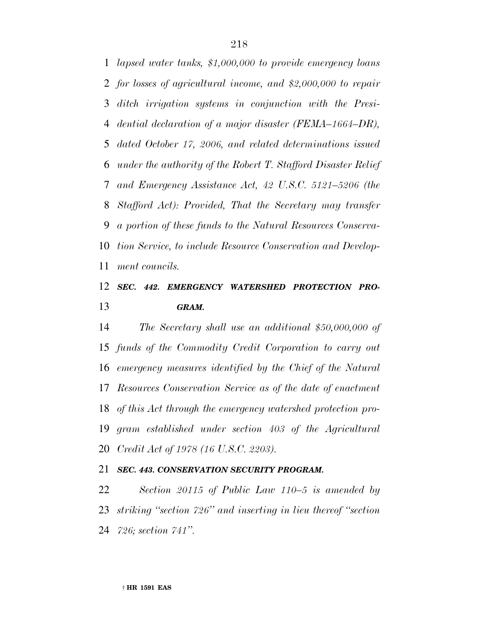*lapsed water tanks, \$1,000,000 to provide emergency loans for losses of agricultural income, and \$2,000,000 to repair ditch irrigation systems in conjunction with the Presi- dential declaration of a major disaster (FEMA–1664–DR), dated October 17, 2006, and related determinations issued under the authority of the Robert T. Stafford Disaster Relief and Emergency Assistance Act, 42 U.S.C. 5121–5206 (the Stafford Act): Provided, That the Secretary may transfer a portion of these funds to the Natural Resources Conserva- tion Service, to include Resource Conservation and Develop-ment councils.*

## *SEC. 442. EMERGENCY WATERSHED PROTECTION PRO-GRAM.*

 *The Secretary shall use an additional \$50,000,000 of funds of the Commodity Credit Corporation to carry out emergency measures identified by the Chief of the Natural Resources Conservation Service as of the date of enactment of this Act through the emergency watershed protection pro- gram established under section 403 of the Agricultural Credit Act of 1978 (16 U.S.C. 2203).*

## *SEC. 443. CONSERVATION SECURITY PROGRAM.*

 *Section 20115 of Public Law 110–5 is amended by striking ''section 726'' and inserting in lieu thereof ''section 726; section 741''.*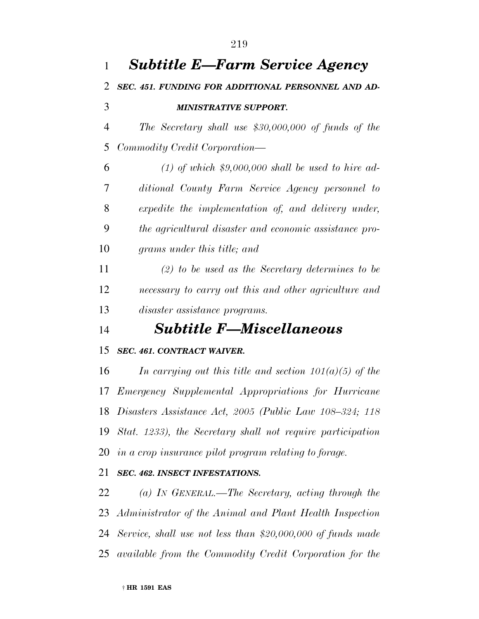| 1              | <b>Subtitle E—Farm Service Agency</b>                          |
|----------------|----------------------------------------------------------------|
| 2              | SEC. 451. FUNDING FOR ADDITIONAL PERSONNEL AND AD-             |
| 3              | <b>MINISTRATIVE SUPPORT.</b>                                   |
| $\overline{4}$ | The Secretary shall use $$30,000,000$ of funds of the          |
| 5              | Commodity Credit Corporation—                                  |
| 6              | $(1)$ of which \$9,000,000 shall be used to hire ad-           |
| 7              | ditional County Farm Service Agency personnel to               |
| 8              | expedite the implementation of, and delivery under,            |
| 9              | the agricultural disaster and economic assistance pro-         |
| 10             | grams under this title; and                                    |
| 11             | $(2)$ to be used as the Secretary determines to be             |
| 12             | necessary to carry out this and other agriculture and          |
| 13             | <i>disaster assistance programs.</i>                           |
| 14             | <b>Subtitle F-Miscellaneous</b>                                |
| 15             | SEC. 461. CONTRACT WAIVER.                                     |
| 16             | In carrying out this title and section $101(a)(5)$ of the      |
| 17             | Emergency Supplemental Appropriations for Hurricane            |
|                | 18 Disasters Assistance Act, 2005 (Public Law 108-324; 118     |
|                | 19 Stat. 1233), the Secretary shall not require participation  |
|                | 20 in a crop insurance pilot program relating to forage.       |
| 21             | SEC. 462. INSECT INFESTATIONS.                                 |
| 22             | (a) IN GENERAL.—The Secretary, acting through the              |
|                | 23 Administrator of the Animal and Plant Health Inspection     |
|                | 24 Service, shall use not less than \$20,000,000 of funds made |
|                | 25 available from the Commodity Credit Corporation for the     |
|                |                                                                |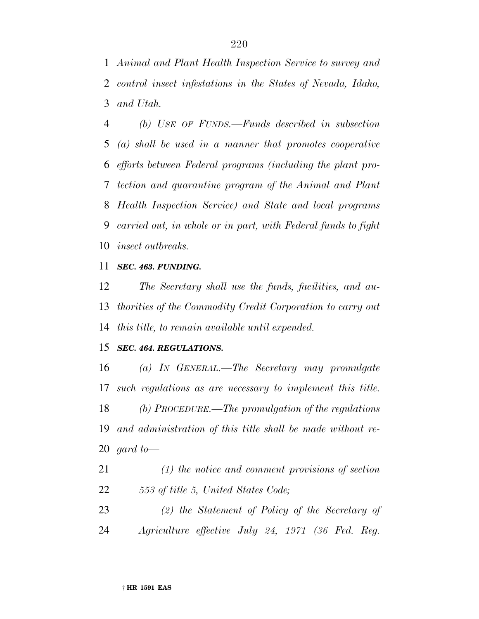*Animal and Plant Health Inspection Service to survey and control insect infestations in the States of Nevada, Idaho, and Utah.*

 *(b) USE OF FUNDS.—Funds described in subsection (a) shall be used in a manner that promotes cooperative efforts between Federal programs (including the plant pro- tection and quarantine program of the Animal and Plant Health Inspection Service) and State and local programs carried out, in whole or in part, with Federal funds to fight insect outbreaks.*

#### *SEC. 463. FUNDING.*

 *The Secretary shall use the funds, facilities, and au- thorities of the Commodity Credit Corporation to carry out this title, to remain available until expended.*

### *SEC. 464. REGULATIONS.*

 *(a) IN GENERAL.—The Secretary may promulgate such regulations as are necessary to implement this title. (b) PROCEDURE.—The promulgation of the regulations and administration of this title shall be made without re-gard to—*

 *(1) the notice and comment provisions of section 553 of title 5, United States Code;*

 *(2) the Statement of Policy of the Secretary of Agriculture effective July 24, 1971 (36 Fed. Reg.*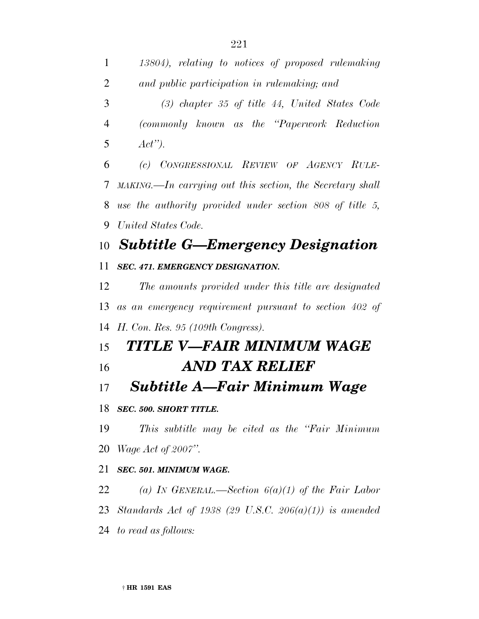| $\mathbf{1}$   | 13804), relating to notices of proposed rulemaking                                         |
|----------------|--------------------------------------------------------------------------------------------|
| $\overline{2}$ | and public participation in rulemaking; and                                                |
| 3              | $(3)$ chapter 35 of title 44, United States Code                                           |
| 4              | (commonly known as the "Paperwork Reduction")                                              |
| 5              | $Act$ ").                                                                                  |
| 6              | (c) CONGRESSIONAL REVIEW OF AGENCY RULE-                                                   |
| 7              | $\textit{MAKING}\longrightarrow\textit{In carrying out this section, the Secretary shall}$ |
| 8              | use the authority provided under section $808$ of title 5,                                 |
| 9              | United States Code.                                                                        |
| 10             | <b>Subtitle G-Emergency Designation</b>                                                    |
| 11             | SEC. 471. EMERGENCY DESIGNATION.                                                           |
| 12             | The amounts provided under this title are designated                                       |
| 13             | as an emergency requirement pursuant to section 402 of                                     |
| 14             | H. Con. Res. 95 (109th Congress).                                                          |
| 15             | TITLE V—FAIR MINIMUM WAGE                                                                  |
| 16             | AND TAX RELIEF                                                                             |
| 17             | Subtitle A—Fair Minimum Wage                                                               |
|                | 18 SEC. 500. SHORT TITLE.                                                                  |
| 19             | This subtitle may be cited as the "Fair Minimum"                                           |
|                | 20 <i>Wage Act of 2007"</i> .                                                              |
| 21             | SEC. 501. MINIMUM WAGE.                                                                    |
| 22             | (a) IN GENERAL.—Section $6(a)(1)$ of the Fair Labor                                        |
|                | 23 Standards Act of 1938 (29 U.S.C. 206(a)(1)) is amended                                  |

*to read as follows:*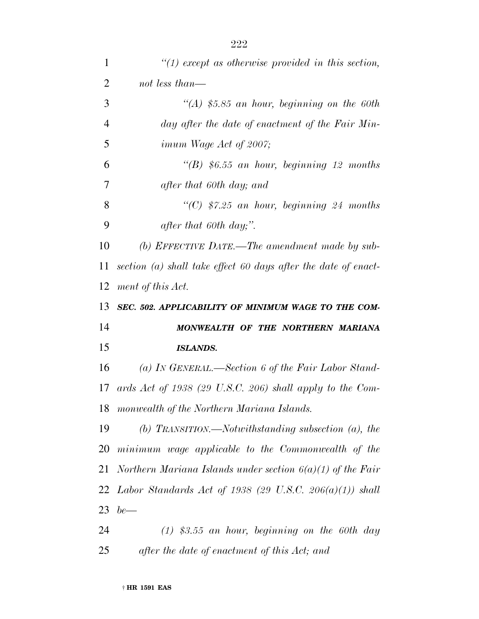| $\mathbf{1}$   | $\lq(1)$ except as otherwise provided in this section,           |
|----------------|------------------------------------------------------------------|
| $\overline{2}$ | not less than—                                                   |
| 3              | $\lq (A)$ \$5.85 an hour, beginning on the 60th                  |
| $\overline{4}$ | day after the date of enactment of the Fair Min-                 |
| 5              | <i>imum Wage Act of 2007;</i>                                    |
| 6              | $\lq (B)$ \$6.55 an hour, beginning 12 months                    |
| 7              | after that 60th day; and                                         |
| 8              | "(C) $$7.25$ an hour, beginning 24 months                        |
| 9              | after that 60th day;".                                           |
| 10             | (b) EFFECTIVE DATE.—The amendment made by sub-                   |
| 11             | section $(a)$ shall take effect 60 days after the date of enact- |
| 12             | ment of this Act.                                                |
| 13             | SEC. 502. APPLICABILITY OF MINIMUM WAGE TO THE COM-              |
| 14             | MONWEALTH OF THE NORTHERN MARIANA                                |
| 15             | <b>ISLANDS.</b>                                                  |
| 16             | (a) IN GENERAL.—Section 6 of the Fair Labor Stand-               |
| 17             | ards Act of 1938 (29 U.S.C. 206) shall apply to the Com-         |
| 18             | monwealth of the Northern Mariana Islands.                       |
| 19             | (b) TRANSITION.—Notwithstanding subsection $(a)$ , the           |
| 20             | minimum wage applicable to the Commonwealth of the               |
| 21             | Northern Mariana Islands under section $6(a)(1)$ of the Fair     |
|                | 22 Labor Standards Act of 1938 (29 U.S.C. 206(a)(1)) shall       |
| 23             | $be$ —                                                           |
| 24             | $(1)$ \$3.55 an hour, beginning on the 60th day                  |

*after the date of enactment of this Act; and*

† **HR 1591 EAS**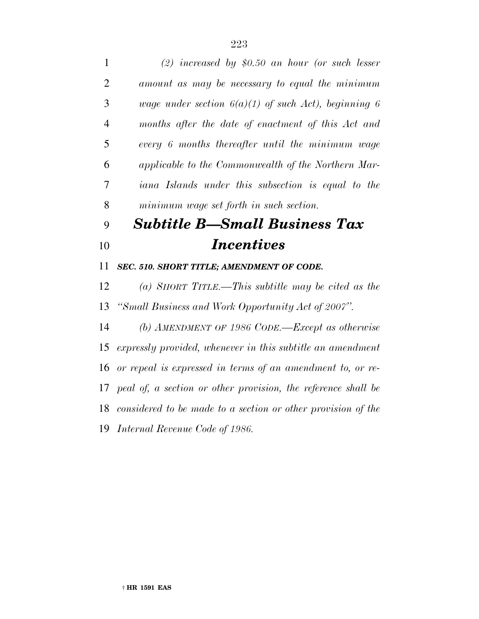| $\mathbf{1}$   | $(2)$ increased by \$0.50 an hour (or such lesser             |
|----------------|---------------------------------------------------------------|
| $\overline{2}$ | amount as may be necessary to equal the minimum               |
| 3              | wage under section $6(a)(1)$ of such Act), beginning 6        |
| $\overline{4}$ | months after the date of enactment of this Act and            |
| 5              | every 6 months thereafter until the minimum wage              |
| 6              | applicable to the Commonwealth of the Northern Mar-           |
| 7              | iana Islands under this subsection is equal to the            |
| 8              | minimum wage set forth in such section.                       |
| 9              | <b>Subtitle B—Small Business Tax</b>                          |
| 10             | <b>Incentives</b>                                             |
| 11             | SEC. 510. SHORT TITLE; AMENDMENT OF CODE.                     |
| 12             | (a) SHORT TITLE.—This subtitle may be cited as the            |
| 13             | "Small Business and Work Opportunity Act of 2007".            |
| 14             | (b) AMENDMENT OF 1986 CODE.—Except as otherwise               |
| 15             | expressly provided, whenever in this subtitle an amendment    |
| 16             | or repeal is expressed in terms of an amendment to, or re-    |
| 17             | peal of, a section or other provision, the reference shall be |
| 18             | considered to be made to a section or other provision of the  |
|                | 19 Internal Revenue Code of 1986.                             |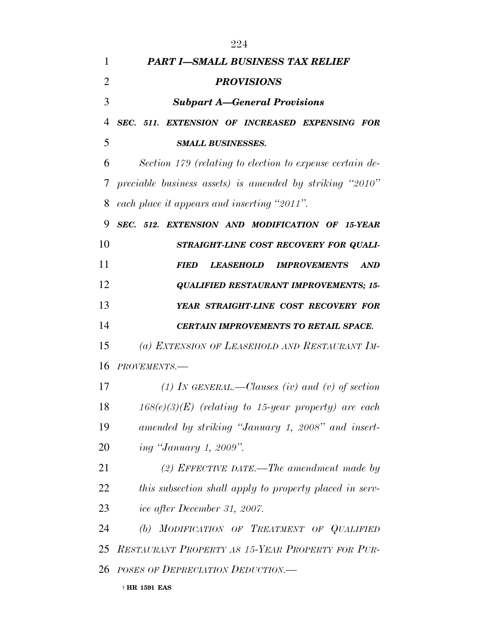| 1              | <b>PART I-SMALL BUSINESS TAX RELIEF</b>                  |
|----------------|----------------------------------------------------------|
| $\overline{2}$ | <b>PROVISIONS</b>                                        |
| 3              | <b>Subpart A–General Provisions</b>                      |
| 4              | SEC. 511. EXTENSION OF INCREASED EXPENSING FOR           |
| 5              | <b>SMALL BUSINESSES.</b>                                 |
| 6              | Section 179 (relating to election to expense certain de- |
| 7              | preciable business assets) is amended by striking "2010" |
| 8              | each place it appears and inserting "2011".              |
| 9              | SEC. 512. EXTENSION AND MODIFICATION OF 15-YEAR          |
| 10             | STRAIGHT-LINE COST RECOVERY FOR QUALI-                   |
| 11             | LEASEHOLD IMPROVEMENTS<br><b>AND</b><br><i>FIED</i>      |
| 12             | <b>QUALIFIED RESTAURANT IMPROVEMENTS; 15-</b>            |
| 13             | YEAR STRAIGHT-LINE COST RECOVERY FOR                     |
| 14             | <b>CERTAIN IMPROVEMENTS TO RETAIL SPACE.</b>             |
| 15             | (a) EXTENSION OF LEASEHOLD AND RESTAURANT IM-            |
| 16             | PROVEMENTS.-                                             |
| 17             | (1) IN GENERAL.—Clauses (iv) and (v) of section          |
| 18             | $168(e)(3)(E)$ (relating to 15-year property) are each   |
| 19             | amended by striking "January 1, 2008" and insert-        |
| 20             | <i>ing "January 1, 2009".</i>                            |
| 21             | (2) EFFECTIVE DATE.—The amendment made by                |
| 22             | this subsection shall apply to property placed in serv-  |
| 23             | ice after December 31, 2007.                             |
| 24             | (b) MODIFICATION OF TREATMENT OF QUALIFIED               |
|                | 25 RESTAURANT PROPERTY AS 15-YEAR PROPERTY FOR PUR-      |
| 26             | POSES OF DEPRECIATION DEDUCTION.                         |
|                | † HR 1591 EAS                                            |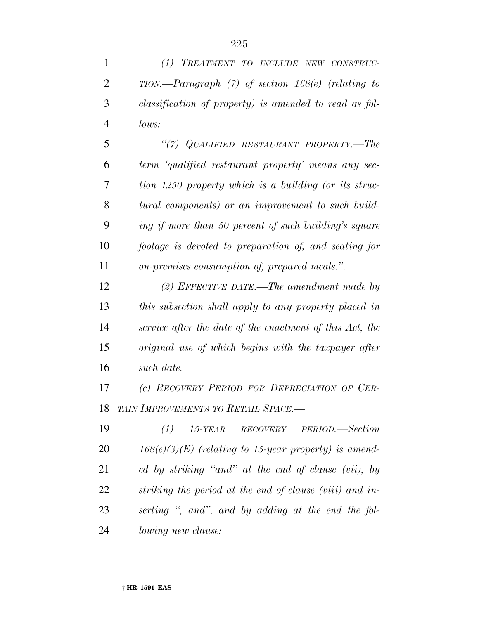*(1) TREATMENT TO INCLUDE NEW CONSTRUC-*

*TION.—Paragraph (7) of section 168(e) (relating to*

| 3              | classification of property) is amended to read as fol-   |
|----------------|----------------------------------------------------------|
| $\overline{4}$ | lows:                                                    |
| 5              | "(7) QUALIFIED RESTAURANT PROPERTY.—The                  |
| 6              | term 'qualified restaurant property' means any sec-      |
| 7              | tion 1250 property which is a building (or its struc-    |
| 8              | tural components) or an improvement to such build-       |
| 9              | ing if more than 50 percent of such building's square    |
| 10             | footage is devoted to preparation of, and seating for    |
| 11             | on-premises consumption of, prepared meals.".            |
| 12             | $(2)$ EFFECTIVE DATE.—The amendment made by              |
| 13             | this subsection shall apply to any property placed in    |
| 14             | service after the date of the enactment of this Act, the |
| 15             | original use of which begins with the taxpayer after     |
| 16             | such date.                                               |
| 17             | (c) RECOVERY PERIOD FOR DEPRECIATION OF CER-             |
| 18             | TAIN IMPROVEMENTS TO RETAIL SPACE.-                      |
| 19             | PERIOD.—Section<br>(1)<br>$15$ -YEAR<br>RECOVERY         |
| 20             | $168(e)(3)(E)$ (relating to 15-year property) is amend-  |
| 21             | ed by striking "and" at the end of clause (vii), by      |
| 22             | striking the period at the end of clause (viii) and in-  |
| 23             | serting ", and", and by adding at the end the fol-       |
| 24             | <i>lowing new clause:</i>                                |
|                |                                                          |
|                |                                                          |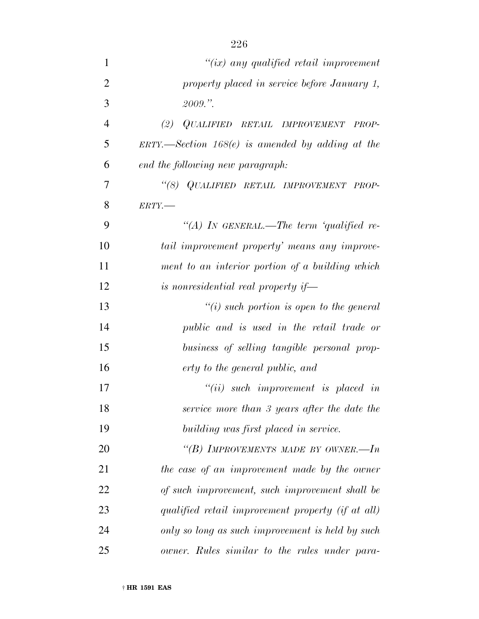| $\mathbf{1}$   | " $(ix)$ any qualified retail improvement                      |
|----------------|----------------------------------------------------------------|
| $\overline{2}$ | property placed in service before January 1,                   |
| 3              | 2009."                                                         |
| $\overline{4}$ | QUALIFIED RETAIL IMPROVEMENT<br>(2)<br>PROP-                   |
| 5              | $ERTY. \rightarrow Section 168(e)$ is amended by adding at the |
| 6              | end the following new paragraph:                               |
| 7              | "(8) QUALIFIED RETAIL IMPROVEMENT PROP-                        |
| 8              | $ERTY$ .                                                       |
| 9              | "(A) IN GENERAL.—The term 'qualified re-                       |
| 10             | tail improvement property' means any improve-                  |
| 11             | ment to an interior portion of a building which                |
| 12             | is nonresidential real property if-                            |
| 13             | $"(i)$ such portion is open to the general                     |
| 14             | public and is used in the retail trade or                      |
| 15             | business of selling tangible personal prop-                    |
| 16             | erty to the general public, and                                |
| 17             | $``(ii)$ such improvement is placed in                         |
| 18             | service more than 3 years after the date the                   |
| 19             | building was first placed in service.                          |
| 20             | "(B) IMPROVEMENTS MADE BY OWNER.—In                            |
| 21             | the case of an improvement made by the owner                   |
| 22             | of such improvement, such improvement shall be                 |
| 23             | qualified retail improvement property (if at all)              |
| 24             | only so long as such improvement is held by such               |
| 25             | owner. Rules similar to the rules under para-                  |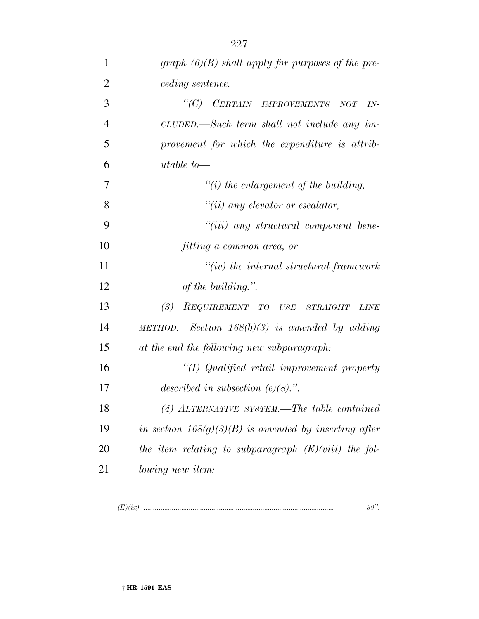| 1              | graph $(6)(B)$ shall apply for purposes of the pre-     |
|----------------|---------------------------------------------------------|
| $\overline{2}$ | <i>ceding sentence.</i>                                 |
| 3              | "(C) CERTAIN IMPROVEMENTS<br>NOT<br>$IN-$               |
| $\overline{4}$ | CLUDED.—Such term shall not include any im-             |
| 5              | provement for which the expenditure is attrib-          |
| 6              | utable to $-$                                           |
| 7              | $\lq\lq(i)$ the enlargement of the building,            |
| 8              | $``(ii)$ any elevator or escalator,                     |
| 9              | "(iii) any structural component bene-                   |
| 10             | fitting a common area, or                               |
| 11             | $``(iv)$ the internal structural framework              |
| 12             | of the building.".                                      |
| 13             | (3)<br>REQUIREMENT TO USE STRAIGHT<br><b>LINE</b>       |
| 14             | METHOD.—Section $168(b)(3)$ is amended by adding        |
| 15             | at the end the following new subparagraph:              |
| 16             | "(I) Qualified retail improvement property              |
| 17             | described in subsection $(e)(8)$ .".                    |
| 18             | (4) ALTERNATIVE SYSTEM.—The table contained             |
| 19             | in section $168(g)(3)(B)$ is amended by inserting after |
| 20             | the item relating to subparagraph $(E)(viii)$ the fol-  |
| 21             | lowing new item:                                        |
|                |                                                         |

*(E)(ix) ..................................................................................................... 39''.*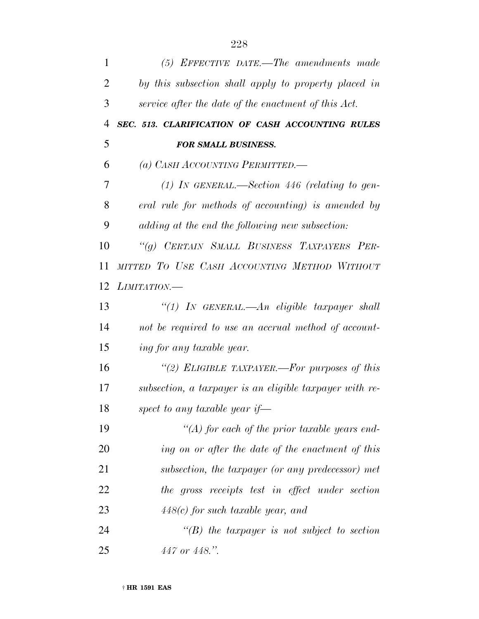| $\mathbf{1}$   | (5) EFFECTIVE DATE.—The amendments made                 |
|----------------|---------------------------------------------------------|
| 2              | by this subsection shall apply to property placed in    |
| 3              | service after the date of the enactment of this Act.    |
| $\overline{4}$ | SEC. 513. CLARIFICATION OF CASH ACCOUNTING RULES        |
| 5              | <b>FOR SMALL BUSINESS.</b>                              |
| 6              | (a) CASH ACCOUNTING PERMITTED.—                         |
| 7              | (1) IN GENERAL.—Section 446 (relating to gen-           |
| 8              | eral rule for methods of accounting) is amended by      |
| 9              | adding at the end the following new subsection:         |
| 10             | "(g) CERTAIN SMALL BUSINESS TAXPAYERS PER-              |
| 11             | MITTED TO USE CASH ACCOUNTING METHOD WITHOUT            |
| 12             | LIMITATION.                                             |
| 13             | "(1) In GENERAL.—An eligible taxpayer shall             |
| 14             | not be required to use an accrual method of account-    |
| 15             | ing for any taxable year.                               |
| 16             | "(2) ELIGIBLE TAXPAYER.—For purposes of this            |
| 17             | subsection, a taxpayer is an eligible taxpayer with re- |
| 18             | spect to any taxable year if—                           |
| 19             | $\lq (A)$ for each of the prior taxable years end-      |
| 20             | ing on or after the date of the enactment of this       |
| 21             | subsection, the taxpayer (or any predecessor) met       |
| 22             | the gross receipts test in effect under section         |
| 23             | $448(c)$ for such taxable year, and                     |
| 24             | $\lq\lq(B)$ the taxpayer is not subject to section      |
| 25             | $447$ or $448$ .".                                      |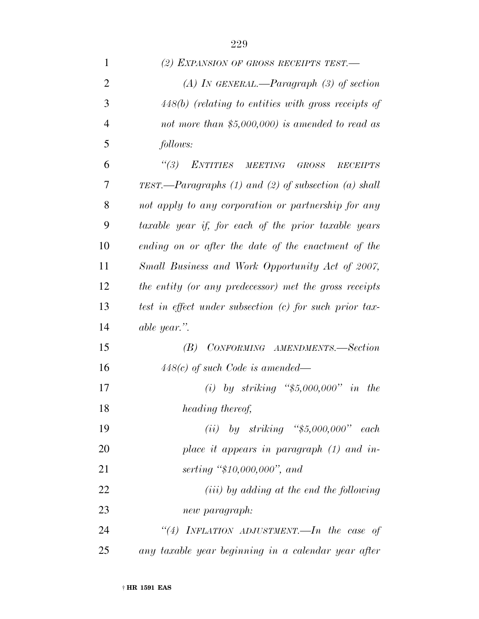| $\mathbf{1}$   | (2) EXPANSION OF GROSS RECEIPTS TEST.                      |
|----------------|------------------------------------------------------------|
| $\overline{2}$ | (A) In GENERAL.—Paragraph $(3)$ of section                 |
| 3              | $448(b)$ (relating to entities with gross receipts of      |
| 4              | not more than $$5,000,000$ is amended to read as           |
| 5              | follows:                                                   |
| 6              | ENTITIES MEETING<br>(3)<br><b>GROSS</b><br><b>RECEIPTS</b> |
| 7              | TEST.—Paragraphs $(1)$ and $(2)$ of subsection $(a)$ shall |
| 8              | not apply to any corporation or partnership for any        |
| 9              | taxable year if, for each of the prior taxable years       |
| 10             | ending on or after the date of the enactment of the        |
| 11             | Small Business and Work Opportunity Act of 2007,           |
| 12             | the entity (or any predecessor) met the gross receipts     |
| 13             | test in effect under subsection (c) for such prior tax-    |
| 14             | able year.".                                               |
| 15             | CONFORMING AMENDMENTS.-Section<br>(B)                      |
| 16             | $448(c)$ of such Code is amended—                          |
| 17             | (i) by striking " $$5,000,000"$ in the                     |
| 18             | heading thereof,                                           |
| 19             | (ii) by striking " $$5,000,000"$ each                      |
| <b>20</b>      | place it appears in paragraph $(1)$ and in-                |
| 21             | serting " $$10,000,000"$ , and                             |
| 22             | ( <i>iii</i> ) by adding at the end the following          |
| 23             | new paragraph:                                             |
| 24             | "(4) INFLATION ADJUSTMENT.—In the case of                  |
| 25             | any taxable year beginning in a calendar year after        |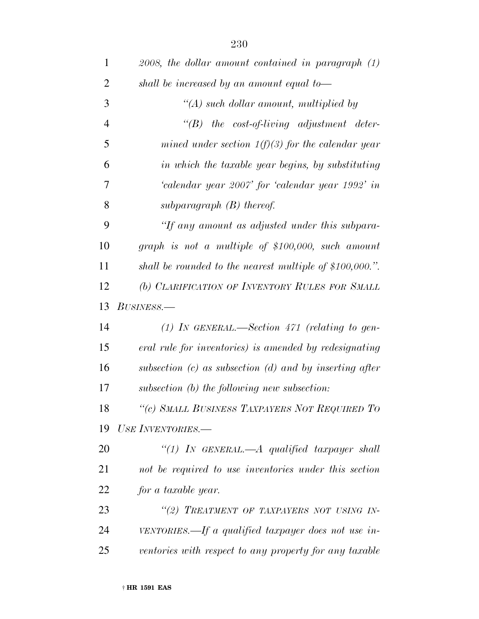| $\mathbf{1}$   | $2008$ , the dollar amount contained in paragraph $(1)$     |
|----------------|-------------------------------------------------------------|
| 2              | shall be increased by an amount equal to-                   |
| 3              | $\lq (A)$ such dollar amount, multiplied by                 |
| $\overline{4}$ | $\lq\lq B$ the cost-of-living adjustment deter-             |
| 5              | mined under section $1(f)(3)$ for the calendar year         |
| 6              | in which the taxable year begins, by substituting           |
| 7              | 'calendar year 2007' for 'calendar year 1992' in            |
| 8              | subparagraph $(B)$ thereof.                                 |
| 9              | "If any amount as adjusted under this subpara-              |
| 10             | graph is not a multiple of $$100,000$ , such amount         |
| 11             | shall be rounded to the nearest multiple of $$100,000."$ .  |
| 12             | (b) CLARIFICATION OF INVENTORY RULES FOR SMALL              |
| 13             | BUSINESS.-                                                  |
| 14             | (1) IN GENERAL.—Section $471$ (relating to gen-             |
| 15             | eral rule for inventories) is amended by redesignating      |
| 16             | subsection $(c)$ as subsection $(d)$ and by inserting after |
| 17             | subsection (b) the following new subsection:                |
| 18             | "(c) SMALL BUSINESS TAXPAYERS NOT REQUIRED TO               |
| 19             | USE INVENTORIES.-                                           |
| 20             | "(1) In GENERAL.—A qualified taxpayer shall                 |
| 21             | not be required to use inventories under this section       |
| 22             | for a taxable year.                                         |
| 23             | "(2) TREATMENT OF TAXPAYERS NOT USING IN-                   |
| 24             | VENTORIES.—If a qualified taxpayer does not use in-         |
| 25             | ventories with respect to any property for any taxable      |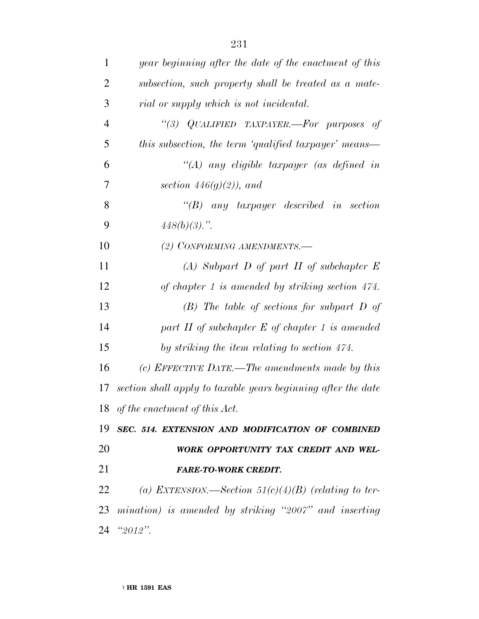| 1              | year beginning after the date of the enactment of this        |
|----------------|---------------------------------------------------------------|
| $\overline{2}$ | subsection, such property shall be treated as a mate-         |
| 3              | rial or supply which is not incidental.                       |
| $\overline{4}$ | "(3) QUALIFIED TAXPAYER.-For purposes of                      |
| 5              | this subsection, the term 'qualified taxpayer' means—         |
| 6              | $\lq (A)$ any eligible taxpayer (as defined in                |
| 7              | section $446(g)(2)$ , and                                     |
| 8              | $\lq\lq B$ any taxpayer described in section                  |
| 9              | $448(b)(3)$ .".                                               |
| 10             | (2) CONFORMING AMENDMENTS.-                                   |
| 11             | $(A)$ Subpart D of part II of subchapter E                    |
| 12             | of chapter 1 is amended by striking section $474$ .           |
| 13             | $(B)$ The table of sections for subpart D of                  |
| 14             | part $H$ of subchapter $E$ of chapter 1 is amended            |
| 15             | by striking the item relating to section 474.                 |
| 16             | (c) EFFECTIVE DATE.—The amendments made by this               |
| 17             | section shall apply to taxable years beginning after the date |
|                | 18 of the enactment of this Act.                              |
|                | 19 SEC. 514. EXTENSION AND MODIFICATION OF COMBINED           |
| 20             | WORK OPPORTUNITY TAX CREDIT AND WEL-                          |
| 21             | <b>FARE-TO-WORK CREDIT.</b>                                   |
| 22             | (a) EXTENSION.—Section $51(c)(4)(B)$ (relating to ter-        |
|                | 23 mination) is amended by striking "2007" and inserting      |
|                | 24 "2012".                                                    |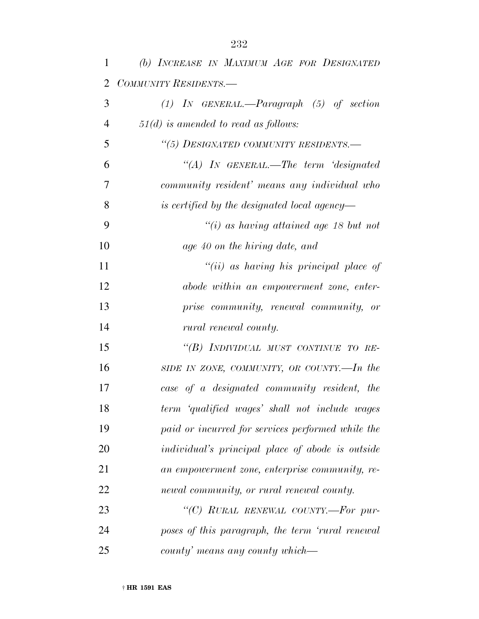| 1  | (b) INCREASE IN MAXIMUM AGE FOR DESIGNATED        |
|----|---------------------------------------------------|
| 2  | COMMUNITY RESIDENTS.-                             |
| 3  | $(1)$ IN GENERAL.—Paragraph $(5)$ of section      |
| 4  | $51(d)$ is amended to read as follows:            |
| 5  | "(5) DESIGNATED COMMUNITY RESIDENTS.-             |
| 6  | $\lq\lq (A)$ In GENERAL.—The term 'designated'    |
| 7  | community resident' means any individual who      |
| 8  | is certified by the designated local agency—      |
| 9  | $\degree$ (i) as having attained age 18 but not   |
| 10 | age 40 on the hiring date, and                    |
| 11 | "(ii) as having his principal place of            |
| 12 | abode within an empowerment zone, enter-          |
| 13 | prise community, renewal community, or            |
| 14 | rural renewal county.                             |
| 15 | "(B) INDIVIDUAL MUST CONTINUE TO RE-              |
| 16 | SIDE IN ZONE, COMMUNITY, OR COUNTY.—In the        |
| 17 | case of a designated community resident, the      |
| 18 | term 'qualified wages' shall not include wages    |
| 19 | paid or incurred for services performed while the |
| 20 | individual's principal place of abode is outside  |
| 21 | an empowerment zone, enterprise community, re-    |
| 22 | newal community, or rural renewal county.         |
| 23 | "(C) RURAL RENEWAL COUNTY.-For pur-               |
| 24 | poses of this paragraph, the term 'rural renewal  |
| 25 | county' means any county which—                   |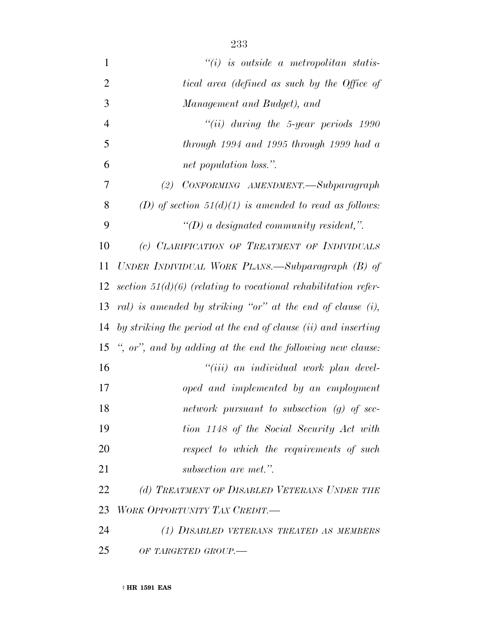| $\mathbf{1}$   | $``(i)$ is outside a metropolitan statis-                        |
|----------------|------------------------------------------------------------------|
| $\overline{2}$ | tical area (defined as such by the Office of                     |
| 3              | Management and Budget), and                                      |
| $\overline{4}$ | $``(ii)$ during the 5-year periods 1990                          |
| 5              | $through 1994$ and 1995 through 1999 had a                       |
| 6              | net population loss.".                                           |
| 7              | CONFORMING AMENDMENT.—Subparagraph<br>(2)                        |
| 8              | (D) of section $51(d)(1)$ is amended to read as follows:         |
| 9              | $\lq (D)$ a designated community resident,".                     |
| 10             | (c) CLARIFICATION OF TREATMENT OF INDIVIDUALS                    |
| 11             | UNDER INDIVIDUAL WORK PLANS.—Subparagraph (B) of                 |
| 12             | section $51(d)(6)$ (relating to vocational rehabilitation refer- |
| 13             | ral) is amended by striking "or" at the end of clause (i),       |
| 14             | by striking the period at the end of clause (ii) and inserting   |
| 15             | ", or", and by adding at the end the following new clause:       |
| 16             | "(iii) an individual work plan devel-                            |
| 17             | oped and implemented by an employment                            |
| 18             | network pursuant to subsection $(g)$ of sec-                     |
| 19             | tion 1148 of the Social Security Act with                        |
| 20             | respect to which the requirements of such                        |
| 21             | subsection are met.".                                            |
| 22             | (d) TREATMENT OF DISABLED VETERANS UNDER THE                     |
| 23             | WORK OPPORTUNITY TAX CREDIT.-                                    |
| 24             | (1) DISABLED VETERANS TREATED AS MEMBERS                         |
| 25             | OF TARGETED GROUP.-                                              |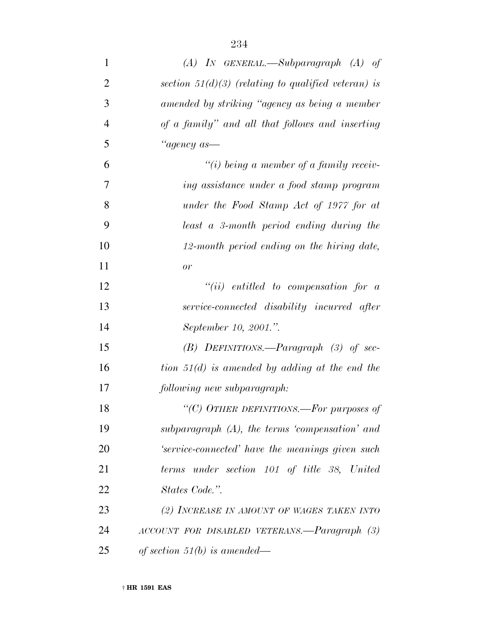| $\mathbf{1}$   | $(A)$ IN GENERAL.—Subparagraph $(A)$ of               |
|----------------|-------------------------------------------------------|
| $\overline{2}$ | section $51(d)(3)$ (relating to qualified veteran) is |
| 3              | amended by striking "agency as being a member         |
| $\overline{4}$ | of a family" and all that follows and inserting       |
| 5              | "agency as-                                           |
| 6              | $``(i)$ being a member of a family receiv-            |
| 7              | ing assistance under a food stamp program             |
| 8              | under the Food Stamp Act of 1977 for at               |
| 9              | least a 3-month period ending during the              |
| 10             | 12-month period ending on the hiring date,            |
| 11             | or                                                    |
| 12             | $``(ii)$ entitled to compensation for a               |
| 13             | service-connected disability incurred after           |
| 14             | September 10, 2001.".                                 |
| 15             | $(B)$ DEFINITIONS.—Paragraph $(3)$ of sec-            |
| 16             | tion $51(d)$ is amended by adding at the end the      |
| 17             | following new subparagraph:                           |
| 18             | "(C) OTHER DEFINITIONS.—For purposes of               |
| 19             | subparagraph $(A)$ , the terms 'compensation' and     |
| 20             | 'service-connected' have the meanings given such      |
| 21             | terms under section 101 of title 38, United           |
| 22             | States Code.".                                        |
| 23             | (2) INCREASE IN AMOUNT OF WAGES TAKEN INTO            |
| 24             | ACCOUNT FOR DISABLED VETERANS.—Paragraph (3)          |
| 25             | of section 51(b) is amended—                          |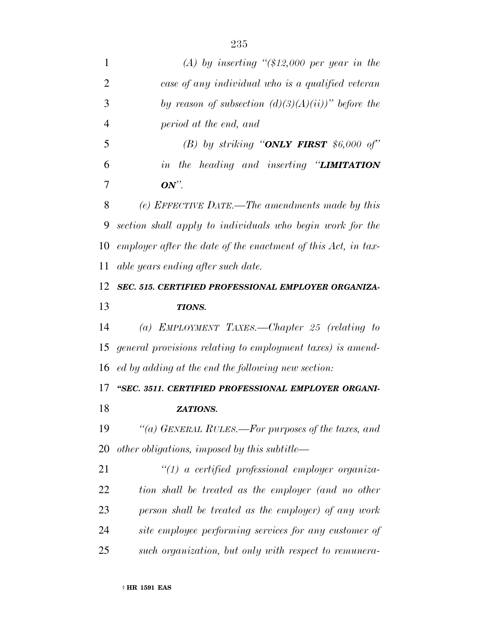| 1              | (A) by inserting " $($12,000$ per year in the                 |
|----------------|---------------------------------------------------------------|
| $\overline{2}$ | case of any individual who is a qualified veteran             |
| 3              | by reason of subsection $(d)(3)(A)(ii)$ " before the          |
| $\overline{4}$ | period at the end, and                                        |
| 5              | (B) by striking "ONLY FIRST $$6,000$ of"                      |
| 6              | in the heading and inserting "LIMITATION                      |
| 7              | $ON$ ".                                                       |
| 8              | (e) EFFECTIVE DATE.—The amendments made by this               |
| 9              | section shall apply to individuals who begin work for the     |
| 10             | employer after the date of the enactment of this Act, in tax- |
| 11             | able years ending after such date.                            |
| 12             | SEC. 515. CERTIFIED PROFESSIONAL EMPLOYER ORGANIZA-           |
| 13             | <b>TIONS.</b>                                                 |
| 14             | (a) EMPLOYMENT TAXES.—Chapter 25 (relating to                 |
| 15             | general provisions relating to employment taxes) is amend-    |
| 16             | ed by adding at the end the following new section:            |
| 17             |                                                               |
|                | "SEC. 3511. CERTIFIED PROFESSIONAL EMPLOYER ORGANI-           |
| 18             | ZATIONS.                                                      |
| 19             | "(a) GENERAL RULES.—For purposes of the taxes, and            |
| 20             | other obligations, imposed by this subtitle—                  |
| 21             | $\lq(1)$ a certified professional employer organiza-          |
| 22             | tion shall be treated as the employer (and no other           |
| 23             | person shall be treated as the employer) of any work          |
| 24             | site employee performing services for any customer of         |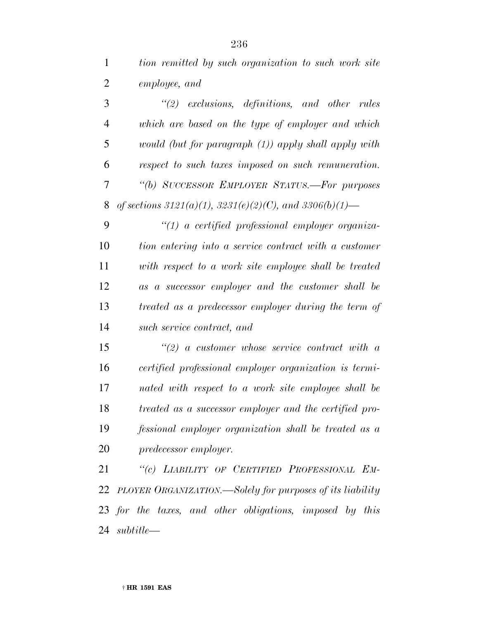| tion remitted by such organization to such work site |
|------------------------------------------------------|
| employee, and                                        |

 *''(2) exclusions, definitions, and other rules which are based on the type of employer and which would (but for paragraph (1)) apply shall apply with respect to such taxes imposed on such remuneration. ''(b) SUCCESSOR EMPLOYER STATUS.—For purposes of sections 3121(a)(1), 3231(e)(2)(C), and 3306(b)(1)—*

 *''(1) a certified professional employer organiza- tion entering into a service contract with a customer with respect to a work site employee shall be treated as a successor employer and the customer shall be treated as a predecessor employer during the term of such service contract, and*

 *''(2) a customer whose service contract with a certified professional employer organization is termi- nated with respect to a work site employee shall be treated as a successor employer and the certified pro- fessional employer organization shall be treated as a predecessor employer.*

 *''(c) LIABILITY OF CERTIFIED PROFESSIONAL EM- PLOYER ORGANIZATION.—Solely for purposes of its liability for the taxes, and other obligations, imposed by this subtitle—*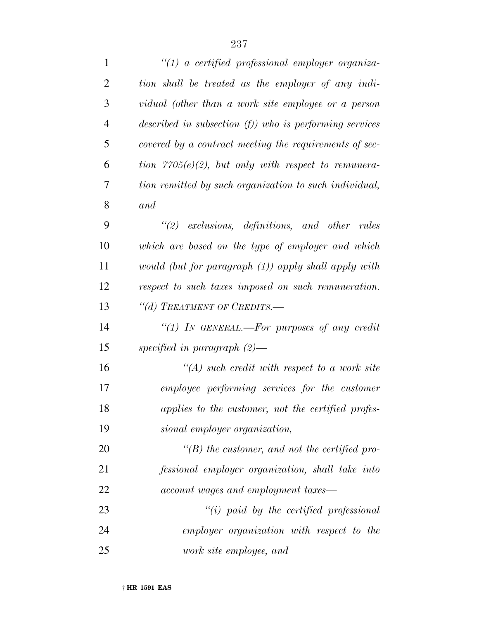| $\mathbf{1}$   | $\lq(1)$ a certified professional employer organiza-       |
|----------------|------------------------------------------------------------|
| $\overline{2}$ | tion shall be treated as the employer of any indi-         |
| 3              | vidual (other than a work site employee or a person        |
| $\overline{4}$ | described in subsection $(f)$ ) who is performing services |
| 5              | covered by a contract meeting the requirements of sec-     |
| 6              | tion $7705(e)(2)$ , but only with respect to remunera-     |
| 7              | tion remitted by such organization to such individual,     |
| 8              | and                                                        |
| 9              | $\lq(2)$ exclusions, definitions, and other rules          |
| 10             | which are based on the type of employer and which          |
| 11             | would (but for paragraph (1)) apply shall apply with       |
| 12             | respect to such taxes imposed on such remuneration.        |
| 13             | "(d) TREATMENT OF CREDITS.—                                |
| 14             | "(1) IN GENERAL.—For purposes of any credit                |
| 15             | specified in paragraph $(2)$ —                             |
| 16             | $\lq (A)$ such credit with respect to a work site          |
| 17             | employee performing services for the customer              |
| 18             | applies to the customer, not the certified profes-         |
| 19             | sional employer organization,                              |
| 20             | $\lq\lq(B)$ the customer, and not the certified pro-       |
| 21             | fessional employer organization, shall take into           |
| 22             | account wages and employment taxes—                        |
| 23             | $"(i)$ paid by the certified professional                  |
| 24             | employer organization with respect to the                  |
| 25             | work site employee, and                                    |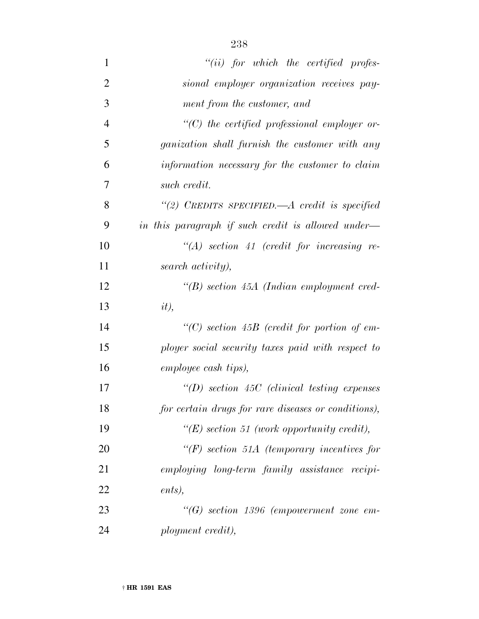| $\mathbf{1}$   | $``(ii)$ for which the certified profes-              |
|----------------|-------------------------------------------------------|
| $\overline{2}$ | sional employer organization receives pay-            |
| 3              | ment from the customer, and                           |
| $\overline{4}$ | $"$ (C) the certified professional employer or-       |
| 5              | <i>ganization shall furnish the customer with any</i> |
| 6              | information necessary for the customer to claim       |
| 7              | such credit.                                          |
| 8              | "(2) CREDITS SPECIFIED.— $A$ credit is specified      |
| 9              | in this paragraph if such credit is allowed under—    |
| 10             | $\lq (A)$ section 41 (credit for increasing re-       |
| 11             | search activity),                                     |
| 12             | $\lq\lq(B)$ section 45A (Indian employment cred-      |
| 13             | $it)$ ,                                               |
| 14             | $\lq\lq C$ section 45B (credit for portion of em-     |
| 15             | ployer social security taxes paid with respect to     |
| 16             | employee cash tips),                                  |
| 17             | $\lq (D)$ section 45C (clinical testing expenses      |
| 18             | for certain drugs for rare diseases or conditions),   |
| 19             | " $(E)$ section 51 (work opportunity credit),         |
| 20             | $\lq\lq(F)$ section 51A (temporary incentives for     |
| 21             | employing long-term family assistance recipi-         |
| 22             | ents),                                                |
| 23             | $\lq\lq G$ section 1396 (empowerment zone em-         |
| 24             | ployment credit),                                     |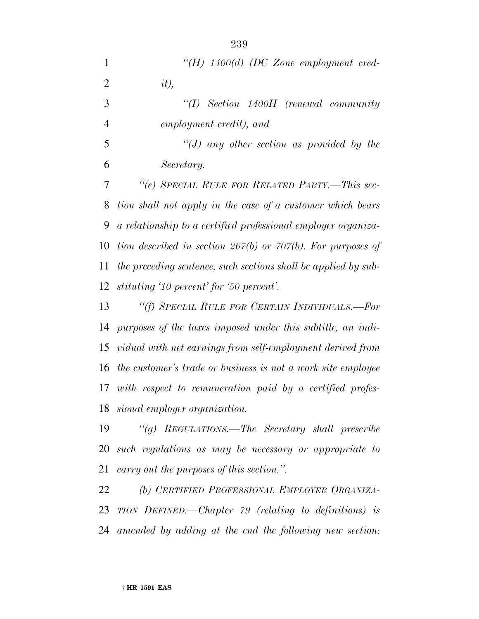| $\mathbf{1}$   | "(H) $1400(d)$ (DC Zone employment cred-                         |
|----------------|------------------------------------------------------------------|
|                |                                                                  |
| $\overline{2}$ | $it)$ ,                                                          |
| 3              | ``(I)<br>Section 1400H (renewal community                        |
| $\overline{4}$ | employment credit), and                                          |
| 5              | "(J) any other section as provided by the                        |
| 6              | Secretary.                                                       |
| 7              | "(e) SPECIAL RULE FOR RELATED PARTY.-This sec-                   |
| 8              | tion shall not apply in the case of a customer which bears       |
| 9              | a relationship to a certified professional employer organiza-    |
| 10             | tion described in section $267(b)$ or $707(b)$ . For purposes of |
| 11             | the preceding sentence, such sections shall be applied by sub-   |
| 12             | stituting '10 percent' for '50 percent'.                         |
| 13             | "(f) SPECIAL RULE FOR CERTAIN INDIVIDUALS.—For                   |
| 14             | purposes of the taxes imposed under this subtitle, an indi-      |
| 15             | vidual with net earnings from self-employment derived from       |
| 16             | the customer's trade or business is not a work site employee     |
| 17             | with respect to remuneration paid by a certified profes-         |
| 18             | sional employer organization.                                    |
| 1 <sub>0</sub> | $\mathcal{U} \rightarrow \mathbf{D}$                             |

 *''(g) REGULATIONS.—The Secretary shall prescribe such regulations as may be necessary or appropriate to carry out the purposes of this section.''.*

 *(b) CERTIFIED PROFESSIONAL EMPLOYER ORGANIZA- TION DEFINED.—Chapter 79 (relating to definitions) is amended by adding at the end the following new section:*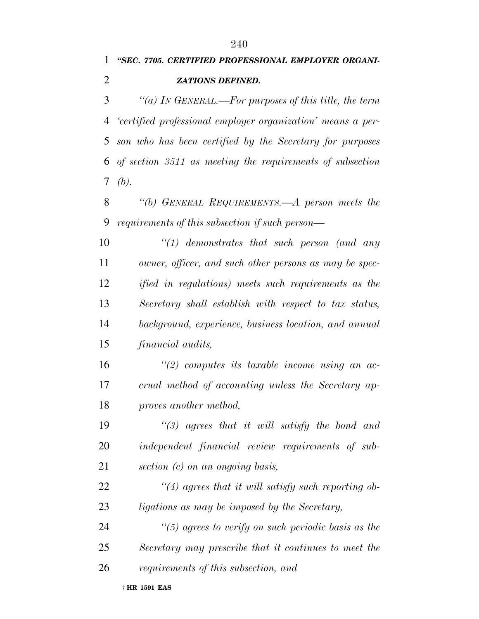*''SEC. 7705. CERTIFIED PROFESSIONAL EMPLOYER ORGANI- ZATIONS DEFINED. ''(a) IN GENERAL.—For purposes of this title, the term*

 *'certified professional employer organization' means a per- son who has been certified by the Secretary for purposes of section 3511 as meeting the requirements of subsection (b).*

 *''(b) GENERAL REQUIREMENTS.—A person meets the requirements of this subsection if such person—*

 *''(1) demonstrates that such person (and any owner, officer, and such other persons as may be spec- ified in regulations) meets such requirements as the Secretary shall establish with respect to tax status, background, experience, business location, and annual financial audits,*

 *''(2) computes its taxable income using an ac- crual method of accounting unless the Secretary ap-proves another method,*

 *''(3) agrees that it will satisfy the bond and independent financial review requirements of sub-section (c) on an ongoing basis,*

 *''(4) agrees that it will satisfy such reporting ob-ligations as may be imposed by the Secretary,*

 *''(5) agrees to verify on such periodic basis as the Secretary may prescribe that it continues to meet the requirements of this subsection, and*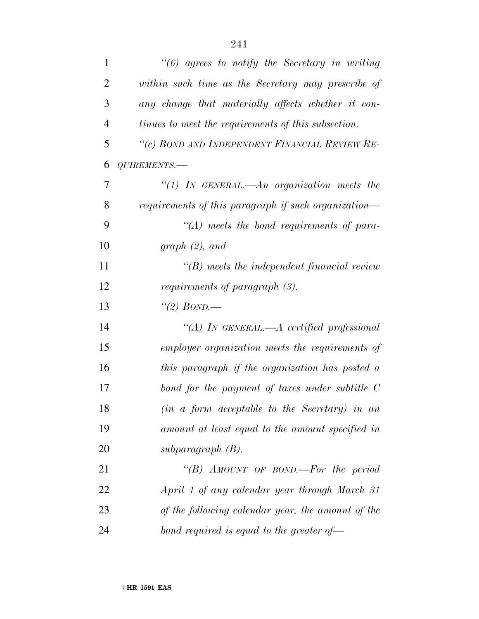| $\mathbf{1}$   | $\lq(6)$ agrees to notify the Secretary in writing   |
|----------------|------------------------------------------------------|
| $\overline{2}$ | within such time as the Secretary may prescribe of   |
| 3              | any change that materially affects whether it con-   |
| $\overline{4}$ | tinues to meet the requirements of this subsection.  |
| 5              | "(c) BOND AND INDEPENDENT FINANCIAL REVIEW RE-       |
| 6              | QUIREMENTS.-                                         |
| 7              | "(1) In GENERAL.—An organization meets the           |
| 8              | requirements of this paragraph if such organization— |
| 9              | $\lq\lq (A)$ meets the bond requirements of para-    |
| 10             | graph $(2)$ , and                                    |
| 11             | $\lq\lq(B)$ meets the independent financial review   |
| 12             | requirements of paragraph (3).                       |
| 13             | "(2) BOND.—                                          |
| 14             | "(A) IN GENERAL.— $A$ certified professional         |
| 15             | employer organization meets the requirements of      |
| 16             | this paragraph if the organization has posted a      |
| 17             | bond for the payment of taxes under subtitle $C$     |
| 18             | $(in a form acceptable to the Secretary) in an$      |
| 19             | amount at least equal to the amount specified in     |
| 20             | subparagraph $(B)$ .                                 |
| 21             | "(B) AMOUNT OF BOND.—For the period                  |
| 22             | April 1 of any calendar year through March 31        |
| 23             | of the following calendar year, the amount of the    |
| 24             | bond required is equal to the greater of $\equiv$    |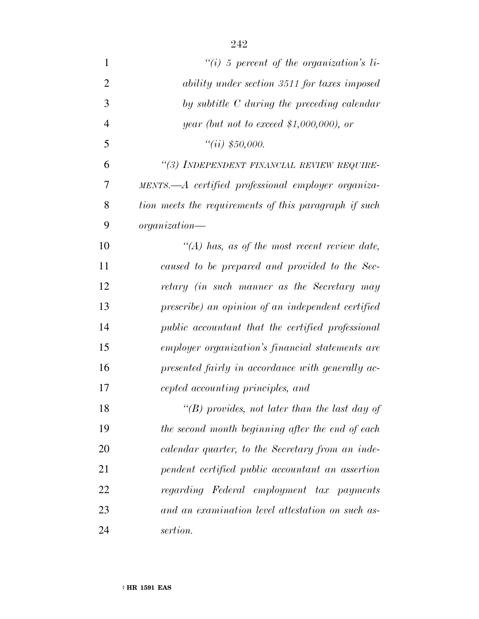| $\mathbf{1}$   | $\lq\lq(i)$ 5 percent of the organization's li-       |
|----------------|-------------------------------------------------------|
| $\overline{2}$ | ability under section 3511 for taxes imposed          |
| 3              | by subtitle C during the preceding calendar           |
| $\overline{4}$ | year (but not to exceed \$1,000,000), or              |
| 5              | ``(ii) \$50,000.                                      |
| 6              | "(3) INDEPENDENT FINANCIAL REVIEW REQUIRE-            |
| 7              | MENTS.—A certified professional employer organiza-    |
| 8              | tion meets the requirements of this paragraph if such |
| 9              | $organization-$                                       |
| 10             | $\lq (A)$ has, as of the most recent review date,     |
| 11             | caused to be prepared and provided to the Sec-        |
| 12             | retary (in such manner as the Secretary may           |
| 13             | prescribe) an opinion of an independent certified     |
| 14             | public accountant that the certified professional     |
| 15             | employer organization's financial statements are      |
| 16             | presented fairly in accordance with generally ac-     |
| 17             | cepted accounting principles, and                     |
| 18             | "(B) provides, not later than the last day of         |
| 19             | the second month beginning after the end of each      |
| 20             | calendar quarter, to the Secretary from an inde-      |
| 21             | pendent certified public accountant an assertion      |
| 22             | regarding Federal employment tax payments             |
| 23             | and an examination level attestation on such as-      |
| 24             | sertion.                                              |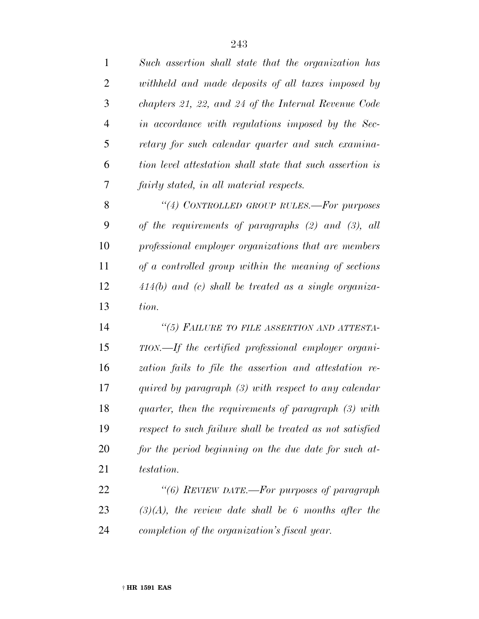| $\mathbf{1}$   | Such assertion shall state that the organization has      |
|----------------|-----------------------------------------------------------|
| $\overline{2}$ | withheld and made deposits of all taxes imposed by        |
| 3              | chapters 21, 22, and 24 of the Internal Revenue Code      |
| $\overline{4}$ | in accordance with regulations imposed by the Sec-        |
| 5              | retary for such calendar quarter and such examina-        |
| 6              | tion level attestation shall state that such assertion is |
| 7              | fairly stated, in all material respects.                  |
| 8              | "(4) CONTROLLED GROUP RULES.—For purposes                 |
| 9              | of the requirements of paragraphs $(2)$ and $(3)$ , all   |
| 10             | professional employer organizations that are members      |
| 11             | $of a controlled group with in the meaning of sections$   |
| 12             | $414(b)$ and (c) shall be treated as a single organiza-   |
| 13             | tion.                                                     |
| 14             | "(5) FAILURE TO FILE ASSERTION AND ATTESTA-               |
| 15             | TION.—If the certified professional employer organi-      |
| 16             | zation fails to file the assertion and attestation re-    |
| 17             | quired by paragraph $(3)$ with respect to any calendar    |
| 18             | quarter, then the requirements of paragraph (3) with      |
| 19             | respect to such failure shall be treated as not satisfied |
| 20             | for the period beginning on the due date for such at-     |
| 21             | <i>testation.</i>                                         |
| 22             | "(6) REVIEW DATE.—For purposes of paragraph               |
|                |                                                           |
| 23             | $(3)(A)$ , the review date shall be 6 months after the    |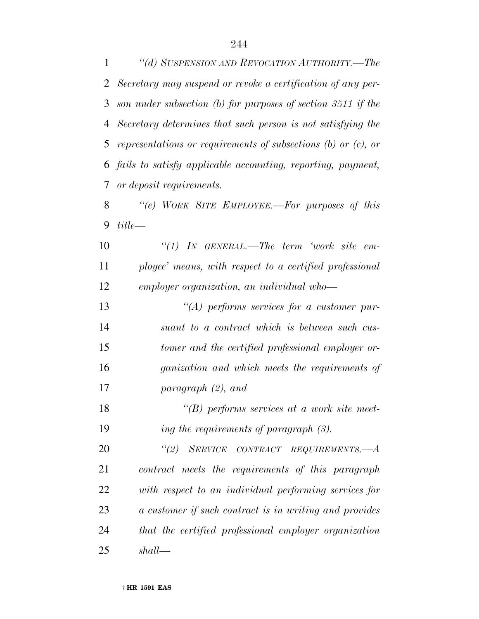*''(d) SUSPENSION AND REVOCATION AUTHORITY.—The Secretary may suspend or revoke a certification of any per- son under subsection (b) for purposes of section 3511 if the Secretary determines that such person is not satisfying the representations or requirements of subsections (b) or (c), or fails to satisfy applicable accounting, reporting, payment, or deposit requirements.*

 *''(e) WORK SITE EMPLOYEE.—For purposes of this title—*

 *''(1) IN GENERAL.—The term 'work site em- ployee' means, with respect to a certified professional employer organization, an individual who—*

 *''(A) performs services for a customer pur- suant to a contract which is between such cus- tomer and the certified professional employer or- ganization and which meets the requirements of paragraph (2), and*

 *''(B) performs services at a work site meet-ing the requirements of paragraph (3).*

 *''(2) SERVICE CONTRACT REQUIREMENTS.—A contract meets the requirements of this paragraph with respect to an individual performing services for a customer if such contract is in writing and provides that the certified professional employer organization shall—*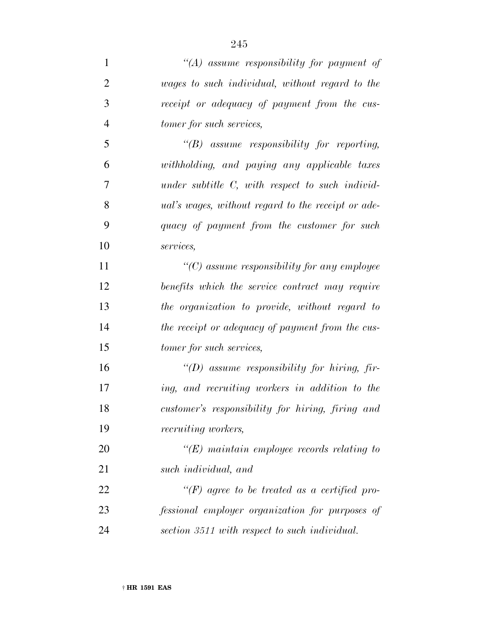| $\mathbf{1}$   | "(A) assume responsibility for payment of                 |
|----------------|-----------------------------------------------------------|
| $\overline{2}$ | wages to such individual, without regard to the           |
| 3              | receipt or adequacy of payment from the cus-              |
| $\overline{4}$ | tomer for such services,                                  |
| 5              | "(B) assume responsibility for reporting,                 |
| 6              | withholding, and paying any applicable taxes              |
| 7              | under subtitle $C$ , with respect to such individ-        |
| 8              | <i>ual's wages, without regard to the receipt or ade-</i> |
| 9              | quacy of payment from the customer for such               |
| 10             | services,                                                 |
| 11             | $"$ (C) assume responsibility for any employee            |
| 12             | benefits which the service contract may require           |
| 13             | the organization to provide, without regard to            |
| 14             | the receipt or adequacy of payment from the cus-          |
| 15             | tomer for such services,                                  |
| 16             | "(D) assume responsibility for hiring, fir-               |
| 17             | ing, and recruiting workers in addition to the            |
| 18             | customer's responsibility for hiring, firing and          |
| 19             | <i>recruiting workers,</i>                                |
| 20             | $\lq\lq(E)$ maintain employee records relating to         |
| 21             | such individual, and                                      |
| 22             | " $(F)$ agree to be treated as a certified pro-           |
| 23             | fessional employer organization for purposes of           |
| 24             | section 3511 with respect to such individual.             |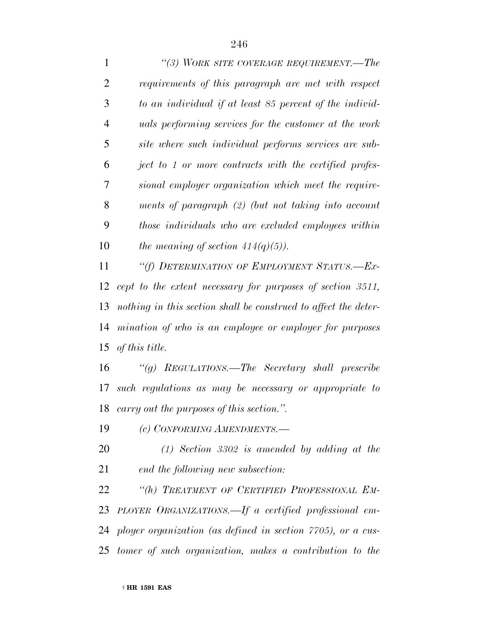*''(3) WORK SITE COVERAGE REQUIREMENT.—The requirements of this paragraph are met with respect to an individual if at least 85 percent of the individ- uals performing services for the customer at the work site where such individual performs services are sub- ject to 1 or more contracts with the certified profes- sional employer organization which meet the require- ments of paragraph (2) (but not taking into account those individuals who are excluded employees within the meaning of section 414(q)(5)).*

 *''(f) DETERMINATION OF EMPLOYMENT STATUS.—Ex- cept to the extent necessary for purposes of section 3511, nothing in this section shall be construed to affect the deter- mination of who is an employee or employer for purposes of this title.*

 *''(g) REGULATIONS.—The Secretary shall prescribe such regulations as may be necessary or appropriate to carry out the purposes of this section.''.*

*(c) CONFORMING AMENDMENTS.—*

 *(1) Section 3302 is amended by adding at the end the following new subsection:*

 *''(h) TREATMENT OF CERTIFIED PROFESSIONAL EM- PLOYER ORGANIZATIONS.—If a certified professional em- ployer organization (as defined in section 7705), or a cus-tomer of such organization, makes a contribution to the*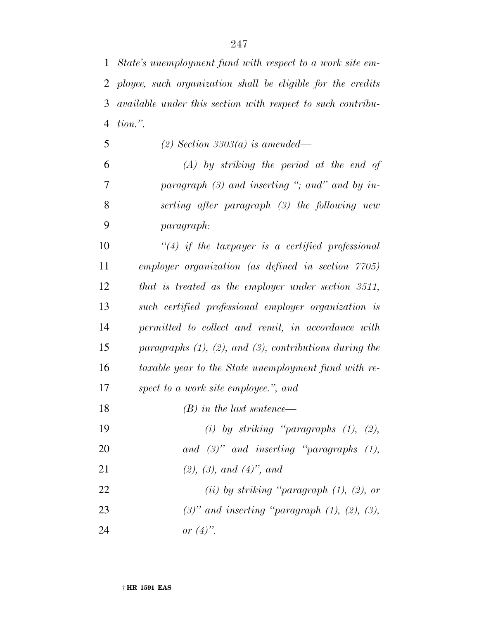*State's unemployment fund with respect to a work site em- ployee, such organization shall be eligible for the credits available under this section with respect to such contribu-tion.''.*

*(2) Section 3303(a) is amended—*

 *(A) by striking the period at the end of paragraph (3) and inserting ''; and'' and by in- serting after paragraph (3) the following new paragraph:*

 *''(4) if the taxpayer is a certified professional employer organization (as defined in section 7705) that is treated as the employer under section 3511, such certified professional employer organization is permitted to collect and remit, in accordance with paragraphs (1), (2), and (3), contributions during the taxable year to the State unemployment fund with re-spect to a work site employee.'', and*

- *(B) in the last sentence—*
- *(i) by striking ''paragraphs (1), (2),*
- *and (3)'' and inserting ''paragraphs (1),*
- *(2), (3), and (4)'', and*
- *(ii) by striking ''paragraph (1), (2), or (3)'' and inserting ''paragraph (1), (2), (3),*
- *or (4)''.*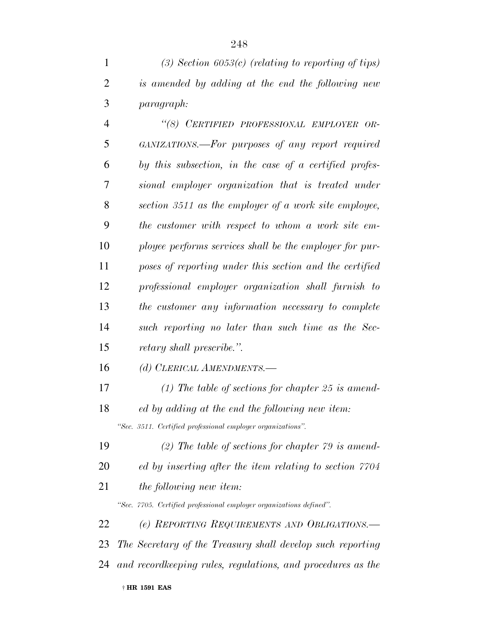|   | (3) Section 6053(c) (relating to reporting of tips) |
|---|-----------------------------------------------------|
|   | is amended by adding at the end the following new   |
| 3 | <i>paragraph:</i>                                   |

 *''(8) CERTIFIED PROFESSIONAL EMPLOYER OR- GANIZATIONS.—For purposes of any report required by this subsection, in the case of a certified profes- sional employer organization that is treated under section 3511 as the employer of a work site employee, the customer with respect to whom a work site em- ployee performs services shall be the employer for pur- poses of reporting under this section and the certified professional employer organization shall furnish to the customer any information necessary to complete such reporting no later than such time as the Sec-retary shall prescribe.''.*

- *(d) CLERICAL AMENDMENTS.—*
- *(1) The table of sections for chapter 25 is amend- ed by adding at the end the following new item: ''Sec. 3511. Certified professional employer organizations''.*
- *(2) The table of sections for chapter 79 is amend-*
- *ed by inserting after the item relating to section 7704*
- *the following new item:*

*''Sec. 7705. Certified professional employer organizations defined''.*

 *(e) REPORTING REQUIREMENTS AND OBLIGATIONS.— The Secretary of the Treasury shall develop such reporting and recordkeeping rules, regulations, and procedures as the*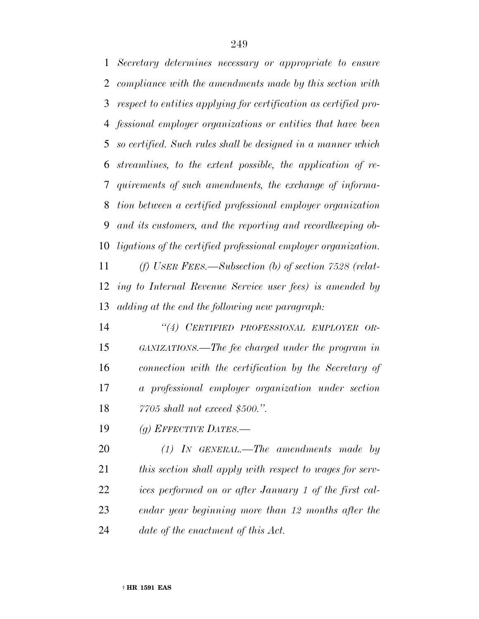*Secretary determines necessary or appropriate to ensure compliance with the amendments made by this section with respect to entities applying for certification as certified pro- fessional employer organizations or entities that have been so certified. Such rules shall be designed in a manner which streamlines, to the extent possible, the application of re- quirements of such amendments, the exchange of informa- tion between a certified professional employer organization and its customers, and the reporting and recordkeeping ob-ligations of the certified professional employer organization.*

 *(f) USER FEES.—Subsection (b) of section 7528 (relat- ing to Internal Revenue Service user fees) is amended by adding at the end the following new paragraph:*

 *''(4) CERTIFIED PROFESSIONAL EMPLOYER OR- GANIZATIONS.—The fee charged under the program in connection with the certification by the Secretary of a professional employer organization under section 7705 shall not exceed \$500.''.*

*(g) EFFECTIVE DATES.—*

 *(1) IN GENERAL.—The amendments made by this section shall apply with respect to wages for serv- ices performed on or after January 1 of the first cal- endar year beginning more than 12 months after the date of the enactment of this Act.*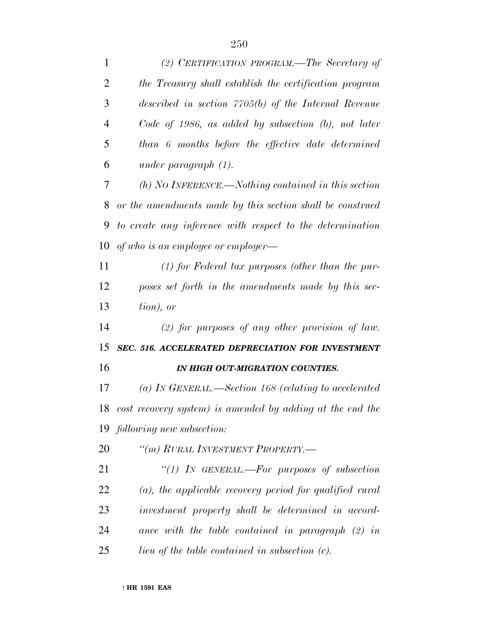| $\mathbf{1}$   | (2) CERTIFICATION PROGRAM.—The Secretary of                |
|----------------|------------------------------------------------------------|
| $\overline{2}$ | the Treasury shall establish the certification program     |
| 3              | described in section $7705(b)$ of the Internal Revenue     |
| $\overline{4}$ | $Code of 1986$ , as added by subsection $(b)$ , not later  |
| 5              | than 6 months before the effective date determined         |
| 6              | under paragraph $(1)$ .                                    |
| 7              | $(h)$ NO INFERENCE.—Nothing contained in this section      |
| 8              | or the amendments made by this section shall be construed  |
| 9              | to create any inference with respect to the determination  |
| 10             | of who is an employee or employer—                         |
| 11             | $(1)$ for Federal tax purposes (other than the pur-        |
| 12             | poses set forth in the amendments made by this sec-        |
| 13             | tion), or                                                  |
| 14             | $(2)$ for purposes of any other provision of law.          |
| 15             | SEC. 516. ACCELERATED DEPRECIATION FOR INVESTMENT          |
| 16             | IN HIGH OUT-MIGRATION COUNTIES.                            |
| 17             | $(a)$ In GENERAL.—Section 168 (relating to accelerated     |
| 18             | cost recovery system) is amended by adding at the end the  |
| 19             | following new subsection:                                  |
| 20             | "(m) RURAL INVESTMENT PROPERTY.-                           |
| 21             | "(1) IN GENERAL.—For purposes of subsection                |
| 22             | $(a)$ , the applicable recovery period for qualified rural |
| 23             | investment property shall be determined in accord-         |
| 24             | ance with the table contained in paragraph $(2)$ in        |
| 25             | <i>lieu of the table contained in subsection (c).</i>      |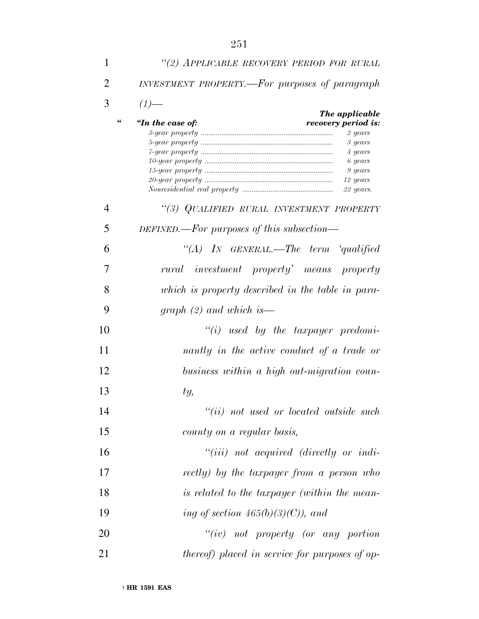| 1  | "(2) APPLICABLE RECOVERY PERIOD FOR RURAL                                                                                                       |
|----|-------------------------------------------------------------------------------------------------------------------------------------------------|
| 2  | INVESTMENT PROPERTY.—For purposes of paragraph                                                                                                  |
| 3  | $(1)$ —                                                                                                                                         |
|    | The applicable<br>66<br>"In the case of:<br>recovery period is:<br>2 years<br>3 years<br>4 years<br>6 years<br>9 years<br>12 years<br>22 years. |
| 4  | "(3) QUALIFIED RURAL INVESTMENT PROPERTY                                                                                                        |
| 5  | DEFINED.—For purposes of this subsection—                                                                                                       |
| 6  | "(A) IN GENERAL.—The term 'qualified                                                                                                            |
| 7  | rural investment property' means property                                                                                                       |
| 8  | which is property described in the table in para-                                                                                               |
| 9  | graph $(2)$ and which is —                                                                                                                      |
| 10 | $``(i)$ used by the taxpayer predomi-                                                                                                           |
| 11 | nantly in the active conduct of a trade or                                                                                                      |
| 12 | business within a high out-migration coun-                                                                                                      |
| 13 | ty,                                                                                                                                             |
| 14 | "(ii) not used or located outside such                                                                                                          |
| 15 | county on a regular basis,                                                                                                                      |
| 16 | $``(iii)$ not acquired (directly or indi-                                                                                                       |
| 17 | rectly) by the taxpayer from a person who                                                                                                       |
| 18 | is related to the taxpayer (within the mean-                                                                                                    |
| 19 | ing of section $465(b)(3)(C)$ , and                                                                                                             |
| 20 | $``(iv)$ not property (or any portion                                                                                                           |
| 21 | <i>thereof)</i> placed in service for purposes of op-                                                                                           |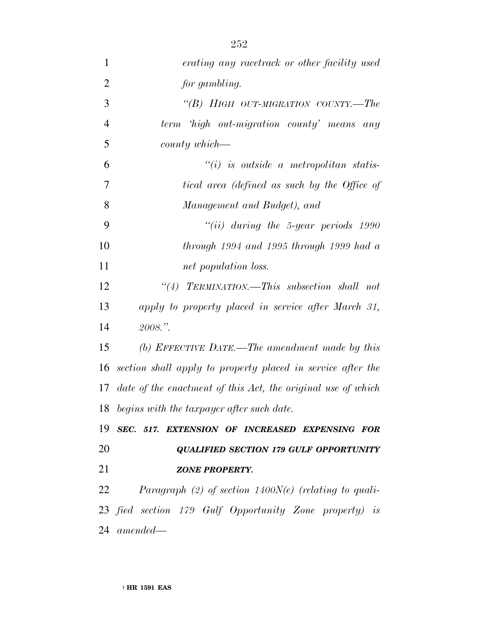| $\mathbf{1}$   | erating any racetrack or other facility used                 |
|----------------|--------------------------------------------------------------|
| $\overline{2}$ | for gambling.                                                |
| 3              | "(B) HIGH OUT-MIGRATION COUNTY.—The                          |
| $\overline{4}$ | term high out-migration county' means any                    |
| 5              | $county$ which—                                              |
| 6              | $``(i)$ is outside a metropolitan statis-                    |
| $\overline{7}$ | tical area (defined as such by the Office of                 |
| 8              | Management and Budget), and                                  |
| 9              | $``(ii)$ during the 5-year periods 1990                      |
| 10             | through $1994$ and $1995$ through $1999$ had a               |
| 11             | net population loss.                                         |
| 12             | "(4) TERMINATION.—This subsection shall not                  |
| 13             | apply to property placed in service after March 31,          |
| 14             | $2008.$ ".                                                   |
| 15             | (b) EFFECTIVE DATE.—The amendment made by this               |
| 16             | section shall apply to property placed in service after the  |
| 17             | date of the enactment of this Act, the original use of which |
|                | 18 begins with the taxpayer after such date.                 |
|                | 19 SEC. 517. EXTENSION OF INCREASED EXPENSING FOR            |
| 20             | <b>QUALIFIED SECTION 179 GULF OPPORTUNITY</b>                |
| 21             | <b>ZONE PROPERTY.</b>                                        |
| 22             | Paragraph (2) of section $1400N(e)$ (relating to quali-      |
|                | 23 fied section 179 Gulf Opportunity Zone property) is       |
|                | $24$ amended—                                                |
|                |                                                              |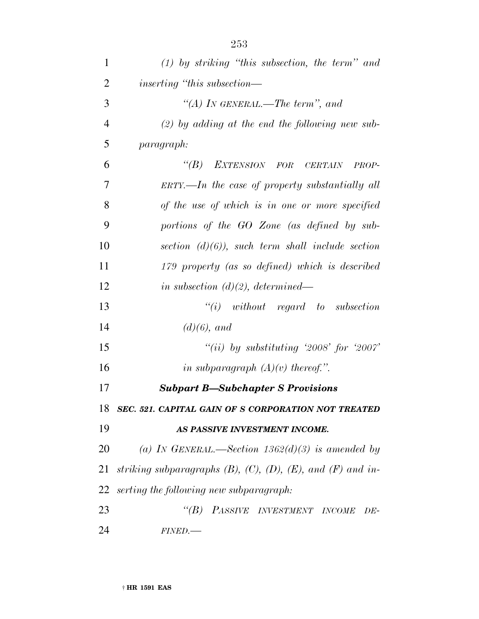| 1              | $(1)$ by striking "this subsection, the term" and                        |
|----------------|--------------------------------------------------------------------------|
| $\overline{2}$ | inserting "this subsection—                                              |
| 3              | "(A) IN GENERAL.—The term", and                                          |
| $\overline{4}$ | $(2)$ by adding at the end the following new sub-                        |
| 5              | paragraph:                                                               |
| 6              | "(B) EXTENSION FOR CERTAIN<br>PROP-                                      |
| 7              | $ERTY. — In the case of property substantially all$                      |
| 8              | of the use of which is in one or more specified                          |
| 9              | portions of the GO Zone (as defined by sub-                              |
| 10             | section $(d)(6)$ , such term shall include section                       |
| 11             | 179 property (as so defined) which is described                          |
| 12             | in subsection $(d)(2)$ , determined—                                     |
| 13             | $``(i)$ without regard to subsection                                     |
| 14             | $(d)(6)$ , and                                                           |
| 15             | "(ii) by substituting '2008' for '2007'                                  |
| 16             | in subparagraph $(A)(v)$ thereof.".                                      |
| 17             | <b>Subpart B-Subchapter S Provisions</b>                                 |
| 18             | SEC. 521. CAPITAL GAIN OF S CORPORATION NOT TREATED                      |
| 19             | AS PASSIVE INVESTMENT INCOME.                                            |
| 20             | (a) IN GENERAL.—Section $1362(d)(3)$ is amended by                       |
| 21             | striking subparagraphs $(B)$ , $(C)$ , $(D)$ , $(E)$ , and $(F)$ and in- |
| 22             | serting the following new subparagraph:                                  |
| 23             | "(B) PASSIVE INVESTMENT INCOME<br>$DE-$                                  |
| 24             | FINED.                                                                   |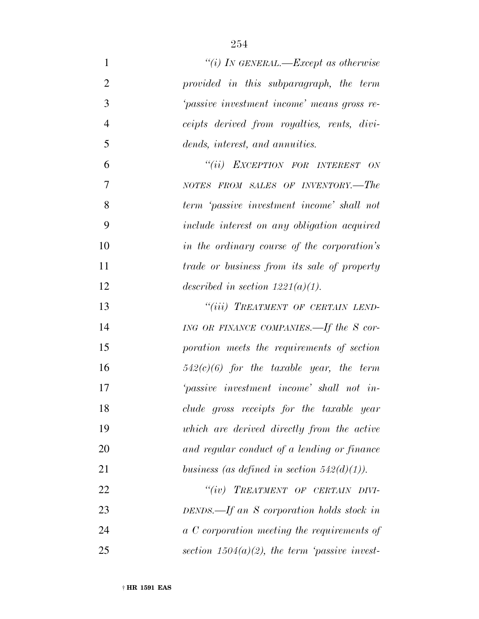| $\mathbf{1}$   | "(i) IN GENERAL.—Except as otherwise               |
|----------------|----------------------------------------------------|
| $\overline{2}$ | provided in this subparagraph, the term            |
| 3              | 'passive investment income' means gross re-        |
| $\overline{4}$ | ceipts derived from royalties, rents, divi-        |
| 5              | dends, interest, and annuities.                    |
| 6              | "(ii) EXCEPTION FOR INTEREST ON                    |
| 7              | NOTES FROM SALES OF INVENTORY.-The                 |
| 8              | term 'passive investment income' shall not         |
| 9              | include interest on any obligation acquired        |
| 10             | in the ordinary course of the corporation's        |
| 11             | <i>trade or business from its sale of property</i> |
| 12             | described in section $1221(a)(1)$ .                |
| 13             | "(iii) TREATMENT OF CERTAIN LEND-                  |
| 14             | ING OR FINANCE COMPANIES.—If the S cor-            |
| 15             | poration meets the requirements of section         |
| 16             | $542(c)(6)$ for the taxable year, the term         |
| 17             | 'passive investment income' shall not in-          |
| 18             | clude gross receipts for the taxable year          |
| 19             | which are derived directly from the active         |
| 20             | and regular conduct of a lending or finance        |
| 21             | business (as defined in section $542(d)(1)$ ).     |
| 22             | "(iv) TREATMENT OF CERTAIN DIVI-                   |
| 23             | DENDS.—If an S corporation holds stock in          |
| 24             | a C corporation meeting the requirements of        |
| 25             | section $1504(a)(2)$ , the term 'passive invest-   |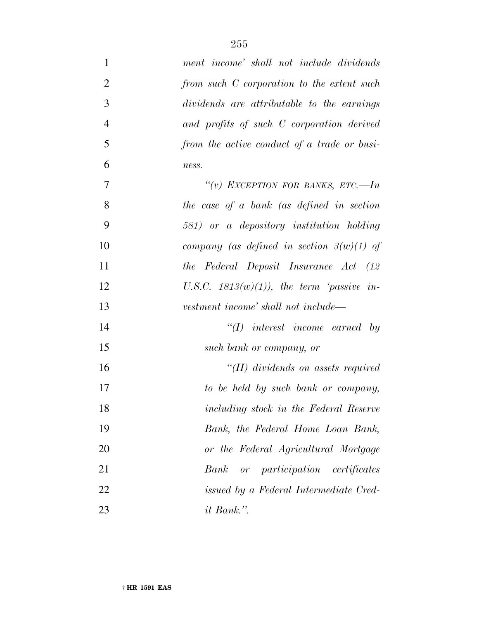| $\mathbf{1}$   | ment income' shall not include dividends    |
|----------------|---------------------------------------------|
| $\overline{2}$ | from such C corporation to the extent such  |
| 3              | dividends are attributable to the earnings  |
| $\overline{4}$ | and profits of such C corporation derived   |
| 5              | from the active conduct of a trade or busi- |
| 6              | ness.                                       |
| $\tau$         | "(v) EXCEPTION FOR BANKS, ETC.-In           |
| 8              | the case of a bank (as defined in section   |
| 9              | 581) or a depository institution holding    |
| 10             | company (as defined in section $3(w)(1)$ of |
| 11             | the Federal Deposit Insurance Act (12       |
| 12             | U.S.C. $1813(w)(1)$ , the term 'passive in- |
| 13             | vestment income' shall not include—         |
| 14             | $\lq (I)$ interest income earned by         |
| 15             | such bank or company, or                    |
| 16             | $\lq (II)$ dividends on assets required     |
| 17             | to be held by such bank or company,         |
| 18             | including stock in the Federal Reserve      |
| 19             | Bank, the Federal Home Loan Bank,           |
| 20             | or the Federal Agricultural Mortgage        |
| 21             | or participation certificates<br>Bank       |
| 22             | issued by a Federal Intermediate Cred-      |
| 23             | it Bank.".                                  |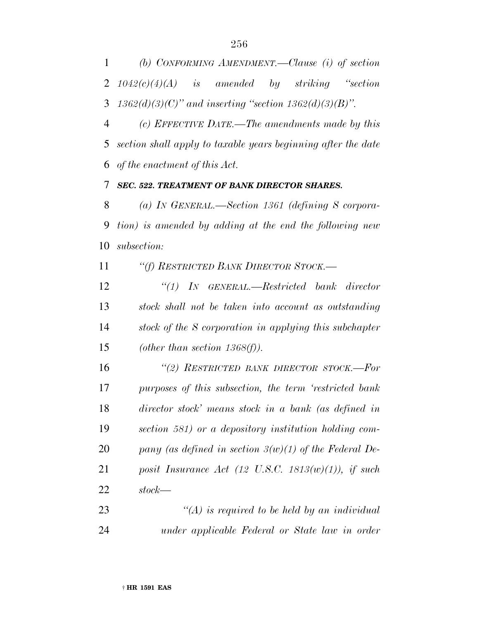*(b) CONFORMING AMENDMENT.—Clause (i) of section 1042(c)(4)(A) is amended by striking ''section 1362(d)(3)(C)'' and inserting ''section 1362(d)(3)(B)''.*

 *(c) EFFECTIVE DATE.—The amendments made by this section shall apply to taxable years beginning after the date of the enactment of this Act.*

*SEC. 522. TREATMENT OF BANK DIRECTOR SHARES.*

 *(a) IN GENERAL.—Section 1361 (defining S corpora- tion) is amended by adding at the end the following new subsection:*

*''(f) RESTRICTED BANK DIRECTOR STOCK.—*

 *''(1) IN GENERAL.—Restricted bank director stock shall not be taken into account as outstanding stock of the S corporation in applying this subchapter (other than section 1368(f)).*

 *''(2) RESTRICTED BANK DIRECTOR STOCK.—For purposes of this subsection, the term 'restricted bank director stock' means stock in a bank (as defined in section 581) or a depository institution holding com- pany (as defined in section 3(w)(1) of the Federal De- posit Insurance Act (12 U.S.C. 1813(w)(1)), if such stock—*

 *''(A) is required to be held by an individual under applicable Federal or State law in order*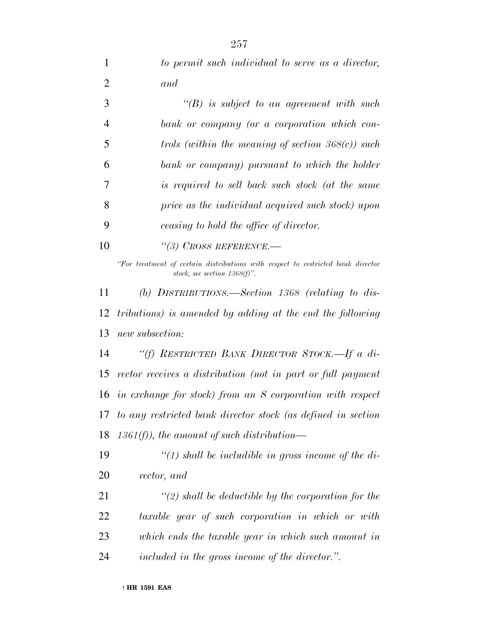| 1              | to permit such individual to serve as a director,                                                                   |
|----------------|---------------------------------------------------------------------------------------------------------------------|
| $\overline{2}$ | and                                                                                                                 |
| 3              | $\lq\lq(B)$ is subject to an agreement with such                                                                    |
| $\overline{4}$ | bank or company (or a corporation which con-                                                                        |
| 5              | trols (within the meaning of section $368(c)$ ) such                                                                |
| 6              | bank or company) pursuant to which the holder                                                                       |
| 7              | is required to sell back such stock (at the same                                                                    |
| 8              | price as the individual acquired such stock) upon                                                                   |
| 9              | ceasing to hold the office of director.                                                                             |
| 10             | $\lq(3)$ CROSS REFERENCE.                                                                                           |
|                | "For treatment of certain distributions with respect to restricted bank director<br>stock, see section $1368(f)$ ". |
| 11             | (b) DISTRIBUTIONS.—Section 1368 (relating to dis-                                                                   |
| 12             | tributions) is amended by adding at the end the following                                                           |
| 13             | new subsection:                                                                                                     |
| 14             | "(f) RESTRICTED BANK DIRECTOR STOCK.—If a di-                                                                       |
| 15             | rector receives a distribution (not in part or full payment                                                         |
|                | 16 in exchange for stock) from an S corporation with respect                                                        |
| 17             | to any restricted bank director stock (as defined in section                                                        |
| 18             | $1361(f)$ , the amount of such distribution—                                                                        |
| 19             | "(1) shall be includible in gross income of the di-                                                                 |
| 20             | rector, and                                                                                                         |
| 21             | $\lq (2)$ shall be deductible by the corporation for the                                                            |
| <u>22</u>      | taxable year of such corporation in which or with                                                                   |
| 23             | which ends the taxable year in which such amount in                                                                 |
| 24             | included in the gross income of the director.".                                                                     |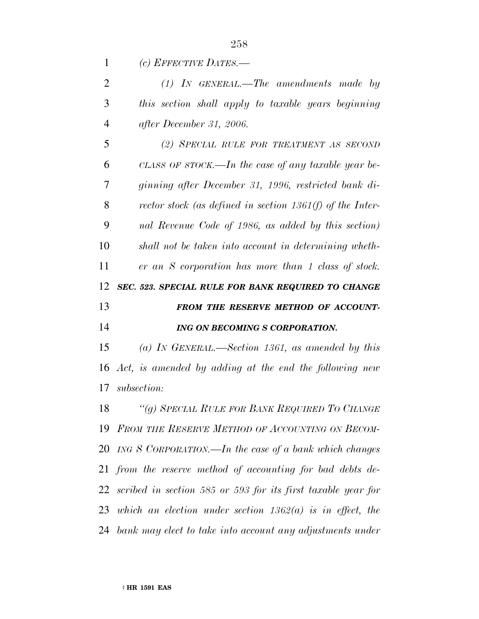*(c) EFFECTIVE DATES.—*

|   | $(1)$ IN GENERAL.—The amendments made by            |
|---|-----------------------------------------------------|
| 3 | this section shall apply to taxable years beginning |
| 4 | after December 31, 2006.                            |

 *(2) SPECIAL RULE FOR TREATMENT AS SECOND CLASS OF STOCK.—In the case of any taxable year be- ginning after December 31, 1996, restricted bank di- rector stock (as defined in section 1361(f) of the Inter- nal Revenue Code of 1986, as added by this section) shall not be taken into account in determining wheth- er an S corporation has more than 1 class of stock. SEC. 523. SPECIAL RULE FOR BANK REQUIRED TO CHANGE FROM THE RESERVE METHOD OF ACCOUNT-ING ON BECOMING S CORPORATION.*

 *(a) IN GENERAL.—Section 1361, as amended by this Act, is amended by adding at the end the following new subsection:*

 *''(g) SPECIAL RULE FOR BANK REQUIRED TO CHANGE FROM THE RESERVE METHOD OF ACCOUNTING ON BECOM- ING S CORPORATION.—In the case of a bank which changes from the reserve method of accounting for bad debts de- scribed in section 585 or 593 for its first taxable year for which an election under section 1362(a) is in effect, the bank may elect to take into account any adjustments under*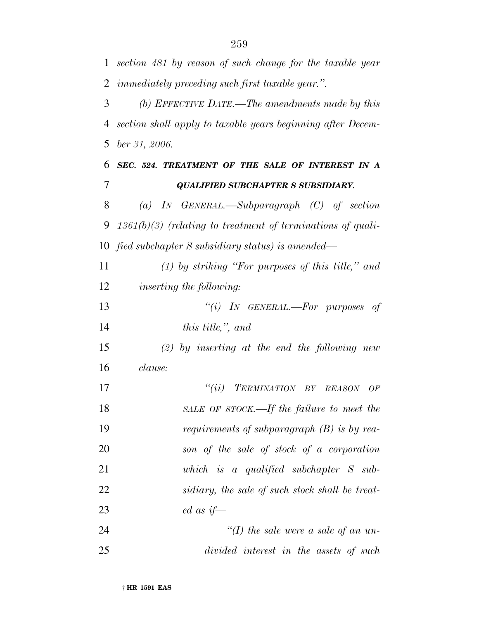*section 481 by reason of such change for the taxable year immediately preceding such first taxable year.''. (b) EFFECTIVE DATE.—The amendments made by this*

 *section shall apply to taxable years beginning after Decem-ber 31, 2006.*

 *SEC. 524. TREATMENT OF THE SALE OF INTEREST IN A QUALIFIED SUBCHAPTER S SUBSIDIARY.*

 *(a) IN GENERAL.—Subparagraph (C) of section 1361(b)(3) (relating to treatment of terminations of quali-fied subchapter S subsidiary status) is amended—*

 *(1) by striking ''For purposes of this title,'' and inserting the following:*

 *''(i) IN GENERAL.—For purposes of this title,'', and*

 *(2) by inserting at the end the following new clause:*

 *''(ii) TERMINATION BY REASON OF SALE OF STOCK.—If the failure to meet the requirements of subparagraph (B) is by rea- son of the sale of stock of a corporation which is a qualified subchapter S sub- sidiary, the sale of such stock shall be treat-ed as if—*

| 24 |                                        | "(I) the sale were a sale of an un- |  |  |  |
|----|----------------------------------------|-------------------------------------|--|--|--|
| 25 | divided interest in the assets of such |                                     |  |  |  |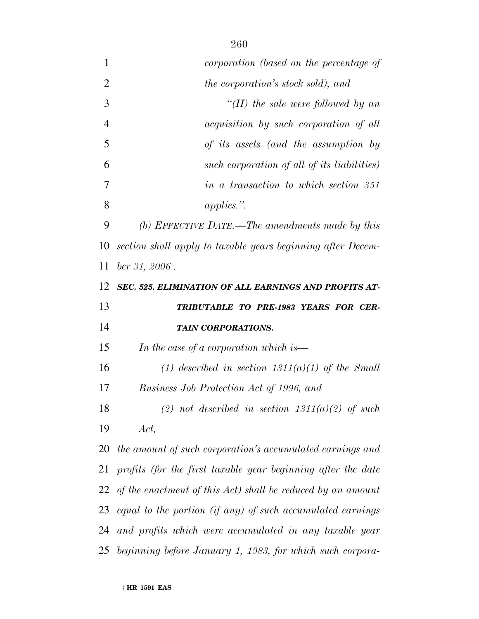| 1              | corporation (based on the percentage of                        |
|----------------|----------------------------------------------------------------|
| $\overline{2}$ | <i>the corporation's stock sold), and</i>                      |
| 3              | "(II) the sale were followed by an                             |
| $\overline{4}$ | acquisition by such corporation of all                         |
| 5              | of its assets (and the assumption by                           |
| 6              | such corporation of all of its liabilities)                    |
| 7              | in a transaction to which section 351                          |
| 8              | $applies.$ ".                                                  |
| 9              | (b) EFFECTIVE DATE.—The amendments made by this                |
| 10             | section shall apply to taxable years beginning after Decem-    |
| 11             | $ber\,31,\,2006$ .                                             |
| 12             | SEC. 525. ELIMINATION OF ALL EARNINGS AND PROFITS AT-          |
| 13             | TRIBUTABLE TO PRE-1983 YEARS FOR CER-                          |
| 14             | TAIN CORPORATIONS.                                             |
| 15             | In the case of a corporation which is—                         |
| 16             | (1) described in section $1311(a)(1)$ of the Small             |
| 17             | Business Job Protection Act of 1996, and                       |
| 18             | (2) not described in section $1311(a)(2)$ of such              |
| 19             | Act,                                                           |
| 20             | the amount of such corporation's accumulated earnings and      |
| 21             | profits (for the first taxable year beginning after the date   |
|                | 22 of the enactment of this Act) shall be reduced by an amount |
| 23             | equal to the portion (if any) of such accumulated earnings     |
| 24             | and profits which were accumulated in any taxable year         |
|                | 25 beginning before January 1, 1983, for which such corpora-   |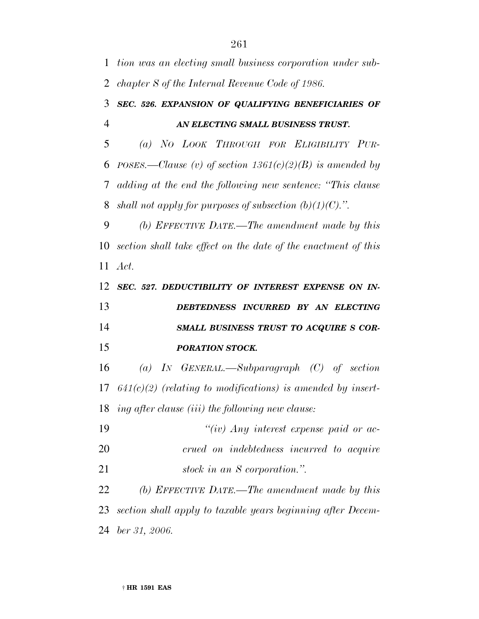*chapter S of the Internal Revenue Code of 1986. SEC. 526. EXPANSION OF QUALIFYING BENEFICIARIES OF AN ELECTING SMALL BUSINESS TRUST. (a) NO LOOK THROUGH FOR ELIGIBILITY PUR- POSES.—Clause (v) of section 1361(c)(2)(B) is amended by adding at the end the following new sentence: ''This clause shall not apply for purposes of subsection (b)(1)(C).''. (b) EFFECTIVE DATE.—The amendment made by this section shall take effect on the date of the enactment of this Act. SEC. 527. DEDUCTIBILITY OF INTEREST EXPENSE ON IN- DEBTEDNESS INCURRED BY AN ELECTING SMALL BUSINESS TRUST TO ACQUIRE S COR- PORATION STOCK. (a) IN GENERAL.—Subparagraph (C) of section 641(c)(2) (relating to modifications) is amended by insert- ing after clause (iii) the following new clause: ''(iv) Any interest expense paid or ac-*

 *crued on indebtedness incurred to acquire stock in an S corporation.''.*

 *(b) EFFECTIVE DATE.—The amendment made by this section shall apply to taxable years beginning after Decem-ber 31, 2006.*

*tion was an electing small business corporation under sub-*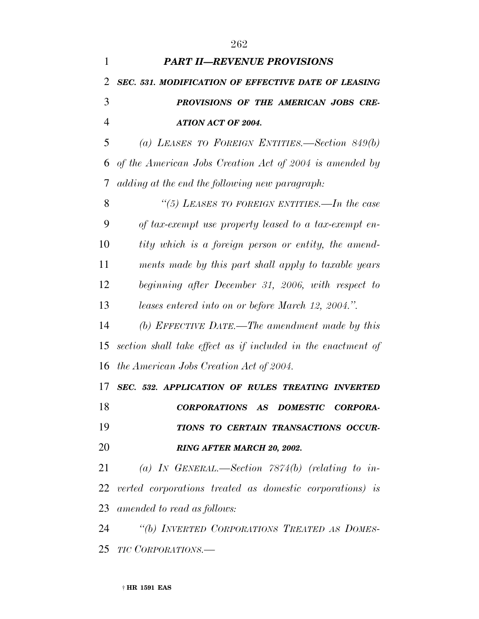| $\mathbf{1}$   | <b>PART II-REVENUE PROVISIONS</b>                            |
|----------------|--------------------------------------------------------------|
| 2              | SEC. 531. MODIFICATION OF EFFECTIVE DATE OF LEASING          |
| 3              | PROVISIONS OF THE AMERICAN JOBS CRE-                         |
| $\overline{4}$ | <b>ATION ACT OF 2004.</b>                                    |
| 5              | (a) LEASES TO FOREIGN ENTITIES.—Section $849(b)$             |
| 6              | of the American Jobs Creation Act of 2004 is amended by      |
| 7              | adding at the end the following new paragraph:               |
| 8              | "(5) LEASES TO FOREIGN ENTITIES.—In the case                 |
| 9              | of tax-exempt use property leased to a tax-exempt en-        |
| 10             | tity which is a foreign person or entity, the amend-         |
| 11             | ments made by this part shall apply to taxable years         |
| 12             | beginning after December 31, 2006, with respect to           |
| 13             | leases entered into on or before March 12, 2004.".           |
| 14             | (b) EFFECTIVE DATE.—The amendment made by this               |
| 15             | section shall take effect as if included in the enactment of |
| 16             | the American Jobs Creation Act of 2004.                      |
| 17             | SEC. 532. APPLICATION OF RULES TREATING INVERTED             |
| 18             | CORPORATIONS AS DOMESTIC CORPORA-                            |
| 19             | TIONS TO CERTAIN TRANSACTIONS OCCUR-                         |
| 20             | RING AFTER MARCH 20, 2002.                                   |
| 21             | (a) IN GENERAL.—Section $7874(b)$ (relating to in-           |
|                | 22 verted corporations treated as domestic corporations) is  |
| 23             | amended to read as follows:                                  |
| 24             | "(b) INVERTED CORPORATIONS TREATED AS DOMES-                 |
|                | 25 <i>TIC CORPORATIONS.</i> —                                |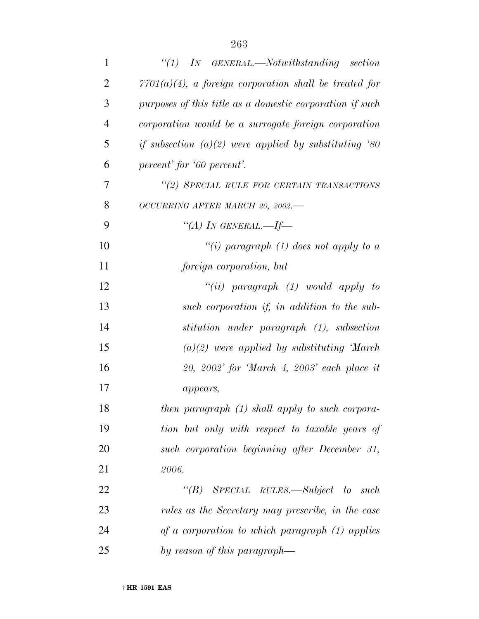| $\mathbf{1}$   | $\lq(1)$ IN GENERAL.—Notwithstanding section              |
|----------------|-----------------------------------------------------------|
| $\overline{2}$ | $7701(a)(4)$ , a foreign corporation shall be treated for |
| 3              | purposes of this title as a domestic corporation if such  |
| $\overline{4}$ | corporation would be a surrogate foreign corporation      |
| 5              | if subsection $(a)(2)$ were applied by substituting '80   |
| 6              | percent' for '60 percent'.                                |
| 7              | "(2) SPECIAL RULE FOR CERTAIN TRANSACTIONS                |
| 8              | OCCURRING AFTER MARCH 20, 2002.-                          |
| 9              | "(A) IN GENERAL.—If—                                      |
| 10             | "(i) paragraph (1) does not apply to a                    |
| 11             | foreign corporation, but                                  |
| 12             | "(ii) paragraph $(1)$ would apply to                      |
| 13             | such corporation if, in addition to the sub-              |
| 14             | stitution under paragraph (1), subsection                 |
| 15             | $(a)(2)$ were applied by substituting March               |
| 16             | 20, 2002' for 'March 4, 2003' each place it               |
| 17             | appears,                                                  |
| 18             | then paragraph (1) shall apply to such corpora-           |
| 19             | tion but only with respect to taxable years of            |
| 20             | such corporation beginning after December 31,             |
| 21             | 2006.                                                     |
| 22             | "(B) SPECIAL RULES.—Subject to such                       |
| 23             | rules as the Secretary may prescribe, in the case         |
| 24             | of a corporation to which paragraph $(1)$ applies         |
| 25             | by reason of this paragraph—                              |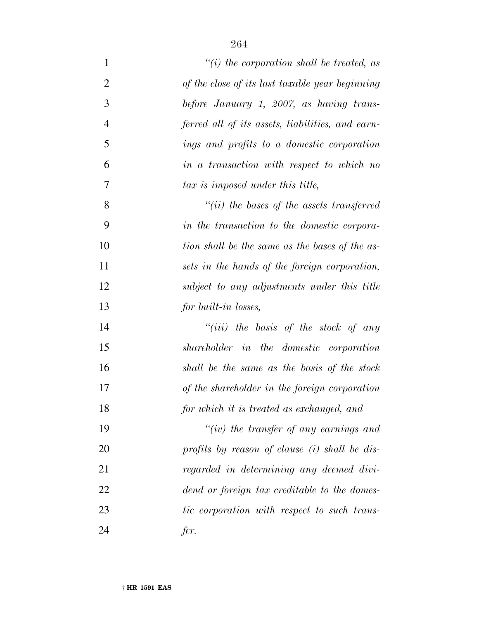| $\mathbf{1}$   | $``(i)$ the corporation shall be treated, as     |
|----------------|--------------------------------------------------|
| $\overline{2}$ | of the close of its last taxable year beginning  |
| 3              | before January 1, 2007, as having trans-         |
| $\overline{4}$ | ferred all of its assets, liabilities, and earn- |
| 5              | ings and profits to a domestic corporation       |
| 6              | in a transaction with respect to which no        |
| $\overline{7}$ | tax is imposed under this title,                 |
| 8              | $``(ii)$ the bases of the assets transferred     |
| 9              | in the transaction to the domestic corpora-      |
| 10             | tion shall be the same as the bases of the as-   |
| 11             | sets in the hands of the foreign corporation,    |
| 12             | subject to any adjustments under this title      |
| 13             | for built-in losses,                             |
| 14             | "(iii) the basis of the stock of any             |
| 15             | shareholder in the domestic corporation          |
| 16             | shall be the same as the basis of the stock      |
| 17             | of the shareholder in the foreign corporation    |
| 18             | for which it is treated as exchanged, and        |
| 19             | "(iv) the transfer of any earnings and           |
| 20             | profits by reason of clause (i) shall be dis-    |
| 21             | regarded in determining any deemed divi-         |
| 22             | dend or foreign tax creditable to the domes-     |
| 23             | tic corporation with respect to such trans-      |
| 24             | fer.                                             |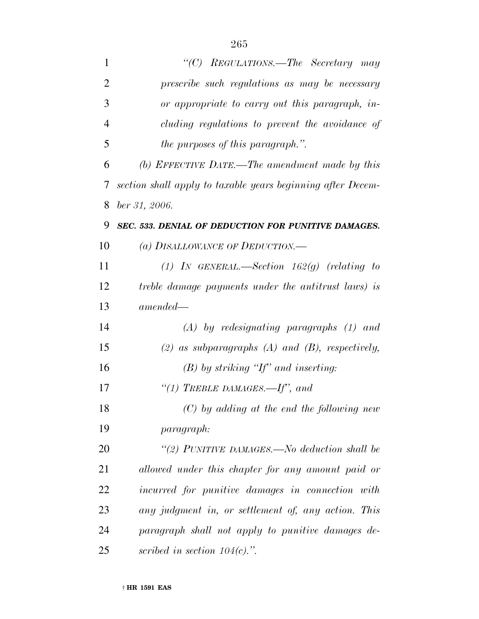| $\mathbf{1}$   | "(C) REGULATIONS.—The Secretary may                         |
|----------------|-------------------------------------------------------------|
| $\overline{2}$ | prescribe such regulations as may be necessary              |
| 3              | or appropriate to carry out this paragraph, in-             |
| $\overline{4}$ | cluding regulations to prevent the avoidance of             |
| 5              | <i>the purposes of this paragraph.</i> ".                   |
| 6              | (b) EFFECTIVE DATE.—The amendment made by this              |
| 7              | section shall apply to taxable years beginning after Decem- |
| 8              | ber 31, 2006.                                               |
| 9              | SEC. 533. DENIAL OF DEDUCTION FOR PUNITIVE DAMAGES.         |
| 10             | (a) DISALLOWANCE OF DEDUCTION.—                             |
| 11             | (1) IN GENERAL.—Section $162(g)$ (relating to               |
| 12             | treble damage payments under the antitrust laws) is         |
| 13             | $amended-$                                                  |
| 14             | $(A)$ by redesignating paragraphs $(1)$ and                 |
| 15             | $(2)$ as subparagraphs $(A)$ and $(B)$ , respectively,      |
| 16             | $(B)$ by striking "If" and inserting:                       |
| 17             | "(1) TREBLE DAMAGES.—If", and                               |
| 18             | $(C)$ by adding at the end the following new                |
| 19             | <i>paragraph:</i>                                           |
| 20             | "(2) PUNITIVE DAMAGES.—No deduction shall be                |
| 21             | allowed under this chapter for any amount paid or           |
| 22             | incurred for punitive damages in connection with            |
| 23             | any judgment in, or settlement of, any action. This         |
| 24             | paragraph shall not apply to punitive damages de-           |
| 25             | scribed in section $104(c)$ .".                             |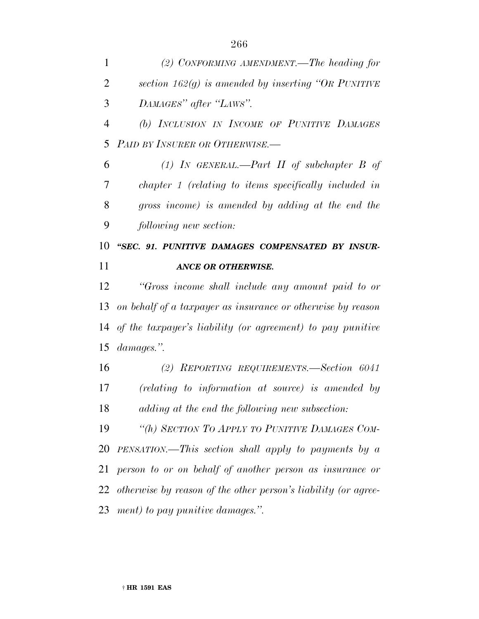*(2) CONFORMING AMENDMENT.—The heading for section 162(g) is amended by inserting ''OR PUNITIVE DAMAGES'' after ''LAWS''.*

 *(b) INCLUSION IN INCOME OF PUNITIVE DAMAGES PAID BY INSURER OR OTHERWISE.—*

 *(1) IN GENERAL.—Part II of subchapter B of chapter 1 (relating to items specifically included in gross income) is amended by adding at the end the following new section:*

 *''SEC. 91. PUNITIVE DAMAGES COMPENSATED BY INSUR-ANCE OR OTHERWISE.*

 *''Gross income shall include any amount paid to or on behalf of a taxpayer as insurance or otherwise by reason of the taxpayer's liability (or agreement) to pay punitive damages.''.*

 *(2) REPORTING REQUIREMENTS.—Section 6041 (relating to information at source) is amended by adding at the end the following new subsection:*

 *''(h) SECTION TO APPLY TO PUNITIVE DAMAGES COM- PENSATION.—This section shall apply to payments by a person to or on behalf of another person as insurance or otherwise by reason of the other person's liability (or agree-ment) to pay punitive damages.''.*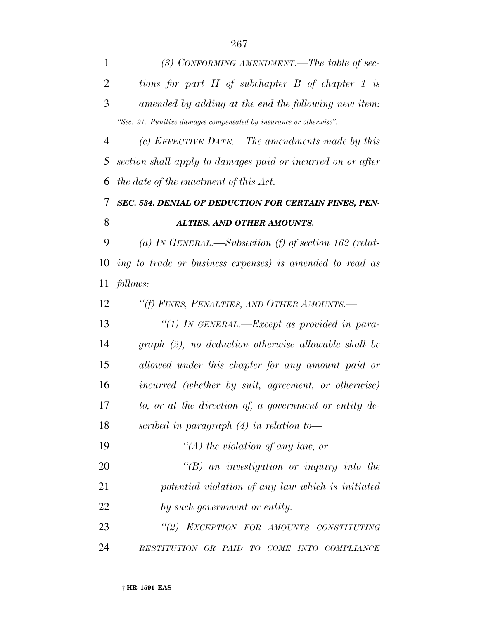| $\mathbf{1}$   | (3) CONFORMING AMENDMENT.—The table of sec-                        |
|----------------|--------------------------------------------------------------------|
| $\overline{2}$ | tions for part II of subchapter B of chapter 1 is                  |
| 3              | amended by adding at the end the following new item:               |
|                | "Sec. 91. Punitive damages compensated by insurance or otherwise". |
| 4              | (c) EFFECTIVE DATE.—The amendments made by this                    |
| 5              | section shall apply to damages paid or incurred on or after        |
| 6              | the date of the enactment of this Act.                             |
| 7              | SEC. 534. DENIAL OF DEDUCTION FOR CERTAIN FINES, PEN-              |
| 8              | ALTIES, AND OTHER AMOUNTS.                                         |
| 9              | (a) IN GENERAL.—Subsection (f) of section 162 (relat-              |
| 10             | ing to trade or business expenses) is amended to read as           |
| 11             | follows:                                                           |
| 12             | "(f) FINES, PENALTIES, AND OTHER AMOUNTS.—                         |
| 13             | "(1) In GENERAL.—Except as provided in para-                       |
| 14             | graph (2), no deduction otherwise allowable shall be               |
| 15             | allowed under this chapter for any amount paid or                  |
| 16             | incurred (whether by suit, agreement, or otherwise)                |
| 17             | to, or at the direction of, a government or entity de-             |
| 18             | scribed in paragraph $(4)$ in relation to-                         |
| 19             | "(A) the violation of any law, or                                  |
| <b>20</b>      | $\lq\lq(B)$ an investigation or inquiry into the                   |
| 21             | potential violation of any law which is initiated                  |
| 22             | by such government or entity.                                      |
| 23             | "(2) EXCEPTION FOR AMOUNTS CONSTITUTING                            |
| 24             | RESTITUTION OR PAID TO COME INTO COMPLIANCE                        |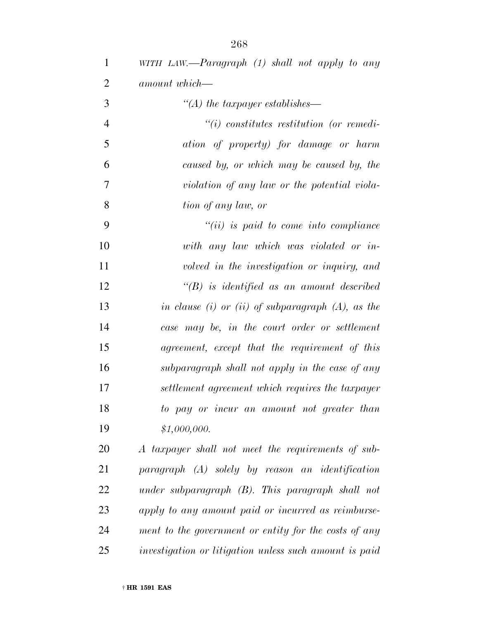| $\mathbf{1}$   | WITH LAW.—Paragraph $(1)$ shall not apply to any       |
|----------------|--------------------------------------------------------|
| $\overline{2}$ | amount which-                                          |
| 3              | $\lq (A)$ the taxpayer establishes—                    |
| $\overline{4}$ | $\tilde{f}(i)$ constitutes restitution (or remedi-     |
| 5              | ation of property) for damage or harm                  |
| 6              | caused by, or which may be caused by, the              |
| 7              | violation of any law or the potential viola-           |
| 8              | tion of any law, or                                    |
| 9              | $``(ii)$ is paid to come into compliance               |
| 10             | with any law which was violated or in-                 |
| 11             | volved in the investigation or inquiry, and            |
| 12             | $\lq (B)$ is identified as an amount described         |
| 13             | in clause (i) or (ii) of subparagraph $(A)$ , as the   |
| 14             | case may be, in the court order or settlement          |
| 15             | agreement, except that the requirement of this         |
| 16             | subparagraph shall not apply in the case of any        |
| 17             | settlement agreement which requires the taxpayer       |
| 18             | to pay or incur an amount not greater than             |
| 19             | \$1,000,000.                                           |
| 20             | A taxpayer shall not meet the requirements of sub-     |
| 21             | $paragnph$ $(A)$ solely by reason an identification    |
| 22             | under subparagraph $(B)$ . This paragraph shall not    |
| 23             | apply to any amount paid or incurred as reimburse-     |
| 24             | ment to the government or entity for the costs of any  |
| 25             | investigation or litigation unless such amount is paid |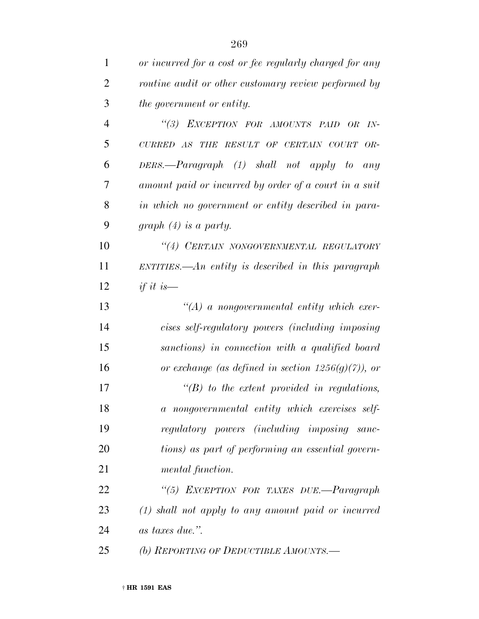| $\mathbf{1}$   | or incurred for a cost or fee regularly charged for any                                                  |
|----------------|----------------------------------------------------------------------------------------------------------|
| $\overline{2}$ | routine audit or other customary review performed by                                                     |
| 3              | the government or entity.                                                                                |
| $\overline{4}$ | "(3) EXCEPTION FOR AMOUNTS PAID OR<br>$IN-$                                                              |
| 5              | $\begin{tabular}{lllllllll} CURRED & AS & THE & RESULT & OF & CERTAIN & COURT \\ \end{tabular}$<br>$OR-$ |
| 6              | $DERS$ .— $Paragraph$ (1) shall not apply to<br>any                                                      |
| 7              | amount paid or incurred by order of a court in a suit                                                    |
| 8              | in which no government or entity described in para-                                                      |
| 9              | graph $(4)$ is a party.                                                                                  |
| 10             | "(4) CERTAIN NONGOVERNMENTAL REGULATORY                                                                  |
| 11             | ENTITIES.—An entity is described in this paragraph                                                       |
| 12             | if it is $-$                                                                                             |
| 13             | $\lq (A)$ a nongovernmental entity which exer-                                                           |
| 14             | cises self-regulatory powers (including imposing                                                         |
| 15             | sanctions) in connection with a qualified board                                                          |
| 16             | or exchange (as defined in section $1256(g)(7)$ ), or                                                    |
| 17             | $\lq\lq B$ to the extent provided in regulations,                                                        |
| 18             | a nongovernmental entity which exercises self-                                                           |
| 19             | regulatory powers (including imposing sanc-                                                              |
| 20             | tions) as part of performing an essential govern-                                                        |
| 21             | mental function.                                                                                         |
| 22             | "(5) EXCEPTION FOR TAXES DUE.—Paragraph                                                                  |
| 23             | $(1)$ shall not apply to any amount paid or incurred                                                     |
| 24             | as taxes due.".                                                                                          |
| 25             | (b) REPORTING OF DEDUCTIBLE AMOUNTS.-                                                                    |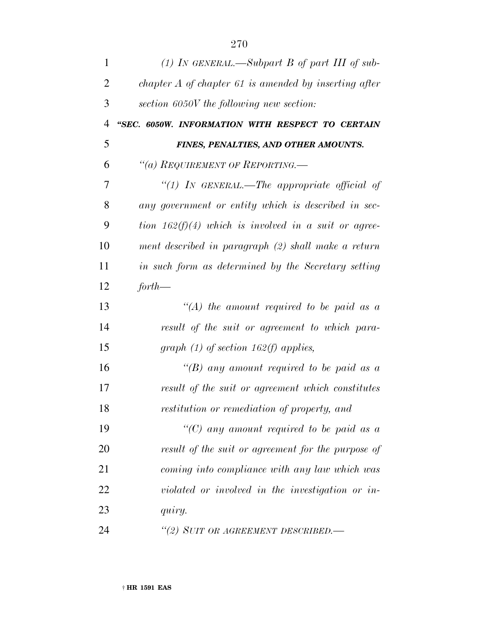| $\mathbf{1}$ | (1) In GENERAL.—Subpart B of part III of sub-           |
|--------------|---------------------------------------------------------|
| 2            | chapter $A$ of chapter 61 is amended by inserting after |
| 3            | section 6050V the following new section:                |
| 4            | "SEC. 6050W. INFORMATION WITH RESPECT TO CERTAIN        |
| 5            | FINES, PENALTIES, AND OTHER AMOUNTS.                    |
| 6            | "(a) REQUIREMENT OF REPORTING.—                         |
| 7            | "(1) In GENERAL.—The appropriate official of            |
| 8            | any government or entity which is described in sec-     |
| 9            | tion $162(f)(4)$ which is involved in a suit or agree-  |
| 10           | ment described in paragraph (2) shall make a return     |
| 11           | in such form as determined by the Secretary setting     |
| 12           | $for th$ —                                              |
| 13           | "(A) the amount required to be paid as a                |
| 14           | result of the suit or agreement to which para-          |
| 15           | graph $(1)$ of section 162(f) applies,                  |
| 16           | "(B) any amount required to be paid as a                |
| 17           | result of the suit or agreement which constitutes       |
| 18           | restitution or remediation of property, and             |
| 19           | "(C) any amount required to be paid as a                |
| 20           | result of the suit or agreement for the purpose of      |
| 21           | coming into compliance with any law which was           |
| 22           | violated or involved in the investigation or in-        |
| 23           | quiry.                                                  |
| 24           | "(2) SUIT OR AGREEMENT DESCRIBED.—                      |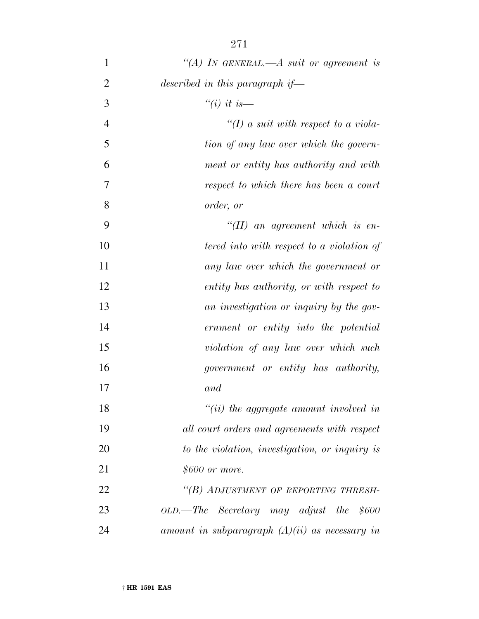| $\mathbf{1}$   | "(A) IN GENERAL.—A suit or agreement is          |
|----------------|--------------------------------------------------|
| $\overline{2}$ | described in this paragraph if—                  |
| 3              | "(i) it is—                                      |
| $\overline{4}$ | "(I) a suit with respect to a viola-             |
| 5              | tion of any law over which the govern-           |
| 6              | ment or entity has authority and with            |
| 7              | respect to which there has been a court          |
| 8              | order, or                                        |
| 9              | $\lq (II)$ an agreement which is en-             |
| 10             | tered into with respect to a violation of        |
| 11             | any law over which the government or             |
| 12             | entity has authority, or with respect to         |
| 13             | an investigation or inquiry by the gov-          |
| 14             | ernment or entity into the potential             |
| 15             | violation of any law over which such             |
| 16             | government or entity has authority,              |
| 17             | and                                              |
| 18             | $"(ii)$ the aggregate amount involved in         |
| 19             | all court orders and agreements with respect     |
| 20             | to the violation, investigation, or inquiry is   |
| 21             | \$600 or more.                                   |
| 22             | "(B) ADJUSTMENT OF REPORTING THRESH-             |
| 23             | OLD.—The Secretary may adjust the \$600          |
| 24             | amount in subparagraph $(A)(ii)$ as necessary in |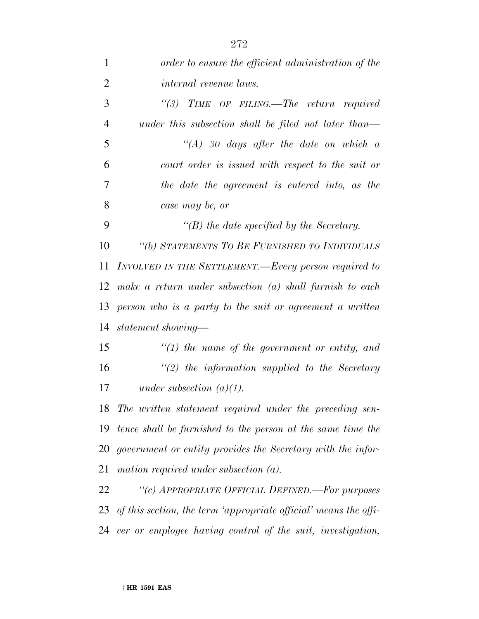| $\mathbf{1}$   | order to ensure the efficient administration of the                 |
|----------------|---------------------------------------------------------------------|
| $\overline{2}$ | <i>internal revenue laws.</i>                                       |
| 3              | "(3) TIME OF FILING.—The return required                            |
| $\overline{4}$ | under this subsection shall be filed not later than—                |
| 5              | $\lq (A)$ 30 days after the date on which a                         |
| 6              | court order is issued with respect to the suit or                   |
| 7              | the date the agreement is entered into, as the                      |
| 8              | case may be, or                                                     |
| 9              | $\lq\lq(B)$ the date specified by the Secretary.                    |
| 10             | "(b) STATEMENTS TO BE FURNISHED TO INDIVIDUALS                      |
| 11             | INVOLVED IN THE SETTLEMENT.—Every person required to                |
| 12             | make a return under subsection (a) shall furnish to each            |
| 13             | person who is a party to the suit or agreement a written            |
| 14             | statement showing—                                                  |
| 15             | $\lq(1)$ the name of the government or entity, and                  |
| 16             | $\lq(2)$ the information supplied to the Secretary                  |
| 17             | under subsection $(a)(1)$ .                                         |
|                | 18 The written statement required under the preceding sen-          |
|                | 19 tence shall be furnished to the person at the same time the      |
|                | 20 government or entity provides the Secretary with the infor-      |
| 21             | mation required under subsection $(a)$ .                            |
| 22             | "(c) APPROPRIATE OFFICIAL DEFINED.—For purposes                     |
|                | 23 of this section, the term 'appropriate official' means the offi- |
|                | 24 cer or employee having control of the suit, investigation,       |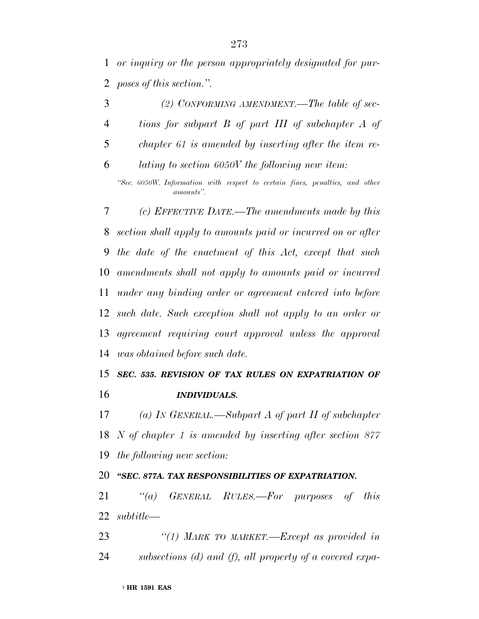*or inquiry or the person appropriately designated for pur-poses of this section.''.*

 *(2) CONFORMING AMENDMENT.—The table of sec- tions for subpart B of part III of subchapter A of chapter 61 is amended by inserting after the item re- lating to section 6050V the following new item: ''Sec. 6050W. Information with respect to certain fines, penalties, and other amounts''. (c) EFFECTIVE DATE.—The amendments made by this section shall apply to amounts paid or incurred on or after the date of the enactment of this Act, except that such amendments shall not apply to amounts paid or incurred under any binding order or agreement entered into before such date. Such exception shall not apply to an order or agreement requiring court approval unless the approval was obtained before such date.*

## *SEC. 535. REVISION OF TAX RULES ON EXPATRIATION OF INDIVIDUALS.*

 *(a) IN GENERAL.—Subpart A of part II of subchapter N of chapter 1 is amended by inserting after section 877 the following new section:*

## *''SEC. 877A. TAX RESPONSIBILITIES OF EXPATRIATION.*

 *''(a) GENERAL RULES.—For purposes of this subtitle—*

 *''(1) MARK TO MARKET.—Except as provided in subsections (d) and (f), all property of a covered expa-*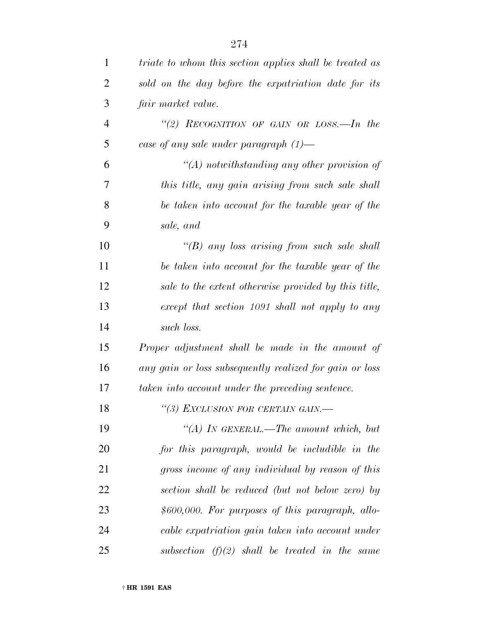| $\mathbf{1}$   | triate to whom this section applies shall be treated as |
|----------------|---------------------------------------------------------|
| $\overline{2}$ | sold on the day before the expatriation date for its    |
| 3              | fair market value.                                      |
| $\overline{4}$ | "(2) RECOGNITION OF GAIN OR LOSS.—In the                |
| 5              | case of any sale under paragraph $(1)$ —                |
| 6              | $\lq (A)$ notwithstanding any other provision of        |
| 7              | this title, any gain arising from such sale shall       |
| 8              | be taken into account for the taxable year of the       |
| 9              | sale, and                                               |
| 10             | "(B) any loss arising from such sale shall              |
| 11             | be taken into account for the taxable year of the       |
| 12             | sale to the extent otherwise provided by this title,    |
| 13             | except that section 1091 shall not apply to any         |
| 14             | such loss.                                              |
| 15             | Proper adjustment shall be made in the amount of        |
| 16             | any gain or loss subsequently realized for gain or loss |
| 17             | taken into account under the preceding sentence.        |
| 18             | "(3) EXCLUSION FOR CERTAIN GAIN.-                       |
| 19             | "(A) In GENERAL.—The amount which, but                  |
| 20             | for this paragraph, would be includible in the          |
| 21             | gross income of any individual by reason of this        |
| 22             | section shall be reduced (but not below zero) by        |
| 23             | $$600,000$ . For purposes of this paragraph, allo-      |
| 24             | cable expatriation gain taken into account under        |
| 25             | subsection $(f)(2)$ shall be treated in the same        |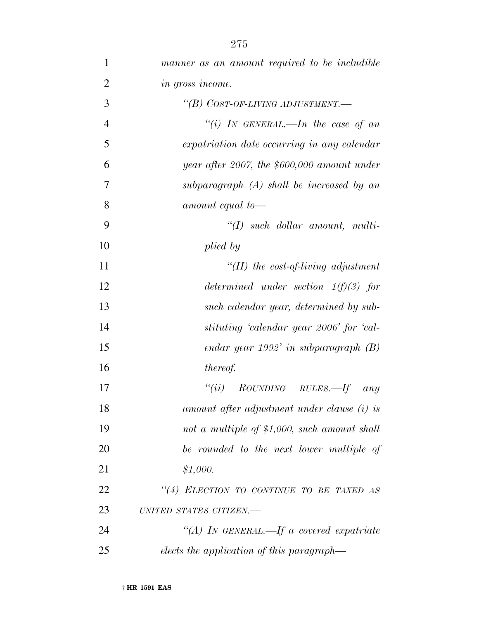| $\mathbf 1$    | manner as an amount required to be includible                          |
|----------------|------------------------------------------------------------------------|
| $\overline{2}$ | in gross income.                                                       |
| 3              | "(B) COST-OF-LIVING ADJUSTMENT.-                                       |
| $\overline{4}$ | "(i) IN GENERAL.—In the case of an                                     |
| 5              | expatriation date occurring in any calendar                            |
| 6              | year after 2007, the $$600,000$ amount under                           |
| 7              | subparagraph $(A)$ shall be increased by an                            |
| 8              | amount equal to-                                                       |
| 9              | $``(I)$ such dollar amount, multi-                                     |
| 10             | plied by                                                               |
| 11             | $\lq (II)$ the cost-of-living adjustment                               |
| 12             | determined under section $1(f)(3)$ for                                 |
| 13             | such calendar year, determined by sub-                                 |
| 14             | stituting 'calendar year 2006' for 'cal-                               |
| 15             | endar year 1992' in subparagraph $(B)$                                 |
| 16             | thereof.                                                               |
| 17             | "(ii) $\textit{ROUNDING}$ $\textit{RULES} \rightarrow \textit{If}$ any |
| 18             | amount after adjustment under clause (i) is                            |
| 19             | not a multiple of \$1,000, such amount shall                           |
| 20             | be rounded to the next lower multiple of                               |
| 21             | \$1,000.                                                               |
| 22             | "(4) ELECTION TO CONTINUE TO BE TAXED AS                               |
| 23             | UNITED STATES CITIZEN.-                                                |
| 24             | "(A) IN GENERAL.—If a covered expatriate                               |
| 25             | elects the application of this paragraph—                              |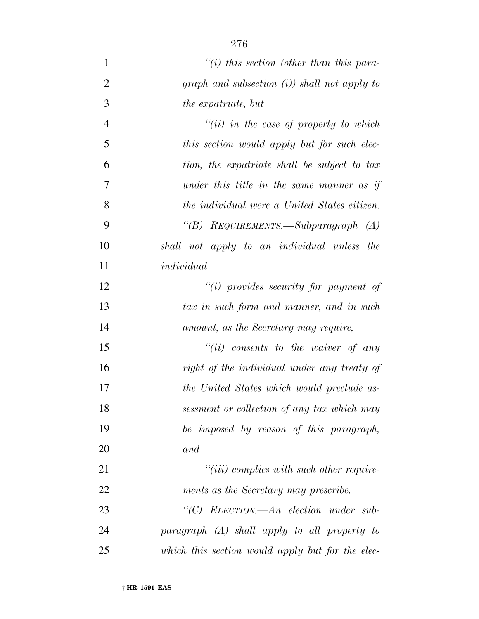| $\mathbf{1}$   | $``(i)$ this section (other than this para-      |
|----------------|--------------------------------------------------|
| $\overline{2}$ | graph and subsection $(i)$ ) shall not apply to  |
| 3              | the expatriate, but                              |
| $\overline{4}$ | $``(ii)$ in the case of property to which        |
| 5              | this section would apply but for such elec-      |
| 6              | tion, the expatriate shall be subject to tax     |
| 7              | under this title in the same manner as if        |
| 8              | the individual were a United States citizen.     |
| 9              | "(B) $Reg$ UIREMENTS.—Subparagraph (A)           |
| 10             | shall not apply to an individual unless the      |
| 11             | $individual-$                                    |
| 12             | "(i) provides security for payment of            |
| 13             | tax in such form and manner, and in such         |
| 14             | amount, as the Secretary may require,            |
| 15             | $``(ii)$ consents to the waiver of any           |
| 16             | right of the individual under any treaty of      |
| 17             | the United States which would preclude as-       |
| 18             | sessment or collection of any tax which may      |
| 19             | be imposed by reason of this paragraph,          |
| 20             | and                                              |
| 21             | $``(iii)$ complies with such other require-      |
| 22             | ments as the Secretary may prescribe.            |
| 23             | "(C) ELECTION.—An election under sub-            |
| 24             | $paragnph$ $(A)$ shall apply to all property to  |
| 25             | which this section would apply but for the elec- |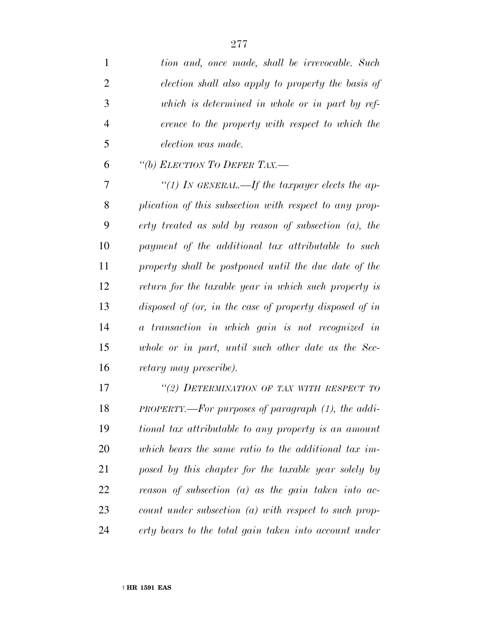| 1              | tion and, once made, shall be irrevocable. Such            |
|----------------|------------------------------------------------------------|
| $\overline{2}$ | election shall also apply to property the basis of         |
| 3              | which is determined in whole or in part by ref-            |
| 4              | erence to the property with respect to which the           |
| 5              | election was made.                                         |
| 6              | "(b) ELECTION TO DEFER TAX.-                               |
| 7              | "(1) In GENERAL.—If the taxpayer elects the ap-            |
| 8              | plication of this subsection with respect to any prop-     |
| 9              | erty treated as sold by reason of subsection $(a)$ , the   |
| 10             | payment of the additional tax attributable to such         |
| 11             | property shall be postponed until the due date of the      |
| 12             | return for the taxable year in which such property is      |
| 13             | disposed of (or, in the case of property disposed of in    |
| 14             | a transaction in which gain is not recognized in           |
| 15             | whole or in part, until such other date as the Sec-        |
| 16             | <i>retary may prescribe).</i>                              |
| 17             | "(2) DETERMINATION OF TAX WITH RESPECT TO                  |
| 18             | $PROPERTIES.$ -For purposes of paragraph $(1)$ , the addi- |
| 19             | tional tax attributable to any property is an amount       |
| 20             | which bears the same ratio to the additional tax im-       |
| 21             | posed by this chapter for the taxable year solely by       |

*reason of subsection (a) as the gain taken into ac-*

*count under subsection (a) with respect to such prop-*

*erty bears to the total gain taken into account under*

† **HR 1591 EAS**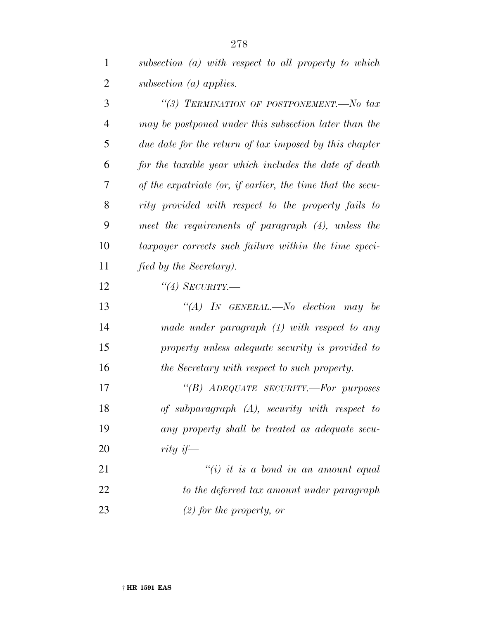*subsection (a) with respect to all property to which subsection (a) applies.*

 *''(3) TERMINATION OF POSTPONEMENT.—No tax may be postponed under this subsection later than the due date for the return of tax imposed by this chapter for the taxable year which includes the date of death of the expatriate (or, if earlier, the time that the secu- rity provided with respect to the property fails to meet the requirements of paragraph (4), unless the taxpayer corrects such failure within the time speci- fied by the Secretary). ''(4) SECURITY.— ''(A) IN GENERAL.—No election may be*

 *made under paragraph (1) with respect to any property unless adequate security is provided to the Secretary with respect to such property.*

 *''(B) ADEQUATE SECURITY.—For purposes of subparagraph (A), security with respect to any property shall be treated as adequate secu-rity if—*

 *''(i) it is a bond in an amount equal to the deferred tax amount under paragraph (2) for the property, or*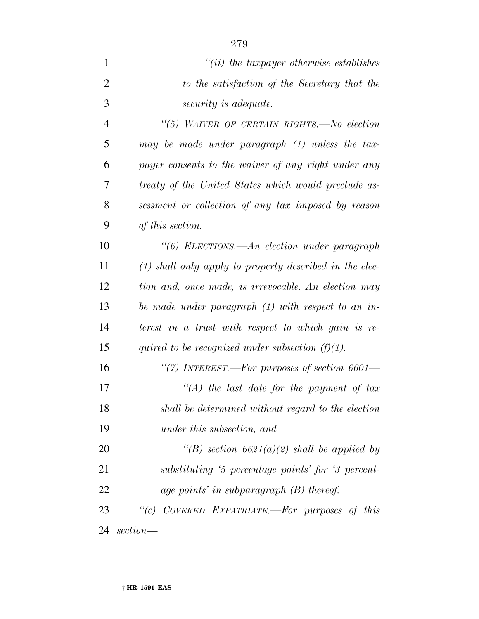| $\mathbf{1}$   | $"(ii)$ the taxpayer otherwise establishes                |
|----------------|-----------------------------------------------------------|
| $\overline{2}$ | to the satisfaction of the Secretary that the             |
| 3              | <i>security is adequate.</i>                              |
| 4              | "(5) WAIVER OF CERTAIN RIGHTS.—No election                |
| 5              | may be made under paragraph (1) unless the tax-           |
| 6              | payer consents to the waiver of any right under any       |
| 7              | treaty of the United States which would preclude as-      |
| 8              | sessment or collection of any tax imposed by reason       |
| 9              | of this section.                                          |
| 10             | "(6) ELECTIONS.—An election under paragraph               |
| 11             | $(1)$ shall only apply to property described in the elec- |
| 12             | tion and, once made, is irrevocable. An election may      |
| 13             | be made under paragraph (1) with respect to an in-        |
| 14             | terest in a trust with respect to which gain is re-       |
| 15             | quired to be recognized under subsection $(f)(1)$ .       |
| 16             | "(7) INTEREST.—For purposes of section $6601-$            |
| 17             | "(A) the last date for the payment of tax                 |
| 18             | shall be determined without regard to the election        |
| 19             | under this subsection, and                                |
| 20             | "(B) section $6621(a)(2)$ shall be applied by             |
| 21             | substituting '5 percentage points' for '3 percent-        |
| 22             | age points' in subparagraph (B) thereof.                  |
| 23             | "(c) COVERED EXPATRIATE.—For purposes of this             |
| 24             | section—                                                  |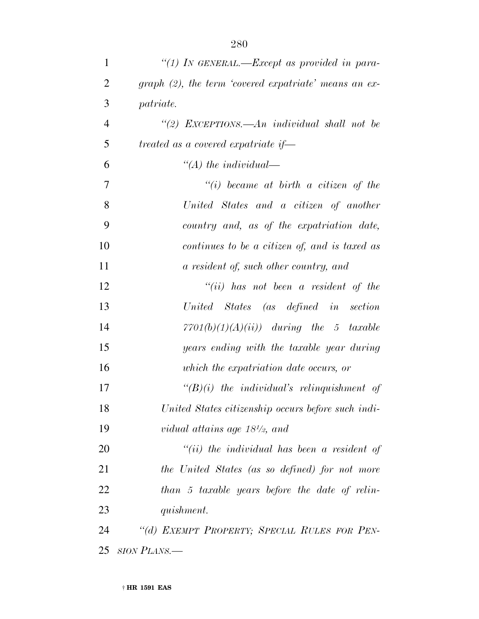| $\mathbf{1}$   | "(1) IN GENERAL.—Except as provided in para-             |
|----------------|----------------------------------------------------------|
| $\overline{2}$ | graph $(2)$ , the term 'covered expatriate' means an ex- |
| 3              | patriate.                                                |
| $\overline{4}$ | "(2) EXCEPTIONS.—An individual shall not be              |
| 5              | treated as a covered expatriate if-                      |
| 6              | $\lq (A)$ the individual—                                |
| 7              | $``(i)$ became at birth a citizen of the                 |
| 8              | United States and a citizen of another                   |
| 9              | country and, as of the expatriation date,                |
| 10             | continues to be a citizen of, and is taxed as            |
| 11             | a resident of, such other country, and                   |
| 12             | $``(ii)$ has not been a resident of the                  |
| 13             | United States (as defined in section                     |
| 14             | $7701(b)(1)(A)(ii)$ during the 5 taxable                 |
| 15             | years ending with the taxable year during                |
| 16             | which the expatriation date occurs, or                   |
| 17             | $\lq\lq (B)(i)$ the individual's relinquishment of       |
| 18             | United States citizenship occurs before such indi-       |
| 19             | vidual attains age $18\frac{1}{2}$ , and                 |
| 20             | $``(ii)$ the individual has been a resident of           |
| 21             | the United States (as so defined) for not more           |
| 22             | than 5 taxable years before the date of relin-           |
| 23             | quishment.                                               |
| 24             | "(d) EXEMPT PROPERTY; SPECIAL RULES FOR PEN-             |
|                | 25 SION PLANS.—                                          |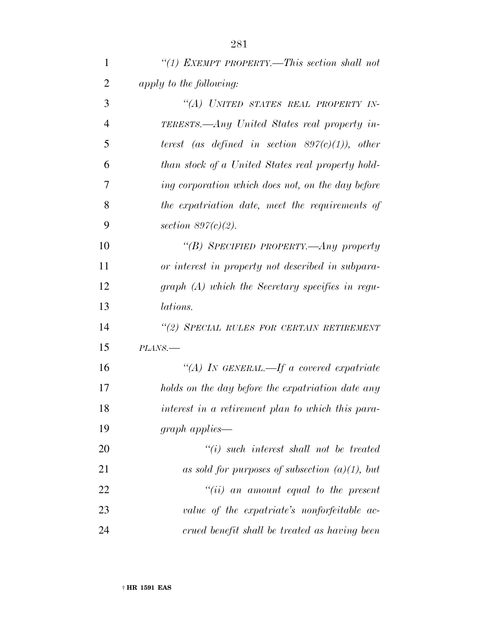| 1              | "(1) EXEMPT PROPERTY.—This section shall not       |
|----------------|----------------------------------------------------|
| $\overline{2}$ | apply to the following:                            |
| 3              | "(A) UNITED STATES REAL PROPERTY IN-               |
| $\overline{4}$ | TERESTS.—Any United States real property in-       |
| 5              | terest (as defined in section $897(c)(1)$ ), other |
| 6              | than stock of a United States real property hold-  |
| $\overline{7}$ | ing corporation which does not, on the day before  |
| 8              | the expatriation date, meet the requirements of    |
| 9              | section $897(c)(2)$ .                              |
| 10             | "(B) SPECIFIED PROPERTY.—Any property              |
| 11             | or interest in property not described in subpara-  |
| 12             | $graph(A)$ which the Secretary specifies in regu-  |
| 13             | <i>lations.</i>                                    |
| 14             | "(2) SPECIAL RULES FOR CERTAIN RETIREMENT          |
| 15             | PLANS.                                             |
| 16             | "(A) IN GENERAL.—If a covered expatriate           |
| 17             | holds on the day before the expatriation date any  |
| 18             | interest in a retirement plan to which this para-  |
| 19             | $graph$ applies—                                   |
| 20             | $``(i)$ such interest shall not be treated         |
| 21             | as sold for purposes of subsection $(a)(1)$ , but  |
| 22             | $``(ii)$ an amount equal to the present            |
| 23             | value of the expatriate's nonforfeitable ac-       |
| 24             | crued benefit shall be treated as having been      |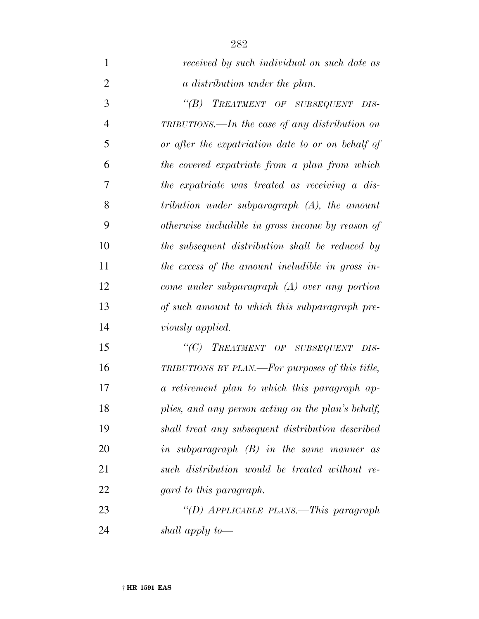| $\mathbf{1}$   | received by such individual on such date as        |
|----------------|----------------------------------------------------|
| $\overline{2}$ | a distribution under the plan.                     |
| 3              | "(B) TREATMENT OF SUBSEQUENT DIS-                  |
| $\overline{4}$ | TRIBUTIONS.—In the case of any distribution on     |
| 5              | or after the expatriation date to or on behalf of  |
| 6              | the covered expatriate from a plan from which      |
| 7              | the expatriate was treated as receiving a dis-     |
| 8              | tribution under subparagraph $(A)$ , the amount    |
| 9              | otherwise includible in gross income by reason of  |
| 10             | the subsequent distribution shall be reduced by    |
| 11             | the excess of the amount includible in gross in-   |
| 12             | come under subparagraph $(A)$ over any portion     |
| 13             | of such amount to which this subparagraph pre-     |
| 14             | viously applied.                                   |
| 15             | "(C) TREATMENT OF SUBSEQUENT DIS-                  |
| 16             | TRIBUTIONS BY PLAN.—For purposes of this title,    |
| 17             | a retirement plan to which this paragraph ap-      |
| 18             | plies, and any person acting on the plan's behalf, |
| 19             | shall treat any subsequent distribution described  |
| 20             | in subparagraph $(B)$ in the same manner as        |
| 21             | such distribution would be treated without re-     |
| 22             | gard to this paragraph.                            |
| 23             | "(D) APPLICABLE PLANS.—This paragraph              |
| 24             | shall apply to-                                    |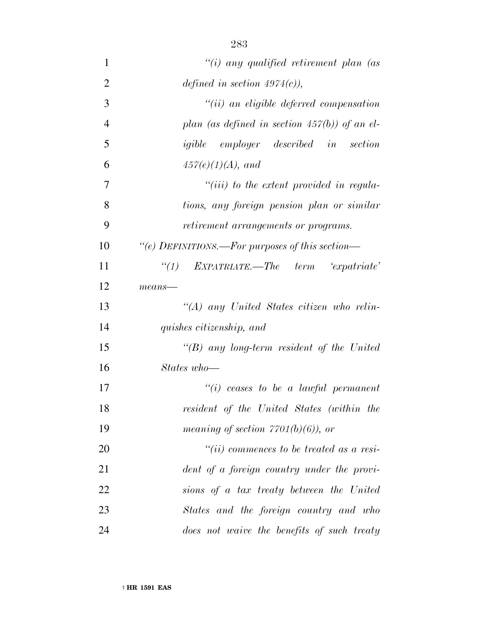| 1              | "(i) any qualified retirement plan (as           |
|----------------|--------------------------------------------------|
| $\overline{2}$ | defined in section $4974(c)$ ),                  |
| 3              | $``(ii)$ an eligible deferred compensation       |
| $\overline{4}$ | plan (as defined in section $457(b)$ ) of an el- |
| 5              | igible employer described in section             |
| 6              | $457(e)(1)(A)$ , and                             |
| $\overline{7}$ | $``(iii)$ to the extent provided in regula-      |
| 8              | tions, any foreign pension plan or similar       |
| 9              | retirement arrangements or programs.             |
| 10             | "(e) DEFINITIONS.—For purposes of this section—  |
| 11             | $``(1)$ EXPATRIATE.—The term $'expatriate'$      |
| 12             | $means$ —                                        |
| 13             | "(A) any United States citizen who relin-        |
| 14             | quishes citizenship, and                         |
| 15             | "(B) any long-term resident of the United        |
| 16             | States who-                                      |
| 17             | $``(i)$ ceases to be a lawful permanent          |
| 18             | resident of the United States (within the        |
| 19             | meaning of section $7701(b)(6)$ , or             |
| 20             | $``(ii) commences to be treated as a resi-$      |
| 21             | dent of a foreign country under the provi-       |
| 22             | sions of a tax treaty between the United         |
| 23             | States and the foreign country and who           |
| 24             | does not waive the benefits of such treaty       |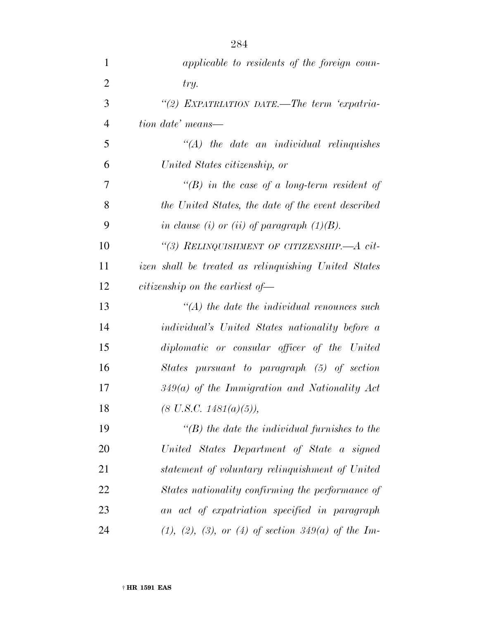| $\mathbf{1}$   | applicable to residents of the foreign coun-         |
|----------------|------------------------------------------------------|
| $\overline{2}$ | try.                                                 |
| 3              | "(2) EXPATRIATION DATE.—The term 'expatria-          |
| $\overline{4}$ | tion date' means—                                    |
| 5              | $\lq (A)$ the date an individual relinquishes        |
| 6              | United States citizenship, or                        |
| 7              | $\lq\lq(B)$ in the case of a long-term resident of   |
| 8              | the United States, the date of the event described   |
| 9              | in clause (i) or (ii) of paragraph $(1)(B)$ .        |
| 10             | "(3) RELINQUISHMENT OF CITIZENSHIP.— $A$ cit-        |
| 11             | izen shall be treated as relinquishing United States |
| 12             | citizenship on the earliest of $\equiv$              |
| 13             | $\lq (A)$ the date the individual renounces such     |
| 14             | individual's United States nationality before a      |
| 15             | diplomatic or consular officer of the United         |
| 16             | States pursuant to paragraph (5) of section          |
| 17             | $349(a)$ of the Immigration and Nationality Act      |
| 18             | $(8 \text{ U.S.C. } 1481(a)(5)),$                    |
| 19             | $\lq (B)$ the date the individual furnishes to the   |
| 20             | United States Department of State a signed           |
| 21             | statement of voluntary relinquishment of United      |
| 22             | States nationality confirming the performance of     |
| 23             | an act of expatriation specified in paragraph        |
| 24             | $(1), (2), (3), or (4)$ of section 349(a) of the Im- |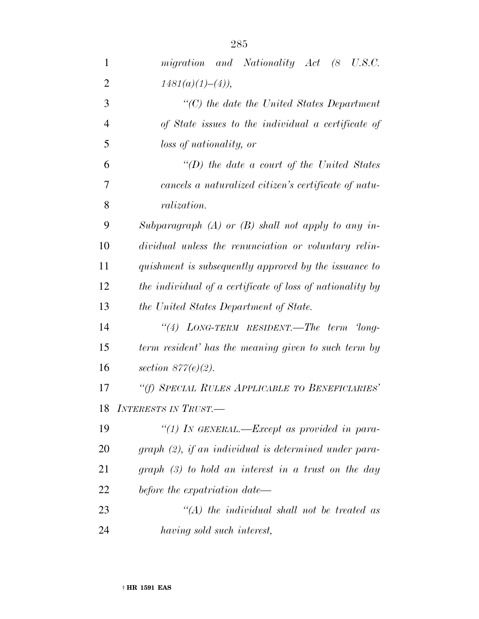| 1              | migration and Nationality Act (8 U.S.C.                   |
|----------------|-----------------------------------------------------------|
| $\overline{2}$ | $1481(a)(1)–(4)$ ,                                        |
| 3              | $\lq\lq C$ the date the United States Department          |
| $\overline{4}$ | of State issues to the individual a certificate of        |
| 5              | loss of nationality, or                                   |
| 6              | "(D) the date a court of the United States                |
| 7              | cancels a naturalized citizen's certificate of natu-      |
| 8              | <i>ralization.</i>                                        |
| 9              | Subparagraph $(A)$ or $(B)$ shall not apply to any in-    |
| 10             | dividual unless the renunciation or voluntary relin-      |
| 11             | quishment is subsequently approved by the issuance to     |
| 12             | the individual of a certificate of loss of nationality by |
| 13             | the United States Department of State.                    |
| 14             | "(4) LONG-TERM RESIDENT.—The term $long-$                 |
| 15             | term resident' has the meaning given to such term by      |
| 16             | section $877(e)(2)$ .                                     |
| 17             | "(f) SPECIAL RULES APPLICABLE TO BENEFICIARIES'           |
| 18             | <b>INTERESTS IN TRUST.-</b>                               |
| 19             | "(1) IN GENERAL.—Except as provided in para-              |
| 20             | $graph (2)$ , if an individual is determined under para-  |
| 21             | graph $(3)$ to hold an interest in a trust on the day     |
| 22             | before the expatriation date—                             |
| 23             | $\lq (A)$ the individual shall not be treated as          |
| 24             | having sold such interest,                                |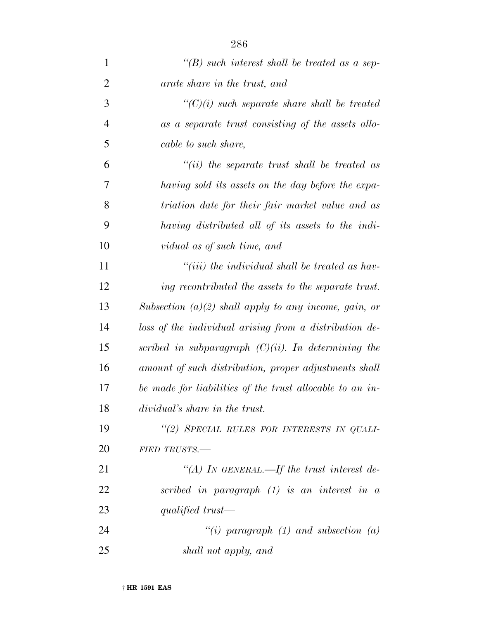| $\mathbf{1}$   | "(B) such interest shall be treated as a sep-            |
|----------------|----------------------------------------------------------|
| $\overline{2}$ | arate share in the trust, and                            |
| 3              | $\lq\lq C$ (i) such separate share shall be treated      |
| $\overline{4}$ | as a separate trust consisting of the assets allo-       |
| 5              | cable to such share,                                     |
| 6              | $``(ii)$ the separate trust shall be treated as          |
| 7              | having sold its assets on the day before the expa-       |
| 8              | triation date for their fair market value and as         |
| 9              | having distributed all of its assets to the indi-        |
| 10             | vidual as of such time, and                              |
| 11             | "(iii) the individual shall be treated as hav-           |
| 12             | ing recontributed the assets to the separate trust.      |
| 13             | Subsection $(a)(2)$ shall apply to any income, gain, or  |
| 14             | loss of the individual arising from a distribution de-   |
| 15             | scribed in subparagraph $(C)(ii)$ . In determining the   |
| 16             | amount of such distribution, proper adjustments shall    |
| 17             | be made for liabilities of the trust allocable to an in- |
| 18             | <i>dividual's share in the trust.</i>                    |
| 19             | "(2) SPECIAL RULES FOR INTERESTS IN QUALI-               |
| 20             | FIED TRUSTS.-                                            |
| 21             | "(A) IN GENERAL.—If the trust interest de-               |
| 22             | scribed in paragraph $(1)$ is an interest in a           |
| 23             | qualified trust—                                         |
| 24             | "(i) paragraph (1) and subsection (a)                    |
| 25             | shall not apply, and                                     |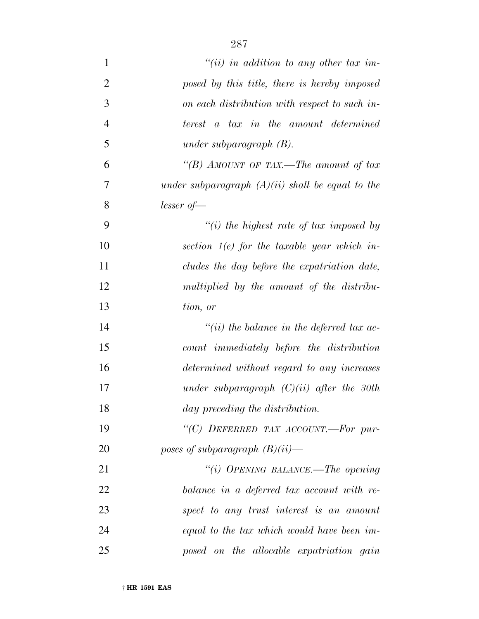| $\mathbf{1}$   | $``(ii)$ in addition to any other tax im-          |
|----------------|----------------------------------------------------|
| $\overline{2}$ | posed by this title, there is hereby imposed       |
| 3              | on each distribution with respect to such in-      |
| $\overline{4}$ | terest a tax in the amount determined              |
| 5              | under subparagraph $(B)$ .                         |
| 6              | "(B) AMOUNT OF TAX.—The amount of tax              |
| 7              | under subparagraph $(A)(ii)$ shall be equal to the |
| 8              | $lesser of -$                                      |
| 9              | $"(i)$ the highest rate of tax imposed by          |
| 10             | section $1(e)$ for the taxable year which in-      |
| 11             | cludes the day before the expatriation date,       |
| 12             | multiplied by the amount of the distribu-          |
| 13             | tion, or                                           |
| 14             | $``(ii)$ the balance in the deferred tax ac-       |
| 15             | count immediately before the distribution          |
| 16             | determined without regard to any increases         |
| 17             | under subparagraph $(C)(ii)$ after the 30th        |
| 18             | day preceding the distribution.                    |
| 19             | "(C) DEFERRED TAX ACCOUNT.-For pur-                |
| 20             | poses of subparagraph $(B)(ii)$ —                  |
| 21             | "(i) OPENING BALANCE.—The opening                  |
| 22             | balance in a deferred tax account with re-         |
| 23             | spect to any trust interest is an amount           |
| 24             | equal to the tax which would have been im-         |
| 25             | posed on the allocable expatriation gain           |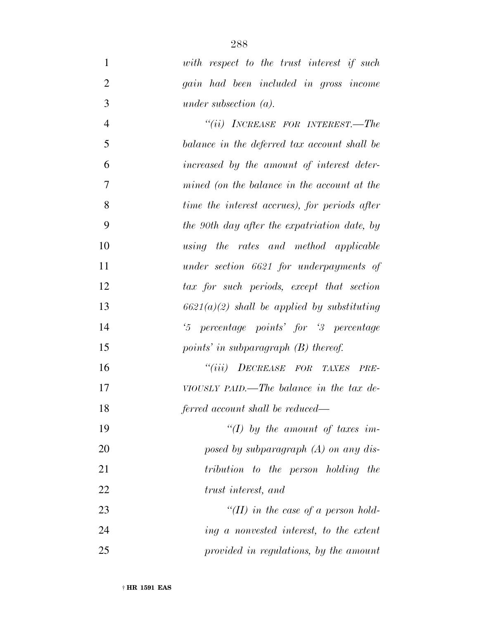*with respect to the trust interest if such gain had been included in gross income under subsection (a).*

 *''(ii) INCREASE FOR INTEREST.—The balance in the deferred tax account shall be increased by the amount of interest deter- mined (on the balance in the account at the time the interest accrues), for periods after the 90th day after the expatriation date, by using the rates and method applicable under section 6621 for underpayments of tax for such periods, except that section 6621(a)(2) shall be applied by substituting '5 percentage points' for '3 percentage points' in subparagraph (B) thereof. ''(iii) DECREASE FOR TAXES PRE- VIOUSLY PAID.—The balance in the tax de- ferred account shall be reduced— ''(I) by the amount of taxes im-*

 *posed by subparagraph (A) on any dis- tribution to the person holding the trust interest, and ''(II) in the case of a person hold-*

 *ing a nonvested interest, to the extent provided in regulations, by the amount*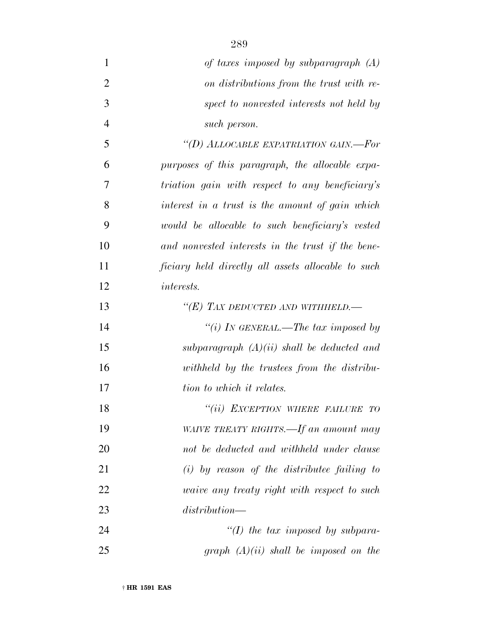| $\mathbf{1}$   | of taxes imposed by subparagraph $(A)$             |
|----------------|----------------------------------------------------|
| $\overline{2}$ | on distributions from the trust with re-           |
| 3              | spect to nonvested interests not held by           |
| $\overline{4}$ | such person.                                       |
| 5              | "(D) ALLOCABLE EXPATRIATION GAIN.—For              |
| 6              | purposes of this paragraph, the allocable expa-    |
| 7              | triation gain with respect to any beneficiary's    |
| 8              | interest in a trust is the amount of gain which    |
| 9              | would be allocable to such beneficiary's vested    |
| 10             | and nonvested interests in the trust if the bene-  |
| 11             | ficiary held directly all assets allocable to such |
| 12             | <i>interests.</i>                                  |
| 13             | "(E) TAX DEDUCTED AND WITHHELD.—                   |
| 14             | "(i) IN GENERAL.—The tax imposed by                |
| 15             | subparagraph $(A)(ii)$ shall be deducted and       |
| 16             | withheld by the trustees from the distribu-        |
| 17             | tion to which it relates.                          |
| 18             | "(ii) EXCEPTION WHERE FAILURE TO                   |
| 19             | WAIVE TREATY RIGHTS.—If an amount may              |
| 20             | not be deducted and withheld under clause          |
| 21             | $(i)$ by reason of the distributee failing to      |
| 22             | <i>waive any treaty right with respect to such</i> |
| 23             | distribution—                                      |
| 24             | "(I) the tax imposed by subpara-                   |
| 25             | graph $(A)(ii)$ shall be imposed on the            |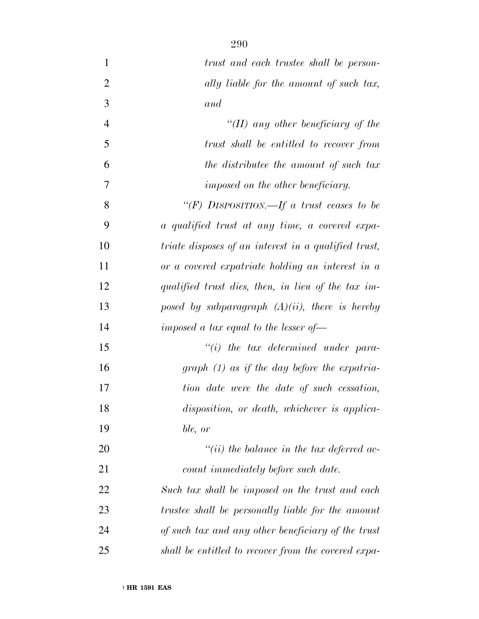| $\mathbf{1}$   | trust and each trustee shall be person-                     |
|----------------|-------------------------------------------------------------|
| $\overline{2}$ | ally liable for the amount of such tax,                     |
| 3              | and                                                         |
| $\overline{4}$ | "(II) any other beneficiary of the                          |
| 5              | trust shall be entitled to recover from                     |
| 6              | the distributee the amount of such tax                      |
| 7              | imposed on the other beneficiary.                           |
| 8              | "(F) DISPOSITION.—If a trust ceases to be                   |
| 9              | a qualified trust at any time, a covered expa-              |
| 10             | <i>triate disposes of an interest in a qualified trust,</i> |
| 11             | or a covered expatriate holding an interest in a            |
| 12             | qualified trust dies, then, in lieu of the tax im-          |
| 13             | posed by subparagraph $(A)(ii)$ , there is hereby           |
| 14             | imposed a tax equal to the lesser of $-$                    |
| 15             | $"(i)$ the tax determined under para-                       |
| 16             | $graph (1)$ as if the day before the expatria-              |
| 17             | tion date were the date of such cessation,                  |
| 18             | disposition, or death, whichever is applica-                |
| 19             | ble, or                                                     |
| 20             | "(ii) the balance in the tax deferred ac-                   |
| 21             | count immediately before such date.                         |
| 22             | Such tax shall be imposed on the trust and each             |
| 23             | trustee shall be personally liable for the amount           |
| 24             | of such tax and any other beneficiary of the trust          |
| 25             | shall be entitled to recover from the covered expa-         |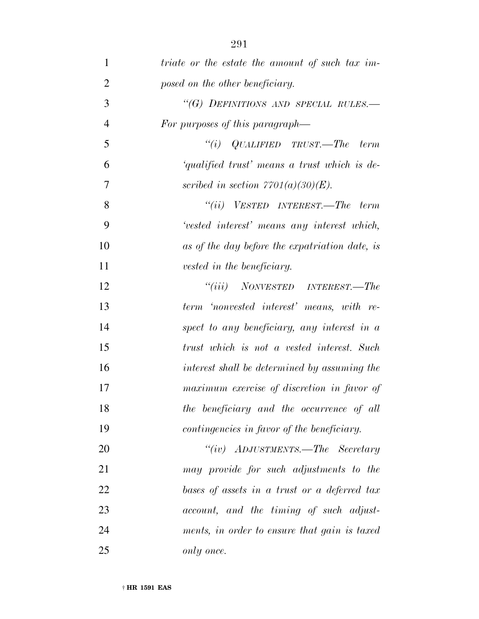| $\mathbf{1}$   | <i>triate</i> or the estate the amount of such tax im- |
|----------------|--------------------------------------------------------|
| $\overline{2}$ | posed on the other beneficiary.                        |
| 3              | "(G) DEFINITIONS AND SPECIAL RULES.-                   |
| $\overline{4}$ | For purposes of this paragraph—                        |
| 5              | "(i) $QUALIFIED$ TRUST.—The term                       |
| 6              | 'qualified trust' means a trust which is de-           |
| 7              | scribed in section $7701(a)(30)(E)$ .                  |
| 8              | $``(ii)$ VESTED INTEREST.—The term                     |
| 9              | 'vested interest' means any interest which,            |
| 10             | as of the day before the expatriation date, is         |
| 11             | vested in the beneficiary.                             |
| 12             | $``(iii)$ NONVESTED INTEREST.—The                      |
| 13             | term 'nonvested interest' means, with re-              |
| 14             | spect to any beneficiary, any interest in a            |
| 15             | trust which is not a vested interest. Such             |
| 16             | interest shall be determined by assuming the           |
| 17             | maximum exercise of discretion in favor of             |
| 18             | the beneficiary and the occurrence of all              |
| 19             | contingencies in favor of the beneficiary.             |
| 20             | "(iv) $ADJUSTMENTS. - The$ Secretary                   |
| 21             | may provide for such adjustments to the                |
| 22             | bases of assets in a trust or a deferred tax           |
| 23             | account, and the timing of such adjust-                |
| 24             | ments, in order to ensure that gain is taxed           |
| 25             | only once.                                             |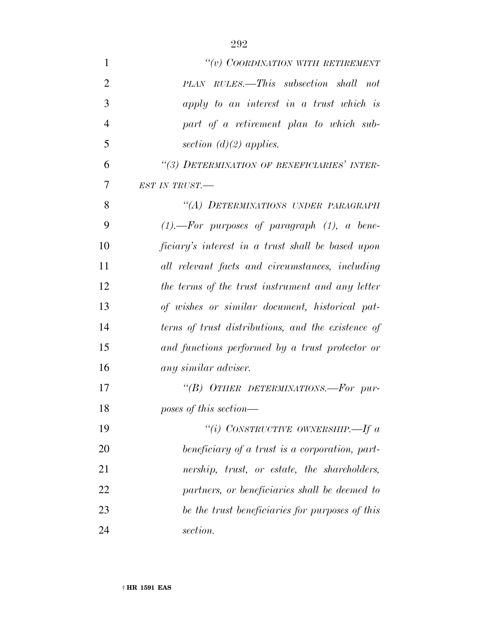| $\mathbf{1}$   | "(v) COORDINATION WITH RETIREMENT                    |
|----------------|------------------------------------------------------|
| $\overline{2}$ | PLAN RULES.—This subsection shall not                |
| 3              | apply to an interest in a trust which is             |
| $\overline{4}$ | part of a retirement plan to which sub-              |
| 5              | section $(d)(2)$ applies.                            |
| 6              | "(3) DETERMINATION OF BENEFICIARIES' INTER-          |
| 7              | EST IN TRUST.-                                       |
| 8              | "(A) DETERMINATIONS UNDER PARAGRAPH                  |
| 9              | $(1)$ . ---For purposes of paragraph $(1)$ , a bene- |
| 10             | ficiary's interest in a trust shall be based upon    |
| 11             | all relevant facts and circumstances, including      |
| 12             | the terms of the trust instrument and any letter     |
| 13             | of wishes or similar document, historical pat-       |
| 14             | terns of trust distributions, and the existence of   |
| 15             | and functions performed by a trust protector or      |
| 16             | any similar adviser.                                 |
| 17             | "(B) OTHER DETERMINATIONS.-For pur-                  |
| 18             | poses of this section—                               |
| 19             | "(i) CONSTRUCTIVE OWNERSHIP.—If $a$                  |
| 20             | beneficiary of a trust is a corporation, part-       |
| 21             | nership, trust, or estate, the shareholders,         |
| 22             | partners, or beneficiaries shall be deemed to        |
| 23             | be the trust beneficiaries for purposes of this      |
| 24             | section.                                             |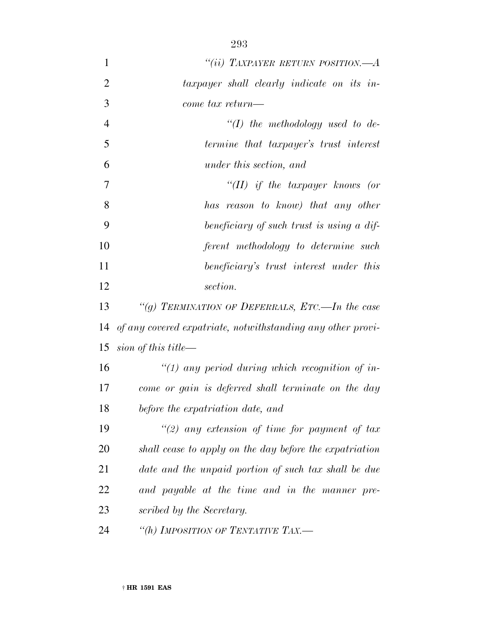| $\mathbf{1}$   | "(ii) TAXPAYER RETURN POSITION.—A                           |
|----------------|-------------------------------------------------------------|
| $\overline{2}$ | taxpayer shall clearly indicate on its in-                  |
| 3              | come tax return—                                            |
| $\overline{4}$ | "(I) the methodology used to de-                            |
| 5              | termine that taxpayer's trust interest                      |
| 6              | under this section, and                                     |
| 7              | "(II) if the taxpayer knows (or                             |
| 8              | has reason to know) that any other                          |
| 9              | beneficiary of such trust is using a dif-                   |
| 10             | ferent methodology to determine such                        |
| 11             | beneficiary's trust interest under this                     |
| 12             | section.                                                    |
| 13             | "(g) TERMINATION OF DEFERRALS, ETC.—In the case             |
| 14             | of any covered expatriate, notwithstanding any other provi- |
| 15             | sion of this title—                                         |
| 16             | "(1) any period during which recognition of in-             |
| 17             | come or gain is deferred shall terminate on the day         |
| 18             | before the expatriation date, and                           |
| 19             | "(2) any extension of time for payment of tax               |
| 20             | shall cease to apply on the day before the expatriation     |
| 21             | date and the unpaid portion of such tax shall be due        |
| 22             | and payable at the time and in the manner pre-              |
| 23             | scribed by the Secretary.                                   |
| 24             | "(h) IMPOSITION OF TENTATIVE TAX.-                          |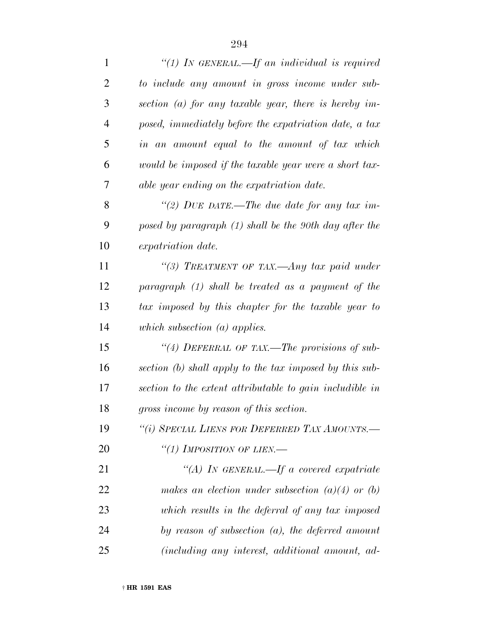| $\mathbf{1}$   | "(1) IN GENERAL.—If an individual is required            |
|----------------|----------------------------------------------------------|
| $\overline{2}$ | to include any amount in gross income under sub-         |
| 3              | section (a) for any taxable year, there is hereby im-    |
| $\overline{4}$ | posed, immediately before the expatriation date, a tax   |
| 5              | in an amount equal to the amount of tax which            |
| 6              | would be imposed if the taxable year were a short tax-   |
| 7              | able year ending on the expatriation date.               |
| 8              | "(2) DUE DATE.—The due date for any tax im-              |
| 9              | posed by paragraph (1) shall be the 90th day after the   |
| 10             | expatriation date.                                       |
| 11             | "(3) TREATMENT OF TAX.—Any tax paid under                |
| 12             | paragraph (1) shall be treated as a payment of the       |
| 13             | tax imposed by this chapter for the taxable year to      |
| 14             | which subsection $(a)$ applies.                          |
| 15             | "(4) DEFERRAL OF TAX.—The provisions of sub-             |
| 16             | section (b) shall apply to the tax imposed by this sub-  |
| 17             | section to the extent attributable to gain includible in |
| 18             | gross income by reason of this section.                  |
| 19             | "(i) SPECIAL LIENS FOR DEFERRED TAX AMOUNTS.-            |
| 20             | "(1) IMPOSITION OF LIEN.—                                |
| 21             | "(A) IN GENERAL.—If a covered expatriate                 |
| 22             | makes an election under subsection $(a)(4)$ or $(b)$     |
| 23             | which results in the deferral of any tax imposed         |
| 24             | by reason of subsection $(a)$ , the deferred amount      |
| 25             | (including any interest, additional amount, ad-          |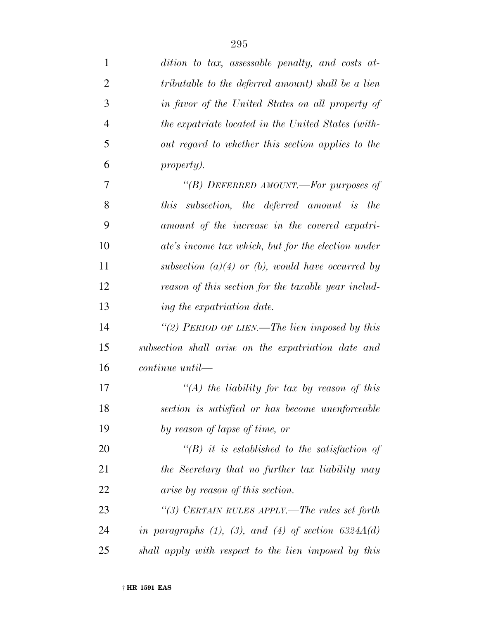| $\mathbf{1}$   | dition to tax, assessable penalty, and costs at-              |
|----------------|---------------------------------------------------------------|
| $\overline{2}$ | tributable to the deferred amount) shall be a lien            |
| 3              | in favor of the United States on all property of              |
| $\overline{4}$ | the expatriate located in the United States (with-            |
| 5              | out regard to whether this section applies to the             |
| 6              | <i>property).</i>                                             |
| 7              | "(B) DEFERRED AMOUNT.—For purposes of                         |
| 8              | subsection, the deferred amount is the<br><i>this</i>         |
| 9              | amount of the increase in the covered expatri-                |
| 10             | ate's income tax which, but for the election under            |
| 11             | subsection $(a)(4)$ or (b), would have occurred by            |
| 12             | reason of this section for the taxable year includ-           |
| 13             | ing the expatriation date.                                    |
| 14             | "(2) PERIOD OF LIEN.—The lien imposed by this                 |
| 15             | subsection shall arise on the expatriation date and           |
| 16             | $continue$ $until$                                            |
| 17             | "(A) the liability for tax by reason of this                  |
| 18             | section is satisfied or has become unenforceable              |
| 19             | by reason of lapse of time, or                                |
| 20             | $\lq (B)$ it is established to the satisfaction of            |
| 21             | the Secretary that no further tax liability may               |
| 22             | <i>arise by reason of this section.</i>                       |
| 23             | "(3) CERTAIN RULES APPLY.—The rules set forth                 |
| 24             | in paragraphs $(1)$ , $(3)$ , and $(4)$ of section $6324A(d)$ |
| 25             | shall apply with respect to the lien imposed by this          |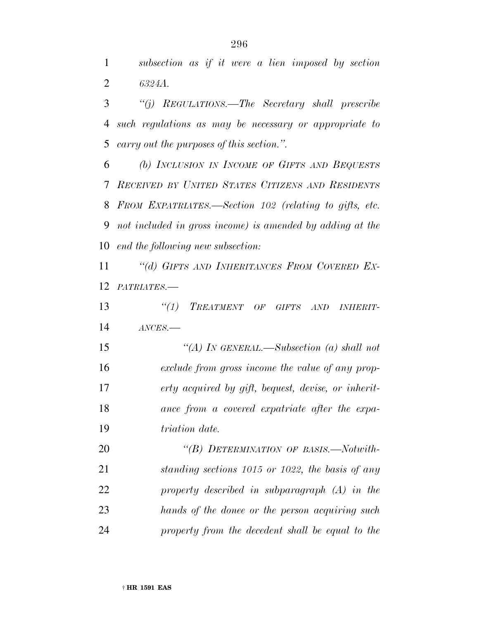*subsection as if it were a lien imposed by section 6324A.*

 *''(j) REGULATIONS.—The Secretary shall prescribe such regulations as may be necessary or appropriate to carry out the purposes of this section.''.*

 *(b) INCLUSION IN INCOME OF GIFTS AND BEQUESTS RECEIVED BY UNITED STATES CITIZENS AND RESIDENTS FROM EXPATRIATES.—Section 102 (relating to gifts, etc. not included in gross income) is amended by adding at the end the following new subsection:*

 *''(d) GIFTS AND INHERITANCES FROM COVERED EX-PATRIATES.—*

 *''(1) TREATMENT OF GIFTS AND INHERIT-ANCES.—*

 *''(A) IN GENERAL.—Subsection (a) shall not exclude from gross income the value of any prop- erty acquired by gift, bequest, devise, or inherit- ance from a covered expatriate after the expa-triation date.*

 *''(B) DETERMINATION OF BASIS.—Notwith- standing sections 1015 or 1022, the basis of any property described in subparagraph (A) in the hands of the donee or the person acquiring such property from the decedent shall be equal to the*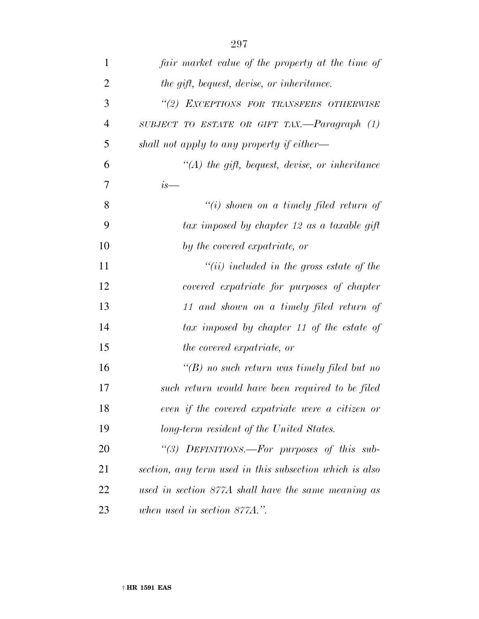| $\mathbf{1}$   | fair market value of the property at the time of        |
|----------------|---------------------------------------------------------|
| $\overline{2}$ | the gift, bequest, devise, or inheritance.              |
| 3              | "(2) EXCEPTIONS FOR TRANSFERS OTHERWISE                 |
| $\overline{4}$ | SUBJECT TO ESTATE OR GIFT TAX.— $Paragnaph$ (1)         |
| 5              | shall not apply to any property if either—              |
| 6              | $\lq (A)$ the gift, bequest, devise, or inheritance     |
| $\overline{7}$ | $i s$ —                                                 |
| 8              | $``(i)$ shown on a timely filed return of               |
| 9              | tax imposed by chapter 12 as a taxable gift             |
| 10             | by the covered expatriate, or                           |
| 11             | $``(ii)$ included in the gross estate of the            |
| 12             | covered expatriate for purposes of chapter              |
| 13             | 11 and shown on a timely filed return of                |
| 14             | tax imposed by chapter 11 of the estate of              |
| 15             | the covered expatriate, or                              |
| 16             | $\lq (B)$ no such return was timely filed but no        |
| 17             | such return would have been required to be filed        |
| 18             | even if the covered expatriate were a citizen or        |
| 19             | long-term resident of the United States.                |
| 20             | "(3) DEFINITIONS.—For purposes of this sub-             |
| 21             | section, any term used in this subsection which is also |
| 22             | used in section 877A shall have the same meaning as     |
| 23             | when used in section 877A.".                            |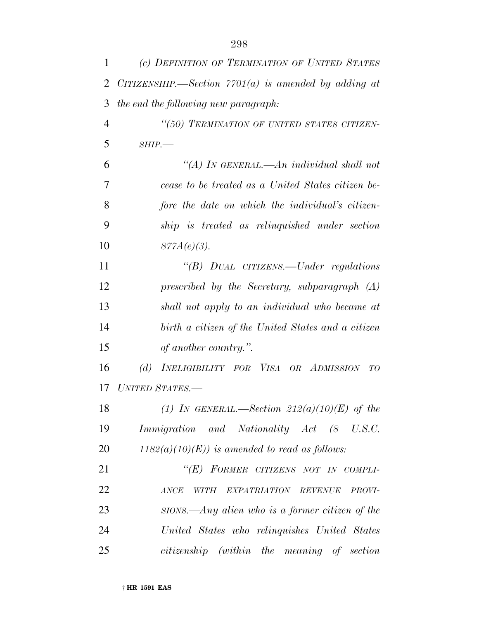| 1  | (c) DEFINITION OF TERMINATION OF UNITED STATES               |
|----|--------------------------------------------------------------|
| 2  | CITIZENSHIP.—Section $7701(a)$ is amended by adding at       |
| 3  | the end the following new paragraph:                         |
| 4  | "(50) TERMINATION OF UNITED STATES CITIZEN-                  |
| 5  | $SHIP$ .                                                     |
| 6  | "(A) IN GENERAL.—An individual shall not                     |
| 7  | cease to be treated as a United States citizen be-           |
| 8  | fore the date on which the individual's citizen-             |
| 9  | ship is treated as relinquished under section                |
| 10 | $877A(e)(3)$ .                                               |
| 11 | "(B) DUAL CITIZENS.—Under regulations                        |
| 12 | prescribed by the Secretary, subparagraph $(A)$              |
| 13 | shall not apply to an individual who became at               |
| 14 | birth a citizen of the United States and a citizen           |
| 15 | of another country.".                                        |
| 16 | INELIGIBILITY FOR VISA OR ADMISSION<br>(d)<br>ŦО             |
| 17 | UNITED STATES.-                                              |
| 18 | (1) IN GENERAL.—Section $212(a)(10)(E)$ of the               |
| 19 | Immigration and Nationality Act (8 U.S.C.                    |
| 20 | $1182(a)(10)(E)$ is amended to read as follows:              |
| 21 | "(E) FORMER CITIZENS NOT IN COMPLI-                          |
| 22 | EXPATRIATION REVENUE<br><b>ANCE</b><br>WITH<br><i>PROVI-</i> |
| 23 | $\textit{SIONS}$ . Any alien who is a former citizen of the  |
| 24 | United States who relinquishes United States                 |
| 25 | citizenship (within the meaning of section                   |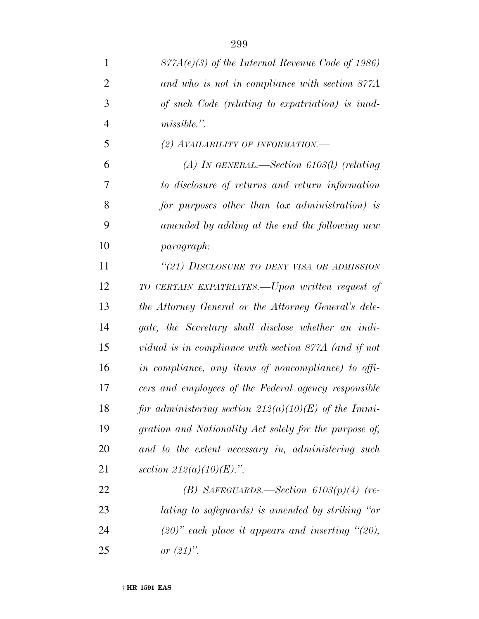| 1              | $877A(e)(3)$ of the Internal Revenue Code of 1986)      |
|----------------|---------------------------------------------------------|
| $\overline{2}$ | and who is not in compliance with section 877A          |
| 3              | of such Code (relating to expatriation) is inad-        |
| $\overline{4}$ | $missible.$ ".                                          |
| 5              | (2) AVAILABILITY OF INFORMATION.—                       |
| 6              | (A) IN GENERAL.—Section 6103(l) (relating               |
| 7              | to disclosure of returns and return information         |
| 8              | for purposes other than tax administration) is          |
| 9              | amended by adding at the end the following new          |
| 10             | <i>paragraph:</i>                                       |
| 11             | "(21) DISCLOSURE TO DENY VISA OR ADMISSION              |
| 12             | TO CERTAIN EXPATRIATES.—Upon written request of         |
| 13             | the Attorney General or the Attorney General's dele-    |
| 14             | gate, the Secretary shall disclose whether an indi-     |
| 15             | vidual is in compliance with section 877A (and if not   |
| 16             | in compliance, any items of noncompliance) to offi-     |
| 17             | cers and employees of the Federal agency responsible    |
| 18             | for administering section $212(a)(10)(E)$ of the Immi-  |
| 19             | gration and Nationality Act solely for the purpose of,  |
| 20             | and to the extent necessary in, administering such      |
| 21             | section $212(a)(10)(E)$ .".                             |
| 22             | (B) SAFEGUARDS.—Section $6103(p)(4)$ (re-               |
| 23             | lating to safeguards) is amended by striking "or        |
| 24             | $(20)$ " each place it appears and inserting " $(20)$ , |
| 25             | or $(21)$ ".                                            |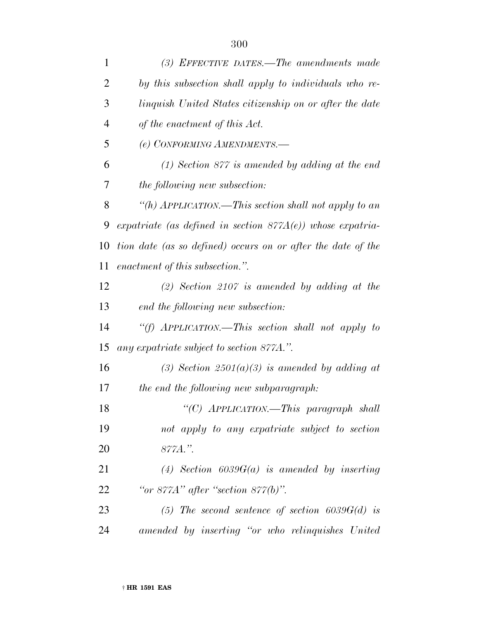| 1              | $(3)$ EFFECTIVE DATES.—The amendments made                    |
|----------------|---------------------------------------------------------------|
| $\overline{2}$ | by this subsection shall apply to individuals who re-         |
| 3              | linguish United States citizenship on or after the date       |
| $\overline{4}$ | of the enactment of this Act.                                 |
| 5              | (e) CONFORMING AMENDMENTS.-                                   |
| 6              | $(1)$ Section 877 is amended by adding at the end             |
| 7              | <i>the following new subsection:</i>                          |
| 8              | "(h) APPLICATION.—This section shall not apply to an          |
| 9              | expatriate (as defined in section $877A(e)$ ) whose expatria- |
| 10             | tion date (as so defined) occurs on or after the date of the  |
| 11             | enactment of this subsection.".                               |
| 12             | $(2)$ Section 2107 is amended by adding at the                |
| 13             | end the following new subsection:                             |
| 14             | "(f) APPLICATION.—This section shall not apply to             |
| 15             | any expatriate subject to section 877A.".                     |
| 16             | (3) Section $2501(a)(3)$ is amended by adding at              |
| 17             | the end the following new subparagraph:                       |
| 18             | "(C) APPLICATION.—This paragraph shall                        |
| 19             | not apply to any expatriate subject to section                |
| 20             | 877A.".                                                       |
| 21             | (4) Section $6039G(a)$ is amended by inserting                |
| 22             | "or $877A$ " after "section $877(b)$ ".                       |
| 23             | (5) The second sentence of section $6039G(d)$ is              |
| 24             | amended by inserting "or who relinquishes United              |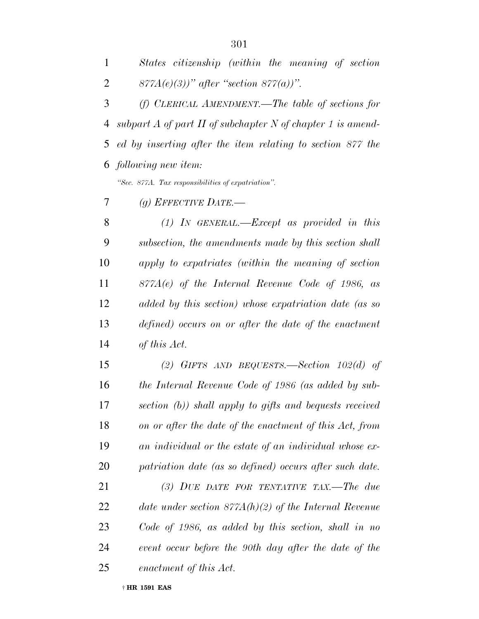*States citizenship (within the meaning of section 877A(e)(3))'' after ''section 877(a))''.*

 *(f) CLERICAL AMENDMENT.—The table of sections for subpart A of part II of subchapter N of chapter 1 is amend- ed by inserting after the item relating to section 877 the following new item:*

*''Sec. 877A. Tax responsibilities of expatriation''.*

*(g) EFFECTIVE DATE.—*

 *(1) IN GENERAL.—Except as provided in this subsection, the amendments made by this section shall apply to expatriates (within the meaning of section 877A(e) of the Internal Revenue Code of 1986, as added by this section) whose expatriation date (as so defined) occurs on or after the date of the enactment of this Act.*

 *(2) GIFTS AND BEQUESTS.—Section 102(d) of the Internal Revenue Code of 1986 (as added by sub- section (b)) shall apply to gifts and bequests received on or after the date of the enactment of this Act, from an individual or the estate of an individual whose ex-patriation date (as so defined) occurs after such date.*

 *(3) DUE DATE FOR TENTATIVE TAX.—The due date under section 877A(h)(2) of the Internal Revenue Code of 1986, as added by this section, shall in no event occur before the 90th day after the date of the enactment of this Act.*

† **HR 1591 EAS**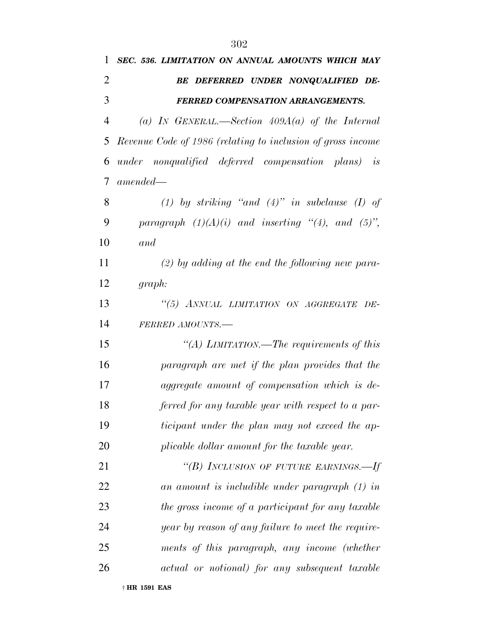| 1  | SEC. 536. LIMITATION ON ANNUAL AMOUNTS WHICH MAY            |
|----|-------------------------------------------------------------|
| 2  | BE DEFERRED UNDER NONQUALIFIED DE-                          |
| 3  | <b>FERRED COMPENSATION ARRANGEMENTS.</b>                    |
| 4  | (a) IN GENERAL.—Section $409A(a)$ of the Internal           |
| 5  | Revenue Code of 1986 (relating to inclusion of gross income |
| 6  | under nonqualified deferred compensation plans) is          |
| 7  | $amended -$                                                 |
| 8  | (1) by striking "and $(4)$ " in subclause (I) of            |
| 9  | paragraph $(1)(A)(i)$ and inserting "(4), and (5)",         |
| 10 | and                                                         |
| 11 | $(2)$ by adding at the end the following new para-          |
| 12 | graph:                                                      |
| 13 | "(5) ANNUAL LIMITATION ON AGGREGATE DE-                     |
| 14 | FERRED AMOUNTS.-                                            |
| 15 | "(A) LIMITATION.—The requirements of this                   |
| 16 | paragraph are met if the plan provides that the             |
| 17 | aggregate amount of compensation which is de-               |
| 18 | ferred for any taxable year with respect to a par-          |
| 19 | ticipant under the plan may not exceed the ap-              |
| 20 | plicable dollar amount for the taxable year.                |
| 21 | "(B) INCLUSION OF FUTURE EARNINGS.—If                       |
| 22 | an amount is includible under paragraph (1) in              |
| 23 | the gross income of a participant for any taxable           |
| 24 | year by reason of any failure to meet the require-          |
| 25 | ments of this paragraph, any income (whether                |
| 26 | actual or notional) for any subsequent taxable              |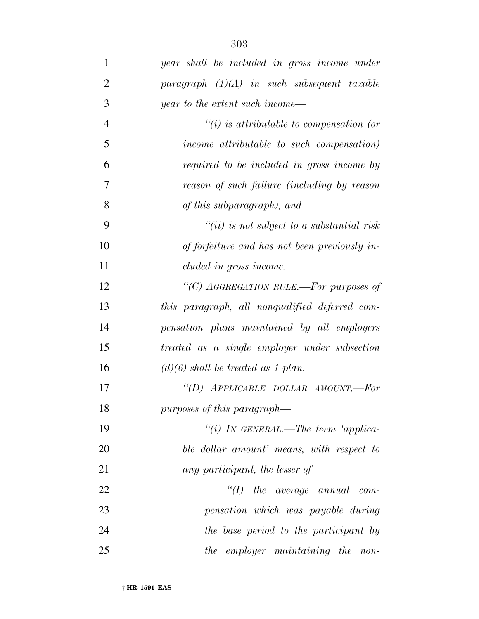| 1              | year shall be included in gross income under   |
|----------------|------------------------------------------------|
| $\overline{2}$ | $paragnph$ (1)(A) in such subsequent taxable   |
| 3              | year to the extent such income—                |
| $\overline{4}$ | $``(i)$ is attributable to compensation (or    |
| 5              | income attributable to such compensation)      |
| 6              | required to be included in gross income by     |
| 7              | reason of such failure (including by reason    |
| 8              | of this subparagraph), and                     |
| 9              | $``(ii)$ is not subject to a substantial risk  |
| 10             | of forfeiture and has not been previously in-  |
| 11             | cluded in gross income.                        |
| 12             | "(C) AGGREGATION RULE.—For purposes of         |
| 13             | this paragraph, all nonqualified deferred com- |
| 14             | pensation plans maintained by all employers    |
| 15             | treated as a single employer under subsection  |
| 16             | $(d)(6)$ shall be treated as 1 plan.           |
| 17             | "(D) APPLICABLE DOLLAR AMOUNT.-For             |
| 18             | purposes of this paragraph—                    |
| 19             | "(i) IN GENERAL.—The term 'applica-            |
| 20             | ble dollar amount' means, with respect to      |
| 21             | any participant, the lesser of $-$             |
| 22             | $\lq (I)$ the average annual com-              |
| 23             | pensation which was payable during             |
| 24             | the base period to the participant by          |
| 25             | the employer maintaining the non-              |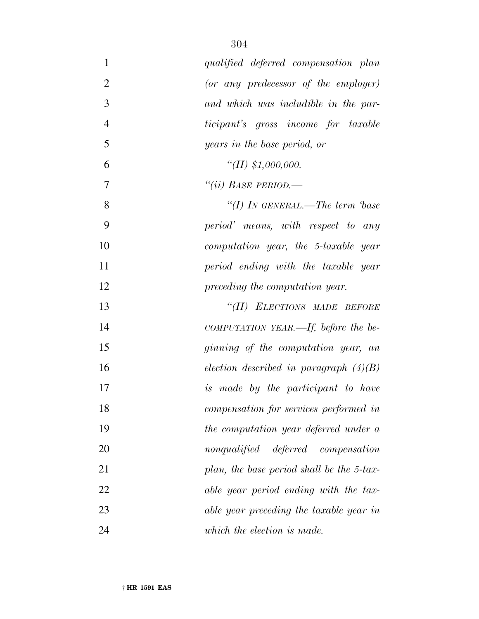| $\mathbf{1}$   | qualified deferred compensation plan       |
|----------------|--------------------------------------------|
| $\overline{2}$ | (or any predecessor of the employer)       |
| 3              | and which was includible in the par-       |
| $\overline{4}$ | <i>ticipant's</i> gross income for taxable |
| 5              | years in the base period, or               |
| 6              | $\lq (II) \ \$1,000,000.$                  |
| 7              | "(ii) BASE PERIOD.—                        |
| 8              | "(I) In GENERAL.—The term $base$           |
| 9              | period' means, with respect to any         |
| 10             | computation year, the 5-taxable year       |
| 11             | period ending with the taxable year        |
| 12             | preceding the computation year.            |
| 13             | "(II) ELECTIONS MADE BEFORE                |
| 14             | COMPUTATION YEAR.—If, before the be-       |
| 15             | ginning of the computation year, an        |
| 16             | election described in paragraph $(4)(B)$   |
| 17             | is made by the participant to have         |
| 18             | compensation for services performed in     |
| 19             | the computation year deferred under a      |
| 20             | nonqualified deferred compensation         |
| 21             | plan, the base period shall be the 5-tax-  |
| 22             | able year period ending with the tax-      |
| 23             | able year preceding the taxable year in    |
| 24             | which the election is made.                |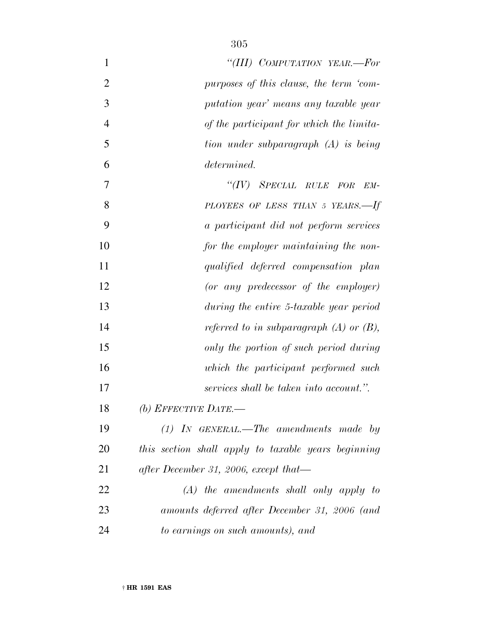| $\mathbf{1}$   | "(III) COMPUTATION YEAR.-For                        |
|----------------|-----------------------------------------------------|
| $\overline{2}$ | purposes of this clause, the term 'com-             |
| 3              | putation year' means any taxable year               |
| $\overline{4}$ | of the participant for which the limita-            |
| 5              | tion under subparagraph (A) is being                |
| 6              | determined.                                         |
| 7              | "(IV) SPECIAL RULE FOR<br>$EM-$                     |
| 8              | PLOYEES OF LESS THAN 5 YEARS.-If                    |
| 9              | a participant did not perform services              |
| 10             | for the employer maintaining the non-               |
| 11             | qualified deferred compensation plan                |
| 12             | (or any predecessor of the employer)                |
| 13             | during the entire 5-taxable year period             |
| 14             | referred to in subparagraph $(A)$ or $(B)$ ,        |
| 15             | only the portion of such period during              |
| 16             | which the participant performed such                |
| 17             | services shall be taken into account.".             |
| 18             | (b) EFFECTIVE DATE.—                                |
| 19             | $(1)$ IN GENERAL.—The amendments made by            |
| 20             | this section shall apply to taxable years beginning |
| 21             | after December 31, 2006, except that—               |
| 22             | $(A)$ the amendments shall only apply to            |
| 23             | amounts deferred after December 31, 2006 (and       |
| 24             | to earnings on such amounts), and                   |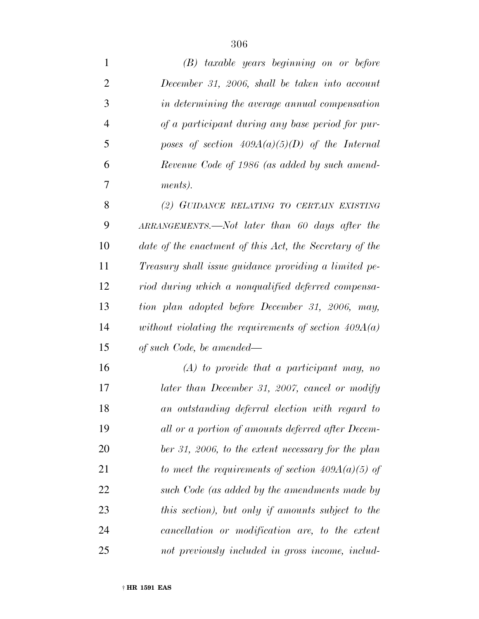| $\mathbf{1}$   | $(B)$ taxable years beginning on or before              |
|----------------|---------------------------------------------------------|
| $\overline{2}$ | December 31, 2006, shall be taken into account          |
| 3              | in determining the average annual compensation          |
| $\overline{4}$ | of a participant during any base period for pur-        |
| 5              | poses of section $409A(a)(5)(D)$ of the Internal        |
| 6              | Revenue Code of 1986 (as added by such amend-           |
| 7              | ments).                                                 |
| 8              | (2) GUIDANCE RELATING TO CERTAIN EXISTING               |
| 9              | ARRANGEMENTS.—Not later than 60 days after the          |
| 10             | date of the enactment of this Act, the Secretary of the |
| 11             | Treasury shall issue guidance providing a limited pe-   |
| 12             | riod during which a nonqualified deferred compensa-     |
| 13             | tion plan adopted before December 31, 2006, may,        |
| 14             | without violating the requirements of section $409A(a)$ |
| 15             | of such Code, be amended—                               |
| 16             | $(A)$ to provide that a participant may, no             |
| 17             | later than December 31, 2007, cancel or modify          |
| 18             | an outstanding deferral election with regard to         |
| 19             | all or a portion of amounts deferred after Decem-       |
| 20             | ber 31, 2006, to the extent necessary for the plan      |
| 21             | to meet the requirements of section $409A(a)(5)$ of     |
| 22             | such Code (as added by the amendments made by           |
| 23             | this section), but only if amounts subject to the       |
| 24             | cancellation or modification are, to the extent         |
| 25             | not previously included in gross income, includ-        |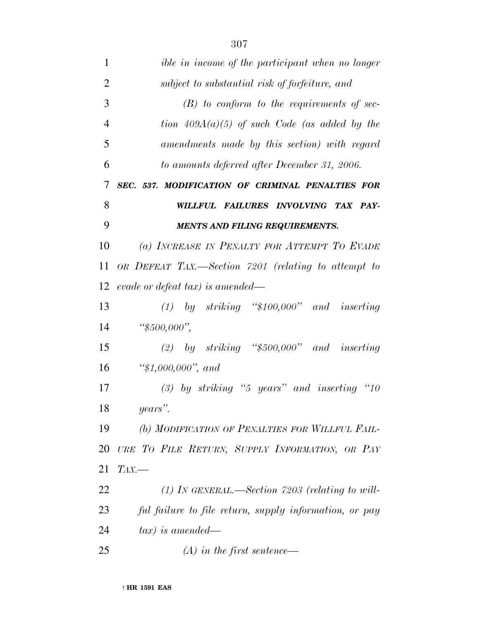| $\mathbf{1}$   | ible in income of the participant when no longer       |
|----------------|--------------------------------------------------------|
| $\overline{2}$ | subject to substantial risk of forfeiture, and         |
| 3              | $(B)$ to conform to the requirements of sec-           |
| $\overline{4}$ | tion $409A(a)(5)$ of such Code (as added by the        |
| 5              | amendments made by this section) with regard           |
| 6              | to amounts deferred after December 31, 2006.           |
| 7              | SEC. 537. MODIFICATION OF CRIMINAL PENALTIES FOR       |
| 8              | WILLFUL FAILURES INVOLVING TAX PAY-                    |
| 9              | MENTS AND FILING REQUIREMENTS.                         |
| 10             | (a) INCREASE IN PENALTY FOR ATTEMPT TO EVADE           |
| 11             | OR DEFEAT TAX.—Section 7201 (relating to attempt to    |
| 12             | evade or defeat tax) is amended—                       |
| 13             | $(1)$ by striking "\$100,000" and inserting            |
| 14             | " $$500,000",$                                         |
| 15             | (2) by striking " $$500,000"$ and inserting            |
| 16             | " $$1,000,000"$ , and                                  |
| 17             | $(3)$ by striking "5 years" and inserting "10          |
| 18             | years".                                                |
| 19             | (b) MODIFICATION OF PENALTIES FOR WILLFUL FAIL-        |
| 20             | URE TO FILE RETURN, SUPPLY INFORMATION, OR PAY         |
| 21             | $TAX$ .                                                |
| 22             | $(1)$ In GENERAL.—Section 7203 (relating to will-      |
| 23             | ful failure to file return, supply information, or pay |
| 24             | $tax)$ is amended—                                     |
| 25             | $(A)$ in the first sentence—                           |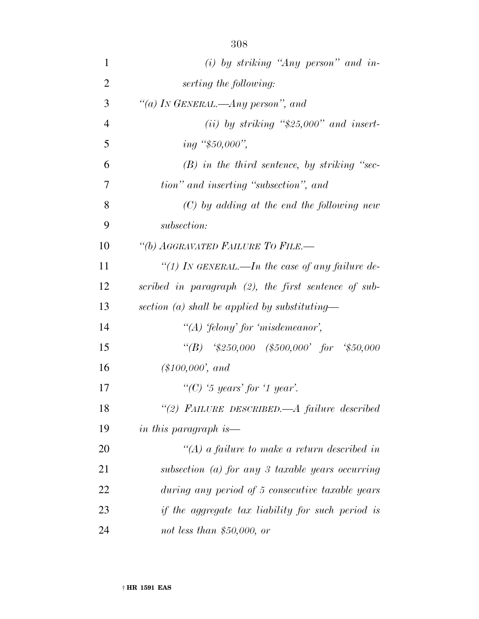| $\mathbf{1}$   | $(i)$ by striking "Any person" and in-                     |
|----------------|------------------------------------------------------------|
| $\overline{2}$ | serting the following:                                     |
| 3              | "(a) In GENERAL.—Any person", and                          |
| $\overline{4}$ | (ii) by striking " $$25,000"$ and insert-                  |
| 5              | ing "\$50,000",                                            |
| 6              | $(B)$ in the third sentence, by striking "sec-             |
| 7              | tion" and inserting "subsection", and                      |
| 8              | $(C)$ by adding at the end the following new               |
| 9              | subsection:                                                |
| 10             | "(b) AGGRAVATED FAILURE TO FILE.-                          |
| 11             | "(1) IN GENERAL.—In the case of any failure de-            |
| 12             | scribed in paragraph (2), the first sentence of sub-       |
| 13             | section (a) shall be applied by substituting—              |
| 14             | "(A) 'felony' for 'misdemeanor',                           |
| 15             | "(B) $\frac{4}{50,000}$ (\$500,000' for $\frac{4}{50,000}$ |
| 16             | $(\$100,000', and$                                         |
| 17             | "(C) '5 years' for '1 year'.                               |
| 18             | "(2) FAILURE DESCRIBED.—A failure described                |
| 19             | in this paragraph is—                                      |
| 20             | "(A) a failure to make a return described in               |
| 21             | subsection (a) for any 3 taxable years occurring           |
| 22             | during any period of 5 consecutive taxable years           |
| 23             | if the aggregate tax liability for such period is          |
| 24             | not less than $$50,000$ , or                               |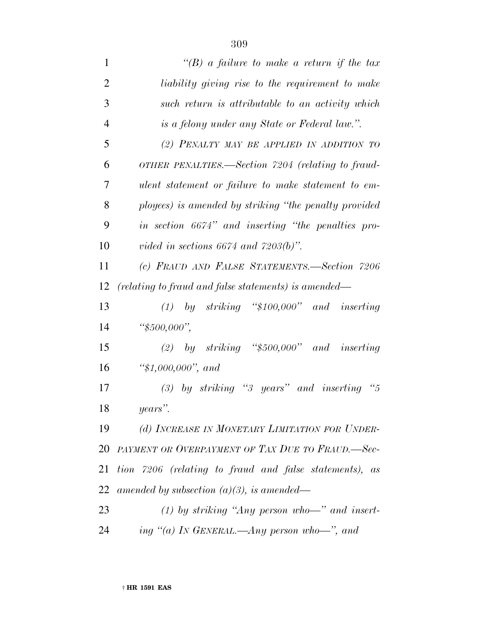| $\mathbf{1}$   | "(B) a failure to make a return if the tax             |
|----------------|--------------------------------------------------------|
| $\overline{2}$ | liability giving rise to the requirement to make       |
| 3              | such return is attributable to an activity which       |
| $\overline{4}$ | is a felony under any State or Federal law.".          |
| 5              | (2) PENALTY MAY BE APPLIED IN ADDITION TO              |
| 6              | OTHER PENALTIES.—Section 7204 (relating to fraud-      |
| 7              | ulent statement or failure to make statement to em-    |
| 8              | ployees) is amended by striking "the penalty provided  |
| 9              | in section 6674" and inserting "the penalties pro-     |
| 10             | vided in sections 6674 and $7203(b)$ ".                |
| 11             | (c) FRAUD AND FALSE STATEMENTS.-Section 7206           |
| 12             | (relating to fraud and false statements) is amended—   |
| 13             | $(1)$ by striking "\$100,000" and inserting            |
| 14             | " $$500,000",$                                         |
| 15             | (2) by striking " $$500,000"$ and inserting            |
| 16             | " $$1,000,000"$ , and                                  |
| 17             | $(3)$ by striking "3 years" and inserting "5           |
| 18             | years".                                                |
| 19             | (d) INCREASE IN MONETARY LIMITATION FOR UNDER-         |
| 20             | PAYMENT OR OVERPAYMENT OF TAX DUE TO FRAUD.-Sec-       |
| 21             | tion 7206 (relating to fraud and false statements), as |
| 22             | amended by subsection $(a)(3)$ , is amended—           |
| 23             | (1) by striking "Any person who-" and insert-          |
| 24             | ing "(a) In GENERAL.—Any person who—", and             |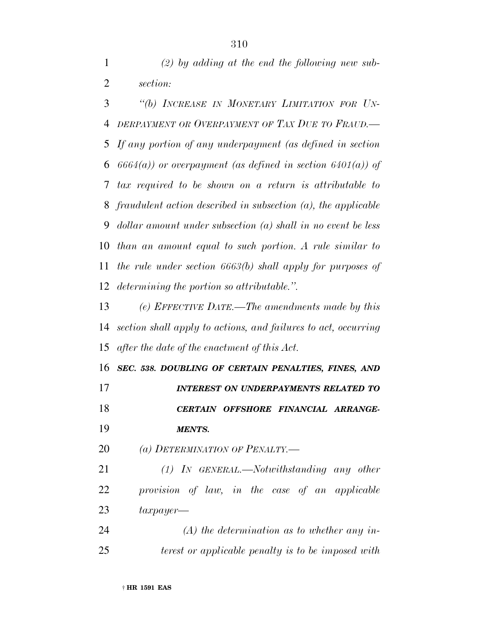*(2) by adding at the end the following new sub-section:*

 *''(b) INCREASE IN MONETARY LIMITATION FOR UN- DERPAYMENT OR OVERPAYMENT OF TAX DUE TO FRAUD.— If any portion of any underpayment (as defined in section 6664(a)) or overpayment (as defined in section 6401(a)) of tax required to be shown on a return is attributable to fraudulent action described in subsection (a), the applicable dollar amount under subsection (a) shall in no event be less than an amount equal to such portion. A rule similar to the rule under section 6663(b) shall apply for purposes of determining the portion so attributable.''.*

 *(e) EFFECTIVE DATE.—The amendments made by this section shall apply to actions, and failures to act, occurring after the date of the enactment of this Act.*

 *SEC. 538. DOUBLING OF CERTAIN PENALTIES, FINES, AND INTEREST ON UNDERPAYMENTS RELATED TO CERTAIN OFFSHORE FINANCIAL ARRANGE-MENTS.*

*(a) DETERMINATION OF PENALTY.—*

 *(1) IN GENERAL.—Notwithstanding any other provision of law, in the case of an applicable taxpayer—*

 *(A) the determination as to whether any in-terest or applicable penalty is to be imposed with*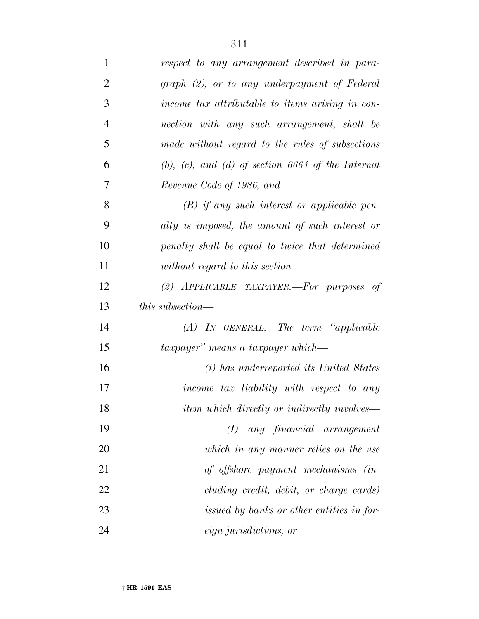| $\mathbf{1}$   | respect to any arrangement described in para-             |
|----------------|-----------------------------------------------------------|
| $\overline{2}$ | graph (2), or to any underpayment of Federal              |
| 3              | income tax attributable to items arising in con-          |
| $\overline{4}$ | nection with any such arrangement, shall be               |
| 5              | made without regard to the rules of subsections           |
| 6              | $(b)$ , $(c)$ , and $(d)$ of section 6664 of the Internal |
| 7              | Revenue Code of 1986, and                                 |
| 8              | $(B)$ if any such interest or applicable pen-             |
| 9              | alty is imposed, the amount of such interest or           |
| 10             | penalty shall be equal to twice that determined           |
| 11             | without regard to this section.                           |
| 12             | (2) APPLICABLE TAXPAYER.-For purposes of                  |
| 13             | <i>this subsection—</i>                                   |
| 14             | $(A)$ IN GENERAL.—The term "applicable"                   |
| 15             | taxpayer" means a taxpayer which—                         |
| 16             | (i) has underreported its United States                   |
| 17             | income tax liability with respect to any                  |
| 18             | <i>item which directly or indirectly involves—</i>        |
| 19             | any financial arrangement<br>$\left( I\right)$            |
| 20             | which in any manner relies on the use                     |
| 21             | of offshore payment mechanisms (in-                       |
| 22             | cluding credit, debit, or charge cards)                   |
| 23             | issued by banks or other entities in for-                 |
| 24             | eign jurisdictions, or                                    |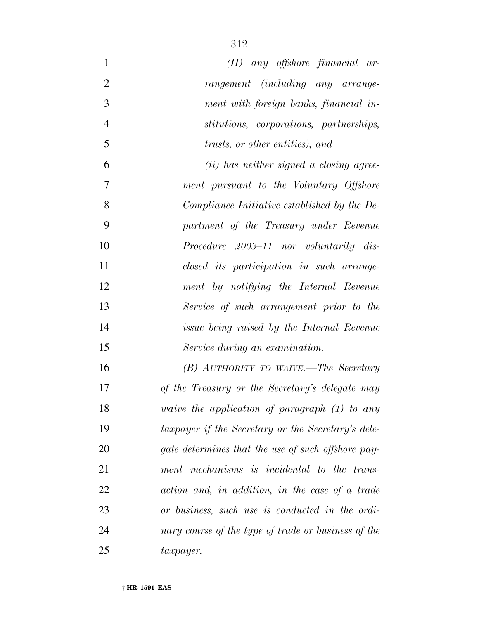| $\mathbf{1}$   | $(II)$ any offshore financial ar-                      |
|----------------|--------------------------------------------------------|
| $\overline{2}$ | rangement (including any arrange-                      |
| 3              | ment with foreign banks, financial in-                 |
| $\overline{4}$ | stitutions, corporations, partnerships,                |
| 5              | trusts, or other entities), and                        |
| 6              | (ii) has neither signed a closing agree-               |
| 7              | ment pursuant to the Voluntary Offshore                |
| 8              | Compliance Initiative established by the De-           |
| 9              | partment of the Treasury under Revenue                 |
| 10             | <i>Procedure 2003–11 nor voluntarily dis-</i>          |
| 11             | closed its participation in such arrange-              |
| 12             | ment by notifying the Internal Revenue                 |
| 13             | Service of such arrangement prior to the               |
| 14             | <i>issue being raised by the Internal Revenue</i>      |
| 15             | Service during an examination.                         |
| 16             | (B) AUTHORITY TO WAIVE.—The Secretary                  |
| 17             | of the Treasury or the Secretary's delegate may        |
| 18             | <i>vaive the application of paragraph</i> $(1)$ to any |
| 19             | taxpayer if the Secretary or the Secretary's dele-     |
| 20             | gate determines that the use of such offshore pay-     |
| 21             | ment mechanisms is incidental to the trans-            |
| 22             | action and, in addition, in the case of a trade        |
| 23             | or business, such use is conducted in the ordi-        |
| 24             | nary course of the type of trade or business of the    |
| 25             | $\iota x \mathit{payer}.$                              |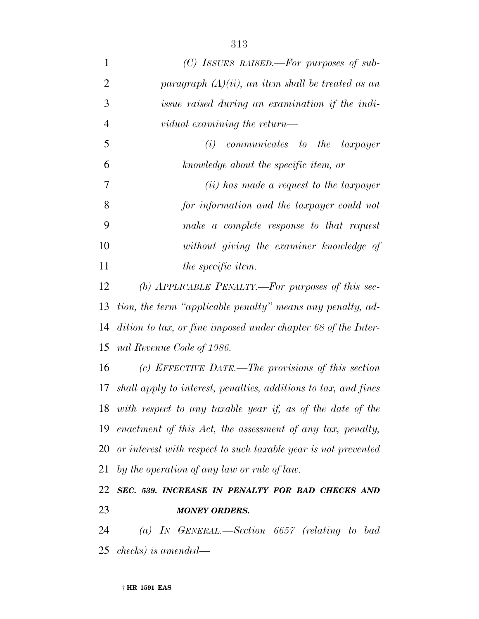| $\mathbf{1}$   | (C) ISSUES RAISED.—For purposes of sub-                            |
|----------------|--------------------------------------------------------------------|
| $\overline{2}$ | paragraph $(A)(ii)$ , an item shall be treated as an               |
| 3              | issue raised during an examination if the indi-                    |
| 4              | vidual examining the return—                                       |
| 5              | communicates to the taxpayer<br>(i)                                |
| 6              | knowledge about the specific item, or                              |
| 7              | ( <i>ii</i> ) has made a request to the taxpayer                   |
| 8              | for information and the taxpayer could not                         |
| 9              | make a complete response to that request                           |
| 10             | without giving the examiner knowledge of                           |
| 11             | <i>the specific item.</i>                                          |
| 12             | (b) APPLICABLE PENALTY.—For purposes of this sec-                  |
| 13             | tion, the term "applicable penalty" means any penalty, ad-         |
| 14             | dition to tax, or fine imposed under chapter 68 of the Inter-      |
| 15             | nal Revenue Code of 1986.                                          |
| 16             | (c) EFFECTIVE DATE.—The provisions of this section                 |
|                | 17 shall apply to interest, penalties, additions to tax, and fines |
| 18             | with respect to any taxable year if, as of the date of the         |
| 19             | enactment of this Act, the assessment of any tax, penalty,         |
| 20             | or interest with respect to such taxable year is not prevented     |
| 21             | by the operation of any law or rule of law.                        |
| 22             | SEC. 539. INCREASE IN PENALTY FOR BAD CHECKS AND                   |
| 23             | <b>MONEY ORDERS.</b>                                               |

 *(a) IN GENERAL.—Section 6657 (relating to bad checks) is amended—*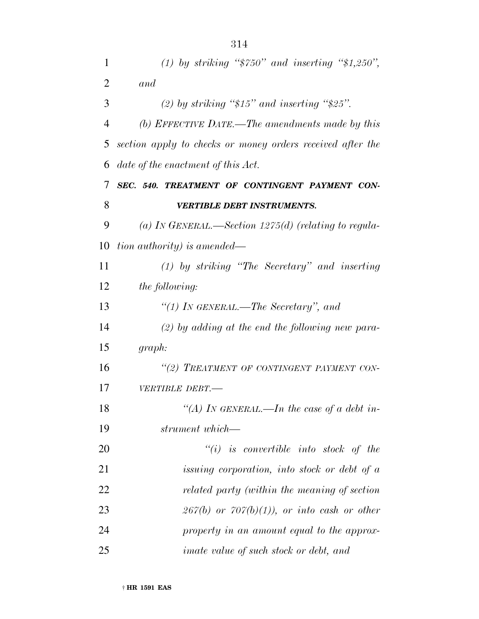| $\mathbf{1}$   | (1) by striking " $\$750"$ and inserting " $\$1,250"$ ,    |
|----------------|------------------------------------------------------------|
| $\overline{2}$ | and                                                        |
| 3              | (2) by striking " $$15"$ and inserting " $$25"$ .          |
| $\overline{4}$ | (b) EFFECTIVE DATE.—The amendments made by this            |
| 5              | section apply to checks or money orders received after the |
| 6              | date of the enactment of this Act.                         |
| 7              | SEC. 540. TREATMENT OF CONTINGENT PAYMENT CON-             |
| 8              | <b>VERTIBLE DEBT INSTRUMENTS.</b>                          |
| 9              | (a) IN GENERAL.—Section 1275(d) (relating to regula-       |
| 10             | tion authority) is amended—                                |
| 11             | $(1)$ by striking "The Secretary" and inserting            |
| 12             | <i>the following:</i>                                      |
| 13             | "(1) In GENERAL.—The Secretary", and                       |
| 14             | $(2)$ by adding at the end the following new para-         |
| 15             | graph:                                                     |
| 16             | "(2) TREATMENT OF CONTINGENT PAYMENT CON-                  |
| 17             | VERTIBLE DEBT.-                                            |
| 18             | "(A) IN GENERAL.—In the case of a debt in-                 |
| 19             | strument which—                                            |
| 20             | $``(i)$ is convertible into stock of the                   |
| 21             | issuing corporation, into stock or debt of a               |
| 22             | related party (within the meaning of section               |
| 23             | $267(b)$ or $707(b)(1)$ , or into cash or other            |
| 24             | property in an amount equal to the approx-                 |
| 25             | <i>imate value of such stock or debt, and</i>              |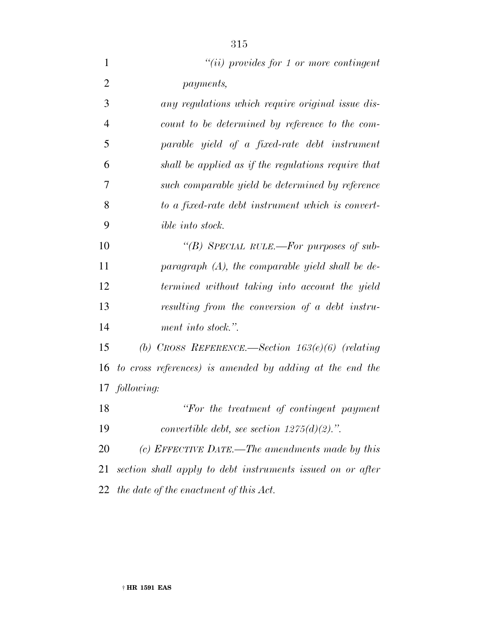| $\mathbf{1}$   | $"(ii)$ provides for 1 or more contingent                  |
|----------------|------------------------------------------------------------|
| $\overline{2}$ | <i>payments,</i>                                           |
| 3              | any regulations which require original issue dis-          |
| $\overline{4}$ | count to be determined by reference to the com-            |
| 5              | parable yield of a fixed-rate debt instrument              |
| 6              | shall be applied as if the regulations require that        |
| 7              | such comparable yield be determined by reference           |
| 8              | to a fixed-rate debt instrument which is convert-          |
| 9              | <i>ible into stock.</i>                                    |
| 10             | "(B) SPECIAL RULE.—For purposes of sub-                    |
| 11             | paragraph $(A)$ , the comparable yield shall be de-        |
| 12             | termined without taking into account the yield             |
| 13             | resulting from the conversion of a debt instru-            |
| 14             | ment into stock.".                                         |
| 15             | (b) CROSS REFERENCE.—Section $163(e)(6)$ (relating         |
| 16             | to cross references) is amended by adding at the end the   |
|                | 17 following:                                              |
| 18             | "For the treatment of contingent payment"                  |
| 19             | convertible debt, see section $1275(d)(2)$ .".             |
| 20             | (c) EFFECTIVE DATE.—The amendments made by this            |
| 21             | section shall apply to debt instruments issued on or after |
| 22             | the date of the enactment of this Act.                     |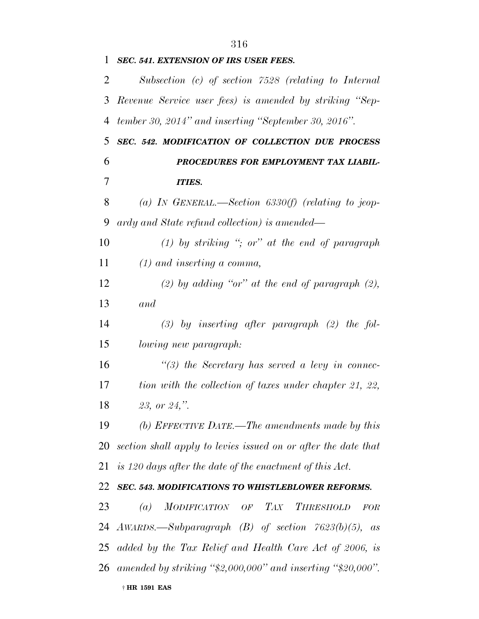| 1  | SEC. 541. EXTENSION OF IRS USER FEES.                             |
|----|-------------------------------------------------------------------|
| 2  | Subsection (c) of section 7528 (relating to Internal              |
| 3  | Revenue Service user fees) is amended by striking "Sep-           |
| 4  | tember 30, 2014" and inserting "September 30, 2016".              |
| 5  | SEC. 542. MODIFICATION OF COLLECTION DUE PROCESS                  |
| 6  | PROCEDURES FOR EMPLOYMENT TAX LIABIL-                             |
| 7  | <b>ITIES.</b>                                                     |
| 8  | (a) IN GENERAL.—Section $6330(f)$ (relating to jeop-              |
| 9  | ardy and State refund collection) is amended—                     |
| 10 | (1) by striking "; or" at the end of paragraph                    |
| 11 | $(1)$ and inserting a comma,                                      |
| 12 | $(2)$ by adding "or" at the end of paragraph $(2)$ ,              |
| 13 | and                                                               |
| 14 | $(3)$ by inserting after paragraph $(2)$ the fol-                 |
| 15 | lowing new paragraph:                                             |
| 16 | $\lq(3)$ the Secretary has served a levy in connec-               |
| 17 | tion with the collection of taxes under chapter 21, 22,           |
| 18 | 23, or 24,".                                                      |
| 19 | (b) EFFECTIVE DATE.—The amendments made by this                   |
|    | 20 section shall apply to levies issued on or after the date that |
|    | 21 is 120 days after the date of the enactment of this Act.       |
| 22 | SEC. 543. MODIFICATIONS TO WHISTLEBLOWER REFORMS.                 |
| 23 | (a) MODIFICATION OF TAX<br><b>THRESHOLD</b><br><b>FOR</b>         |
|    | 24 AWARDS.—Subparagraph $(B)$ of section $7623(b)(5)$ ,<br>as     |
|    | 25 added by the Tax Relief and Health Care Act of 2006, is        |
|    | 26 amended by striking "\$2,000,000" and inserting "\$20,000".    |
|    | † HR 1591 EAS                                                     |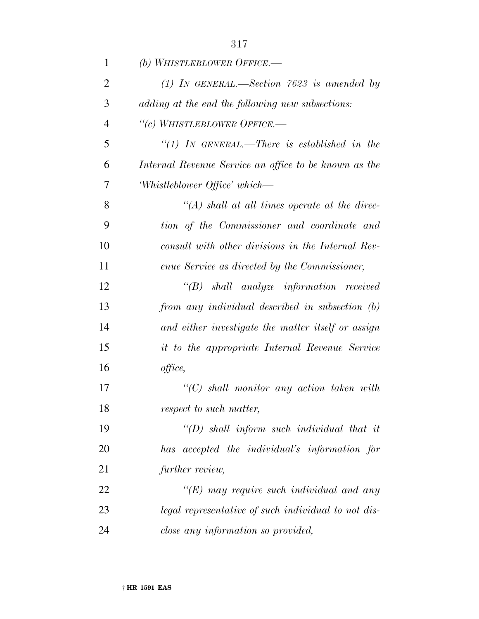| $\mathbf{1}$   | (b) WHISTLEBLOWER OFFICE.—                            |
|----------------|-------------------------------------------------------|
| $\overline{2}$ | (1) IN GENERAL.—Section 7623 is amended by            |
| 3              | adding at the end the following new subsections:      |
| $\overline{4}$ | "(c) WHISTLEBLOWER OFFICE.-                           |
| 5              | " $(1)$ IN GENERAL.—There is established in the       |
| 6              | Internal Revenue Service an office to be known as the |
| 7              | Whistleblower Office' which—                          |
| 8              | $\lq (A)$ shall at all times operate at the direc-    |
| 9              | tion of the Commissioner and coordinate and           |
| 10             | consult with other divisions in the Internal Rev-     |
| 11             | enue Service as directed by the Commissioner,         |
| 12             | $\lq\lq B$ shall analyze information received         |
| 13             | from any individual described in subsection (b)       |
| 14             | and either investigate the matter itself or assign    |
| 15             | it to the appropriate Internal Revenue Service        |
| 16             | office,                                               |
| 17             | $\lq\lq C$ shall monitor any action taken with        |
| 18             | respect to such matter,                               |
| 19             | $\lq (D)$ shall inform such individual that it        |
| 20             | has accepted the individual's information for         |
| 21             | further review,                                       |
| 22             | $\lq (E)$ may require such individual and any         |
| 23             | legal representative of such individual to not dis-   |
| 24             | close any information so provided,                    |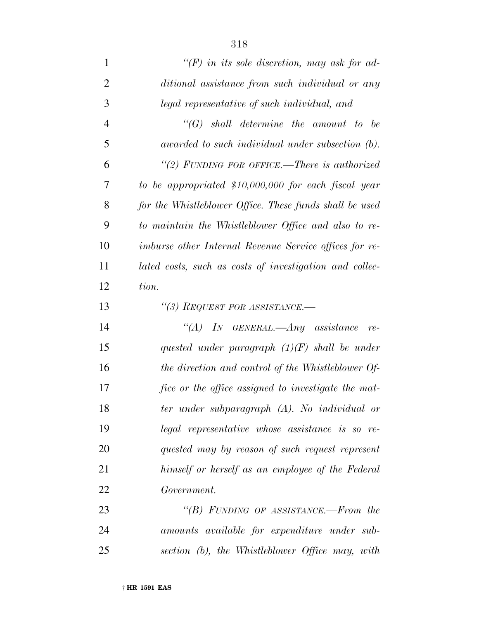| $\mathbf{1}$   | $\lq (F)$ in its sole discretion, may ask for ad-             |
|----------------|---------------------------------------------------------------|
| $\overline{2}$ | ditional assistance from such individual or any               |
| 3              | legal representative of such individual, and                  |
| $\overline{4}$ | $\lq\lq(G)$ shall determine the amount to be                  |
| 5              | awarded to such individual under subsection (b).              |
| 6              | "(2) FUNDING FOR OFFICE.—There is authorized                  |
| 7              | to be appropriated \$10,000,000 for each fiscal year          |
| 8              | for the Whistleblower Office. These funds shall be used       |
| 9              | to maintain the Whistleblower Office and also to re-          |
| 10             | <i>imburse other Internal Revenue Service offices for re-</i> |
| 11             | lated costs, such as costs of investigation and collec-       |
| 12             | tion.                                                         |
| 13             | "(3) REQUEST FOR ASSISTANCE.-                                 |
| 14             | "(A) IN GENERAL.—Any assistance<br>$re-$                      |
| 15             | quested under paragraph $(1)(F)$ shall be under               |
| 16             | the direction and control of the Whistleblower Of-            |
| 17             | fice or the office assigned to investigate the mat-           |
| 18             | ter under subparagraph (A). No individual or                  |
| 19             | legal representative whose assistance is so re-               |
| 20             | quested may by reason of such request represent               |
| 21             | himself or herself as an employee of the Federal              |
| 22             | Government.                                                   |
| 23             | "(B) FUNDING OF ASSISTANCE.—From the                          |
| 24             | amounts available for expenditure under sub-                  |

*section (b), the Whistleblower Office may, with*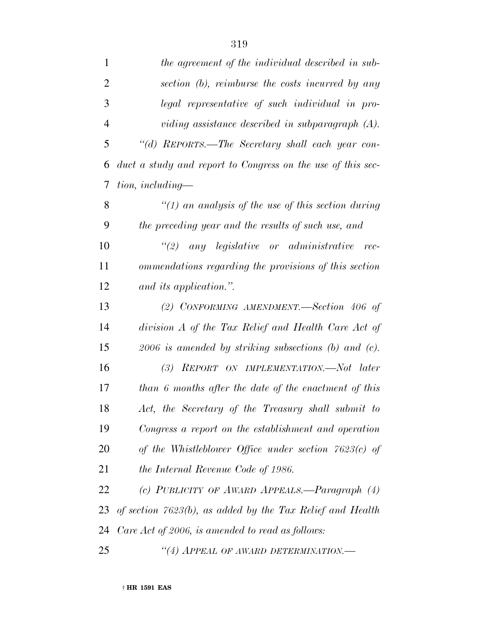| $\mathbf{1}$   | the agreement of the individual described in sub-            |
|----------------|--------------------------------------------------------------|
| $\overline{2}$ | section (b), reimburse the costs incurred by any             |
| 3              | legal representative of such individual in pro-              |
| $\overline{4}$ | viding assistance described in subparagraph $(A)$ .          |
| 5              | "(d) REPORTS.—The Secretary shall each year con-             |
| 6              | duct a study and report to Congress on the use of this sec-  |
| 7              | $tion, including-$                                           |
| 8              | "(1) an analysis of the use of this section during           |
| 9              | the preceding year and the results of such use, and          |
| 10             | $\lq(2)$ any legislative or administrative rec-              |
| 11             | ommendations regarding the provisions of this section        |
| 12             | and its application.".                                       |
| 13             | (2) CONFORMING AMENDMENT.—Section $406$ of                   |
| 14             | division A of the Tax Relief and Health Care Act of          |
| 15             | $2006$ is amended by striking subsections (b) and (c).       |
| 16             | (3) REPORT ON IMPLEMENTATION.—Not later                      |
| 17             | than 6 months after the date of the enactment of this        |
| 18             | Act, the Secretary of the Treasury shall submit to           |
| 19             | Congress a report on the establishment and operation         |
| 20             | of the Whistleblower Office under section $7623(c)$ of       |
| 21             | the Internal Revenue Code of 1986.                           |
| 22             | (c) PUBLICITY OF AWARD APPEALS.—Paragraph (4)                |
| 23             | of section $7623(b)$ , as added by the Tax Relief and Health |
| 24             | Care Act of 2006, is amended to read as follows:             |
| 25             | "(4) APPEAL OF AWARD DETERMINATION.-                         |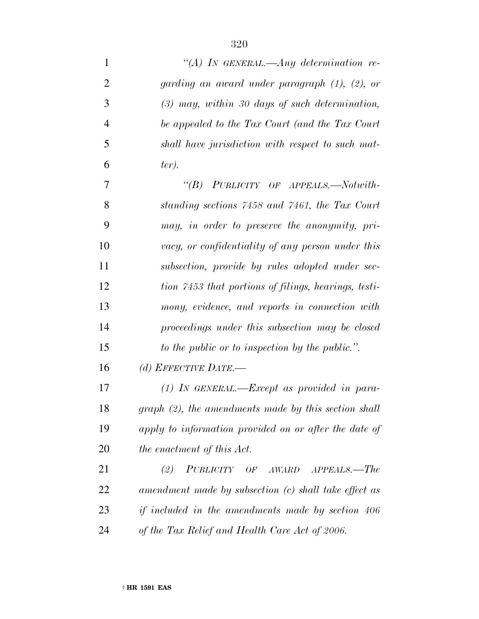| $\mathbf{1}$   | "(A) IN GENERAL.—Any determination re-                   |
|----------------|----------------------------------------------------------|
| $\overline{2}$ | garding an award under paragraph $(1)$ , $(2)$ , or      |
| 3              | $(3)$ may, within 30 days of such determination,         |
| $\overline{4}$ | be appealed to the Tax Court (and the Tax Court          |
| 5              | shall have jurisdiction with respect to such mat-        |
| 6              | $ter)$ .                                                 |
| 7              | "(B) PUBLICITY OF APPEALS.—Notwith-                      |
| 8              | standing sections 7458 and 7461, the Tax Court           |
| 9              | may, in order to preserve the anonymity, pri-            |
| 10             | vacy, or confidentiality of any person under this        |
| 11             | subsection, provide by rules adopted under sec-          |
| 12             | tion 7453 that portions of filings, hearings, testi-     |
| 13             | mony, evidence, and reports in connection with           |
| 14             | proceedings under this subsection may be closed          |
| 15             | to the public or to inspection by the public.".          |
| 16             | (d) EFFECTIVE DATE.—                                     |
| 17             | $(1)$ IN GENERAL.—Except as provided in para-            |
| 18             | $graph (2)$ , the amendments made by this section shall  |
| 19             | apply to information provided on or after the date of    |
| 20             | the enactment of this Act.                               |
| 21             | PUBLICITY OF AWARD APPEALS.-The<br>(2)                   |
| 22             | amendment made by subsection (c) shall take effect as    |
| 23             | <i>if included in the amendments made by section 406</i> |
| 24             | of the Tax Relief and Health Care Act of 2006.           |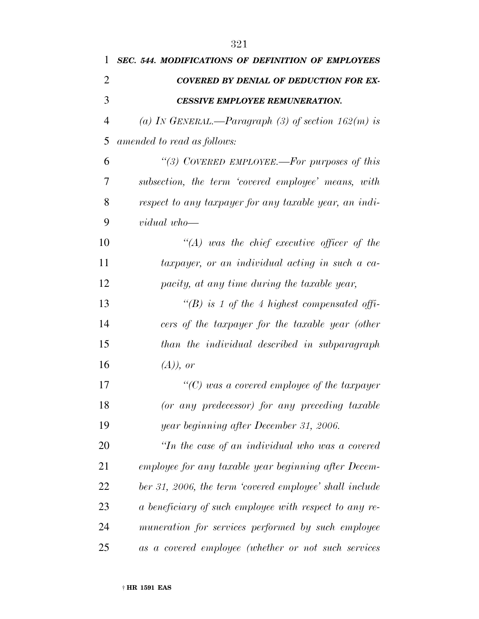| 1              | <b>SEC. 544. MODIFICATIONS OF DEFINITION OF EMPLOYEES</b> |
|----------------|-----------------------------------------------------------|
| $\overline{2}$ | <b>COVERED BY DENIAL OF DEDUCTION FOR EX-</b>             |
| 3              | <b>CESSIVE EMPLOYEE REMUNERATION.</b>                     |
| 4              | (a) In GENERAL.—Paragraph (3) of section $162(m)$ is      |
| 5              | amended to read as follows:                               |
| 6              | "(3) COVERED EMPLOYEE.—For purposes of this               |
| 7              | subsection, the term 'covered employee' means, with       |
| 8              | respect to any taxpayer for any taxable year, an indi-    |
| 9              | vidual who-                                               |
| 10             | $\lq\lq (A)$ was the chief executive officer of the       |
| 11             | taxpayer, or an individual acting in such a ca-           |
| 12             | pacity, at any time during the taxable year,              |
| 13             | "(B) is 1 of the 4 highest compensated offi-              |
| 14             | cers of the taxpayer for the taxable year (other          |
| 15             | than the individual described in subparagraph             |
| 16             | $(A)$ , or                                                |
| 17             | $\lq\lq C$ ) was a covered employee of the taxpayer       |
| 18             | (or any predecessor) for any preceding taxable            |
| 19             | year beginning after December 31, 2006.                   |
| 20             | "In the case of an individual who was a covered           |
| 21             | employee for any taxable year beginning after Decem-      |
| 22             | ber 31, 2006, the term 'covered employee' shall include   |
| 23             | a beneficiary of such employee with respect to any re-    |
| 24             | muneration for services performed by such employee        |
| 25             | as a covered employee (whether or not such services       |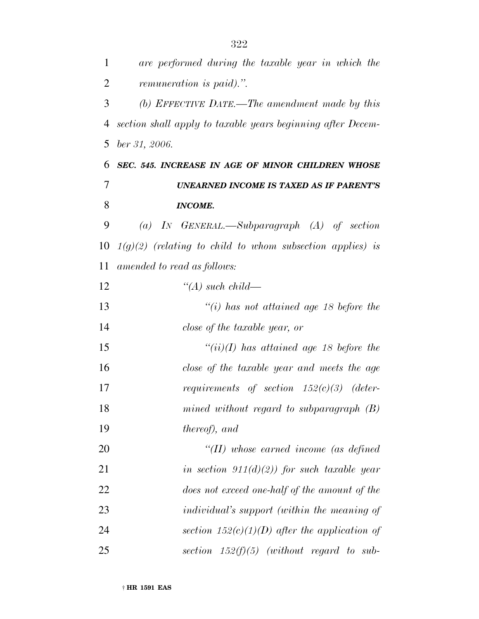| $\mathbf{1}$ | are performed during the taxable year in which the               |
|--------------|------------------------------------------------------------------|
| 2            | remuneration is paid).".                                         |
| 3            | (b) EFFECTIVE DATE.—The amendment made by this                   |
| 4            | section shall apply to taxable years beginning after Decem-      |
| 5            | ber 31, 2006.                                                    |
| 6            | SEC. 545. INCREASE IN AGE OF MINOR CHILDREN WHOSE                |
| 7            | <b>UNEARNED INCOME IS TAXED AS IF PARENT'S</b>                   |
| 8            | <b>INCOME.</b>                                                   |
| 9            | (a) IN GENERAL.—Subparagraph $(A)$ of section                    |
| 10           | $1(g)(2)$ (relating to child to whom subsection applies) is      |
| 11           | amended to read as follows:                                      |
| 12           | $\lq (A)$ such child—                                            |
| 13           | $\degree$ (i) has not attained age 18 before the                 |
| 14           | close of the taxable year, or                                    |
| 15           | $``(ii)(I)$ has attained age 18 before the                       |
| 16           | close of the taxable year and meets the age                      |
| 17           | <i>requirements of section <math>152(c)(3)</math></i><br>(deter- |
| 18           | mined without regard to subparagraph $(B)$                       |
| 19           | <i>thereof</i> ), and                                            |
| 20           | $\lq (II)$ whose earned income (as defined                       |
| 21           | in section $911(d)(2)$ for such taxable year                     |
| 22           | does not exceed one-half of the amount of the                    |
| 23           | <i>individual's support (within the meaning of</i>               |
| 24           | section $152(c)(1)(D)$ after the application of                  |
| 25           | section $152(f)(5)$ (without regard to sub-                      |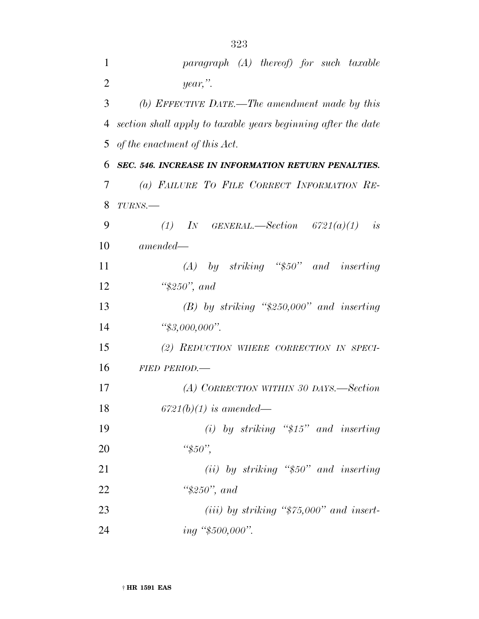| 1              | $paramph$ (A) thereof) for such taxable                       |
|----------------|---------------------------------------------------------------|
| $\overline{2}$ | $year,$ ".                                                    |
| 3              | (b) EFFECTIVE DATE.—The amendment made by this                |
| 4              | section shall apply to taxable years beginning after the date |
| 5              | of the enactment of this Act.                                 |
| 6              | SEC. 546. INCREASE IN INFORMATION RETURN PENALTIES.           |
| 7              | (a) FAILURE TO FILE CORRECT INFORMATION RE-                   |
| 8              | $TURNS$ .                                                     |
| 9              | (1) IN GENERAL.—Section $6721(a)(1)$ is                       |
| 10             | $amended -$                                                   |
| 11             | $(A)$ by striking "\$50" and inserting                        |
| 12             | " $$250"$ , and                                               |
| 13             | $(B)$ by striking "\$250,000" and inserting                   |
| 14             | " $$3,000,000$ ".                                             |
| 15             | (2) REDUCTION WHERE CORRECTION IN SPECI-                      |
| 16             | <b>FIED PERIOD.—</b>                                          |
| 17             | (A) CORRECTION WITHIN 30 DAYS.—Section                        |
| 18             | $6721(b)(1)$ is amended—                                      |
| 19             | (i) by striking " $$15"$ and inserting                        |
| 20             | " $$50"$ ,                                                    |
| 21             | $(ii)$ by striking "\$50" and inserting                       |
| 22             | " $$250"$ , and                                               |
| 23             | (iii) by striking " $$75,000"$ and insert-                    |
|                |                                                               |

*ing ''\$500,000''.*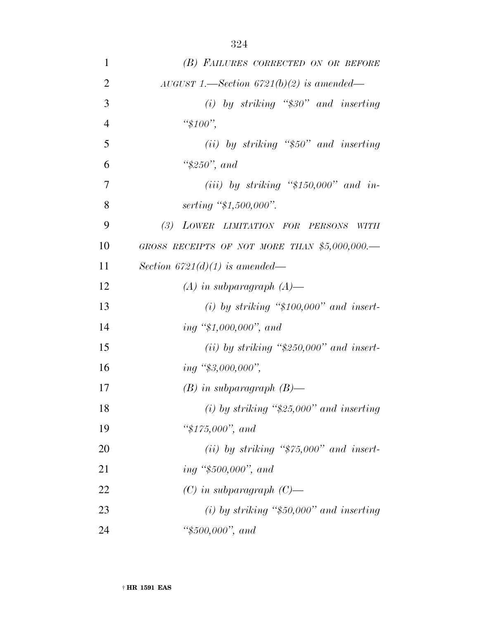| 1              | (B) FAILURES CORRECTED ON OR BEFORE            |
|----------------|------------------------------------------------|
| $\overline{2}$ | AUGUST 1.—Section 6721(b)(2) is amended—       |
| 3              | (i) by striking " $$30"$ and inserting         |
| $\overline{4}$ | " $$100"$ ,                                    |
| 5              | (ii) by striking " $$50"$ and inserting        |
| 6              | " $$250"$ , and                                |
| 7              | (iii) by striking " $$150,000"$ and in-        |
| 8              | serting $\frac{4}{3}4,500,000$ .               |
| 9              | (3) LOWER LIMITATION FOR PERSONS<br>WITH       |
| 10             | GROSS RECEIPTS OF NOT MORE THAN $$5,000,000$ . |
| 11             | Section 6721(d)(1) is amended—                 |
| 12             | $(A)$ in subparagraph $(A)$ —                  |
| 13             | (i) by striking " $$100,000"$ and insert-      |
| 14             | ing " $$1,000,000"$ , and                      |
| 15             | (ii) by striking " $$250,000"$ and insert-     |
| 16             | $ing \, \, \text{\degree\degree$3,000,000},$   |
| 17             | $(B)$ in subparagraph $(B)$ —                  |
| 18             | (i) by striking " $$25,000"$ and inserting     |
| 19             | " $$175,000"$ , and                            |
| 20             | (ii) by striking " $$75,000"$ and insert-      |
| 21             | ing " $$500,000"$ , and                        |
| 22             | $(C)$ in subparagraph $(C)$ —                  |
| 23             | (i) by striking " $$50,000"$ and inserting     |
| 24             | " $$500,000"$ , and                            |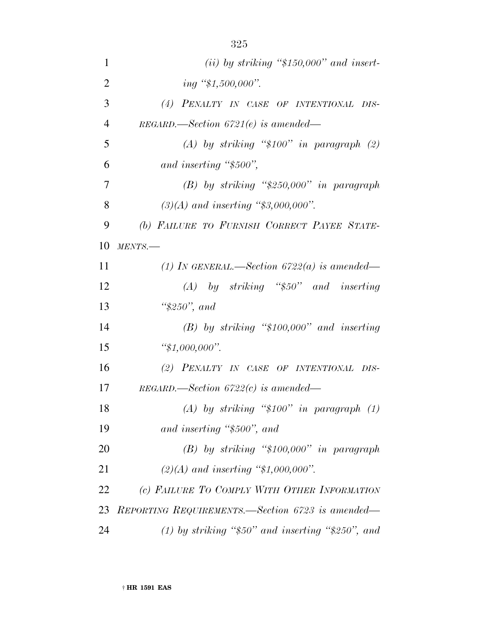| $\mathbf{1}$   | (ii) by striking " $$150,000"$ and insert-             |
|----------------|--------------------------------------------------------|
| $\overline{2}$ | ing "\$1,500,000".                                     |
| 3              | (4) PENALTY IN CASE OF INTENTIONAL DIS-                |
| $\overline{4}$ | $REGARD$ .—Section 6721 $(e)$ is amended—              |
| 5              | (A) by striking " $$100"$ in paragraph (2)             |
| 6              | and inserting "\$500",                                 |
| 7              | $(B)$ by striking "\$250,000" in paragraph             |
| 8              | $(3)(A)$ and inserting "\$3,000,000".                  |
| 9              | (b) FAILURE TO FURNISH CORRECT PAYEE STATE-            |
| 10             | MENTS.                                                 |
| 11             | (1) IN GENERAL.—Section 6722(a) is amended—            |
| 12             | $(A)$ by striking "\$50" and inserting                 |
| 13             | " $$250"$ , and                                        |
| 14             | $(B)$ by striking "\$100,000" and inserting            |
| 15             | " $$1,000,000$ ".                                      |
| 16             | (2) PENALTY IN CASE OF INTENTIONAL DIS-                |
| 17             | $REGARD$ . Section 6722(c) is amended—                 |
| 18             | (A) by striking " $$100"$ in paragraph (1)             |
| 19             | and inserting "\$500", and                             |
| 20             | $(B)$ by striking "\$100,000" in paragraph             |
| 21             | $(2)(A)$ and inserting "\$1,000,000".                  |
| 22             | (c) FAILURE TO COMPLY WITH OTHER INFORMATION           |
| 23             | REPORTING REQUIREMENTS.—Section 6723 is amended—       |
| 24             | (1) by striking " $$50"$ and inserting " $$250"$ , and |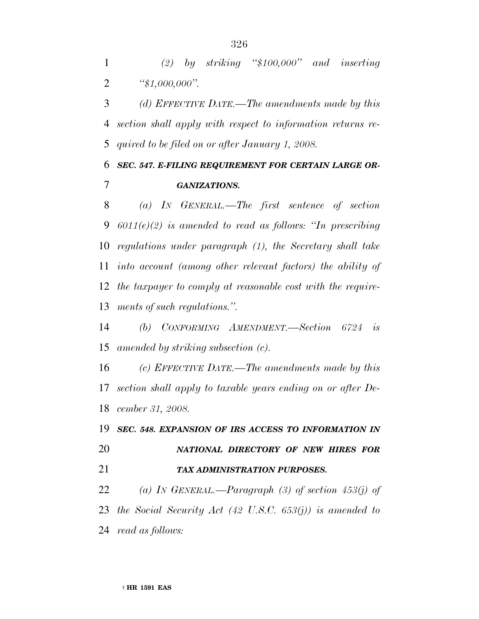*(2) by striking ''\$100,000'' and inserting ''\$1,000,000''.*

 *(d) EFFECTIVE DATE.—The amendments made by this section shall apply with respect to information returns re-quired to be filed on or after January 1, 2008.*

#### *SEC. 547. E-FILING REQUIREMENT FOR CERTAIN LARGE OR-GANIZATIONS.*

 *(a) IN GENERAL.—The first sentence of section 6011(e)(2) is amended to read as follows: ''In prescribing regulations under paragraph (1), the Secretary shall take into account (among other relevant factors) the ability of the taxpayer to comply at reasonable cost with the require-ments of such regulations.''.*

 *(b) CONFORMING AMENDMENT.—Section 6724 is amended by striking subsection (c).*

 *(c) EFFECTIVE DATE.—The amendments made by this section shall apply to taxable years ending on or after De-cember 31, 2008.*

 *SEC. 548. EXPANSION OF IRS ACCESS TO INFORMATION IN NATIONAL DIRECTORY OF NEW HIRES FOR TAX ADMINISTRATION PURPOSES.*

 *(a) IN GENERAL.—Paragraph (3) of section 453(j) of the Social Security Act (42 U.S.C. 653(j)) is amended to read as follows:*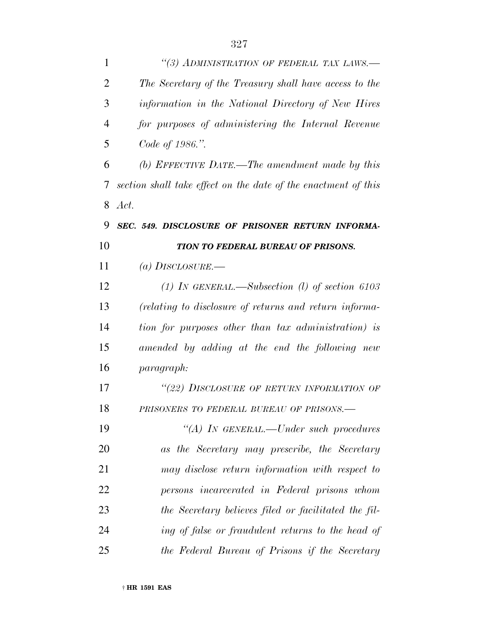| 1  | "(3) ADMINISTRATION OF FEDERAL TAX LAWS.-                      |
|----|----------------------------------------------------------------|
| 2  | The Secretary of the Treasury shall have access to the         |
| 3  | information in the National Directory of New Hires             |
| 4  | for purposes of administering the Internal Revenue             |
| 5  | Code of 1986.".                                                |
| 6  | (b) EFFECTIVE DATE.—The amendment made by this                 |
| 7  | section shall take effect on the date of the enactment of this |
| 8  | Act.                                                           |
| 9  | SEC. 549. DISCLOSURE OF PRISONER RETURN INFORMA-               |
| 10 | <b>TION TO FEDERAL BUREAU OF PRISONS.</b>                      |
| 11 | (a) DISCLOSURE.—                                               |
| 12 | (1) IN GENERAL.—Subsection (1) of section 6103                 |
| 13 | (relating to disclosure of returns and return informa-         |
| 14 | tion for purposes other than tax administration) is            |
| 15 | amended by adding at the end the following new                 |
| 16 | <i>paragraph:</i>                                              |
| 17 | "(22) DISCLOSURE OF RETURN INFORMATION OF                      |
| 18 | PRISONERS TO FEDERAL BUREAU OF PRISONS.-                       |
| 19 | "(A) IN GENERAL.—Under such procedures                         |
| 20 | as the Secretary may prescribe, the Secretary                  |
| 21 | may disclose return information with respect to                |
| 22 | persons incarcerated in Federal prisons whom                   |
| 23 | the Secretary believes filed or facilitated the fil-           |
| 24 | ing of false or fraudulent returns to the head of              |
| 25 | the Federal Bureau of Prisons if the Secretary                 |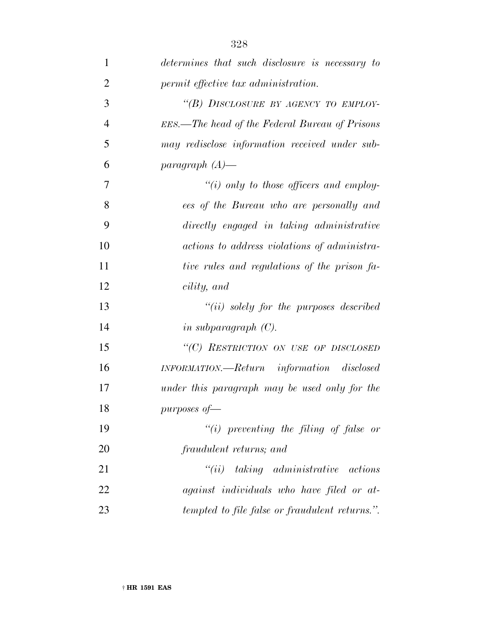| $\mathbf{1}$   | determines that such disclosure is necessary to |
|----------------|-------------------------------------------------|
| $\overline{2}$ | permit effective tax administration.            |
| 3              | "(B) DISCLOSURE BY AGENCY TO EMPLOY-            |
| $\overline{4}$ | EES.—The head of the Federal Bureau of Prisons  |
| 5              | may redisclose information received under sub-  |
| 6              | paragraph $(A)$ —                               |
| 7              | $\lq\lq(i)$ only to those officers and employ-  |
| 8              | ees of the Bureau who are personally and        |
| 9              | directly engaged in taking administrative       |
| 10             | actions to address violations of administra-    |
| 11             | tive rules and regulations of the prison fa-    |
| 12             | cility, and                                     |
| 13             | $``(ii)$ solely for the purposes described      |
| 14             | in subparagraph $(C)$ .                         |
| 15             | "(C) RESTRICTION ON USE OF DISCLOSED            |
| 16             | INFORMATION.—Return information disclosed       |
| 17             | under this paragraph may be used only for the   |
| 18             | purposes of-                                    |
| 19             | $``(i)$ preventing the filing of false or       |
| 20             | fraudulent returns; and                         |
| 21             | $``(ii)$ taking administrative actions          |
| 22             | against individuals who have filed or at-       |
| 23             | tempted to file false or fraudulent returns.".  |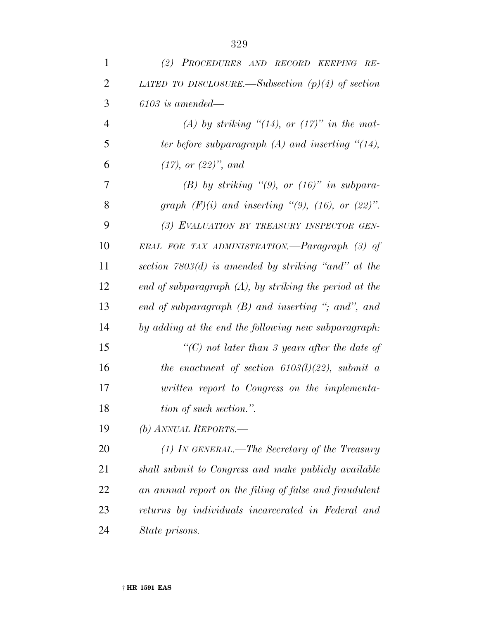| $\mathbf{1}$   | (2) PROCEDURES AND RECORD KEEPING RE-                     |
|----------------|-----------------------------------------------------------|
| 2              | LATED TO DISCLOSURE.—Subsection $(p)(4)$ of section       |
| 3              | $6103$ is amended—                                        |
| $\overline{4}$ | (A) by striking "(14), or (17)" in the mat-               |
| 5              | ter before subparagraph $(A)$ and inserting " $(14)$ ,    |
| 6              | $(17)$ , or $(22)$ ", and                                 |
| 7              | (B) by striking "(9), or $(16)$ " in subpara-             |
| 8              | graph $(F)(i)$ and inserting "(9), (16), or (22)".        |
| 9              | (3) EVALUATION BY TREASURY INSPECTOR GEN-                 |
| 10             | ERAL FOR TAX ADMINISTRATION.—Paragraph (3) of             |
| 11             | section $7803(d)$ is amended by striking "and" at the     |
| 12             | end of subparagraph $(A)$ , by striking the period at the |
| 13             | end of subparagraph $(B)$ and inserting "; and", and      |
| 14             | by adding at the end the following new subparagraph:      |
| 15             | "(C) not later than 3 years after the date of             |
| 16             | the enactment of section $6103(l)(22)$ , submit a         |
| 17             | written report to Congress on the implementa-             |
| 18             | tion of such section.".                                   |
| 19             | (b) ANNUAL REPORTS.—                                      |
| 20             | $(1)$ IN GENERAL.—The Secretary of the Treasury           |
| 21             | shall submit to Congress and make publicly available      |
| 22             | an annual report on the filing of false and fraudulent    |
| 23             | returns by individuals incarcerated in Federal and        |
| 24             | State prisons.                                            |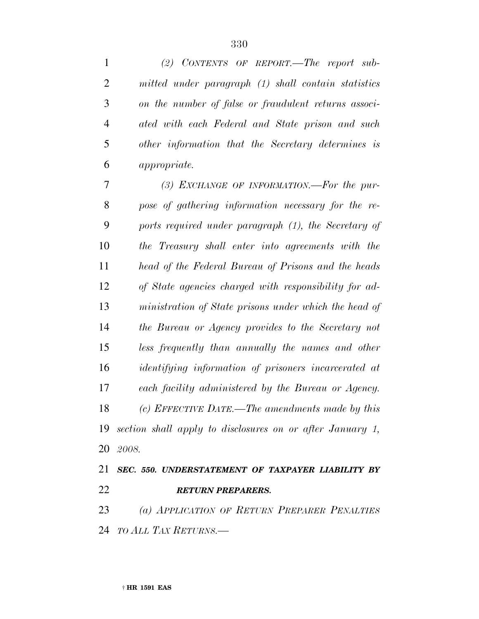*(2) CONTENTS OF REPORT.—The report sub- mitted under paragraph (1) shall contain statistics on the number of false or fraudulent returns associ- ated with each Federal and State prison and such other information that the Secretary determines is appropriate. (3) EXCHANGE OF INFORMATION.—For the pur- pose of gathering information necessary for the re- ports required under paragraph (1), the Secretary of the Treasury shall enter into agreements with the head of the Federal Bureau of Prisons and the heads of State agencies charged with responsibility for ad- ministration of State prisons under which the head of the Bureau or Agency provides to the Secretary not less frequently than annually the names and other identifying information of prisoners incarcerated at each facility administered by the Bureau or Agency. (c) EFFECTIVE DATE.—The amendments made by this section shall apply to disclosures on or after January 1, 2008. SEC. 550. UNDERSTATEMENT OF TAXPAYER LIABILITY BY*

*RETURN PREPARERS.*

 *(a) APPLICATION OF RETURN PREPARER PENALTIES TO ALL TAX RETURNS.—*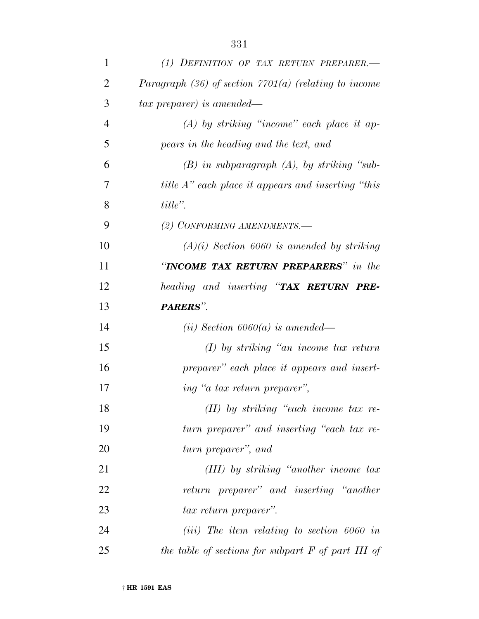| 1              | (1) DEFINITION OF TAX RETURN PREPARER.-                    |
|----------------|------------------------------------------------------------|
| 2              | Paragraph $(36)$ of section $7701(a)$ (relating to income  |
| 3              | tax preparer) is amended—                                  |
| $\overline{4}$ | $(A)$ by striking "income" each place it ap-               |
| 5              | pears in the heading and the text, and                     |
| 6              | $(B)$ in subparagraph $(A)$ , by striking "sub-            |
| 7              | <i>title A</i> " each place it appears and inserting "this |
| 8              | $title$ ".                                                 |
| 9              | (2) CONFORMING AMENDMENTS.-                                |
| 10             | $(A)(i)$ Section 6060 is amended by striking               |
| 11             | "INCOME TAX RETURN PREPARERS" in the                       |
| 12             | heading and inserting "TAX RETURN PRE-                     |
| 13             | PARERS".                                                   |
| 14             | ( <i>ii</i> ) Section $6060(a)$ is amended—                |
| 15             | $(I)$ by striking "an income tax return"                   |
| 16             | preparer" each place it appears and insert-                |
| 17             | ing "a tax return preparer",                               |
| 18             | $(II)$ by striking "each income tax re-                    |
| 19             | turn preparer" and inserting "each tax re-                 |
| 20             | turn preparer", and                                        |
| 21             | $(III)$ by striking "another income tax                    |
| 22             | return preparer" and inserting "another                    |
| 23             | <i>tax return preparer</i> ".                              |
| 24             | $(iii)$ The item relating to section 6060 in               |
| 25             | the table of sections for subpart $F$ of part III of       |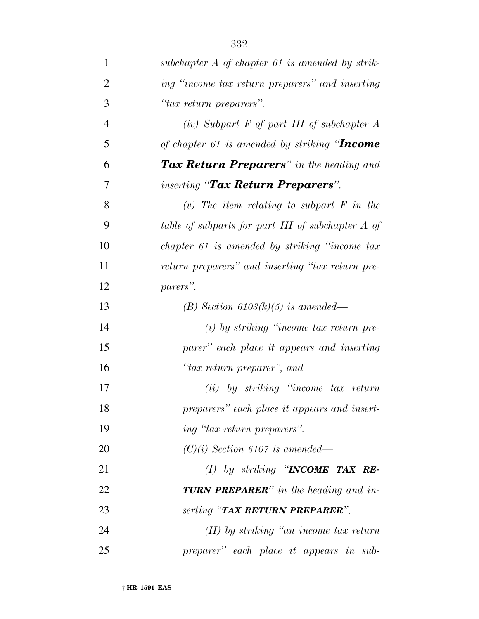| $\mathbf{1}$   | subchapter $A$ of chapter 61 is amended by strik- |
|----------------|---------------------------------------------------|
| $\overline{2}$ | ing "income tax return preparers" and inserting   |
| 3              | "tax return preparers".                           |
| $\overline{4}$ | $(iv)$ Subpart F of part III of subchapter A      |
| 5              | of chapter 61 is amended by striking "Income      |
| 6              | <b>Tax Return Preparers</b> " in the heading and  |
| 7              | <i>inserting</i> " <b>Tax Return Preparers</b> ". |
| 8              | (v) The item relating to subpart $F$ in the       |
| 9              | table of subparts for part III of subchapter A of |
| 10             | chapter 61 is amended by striking "income tax"    |
| 11             | return preparers" and inserting "tax return pre-  |
| 12             | parers".                                          |
| 13             | (B) Section 6103(k)(5) is amended—                |
| 14             | $(i)$ by striking "income tax return pre-         |
| 15             | parer" each place it appears and inserting        |
| 16             | "tax return preparer", and                        |
| 17             | (ii) by striking "income tax return               |
| 18             | preparers" each place it appears and insert-      |
| 19             | ing "tax return preparers".                       |
| 20             | $(C)(i)$ Section 6107 is amended—                 |
| 21             | (I) by striking "INCOME TAX RE-                   |
| 22             | <b>TURN PREPARER</b> " in the heading and in-     |
| 23             | serting "TAX RETURN PREPARER",                    |
| 24             | $(II)$ by striking "an income tax return"         |
| 25             | preparer" each place it appears in sub-           |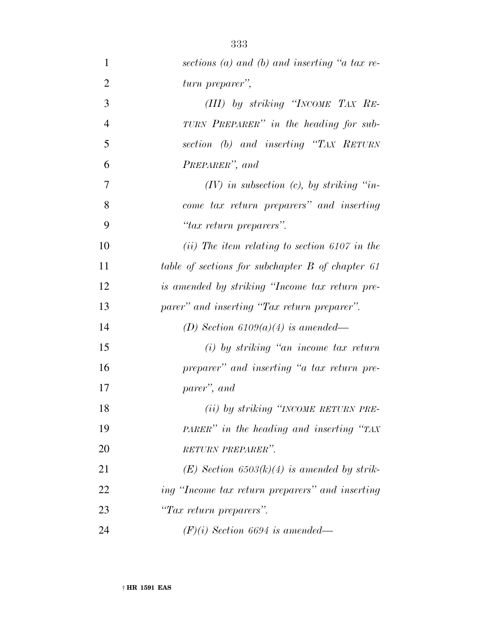| $\mathbf{1}$   | sections (a) and (b) and inserting "a tax re-    |
|----------------|--------------------------------------------------|
| $\overline{2}$ | turn preparer",                                  |
| 3              | (III) by striking "INCOME TAX RE-                |
| $\overline{4}$ | TURN PREPARER" in the heading for sub-           |
| 5              | section (b) and inserting "TAX RETURN            |
| 6              | PREPARER", and                                   |
| $\overline{7}$ | $(IV)$ in subsection $(c)$ , by striking "in-    |
| 8              | come tax return preparers" and inserting         |
| 9              | "tax return preparers".                          |
| 10             | $(ii)$ The item relating to section 6107 in the  |
| 11             | table of sections for subchapter B of chapter 61 |
| 12             | is amended by striking "Income tax return pre-   |
| 13             | parer" and inserting "Tax return preparer".      |
| 14             | (D) Section $6109(a)(4)$ is amended—             |
| 15             | $(i)$ by striking "an income tax return"         |
| 16             | preparer" and inserting "a tax return pre-       |
| 17             | parer", and                                      |
| 18             | (ii) by striking "INCOME RETURN PRE-             |
| 19             | PARER" in the heading and inserting "TAX"        |
| 20             | RETURN PREPARER".                                |
| 21             | $(E)$ Section 6503(k)(4) is amended by strik-    |
| 22             | ing "Income tax return preparers" and inserting  |
| 23             | "Tax return preparers".                          |
| 24             | $(F)(i)$ Section 6694 is amended—                |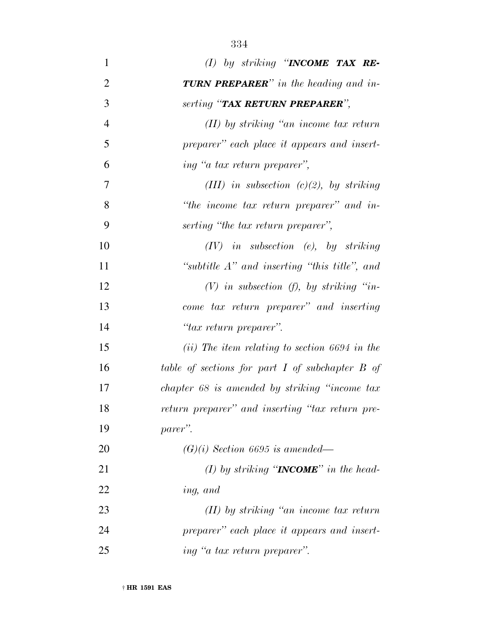| $\mathbf{1}$   | (I) by striking "INCOME TAX RE-                     |
|----------------|-----------------------------------------------------|
| $\overline{2}$ | <b>TURN PREPARER</b> " in the heading and in-       |
| 3              | serting "TAX RETURN PREPARER",                      |
| $\overline{4}$ | $(II)$ by striking "an income tax return"           |
| 5              | preparer" each place it appears and insert-         |
| 6              | ing "a tax return preparer",                        |
| 7              | (III) in subsection $(c)(2)$ , by striking          |
| 8              | "the income tax return preparer" and in-            |
| 9              | serting "the tax return preparer",                  |
| 10             | $(IV)$ in subsection (e), by striking               |
| 11             | "subtitle $A$ " and inserting "this title", and     |
| 12             | $(V)$ in subsection $(f)$ , by striking "in-        |
| 13             | come tax return preparer" and inserting             |
| 14             | "tax return preparer".                              |
| 15             | $(ii)$ The item relating to section 6694 in the     |
| 16             | table of sections for part $I$ of subchapter $B$ of |
| 17             | chapter 68 is amended by striking "income tax"      |
| 18             | return preparer" and inserting "tax return pre-     |
| 19             | parer".                                             |
| 20             | $(G)(i)$ Section 6695 is amended—                   |
| 21             | (1) by striking " $INCOME$ " in the head-           |
| 22             | ing, and                                            |
| 23             | $(II)$ by striking "an income tax return"           |
| 24             | preparer" each place it appears and insert-         |
| 25             | ing "a tax return preparer".                        |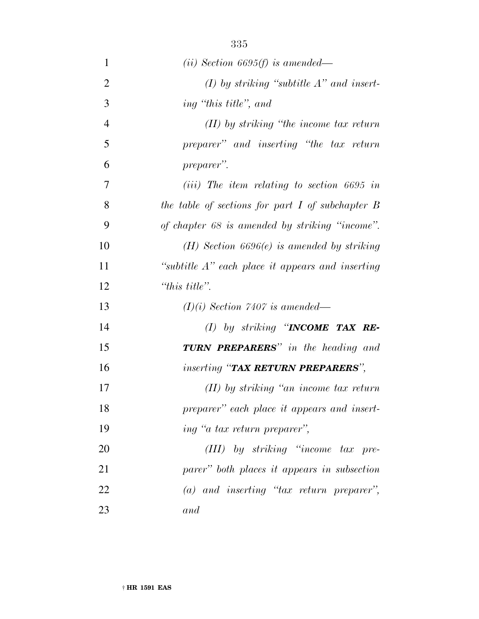| $\mathbf{1}$   | ( <i>ii</i> ) Section 6695( <i>f</i> ) is amended—   |
|----------------|------------------------------------------------------|
| $\overline{2}$ | $(I)$ by striking "subtitle $A$ " and insert-        |
| 3              | ing "this title", and                                |
| $\overline{4}$ | $(II)$ by striking "the income tax return"           |
| 5              | preparer" and inserting "the tax return              |
| 6              | preparer".                                           |
| 7              | $(iii)$ The item relating to section 6695 in         |
| 8              | the table of sections for part $I$ of subchapter $B$ |
| 9              | of chapter 68 is amended by striking "income".       |
| 10             | $(H)$ Section 6696 $(e)$ is amended by striking      |
| 11             | "subtitle $A$ " each place it appears and inserting  |
| 12             | "this title".                                        |
| 13             | $(I)(i)$ Section 7407 is amended—                    |
| 14             | (I) by striking "INCOME TAX RE-                      |
| 15             | <b>TURN PREPARERS</b> " in the heading and           |
| 16             | <i>inserting</i> "TAX RETURN PREPARERS",             |
| 17             | $(II)$ by striking "an income tax return"            |
| 18             | preparer" each place it appears and insert-          |
| 19             | ing "a tax return preparer",                         |
| 20             | $(III)$ by striking "income tax pre-                 |
| 21             | parer" both places it appears in subsection          |
| 22             | $(a)$ and inserting "tax return preparer",           |
| 23             | and                                                  |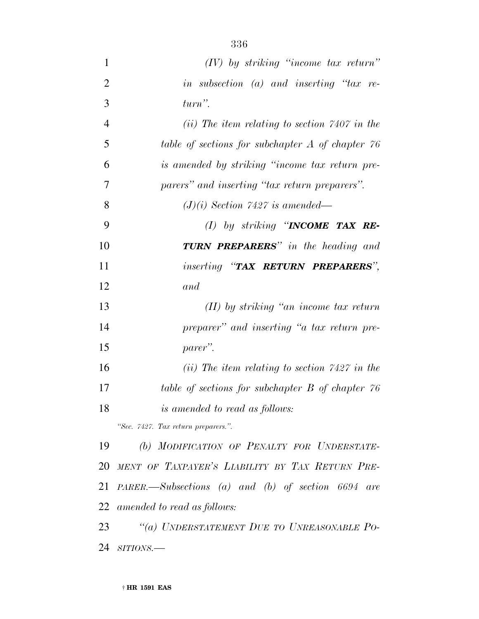| 1              | $(IV)$ by striking "income tax return"                 |
|----------------|--------------------------------------------------------|
| $\overline{2}$ | in subsection (a) and inserting " $tax$ re-            |
| 3              | $turn$ ".                                              |
| $\overline{4}$ | $(ii)$ The item relating to section 7407 in the        |
| 5              | table of sections for subchapter $A$ of chapter $76$   |
| 6              | is amended by striking "income tax return pre-         |
| 7              | parers" and inserting "tax return preparers".          |
| 8              | $(J)(i)$ Section 7427 is amended—                      |
| 9              | (I) by striking "INCOME TAX RE-                        |
| 10             | <b>TURN PREPARERS</b> " in the heading and             |
| 11             | inserting "TAX RETURN PREPARERS",                      |
| 12             | and                                                    |
| 13             | $(II)$ by striking "an income tax return"              |
| 14             | preparer" and inserting "a tax return pre-             |
| 15             | parer".                                                |
| 16             | (ii) The item relating to section $7427$ in the        |
| 17             | table of sections for subchapter B of chapter 76       |
| 18             | <i>is amended to read as follows:</i>                  |
|                | "Sec. 7427. Tax return preparers.".                    |
| 19             | (b) MODIFICATION OF PENALTY FOR UNDERSTATE-            |
| 20             | MENT OF TAXPAYER'S LIABILITY BY TAX RETURN PRE-        |
| 21             | $PARENT. -Subsections (a) and (b) of section 6694 are$ |
|                | 22 amended to read as follows:                         |
| 23             | "(a) UNDERSTATEMENT DUE TO UNREASONABLE PO-            |
| 24             | $SITIONS$ .                                            |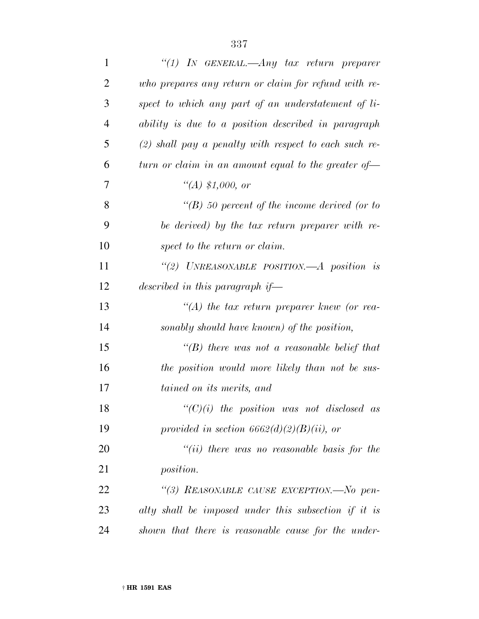| $\mathbf{1}$   | "(1) In GENERAL.—Any tax return preparer                |
|----------------|---------------------------------------------------------|
| 2              | who prepares any return or claim for refund with re-    |
| 3              | spect to which any part of an understatement of li-     |
| $\overline{4}$ | ability is due to a position described in paragraph     |
| 5              | $(2)$ shall pay a penalty with respect to each such re- |
| 6              | turn or claim in an amount equal to the greater of $-$  |
| 7              | $\lq (A) \ \$1,000, \text{ or}$                         |
| 8              | $\lq (B)$ 50 percent of the income derived (or to       |
| 9              | be derived) by the tax return preparer with re-         |
| 10             | spect to the return or claim.                           |
| 11             | "(2) UNREASONABLE POSITION.—A position is               |
| 12             | described in this paragraph if—                         |
| 13             | $\lq (A)$ the tax return preparer knew (or rea-         |
| 14             | sonably should have known) of the position,             |
| 15             | "(B) there was not a reasonable belief that             |
| 16             | the position would more likely than not be sus-         |
| 17             | tained on its merits, and                               |
| 18             | $\lq\lq C$ (i) the position was not disclosed as        |
| 19             | provided in section $6662(d)(2)(B)(ii)$ , or            |
| 20             | "(ii) there was no reasonable basis for the             |
| 21             | <i>position.</i>                                        |
| 22             | "(3) REASONABLE CAUSE EXCEPTION.-No pen-                |
| 23             | alty shall be imposed under this subsection if it is    |
| 24             | shown that there is reasonable cause for the under-     |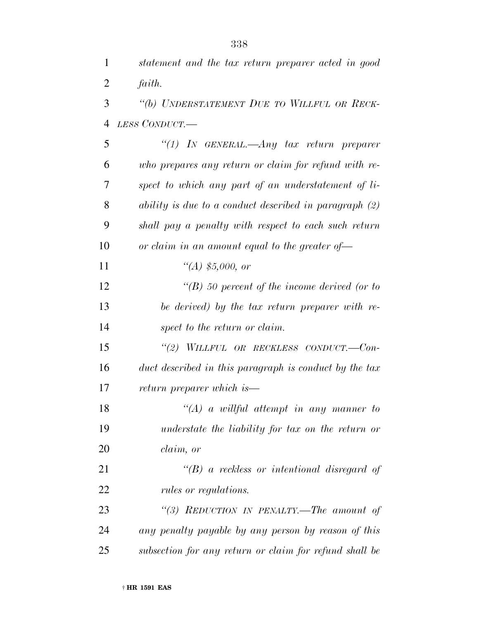| 1              | statement and the tax return preparer acted in good    |
|----------------|--------------------------------------------------------|
| $\overline{2}$ | faith.                                                 |
| 3              | "(b) UNDERSTATEMENT DUE TO WILLFUL OR RECK-            |
| 4              | LESS CONDUCT.-                                         |
| 5              | "(1) In GENERAL.—Any tax return preparer               |
| 6              | who prepares any return or claim for refund with re-   |
| 7              | spect to which any part of an understatement of li-    |
| 8              | ability is due to a conduct described in paragraph (2) |
| 9              | shall pay a penalty with respect to each such return   |
| 10             | or claim in an amount equal to the greater of $-$      |
| 11             | $\lq (A) \ \text{\$5,000, or}$                         |
| 12             | $\lq (B)$ 50 percent of the income derived (or to      |
| 13             | be derived) by the tax return preparer with re-        |
| 14             | spect to the return or claim.                          |
| 15             | "(2) WILLFUL OR RECKLESS CONDUCT.--Con-                |
| 16             | duct described in this paragraph is conduct by the tax |
| 17             | return preparer which is—                              |
| 18             | $\lq (A)$ a willful attempt in any manner to           |
| 19             | understate the liability for tax on the return or      |
| 20             | claim, or                                              |
| 21             | $\lq (B)$ a reckless or intentional disregard of       |
| 22             | rules or regulations.                                  |
| 23             | "(3) REDUCTION IN PENALTY.—The amount of               |
| 24             | any penalty payable by any person by reason of this    |
| 25             | subsection for any return or claim for refund shall be |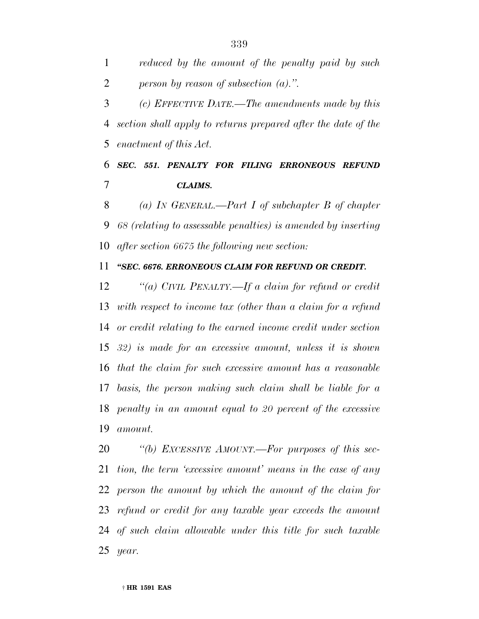*reduced by the amount of the penalty paid by such person by reason of subsection (a).''.*

 *(c) EFFECTIVE DATE.—The amendments made by this section shall apply to returns prepared after the date of the enactment of this Act.*

 *SEC. 551. PENALTY FOR FILING ERRONEOUS REFUND CLAIMS.*

 *(a) IN GENERAL.—Part I of subchapter B of chapter 68 (relating to assessable penalties) is amended by inserting after section 6675 the following new section:*

*''SEC. 6676. ERRONEOUS CLAIM FOR REFUND OR CREDIT.*

 *''(a) CIVIL PENALTY.—If a claim for refund or credit with respect to income tax (other than a claim for a refund or credit relating to the earned income credit under section 32) is made for an excessive amount, unless it is shown that the claim for such excessive amount has a reasonable basis, the person making such claim shall be liable for a penalty in an amount equal to 20 percent of the excessive amount.*

 *''(b) EXCESSIVE AMOUNT.—For purposes of this sec- tion, the term 'excessive amount' means in the case of any person the amount by which the amount of the claim for refund or credit for any taxable year exceeds the amount of such claim allowable under this title for such taxable year.*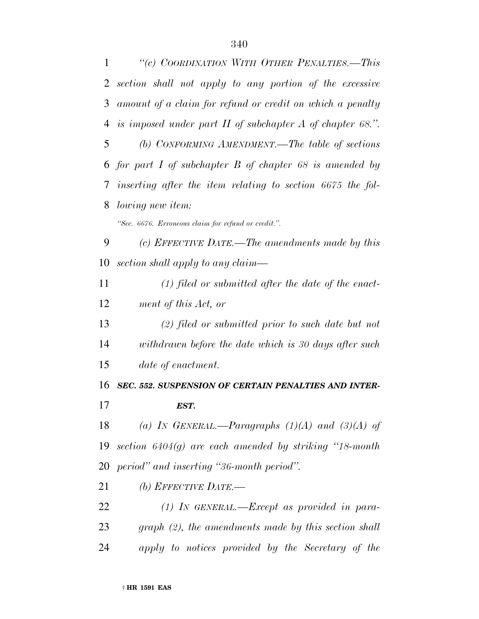| $\mathbf{1}$ | "(c) COORDINATION WITH OTHER PENALTIES.-This                 |
|--------------|--------------------------------------------------------------|
| 2            | section shall not apply to any portion of the excessive      |
| 3            | amount of a claim for refund or credit on which a penalty    |
| 4            | is imposed under part $H$ of subchapter $A$ of chapter 68.". |
| 5            | (b) CONFORMING AMENDMENT.—The table of sections              |
|              | 6 for part I of subchapter B of chapter 68 is amended by     |
| 7            | inserting after the item relating to section 6675 the fol-   |
| 8            | <i>lowing new item:</i>                                      |
|              | "Sec. 6676. Erroneous claim for refund or credit.".          |
| 9            | (c) EFFECTIVE DATE.—The amendments made by this              |
| 10           | section shall apply to any claim—                            |
| 11           | $(1)$ filed or submitted after the date of the enact-        |
| 12           | ment of this Act, or                                         |
| 13           | $(2)$ filed or submitted prior to such date but not          |
| 14           | withdrawn before the date which is 30 days after such        |
| 15           | date of enactment.                                           |
| 16           | SEC. 552. SUSPENSION OF CERTAIN PENALTIES AND INTER-         |
| 17           | EST.                                                         |
| 18           | (a) IN GENERAL.—Paragraphs $(1)(A)$ and $(3)(A)$ of          |
| 19           | section $6404(g)$ are each amended by striking "18-month"    |
| 20           | period" and inserting "36-month period".                     |
| 21           | (b) EFFECTIVE DATE.—                                         |
| 22           | $(1)$ IN GENERAL.—Except as provided in para-                |
| 23           | $graph (2)$ , the amendments made by this section shall      |
|              |                                                              |

*apply to notices provided by the Secretary of the*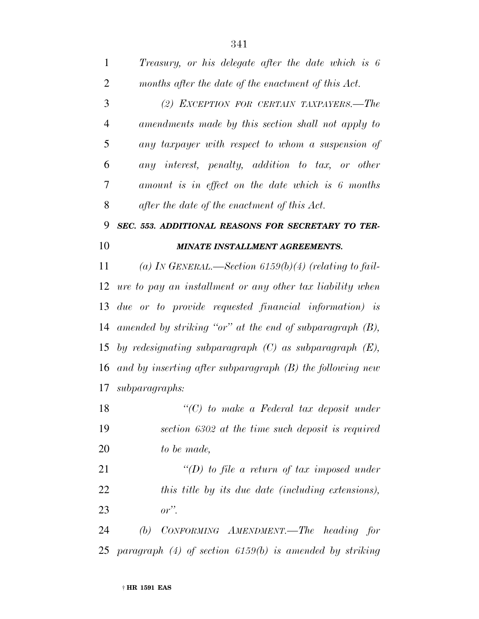*(2) EXCEPTION FOR CERTAIN TAXPAYERS.—The amendments made by this section shall not apply to any taxpayer with respect to whom a suspension of any interest, penalty, addition to tax, or other amount is in effect on the date which is 6 months after the date of the enactment of this Act.*

#### *SEC. 553. ADDITIONAL REASONS FOR SECRETARY TO TER-MINATE INSTALLMENT AGREEMENTS.*

 *(a) IN GENERAL.—Section 6159(b)(4) (relating to fail- ure to pay an installment or any other tax liability when due or to provide requested financial information) is amended by striking ''or'' at the end of subparagraph (B), by redesignating subparagraph (C) as subparagraph (E), and by inserting after subparagraph (B) the following new subparagraphs:*

 *''(C) to make a Federal tax deposit under section 6302 at the time such deposit is required to be made,*

 *''(D) to file a return of tax imposed under this title by its due date (including extensions), or''.*

 *(b) CONFORMING AMENDMENT.—The heading for paragraph (4) of section 6159(b) is amended by striking*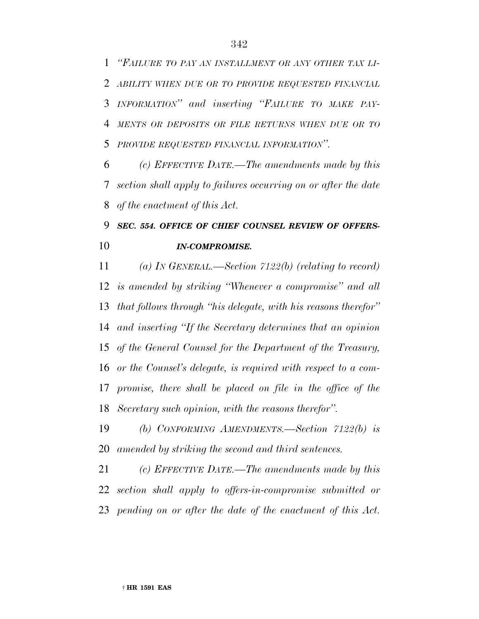*''FAILURE TO PAY AN INSTALLMENT OR ANY OTHER TAX LI- ABILITY WHEN DUE OR TO PROVIDE REQUESTED FINANCIAL INFORMATION'' and inserting ''FAILURE TO MAKE PAY- MENTS OR DEPOSITS OR FILE RETURNS WHEN DUE OR TO PROVIDE REQUESTED FINANCIAL INFORMATION''.*

 *(c) EFFECTIVE DATE.—The amendments made by this section shall apply to failures occurring on or after the date of the enactment of this Act.*

## *SEC. 554. OFFICE OF CHIEF COUNSEL REVIEW OF OFFERS-IN-COMPROMISE.*

 *(a) IN GENERAL.—Section 7122(b) (relating to record) is amended by striking ''Whenever a compromise'' and all that follows through ''his delegate, with his reasons therefor'' and inserting ''If the Secretary determines that an opinion of the General Counsel for the Department of the Treasury, or the Counsel's delegate, is required with respect to a com- promise, there shall be placed on file in the office of the Secretary such opinion, with the reasons therefor''.*

 *(b) CONFORMING AMENDMENTS.—Section 7122(b) is amended by striking the second and third sentences.*

 *(c) EFFECTIVE DATE.—The amendments made by this section shall apply to offers-in-compromise submitted or pending on or after the date of the enactment of this Act.*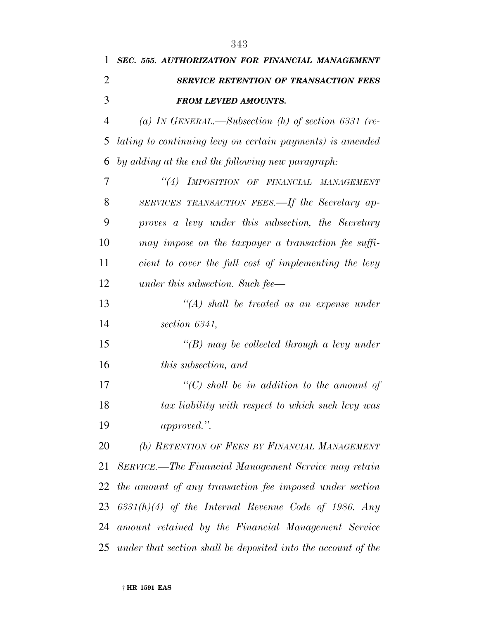| 1              | SEC. 555. AUTHORIZATION FOR FINANCIAL MANAGEMENT                 |
|----------------|------------------------------------------------------------------|
| $\overline{2}$ | <b>SERVICE RETENTION OF TRANSACTION FEES</b>                     |
| 3              | <b>FROM LEVIED AMOUNTS.</b>                                      |
| 4              | (a) IN GENERAL.—Subsection (h) of section 6331 (re-              |
| 5              | lating to continuing levy on certain payments) is amended        |
| 6              | by adding at the end the following new paragraph:                |
| 7              | "(4) IMPOSITION OF FINANCIAL MANAGEMENT                          |
| 8              | SERVICES TRANSACTION FEES.—If the Secretary ap-                  |
| 9              | proves a levy under this subsection, the Secretary               |
| 10             | may impose on the taxpayer a transaction fee suffi-              |
| 11             | cient to cover the full cost of implementing the levy            |
| 12             | under this subsection. Such fee—                                 |
| 13             | $\lq (A)$ shall be treated as an expense under                   |
| 14             | section 6341,                                                    |
| 15             | $\lq (B)$ may be collected through a levy under                  |
| 16             | <i>this subsection, and</i>                                      |
| 17             | $\lq\lq C$ shall be in addition to the amount of                 |
| 18             | tax liability with respect to which such levy was                |
| 19             | approved.".                                                      |
| 20             | (b) RETENTION OF FEES BY FINANCIAL MANAGEMENT                    |
| 21             | SERVICE.—The Financial Management Service may retain             |
| 22             | the amount of any transaction fee imposed under section          |
| 23             | $6331(h)(4)$ of the Internal Revenue Code of 1986. Any           |
|                | 24 amount retained by the Financial Management Service           |
|                | 25 under that section shall be deposited into the account of the |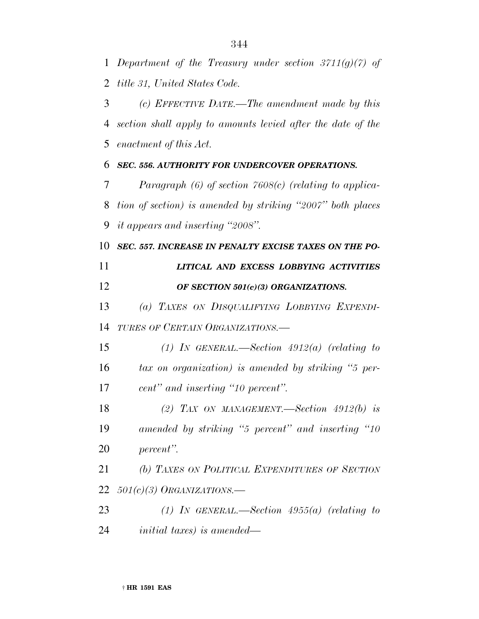*Department of the Treasury under section 3711(g)(7) of title 31, United States Code.*

 *(c) EFFECTIVE DATE.—The amendment made by this section shall apply to amounts levied after the date of the enactment of this Act.*

*SEC. 556. AUTHORITY FOR UNDERCOVER OPERATIONS.*

 *Paragraph (6) of section 7608(c) (relating to applica- tion of section) is amended by striking ''2007'' both places it appears and inserting ''2008''.*

*SEC. 557. INCREASE IN PENALTY EXCISE TAXES ON THE PO-*

 *LITICAL AND EXCESS LOBBYING ACTIVITIES OF SECTION 501(c)(3) ORGANIZATIONS.*

 *(a) TAXES ON DISQUALIFYING LOBBYING EXPENDI-TURES OF CERTAIN ORGANIZATIONS.—*

 *(1) IN GENERAL.—Section 4912(a) (relating to tax on organization) is amended by striking ''5 per-cent'' and inserting ''10 percent''.*

 *(2) TAX ON MANAGEMENT.—Section 4912(b) is amended by striking ''5 percent'' and inserting ''10 percent''.*

 *(b) TAXES ON POLITICAL EXPENDITURES OF SECTION 501(c)(3) ORGANIZATIONS.—*

 *(1) IN GENERAL.—Section 4955(a) (relating to initial taxes) is amended—*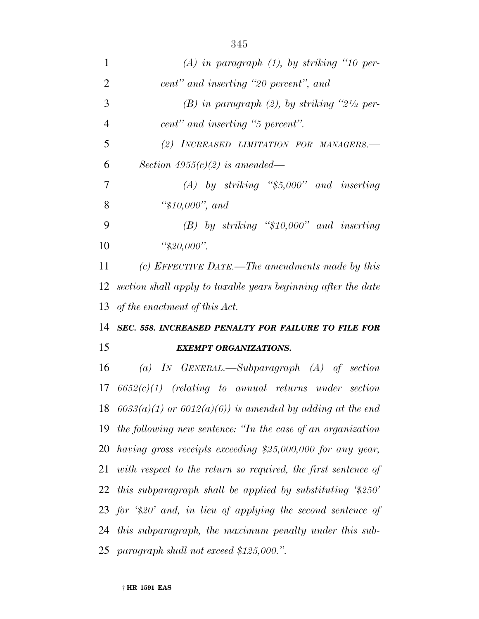| 1              | $(A)$ in paragraph $(1)$ , by striking "10 per-                   |
|----------------|-------------------------------------------------------------------|
| $\overline{2}$ | cent" and inserting "20 percent", and                             |
| 3              | (B) in paragraph (2), by striking " $2^{1/2}$ per-                |
| $\overline{4}$ | cent" and inserting "5 percent".                                  |
| 5              | (2) INCREASED LIMITATION FOR MANAGERS.-                           |
| 6              | Section $4955(c)(2)$ is amended—                                  |
| 7              | $(A)$ by striking "\$5,000" and inserting                         |
| 8              | " $$10,000"$ , and                                                |
| 9              | $(B)$ by striking "\$10,000" and inserting                        |
| 10             | " $$20,000$ ".                                                    |
| 11             | (c) EFFECTIVE DATE.—The amendments made by this                   |
| 12             | section shall apply to taxable years beginning after the date     |
|                | 13 of the enactment of this $Act.$                                |
|                | 14 SEC. 558. INCREASED PENALTY FOR FAILURE TO FILE FOR            |
| 15             | <b>EXEMPT ORGANIZATIONS.</b>                                      |
| 16             | (a) IN GENERAL.—Subparagraph $(A)$ of section                     |
| 17             | $6652(c)(1)$ (relating to annual returns under section            |
|                | 18 $6033(a)(1)$ or $6012(a)(6)$ ) is amended by adding at the end |
|                | 19 the following new sentence: "In the case of an organization"   |
|                | 20 having gross receipts exceeding \$25,000,000 for any year,     |
| 21             | with respect to the return so required, the first sentence of     |
|                | 22 this subparagraph shall be applied by substituting $\$250'$    |
|                | 23 for $\$20'$ and, in lieu of applying the second sentence of    |
|                | 24 this subparagraph, the maximum penalty under this sub-         |
|                | 25 paragraph shall not exceed \$125,000.".                        |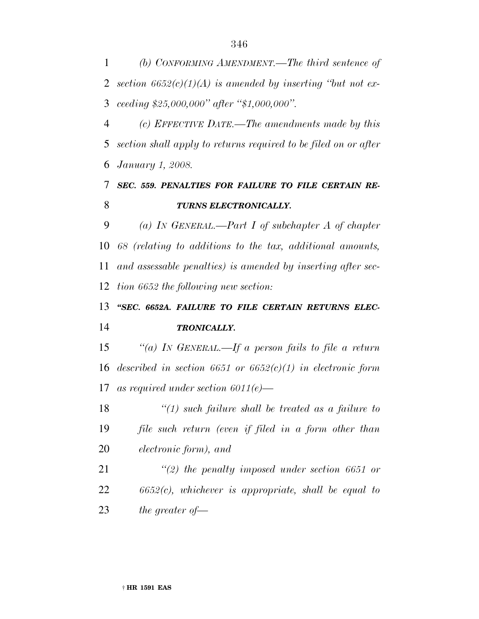*(b) CONFORMING AMENDMENT.—The third sentence of section 6652(c)(1)(A) is amended by inserting ''but not ex-ceeding \$25,000,000'' after ''\$1,000,000''.*

 *(c) EFFECTIVE DATE.—The amendments made by this section shall apply to returns required to be filed on or after January 1, 2008.*

### *SEC. 559. PENALTIES FOR FAILURE TO FILE CERTAIN RE-TURNS ELECTRONICALLY.*

 *(a) IN GENERAL.—Part I of subchapter A of chapter 68 (relating to additions to the tax, additional amounts, and assessable penalties) is amended by inserting after sec-tion 6652 the following new section:*

# *''SEC. 6652A. FAILURE TO FILE CERTAIN RETURNS ELEC-TRONICALLY.*

 *''(a) IN GENERAL.—If a person fails to file a return described in section 6651 or 6652(c)(1) in electronic form as required under section 6011(e)—*

 *''(1) such failure shall be treated as a failure to file such return (even if filed in a form other than electronic form), and*

 *''(2) the penalty imposed under section 6651 or 6652(c), whichever is appropriate, shall be equal to the greater of—*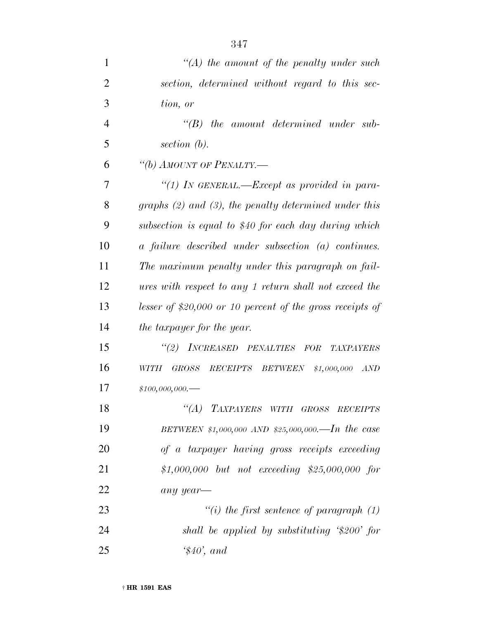| $\mathbf{1}$   | $\lq (A)$ the amount of the penalty under such             |
|----------------|------------------------------------------------------------|
| $\overline{2}$ | section, determined without regard to this sec-            |
| 3              | tion, or                                                   |
| $\overline{4}$ | $\lq (B)$<br>the amount determined under sub-              |
| 5              | section (b).                                               |
| 6              | "(b) AMOUNT OF PENALTY.—                                   |
| 7              | "(1) IN GENERAL.—Except as provided in para-               |
| 8              | graphs $(2)$ and $(3)$ , the penalty determined under this |
| 9              | subsection is equal to \$40 for each day during which      |
| 10             | a failure described under subsection (a) continues.        |
| 11             | The maximum penalty under this paragraph on fail-          |
| 12             | ures with respect to any 1 return shall not exceed the     |
| 13             | lesser of \$20,000 or 10 percent of the gross receipts of  |
| 14             | the taxpayer for the year.                                 |
| 15             | "(2) INCREASED PENALTIES FOR<br><b>TAXPAYERS</b>           |
| 16             | GROSS RECEIPTS BETWEEN \$1,000,000<br><b>WITH</b><br>AND   |
| 17             | $$100,000,000$ .                                           |
| 18             | "(A) TAXPAYERS WITH GROSS RECEIPTS                         |
| 19             | BETWEEN \$1,000,000 AND \$25,000,000.—In the case          |
| 20             | of a taxpayer having gross receipts exceeding              |
| 21             | \$1,000,000 but not exceeding \$25,000,000 for             |
| 22             | any year-                                                  |
| 23             | "(i) the first sentence of paragraph $(1)$                 |
| 24             | shall be applied by substituting '\$200' for               |
| 25             | $\$40$ , and                                               |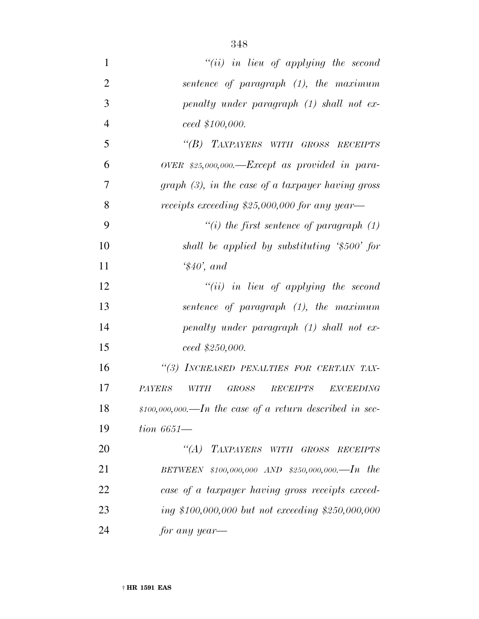| 1              | "(ii) in lieu of applying the second                         |
|----------------|--------------------------------------------------------------|
| $\overline{2}$ | sentence of paragraph $(1)$ , the maximum                    |
| 3              | penalty under paragraph (1) shall not ex-                    |
| $\overline{4}$ | ceed \$100,000.                                              |
| 5              | "(B) TAXPAYERS WITH GROSS RECEIPTS                           |
| 6              | OVER $$25,000,000$ . Except as provided in para-             |
| 7              | $graph(3)$ , in the case of a taxpayer having gross          |
| 8              | receipts exceeding $$25,000,000$ for any year—               |
| 9              | "(i) the first sentence of paragraph $(1)$                   |
| 10             | shall be applied by substituting $\$500'$ for                |
| 11             | $\$40$ ', and                                                |
| 12             | $``(ii)$ in lieu of applying the second                      |
| 13             | sentence of paragraph $(1)$ , the maximum                    |
| 14             | penalty under paragraph (1) shall not ex-                    |
| 15             | ceed~\$250,000.                                              |
| 16             | "(3) INCREASED PENALTIES FOR CERTAIN TAX-                    |
| 17             | <b>PAYERS</b><br><i>GROSS</i><br>RECEIPTS EXCEEDING<br>WITH  |
| 18             | $$100,000,000$ . --In the case of a return described in sec- |
| 19             | $\frac{tion}{6651}$                                          |
| 20             | "(A) TAXPAYERS WITH GROSS RECEIPTS                           |
| 21             | BETWEEN $$100,000,000$ AND $$250,000,000$ . In the           |
| 22             | case of a taxpayer having gross receipts exceed-             |
| 23             | ing \$100,000,000 but not exceeding \$250,000,000            |
| 24             | for any year—                                                |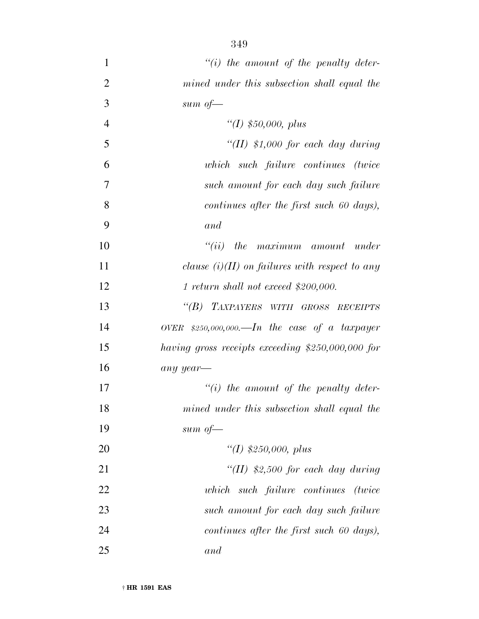*''(i) the amount of the penalty deter- mined under this subsection shall equal the sum of— ''(I) \$50,000, plus ''(II) \$1,000 for each day during which such failure continues (twice such amount for each day such failure continues after the first such 60 days), and ''(ii) the maximum amount under clause (i)(II) on failures with respect to any 1 return shall not exceed \$200,000. ''(B) TAXPAYERS WITH GROSS RECEIPTS OVER \$250,000,000.—In the case of a taxpayer having gross receipts exceeding \$250,000,000 for any year— ''(i) the amount of the penalty deter- mined under this subsection shall equal the sum of— ''(I) \$250,000, plus ''(II) \$2,500 for each day during which such failure continues (twice such amount for each day such failure*

*continues after the first such 60 days),*

*and*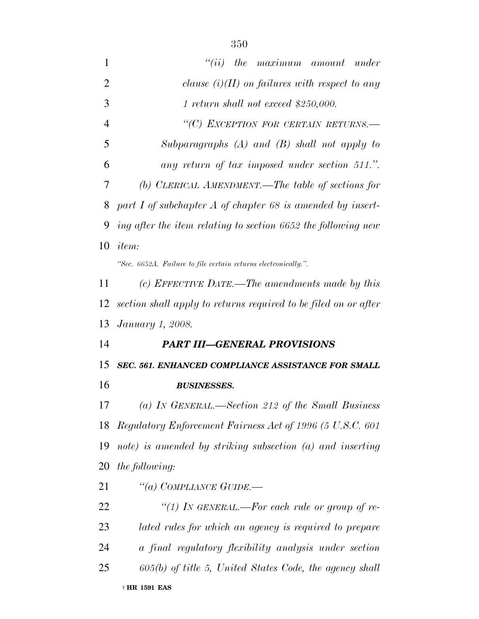| 1              | $``(ii)$ the maximum amount under                               |
|----------------|-----------------------------------------------------------------|
| $\overline{2}$ | clause $(i)(II)$ on failures with respect to any                |
| 3              | $1$ return shall not exceed \$250,000.                          |
| $\overline{4}$ | "(C) EXCEPTION FOR CERTAIN RETURNS.-                            |
| 5              | Subparagraphs $(A)$ and $(B)$ shall not apply to                |
| 6              | any return of tax imposed under section 511.".                  |
| 7              | (b) CLERICAL AMENDMENT.—The table of sections for               |
| 8              | part I of subchapter $A$ of chapter 68 is amended by insert-    |
| 9              | ing after the item relating to section 6652 the following new   |
| 10             | <i>item:</i>                                                    |
|                | "Sec. 6652A. Failure to file certain returns electronically.".  |
| 11             | (c) EFFECTIVE DATE.—The amendments made by this                 |
| 12             | section shall apply to returns required to be filed on or after |
| 13             | <i>January 1, 2008.</i>                                         |
| 14             | <b>PART III-GENERAL PROVISIONS</b>                              |
|                |                                                                 |
| 15             | SEC. 561. ENHANCED COMPLIANCE ASSISTANCE FOR SMALL              |
| 16             | <b>BUSINESSES.</b>                                              |
| 17             | (a) In GENERAL.—Section 212 of the Small Business               |
| 18             | Regulatory Enforcement Fairness Act of 1996 (5 U.S.C. 601       |
| 19             | note) is amended by striking subsection (a) and inserting       |
| 20             | the following:                                                  |
| 21             | "(a) COMPLIANCE GUIDE.—                                         |
| 22             | "(1) IN GENERAL.—For each rule or group of re-                  |
| 23             | lated rules for which an agency is required to prepare          |
| 24             | a final regulatory flexibility analysis under section           |
| 25             | $605(b)$ of title 5, United States Code, the agency shall       |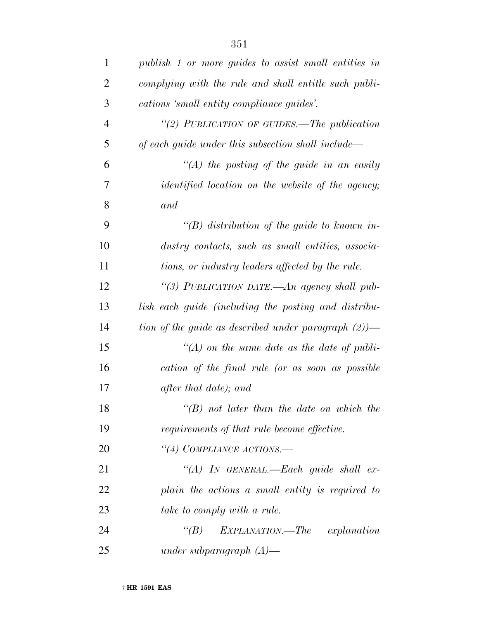| $\mathbf{1}$   | publish 1 or more guides to assist small entities in     |
|----------------|----------------------------------------------------------|
| $\overline{2}$ | complying with the rule and shall entitle such publi-    |
| 3              | cations 'small entity compliance guides'.                |
| 4              | "(2) PUBLICATION OF GUIDES.—The publication              |
| 5              | of each guide under this subsection shall include—       |
| 6              | $\lq (A)$ the posting of the guide in an easily          |
| 7              | <i>identified location on the website of the agency;</i> |
| 8              | and                                                      |
| 9              | "(B) distribution of the guide to known in-              |
| 10             | dustry contacts, such as small entities, associa-        |
| 11             | tions, or industry leaders affected by the rule.         |
| 12             | "(3) PUBLICATION DATE.—An agency shall pub-              |
| 13             | lish each guide (including the posting and distribu-     |
| 14             | tion of the guide as described under paragraph $(2)$ )—  |
| 15             | $\lq (A)$ on the same date as the date of publi-         |
| 16             | cation of the final rule (or as soon as possible         |
| 17             | after that date); and                                    |
| 18             | $\lq\lq(B)$ not later than the date on which the         |
| 19             | requirements of that rule become effective.              |
| 20             | "(4) COMPLIANCE ACTIONS.-                                |
| 21             | "(A) IN GENERAL.—Each guide shall ex-                    |
| 22             | plain the actions a small entity is required to          |
| 23             | take to comply with a rule.                              |
| 24             | $\lq(B)$<br>EXPLANATION.—The<br>explanation              |
| 25             | under subparagraph $(A)$ —                               |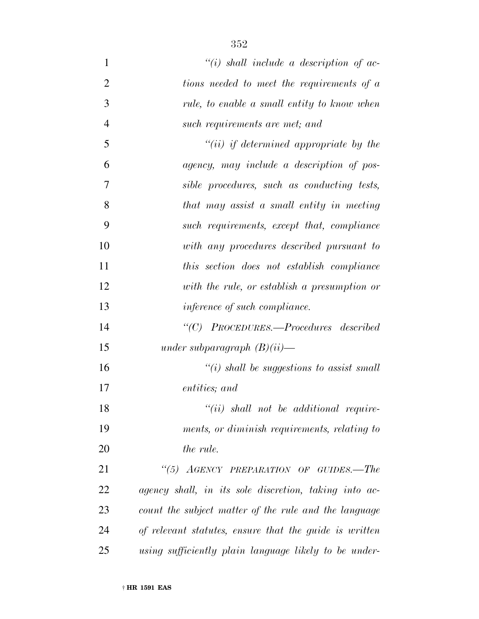| $\mathbf{1}$   | $``(i)$ shall include a description of ac-             |
|----------------|--------------------------------------------------------|
| $\overline{2}$ | tions needed to meet the requirements of a             |
| 3              | rule, to enable a small entity to know when            |
| $\overline{4}$ | such requirements are met; and                         |
| 5              | $``(ii)$ if determined appropriate by the              |
| 6              | agency, may include a description of pos-              |
| 7              | sible procedures, such as conducting tests,            |
| 8              | that may assist a small entity in meeting              |
| 9              | such requirements, except that, compliance             |
| 10             | with any procedures described pursuant to              |
| 11             | this section does not establish compliance             |
| 12             | with the rule, or establish a presumption or           |
| 13             | inference of such compliance.                          |
| 14             | "(C) PROCEDURES.—Procedures described                  |
| 15             | under subparagraph $(B)(ii)$ —                         |
| 16             | $\lq\lq(i)$ shall be suggestions to assist small       |
| 17             | entities; and                                          |
| 18             | $``(ii)$ shall not be additional require-              |
| 19             | ments, or diminish requirements, relating to           |
| 20             | the rule.                                              |
| 21             | "(5) AGENCY PREPARATION OF GUIDES.-The                 |
| 22             | agency shall, in its sole discretion, taking into ac-  |
| 23             | count the subject matter of the rule and the language  |
| 24             | of relevant statutes, ensure that the guide is written |
| 25             | using sufficiently plain language likely to be under-  |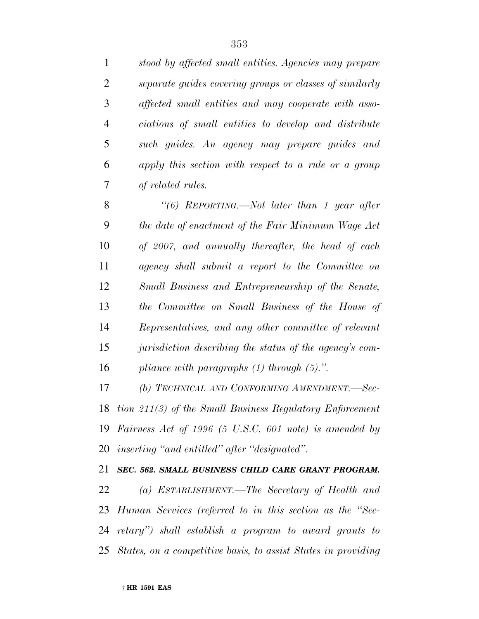*stood by affected small entities. Agencies may prepare separate guides covering groups or classes of similarly affected small entities and may cooperate with asso- ciations of small entities to develop and distribute such guides. An agency may prepare guides and apply this section with respect to a rule or a group of related rules.*

 *''(6) REPORTING.—Not later than 1 year after the date of enactment of the Fair Minimum Wage Act of 2007, and annually thereafter, the head of each agency shall submit a report to the Committee on Small Business and Entrepreneurship of the Senate, the Committee on Small Business of the House of Representatives, and any other committee of relevant jurisdiction describing the status of the agency's com-pliance with paragraphs (1) through (5).''.*

 *(b) TECHNICAL AND CONFORMING AMENDMENT.—Sec- tion 211(3) of the Small Business Regulatory Enforcement Fairness Act of 1996 (5 U.S.C. 601 note) is amended by inserting ''and entitled'' after ''designated''.*

#### *SEC. 562. SMALL BUSINESS CHILD CARE GRANT PROGRAM.*

 *(a) ESTABLISHMENT.—The Secretary of Health and Human Services (referred to in this section as the ''Sec- retary'') shall establish a program to award grants to States, on a competitive basis, to assist States in providing*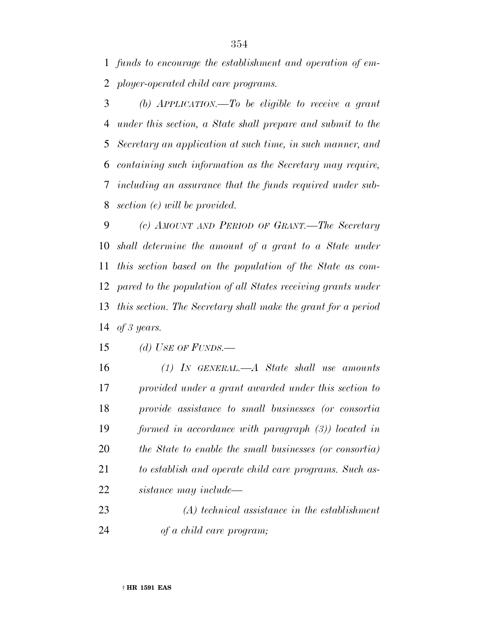*funds to encourage the establishment and operation of em-ployer-operated child care programs.*

 *(b) APPLICATION.—To be eligible to receive a grant under this section, a State shall prepare and submit to the Secretary an application at such time, in such manner, and containing such information as the Secretary may require, including an assurance that the funds required under sub-section (e) will be provided.*

 *(c) AMOUNT AND PERIOD OF GRANT.—The Secretary shall determine the amount of a grant to a State under this section based on the population of the State as com- pared to the population of all States receiving grants under this section. The Secretary shall make the grant for a period of 3 years.*

*(d) USE OF FUNDS.—*

 *(1) IN GENERAL.—A State shall use amounts provided under a grant awarded under this section to provide assistance to small businesses (or consortia formed in accordance with paragraph (3)) located in the State to enable the small businesses (or consortia) to establish and operate child care programs. Such as-sistance may include—*

 *(A) technical assistance in the establishment of a child care program;*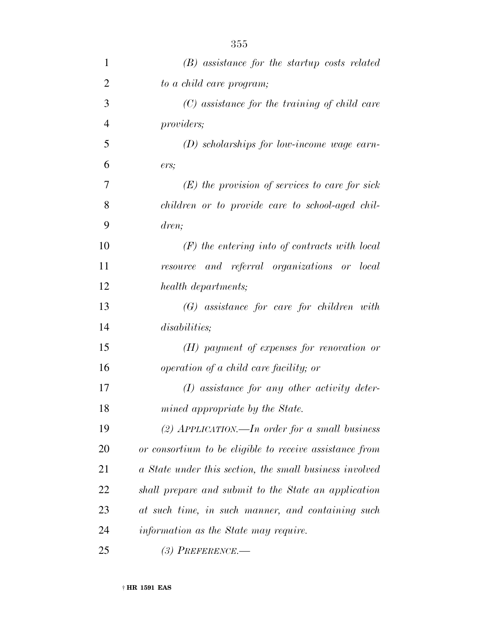| $\mathbf{1}$   | $(B)$ assistance for the startup costs related          |
|----------------|---------------------------------------------------------|
| $\overline{2}$ | to a child care program;                                |
| 3              | $(C)$ assistance for the training of child care         |
| 4              | <i>providers;</i>                                       |
| 5              | $(D)$ scholarships for low-income wage earn-            |
| 6              | ers;                                                    |
| 7              | $(E)$ the provision of services to care for sick        |
| 8              | children or to provide care to school-aged chil-        |
| 9              | dren;                                                   |
| 10             | $(F)$ the entering into of contracts with local         |
| 11             | resource and referral organizations or local            |
| 12             | health departments;                                     |
| 13             | $(G)$ assistance for care for children with             |
| 14             | disabilities;                                           |
| 15             | $(H)$ payment of expenses for renovation or             |
| 16             | operation of a child care facility; or                  |
| 17             | $(I)$ assistance for any other activity deter-          |
| 18             | mined appropriate by the State.                         |
| 19             | (2) APPLICATION.—In order for a small business          |
| 20             | or consortium to be eligible to receive assistance from |
| 21             | a State under this section, the small business involved |
| 22             | shall prepare and submit to the State an application    |
| 23             | at such time, in such manner, and containing such       |
| 24             | information as the State may require.                   |
| 25             | (3) PREFERENCE.—                                        |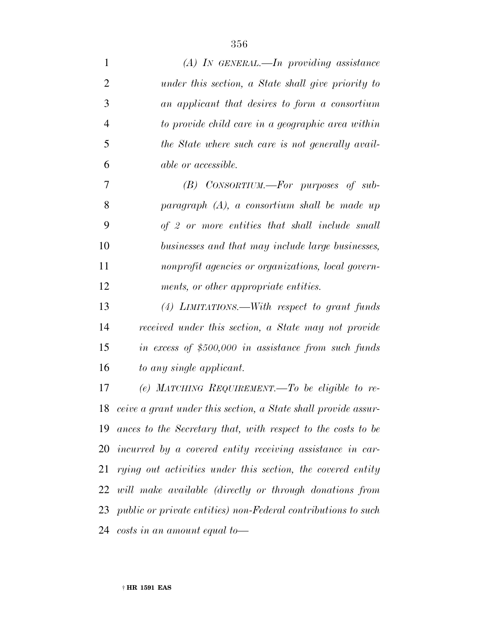| $\mathbf{1}$   | $(A)$ In GENERAL.—In providing assistance                            |
|----------------|----------------------------------------------------------------------|
| $\overline{2}$ | under this section, a State shall give priority to                   |
| 3              | an applicant that desires to form a consortium                       |
| $\overline{4}$ | to provide child care in a geographic area within                    |
| 5              | the State where such care is not generally avail-                    |
| 6              | <i>able or accessible.</i>                                           |
| 7              | $(B)$ CONSORTIUM.—For purposes of sub-                               |
| 8              | $paragnph (A), a\ consortium shall be made up$                       |
| 9              | of 2 or more entities that shall include small                       |
| 10             | businesses and that may include large businesses,                    |
| 11             | nonprofit agencies or organizations, local govern-                   |
| 12             | ments, or other appropriate entities.                                |
| 13             | (4) LIMITATIONS.—With respect to grant funds                         |
| 14             | received under this section, a State may not provide                 |
| 15             | in excess of $$500,000$ in assistance from such funds                |
| 16             | to any single applicant.                                             |
| 17             | (e) MATCHING REQUIREMENT.—To be eligible to re-                      |
| 18             | ceive a grant under this section, a State shall provide assur-       |
| 19             | ances to the Secretary that, with respect to the costs to be         |
| 20             | incurred by a covered entity receiving assistance in car-            |
| 21             | rying out activities under this section, the covered entity          |
|                | 22 will make available (directly or through donations from           |
| 23             | <i>public or private entities)</i> non-Federal contributions to such |
|                | 24 costs in an amount equal to-                                      |
|                |                                                                      |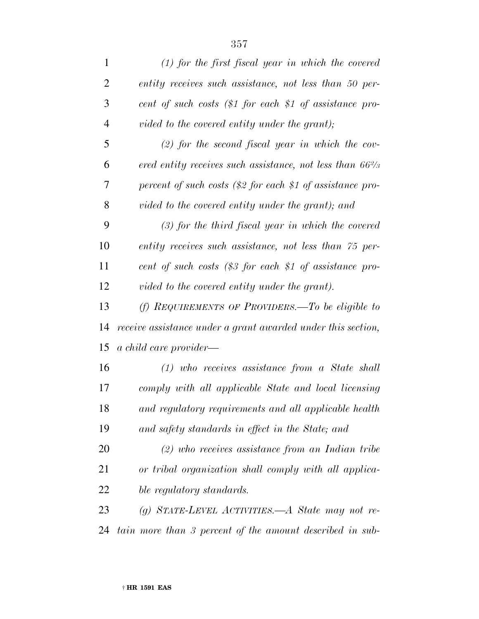| $\mathbf{1}$   | $(1)$ for the first fiscal year in which the covered                |
|----------------|---------------------------------------------------------------------|
| $\overline{2}$ | entity receives such assistance, not less than 50 per-              |
| 3              | cent of such costs $(\$1$ for each $\$1$ of assistance pro-         |
| $\overline{4}$ | vided to the covered entity under the grant);                       |
| 5              | $(2)$ for the second fiscal year in which the cov-                  |
| 6              | ered entity receives such assistance, not less than $66\frac{2}{3}$ |
| 7              | percent of such costs $(\$2$ for each \$1 of assistance pro-        |
| 8              | vided to the covered entity under the grant); and                   |
| 9              | $(3)$ for the third fiscal year in which the covered                |
| 10             | entity receives such assistance, not less than 75 per-              |
| 11             | cent of such costs $(\$3$ for each \$1 of assistance pro-           |
| 12             | vided to the covered entity under the grant).                       |
| 13             | (f) REQUIREMENTS OF PROVIDERS.—To be eligible to                    |
| 14             | receive assistance under a grant awarded under this section,        |
| 15             | a child care provider—                                              |
| 16             | $(1)$ who receives assistance from a State shall                    |
| 17             | comply with all applicable State and local licensing                |
| 18             | and regulatory requirements and all applicable health               |
| 19             | and safety standards in effect in the State; and                    |
| 20             | $(2)$ who receives assistance from an Indian tribe                  |
| 21             | or tribal organization shall comply with all applica-               |
| <u>22</u>      | ble regulatory standards.                                           |
| 23             | (g) STATE-LEVEL ACTIVITIES.—A State may not re-                     |
| 24             | tain more than 3 percent of the amount described in sub-            |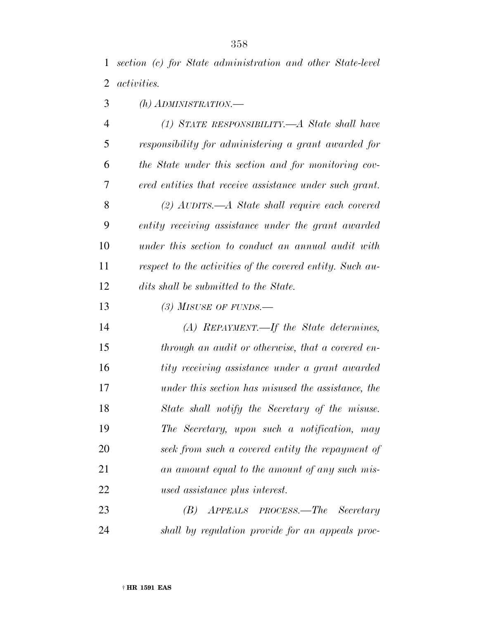*section (c) for State administration and other State-level activities.*

*(h) ADMINISTRATION.—*

 *(1) STATE RESPONSIBILITY.—A State shall have responsibility for administering a grant awarded for the State under this section and for monitoring cov- ered entities that receive assistance under such grant. (2) AUDITS.—A State shall require each covered entity receiving assistance under the grant awarded under this section to conduct an annual audit with respect to the activities of the covered entity. Such au-dits shall be submitted to the State.*

*(3) MISUSE OF FUNDS.—*

 *(A) REPAYMENT.—If the State determines, through an audit or otherwise, that a covered en- tity receiving assistance under a grant awarded under this section has misused the assistance, the State shall notify the Secretary of the misuse. The Secretary, upon such a notification, may seek from such a covered entity the repayment of an amount equal to the amount of any such mis-used assistance plus interest.*

 *(B) APPEALS PROCESS.—The Secretary shall by regulation provide for an appeals proc-*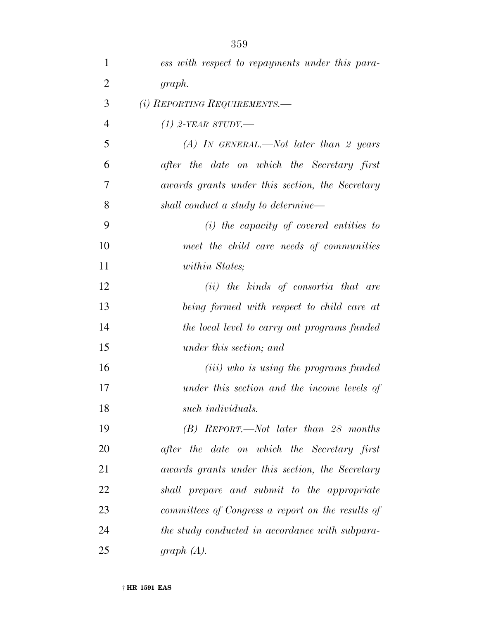| $\mathbf{1}$   | ess with respect to repayments under this para-   |
|----------------|---------------------------------------------------|
| $\overline{2}$ | graph.                                            |
| 3              | (i) REPORTING REQUIREMENTS.—                      |
| $\overline{4}$ | $(1)$ 2-YEAR STUDY.—                              |
| 5              | (A) In GENERAL.—Not later than 2 years            |
| 6              | after the date on which the Secretary first       |
| 7              | awards grants under this section, the Secretary   |
| 8              | shall conduct a study to determine—               |
| 9              | $(i)$ the capacity of covered entities to         |
| 10             | meet the child care needs of communities          |
| 11             | <i>within States</i> ;                            |
| 12             | (ii) the kinds of consortia that are              |
| 13             | being formed with respect to child care at        |
| 14             | the local level to carry out programs funded      |
| 15             | under this section; and                           |
| 16             | ( <i>iii</i> ) who is using the programs funded   |
| 17             | under this section and the income levels of       |
| 18             | such individuals.                                 |
| 19             | $(B)$ REPORT.—Not later than 28 months            |
| 20             | after the date on which the Secretary first       |
| 21             | awards grants under this section, the Secretary   |
| 22             | shall prepare and submit to the appropriate       |
| 23             | committees of Congress a report on the results of |
| 24             | the study conducted in accordance with subpara-   |
| 25             | graph $(A)$ .                                     |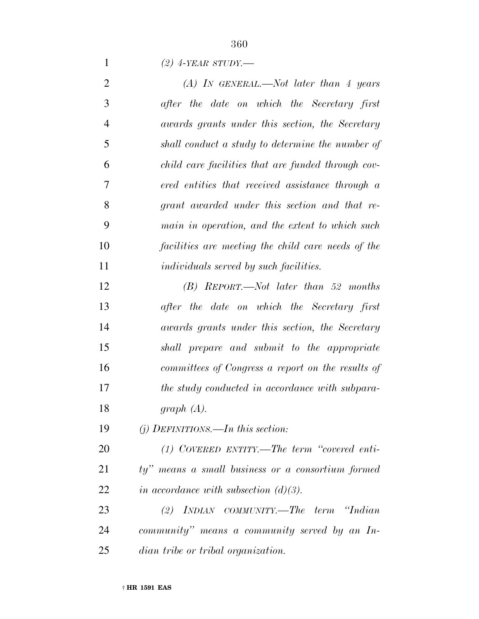*(2) 4-YEAR STUDY.—*

| $\overline{2}$ | (A) IN GENERAL.—Not later than 4 years             |
|----------------|----------------------------------------------------|
| 3              | after the date on which the Secretary first        |
| $\overline{4}$ | awards grants under this section, the Secretary    |
| 5              | shall conduct a study to determine the number of   |
| 6              | child care facilities that are funded through cov- |
| 7              | ered entities that received assistance through a   |
| 8              | grant awarded under this section and that re-      |
| 9              | main in operation, and the extent to which such    |
| 10             | facilities are meeting the child care needs of the |
| 11             | <i>individuals served by such facilities.</i>      |
| 12             | $(B)$ REPORT.—Not later than 52 months             |
| 13             | after the date on which the Secretary first        |
| 14             | awards grants under this section, the Secretary    |
| 15             | shall prepare and submit to the appropriate        |
| 16             | committees of Congress a report on the results of  |
| 17             | the study conducted in accordance with subpara-    |
| 18             | graph $(A)$ .                                      |
| 19             | (j) DEFINITIONS.—In this section:                  |
| 20             | $(1)$ COVERED ENTITY.—The term "covered enti-      |
| 21             | ty" means a small business or a consortium formed  |
| 22             | in accordance with subsection $(d)(3)$ .           |
| 23             | $(2)$ INDIAN COMMUNITY.—The term "Indian"          |
| 24             | community" means a community served by an In-      |
| 25             | dian tribe or tribal organization.                 |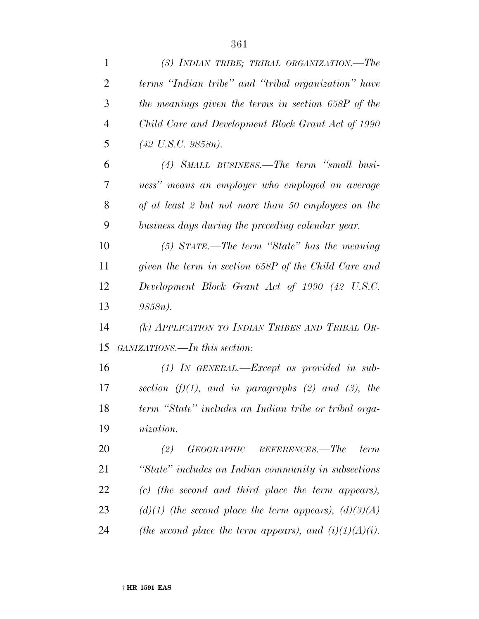| $\mathbf{1}$   | (3) INDIAN TRIBE; TRIBAL ORGANIZATION.—The                |
|----------------|-----------------------------------------------------------|
| $\overline{2}$ | terms "Indian tribe" and "tribal organization" have       |
| 3              | the meanings given the terms in section 658P of the       |
| $\overline{4}$ | Child Care and Development Block Grant Act of 1990        |
| 5              | $(42 \text{ U.S.C. } 9858n).$                             |
| 6              | (4) SMALL BUSINESS.—The term "small busi-                 |
| 7              | ness" means an employer who employed an average           |
| 8              | of at least 2 but not more than 50 employees on the       |
| 9              | business days during the preceding calendar year.         |
| 10             | $(5)$ STATE.—The term "State" has the meaning             |
| 11             | given the term in section 658P of the Child Care and      |
| 12             | Development Block Grant Act of 1990 (42 U.S.C.            |
| 13             | $9858n$ ).                                                |
| 14             | (k) APPLICATION TO INDIAN TRIBES AND TRIBAL OR-           |
| 15             | GANIZATIONS.—In this section:                             |
| 16             | $(1)$ IN GENERAL.—Except as provided in sub-              |
| 17             | section $(f)(1)$ , and in paragraphs (2) and (3), the     |
| 18             | term "State" includes an Indian tribe or tribal orga-     |
| 19             | <i>nization.</i>                                          |
| 20             | (2)<br>GEOGRAPHIC REFERENCES.—The<br>term                 |
| 21             | "State" includes an Indian community in subsections       |
| 22             | (c) (the second and third place the term appears),        |
| 23             | $(d)(1)$ (the second place the term appears), $(d)(3)(A)$ |
| 24             | (the second place the term appears), and $(i)(1)(A)(i)$ . |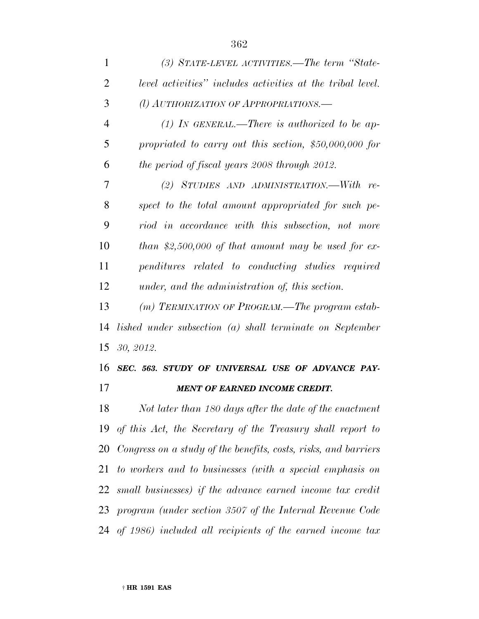| $\mathbf{1}$   | (3) STATE-LEVEL ACTIVITIES.—The term "State-               |
|----------------|------------------------------------------------------------|
| 2              | level activities" includes activities at the tribal level. |
| 3              | (l) AUTHORIZATION OF APPROPRIATIONS.—                      |
| $\overline{4}$ | (1) IN GENERAL.—There is authorized to be ap-              |
| 5              | propriated to carry out this section, $$50,000,000$ for    |
| 6              | the period of fiscal years 2008 through 2012.              |
| 7              | (2) STUDIES AND ADMINISTRATION.—With re-                   |
| 8              | spect to the total amount appropriated for such pe-        |
| 9              | riod in accordance with this subsection, not more          |
| 10             | than \$2,500,000 of that amount may be used for ex-        |
| 11             | penditures related to conducting studies required          |
| 12             | under, and the administration of, this section.            |
| 13             | (m) TERMINATION OF PROGRAM.—The program estab-             |

 *lished under subsection (a) shall terminate on September 30, 2012.*

 *SEC. 563. STUDY OF UNIVERSAL USE OF ADVANCE PAY-MENT OF EARNED INCOME CREDIT.*

 *Not later than 180 days after the date of the enactment of this Act, the Secretary of the Treasury shall report to Congress on a study of the benefits, costs, risks, and barriers to workers and to businesses (with a special emphasis on small businesses) if the advance earned income tax credit program (under section 3507 of the Internal Revenue Code of 1986) included all recipients of the earned income tax*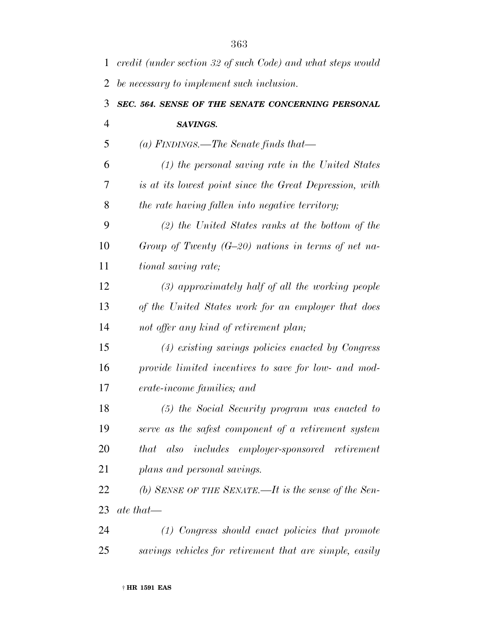| 1              | credit (under section 32 of such Code) and what steps would          |
|----------------|----------------------------------------------------------------------|
| 2              | be necessary to implement such inclusion.                            |
| 3              | SEC. 564. SENSE OF THE SENATE CONCERNING PERSONAL                    |
| $\overline{4}$ | SAVINGS.                                                             |
| 5              | (a) FINDINGS.—The Senate finds that—                                 |
| 6              | $(1)$ the personal saving rate in the United States                  |
| 7              | is at its lowest point since the Great Depression, with              |
| 8              | the rate having fallen into negative territory;                      |
| 9              | $(2)$ the United States ranks at the bottom of the                   |
| 10             | Group of Twenty $(G-20)$ nations in terms of net na-                 |
| 11             | <i>tional saving rate;</i>                                           |
| 12             | $(3)$ approximately half of all the working people                   |
| 13             | of the United States work for an employer that does                  |
| 14             | not offer any kind of retirement plan;                               |
| 15             | (4) existing savings policies enacted by Congress                    |
| 16             | provide limited incentives to save for low- and mod-                 |
| 17             | erate-income families; and                                           |
| 18             | (5) the Social Security program was enacted to                       |
| 19             | serve as the safest component of a retirement system                 |
| 20             | <i>includes</i> employer-sponsored retirement<br>also<br><i>that</i> |
| 21             | plans and personal savings.                                          |
| 22             | (b) SENSE OF THE SENATE.—It is the sense of the Sen-                 |
| 23             | $\it{ate~that}$                                                      |
| 24             | $(1)$ Congress should enact policies that promote                    |
| 25             | savings vehicles for retirement that are simple, easily              |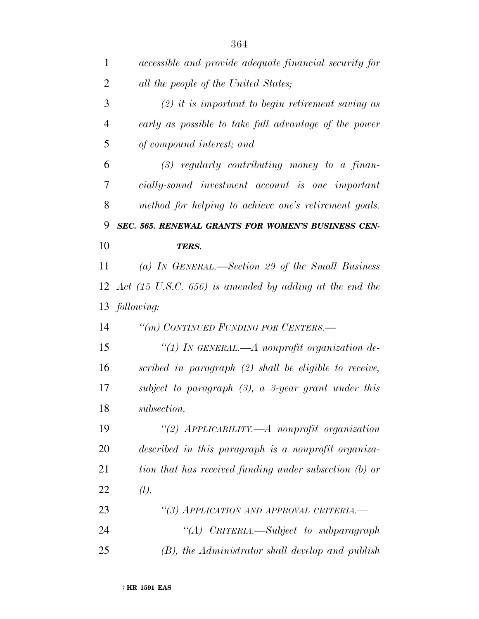| 1              | <i>accessible and provide adequate financial security for</i>         |
|----------------|-----------------------------------------------------------------------|
| $\overline{2}$ | all the people of the United States;                                  |
| 3              | $(2)$ it is important to begin retirement saving as                   |
| $\overline{4}$ | early as possible to take full advantage of the power                 |
| 5              | of compound interest; and                                             |
| 6              | $(3)$ regularly contributing money to a finan-                        |
| 7              | cially-sound investment account is one important                      |
| 8              | method for helping to achieve one's retirement goals.                 |
| 9              | SEC. 565. RENEWAL GRANTS FOR WOMEN'S BUSINESS CEN-                    |
| 10             | TERS.                                                                 |
| 11             | (a) IN GENERAL.—Section 29 of the Small Business                      |
|                | 12 Act $(15 \text{ U.S.C. } 656)$ is amended by adding at the end the |
|                | 13 following:                                                         |
| 14             | "(m) CONTINUED FUNDING FOR CENTERS.—                                  |
| 15             | "(1) In GENERAL.—A nonprofit organization de-                         |
| 16             | scribed in paragraph $(2)$ shall be eligible to receive,              |
| 17             | subject to paragraph $(3)$ , a 3-year grant under this                |
| 18             | subsection.                                                           |
| 19             | "(2) $APPLICABILITY. - A nonprofit organization$                      |
| 20             | described in this paragraph is a nonprofit organiza-                  |
| 21             | tion that has received funding under subsection (b) or                |
| 22             | (l).                                                                  |
| 23             | "(3) APPLICATION AND APPROVAL CRITERIA.-                              |
| 24             | "(A) CRITERIA.—Subject to subparagraph                                |
|                |                                                                       |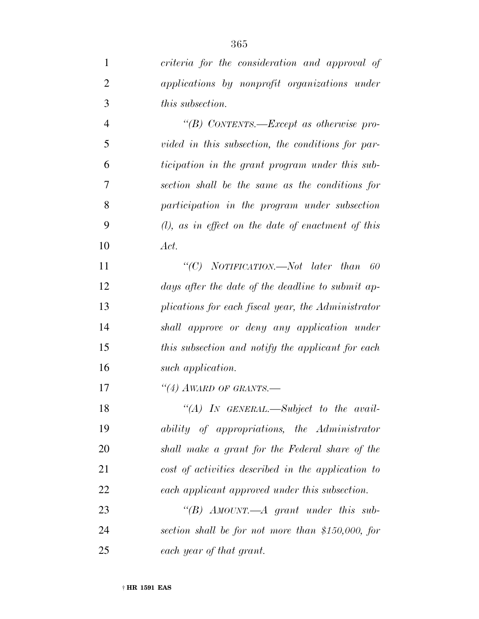*criteria for the consideration and approval of applications by nonprofit organizations under this subsection.*

 *''(B) CONTENTS.—Except as otherwise pro- vided in this subsection, the conditions for par- ticipation in the grant program under this sub- section shall be the same as the conditions for participation in the program under subsection (l), as in effect on the date of enactment of this Act.*

 *''(C) NOTIFICATION.—Not later than 60 days after the date of the deadline to submit ap- plications for each fiscal year, the Administrator shall approve or deny any application under this subsection and notify the applicant for each such application.*

*''(4) AWARD OF GRANTS.—*

 *''(A) IN GENERAL.—Subject to the avail- ability of appropriations, the Administrator shall make a grant for the Federal share of the cost of activities described in the application to each applicant approved under this subsection.*

 *''(B) AMOUNT.—A grant under this sub- section shall be for not more than \$150,000, for each year of that grant.*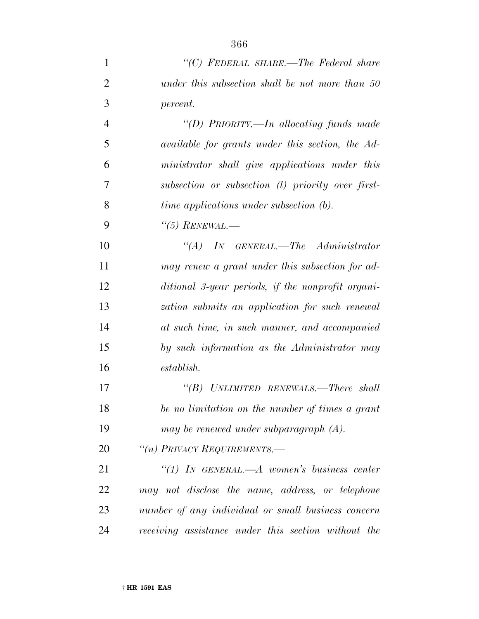| 1              | "(C) FEDERAL SHARE.—The Federal share                   |
|----------------|---------------------------------------------------------|
| 2              | under this subsection shall be not more than 50         |
| 3              | <i>percent.</i>                                         |
| $\overline{4}$ | "(D) PRIORITY.—In allocating funds made                 |
| 5              | <i>available for grants under this section, the Ad-</i> |
| 6              | ministrator shall give applications under this          |
| 7              | subsection or subsection (1) priority over first-       |
| 8              | <i>time applications under subsection (b).</i>          |
| 9              | $\lq(5)$ RENEWAL.—                                      |

 *''(A) IN GENERAL.—The Administrator may renew a grant under this subsection for ad- ditional 3-year periods, if the nonprofit organi- zation submits an application for such renewal at such time, in such manner, and accompanied by such information as the Administrator may establish.*

 *''(B) UNLIMITED RENEWALS.—There shall be no limitation on the number of times a grant may be renewed under subparagraph (A).*

*''(n) PRIVACY REQUIREMENTS.—*

 *''(1) IN GENERAL.—A women's business center may not disclose the name, address, or telephone number of any individual or small business concern receiving assistance under this section without the*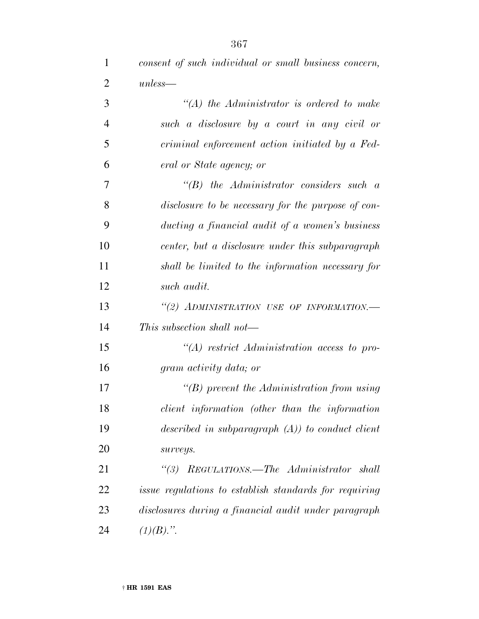*consent of such individual or small business concern,*

| $\overline{2}$ | $unless-$                                                     |
|----------------|---------------------------------------------------------------|
| 3              | $\lq (A)$ the Administrator is ordered to make                |
| $\overline{4}$ | such a disclosure by a court in any civil or                  |
| 5              | criminal enforcement action initiated by a Fed-               |
| 6              | eral or State agency; or                                      |
| 7              | $\lq\lq B$ the Administrator considers such a                 |
| 8              | disclosure to be necessary for the purpose of con-            |
| 9              | ducting a financial audit of a women's business               |
| 10             | center, but a disclosure under this subparagraph              |
| 11             | shall be limited to the information necessary for             |
| 12             | such audit.                                                   |
| 13             | "(2) ADMINISTRATION USE OF INFORMATION.-                      |
| 14             | This subsection shall not—                                    |
| 15             | $\lq (A)$ restrict Administration access to pro-              |
| 16             | gram activity data; or                                        |
| 17             | $\lq\lq(B)$ prevent the Administration from using             |
| 18             | client information (other than the information                |
| 19             | described in subparagraph $(A)$ ) to conduct client           |
| 20             | surveys.                                                      |
| 21             | "(3) REGULATIONS.—The Administrator<br>shall                  |
| 22             | <i>issue regulations to establish standards for requiring</i> |
| 23             | disclosures during a financial audit under paragraph          |
| 24             | $(1)(B)$ .".                                                  |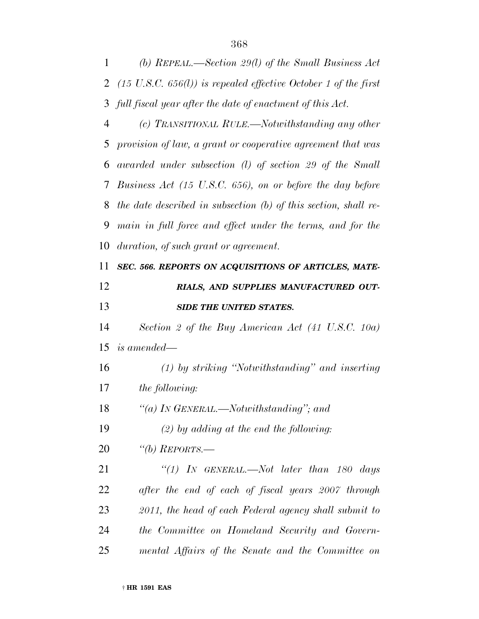*(b) REPEAL.—Section 29(l) of the Small Business Act (15 U.S.C. 656(l)) is repealed effective October 1 of the first full fiscal year after the date of enactment of this Act.*

 *(c) TRANSITIONAL RULE.—Notwithstanding any other provision of law, a grant or cooperative agreement that was awarded under subsection (l) of section 29 of the Small Business Act (15 U.S.C. 656), on or before the day before the date described in subsection (b) of this section, shall re- main in full force and effect under the terms, and for the duration, of such grant or agreement.*

## *SEC. 566. REPORTS ON ACQUISITIONS OF ARTICLES, MATE- RIALS, AND SUPPLIES MANUFACTURED OUT-SIDE THE UNITED STATES.*

 *Section 2 of the Buy American Act (41 U.S.C. 10a) is amended—*

 *(1) by striking ''Notwithstanding'' and inserting the following:*

*''(a) IN GENERAL.—Notwithstanding''; and*

*(2) by adding at the end the following:*

*''(b) REPORTS.—*

 *''(1) IN GENERAL.—Not later than 180 days after the end of each of fiscal years 2007 through 2011, the head of each Federal agency shall submit to the Committee on Homeland Security and Govern-mental Affairs of the Senate and the Committee on*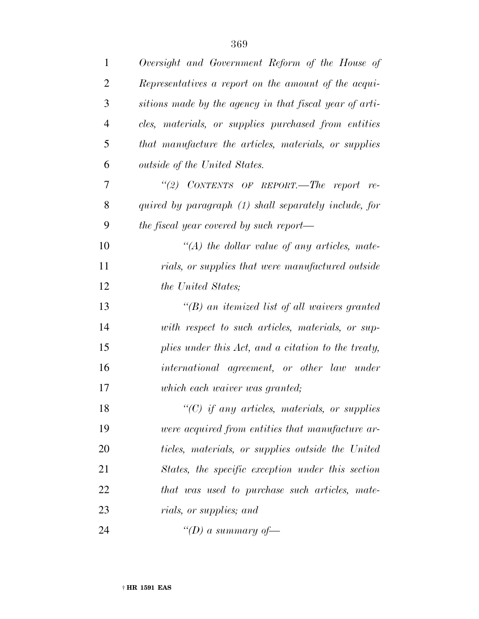| $\mathbf{1}$   | Oversight and Government Reform of the House of         |
|----------------|---------------------------------------------------------|
| $\overline{2}$ | Representatives a report on the amount of the acqui-    |
| 3              | sitions made by the agency in that fiscal year of arti- |
| $\overline{4}$ | cles, materials, or supplies purchased from entities    |
| 5              | that manufacture the articles, materials, or supplies   |
| 6              | outside of the United States.                           |
| 7              | "(2) CONTENTS OF REPORT.—The report re-                 |
| 8              | quired by paragraph (1) shall separately include, for   |
| 9              | the fiscal year covered by such report—                 |
| 10             | $\lq (A)$ the dollar value of any articles, mate-       |
| 11             | rials, or supplies that were manufactured outside       |
| 12             | <i>the United States;</i>                               |
| 13             | $\lq (B)$ an itemized list of all waivers granted       |
| 14             | with respect to such articles, materials, or sup-       |
| 15             | plies under this Act, and a citation to the treaty,     |
| 16             | international agreement, or other law under             |
| 17             | which each waiver was granted;                          |
| 18             | $"$ (C) if any articles, materials, or supplies         |
| 19             | were acquired from entities that manufacture ar-        |
| 20             | ticles, materials, or supplies outside the United       |
| 21             | States, the specific exception under this section       |
| 22             | that was used to purchase such articles, mate-          |
| 23             | <i>rials, or supplies; and</i>                          |
| 24             | "(D) a summary of-                                      |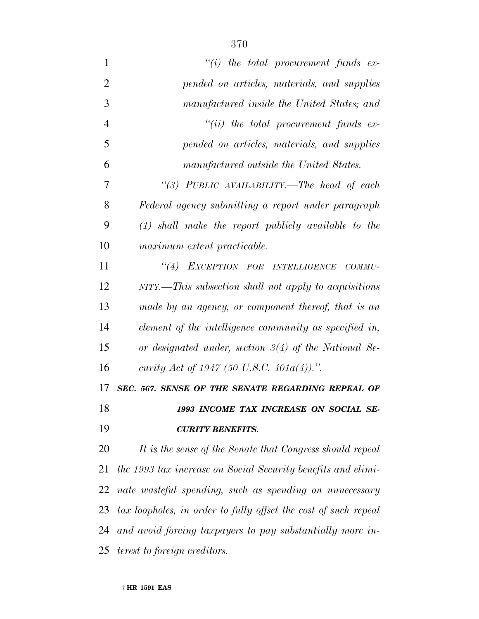| $\mathbf{1}$   | $``(i)$ the total procurement funds ex-                         |
|----------------|-----------------------------------------------------------------|
| $\overline{2}$ | pended on articles, materials, and supplies                     |
| 3              | manufactured inside the United States; and                      |
| $\overline{4}$ | $``(ii)$ the total procurement funds ex-                        |
| 5              | pended on articles, materials, and supplies                     |
| 6              | manufactured outside the United States.                         |
| 7              | "(3) PUBLIC AVAILABILITY.—The head of each                      |
| 8              | Federal agency submitting a report under paragraph              |
| 9              | $(1)$ shall make the report publicly available to the           |
| 10             | maximum extent practicable.                                     |
| 11             | "(4) EXCEPTION FOR INTELLIGENCE COMMU-                          |
| 12             | NITY.—This subsection shall not apply to acquisitions           |
| 13             | made by an agency, or component thereof, that is an             |
| 14             | element of the intelligence community as specified in,          |
| 15             | or designated under, section $3(4)$ of the National Se-         |
| 16             | curity Act of 1947 (50 U.S.C. 401 $a(4)$ ).".                   |
| 17             | SEC. 567. SENSE OF THE SENATE REGARDING REPEAL OF               |
| 18             | 1993 INCOME TAX INCREASE ON SOCIAL SE-                          |
| 19             | <b>CURITY BENEFITS.</b>                                         |
| 20             | It is the sense of the Senate that Congress should repeal       |
| 21             | the 1993 tax increase on Social Security benefits and elimi-    |
| 22             | nate wasteful spending, such as spending on unnecessary         |
| 23             | tax loopholes, in order to fully offset the cost of such repeal |
| 24             | and avoid forcing taxpayers to pay substantially more in-       |
| 25             | <i>terest to foreign creditors.</i>                             |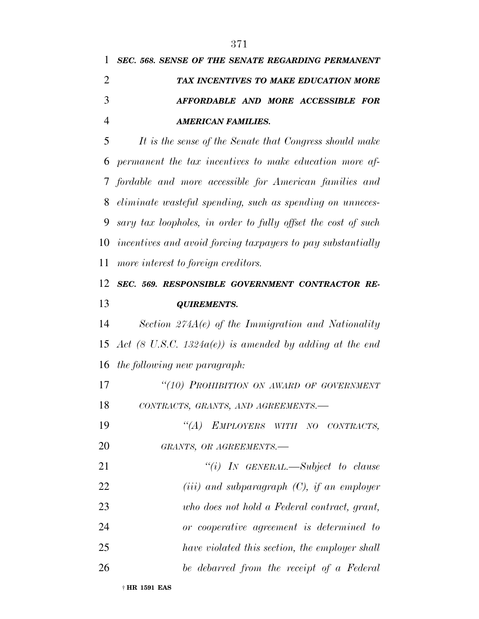*SEC. 568. SENSE OF THE SENATE REGARDING PERMANENT TAX INCENTIVES TO MAKE EDUCATION MORE AFFORDABLE AND MORE ACCESSIBLE FOR AMERICAN FAMILIES.*

 *It is the sense of the Senate that Congress should make permanent the tax incentives to make education more af- fordable and more accessible for American families and eliminate wasteful spending, such as spending on unneces- sary tax loopholes, in order to fully offset the cost of such incentives and avoid forcing taxpayers to pay substantially more interest to foreign creditors.*

## *SEC. 569. RESPONSIBLE GOVERNMENT CONTRACTOR RE-QUIREMENTS.*

 *Section 274A(e) of the Immigration and Nationality Act (8 U.S.C. 1324a(e)) is amended by adding at the end the following new paragraph:*

 *''(10) PROHIBITION ON AWARD OF GOVERNMENT CONTRACTS, GRANTS, AND AGREEMENTS.—*

 *''(A) EMPLOYERS WITH NO CONTRACTS, GRANTS, OR AGREEMENTS.—*

 *''(i) IN GENERAL.—Subject to clause (iii) and subparagraph (C), if an employer who does not hold a Federal contract, grant,*

 *or cooperative agreement is determined to have violated this section, the employer shall*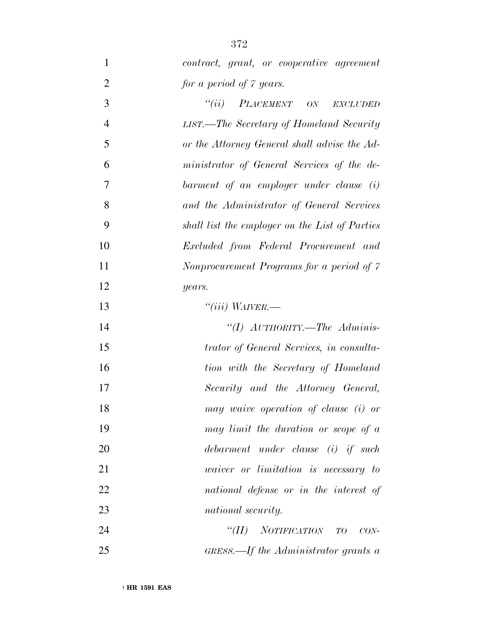| 1              | contract, grant, or cooperative agreement                    |
|----------------|--------------------------------------------------------------|
| $\overline{2}$ | for a period of 7 years.                                     |
| 3              | ``(ii)<br>PLACEMENT ON<br>EXCLUDED                           |
| $\overline{4}$ | LIST.—The Secretary of Homeland Security                     |
| 5              | or the Attorney General shall advise the Ad-                 |
| 6              | ministrator of General Services of the de-                   |
| 7              | barment of an employer under clause (i)                      |
| 8              | and the Administrator of General Services                    |
| 9              | shall list the employer on the List of Parties               |
| 10             | Excluded from Federal Procurement and                        |
| 11             | Nonprocurement Programs for a period of 7                    |
| 12             | years.                                                       |
| 13             | "(iii) WAIVER.—                                              |
| 14             | "(I) AUTHORITY.—The Adminis-                                 |
| 15             | trator of General Services, in consulta-                     |
| 16             | tion with the Secretary of Homeland                          |
| 17             | Security and the Attorney General,                           |
| 18             | may waive operation of clause (i) or                         |
| 19             | may limit the duration or scope of a                         |
| 20             | debarment under clause (i) if such                           |
| 21             | <i>vaiver</i> or <i>limitation</i> is necessary to           |
| 22             | national defense or in the interest of                       |
| 23             | national security.                                           |
| 24             | ``(II)<br>NOTIFICATION TO<br>$CON-$                          |
| 25             | $GRESS$ . $\rightarrow$ <i>If the Administrator grants a</i> |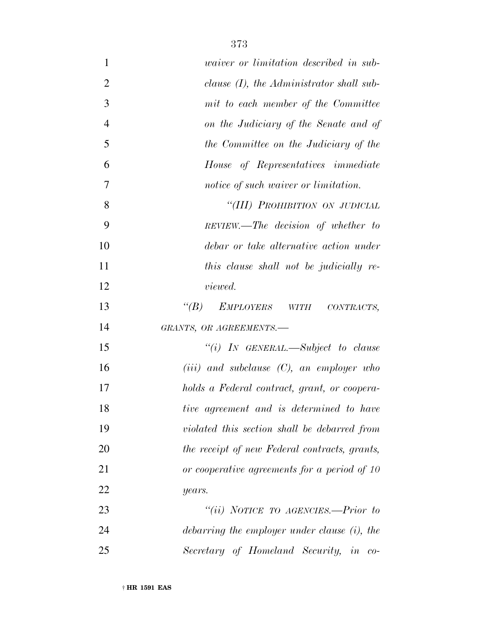| $\mathbf{1}$   | <i>uaiver or limitation described in sub-</i>      |
|----------------|----------------------------------------------------|
| $\overline{2}$ | clause $(I)$ , the Administrator shall sub-        |
| 3              | mit to each member of the Committee                |
| $\overline{4}$ | on the Judiciary of the Senate and of              |
| 5              | the Committee on the Judiciary of the              |
| 6              | House of Representatives immediate                 |
| 7              | notice of such waiver or limitation.               |
| 8              | "(III) PROHIBITION ON JUDICIAL                     |
| 9              | REVIEW.—The decision of whether to                 |
| 10             | debar or take alternative action under             |
| 11             | this clause shall not be judicially re-            |
| 12             | <i>viewed.</i>                                     |
| 13             | $\lq(B)$<br><i>EMPLOYERS</i><br>WITH<br>CONTRACTS, |
| 14             | GRANTS, OR AGREEMENTS.-                            |
| 15             | "(i) IN GENERAL.—Subject to clause                 |
| 16             | $(iii)$ and subclause $(C)$ , an employer who      |
| 17             | holds a Federal contract, grant, or coopera-       |
| 18             | tive agreement and is determined to have           |
| 19             | violated this section shall be debarred from       |
| 20             | the receipt of new Federal contracts, grants,      |
| 21             | or cooperative agreements for a period of 10       |
| 22             | years.                                             |
| 23             | "(ii) NOTICE TO AGENCIES.—Prior to                 |
| 24             | debarring the employer under clause (i), the       |
| 25             | Secretary of Homeland Security, in co-             |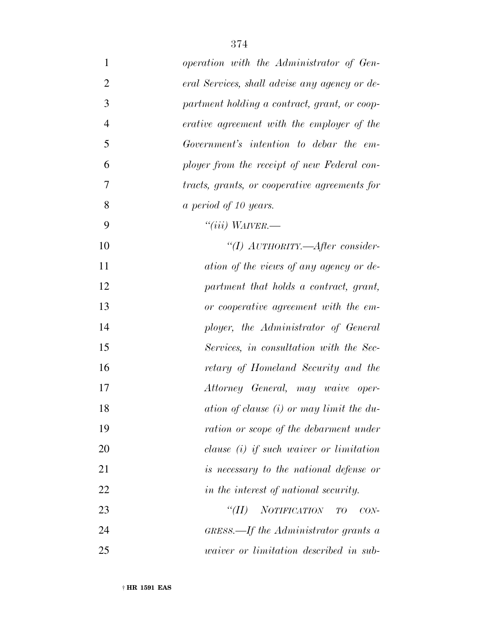| $\mathbf{1}$   | operation with the Administrator of Gen-             |
|----------------|------------------------------------------------------|
| $\overline{2}$ | eral Services, shall advise any agency or de-        |
| 3              | partment holding a contract, grant, or coop-         |
| $\overline{4}$ | erative agreement with the employer of the           |
| 5              | Government's intention to debar the em-              |
| 6              | ployer from the receipt of new Federal con-          |
| 7              | tracts, grants, or cooperative agreements for        |
| 8              | a period of 10 years.                                |
| 9              | "(iii) $W_{A I V E R}$ .                             |
| 10             | "(I) AUTHORITY.—After consider-                      |
| 11             | ation of the views of any agency or de-              |
| 12             | partment that holds a contract, grant,               |
| 13             | or cooperative agreement with the em-                |
| 14             | ployer, the Administrator of General                 |
| 15             | Services, in consultation with the Sec-              |
| 16             | retary of Homeland Security and the                  |
| 17             | Attorney General, may waive oper-                    |
| 18             | ation of clause (i) or may limit the du-             |
| 19             | ration or scope of the debarment under               |
| 20             | clause $(i)$ if such waiver or limitation            |
| 21             | is necessary to the national defense or              |
| 22             | in the interest of national security.                |
| 23             | <b>NOTIFICATION</b><br>$\lq(T)$<br>TO<br>$CON-$      |
| 24             | GRESS.—If the Administrator grants a                 |
| 25             | <i>uaiver</i> or <i>limitation</i> described in sub- |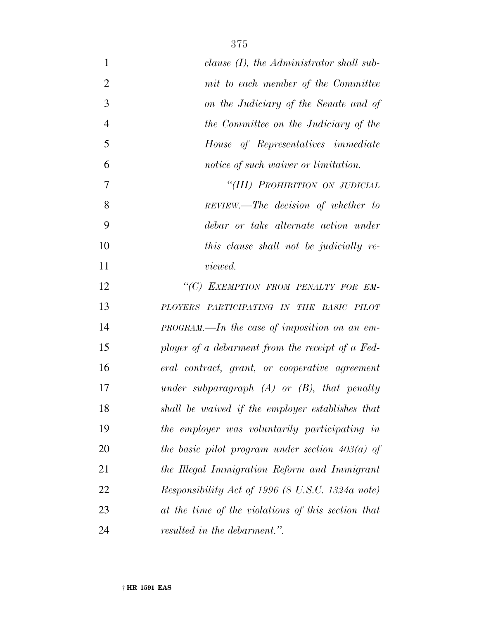| $\mathbf{1}$   | clause $(I)$ , the Administrator shall sub-        |
|----------------|----------------------------------------------------|
| $\overline{2}$ | mit to each member of the Committee                |
| 3              | on the Judiciary of the Senate and of              |
| $\overline{4}$ | the Committee on the Judiciary of the              |
| 5              | House of Representatives immediate                 |
| 6              | notice of such waiver or limitation.               |
| 7              | "(III) PROHIBITION ON JUDICIAL                     |
| 8              | REVIEW.—The decision of whether to                 |
| 9              | debar or take alternate action under               |
| 10             | this clause shall not be judicially re-            |
| 11             | <i>viewed.</i>                                     |
| 12             | "(C) EXEMPTION FROM PENALTY FOR EM-                |
| 13             | PLOYERS PARTICIPATING IN THE BASIC PILOT           |
| 14             | $PROGRAM$ —In the case of imposition on an em-     |
| 15             | ployer of a debarment from the receipt of a Fed-   |
| 16             | eral contract, grant, or cooperative agreement     |
| 17             | under subparagraph $(A)$ or $(B)$ , that penalty   |
| 18             | shall be waived if the employer establishes that   |
| 19             | the employer was voluntarily participating in      |
| 20             | the basic pilot program under section $403(a)$ of  |
| 21             | the Illegal Immigration Reform and Immigrant       |
| 22             | Responsibility Act of 1996 (8 U.S.C. 1324a note)   |
| 23             | at the time of the violations of this section that |
| 24             | resulted in the debarment.".                       |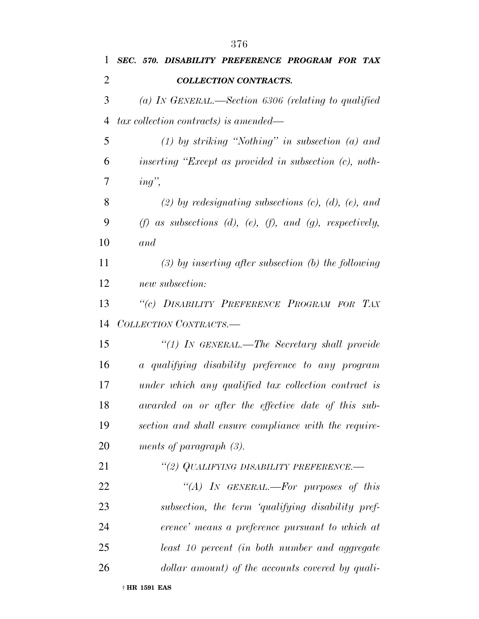| 1              | SEC. 570. DISABILITY PREFERENCE PROGRAM FOR TAX                        |
|----------------|------------------------------------------------------------------------|
| $\overline{2}$ | <b>COLLECTION CONTRACTS.</b>                                           |
| 3              | (a) IN GENERAL.—Section 6306 (relating to qualified                    |
| 4              | $tax$ collection contracts) is amended—                                |
| 5              | $(1)$ by striking "Nothing" in subsection $(a)$ and                    |
| 6              | inserting "Except as provided in subsection $(c)$ , noth-              |
| 7              | ing                                                                    |
| 8              | $(2)$ by redesignating subsections $(c)$ , $(d)$ , $(e)$ , and         |
| 9              | $(f)$ as subsections $(d)$ , $(e)$ , $(f)$ , and $(g)$ , respectively, |
| 10             | and                                                                    |
| 11             | $(3)$ by inserting after subsection (b) the following                  |
| 12             | new subsection:                                                        |
| 13             | "(c) DISABILITY PREFERENCE PROGRAM FOR TAX                             |
| 14             | COLLECTION CONTRACTS.-                                                 |
| 15             | "(1) IN GENERAL.—The Secretary shall provide                           |
| 16             | a qualifying disability preference to any program                      |
| 17             | under which any qualified tax collection contract is                   |
| 18             | awarded on or after the effective date of this sub-                    |
| 19             | section and shall ensure compliance with the require-                  |
| 20             | ments of paragraph $(3)$ .                                             |
| 21             | "(2) QUALIFYING DISABILITY PREFERENCE.-                                |
| 22             | "(A) IN GENERAL.—For purposes of this                                  |
| 23             | subsection, the term 'qualifying disability pref-                      |
| 24             | erence' means a preference pursuant to which at                        |
| 25             | least 10 percent (in both number and aggregate                         |
| 26             | dollar amount) of the accounts covered by quali-                       |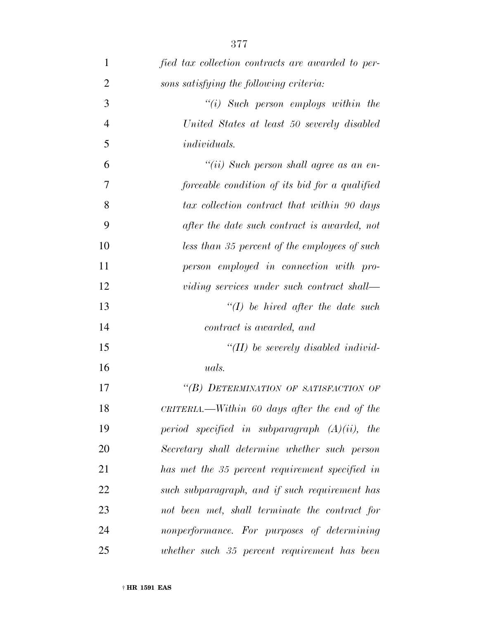| $\mathbf{1}$   | fied tax collection contracts are awarded to per- |
|----------------|---------------------------------------------------|
| $\overline{2}$ | sons satisfying the following criteria:           |
| 3              | $``(i)$ Such person employs within the            |
| $\overline{4}$ | United States at least 50 severely disabled       |
| 5              | <i>individuals.</i>                               |
| 6              | "(ii) Such person shall agree as an en-           |
| $\overline{7}$ | forceable condition of its bid for a qualified    |
| 8              | tax collection contract that within 90 days       |
| 9              | after the date such contract is awarded, not      |
| 10             | less than 35 percent of the employees of such     |
| 11             | person employed in connection with pro-           |
| 12             | viding services under such contract shall—        |
| 13             | $\lq (I)$ be hired after the date such            |
| 14             | contract is awarded, and                          |
| 15             | $\lq (II)$ be severely disabled individ-          |
| 16             | uals.                                             |
| 17             | "(B) DETERMINATION OF SATISFACTION OF             |
| 18             | CRITERIA.—Within 60 days after the end of the     |
| 19             | period specified in subparagraph $(A)(ii)$ , the  |
| <b>20</b>      | Secretary shall determine whether such person     |
| 21             | has met the 35 percent requirement specified in   |
| 22             | such subparagraph, and if such requirement has    |
| 23             | not been met, shall terminate the contract for    |
| 24             | nonperformance. For purposes of determining       |
| 25             | whether such 35 percent requirement has been      |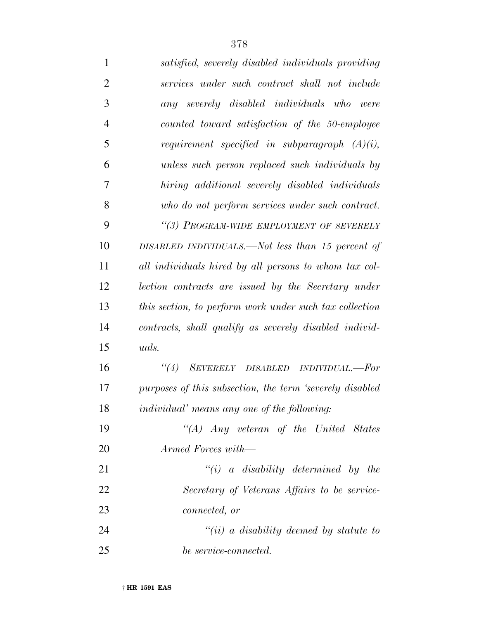| 1              | satisfied, severely disabled individuals providing       |
|----------------|----------------------------------------------------------|
| $\overline{2}$ | services under such contract shall not include           |
| 3              | any severely disabled individuals who were               |
| $\overline{4}$ | counted toward satisfaction of the 50-employee           |
| 5              | requirement specified in subparagraph $(A)(i)$ ,         |
| 6              | unless such person replaced such individuals by          |
| 7              | hiring additional severely disabled individuals          |
| 8              | who do not perform services under such contract.         |
| 9              | "(3) PROGRAM-WIDE EMPLOYMENT OF SEVERELY                 |
| 10             | DISABLED INDIVIDUALS.—Not less than 15 percent of        |
| 11             | all individuals hired by all persons to whom tax col-    |
| 12             | lection contracts are issued by the Secretary under      |
| 13             | this section, to perform work under such tax collection  |
| 14             | contracts, shall qualify as severely disabled individ-   |
| 15             | uals.                                                    |
| 16             | ``(4)<br>SEVERELY DISABLED INDIVIDUAL.-For               |
| 17             | purposes of this subsection, the term 'severely disabled |
| 18             | <i>individual' means any one of the following:</i>       |
| 19             | "(A) $Any$ veteran of the United States                  |
| 20             | Armed Forces with—                                       |
| 21             | $``(i)$ a disability determined by the                   |
| 22             | Secretary of Veterans Affairs to be service-             |
| 23             | <i>connected, or</i>                                     |
| 24             | $``(ii)$ a disability deemed by statute to               |
| 25             | be service-connected.                                    |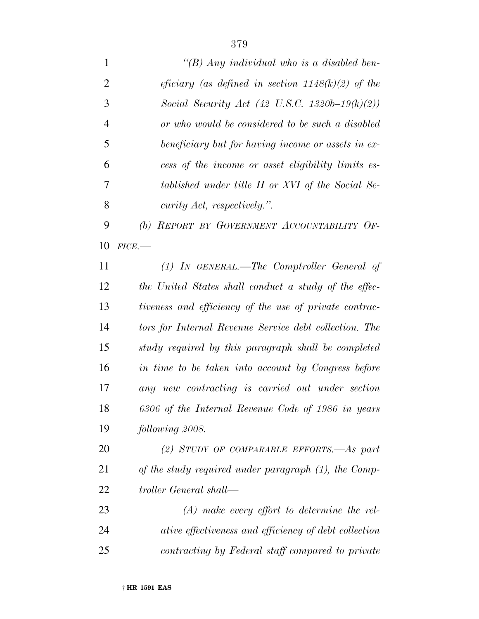*''(B) Any individual who is a disabled ben- eficiary (as defined in section 1148(k)(2) of the Social Security Act (42 U.S.C. 1320b–19(k)(2)) or who would be considered to be such a disabled beneficiary but for having income or assets in ex- cess of the income or asset eligibility limits es- tablished under title II or XVI of the Social Se- curity Act, respectively.''. (b) REPORT BY GOVERNMENT ACCOUNTABILITY OF- FICE.— (1) IN GENERAL.—The Comptroller General of the United States shall conduct a study of the effec- tiveness and efficiency of the use of private contrac- tors for Internal Revenue Service debt collection. The study required by this paragraph shall be completed in time to be taken into account by Congress before any new contracting is carried out under section 6306 of the Internal Revenue Code of 1986 in years following 2008. (2) STUDY OF COMPARABLE EFFORTS.—As part of the study required under paragraph (1), the Comp- troller General shall— (A) make every effort to determine the rel-ative effectiveness and efficiency of debt collection*

*contracting by Federal staff compared to private*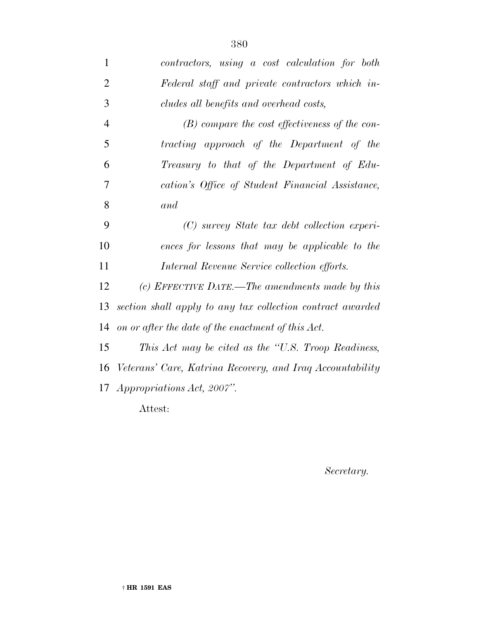| $\mathbf{1}$   | contractors, using a cost calculation for both             |
|----------------|------------------------------------------------------------|
| $\overline{2}$ | Federal staff and private contractors which in-            |
| 3              | cludes all benefits and overhead costs,                    |
| $\overline{4}$ | $(B)$ compare the cost effectiveness of the con-           |
| 5              | tracting approach of the Department of the                 |
| 6              | Treasury to that of the Department of Edu-                 |
| 7              | cation's Office of Student Financial Assistance,           |
| 8              | and                                                        |
| 9              | (C) survey State tax debt collection experi-               |
| 10             | ences for lessons that may be applicable to the            |
| 11             | Internal Revenue Service collection efforts.               |
| 12             | (c) EFFECTIVE DATE.—The amendments made by this            |
| 13             | section shall apply to any tax collection contract awarded |
| 14             | on or after the date of the enactment of this Act.         |
| 15             | This Act may be cited as the "U.S. Troop Readiness,        |
| 16             | Veterans' Care, Katrina Recovery, and Iraq Accountability  |
|                | 17 <i>Appropriations Act, 2007</i> ".                      |
|                | Attest:                                                    |

*Secretary.*